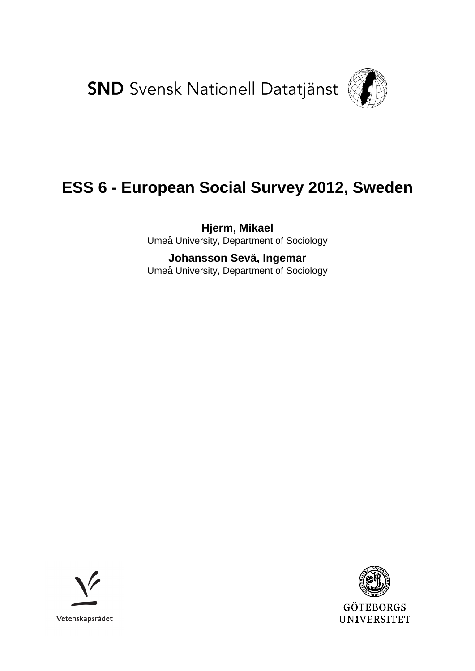**SND** Svensk Nationell Datatjänst



# **ESS 6 - European Social Survey 2012, Sweden**

**Hjerm, Mikael** Umeå University, Department of Sociology

**Johansson Sevä, Ingemar** Umeå University, Department of Sociology



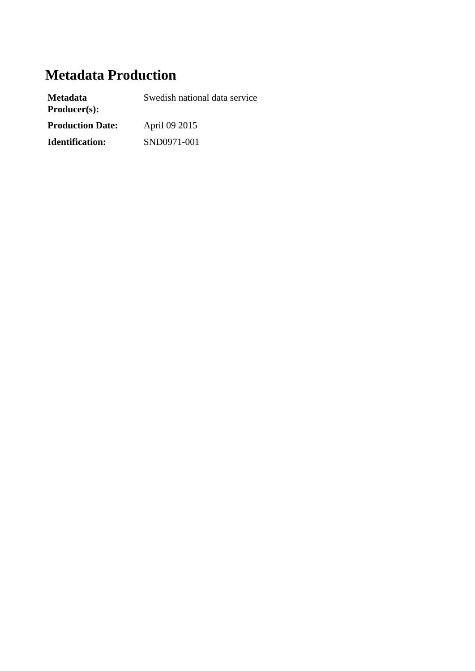# **Metadata Production**

| <b>Metadata</b><br>Product(s): | Swedish national data service |
|--------------------------------|-------------------------------|
| <b>Production Date:</b>        | April 09 2015                 |
| <b>Identification:</b>         | SND0971-001                   |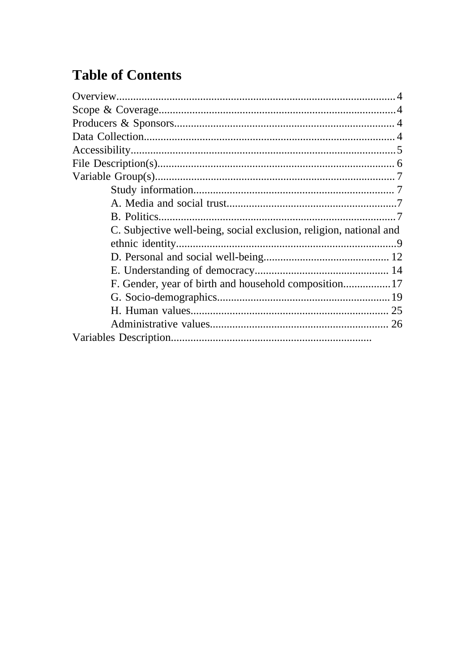# **Table of Contents**

| C. Subjective well-being, social exclusion, religion, national and |
|--------------------------------------------------------------------|
|                                                                    |
|                                                                    |
|                                                                    |
|                                                                    |
|                                                                    |
|                                                                    |
|                                                                    |
|                                                                    |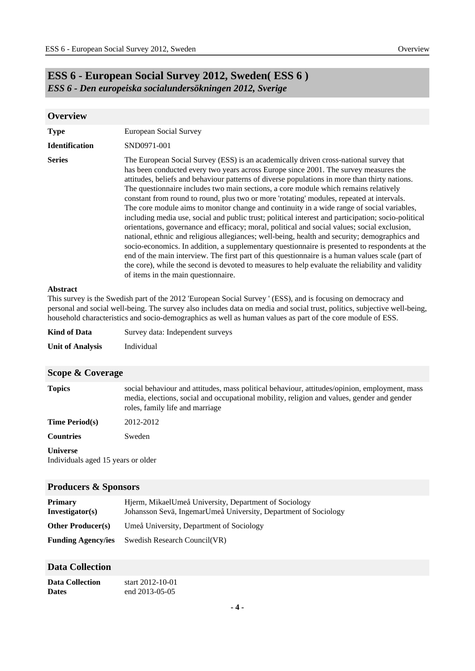## **ESS 6 - European Social Survey 2012, Sweden( ESS 6 )** *ESS 6 - Den europeiska socialundersökningen 2012, Sverige*

<span id="page-3-0"></span>

| <b>Overview</b>       |                                                                                                                                                                                                                                                                                                                                                                                                                                                                                                                                                                                                                                                                                                                                                                                                                                                                                                                                                                                                                                                                                                                                                                                                                            |
|-----------------------|----------------------------------------------------------------------------------------------------------------------------------------------------------------------------------------------------------------------------------------------------------------------------------------------------------------------------------------------------------------------------------------------------------------------------------------------------------------------------------------------------------------------------------------------------------------------------------------------------------------------------------------------------------------------------------------------------------------------------------------------------------------------------------------------------------------------------------------------------------------------------------------------------------------------------------------------------------------------------------------------------------------------------------------------------------------------------------------------------------------------------------------------------------------------------------------------------------------------------|
| <b>Type</b>           | European Social Survey                                                                                                                                                                                                                                                                                                                                                                                                                                                                                                                                                                                                                                                                                                                                                                                                                                                                                                                                                                                                                                                                                                                                                                                                     |
| <b>Identification</b> | SND0971-001                                                                                                                                                                                                                                                                                                                                                                                                                                                                                                                                                                                                                                                                                                                                                                                                                                                                                                                                                                                                                                                                                                                                                                                                                |
| <b>Series</b>         | The European Social Survey (ESS) is an academically driven cross-national survey that<br>has been conducted every two years across Europe since 2001. The survey measures the<br>attitudes, beliefs and behaviour patterns of diverse populations in more than thirty nations.<br>The questionnaire includes two main sections, a core module which remains relatively<br>constant from round to round, plus two or more 'rotating' modules, repeated at intervals.<br>The core module aims to monitor change and continuity in a wide range of social variables,<br>including media use, social and public trust; political interest and participation; socio-political<br>orientations, governance and efficacy; moral, political and social values; social exclusion,<br>national, ethnic and religious allegiances; well-being, health and security; demographics and<br>socio-economics. In addition, a supplementary questionnaire is presented to respondents at the<br>end of the main interview. The first part of this questionnaire is a human values scale (part of<br>the core), while the second is devoted to measures to help evaluate the reliability and validity<br>of items in the main questionnaire. |

#### **Abstract**

This survey is the Swedish part of the 2012 'European Social Survey ' (ESS), and is focusing on democracy and personal and social well-being. The survey also includes data on media and social trust, politics, subjective well-being, household characteristics and socio-demographics as well as human values as part of the core module of ESS.

| <b>Kind of Data</b>     | Survey data: Independent surveys |
|-------------------------|----------------------------------|
| <b>Unit of Analysis</b> | Individual                       |

<span id="page-3-1"></span>

| Scope & Coverage                                      |                                                                                                                                                                                                                                |
|-------------------------------------------------------|--------------------------------------------------------------------------------------------------------------------------------------------------------------------------------------------------------------------------------|
| <b>Topics</b>                                         | social behaviour and attitudes, mass political behaviour, attitudes/opinion, employment, mass<br>media, elections, social and occupational mobility, religion and values, gender and gender<br>roles, family life and marriage |
| <b>Time Period(s)</b>                                 | 2012-2012                                                                                                                                                                                                                      |
| <b>Countries</b>                                      | Sweden                                                                                                                                                                                                                         |
| <b>Universe</b><br>Individuals aged 15 years or older |                                                                                                                                                                                                                                |

#### <span id="page-3-2"></span>**Producers & Sponsors**

| <b>Primary</b><br>Investigator(s) | Hierm, MikaelUmeå University, Department of Sociology<br>Johansson Sevä, IngemarUmeå University, Department of Sociology |
|-----------------------------------|--------------------------------------------------------------------------------------------------------------------------|
| <b>Other Producer(s)</b>          | Umeå University, Department of Sociology                                                                                 |
| <b>Funding Agency/ies</b>         | Swedish Research Council(VR)                                                                                             |

#### <span id="page-3-3"></span>**Data Collection**

| <b>Data Collection</b> | start 2012-10-01 |
|------------------------|------------------|
| <b>Dates</b>           | end 2013-05-05   |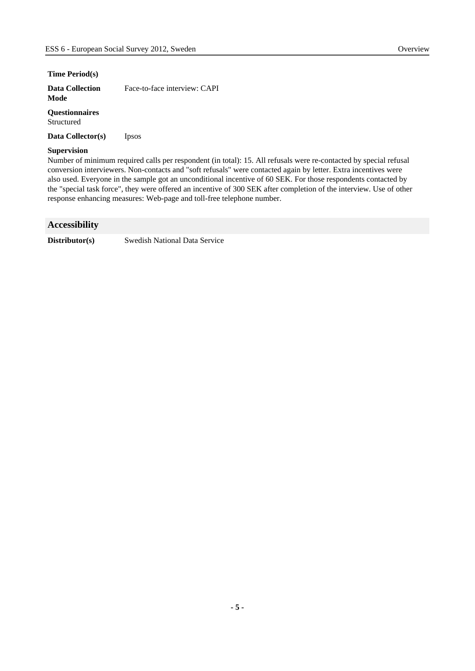#### **Time Period(s)**

| <b>Data Collection</b> | Face-to-face interview: CAPI |
|------------------------|------------------------------|
| Mode                   |                              |

#### **Questionnaires** Structured

**Data Collector(s)** Ipsos

#### **Supervision**

Number of minimum required calls per respondent (in total): 15. All refusals were re-contacted by special refusal conversion interviewers. Non-contacts and "soft refusals" were contacted again by letter. Extra incentives were also used. Everyone in the sample got an unconditional incentive of 60 SEK. For those respondents contacted by the "special task force", they were offered an incentive of 300 SEK after completion of the interview. Use of other response enhancing measures: Web-page and toll-free telephone number.

#### <span id="page-4-0"></span>**Accessibility**

**Distributor(s)** Swedish National Data Service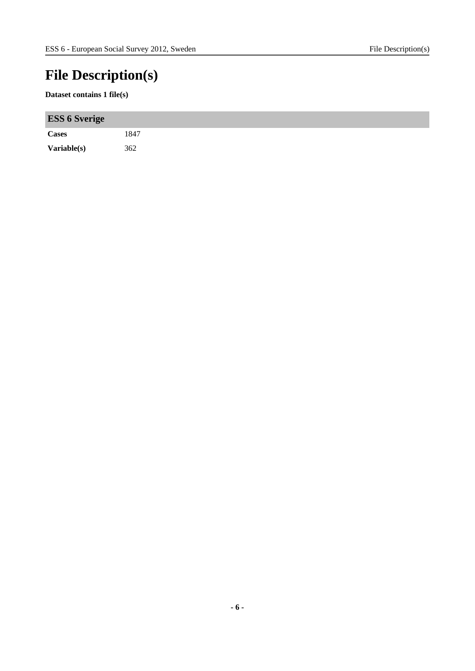# <span id="page-5-0"></span>**File Description(s)**

#### **Dataset contains 1 file(s)**

| <b>ESS 6 Sverige</b> |      |
|----------------------|------|
| Cases                | 1847 |
| Variable(s)          | 362  |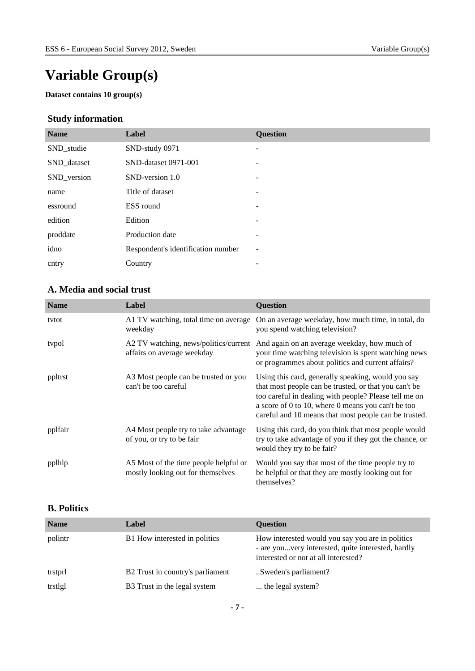# <span id="page-6-0"></span>**Variable Group(s)**

**Dataset contains 10 group(s)**

## <span id="page-6-1"></span>**Study information**

| <b>Name</b> | Label                              | <b>Question</b>          |
|-------------|------------------------------------|--------------------------|
| SND_studie  | SND-study 0971                     | $\overline{\phantom{a}}$ |
| SND_dataset | SND-dataset 0971-001               |                          |
| SND_version | SND-version 1.0                    | -                        |
| name        | Title of dataset                   | $\overline{\phantom{a}}$ |
| essround    | ESS round                          |                          |
| edition     | Edition                            | $\overline{\phantom{a}}$ |
| proddate    | Production date                    | $\overline{\phantom{a}}$ |
| idno        | Respondent's identification number | ۰                        |
| cntry       | Country                            |                          |

### <span id="page-6-2"></span>**A. Media and social trust**

| <b>Name</b> | Label                                                                      | <b>Question</b>                                                                                                                                                                                                                                                                     |
|-------------|----------------------------------------------------------------------------|-------------------------------------------------------------------------------------------------------------------------------------------------------------------------------------------------------------------------------------------------------------------------------------|
| tytot       | A1 TV watching, total time on average<br>weekday                           | On an average weekday, how much time, in total, do<br>you spend watching television?                                                                                                                                                                                                |
| typol       | A2 TV watching, news/politics/current<br>affairs on average weekday        | And again on an average weekday, how much of<br>your time watching television is spent watching news<br>or programmes about politics and current affairs?                                                                                                                           |
| ppltrst     | A3 Most people can be trusted or you<br>can't be too careful               | Using this card, generally speaking, would you say<br>that most people can be trusted, or that you can't be<br>too careful in dealing with people? Please tell me on<br>a score of 0 to 10, where 0 means you can't be too<br>careful and 10 means that most people can be trusted. |
| pplfair     | A4 Most people try to take advantage<br>of you, or try to be fair          | Using this card, do you think that most people would<br>try to take advantage of you if they got the chance, or<br>would they try to be fair?                                                                                                                                       |
| pplhlp      | A5 Most of the time people helpful or<br>mostly looking out for themselves | Would you say that most of the time people try to<br>be helpful or that they are mostly looking out for<br>themselves?                                                                                                                                                              |

### <span id="page-6-3"></span>**B. Politics**

| <b>Name</b> | <b>Label</b>                     | <b>Ouestion</b>                                                                                                                                |
|-------------|----------------------------------|------------------------------------------------------------------------------------------------------------------------------------------------|
| polintr     | B1 How interested in politics    | How interested would you say you are in politics<br>- are youvery interested, quite interested, hardly<br>interested or not at all interested? |
| trstprl     | B2 Trust in country's parliament | Sweden's parliament?                                                                                                                           |
| trstlgl     | B3 Trust in the legal system     | the legal system?                                                                                                                              |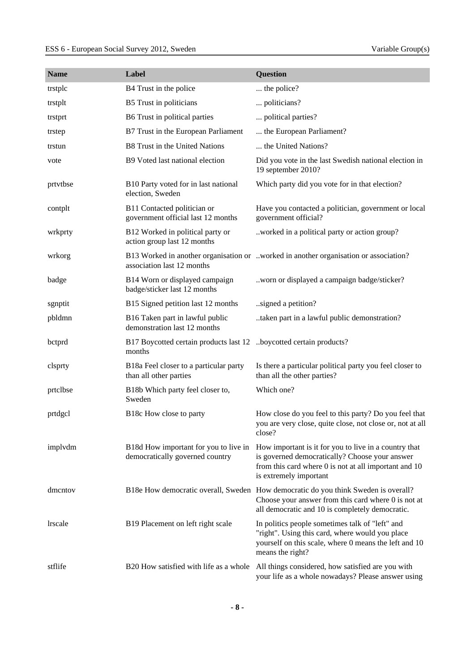| <b>Name</b>    | Label                                                                        | Question                                                                                                                                                                                     |
|----------------|------------------------------------------------------------------------------|----------------------------------------------------------------------------------------------------------------------------------------------------------------------------------------------|
| trstplc        | B4 Trust in the police                                                       | the police?                                                                                                                                                                                  |
| trstplt        | B5 Trust in politicians                                                      | politicians?                                                                                                                                                                                 |
| trstprt        | B6 Trust in political parties                                                | political parties?                                                                                                                                                                           |
| trstep         | B7 Trust in the European Parliament                                          | the European Parliament?                                                                                                                                                                     |
| trstun         | B8 Trust in the United Nations                                               | the United Nations?                                                                                                                                                                          |
| vote           | B9 Voted last national election                                              | Did you vote in the last Swedish national election in<br>19 september 2010?                                                                                                                  |
| prtvtbse       | B10 Party voted for in last national<br>election, Sweden                     | Which party did you vote for in that election?                                                                                                                                               |
| contplt        | B11 Contacted politician or<br>government official last 12 months            | Have you contacted a politician, government or local<br>government official?                                                                                                                 |
| wrkprty        | B12 Worked in political party or<br>action group last 12 months              | worked in a political party or action group?                                                                                                                                                 |
| wrkorg         | association last 12 months                                                   | B13 Worked in another organisation or worked in another organisation or association?                                                                                                         |
| badge          | B14 Worn or displayed campaign<br>badge/sticker last 12 months               | worn or displayed a campaign badge/sticker?                                                                                                                                                  |
| sgnptit        | B15 Signed petition last 12 months                                           | signed a petition?                                                                                                                                                                           |
| pbldmn         | B16 Taken part in lawful public<br>demonstration last 12 months              | taken part in a lawful public demonstration?                                                                                                                                                 |
| bctprd         | B17 Boycotted certain products last 12 boycotted certain products?<br>months |                                                                                                                                                                                              |
| clsprty        | B18a Feel closer to a particular party<br>than all other parties             | Is there a particular political party you feel closer to<br>than all the other parties?                                                                                                      |
| prtclbse       | B18b Which party feel closer to,<br>Sweden                                   | Which one?                                                                                                                                                                                   |
| prtdgcl        | B18c How close to party                                                      | How close do you feel to this party? Do you feel that<br>you are very close, quite close, not close or, not at all<br>close?                                                                 |
| implydm        | B18d How important for you to live in<br>democratically governed country     | How important is it for you to live in a country that<br>is governed democratically? Choose your answer<br>from this card where 0 is not at all important and 10<br>is extremely important   |
| dmentov        |                                                                              | B18e How democratic overall, Sweden How democratic do you think Sweden is overall?<br>Choose your answer from this card where 0 is not at<br>all democratic and 10 is completely democratic. |
| <b>lrscale</b> | B19 Placement on left right scale                                            | In politics people sometimes talk of "left" and<br>"right". Using this card, where would you place<br>yourself on this scale, where 0 means the left and 10<br>means the right?              |
| stflife        | B20 How satisfied with life as a whole                                       | All things considered, how satisfied are you with<br>your life as a whole nowadays? Please answer using                                                                                      |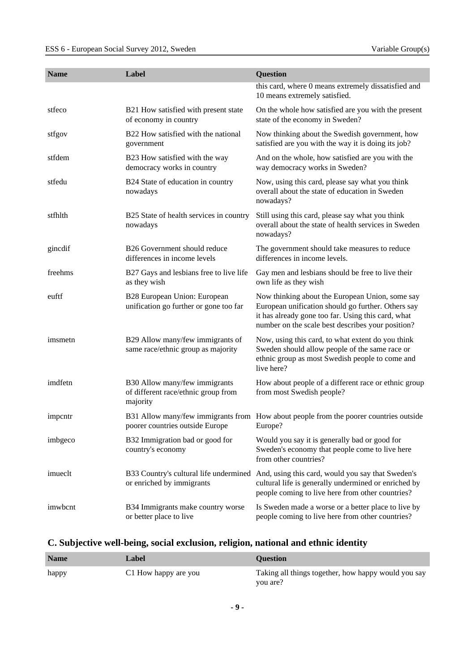| <b>Name</b> | Label                                                                            | Question                                                                                                                                                                                                         |
|-------------|----------------------------------------------------------------------------------|------------------------------------------------------------------------------------------------------------------------------------------------------------------------------------------------------------------|
|             |                                                                                  | this card, where 0 means extremely dissatisfied and<br>10 means extremely satisfied.                                                                                                                             |
| stfeco      | B21 How satisfied with present state<br>of economy in country                    | On the whole how satisfied are you with the present<br>state of the economy in Sweden?                                                                                                                           |
| stfgov      | B22 How satisfied with the national<br>government                                | Now thinking about the Swedish government, how<br>satisfied are you with the way it is doing its job?                                                                                                            |
| stfdem      | B23 How satisfied with the way<br>democracy works in country                     | And on the whole, how satisfied are you with the<br>way democracy works in Sweden?                                                                                                                               |
| stfedu      | B24 State of education in country<br>nowadays                                    | Now, using this card, please say what you think<br>overall about the state of education in Sweden<br>nowadays?                                                                                                   |
| stfhlth     | B25 State of health services in country<br>nowadays                              | Still using this card, please say what you think<br>overall about the state of health services in Sweden<br>nowadays?                                                                                            |
| gincdif     | B26 Government should reduce<br>differences in income levels                     | The government should take measures to reduce<br>differences in income levels.                                                                                                                                   |
| freehms     | B27 Gays and lesbians free to live life<br>as they wish                          | Gay men and lesbians should be free to live their<br>own life as they wish                                                                                                                                       |
| euftf       | B28 European Union: European<br>unification go further or gone too far           | Now thinking about the European Union, some say<br>European unification should go further. Others say<br>it has already gone too far. Using this card, what<br>number on the scale best describes your position? |
| imsmetn     | B29 Allow many/few immigrants of<br>same race/ethnic group as majority           | Now, using this card, to what extent do you think<br>Sweden should allow people of the same race or<br>ethnic group as most Swedish people to come and<br>live here?                                             |
| imdfetn     | B30 Allow many/few immigrants<br>of different race/ethnic group from<br>majority | How about people of a different race or ethnic group<br>from most Swedish people?                                                                                                                                |
| impentr     | poorer countries outside Europe                                                  | B31 Allow many/few immigrants from How about people from the poorer countries outside<br>Europe?                                                                                                                 |
| imbgeco     | B32 Immigration bad or good for<br>country's economy                             | Would you say it is generally bad or good for<br>Sweden's economy that people come to live here<br>from other countries?                                                                                         |
| imueclt     | B33 Country's cultural life undermined<br>or enriched by immigrants              | And, using this card, would you say that Sweden's<br>cultural life is generally undermined or enriched by<br>people coming to live here from other countries?                                                    |
| imwbcnt     | B34 Immigrants make country worse<br>or better place to live                     | Is Sweden made a worse or a better place to live by<br>people coming to live here from other countries?                                                                                                          |

## <span id="page-8-0"></span>**C. Subjective well-being, social exclusion, religion, national and ethnic identity**

| <b>Name</b> | Label                | <b>Ouestion</b>                                                 |
|-------------|----------------------|-----------------------------------------------------------------|
| happy       | C1 How happy are you | Taking all things together, how happy would you say<br>vou are? |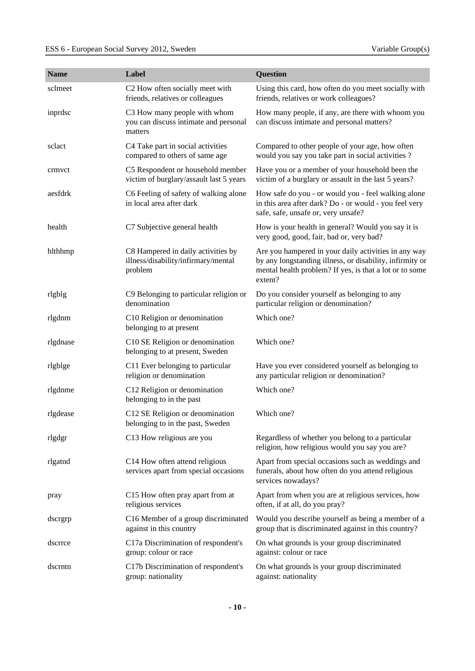| <b>Name</b> | Label                                                                                | <b>Question</b>                                                                                                                                                                        |
|-------------|--------------------------------------------------------------------------------------|----------------------------------------------------------------------------------------------------------------------------------------------------------------------------------------|
| sclmeet     | C2 How often socially meet with<br>friends, relatives or colleagues                  | Using this card, how often do you meet socially with<br>friends, relatives or work colleagues?                                                                                         |
| inprdsc     | C3 How many people with whom<br>you can discuss intimate and personal<br>matters     | How many people, if any, are there with whoom you<br>can discuss intimate and personal matters?                                                                                        |
| sclact      | C4 Take part in social activities<br>compared to others of same age                  | Compared to other people of your age, how often<br>would you say you take part in social activities?                                                                                   |
| crmvct      | C5 Respondent or household member<br>victim of burglary/assault last 5 years         | Have you or a member of your household been the<br>victim of a burglary or assault in the last 5 years?                                                                                |
| aesfdrk     | C6 Feeling of safety of walking alone<br>in local area after dark                    | How safe do you - or would you - feel walking alone<br>in this area after dark? Do - or would - you feel very<br>safe, safe, unsafe or, very unsafe?                                   |
| health      | C7 Subjective general health                                                         | How is your health in general? Would you say it is<br>very good, good, fair, bad or, very bad?                                                                                         |
| hlthhmp     | C8 Hampered in daily activities by<br>illness/disability/infirmary/mental<br>problem | Are you hampered in your daily activities in any way<br>by any longstanding illness, or disability, infirmity or<br>mental health problem? If yes, is that a lot or to some<br>extent? |
| rlgblg      | C9 Belonging to particular religion or<br>denomination                               | Do you consider yourself as belonging to any<br>particular religion or denomination?                                                                                                   |
| rlgdnm      | C10 Religion or denomination<br>belonging to at present                              | Which one?                                                                                                                                                                             |
| rlgdnase    | C10 SE Religion or denomination<br>belonging to at present, Sweden                   | Which one?                                                                                                                                                                             |
| rlgblge     | C11 Ever belonging to particular<br>religion or denomination                         | Have you ever considered yourself as belonging to<br>any particular religion or denomination?                                                                                          |
| rlgdnme     | C12 Religion or denomination<br>belonging to in the past                             | Which one?                                                                                                                                                                             |
| rlgdease    | C12 SE Religion or denomination<br>belonging to in the past, Sweden                  | Which one?                                                                                                                                                                             |
| rlgdgr      | C13 How religious are you                                                            | Regardless of whether you belong to a particular<br>religion, how religious would you say you are?                                                                                     |
| rlgatnd     | C14 How often attend religious<br>services apart from special occasions              | Apart from special occasions such as weddings and<br>funerals, about how often do you attend religious<br>services nowadays?                                                           |
| pray        | C15 How often pray apart from at<br>religious services                               | Apart from when you are at religious services, how<br>often, if at all, do you pray?                                                                                                   |
| dscrgrp     | C16 Member of a group discriminated<br>against in this country                       | Would you describe yourself as being a member of a<br>group that is discriminated against in this country?                                                                             |
| dscrrce     | C17a Discrimination of respondent's<br>group: colour or race                         | On what grounds is your group discriminated<br>against: colour or race                                                                                                                 |
| dscrntn     | C17b Discrimination of respondent's<br>group: nationality                            | On what grounds is your group discriminated<br>against: nationality                                                                                                                    |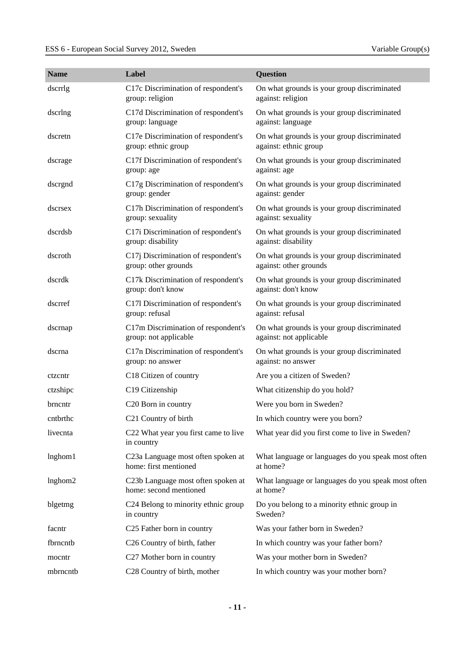| <b>Name</b> | Label                                                        | <b>Question</b>                                                        |
|-------------|--------------------------------------------------------------|------------------------------------------------------------------------|
| dscrrlg     | C17c Discrimination of respondent's<br>group: religion       | On what grounds is your group discriminated<br>against: religion       |
| dscrlng     | C17d Discrimination of respondent's<br>group: language       | On what grounds is your group discriminated<br>against: language       |
| dscretn     | C17e Discrimination of respondent's<br>group: ethnic group   | On what grounds is your group discriminated<br>against: ethnic group   |
| dscrage     | C17f Discrimination of respondent's<br>group: age            | On what grounds is your group discriminated<br>against: age            |
| dscrgnd     | C17g Discrimination of respondent's<br>group: gender         | On what grounds is your group discriminated<br>against: gender         |
| dscrsex     | C17h Discrimination of respondent's<br>group: sexuality      | On what grounds is your group discriminated<br>against: sexuality      |
| dscrdsb     | C17i Discrimination of respondent's<br>group: disability     | On what grounds is your group discriminated<br>against: disability     |
| dscroth     | C17j Discrimination of respondent's<br>group: other grounds  | On what grounds is your group discriminated<br>against: other grounds  |
| dscrdk      | C17k Discrimination of respondent's<br>group: don't know     | On what grounds is your group discriminated<br>against: don't know     |
| dscrref     | C171 Discrimination of respondent's<br>group: refusal        | On what grounds is your group discriminated<br>against: refusal        |
| dscrnap     | C17m Discrimination of respondent's<br>group: not applicable | On what grounds is your group discriminated<br>against: not applicable |
| dscrna      | C17n Discrimination of respondent's<br>group: no answer      | On what grounds is your group discriminated<br>against: no answer      |
| ctzcntr     | C18 Citizen of country                                       | Are you a citizen of Sweden?                                           |
| ctzshipc    | C19 Citizenship                                              | What citizenship do you hold?                                          |
| brncntr     | C <sub>20</sub> Born in country                              | Were you born in Sweden?                                               |
| cntbrthc    | C <sub>21</sub> Country of birth                             | In which country were you born?                                        |
| livecnta    | C22 What year you first came to live<br>in country           | What year did you first come to live in Sweden?                        |
| lnghom1     | C23a Language most often spoken at<br>home: first mentioned  | What language or languages do you speak most often<br>at home?         |
| lnghom2     | C23b Language most often spoken at<br>home: second mentioned | What language or languages do you speak most often<br>at home?         |
| blgetmg     | C24 Belong to minority ethnic group<br>in country            | Do you belong to a minority ethnic group in<br>Sweden?                 |
| facntr      | C25 Father born in country                                   | Was your father born in Sweden?                                        |
| fbrncntb    | C26 Country of birth, father                                 | In which country was your father born?                                 |
| mocntr      | C27 Mother born in country                                   | Was your mother born in Sweden?                                        |
| mbrncntb    | C28 Country of birth, mother                                 | In which country was your mother born?                                 |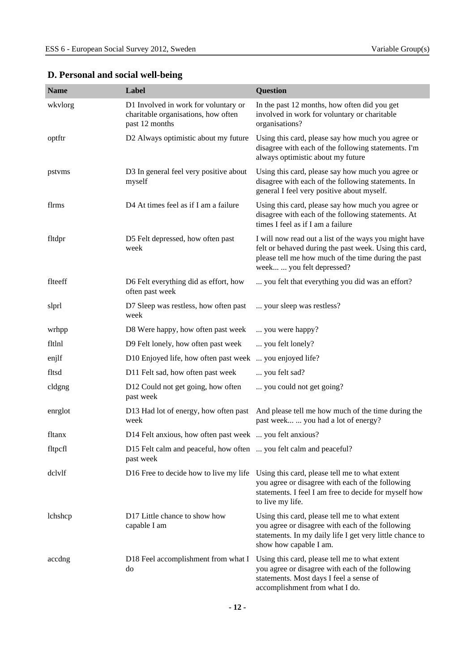| <b>Name</b> | Label                                                                                         | Question                                                                                                                                                                                            |
|-------------|-----------------------------------------------------------------------------------------------|-----------------------------------------------------------------------------------------------------------------------------------------------------------------------------------------------------|
| wkvlorg     | D1 Involved in work for voluntary or<br>charitable organisations, how often<br>past 12 months | In the past 12 months, how often did you get<br>involved in work for voluntary or charitable<br>organisations?                                                                                      |
| optftr      | D2 Always optimistic about my future                                                          | Using this card, please say how much you agree or<br>disagree with each of the following statements. I'm<br>always optimistic about my future                                                       |
| pstvms      | D3 In general feel very positive about<br>myself                                              | Using this card, please say how much you agree or<br>disagree with each of the following statements. In<br>general I feel very positive about myself.                                               |
| flrms       | D4 At times feel as if I am a failure                                                         | Using this card, please say how much you agree or<br>disagree with each of the following statements. At<br>times I feel as if I am a failure                                                        |
| fltdpr      | D5 Felt depressed, how often past<br>week                                                     | I will now read out a list of the ways you might have<br>felt or behaved during the past week. Using this card,<br>please tell me how much of the time during the past<br>week  you felt depressed? |
| flteeff     | D6 Felt everything did as effort, how<br>often past week                                      | you felt that everything you did was an effort?                                                                                                                                                     |
| slprl       | D7 Sleep was restless, how often past<br>week                                                 | your sleep was restless?                                                                                                                                                                            |
| wrhpp       | D8 Were happy, how often past week                                                            | you were happy?                                                                                                                                                                                     |
| fltlnl      | D9 Felt lonely, how often past week                                                           | you felt lonely?                                                                                                                                                                                    |
| enjlf       | D10 Enjoyed life, how often past week  you enjoyed life?                                      |                                                                                                                                                                                                     |
| fltsd       | D11 Felt sad, how often past week                                                             | you felt sad?                                                                                                                                                                                       |
| cldgng      | D12 Could not get going, how often<br>past week                                               | you could not get going?                                                                                                                                                                            |
| enrglot     | D13 Had lot of energy, how often past<br>week                                                 | And please tell me how much of the time during the<br>past week  you had a lot of energy?                                                                                                           |
| fltanx      | D14 Felt anxious, how often past week  you felt anxious?                                      |                                                                                                                                                                                                     |
| fltpcfl     | D15 Felt calm and peaceful, how often  you felt calm and peaceful?<br>past week               |                                                                                                                                                                                                     |
| dclylf      | D16 Free to decide how to live my life                                                        | Using this card, please tell me to what extent<br>you agree or disagree with each of the following<br>statements. I feel I am free to decide for myself how<br>to live my life.                     |
| lchshcp     | D <sub>17</sub> Little chance to show how<br>capable I am                                     | Using this card, please tell me to what extent<br>you agree or disagree with each of the following<br>statements. In my daily life I get very little chance to<br>show how capable I am.            |
| accdng      | D18 Feel accomplishment from what I<br>do                                                     | Using this card, please tell me to what extent<br>you agree or disagree with each of the following<br>statements. Most days I feel a sense of<br>accomplishment from what I do.                     |

## <span id="page-11-0"></span>**D. Personal and social well-being**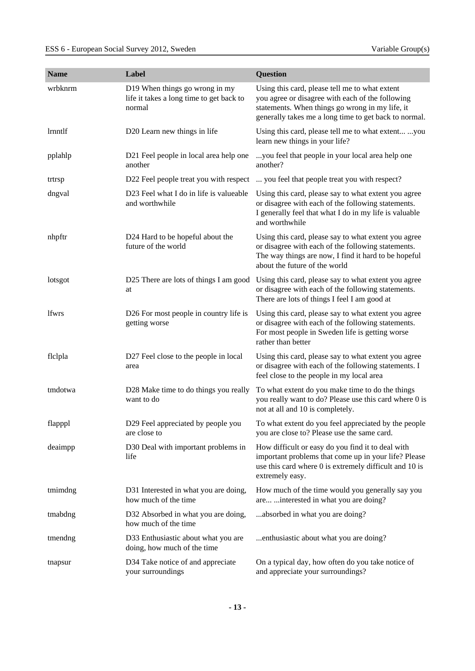| <b>Name</b> | Label                                                                                | <b>Question</b>                                                                                                                                                                                                |
|-------------|--------------------------------------------------------------------------------------|----------------------------------------------------------------------------------------------------------------------------------------------------------------------------------------------------------------|
| wrbknrm     | D19 When things go wrong in my<br>life it takes a long time to get back to<br>normal | Using this card, please tell me to what extent<br>you agree or disagree with each of the following<br>statements. When things go wrong in my life, it<br>generally takes me a long time to get back to normal. |
| lrnntlf     | D20 Learn new things in life                                                         | Using this card, please tell me to what extent you<br>learn new things in your life?                                                                                                                           |
| pplahlp     | D21 Feel people in local area help one<br>another                                    | you feel that people in your local area help one<br>another?                                                                                                                                                   |
| trtrsp      | D22 Feel people treat you with respect                                               | you feel that people treat you with respect?                                                                                                                                                                   |
| dngval      | D23 Feel what I do in life is valueable<br>and worthwhile                            | Using this card, please say to what extent you agree<br>or disagree with each of the following statements.<br>I generally feel that what I do in my life is valuable<br>and worthwhile                         |
| nhpftr      | D24 Hard to be hopeful about the<br>future of the world                              | Using this card, please say to what extent you agree<br>or disagree with each of the following statements.<br>The way things are now, I find it hard to be hopeful<br>about the future of the world            |
| lotsgot     | D25 There are lots of things I am good<br>at                                         | Using this card, please say to what extent you agree<br>or disagree with each of the following statements.<br>There are lots of things I feel I am good at                                                     |
| lfwrs       | D26 For most people in country life is<br>getting worse                              | Using this card, please say to what extent you agree<br>or disagree with each of the following statements.<br>For most people in Sweden life is getting worse<br>rather than better                            |
| flclpla     | D27 Feel close to the people in local<br>area                                        | Using this card, please say to what extent you agree<br>or disagree with each of the following statements. I<br>feel close to the people in my local area                                                      |
| tmdotwa     | D28 Make time to do things you really<br>want to do                                  | To what extent do you make time to do the things<br>you really want to do? Please use this card where 0 is<br>not at all and 10 is completely.                                                                 |
| flapppl     | D29 Feel appreciated by people you<br>are close to                                   | To what extent do you feel appreciated by the people<br>you are close to? Please use the same card.                                                                                                            |
| deaimpp     | D30 Deal with important problems in<br>life                                          | How difficult or easy do you find it to deal with<br>important problems that come up in your life? Please<br>use this card where 0 is extremely difficult and 10 is<br>extremely easy.                         |
| tmimdng     | D31 Interested in what you are doing,<br>how much of the time                        | How much of the time would you generally say you<br>are  interested in what you are doing?                                                                                                                     |
| tmabdng     | D32 Absorbed in what you are doing,<br>how much of the time                          | absorbed in what you are doing?                                                                                                                                                                                |
| tmendng     | D33 Enthusiastic about what you are<br>doing, how much of the time                   | enthusiastic about what you are doing?                                                                                                                                                                         |
| tnapsur     | D34 Take notice of and appreciate<br>your surroundings                               | On a typical day, how often do you take notice of<br>and appreciate your surroundings?                                                                                                                         |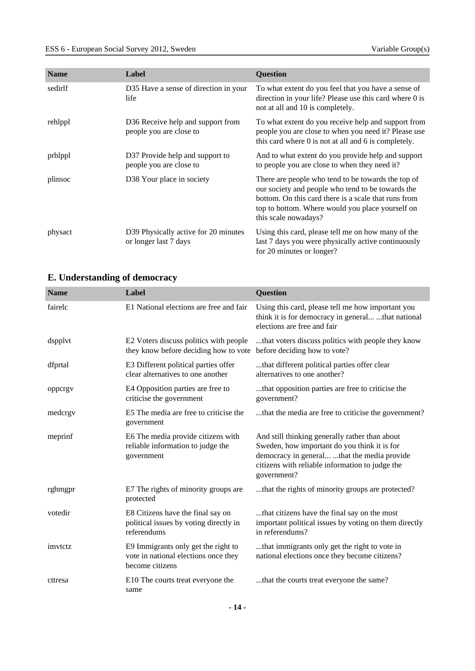| <b>Name</b> | Label                                                         | <b>Question</b>                                                                                                                                                                                                                             |
|-------------|---------------------------------------------------------------|---------------------------------------------------------------------------------------------------------------------------------------------------------------------------------------------------------------------------------------------|
| sedirlf     | D35 Have a sense of direction in your<br>life                 | To what extent do you feel that you have a sense of<br>direction in your life? Please use this card where 0 is<br>not at all and 10 is completely.                                                                                          |
| rehlppl     | D36 Receive help and support from<br>people you are close to  | To what extent do you receive help and support from<br>people you are close to when you need it? Please use<br>this card where 0 is not at all and 6 is completely.                                                                         |
| prhlppl     | D37 Provide help and support to<br>people you are close to    | And to what extent do you provide help and support<br>to people you are close to when they need it?                                                                                                                                         |
| plinsoc     | D38 Your place in society                                     | There are people who tend to be towards the top of<br>our society and people who tend to be towards the<br>bottom. On this card there is a scale that runs from<br>top to bottom. Where would you place yourself on<br>this scale nowadays? |
| physact     | D39 Physically active for 20 minutes<br>or longer last 7 days | Using this card, please tell me on how many of the<br>last 7 days you were physically active continuously<br>for 20 minutes or longer?                                                                                                      |

## <span id="page-13-0"></span>**E. Understanding of democracy**

| <b>Name</b> | Label                                                                                          | <b>Question</b>                                                                                                                                                                                                 |
|-------------|------------------------------------------------------------------------------------------------|-----------------------------------------------------------------------------------------------------------------------------------------------------------------------------------------------------------------|
| fairelc     | E1 National elections are free and fair                                                        | Using this card, please tell me how important you<br>think it is for democracy in general that national<br>elections are free and fair                                                                          |
| dspplvt     | E2 Voters discuss politics with people<br>they know before deciding how to vote                | that voters discuss politics with people they know<br>before deciding how to vote?                                                                                                                              |
| dfprtal     | E3 Different political parties offer<br>clear alternatives to one another                      | that different political parties offer clear<br>alternatives to one another?                                                                                                                                    |
| oppcrgv     | E4 Opposition parties are free to<br>criticise the government                                  | that opposition parties are free to criticise the<br>government?                                                                                                                                                |
| medcrgy     | E5 The media are free to criticise the<br>government                                           | that the media are free to criticise the government?                                                                                                                                                            |
| meprinf     | E6 The media provide citizens with<br>reliable information to judge the<br>government          | And still thinking generally rather than about<br>Sweden, how important do you think it is for<br>democracy in general that the media provide<br>citizens with reliable information to judge the<br>government? |
| rghmgpr     | E7 The rights of minority groups are<br>protected                                              | that the rights of minority groups are protected?                                                                                                                                                               |
| votedir     | E8 Citizens have the final say on<br>political issues by voting directly in<br>referendums     | that citizens have the final say on the most<br>important political issues by voting on them directly<br>in referendums?                                                                                        |
| imvtctz     | E9 Immigrants only get the right to<br>vote in national elections once they<br>become citizens | that immigrants only get the right to vote in<br>national elections once they become citizens?                                                                                                                  |
| cttresa     | E10 The courts treat everyone the<br>same                                                      | that the courts treat everyone the same?                                                                                                                                                                        |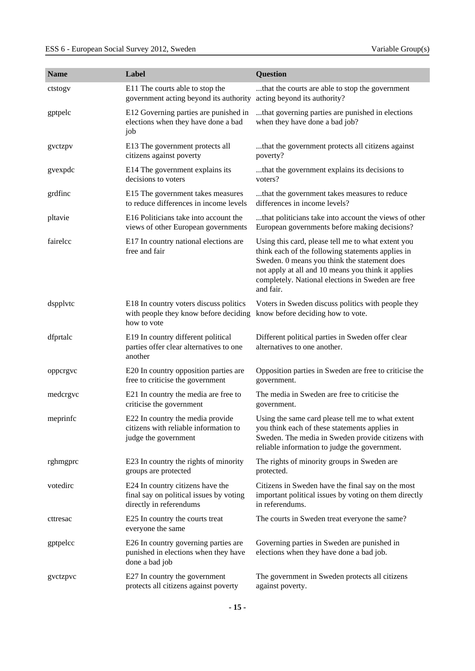| <b>Name</b> | Label                                                                                                  | Question                                                                                                                                                                                                                                                                        |
|-------------|--------------------------------------------------------------------------------------------------------|---------------------------------------------------------------------------------------------------------------------------------------------------------------------------------------------------------------------------------------------------------------------------------|
| ctstogv     | E11 The courts able to stop the<br>government acting beyond its authority                              | that the courts are able to stop the government<br>acting beyond its authority?                                                                                                                                                                                                 |
| gptpelc     | E12 Governing parties are punished in<br>elections when they have done a bad<br>job                    | that governing parties are punished in elections<br>when they have done a bad job?                                                                                                                                                                                              |
| gyctzpy     | E13 The government protects all<br>citizens against poverty                                            | that the government protects all citizens against<br>poverty?                                                                                                                                                                                                                   |
| gvexpdc     | E14 The government explains its<br>decisions to voters                                                 | that the government explains its decisions to<br>voters?                                                                                                                                                                                                                        |
| grdfinc     | E15 The government takes measures<br>to reduce differences in income levels                            | that the government takes measures to reduce<br>differences in income levels?                                                                                                                                                                                                   |
| pltavie     | E16 Politicians take into account the<br>views of other European governments                           | that politicians take into account the views of other<br>European governments before making decisions?                                                                                                                                                                          |
| fairelcc    | E17 In country national elections are<br>free and fair                                                 | Using this card, please tell me to what extent you<br>think each of the following statements applies in<br>Sweden. 0 means you think the statement does<br>not apply at all and 10 means you think it applies<br>completely. National elections in Sweden are free<br>and fair. |
| dspplvtc    | E18 In country voters discuss politics<br>with people they know before deciding<br>how to vote         | Voters in Sweden discuss politics with people they<br>know before deciding how to vote.                                                                                                                                                                                         |
| dfprtalc    | E19 In country different political<br>parties offer clear alternatives to one<br>another               | Different political parties in Sweden offer clear<br>alternatives to one another.                                                                                                                                                                                               |
| oppcrgvc    | E20 In country opposition parties are<br>free to criticise the government                              | Opposition parties in Sweden are free to criticise the<br>government.                                                                                                                                                                                                           |
| medcrgvc    | E21 In country the media are free to<br>criticise the government                                       | The media in Sweden are free to criticise the<br>government.                                                                                                                                                                                                                    |
| meprinfc    | E22 In country the media provide<br>citizens with reliable information to<br>judge the government      | Using the same card please tell me to what extent<br>you think each of these statements applies in<br>Sweden. The media in Sweden provide citizens with<br>reliable information to judge the government.                                                                        |
| rghmgprc    | E23 In country the rights of minority<br>groups are protected                                          | The rights of minority groups in Sweden are<br>protected.                                                                                                                                                                                                                       |
| votedirc    | E24 In country citizens have the<br>final say on political issues by voting<br>directly in referendums | Citizens in Sweden have the final say on the most<br>important political issues by voting on them directly<br>in referendums.                                                                                                                                                   |
| cttresac    | E25 In country the courts treat<br>everyone the same                                                   | The courts in Sweden treat everyone the same?                                                                                                                                                                                                                                   |
| gptpelcc    | E26 In country governing parties are<br>punished in elections when they have<br>done a bad job         | Governing parties in Sweden are punished in<br>elections when they have done a bad job.                                                                                                                                                                                         |
| gvctzpvc    | E27 In country the government<br>protects all citizens against poverty                                 | The government in Sweden protects all citizens<br>against poverty.                                                                                                                                                                                                              |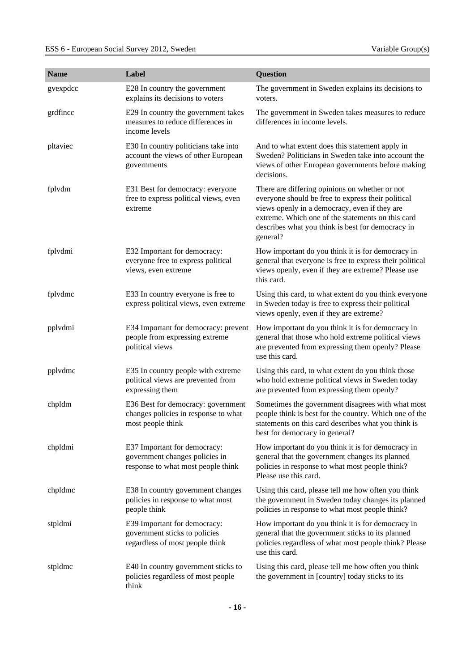| <b>Name</b> | Label                                                                                                | <b>Question</b>                                                                                                                                                                                                                                                             |
|-------------|------------------------------------------------------------------------------------------------------|-----------------------------------------------------------------------------------------------------------------------------------------------------------------------------------------------------------------------------------------------------------------------------|
| gvexpdcc    | E28 In country the government<br>explains its decisions to voters                                    | The government in Sweden explains its decisions to<br>voters.                                                                                                                                                                                                               |
| grdfincc    | E29 In country the government takes<br>measures to reduce differences in<br>income levels            | The government in Sweden takes measures to reduce<br>differences in income levels.                                                                                                                                                                                          |
| pltaviec    | E30 In country politicians take into<br>account the views of other European<br>governments           | And to what extent does this statement apply in<br>Sweden? Politicians in Sweden take into account the<br>views of other European governments before making<br>decisions.                                                                                                   |
| fplvdm      | E31 Best for democracy: everyone<br>free to express political views, even<br>extreme                 | There are differing opinions on whether or not<br>everyone should be free to express their political<br>views openly in a democracy, even if they are<br>extreme. Which one of the statements on this card<br>describes what you think is best for democracy in<br>general? |
| fplvdmi     | E32 Important for democracy:<br>everyone free to express political<br>views, even extreme            | How important do you think it is for democracy in<br>general that everyone is free to express their political<br>views openly, even if they are extreme? Please use<br>this card.                                                                                           |
| fplvdmc     | E33 In country everyone is free to<br>express political views, even extreme                          | Using this card, to what extent do you think everyone<br>in Sweden today is free to express their political<br>views openly, even if they are extreme?                                                                                                                      |
| pplvdmi     | E34 Important for democracy: prevent<br>people from expressing extreme<br>political views            | How important do you think it is for democracy in<br>general that those who hold extreme political views<br>are prevented from expressing them openly? Please<br>use this card.                                                                                             |
| pplvdmc     | E35 In country people with extreme<br>political views are prevented from<br>expressing them          | Using this card, to what extent do you think those<br>who hold extreme political views in Sweden today<br>are prevented from expressing them openly?                                                                                                                        |
| chpldm      | E36 Best for democracy: government<br>changes policies in response to what<br>most people think      | Sometimes the government disagrees with what most<br>people think is best for the country. Which one of the<br>statements on this card describes what you think is<br>best for democracy in general?                                                                        |
| chpldmi     | E37 Important for democracy:<br>government changes policies in<br>response to what most people think | How important do you think it is for democracy in<br>general that the government changes its planned<br>policies in response to what most people think?<br>Please use this card.                                                                                            |
| chpldmc     | E38 In country government changes<br>policies in response to what most<br>people think               | Using this card, please tell me how often you think<br>the government in Sweden today changes its planned<br>policies in response to what most people think?                                                                                                                |
| stpldmi     | E39 Important for democracy:<br>government sticks to policies<br>regardless of most people think     | How important do you think it is for democracy in<br>general that the government sticks to its planned<br>policies regardless of what most people think? Please<br>use this card.                                                                                           |
| stpldmc     | E40 In country government sticks to<br>policies regardless of most people<br>think                   | Using this card, please tell me how often you think<br>the government in [country] today sticks to its                                                                                                                                                                      |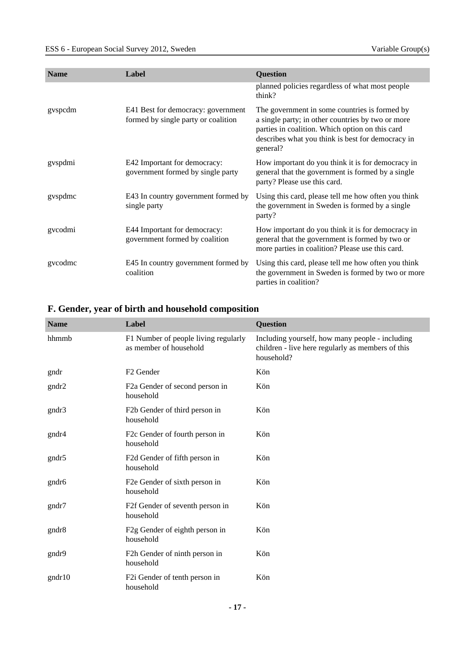| <b>Name</b> | Label                                                                     | <b>Question</b>                                                                                                                                                                                                        |
|-------------|---------------------------------------------------------------------------|------------------------------------------------------------------------------------------------------------------------------------------------------------------------------------------------------------------------|
|             |                                                                           | planned policies regardless of what most people<br>think?                                                                                                                                                              |
| gvspcdm     | E41 Best for democracy: government<br>formed by single party or coalition | The government in some countries is formed by<br>a single party; in other countries by two or more<br>parties in coalition. Which option on this card<br>describes what you think is best for democracy in<br>general? |
| gvspdmi     | E42 Important for democracy:<br>government formed by single party         | How important do you think it is for democracy in<br>general that the government is formed by a single<br>party? Please use this card.                                                                                 |
| gvspdmc     | E43 In country government formed by<br>single party                       | Using this card, please tell me how often you think<br>the government in Sweden is formed by a single<br>party?                                                                                                        |
| gvcodmi     | E44 Important for democracy:<br>government formed by coalition            | How important do you think it is for democracy in<br>general that the government is formed by two or<br>more parties in coalition? Please use this card.                                                               |
| gycodmc     | E45 In country government formed by<br>coalition                          | Using this card, please tell me how often you think<br>the government in Sweden is formed by two or more<br>parties in coalition?                                                                                      |

# <span id="page-16-0"></span>**F. Gender, year of birth and household composition**

| <b>Name</b>       | Label                                                          | <b>Question</b>                                                                                                    |
|-------------------|----------------------------------------------------------------|--------------------------------------------------------------------------------------------------------------------|
| hhmmb             | F1 Number of people living regularly<br>as member of household | Including yourself, how many people - including<br>children - live here regularly as members of this<br>household? |
| gndr              | F <sub>2</sub> Gender                                          | Kön                                                                                                                |
| gndr2             | F2a Gender of second person in<br>household                    | Kön                                                                                                                |
| gndr3             | F2b Gender of third person in<br>household                     | Kön                                                                                                                |
| gndr4             | F2c Gender of fourth person in<br>household                    | Kön                                                                                                                |
| gndr5             | F2d Gender of fifth person in<br>household                     | Kön                                                                                                                |
| gndr <sub>6</sub> | F2e Gender of sixth person in<br>household                     | Kön                                                                                                                |
| gndr7             | F2f Gender of seventh person in<br>household                   | Kön                                                                                                                |
| gndr <sup>8</sup> | F2g Gender of eighth person in<br>household                    | Kön                                                                                                                |
| gndr9             | F2h Gender of ninth person in<br>household                     | Kön                                                                                                                |
| gndr10            | F2i Gender of tenth person in<br>household                     | Kön                                                                                                                |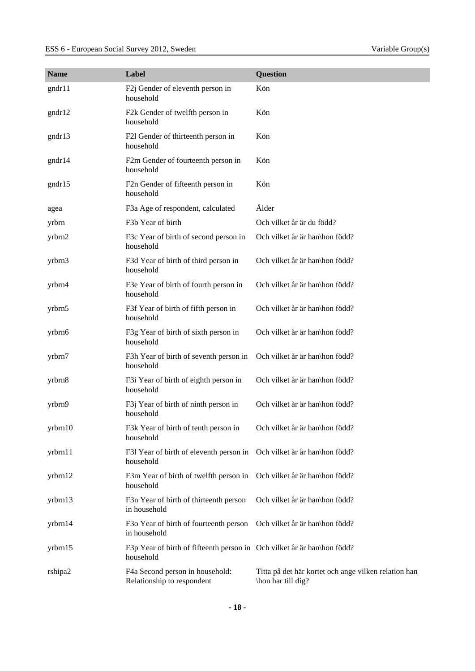| <b>Name</b> | Label                                                                                | <b>Question</b>                                                            |
|-------------|--------------------------------------------------------------------------------------|----------------------------------------------------------------------------|
| gndr11      | F2j Gender of eleventh person in<br>household                                        | Kön                                                                        |
| gndr12      | F2k Gender of twelfth person in<br>household                                         | Kön                                                                        |
| gndr13      | F2l Gender of thirteenth person in<br>household                                      | Kön                                                                        |
| gndr14      | F2m Gender of fourteenth person in<br>household                                      | Kön                                                                        |
| gndr15      | F2n Gender of fifteenth person in<br>household                                       | Kön                                                                        |
| agea        | F3a Age of respondent, calculated                                                    | Ålder                                                                      |
| yrbrn       | F3b Year of birth                                                                    | Och vilket år är du född?                                                  |
| yrbrn2      | F3c Year of birth of second person in<br>household                                   | Och vilket år är han\hon född?                                             |
| yrbrn3      | F3d Year of birth of third person in<br>household                                    | Och vilket år är han\hon född?                                             |
| yrbrn4      | F3e Year of birth of fourth person in<br>household                                   | Och vilket år är han\hon född?                                             |
| yrbrn5      | F3f Year of birth of fifth person in<br>household                                    | Och vilket år är han\hon född?                                             |
| yrbrn6      | F3g Year of birth of sixth person in<br>household                                    | Och vilket år är han\hon född?                                             |
| yrbrn7      | F3h Year of birth of seventh person in<br>household                                  | Och vilket år är han\hon född?                                             |
| yrbrn8      | F3i Year of birth of eighth person in<br>household                                   | Och vilket år är han\hon född?                                             |
| yrbrn9      | F3j Year of birth of ninth person in<br>household                                    | Och vilket år är han\hon född?                                             |
| yrbrn10     | F3k Year of birth of tenth person in<br>household                                    | Och vilket år är han\hon född?                                             |
| yrbrn11     | F31 Year of birth of eleventh person in Och vilket år är han\hon född?<br>household  |                                                                            |
| yrbrn12     | F3m Year of birth of twelfth person in<br>household                                  | Och vilket år är han\hon född?                                             |
| yrbrn13     | F3n Year of birth of thirteenth person<br>in household                               | Och vilket år är han\hon född?                                             |
| yrbrn14     | F3o Year of birth of fourteenth person<br>in household                               | Och vilket år är han\hon född?                                             |
| yrbrn15     | F3p Year of birth of fifteenth person in Och vilket år är han\hon född?<br>household |                                                                            |
| rshipa2     | F4a Second person in household:<br>Relationship to respondent                        | Titta på det här kortet och ange vilken relation han<br>\hon har till dig? |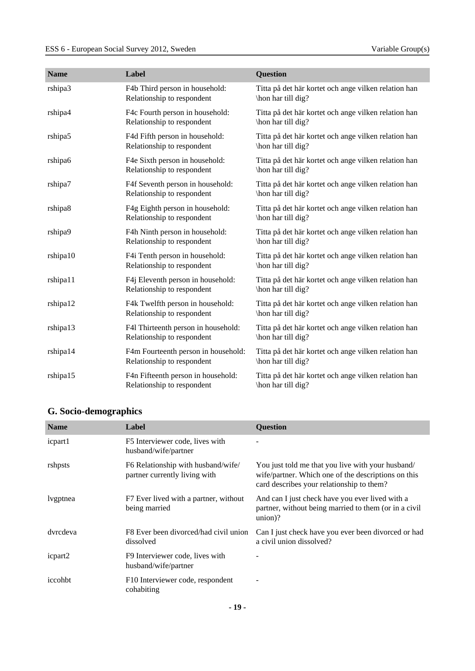| <b>Name</b> | Label                                                             | <b>Question</b>                                                            |
|-------------|-------------------------------------------------------------------|----------------------------------------------------------------------------|
| rshipa3     | F4b Third person in household:<br>Relationship to respondent      | Titta på det här kortet och ange vilken relation han<br>\hon har till dig? |
| rshipa4     | F4c Fourth person in household:<br>Relationship to respondent     | Titta på det här kortet och ange vilken relation han<br>\hon har till dig? |
| rshipa5     | F4d Fifth person in household:<br>Relationship to respondent      | Titta på det här kortet och ange vilken relation han<br>\hon har till dig? |
| rshipa6     | F4e Sixth person in household:<br>Relationship to respondent      | Titta på det här kortet och ange vilken relation han<br>\hon har till dig? |
| rshipa7     | F4f Seventh person in household:<br>Relationship to respondent    | Titta på det här kortet och ange vilken relation han<br>\hon har till dig? |
| rshipa8     | F4g Eighth person in household:<br>Relationship to respondent     | Titta på det här kortet och ange vilken relation han<br>\hon har till dig? |
| rshipa9     | F4h Ninth person in household:<br>Relationship to respondent      | Titta på det här kortet och ange vilken relation han<br>\hon har till dig? |
| rshipa10    | F4i Tenth person in household:<br>Relationship to respondent      | Titta på det här kortet och ange vilken relation han<br>\hon har till dig? |
| rshipa11    | F4j Eleventh person in household:<br>Relationship to respondent   | Titta på det här kortet och ange vilken relation han<br>\hon har till dig? |
| rshipa12    | F4k Twelfth person in household:<br>Relationship to respondent    | Titta på det här kortet och ange vilken relation han<br>\hon har till dig? |
| rshipa13    | F41 Thirteenth person in household:<br>Relationship to respondent | Titta på det här kortet och ange vilken relation han<br>\hon har till dig? |
| rshipa14    | F4m Fourteenth person in household:<br>Relationship to respondent | Titta på det här kortet och ange vilken relation han<br>\hon har till dig? |
| rshipa15    | F4n Fifteenth person in household:<br>Relationship to respondent  | Titta på det här kortet och ange vilken relation han<br>\hon har till dig? |

## <span id="page-18-0"></span>**G. Socio-demographics**

| <b>Name</b> | Label                                                               | <b>Question</b>                                                                                                                                       |
|-------------|---------------------------------------------------------------------|-------------------------------------------------------------------------------------------------------------------------------------------------------|
| icpart1     | F5 Interviewer code, lives with<br>husband/wife/partner             |                                                                                                                                                       |
| rshpsts     | F6 Relationship with husband/wife/<br>partner currently living with | You just told me that you live with your husband/<br>wife/partner. Which one of the descriptions on this<br>card describes your relationship to them? |
| lvgptnea    | F7 Ever lived with a partner, without<br>being married              | And can I just check have you ever lived with a<br>partner, without being married to them (or in a civil<br>union?                                    |
| dvrcdeva    | F8 Ever been divorced/had civil union<br>dissolved                  | Can I just check have you ever been divorced or had<br>a civil union dissolved?                                                                       |
| icpart2     | F9 Interviewer code, lives with<br>husband/wife/partner             |                                                                                                                                                       |
| iccohbt     | F10 Interviewer code, respondent<br>cohabiting                      |                                                                                                                                                       |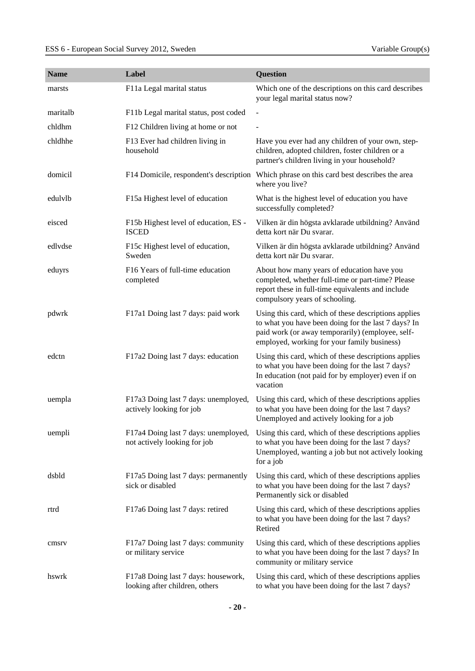| <b>Name</b> | Label                                                                 | Question                                                                                                                                                                                                       |
|-------------|-----------------------------------------------------------------------|----------------------------------------------------------------------------------------------------------------------------------------------------------------------------------------------------------------|
| marsts      | F11a Legal marital status                                             | Which one of the descriptions on this card describes<br>your legal marital status now?                                                                                                                         |
| maritalb    | F11b Legal marital status, post coded                                 | ÷,                                                                                                                                                                                                             |
| chldhm      | F12 Children living at home or not                                    |                                                                                                                                                                                                                |
| chldhhe     | F13 Ever had children living in<br>household                          | Have you ever had any children of your own, step-<br>children, adopted children, foster children or a<br>partner's children living in your household?                                                          |
| domicil     | F14 Domicile, respondent's description                                | Which phrase on this card best describes the area<br>where you live?                                                                                                                                           |
| edulvlb     | F15a Highest level of education                                       | What is the highest level of education you have<br>successfully completed?                                                                                                                                     |
| eisced      | F15b Highest level of education, ES -<br><b>ISCED</b>                 | Vilken är din högsta avklarade utbildning? Använd<br>detta kort när Du svarar.                                                                                                                                 |
| edlydse     | F15c Highest level of education,<br>Sweden                            | Vilken är din högsta avklarade utbildning? Använd<br>detta kort när Du svarar.                                                                                                                                 |
| eduyrs      | F16 Years of full-time education<br>completed                         | About how many years of education have you<br>completed, whether full-time or part-time? Please<br>report these in full-time equivalents and include<br>compulsory years of schooling.                         |
| pdwrk       | F17a1 Doing last 7 days: paid work                                    | Using this card, which of these descriptions applies<br>to what you have been doing for the last 7 days? In<br>paid work (or away temporarily) (employee, self-<br>employed, working for your family business) |
| edctn       | F17a2 Doing last 7 days: education                                    | Using this card, which of these descriptions applies<br>to what you have been doing for the last 7 days?<br>In education (not paid for by employer) even if on<br>vacation                                     |
| uempla      | F17a3 Doing last 7 days: unemployed,<br>actively looking for job      | Using this card, which of these descriptions applies<br>to what you have been doing for the last 7 days?<br>Unemployed and actively looking for a job                                                          |
| uempli      | F17a4 Doing last 7 days: unemployed,<br>not actively looking for job  | Using this card, which of these descriptions applies<br>to what you have been doing for the last 7 days?<br>Unemployed, wanting a job but not actively looking<br>for a job                                    |
| dsbld       | F17a5 Doing last 7 days: permanently<br>sick or disabled              | Using this card, which of these descriptions applies<br>to what you have been doing for the last 7 days?<br>Permanently sick or disabled                                                                       |
| rtrd        | F17a6 Doing last 7 days: retired                                      | Using this card, which of these descriptions applies<br>to what you have been doing for the last 7 days?<br>Retired                                                                                            |
| cmsrv       | F17a7 Doing last 7 days: community<br>or military service             | Using this card, which of these descriptions applies<br>to what you have been doing for the last 7 days? In<br>community or military service                                                                   |
| hswrk       | F17a8 Doing last 7 days: housework,<br>looking after children, others | Using this card, which of these descriptions applies<br>to what you have been doing for the last 7 days?                                                                                                       |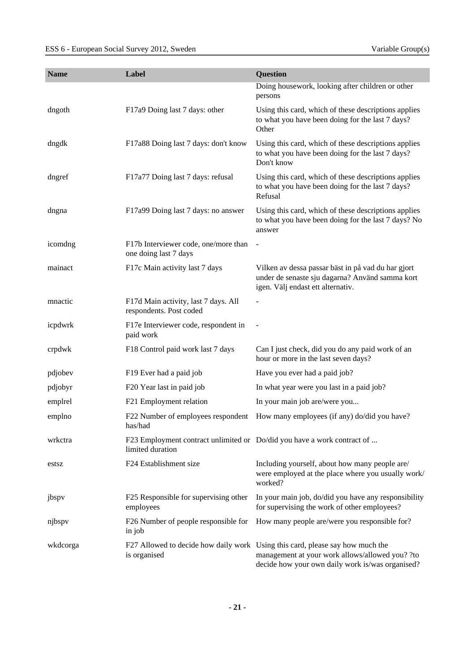| <b>Name</b> | Label                                                                                       | Question                                                                                                                                                                             |
|-------------|---------------------------------------------------------------------------------------------|--------------------------------------------------------------------------------------------------------------------------------------------------------------------------------------|
|             |                                                                                             | Doing housework, looking after children or other<br>persons                                                                                                                          |
| dngoth      | F17a9 Doing last 7 days: other                                                              | Using this card, which of these descriptions applies<br>to what you have been doing for the last 7 days?<br>Other                                                                    |
| dngdk       | F17a88 Doing last 7 days: don't know                                                        | Using this card, which of these descriptions applies<br>to what you have been doing for the last 7 days?<br>Don't know                                                               |
| dngref      | F17a77 Doing last 7 days: refusal                                                           | Using this card, which of these descriptions applies<br>to what you have been doing for the last 7 days?<br>Refusal                                                                  |
| dngna       | F17a99 Doing last 7 days: no answer                                                         | Using this card, which of these descriptions applies<br>to what you have been doing for the last 7 days? No<br>answer                                                                |
| icomdng     | F17b Interviewer code, one/more than<br>one doing last 7 days                               | $\overline{\phantom{a}}$                                                                                                                                                             |
| mainact     | F17c Main activity last 7 days                                                              | Vilken av dessa passar bäst in på vad du har gjort<br>under de senaste sju dagarna? Använd samma kort<br>igen. Välj endast ett alternativ.                                           |
| mnactic     | F17d Main activity, last 7 days. All<br>respondents. Post coded                             | -                                                                                                                                                                                    |
| icpdwrk     | F17e Interviewer code, respondent in<br>paid work                                           |                                                                                                                                                                                      |
| crpdwk      | F18 Control paid work last 7 days                                                           | Can I just check, did you do any paid work of an<br>hour or more in the last seven days?                                                                                             |
| pdjobev     | F19 Ever had a paid job                                                                     | Have you ever had a paid job?                                                                                                                                                        |
| pdjobyr     | F20 Year last in paid job                                                                   | In what year were you last in a paid job?                                                                                                                                            |
| emplrel     | F21 Employment relation                                                                     | In your main job are/were you                                                                                                                                                        |
| emplno      | F22 Number of employees respondent<br>has/had                                               | How many employees (if any) do/did you have?                                                                                                                                         |
| wrkctra     | F23 Employment contract unlimited or Do/did you have a work contract of<br>limited duration |                                                                                                                                                                                      |
| estsz       | F24 Establishment size                                                                      | Including yourself, about how many people are/<br>were employed at the place where you usually work/<br>worked?                                                                      |
| jbspv       | F25 Responsible for supervising other<br>employees                                          | In your main job, do/did you have any responsibility<br>for supervising the work of other employees?                                                                                 |
| njbspv      | F26 Number of people responsible for<br>in job                                              | How many people are/were you responsible for?                                                                                                                                        |
| wkdcorga    | is organised                                                                                | F27 Allowed to decide how daily work Using this card, please say how much the<br>management at your work allows/allowed you? ?to<br>decide how your own daily work is/was organised? |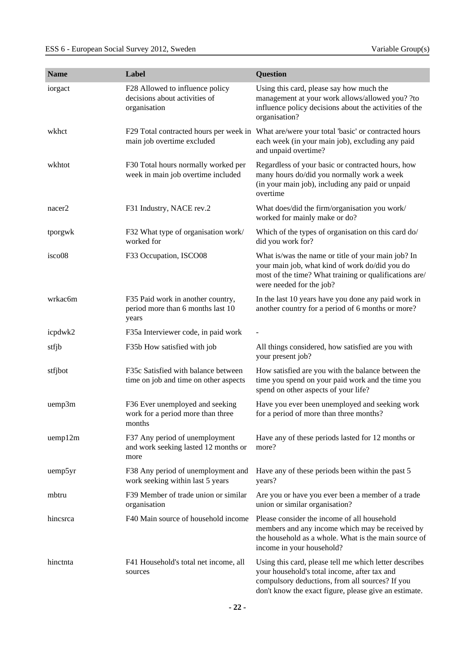| <b>Name</b>        | Label                                                                            | Question                                                                                                                                                                                   |
|--------------------|----------------------------------------------------------------------------------|--------------------------------------------------------------------------------------------------------------------------------------------------------------------------------------------|
| iorgact            | F28 Allowed to influence policy<br>decisions about activities of<br>organisation | Using this card, please say how much the<br>management at your work allows/allowed you? ?to<br>influence policy decisions about the activities of the<br>organisation?                     |
| wkhct              | main job overtime excluded                                                       | F29 Total contracted hours per week in What are/were your total 'basic' or contracted hours<br>each week (in your main job), excluding any paid<br>and unpaid overtime?                    |
| wkhtot             | F30 Total hours normally worked per<br>week in main job overtime included        | Regardless of your basic or contracted hours, how<br>many hours do/did you normally work a week<br>(in your main job), including any paid or unpaid<br>overtime                            |
| nacer <sub>2</sub> | F31 Industry, NACE rev.2                                                         | What does/did the firm/organisation you work/<br>worked for mainly make or do?                                                                                                             |
| tporgwk            | F32 What type of organisation work/<br>worked for                                | Which of the types of organisation on this card do/<br>did you work for?                                                                                                                   |
| isco08             | F33 Occupation, ISCO08                                                           | What is/was the name or title of your main job? In<br>your main job, what kind of work do/did you do<br>most of the time? What training or qualifications are/<br>were needed for the job? |
| wrkac6m            | F35 Paid work in another country,<br>period more than 6 months last 10<br>years  | In the last 10 years have you done any paid work in<br>another country for a period of 6 months or more?                                                                                   |
| icpdwk2            | F35a Interviewer code, in paid work                                              |                                                                                                                                                                                            |
| stfjb              | F35b How satisfied with job                                                      | All things considered, how satisfied are you with<br>your present job?                                                                                                                     |
| stfjbot            | F35c Satisfied with balance between<br>time on job and time on other aspects     | How satisfied are you with the balance between the<br>time you spend on your paid work and the time you<br>spend on other aspects of your life?                                            |
| uemp3m             | F36 Ever unemployed and seeking<br>work for a period more than three<br>months   | Have you ever been unemployed and seeking work<br>for a period of more than three months?                                                                                                  |
| uemp12m            | F37 Any period of unemployment<br>and work seeking lasted 12 months or<br>more   | Have any of these periods lasted for 12 months or<br>more?                                                                                                                                 |
| uemp5yr            | F38 Any period of unemployment and<br>work seeking within last 5 years           | Have any of these periods been within the past 5<br>years?                                                                                                                                 |
| mbtru              | F39 Member of trade union or similar<br>organisation                             | Are you or have you ever been a member of a trade<br>union or similar organisation?                                                                                                        |
| hincsrca           | F40 Main source of household income                                              | Please consider the income of all household<br>members and any income which may be received by<br>the household as a whole. What is the main source of<br>income in your household?        |
| hinctnta           | F41 Household's total net income, all<br>sources                                 | Using this card, please tell me which letter describes<br>your household's total income, after tax and<br>compulsory deductions, from all sources? If you                                  |

don't know the exact figure, please give an estimate.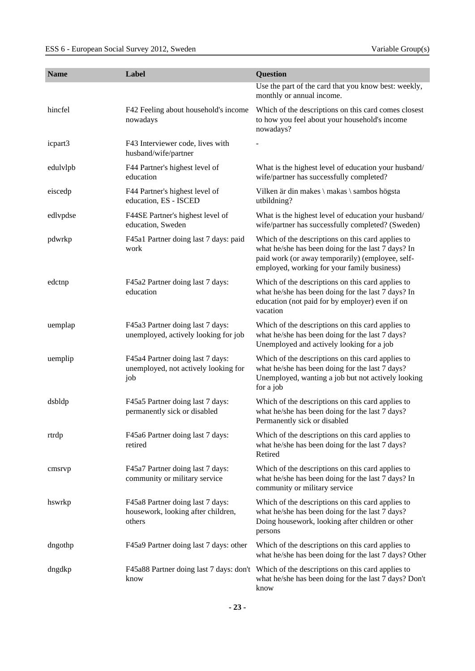| <b>Name</b> | Label                                                                            | <b>Question</b>                                                                                                                                                                                            |
|-------------|----------------------------------------------------------------------------------|------------------------------------------------------------------------------------------------------------------------------------------------------------------------------------------------------------|
|             |                                                                                  | Use the part of the card that you know best: weekly,<br>monthly or annual income.                                                                                                                          |
| hincfel     | F42 Feeling about household's income<br>nowadays                                 | Which of the descriptions on this card comes closest<br>to how you feel about your household's income<br>nowadays?                                                                                         |
| icpart3     | F43 Interviewer code, lives with<br>husband/wife/partner                         |                                                                                                                                                                                                            |
| edulvlpb    | F44 Partner's highest level of<br>education                                      | What is the highest level of education your husband/<br>wife/partner has successfully completed?                                                                                                           |
| eiscedp     | F44 Partner's highest level of<br>education, ES - ISCED                          | Vilken är din makes \ makas \ sambos högsta<br>utbildning?                                                                                                                                                 |
| edlypdse    | F44SE Partner's highest level of<br>education, Sweden                            | What is the highest level of education your husband/<br>wife/partner has successfully completed? (Sweden)                                                                                                  |
| pdwrkp      | F45a1 Partner doing last 7 days: paid<br>work                                    | Which of the descriptions on this card applies to<br>what he/she has been doing for the last 7 days? In<br>paid work (or away temporarily) (employee, self-<br>employed, working for your family business) |
| edctnp      | F45a2 Partner doing last 7 days:<br>education                                    | Which of the descriptions on this card applies to<br>what he/she has been doing for the last 7 days? In<br>education (not paid for by employer) even if on<br>vacation                                     |
| uemplap     | F45a3 Partner doing last 7 days:<br>unemployed, actively looking for job         | Which of the descriptions on this card applies to<br>what he/she has been doing for the last 7 days?<br>Unemployed and actively looking for a job                                                          |
| uemplip     | F45a4 Partner doing last 7 days:<br>unemployed, not actively looking for<br>job  | Which of the descriptions on this card applies to<br>what he/she has been doing for the last 7 days?<br>Unemployed, wanting a job but not actively looking<br>for a job                                    |
| dsbldp      | F45a5 Partner doing last 7 days:<br>permanently sick or disabled                 | Which of the descriptions on this card applies to<br>what he/she has been doing for the last 7 days?<br>Permanently sick or disabled                                                                       |
| rtrdp       | F45a6 Partner doing last 7 days:<br>retired                                      | Which of the descriptions on this card applies to<br>what he/she has been doing for the last 7 days?<br>Retired                                                                                            |
| cmsrvp      | F45a7 Partner doing last 7 days:<br>community or military service                | Which of the descriptions on this card applies to<br>what he/she has been doing for the last 7 days? In<br>community or military service                                                                   |
| hswrkp      | F45a8 Partner doing last 7 days:<br>housework, looking after children,<br>others | Which of the descriptions on this card applies to<br>what he/she has been doing for the last 7 days?<br>Doing housework, looking after children or other<br>persons                                        |
| dngothp     | F45a9 Partner doing last 7 days: other                                           | Which of the descriptions on this card applies to<br>what he/she has been doing for the last 7 days? Other                                                                                                 |
| dngdkp      | know                                                                             | F45a88 Partner doing last 7 days: don't Which of the descriptions on this card applies to<br>what he/she has been doing for the last 7 days? Don't<br>know                                                 |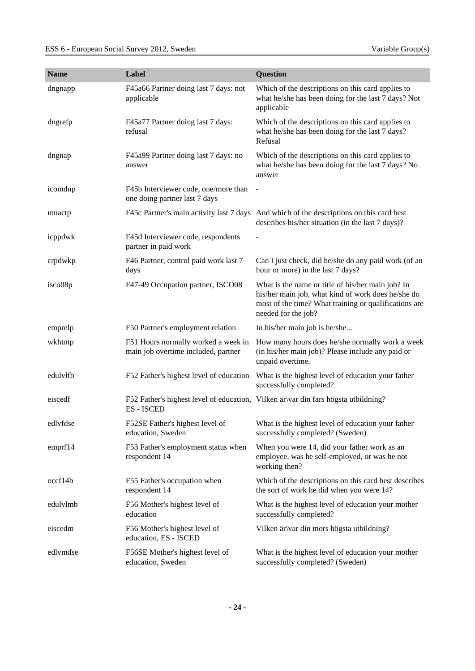| <b>Name</b> | Label                                                                      | Question                                                                                                                                                                                |
|-------------|----------------------------------------------------------------------------|-----------------------------------------------------------------------------------------------------------------------------------------------------------------------------------------|
| dngnapp     | F45a66 Partner doing last 7 days: not<br>applicable                        | Which of the descriptions on this card applies to<br>what he/she has been doing for the last 7 days? Not<br>applicable                                                                  |
| dngrefp     | F45a77 Partner doing last 7 days:<br>refusal                               | Which of the descriptions on this card applies to<br>what he/she has been doing for the last 7 days?<br>Refusal                                                                         |
| dngnap      | F45a99 Partner doing last 7 days: no<br>answer                             | Which of the descriptions on this card applies to<br>what he/she has been doing for the last 7 days? No<br>answer                                                                       |
| icomdnp     | F45b Interviewer code, one/more than<br>one doing partner last 7 days      | $\blacksquare$                                                                                                                                                                          |
| mnactp      |                                                                            | F45c Partner's main activity last 7 days And which of the descriptions on this card best<br>describes his/her situation (in the last 7 days)?                                           |
| icppdwk     | F45d Interviewer code, respondents<br>partner in paid work                 |                                                                                                                                                                                         |
| crpdwkp     | F46 Partner, control paid work last 7<br>days                              | Can I just check, did he/she do any paid work (of an<br>hour or more) in the last 7 days?                                                                                               |
| isco08p     | F47-49 Occupation partner, ISCO08                                          | What is the name or title of his/her main job? In<br>his/her main job, what kind of work does he/she do<br>most of the time? What training or qualifications are<br>needed for the job? |
| emprelp     | F50 Partner's employment relation                                          | In his/her main job is he/she                                                                                                                                                           |
| wkhtotp     | F51 Hours normally worked a week in<br>main job overtime included, partner | How many hours does he/she normally work a week<br>(in his/her main job)? Please include any paid or<br>unpaid overtime.                                                                |
| edulvlfb    | F52 Father's highest level of education                                    | What is the highest level of education your father<br>successfully completed?                                                                                                           |
| eiscedf     | ES - ISCED                                                                 | F52 Father's highest level of education, Vilken är var din fars högsta utbildning?                                                                                                      |
| edlyfdse    | F52SE Father's highest level of<br>education, Sweden                       | What is the highest level of education your father<br>successfully completed? (Sweden)                                                                                                  |
| emprf14     | F53 Father's employment status when<br>respondent 14                       | When you were 14, did your father work as an<br>employee, was he self-employed, or was he not<br>working then?                                                                          |
| occf14b     | F55 Father's occupation when<br>respondent 14                              | Which of the descriptions on this card best describes<br>the sort of work he did when you were 14?                                                                                      |
| edulvlmb    | F56 Mother's highest level of<br>education                                 | What is the highest level of education your mother<br>successfully completed?                                                                                                           |
| eiscedm     | F56 Mother's highest level of<br>education, ES - ISCED                     | Vilken är var din mors högsta utbildning?                                                                                                                                               |
| edlymdse    | F56SE Mother's highest level of<br>education, Sweden                       | What is the highest level of education your mother<br>successfully completed? (Sweden)                                                                                                  |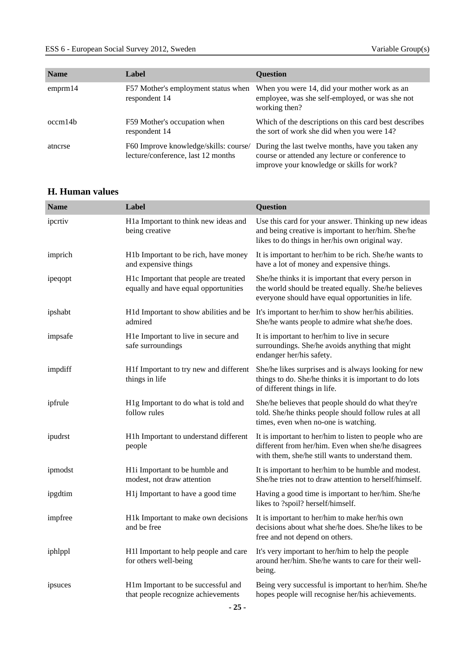| <b>Name</b> | Label                                                                       | <b>Ouestion</b>                                                                                                                                    |
|-------------|-----------------------------------------------------------------------------|----------------------------------------------------------------------------------------------------------------------------------------------------|
| emprm 14    | F57 Mother's employment status when<br>respondent 14                        | When you were 14, did your mother work as an<br>employee, was she self-employed, or was she not<br>working then?                                   |
| occm14b     | F59 Mother's occupation when<br>respondent 14                               | Which of the descriptions on this card best describes<br>the sort of work she did when you were 14?                                                |
| atnerse     | F60 Improve knowledge/skills: course/<br>lecture/conference, last 12 months | During the last twelve months, have you taken any<br>course or attended any lecture or conference to<br>improve your knowledge or skills for work? |

### <span id="page-24-0"></span>**H. Human values**

| <b>Name</b> | Label                                                                         | Question                                                                                                                                                          |
|-------------|-------------------------------------------------------------------------------|-------------------------------------------------------------------------------------------------------------------------------------------------------------------|
| ipcrtiv     | H1a Important to think new ideas and<br>being creative                        | Use this card for your answer. Thinking up new ideas<br>and being creative is important to her/him. She/he<br>likes to do things in her/his own original way.     |
| imprich     | H1b Important to be rich, have money<br>and expensive things                  | It is important to her/him to be rich. She/he wants to<br>have a lot of money and expensive things.                                                               |
| ipeqopt     | H1c Important that people are treated<br>equally and have equal opportunities | She/he thinks it is important that every person in<br>the world should be treated equally. She/he believes<br>everyone should have equal opportunities in life.   |
| ipshabt     | admired                                                                       | H1d Important to show abilities and be It's important to her/him to show her/his abilities.<br>She/he wants people to admire what she/he does.                    |
| impsafe     | H1e Important to live in secure and<br>safe surroundings                      | It is important to her/him to live in secure<br>surroundings. She/he avoids anything that might<br>endanger her/his safety.                                       |
| impdiff     | H1f Important to try new and different<br>things in life                      | She/he likes surprises and is always looking for new<br>things to do. She/he thinks it is important to do lots<br>of different things in life.                    |
| ipfrule     | H1g Important to do what is told and<br>follow rules                          | She/he believes that people should do what they're<br>told. She/he thinks people should follow rules at all<br>times, even when no-one is watching.               |
| ipudrst     | H1h Important to understand different<br>people                               | It is important to her/him to listen to people who are<br>different from her/him. Even when she/he disagrees<br>with them, she/he still wants to understand them. |
| ipmodst     | H1i Important to be humble and<br>modest, not draw attention                  | It is important to her/him to be humble and modest.<br>She/he tries not to draw attention to herself/himself.                                                     |
| ipgdtim     | H1j Important to have a good time                                             | Having a good time is important to her/him. She/he<br>likes to ?spoil? herself/himself.                                                                           |
| impfree     | H1k Important to make own decisions<br>and be free                            | It is important to her/him to make her/his own<br>decisions about what she/he does. She/he likes to be<br>free and not depend on others.                          |
| iphlppl     | H11 Important to help people and care<br>for others well-being                | It's very important to her/him to help the people<br>around her/him. She/he wants to care for their well-<br>being.                                               |
| ipsuces     | H1m Important to be successful and<br>that people recognize achievements      | Being very successful is important to her/him. She/he<br>hopes people will recognise her/his achievements.                                                        |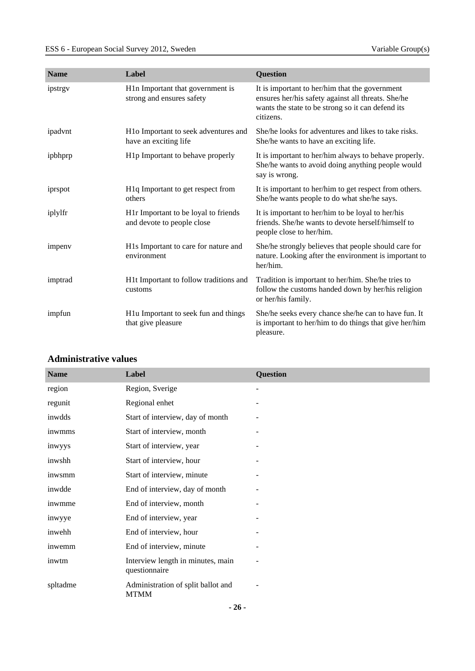| <b>Name</b> | Label                                                              | <b>Question</b>                                                                                                                                                        |
|-------------|--------------------------------------------------------------------|------------------------------------------------------------------------------------------------------------------------------------------------------------------------|
| ipstrgy     | H1n Important that government is<br>strong and ensures safety      | It is important to her/him that the government<br>ensures her/his safety against all threats. She/he<br>wants the state to be strong so it can defend its<br>citizens. |
| ipadvnt     | H1o Important to seek adventures and<br>have an exciting life      | She/he looks for adventures and likes to take risks.<br>She/he wants to have an exciting life.                                                                         |
| ipbhprp     | H1p Important to behave properly                                   | It is important to her/him always to behave properly.<br>She/he wants to avoid doing anything people would<br>say is wrong.                                            |
| iprspot     | H <sub>1</sub> q Important to get respect from<br>others           | It is important to her/him to get respect from others.<br>She/he wants people to do what she/he says.                                                                  |
| iplylfr     | H1r Important to be loyal to friends<br>and devote to people close | It is important to her/him to be loyal to her/his<br>friends. She/he wants to devote herself/himself to<br>people close to her/him.                                    |
| impeny      | H1s Important to care for nature and<br>environment                | She/he strongly believes that people should care for<br>nature. Looking after the environment is important to<br>her/him.                                              |
| imptrad     | H1t Important to follow traditions and<br>customs                  | Tradition is important to her/him. She/he tries to<br>follow the customs handed down by her/his religion<br>or her/his family.                                         |
| impfun      | H1u Important to seek fun and things<br>that give pleasure         | She/he seeks every chance she/he can to have fun. It<br>is important to her/him to do things that give her/him<br>pleasure.                                            |

## <span id="page-25-0"></span>**Administrative values**

| <b>Name</b> | Label                                              | <b>Question</b> |
|-------------|----------------------------------------------------|-----------------|
| region      | Region, Sverige                                    |                 |
| regunit     | Regional enhet                                     |                 |
| inwdds      | Start of interview, day of month                   |                 |
| inwmms      | Start of interview, month                          |                 |
| inwyys      | Start of interview, year                           |                 |
| inwshh      | Start of interview, hour                           |                 |
| inwsmm      | Start of interview, minute                         |                 |
| inwdde      | End of interview, day of month                     |                 |
| inwmme      | End of interview, month                            |                 |
| inwyye      | End of interview, year                             |                 |
| inwehh      | End of interview, hour                             |                 |
| inwemm      | End of interview, minute                           |                 |
| inwtm       | Interview length in minutes, main<br>questionnaire |                 |
| spltadme    | Administration of split ballot and<br><b>MTMM</b>  |                 |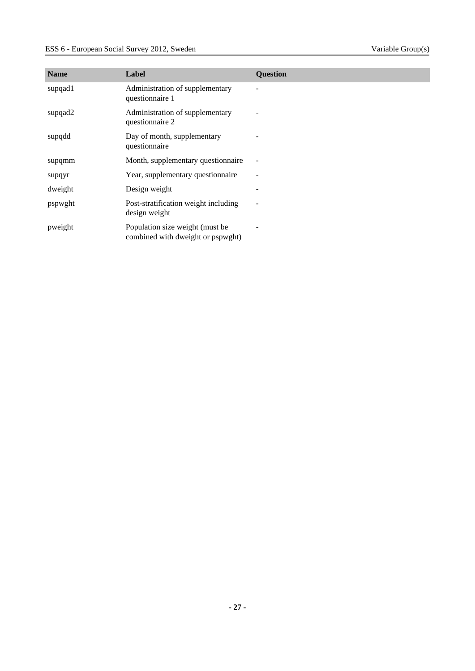| <b>Name</b> | Label                                                                | <b>Question</b>          |
|-------------|----------------------------------------------------------------------|--------------------------|
| supqad1     | Administration of supplementary<br>questionnaire 1                   |                          |
| supqad2     | Administration of supplementary<br>questionnaire 2                   |                          |
| supqdd      | Day of month, supplementary<br>questionnaire                         |                          |
| supqmm      | Month, supplementary questionnaire                                   |                          |
| supqyr      | Year, supplementary questionnaire                                    |                          |
| dweight     | Design weight                                                        |                          |
| pspwght     | Post-stratification weight including<br>design weight                | $\overline{\phantom{0}}$ |
| pweight     | Population size weight (must be<br>combined with dweight or pspwght) |                          |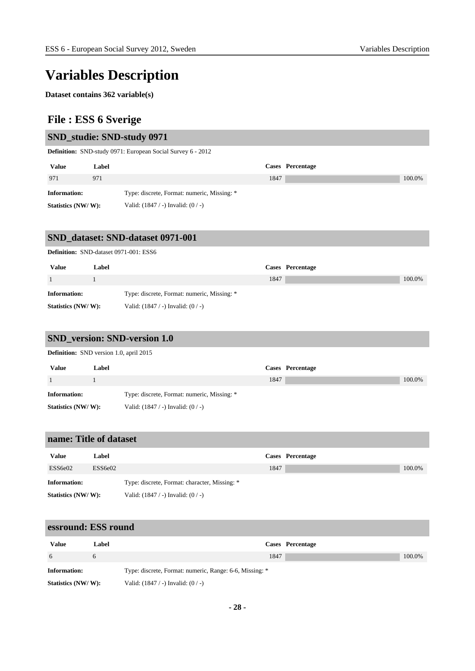# **Variables Description**

**Dataset contains 362 variable(s)**

## **File : ESS 6 Sverige**

#### **SND\_studie: SND-study 0971**

**Definition:** SND-study 0971: European Social Survey 6 - 2012

| <b>Value</b>        | Label | Cases Percentage                            |        |
|---------------------|-------|---------------------------------------------|--------|
| 971                 | 971   | 1847                                        | 100.0% |
| <b>Information:</b> |       | Type: discrete, Format: numeric, Missing: * |        |
| Statistics (NW/W):  |       | Valid: $(1847 / -)$ Invalid: $(0 / -)$      |        |

## **SND\_dataset: SND-dataset 0971-001**

|                     | <b>Definition:</b> SND-dataset 0971-001: ESS6 |                                             |      |                  |        |  |
|---------------------|-----------------------------------------------|---------------------------------------------|------|------------------|--------|--|
| <b>Value</b>        | Label                                         |                                             |      | Cases Percentage |        |  |
|                     |                                               |                                             | 1847 |                  | 100.0% |  |
| <b>Information:</b> |                                               | Type: discrete, Format: numeric, Missing: * |      |                  |        |  |
| Statistics (NW/W):  |                                               | Valid: $(1847 / -)$ Invalid: $(0 / -)$      |      |                  |        |  |

#### **SND\_version: SND-version 1.0**

**Definition:** SND version 1.0, april 2015

| <b>Value</b>        | Label |                                             |      | Cases Percentage |        |
|---------------------|-------|---------------------------------------------|------|------------------|--------|
|                     |       |                                             | 1847 |                  | 100.0% |
| <b>Information:</b> |       | Type: discrete, Format: numeric, Missing: * |      |                  |        |
| Statistics (NW/W):  |       | Valid: $(1847 / -)$ Invalid: $(0 / -)$      |      |                  |        |

#### **name: Title of dataset**

| <b>Value</b>        | Label   |                                               |      | Cases Percentage |        |
|---------------------|---------|-----------------------------------------------|------|------------------|--------|
| ESS6e02             | ESS6e02 |                                               | 1847 |                  | 100.0% |
| <b>Information:</b> |         | Type: discrete, Format: character, Missing: * |      |                  |        |
| Statistics (NW/W):  |         | Valid: $(1847 / -)$ Invalid: $(0 / -)$        |      |                  |        |

#### **essround: ESS round**

| Value               | Label |                                                         | Cases Percentage |        |
|---------------------|-------|---------------------------------------------------------|------------------|--------|
| -6                  |       | 1847                                                    |                  | 100.0% |
| <b>Information:</b> |       | Type: discrete, Format: numeric, Range: 6-6, Missing: * |                  |        |
| Statistics (NW/W):  |       | Valid: $(1847 / -)$ Invalid: $(0 / -)$                  |                  |        |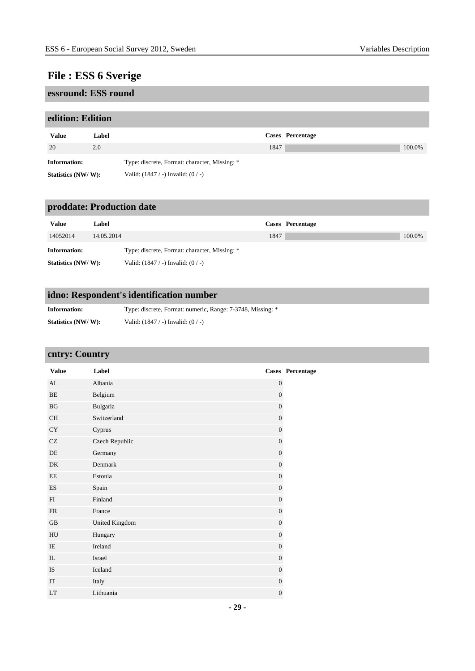## **essround: ESS round**

### **edition: Edition**

| <b>Value</b>        | Label | Cases Percentage                              |        |
|---------------------|-------|-----------------------------------------------|--------|
| 20                  | 2.0   | 1847                                          | 100.0% |
| <b>Information:</b> |       | Type: discrete, Format: character, Missing: * |        |
| Statistics (NW/W):  |       | Valid: $(1847 / -)$ Invalid: $(0 / -)$        |        |

## **proddate: Production date**

| <b>Value</b>       | Label      |                                               |      | Cases Percentage |        |
|--------------------|------------|-----------------------------------------------|------|------------------|--------|
| 14052014           | 14.05.2014 |                                               | 1847 |                  | 100.0% |
| Information:       |            | Type: discrete, Format: character, Missing: * |      |                  |        |
| Statistics (NW/W): |            | Valid: $(1847 / -)$ Invalid: $(0 / -)$        |      |                  |        |

## **idno: Respondent's identification number**

| <b>Information:</b> | Type: discrete, Format: numeric, Range: 7-3748, Missing: * |
|---------------------|------------------------------------------------------------|
| Statistics (NW/W):  | Valid: $(1847 / -)$ Invalid: $(0 / -)$                     |

## **cntry: Country**

| <b>Value</b>        | Label          |                  | Cases Percentage |
|---------------------|----------------|------------------|------------------|
| AL                  | Albania        | $\boldsymbol{0}$ |                  |
| BE                  | Belgium        | $\mathbf{0}$     |                  |
| BG                  | Bulgaria       | $\overline{0}$   |                  |
| <b>CH</b>           | Switzerland    | $\boldsymbol{0}$ |                  |
| ${\rm CY}$          | Cyprus         | $\boldsymbol{0}$ |                  |
| $\operatorname{CZ}$ | Czech Republic | $\mathbf{0}$     |                  |
| DE                  | Germany        | $\mathbf{0}$     |                  |
| DK                  | Denmark        | $\boldsymbol{0}$ |                  |
| EE                  | Estonia        | $\boldsymbol{0}$ |                  |
| <b>ES</b>           | Spain          | $\boldsymbol{0}$ |                  |
| FI                  | Finland        | $\boldsymbol{0}$ |                  |
| FR                  | France         | $\theta$         |                  |
| GB                  | United Kingdom | $\overline{0}$   |                  |
| ${\rm H}{\rm U}$    | Hungary        | $\boldsymbol{0}$ |                  |
| IE                  | Ireland        | $\mathbf{0}$     |                  |
| $\rm IL$            | Israel         | $\mathbf{0}$     |                  |
| <b>IS</b>           | Iceland        | $\mathbf{0}$     |                  |
| IT                  | Italy          | $\boldsymbol{0}$ |                  |
| <b>LT</b>           | Lithuania      | $\mathbf{0}$     |                  |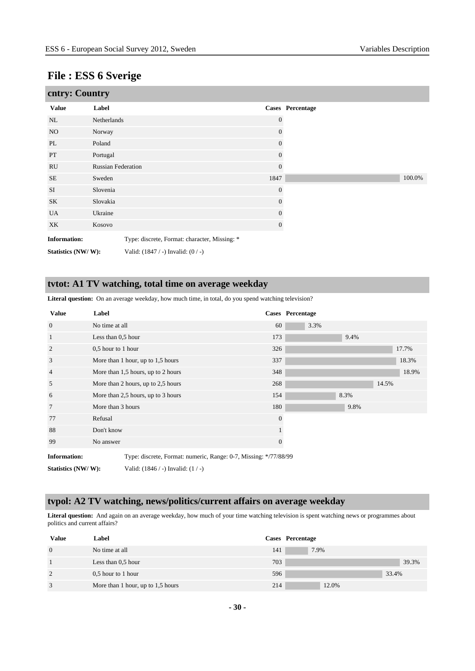| cntry: Country      |                           |                                               |                  |                  |        |
|---------------------|---------------------------|-----------------------------------------------|------------------|------------------|--------|
| <b>Value</b>        | Label                     |                                               |                  | Cases Percentage |        |
| NL                  | Netherlands               |                                               | $\Omega$         |                  |        |
| NO                  | Norway                    |                                               | $\boldsymbol{0}$ |                  |        |
| PL                  | Poland                    |                                               | 0                |                  |        |
| PT                  | Portugal                  |                                               | $\overline{0}$   |                  |        |
| RU                  | <b>Russian Federation</b> |                                               | $\overline{0}$   |                  |        |
| <b>SE</b>           | Sweden                    |                                               | 1847             |                  | 100.0% |
| <b>SI</b>           | Slovenia                  |                                               | $\overline{0}$   |                  |        |
| SK                  | Slovakia                  |                                               | $\Omega$         |                  |        |
| <b>UA</b>           | Ukraine                   |                                               | 0                |                  |        |
| XK                  | Kosovo                    |                                               | 0                |                  |        |
| <b>Information:</b> |                           | Type: discrete, Format: character, Missing: * |                  |                  |        |
| Statistics (NW/W):  |                           | Valid: $(1847 / -)$ Invalid: $(0 / -)$        |                  |                  |        |

#### **tvtot: A1 TV watching, total time on average weekday**

**Literal question:** On an average weekday, how much time, in total, do you spend watching television?

| <b>Value</b>        | Label                |                                                                  |              | <b>Cases</b> Percentage |      |       |       |
|---------------------|----------------------|------------------------------------------------------------------|--------------|-------------------------|------|-------|-------|
| $\overline{0}$      | No time at all       |                                                                  | 60           | 3.3%                    |      |       |       |
| $\mathbf{1}$        | Less than 0,5 hour   |                                                                  | 173          |                         | 9.4% |       |       |
| $\overline{2}$      | $0.5$ hour to 1 hour |                                                                  | 326          |                         |      |       | 17.7% |
| 3                   |                      | More than 1 hour, up to 1,5 hours                                | 337          |                         |      |       | 18.3% |
| $\overline{4}$      |                      | More than 1,5 hours, up to 2 hours                               | 348          |                         |      |       | 18.9% |
| 5                   |                      | More than 2 hours, up to 2,5 hours                               | 268          |                         |      | 14.5% |       |
| 6                   |                      | More than 2,5 hours, up to 3 hours                               | 154          |                         | 8.3% |       |       |
| $7\phantom{.0}$     | More than 3 hours    |                                                                  | 180          |                         | 9.8% |       |       |
| 77                  | Refusal              |                                                                  | $\mathbf{0}$ |                         |      |       |       |
| 88                  | Don't know           |                                                                  |              |                         |      |       |       |
| 99                  | No answer            |                                                                  | $\mathbf{0}$ |                         |      |       |       |
| <b>Information:</b> |                      | Type: discrete, Format: numeric, Range: 0-7, Missing: */77/88/99 |              |                         |      |       |       |
| Statistics (NW/W):  |                      | Valid: $(1846 / -)$ Invalid: $(1 / -)$                           |              |                         |      |       |       |

#### **tvpol: A2 TV watching, news/politics/current affairs on average weekday**

**Literal question:** And again on an average weekday, how much of your time watching television is spent watching news or programmes about politics and current affairs?

| <b>Value</b>   | Label                             |     | Cases Percentage |
|----------------|-----------------------------------|-----|------------------|
| $\overline{0}$ | No time at all                    | 141 | 7.9%             |
|                | Less than $0.5$ hour              | 703 | 39.3%            |
| 2              | 0.5 hour to 1 hour                | 596 | 33.4%            |
| 3              | More than 1 hour, up to 1,5 hours | 214 | 12.0%            |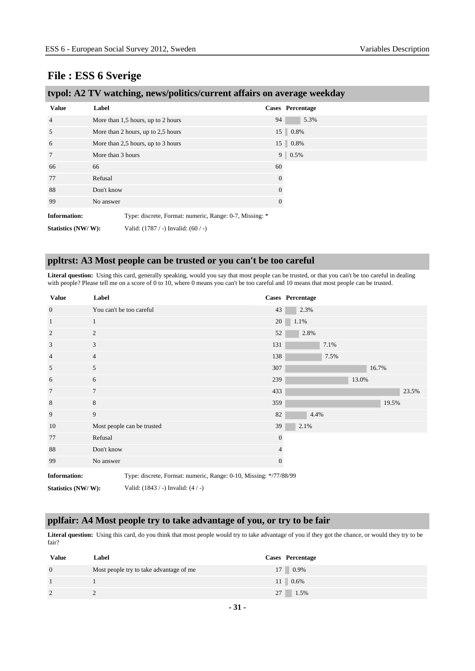|  | tvpol: A2 TV watching, news/politics/current affairs on average weekday |  |  |
|--|-------------------------------------------------------------------------|--|--|
|  |                                                                         |  |  |

| <b>Value</b>        | Label                                                   |                | Cases Percentage |
|---------------------|---------------------------------------------------------|----------------|------------------|
| $\overline{4}$      | More than 1,5 hours, up to 2 hours                      | 94             | 5.3%             |
| 5                   | More than 2 hours, up to 2,5 hours                      |                | 15 0.8%          |
| 6                   | More than 2,5 hours, up to 3 hours                      |                | 15 0.8%          |
| $7\phantom{.0}$     | More than 3 hours                                       | 9 <sup>1</sup> | 0.5%             |
| 66                  | 66                                                      | 60             |                  |
| 77                  | Refusal                                                 | $\mathbf{0}$   |                  |
| 88                  | Don't know                                              | $\theta$       |                  |
| 99                  | No answer                                               | $\theta$       |                  |
| <b>Information:</b> | Type: discrete, Format: numeric, Range: 0-7, Missing: * |                |                  |
| Statistics (NW/W):  | Valid: $(1787 / -)$ Invalid: $(60 / -)$                 |                |                  |

#### **ppltrst: A3 Most people can be trusted or you can't be too careful**

**Literal question:** Using this card, generally speaking, would you say that most people can be trusted, or that you can't be too careful in dealing with people? Please tell me on a score of 0 to 10, where 0 means you can't be too careful and 10 means that most people can be trusted.

| <b>Value</b>        | Label                                                             |                | Cases Percentage |      |       |       |       |
|---------------------|-------------------------------------------------------------------|----------------|------------------|------|-------|-------|-------|
| $\mathbf{0}$        | You can't be too careful                                          | 43             | 2.3%             |      |       |       |       |
| $\mathbf{1}$        | 1                                                                 | 20             | 1.1%             |      |       |       |       |
| $\overline{2}$      | $\overline{c}$                                                    | 52             | 2.8%             |      |       |       |       |
| 3                   | 3                                                                 | 131            |                  | 7.1% |       |       |       |
| $\overline{4}$      | $\overline{4}$                                                    | 138            |                  | 7.5% |       |       |       |
| 5                   | 5                                                                 | 307            |                  |      |       | 16.7% |       |
| 6                   | 6                                                                 | 239            |                  |      | 13.0% |       |       |
| $7\phantom{.0}$     | $\overline{7}$                                                    | 433            |                  |      |       |       | 23.5% |
| 8                   | 8                                                                 | 359            |                  |      |       | 19.5% |       |
| 9                   | 9                                                                 | 82             | 4.4%             |      |       |       |       |
| 10                  | Most people can be trusted                                        | 39             | 2.1%             |      |       |       |       |
| 77                  | Refusal                                                           | $\mathbf{0}$   |                  |      |       |       |       |
| 88                  | Don't know                                                        | $\overline{4}$ |                  |      |       |       |       |
| 99                  | No answer                                                         | $\mathbf{0}$   |                  |      |       |       |       |
| <b>Information:</b> | Type: discrete, Format: numeric, Range: 0-10, Missing: */77/88/99 |                |                  |      |       |       |       |

**Statistics (NW/ W):** Valid: (1843 / -) Invalid: (4 / -)

#### **pplfair: A4 Most people try to take advantage of you, or try to be fair**

Literal question: Using this card, do you think that most people would try to take advantage of you if they got the chance, or would they try to be fair?

| Value          | Label                                   | Cases Percentage |
|----------------|-----------------------------------------|------------------|
| $\overline{0}$ | Most people try to take advantage of me | 17 0.9%          |
|                |                                         | $11 \ 0.6\%$     |
| $\overline{2}$ |                                         | 27 1.5%          |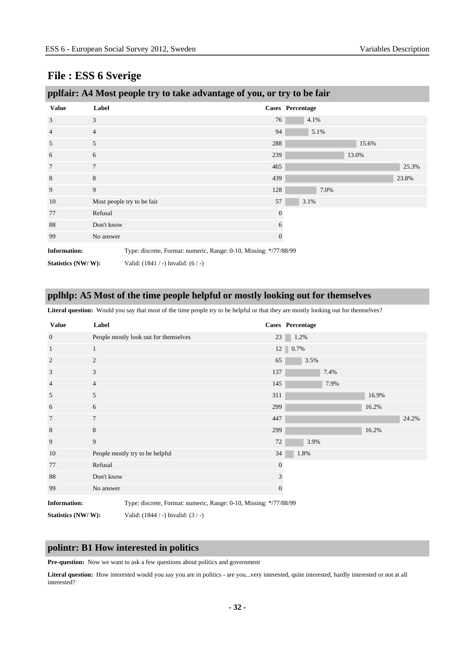| pplfair: A4 Most people try to take advantage of you, or try to be fair |                |                                                                   |              |                  |       |       |  |  |
|-------------------------------------------------------------------------|----------------|-------------------------------------------------------------------|--------------|------------------|-------|-------|--|--|
| <b>Value</b>                                                            | Label          |                                                                   |              | Cases Percentage |       |       |  |  |
| 3                                                                       | 3              |                                                                   | 76           | 4.1%             |       |       |  |  |
| $\overline{4}$                                                          | $\overline{4}$ |                                                                   | 94           | 5.1%             |       |       |  |  |
| 5                                                                       | 5              |                                                                   | 288          |                  | 15.6% |       |  |  |
| 6                                                                       | 6              |                                                                   | 239          |                  | 13.0% |       |  |  |
| 7                                                                       | $\overline{7}$ |                                                                   | 465          |                  |       | 25.3% |  |  |
| 8                                                                       | 8              |                                                                   | 439          |                  |       | 23.8% |  |  |
| 9                                                                       | 9              |                                                                   | 128          | 7.0%             |       |       |  |  |
| 10                                                                      |                | Most people try to be fair                                        | 57           | 3.1%             |       |       |  |  |
| 77                                                                      | Refusal        |                                                                   | $\mathbf{0}$ |                  |       |       |  |  |
| 88                                                                      | Don't know     |                                                                   | 6            |                  |       |       |  |  |
| 99                                                                      | No answer      |                                                                   | 0            |                  |       |       |  |  |
| <b>Information:</b>                                                     |                | Type: discrete, Format: numeric, Range: 0-10, Missing: */77/88/99 |              |                  |       |       |  |  |
| Statistics (NW/W):<br>Valid: $(1841 / -)$ Invalid: $(6 / -)$            |                |                                                                   |              |                  |       |       |  |  |

## **pplhlp: A5 Most of the time people helpful or mostly looking out for themselves**

Literal question: Would you say that most of the time people try to be helpful or that they are mostly looking out for themselves?

| <b>Value</b>        | Label                                                             |                | Cases Percentage                            |
|---------------------|-------------------------------------------------------------------|----------------|---------------------------------------------|
| $\overline{0}$      | People mostly look out for themselves                             | 23             | 1.2%                                        |
| $\mathbf{1}$        | 1                                                                 |                | $12 \begin{array}{ c c } 0.7\% \end{array}$ |
| $\overline{2}$      | 2                                                                 | 65             | 3.5%                                        |
| 3                   | 3                                                                 | 137            | 7.4%                                        |
| $\overline{4}$      | $\overline{4}$                                                    | 145            | 7.9%                                        |
| 5                   | 5                                                                 | 311            | 16.9%                                       |
| 6                   | 6                                                                 | 299            | 16.2%                                       |
| $\overline{7}$      | $\overline{7}$                                                    | 447            | 24.2%                                       |
| 8                   | 8                                                                 | 299            | 16.2%                                       |
| 9                   | 9                                                                 | 72             | 3.9%                                        |
| 10                  | People mostly try to be helpful                                   | 34             | 1.8%                                        |
| 77                  | Refusal                                                           | $\mathbf{0}$   |                                             |
| 88                  | Don't know                                                        | 3              |                                             |
| 99                  | No answer                                                         | $\overline{0}$ |                                             |
| <b>Information:</b> | Type: discrete, Format: numeric, Range: 0-10, Missing: */77/88/99 |                |                                             |

**Statistics (NW/ W):** Valid: (1844 / -) Invalid: (3 / -)

#### **polintr: B1 How interested in politics**

Pre-question: Now we want to ask a few questions about politics and government

Literal question: How interested would you say you are in politics - are you...very interested, quite interested, hardly interested or not at all interested?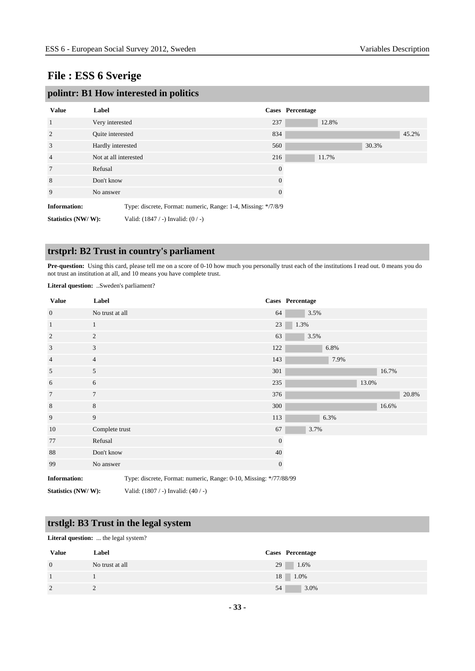| polintr: B1 How interested in politics |                       |                                                               |          |                  |       |       |       |  |  |
|----------------------------------------|-----------------------|---------------------------------------------------------------|----------|------------------|-------|-------|-------|--|--|
| <b>Value</b>                           | Label                 |                                                               |          | Cases Percentage |       |       |       |  |  |
| 1                                      | Very interested       |                                                               | 237      |                  | 12.8% |       |       |  |  |
| 2                                      | Quite interested      |                                                               | 834      |                  |       |       | 45.2% |  |  |
| 3                                      | Hardly interested     |                                                               | 560      |                  |       | 30.3% |       |  |  |
| $\overline{4}$                         | Not at all interested |                                                               | 216      |                  | 11.7% |       |       |  |  |
| 7                                      | Refusal               |                                                               | $\theta$ |                  |       |       |       |  |  |
| 8                                      | Don't know            |                                                               | $\Omega$ |                  |       |       |       |  |  |
| 9                                      | No answer             |                                                               | $\theta$ |                  |       |       |       |  |  |
| <b>Information:</b>                    |                       | Type: discrete, Format: numeric, Range: 1-4, Missing: */7/8/9 |          |                  |       |       |       |  |  |
| Statistics (NW/W):                     |                       | Valid: $(1847 / -)$ Invalid: $(0 / -)$                        |          |                  |       |       |       |  |  |

## **trstprl: B2 Trust in country's parliament**

Pre-question: Using this card, please tell me on a score of 0-10 how much you personally trust each of the institutions I read out. 0 means you do not trust an institution at all, and 10 means you have complete trust.

**Literal question:** ..Sweden's parliament?

| <b>Value</b>        | Label           |                                                                   |              | Cases Percentage |      |       |       |       |
|---------------------|-----------------|-------------------------------------------------------------------|--------------|------------------|------|-------|-------|-------|
| $\overline{0}$      | No trust at all |                                                                   | 64           | 3.5%             |      |       |       |       |
| $\mathbf{1}$        | $\mathbf{1}$    |                                                                   | 23           | 1.3%             |      |       |       |       |
| $\overline{2}$      | $\overline{c}$  |                                                                   | 63           | 3.5%             |      |       |       |       |
| $\mathfrak{Z}$      | 3               |                                                                   | 122          |                  | 6.8% |       |       |       |
| $\overline{4}$      | $\overline{4}$  |                                                                   | 143          |                  | 7.9% |       |       |       |
| 5                   | 5               |                                                                   | 301          |                  |      |       | 16.7% |       |
| 6                   | 6               |                                                                   | 235          |                  |      | 13.0% |       |       |
| $\overline{7}$      | $\overline{7}$  |                                                                   | 376          |                  |      |       |       | 20.8% |
| $\,8\,$             | 8               |                                                                   | 300          |                  |      |       | 16.6% |       |
| 9                   | 9               |                                                                   | 113          |                  | 6.3% |       |       |       |
| 10                  | Complete trust  |                                                                   | 67           | 3.7%             |      |       |       |       |
| 77                  | Refusal         |                                                                   | $\mathbf{0}$ |                  |      |       |       |       |
| 88                  | Don't know      |                                                                   | 40           |                  |      |       |       |       |
| 99                  | No answer       |                                                                   | $\mathbf{0}$ |                  |      |       |       |       |
| <b>Information:</b> |                 | Type: discrete, Format: numeric, Range: 0-10, Missing: */77/88/99 |              |                  |      |       |       |       |
| Statistics (NW/W):  |                 | Valid: (1807 / -) Invalid: (40 / -)                               |              |                  |      |       |       |       |

## **trstlgl: B3 Trust in the legal system**

**Literal question:** ... the legal system?

| <b>Value</b> | Label           | Cases Percentage |
|--------------|-----------------|------------------|
| $\theta$     | No trust at all | 29<br>$1.6\%$    |
|              |                 | 18<br>$1.0\%$    |
| $\gamma$     | ∼               | 3.0%<br>54       |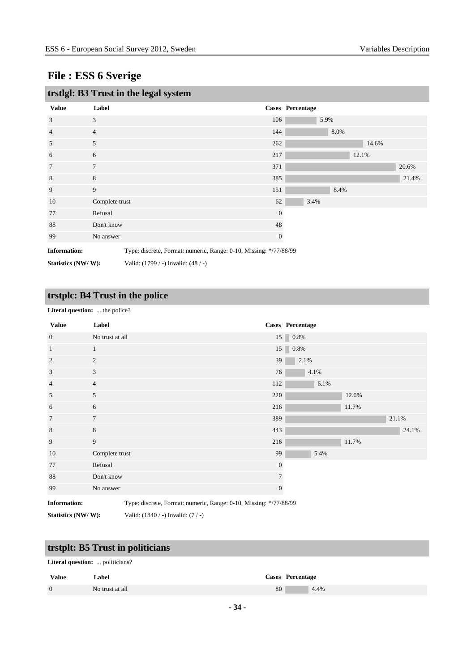| trstlgl: B3 Trust in the legal system |                                                                   |              |                  |       |       |  |  |  |
|---------------------------------------|-------------------------------------------------------------------|--------------|------------------|-------|-------|--|--|--|
| <b>Value</b>                          | Label                                                             |              | Cases Percentage |       |       |  |  |  |
| 3                                     | 3                                                                 | 106          | 5.9%             |       |       |  |  |  |
| 4                                     | $\overline{4}$                                                    | 144          | 8.0%             |       |       |  |  |  |
| 5                                     | 5                                                                 | 262          |                  | 14.6% |       |  |  |  |
| 6                                     | 6                                                                 | 217          |                  | 12.1% |       |  |  |  |
| 7                                     | 7                                                                 | 371          |                  |       | 20.6% |  |  |  |
| 8                                     | 8                                                                 | 385          |                  |       | 21.4% |  |  |  |
| 9                                     | 9                                                                 | 151          | 8.4%             |       |       |  |  |  |
| 10                                    | Complete trust                                                    | 62           | 3.4%             |       |       |  |  |  |
| 77                                    | Refusal                                                           | $\theta$     |                  |       |       |  |  |  |
| 88                                    | Don't know                                                        | 48           |                  |       |       |  |  |  |
| 99                                    | No answer                                                         | $\mathbf{0}$ |                  |       |       |  |  |  |
| <b>Information:</b>                   | Type: discrete, Format: numeric, Range: 0-10, Missing: */77/88/99 |              |                  |       |       |  |  |  |

**Statistics (NW/ W):** Valid: (1799 / -) Invalid: (48 / -)

## **trstplc: B4 Trust in the police**

#### Literal question: ... the police?

| <b>Value</b>        | Label                                                             |                | Cases Percentage |       |       |
|---------------------|-------------------------------------------------------------------|----------------|------------------|-------|-------|
| $\overline{0}$      | No trust at all                                                   |                | $15 \ 0.8\%$     |       |       |
| $\mathbf{1}$        | $\mathbf{1}$                                                      |                | $15 \ 0.8\%$     |       |       |
| 2                   | 2                                                                 | 39             | 2.1%             |       |       |
| $\mathfrak{Z}$      | 3                                                                 | 76             | 4.1%             |       |       |
| $\overline{4}$      | $\overline{4}$                                                    | 112            | 6.1%             |       |       |
| 5                   | 5                                                                 | 220            |                  | 12.0% |       |
| 6                   | 6                                                                 | 216            |                  | 11.7% |       |
| $7\phantom{.0}$     | $\tau$                                                            | 389            |                  |       | 21.1% |
| 8                   | 8                                                                 | 443            |                  |       | 24.1% |
| 9                   | 9                                                                 | 216            |                  | 11.7% |       |
| 10                  | Complete trust                                                    | 99             | 5.4%             |       |       |
| 77                  | Refusal                                                           | $\mathbf{0}$   |                  |       |       |
| 88                  | Don't know                                                        | $\overline{7}$ |                  |       |       |
| 99                  | No answer                                                         | $\mathbf{0}$   |                  |       |       |
| <b>Information:</b> | Type: discrete, Format: numeric, Range: 0-10, Missing: */77/88/99 |                |                  |       |       |

**Statistics (NW/ W):** Valid: (1840 / -) Invalid: (7 / -)

## **trstplt: B5 Trust in politicians**

#### **Literal question:** ... politicians?

| <b>Value</b>   | Label           | Cases Percentage |
|----------------|-----------------|------------------|
| $\overline{0}$ | No trust at all | 80<br>4.4%       |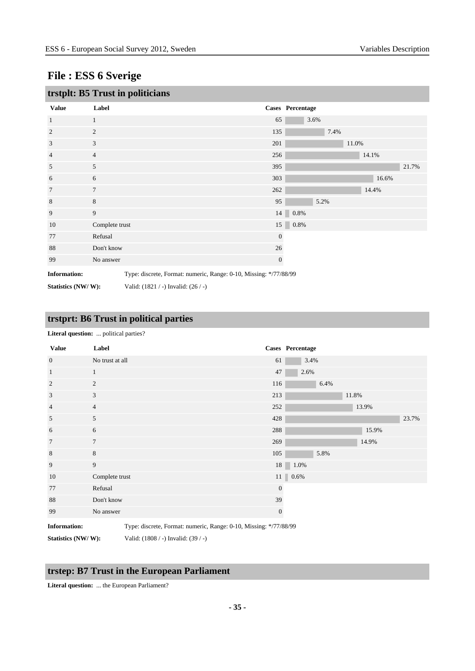| trstplt: B5 Trust in politicians                                                         |                |                                         |              |                  |       |       |       |
|------------------------------------------------------------------------------------------|----------------|-----------------------------------------|--------------|------------------|-------|-------|-------|
| <b>Value</b>                                                                             | Label          |                                         |              | Cases Percentage |       |       |       |
| 1                                                                                        | 1              |                                         | 65           | 3.6%             |       |       |       |
| $\overline{2}$                                                                           | $\mathfrak{2}$ |                                         | 135          | 7.4%             |       |       |       |
| 3                                                                                        | 3              |                                         | 201          |                  | 11.0% |       |       |
| 4                                                                                        | $\overline{4}$ |                                         | 256          |                  |       | 14.1% |       |
| 5                                                                                        | 5              |                                         | 395          |                  |       |       | 21.7% |
| 6                                                                                        | 6              |                                         | 303          |                  |       | 16.6% |       |
| 7                                                                                        | $\tau$         |                                         | 262          |                  |       | 14.4% |       |
| 8                                                                                        | $\,8\,$        |                                         | 95           | 5.2%             |       |       |       |
| 9                                                                                        | 9              |                                         |              | 14 0.8%          |       |       |       |
| 10                                                                                       | Complete trust |                                         |              | 15 0.8%          |       |       |       |
| 77                                                                                       | Refusal        |                                         | $\mathbf{0}$ |                  |       |       |       |
| 88                                                                                       | Don't know     |                                         | 26           |                  |       |       |       |
| 99                                                                                       | No answer      |                                         | $\mathbf{0}$ |                  |       |       |       |
| <b>Information:</b><br>Type: discrete, Format: numeric, Range: 0-10, Missing: */77/88/99 |                |                                         |              |                  |       |       |       |
| Statistics (NW/W):                                                                       |                | Valid: $(1821 / -)$ Invalid: $(26 / -)$ |              |                  |       |       |       |

# **trstprt: B6 Trust in political parties**

**Literal question:** ... political parties?

| <b>Value</b>        | Label                                                             |              | Cases Percentage               |
|---------------------|-------------------------------------------------------------------|--------------|--------------------------------|
| $\mathbf{0}$        | No trust at all                                                   | 61           | 3.4%                           |
| $\mathbf{1}$        | 1                                                                 | 47           | 2.6%                           |
| $\overline{2}$      | 2                                                                 | 116          | 6.4%                           |
| 3                   | $\mathfrak{Z}$                                                    | 213          | 11.8%                          |
| $\overline{4}$      | $\overline{4}$                                                    | 252          | 13.9%                          |
| 5                   | 5                                                                 | 428          | 23.7%                          |
| 6                   | 6                                                                 | 288          | 15.9%                          |
| $7\phantom{.0}$     | $\tau$                                                            | 269          | 14.9%                          |
| $\,8\,$             | $8\,$                                                             | 105          | 5.8%                           |
| 9                   | 9                                                                 |              | 18 1.0%                        |
| 10                  | Complete trust                                                    |              | $11$ $\begin{array}{ c }$ 0.6% |
| 77                  | Refusal                                                           | $\mathbf{0}$ |                                |
| 88                  | Don't know                                                        | 39           |                                |
| 99                  | No answer                                                         | $\mathbf{0}$ |                                |
| <b>Information:</b> | Type: discrete, Format: numeric, Range: 0-10, Missing: */77/88/99 |              |                                |

**Statistics (NW/ W):** Valid: (1808 / -) Invalid: (39 / -)

### **trstep: B7 Trust in the European Parliament**

**Literal question:** ... the European Parliament?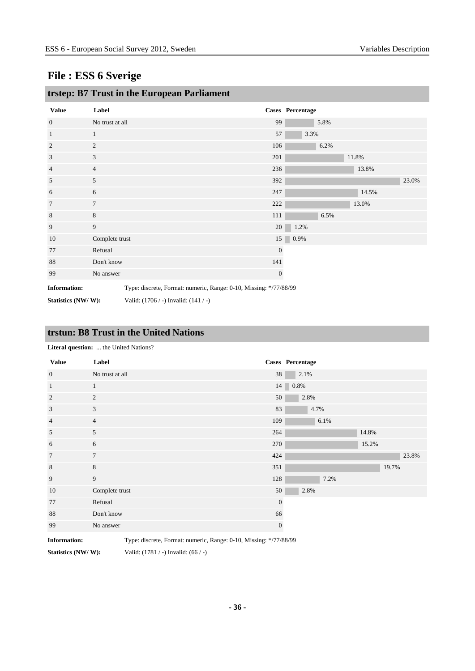| <b>Value</b>                                                                             | Label           |                                      |                  | Cases Percentage |       |       |
|------------------------------------------------------------------------------------------|-----------------|--------------------------------------|------------------|------------------|-------|-------|
| $\mathbf{0}$                                                                             | No trust at all |                                      | 99               | 5.8%             |       |       |
| $\mathbf{1}$                                                                             | $\mathbf{1}$    |                                      | 57               | 3.3%             |       |       |
| 2                                                                                        | $\overline{c}$  |                                      | 106              | 6.2%             |       |       |
| 3                                                                                        | 3               |                                      | 201              |                  | 11.8% |       |
| 4                                                                                        | $\overline{4}$  |                                      | 236              |                  | 13.8% |       |
| 5                                                                                        | 5               |                                      | 392              |                  |       | 23.0% |
| 6                                                                                        | 6               |                                      | 247              |                  | 14.5% |       |
| 7                                                                                        | $\overline{7}$  |                                      | 222              |                  | 13.0% |       |
| 8                                                                                        | 8               |                                      | 111              | 6.5%             |       |       |
| 9                                                                                        | 9               |                                      | 20               | 1.2%             |       |       |
| 10                                                                                       | Complete trust  |                                      |                  | $15 \ 0.9\%$     |       |       |
| 77                                                                                       | Refusal         |                                      | $\boldsymbol{0}$ |                  |       |       |
| 88                                                                                       | Don't know      |                                      | 141              |                  |       |       |
| 99                                                                                       | No answer       |                                      | $\mathbf{0}$     |                  |       |       |
| Type: discrete, Format: numeric, Range: 0-10, Missing: */77/88/99<br><b>Information:</b> |                 |                                      |                  |                  |       |       |
| Statistics (NW/W):                                                                       |                 | Valid: (1706 / -) Invalid: (141 / -) |                  |                  |       |       |

## **trstep: B7 Trust in the European Parliament**

#### **trstun: B8 Trust in the United Nations**

| <b>Enterur question.</b> the efficient and cons. |                 |                |                  |  |
|--------------------------------------------------|-----------------|----------------|------------------|--|
| <b>Value</b>                                     | Label           |                | Cases Percentage |  |
| $\boldsymbol{0}$                                 | No trust at all | 38             | 2.1%             |  |
| $\mathbf{1}$                                     | $\mathbf{1}$    |                | $14 \,$ 0.8%     |  |
| 2                                                | 2               | 50             | 2.8%             |  |
| 3                                                | 3               | 83             | 4.7%             |  |
| $\overline{4}$                                   | $\overline{4}$  | 109            | 6.1%             |  |
| 5                                                | $\mathfrak{S}$  | 264            | 14.8%            |  |
| 6                                                | 6               | 270            | 15.2%            |  |
| $7\phantom{.0}$                                  | $7\overline{ }$ | 424            | 23.8%            |  |
| $\,8\,$                                          | 8               | 351            | 19.7%            |  |
| 9                                                | $\overline{9}$  | 128            | 7.2%             |  |
| 10                                               | Complete trust  | 50             | 2.8%             |  |
| 77                                               | Refusal         | $\overline{0}$ |                  |  |
| 88                                               | Don't know      | 66             |                  |  |
| 99                                               | No answer       | $\mathbf{0}$   |                  |  |

**Literal question:** ... the United Nations?

**Information:** Type: discrete, Format: numeric, Range: 0-10, Missing: \*/77/88/99

**Statistics (NW/ W):** Valid: (1781 / -) Invalid: (66 / -)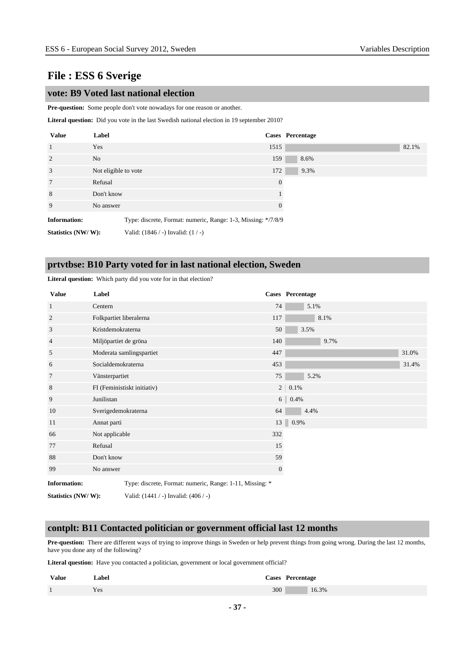#### **vote: B9 Voted last national election**

**Pre-question:** Some people don't vote nowadays for one reason or another.

Literal question: Did you vote in the last Swedish national election in 19 september 2010?

| <b>Value</b>        | Label                |                                                               |          | Cases Percentage |       |
|---------------------|----------------------|---------------------------------------------------------------|----------|------------------|-------|
| $\overline{1}$      | Yes                  |                                                               | 1515     |                  | 82.1% |
| 2                   | N <sub>o</sub>       |                                                               | 159      | 8.6%             |       |
| 3                   | Not eligible to vote |                                                               | 172      | 9.3%             |       |
| $7\phantom{.0}$     | Refusal              |                                                               | $\theta$ |                  |       |
| 8                   | Don't know           |                                                               |          |                  |       |
| 9                   | No answer            |                                                               | $\theta$ |                  |       |
| <b>Information:</b> |                      | Type: discrete, Format: numeric, Range: 1-3, Missing: */7/8/9 |          |                  |       |
| Statistics (NW/W):  |                      | Valid: $(1846 / -)$ Invalid: $(1 / -)$                        |          |                  |       |

#### **prtvtbse: B10 Party voted for in last national election, Sweden**

| <b>Value</b>        | Label                       |                                                          |               | Cases Percentage |  |
|---------------------|-----------------------------|----------------------------------------------------------|---------------|------------------|--|
| 1                   | Centern                     |                                                          | 74            | 5.1%             |  |
| $\overline{2}$      |                             | Folkpartiet liberalerna                                  | 117           | 8.1%             |  |
| 3                   | Kristdemokraterna           |                                                          | 50            | 3.5%             |  |
| 4                   | Miljöpartiet de gröna       |                                                          | 140           | 9.7%             |  |
| 5                   |                             | Moderata samlingspartiet                                 | 447           | 31.0%            |  |
| 6                   | Socialdemokraterna          |                                                          | 453           | 31.4%            |  |
| 7                   | Vänsterpartiet              |                                                          | 75            | 5.2%             |  |
| $\,8$               | FI (Feministiskt initiativ) |                                                          | 2             | 0.1%             |  |
| 9                   | Junilistan                  |                                                          | $6 \parallel$ | 0.4%             |  |
| 10                  | Sverigedemokraterna         |                                                          | 64            | 4.4%             |  |
| 11                  | Annat parti                 |                                                          |               | 13 0.9%          |  |
| 66                  | Not applicable              |                                                          | 332           |                  |  |
| 77                  | Refusal                     |                                                          | 15            |                  |  |
| 88                  | Don't know                  |                                                          | 59            |                  |  |
| 99                  | No answer                   |                                                          | $\mathbf{0}$  |                  |  |
| <b>Information:</b> |                             | Type: discrete, Format: numeric, Range: 1-11, Missing: * |               |                  |  |
| Statistics (NW/W):  |                             | Valid: $(1441 / -)$ Invalid: $(406 / -)$                 |               |                  |  |

**Literal question:** Which party did you vote for in that election?

#### **contplt: B11 Contacted politician or government official last 12 months**

**Pre-question:** There are different ways of trying to improve things in Sweden or help prevent things from going wrong. During the last 12 months, have you done any of the following?

**Literal question:** Have you contacted a politician, government or local government official?

| <b>Value</b> | Label | Cases Percentage |
|--------------|-------|------------------|
|              | Yes   | 300<br>16.3%     |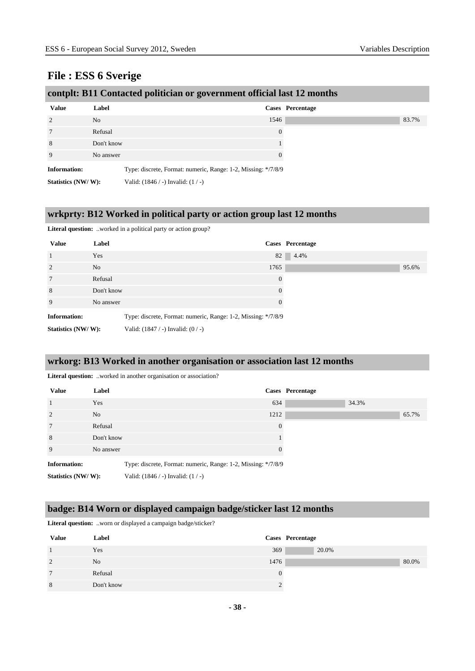|                     |                | contplt: B11 Contacted politician or government official last 12 months |
|---------------------|----------------|-------------------------------------------------------------------------|
| <b>Value</b>        | Label          | Cases Percentage                                                        |
| $\mathcal{D}$       | N <sub>o</sub> | 1546                                                                    |
|                     | Refusal        | $\Omega$                                                                |
| 8                   | Don't know     |                                                                         |
| 9                   | No answer      |                                                                         |
| <b>Information:</b> |                | Type: discrete, Format: numeric, Range: 1-2, Missing: */7/8/9           |
| Statistics (NW/W):  |                | Valid: $(1846 / -)$ Invalid: $(1 / -)$                                  |

# **wrkprty: B12 Worked in political party or action group last 12 months**

#### Literal question: ..worked in a political party or action group?

| <b>Value</b>        | Label      | Cases Percentage                                              |       |
|---------------------|------------|---------------------------------------------------------------|-------|
| $\overline{1}$      | Yes        | 82<br>4.4%                                                    |       |
| 2                   | No         | 1765                                                          | 95.6% |
| $7\phantom{.0}$     | Refusal    | $\theta$                                                      |       |
| 8                   | Don't know | $\Omega$                                                      |       |
| 9                   | No answer  | $\Omega$                                                      |       |
| <b>Information:</b> |            | Type: discrete, Format: numeric, Range: 1-2, Missing: */7/8/9 |       |
| Statistics (NW/W):  |            | Valid: $(1847 / -)$ Invalid: $(0 / -)$                        |       |

#### **wrkorg: B13 Worked in another organisation or association last 12 months**

Literal question: ..worked in another organisation or association?

| <b>Value</b>        | Label          |                                                               |                | Cases Percentage |       |       |
|---------------------|----------------|---------------------------------------------------------------|----------------|------------------|-------|-------|
| $\overline{1}$      | Yes            |                                                               | 634            |                  | 34.3% |       |
| 2                   | N <sub>o</sub> |                                                               | 1212           |                  |       | 65.7% |
| $7\phantom{.0}$     | Refusal        |                                                               | $\overline{0}$ |                  |       |       |
| 8                   | Don't know     |                                                               |                |                  |       |       |
| 9                   | No answer      |                                                               | $\theta$       |                  |       |       |
| <b>Information:</b> |                | Type: discrete, Format: numeric, Range: 1-2, Missing: */7/8/9 |                |                  |       |       |
| Statistics (NW/W):  |                | Valid: $(1846 / -)$ Invalid: $(1 / -)$                        |                |                  |       |       |

#### **badge: B14 Worn or displayed campaign badge/sticker last 12 months**

**Literal question:** ..worn or displayed a campaign badge/sticker?

| <b>Value</b>   | Label      |          | Cases Percentage |
|----------------|------------|----------|------------------|
|                | Yes        | 369      | 20.0%            |
| $\overline{2}$ | No         | 1476     | 80.0%            |
| $\mathcal{I}$  | Refusal    | $\Omega$ |                  |
| 8              | Don't know |          |                  |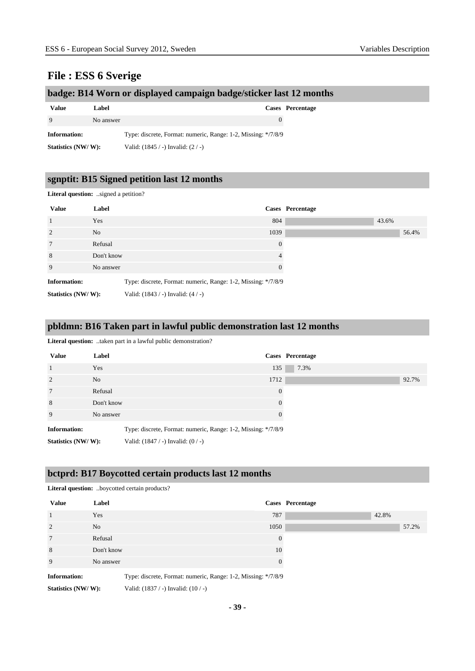## **badge: B14 Worn or displayed campaign badge/sticker last 12 months**

| Value              | Label     |                                                               | <b>Cases</b> Percentage |
|--------------------|-----------|---------------------------------------------------------------|-------------------------|
| <sup>Q</sup>       | No answer |                                                               |                         |
| Information:       |           | Type: discrete, Format: numeric, Range: 1-2, Missing: */7/8/9 |                         |
| Statistics (NW/W): |           | Valid: $(1845 / -)$ Invalid: $(2 / -)$                        |                         |

#### **sgnptit: B15 Signed petition last 12 months**

**Literal question:** ..signed a petition?

| <b>Value</b>        | Label          |                                                               |          | Cases Percentage |       |
|---------------------|----------------|---------------------------------------------------------------|----------|------------------|-------|
| $\overline{1}$      | Yes            | 804                                                           |          |                  | 43.6% |
| $\overline{2}$      | N <sub>o</sub> | 1039                                                          |          |                  |       |
| $7\phantom{.0}$     | Refusal        |                                                               | $\Omega$ |                  |       |
| 8                   | Don't know     |                                                               |          |                  |       |
| 9                   | No answer      |                                                               | $\Omega$ |                  |       |
| <b>Information:</b> |                | Type: discrete, Format: numeric, Range: 1-2, Missing: */7/8/9 |          |                  |       |
| Statistics (NW/W):  |                | Valid: $(1843 / -)$ Invalid: $(4 / -)$                        |          |                  |       |

#### **pbldmn: B16 Taken part in lawful public demonstration last 12 months**

**Literal question:** ..taken part in a lawful public demonstration?

| <b>Value</b>        | Label      |                                                               |                | Cases Percentage |       |
|---------------------|------------|---------------------------------------------------------------|----------------|------------------|-------|
| $\overline{1}$      | Yes        |                                                               | 135            | 7.3%             |       |
| 2                   | No.        |                                                               | 1712           |                  | 92.7% |
| $7\phantom{.0}$     | Refusal    |                                                               | $\overline{0}$ |                  |       |
| 8                   | Don't know |                                                               | $\Omega$       |                  |       |
| 9                   | No answer  |                                                               | $\Omega$       |                  |       |
| <b>Information:</b> |            | Type: discrete, Format: numeric, Range: 1-2, Missing: */7/8/9 |                |                  |       |
| Statistics (NW/W):  |            | Valid: $(1847 / -)$ Invalid: $(0 / -)$                        |                |                  |       |

## **bctprd: B17 Boycotted certain products last 12 months**

| <b>Value</b>        | Label      | Cases Percentage                                              |
|---------------------|------------|---------------------------------------------------------------|
| $\overline{1}$      | Yes        | 787                                                           |
| 2                   | No.        | 1050                                                          |
| $7\phantom{.0}$     | Refusal    | $\overline{0}$                                                |
| 8                   | Don't know | 10                                                            |
| 9                   | No answer  | $\Omega$                                                      |
| <b>Information:</b> |            | Type: discrete, Format: numeric, Range: 1-2, Missing: */7/8/9 |
| Statistics (NW/W):  |            | Valid: $(1837 / -)$ Invalid: $(10 / -)$                       |

**Literal question:** ..boycotted certain products?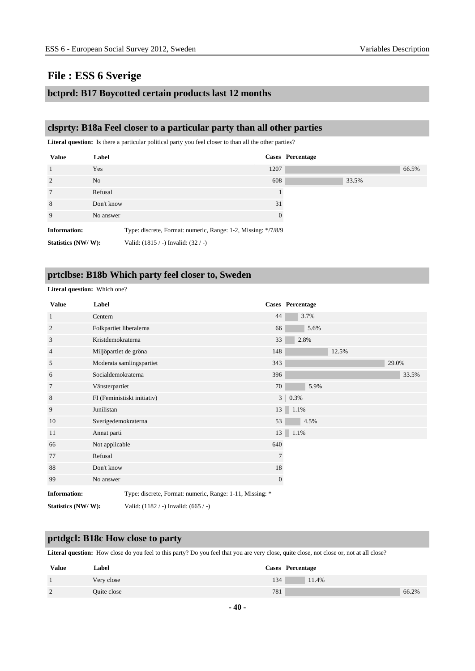#### **bctprd: B17 Boycotted certain products last 12 months**

#### **clsprty: B18a Feel closer to a particular party than all other parties**

**Literal question:** Is there a particular political party you feel closer to than all the other parties?

| <b>Value</b>        | Label          |                                                               |          | Cases Percentage |       |       |
|---------------------|----------------|---------------------------------------------------------------|----------|------------------|-------|-------|
| $\overline{1}$      | Yes            |                                                               | 1207     |                  |       | 66.5% |
| $\overline{2}$      | N <sub>o</sub> |                                                               | 608      |                  | 33.5% |       |
| $7\phantom{.0}$     | Refusal        |                                                               |          |                  |       |       |
| 8                   | Don't know     |                                                               | 31       |                  |       |       |
| 9                   | No answer      |                                                               | $\Omega$ |                  |       |       |
| <b>Information:</b> |                | Type: discrete, Format: numeric, Range: 1-2, Missing: */7/8/9 |          |                  |       |       |
| Statistics (NW/W):  |                | Valid: $(1815 / -)$ Invalid: $(32 / -)$                       |          |                  |       |       |

### **prtclbse: B18b Which party feel closer to, Sweden**

**Literal question:** Which one?

| <b>Value</b>        | Label                                                    |                                          |                | <b>Cases</b> Percentage |       |       |
|---------------------|----------------------------------------------------------|------------------------------------------|----------------|-------------------------|-------|-------|
| $\mathbf{1}$        | Centern                                                  |                                          | 44             | 3.7%                    |       |       |
| $\overline{c}$      | Folkpartiet liberalerna                                  |                                          | 66             | 5.6%                    |       |       |
| 3                   | Kristdemokraterna                                        |                                          | 33             | 2.8%                    |       |       |
| $\overline{4}$      | Miljöpartiet de gröna                                    |                                          | 148            |                         | 12.5% |       |
| 5                   |                                                          | Moderata samlingspartiet                 | 343            |                         |       | 29.0% |
| 6                   | Socialdemokraterna                                       |                                          | 396            |                         |       | 33.5% |
| 7                   | Vänsterpartiet                                           |                                          | 70             | 5.9%                    |       |       |
| 8                   |                                                          | FI (Feministiskt initiativ)              | 3 <sup>1</sup> | 0.3%                    |       |       |
| 9                   | Junilistan                                               |                                          |                | $13 \ 1.1\%$            |       |       |
| 10                  | Sverigedemokraterna                                      |                                          | 53             | 4.5%                    |       |       |
| 11                  | Annat parti                                              |                                          | 13             | 1.1%                    |       |       |
| 66                  | Not applicable                                           |                                          | 640            |                         |       |       |
| 77                  | Refusal                                                  |                                          | 7              |                         |       |       |
| 88                  | Don't know                                               |                                          | 18             |                         |       |       |
| 99                  | No answer                                                |                                          | $\mathbf{0}$   |                         |       |       |
| <b>Information:</b> | Type: discrete, Format: numeric, Range: 1-11, Missing: * |                                          |                |                         |       |       |
| Statistics (NW/W):  |                                                          | Valid: $(1182 / -)$ Invalid: $(665 / -)$ |                |                         |       |       |

#### **prtdgcl: B18c How close to party**

Literal question: How close do you feel to this party? Do you feel that you are very close, quite close, not close or, not at all close?

| <b>Value</b>  | Label       | Cases Percentage |
|---------------|-------------|------------------|
|               | Very close  | 134<br>11.4%     |
| $\mathcal{D}$ | Quite close | 781<br>66.2%     |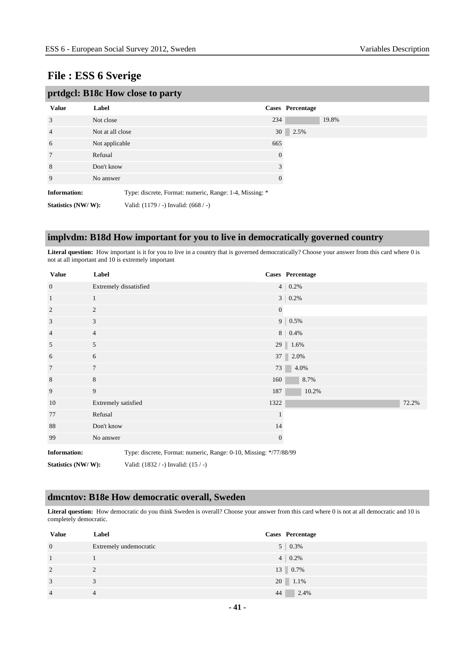| prtdgcl: B18c How close to party |                  |                                                         |          |                         |  |
|----------------------------------|------------------|---------------------------------------------------------|----------|-------------------------|--|
| <b>Value</b>                     | Label            |                                                         |          | <b>Cases</b> Percentage |  |
| 3                                | Not close        |                                                         | 234      | 19.8%                   |  |
| $\overline{4}$                   | Not at all close |                                                         | 30       | 2.5%                    |  |
| 6                                | Not applicable   |                                                         | 665      |                         |  |
| 7                                | Refusal          |                                                         | $\theta$ |                         |  |
| 8                                | Don't know       |                                                         | 3        |                         |  |
| 9                                | No answer        |                                                         | $\theta$ |                         |  |
| <b>Information:</b>              |                  | Type: discrete, Format: numeric, Range: 1-4, Missing: * |          |                         |  |
| Statistics (NW/W):               |                  | Valid: (1179 / -) Invalid: (668 / -)                    |          |                         |  |

#### **implvdm: B18d How important for you to live in democratically governed country**

Literal question: How important is it for you to live in a country that is governed democratically? Choose your answer from this card where 0 is not at all important and 10 is extremely important

| <b>Value</b>        | Label                  |                                                                   |                  | Cases Percentage     |
|---------------------|------------------------|-------------------------------------------------------------------|------------------|----------------------|
| $\mathbf{0}$        | Extremely dissatisfied |                                                                   |                  | $4   0.2\%$          |
| $\mathbf{1}$        | $\mathbf{1}$           |                                                                   |                  | $3 \mid 0.2\%$       |
| $\overline{2}$      | $\overline{c}$         |                                                                   | $\overline{0}$   |                      |
| 3                   | 3                      |                                                                   |                  | $9   0.5\%$          |
| $\overline{4}$      | $\overline{4}$         |                                                                   |                  | 8 0.4%               |
| 5                   | 5                      |                                                                   |                  | 29 $\sqrt{ }$ 1.6%   |
| 6                   | 6                      |                                                                   |                  | $37 \parallel 2.0\%$ |
| 7                   | $\overline{7}$         |                                                                   |                  | 73<br>4.0%           |
| $\,8\,$             | $\,8\,$                |                                                                   | 160              | 8.7%                 |
| 9                   | 9                      |                                                                   | 187              | 10.2%                |
| 10                  | Extremely satisfied    |                                                                   | 1322             | 72.2%                |
| 77                  | Refusal                |                                                                   | $\mathbf{1}$     |                      |
| 88                  | Don't know             |                                                                   | 14               |                      |
| 99                  | No answer              |                                                                   | $\boldsymbol{0}$ |                      |
| <b>Information:</b> |                        | Type: discrete, Format: numeric, Range: 0-10, Missing: */77/88/99 |                  |                      |
| Statistics (NW/W):  |                        | Valid: (1832 / -) Invalid: (15 / -)                               |                  |                      |

#### **dmcntov: B18e How democratic overall, Sweden**

**Literal question:** How democratic do you think Sweden is overall? Choose your answer from this card where 0 is not at all democratic and 10 is completely democratic.

| <b>Value</b>   | Label                  | Cases Percentage |
|----------------|------------------------|------------------|
| $\overline{0}$ | Extremely undemocratic | $5 \mid 0.3\%$   |
| $\blacksquare$ |                        | $4 \mid 0.2\%$   |
| 2              |                        | 13 0.7%          |
| 3              |                        | 20 1.1%          |
| $\overline{4}$ |                        | 2.4%<br>44       |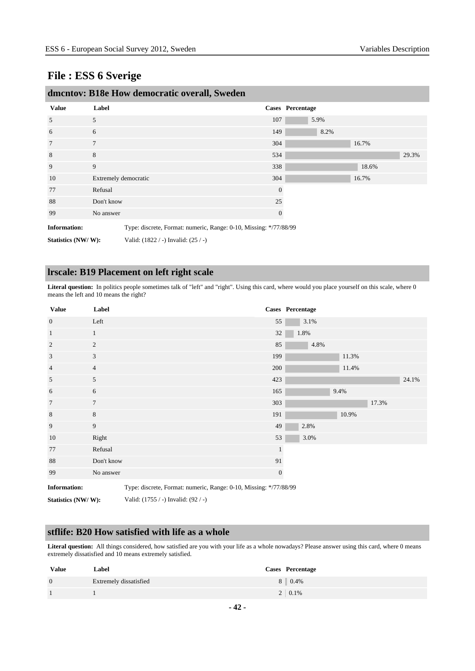| unichtov. Droc Tiow democratic overall, Sweden                                           |                      |                                     |              |                  |       |       |
|------------------------------------------------------------------------------------------|----------------------|-------------------------------------|--------------|------------------|-------|-------|
| <b>Value</b>                                                                             | Label                |                                     |              | Cases Percentage |       |       |
| 5                                                                                        | 5                    |                                     | 107          | 5.9%             |       |       |
| 6                                                                                        | 6                    |                                     | 149          | 8.2%             |       |       |
| 7                                                                                        | $\overline{7}$       |                                     | 304          |                  | 16.7% |       |
| 8                                                                                        | 8                    |                                     | 534          |                  |       | 29.3% |
| 9                                                                                        | 9                    |                                     | 338          |                  | 18.6% |       |
| 10                                                                                       | Extremely democratic |                                     | 304          |                  | 16.7% |       |
| 77                                                                                       | Refusal              |                                     | $\mathbf{0}$ |                  |       |       |
| 88                                                                                       | Don't know           |                                     | 25           |                  |       |       |
| 99                                                                                       | No answer            |                                     | $\mathbf{0}$ |                  |       |       |
| <b>Information:</b><br>Type: discrete, Format: numeric, Range: 0-10, Missing: */77/88/99 |                      |                                     |              |                  |       |       |
| Statistics (NW/W):                                                                       |                      | Valid: (1822 / -) Invalid: (25 / -) |              |                  |       |       |

# **dmcntov: B18e How democratic overall, Sweden**

#### **lrscale: B19 Placement on left right scale**

Literal question: In politics people sometimes talk of "left" and "right". Using this card, where would you place yourself on this scale, where 0 means the left and 10 means the right?

| <b>Value</b>        | Label                                                             |              | Cases Percentage |
|---------------------|-------------------------------------------------------------------|--------------|------------------|
| $\mathbf{0}$        | Left                                                              | 55           | 3.1%             |
| $\mathbf{1}$        | $\mathbf{1}$                                                      | $32\,$       | 1.8%             |
| 2                   | 2                                                                 | 85           | 4.8%             |
| 3                   | 3                                                                 | 199          | 11.3%            |
| $\overline{4}$      | $\overline{4}$                                                    | 200          | 11.4%            |
| 5                   | 5                                                                 | 423          | 24.1%            |
| 6                   | 6                                                                 | 165          | 9.4%             |
| $7\phantom{.0}$     | $\tau$                                                            | 303          | 17.3%            |
| 8                   | $\,8$                                                             | 191          | 10.9%            |
| 9                   | 9                                                                 | 49           | 2.8%             |
| 10                  | Right                                                             | 53           | 3.0%             |
| 77                  | Refusal                                                           | $\mathbf{1}$ |                  |
| 88                  | Don't know                                                        | 91           |                  |
| 99                  | No answer                                                         | $\mathbf{0}$ |                  |
| <b>Information:</b> | Type: discrete, Format: numeric, Range: 0-10, Missing: */77/88/99 |              |                  |

**Statistics (NW/ W):** Valid: (1755 / -) Invalid: (92 / -)

#### **stflife: B20 How satisfied with life as a whole**

**Literal question:** All things considered, how satisfied are you with your life as a whole nowadays? Please answer using this card, where 0 means extremely dissatisfied and 10 means extremely satisfied.

| <b>Value</b>   | Label                  | Cases Percentage |
|----------------|------------------------|------------------|
| $\overline{0}$ | Extremely dissatisfied | 8 0.4%           |
|                |                        | $2 \mid 0.1\%$   |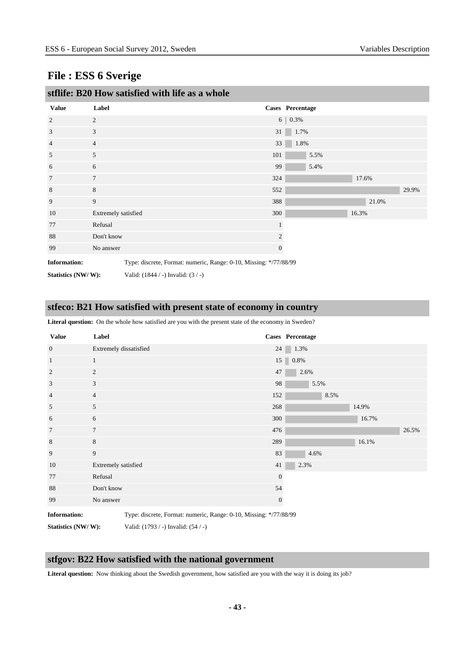|                     |                     | stflife: B20 How satisfied with life as a whole                   |     |              |                  |       |       |
|---------------------|---------------------|-------------------------------------------------------------------|-----|--------------|------------------|-------|-------|
| <b>Value</b>        | Label               |                                                                   |     |              | Cases Percentage |       |       |
| $\overline{2}$      | $\overline{2}$      |                                                                   |     |              | 6 0.3%           |       |       |
| 3                   | 3                   |                                                                   | 31  |              | 1.7%             |       |       |
| 4                   | $\overline{4}$      |                                                                   | 33  |              | 1.8%             |       |       |
| 5                   | 5                   |                                                                   | 101 |              | 5.5%             |       |       |
| 6                   | 6                   |                                                                   | 99  |              | 5.4%             |       |       |
| 7                   | $\overline{7}$      |                                                                   | 324 |              |                  | 17.6% |       |
| 8                   | 8                   |                                                                   | 552 |              |                  |       | 29.9% |
| 9                   | 9                   |                                                                   | 388 |              |                  | 21.0% |       |
| 10                  | Extremely satisfied |                                                                   | 300 |              |                  | 16.3% |       |
| 77                  | Refusal             |                                                                   |     |              |                  |       |       |
| 88                  | Don't know          |                                                                   |     | 2            |                  |       |       |
| 99                  | No answer           |                                                                   |     | $\mathbf{0}$ |                  |       |       |
| <b>Information:</b> |                     | Type: discrete, Format: numeric, Range: 0-10, Missing: */77/88/99 |     |              |                  |       |       |
| Statistics (NW/W):  |                     | Valid: $(1844 / -)$ Invalid: $(3 / -)$                            |     |              |                  |       |       |

#### **stfeco: B21 How satisfied with present state of economy in country**

**Literal question:** On the whole how satisfied are you with the present state of the economy in Sweden?

| <b>Value</b>        | Label                  |                                                                   |              | Cases Percentage            |       |       |
|---------------------|------------------------|-------------------------------------------------------------------|--------------|-----------------------------|-------|-------|
| $\overline{0}$      | Extremely dissatisfied |                                                                   | 24           | 1.3%                        |       |       |
| $\mathbf{1}$        | $\mathbf{1}$           |                                                                   |              | $15$ $\blacksquare$ $0.8\%$ |       |       |
| 2                   | 2                      |                                                                   | 47           | 2.6%                        |       |       |
| 3                   | 3                      |                                                                   | 98           | 5.5%                        |       |       |
| $\overline{4}$      | $\overline{4}$         |                                                                   | 152          | 8.5%                        |       |       |
| 5                   | 5                      |                                                                   | 268          |                             | 14.9% |       |
| 6                   | 6                      |                                                                   | 300          |                             | 16.7% |       |
| $7\phantom{.0}$     | $\tau$                 |                                                                   | 476          |                             |       | 26.5% |
| 8                   | $8\,$                  |                                                                   | 289          |                             | 16.1% |       |
| 9                   | 9                      |                                                                   | 83           | 4.6%                        |       |       |
| 10                  | Extremely satisfied    |                                                                   | 41           | 2.3%                        |       |       |
| 77                  | Refusal                |                                                                   | $\mathbf{0}$ |                             |       |       |
| 88                  | Don't know             |                                                                   | 54           |                             |       |       |
| 99                  | No answer              |                                                                   | $\mathbf{0}$ |                             |       |       |
| <b>Information:</b> |                        | Type: discrete, Format: numeric, Range: 0-10, Missing: */77/88/99 |              |                             |       |       |
| Statistics (NW/W):  |                        | Valid: (1793 / -) Invalid: (54 / -)                               |              |                             |       |       |

#### **stfgov: B22 How satisfied with the national government**

Literal question: Now thinking about the Swedish government, how satisfied are you with the way it is doing its job?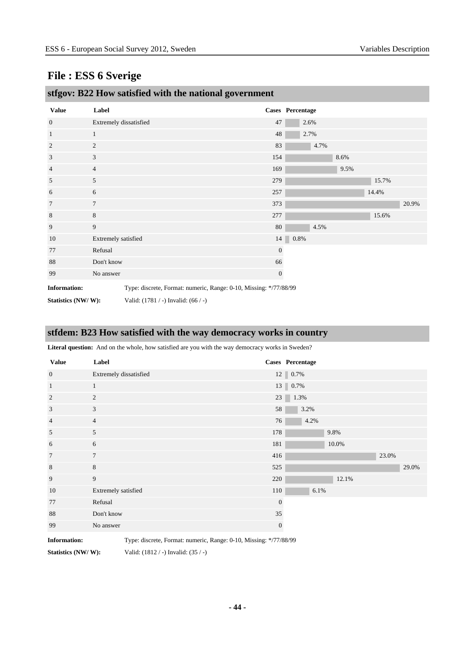| $\mathbf{\mathcal{C}}$ |                        |                                                                   | $\mathbf{\mathbf{C}}$ |                  |      |      |       |       |
|------------------------|------------------------|-------------------------------------------------------------------|-----------------------|------------------|------|------|-------|-------|
| <b>Value</b>           | Label                  |                                                                   |                       | Cases Percentage |      |      |       |       |
| $\overline{0}$         | Extremely dissatisfied |                                                                   | 47                    | 2.6%             |      |      |       |       |
| $\mathbf{1}$           | $\mathbf{1}$           |                                                                   | 48                    | 2.7%             |      |      |       |       |
| $\overline{c}$         | $\overline{c}$         |                                                                   | 83                    |                  | 4.7% |      |       |       |
| 3                      | 3                      |                                                                   | 154                   |                  |      | 8.6% |       |       |
| 4                      | $\overline{4}$         |                                                                   | 169                   |                  |      | 9.5% |       |       |
| 5                      | 5                      |                                                                   | 279                   |                  |      |      | 15.7% |       |
| 6                      | 6                      |                                                                   | 257                   |                  |      |      | 14.4% |       |
| 7                      | $\overline{7}$         |                                                                   | 373                   |                  |      |      |       | 20.9% |
| 8                      | $\,8$                  |                                                                   | 277                   |                  |      |      | 15.6% |       |
| 9                      | 9                      |                                                                   | 80                    |                  | 4.5% |      |       |       |
| 10                     | Extremely satisfied    |                                                                   | 14                    | 0.8%             |      |      |       |       |
| 77                     | Refusal                |                                                                   | $\mathbf{0}$          |                  |      |      |       |       |
| 88                     | Don't know             |                                                                   | 66                    |                  |      |      |       |       |
| 99                     | No answer              |                                                                   | $\mathbf{0}$          |                  |      |      |       |       |
| <b>Information:</b>    |                        | Type: discrete, Format: numeric, Range: 0-10, Missing: */77/88/99 |                       |                  |      |      |       |       |
| Statistics (NW/W):     |                        | Valid: $(1781 / -)$ Invalid: $(66 / -)$                           |                       |                  |      |      |       |       |

#### **stfgov: B22 How satisfied with the national government**

## **stfdem: B23 How satisfied with the way democracy works in country**

**Literal question:** And on the whole, how satisfied are you with the way democracy works in Sweden?

| <b>Value</b>    | Label                  |     | Cases Percentage                            |
|-----------------|------------------------|-----|---------------------------------------------|
| $\overline{0}$  | Extremely dissatisfied |     | $12 \begin{array}{ c c } 0.7\% \end{array}$ |
| $\mathbf{1}$    | $\mathbf{1}$           |     | 13 0.7%                                     |
| 2               | 2                      |     | $23 \ 1.3\%$                                |
| 3               | 3                      | 58  | 3.2%                                        |
| $\overline{4}$  | $\overline{4}$         | 76  | 4.2%                                        |
| 5               | 5                      | 178 | 9.8%                                        |
| 6               | 6                      | 181 | 10.0%                                       |
| $7\phantom{.0}$ | $7\phantom{.0}$        | 416 | 23.0%                                       |
| 8               | $\,8\,$                | 525 | 29.0%                                       |
| 9               | 9                      | 220 | 12.1%                                       |
| 10              | Extremely satisfied    | 110 | 6.1%                                        |
| 77              | Refusal                |     | $\mathbf{0}$                                |
| 88              | Don't know             | 35  |                                             |
| 99              | No answer              |     | $\mathbf{0}$                                |

**Information:** Type: discrete, Format: numeric, Range: 0-10, Missing: \*/77/88/99

**Statistics (NW/ W):** Valid: (1812 / -) Invalid: (35 / -)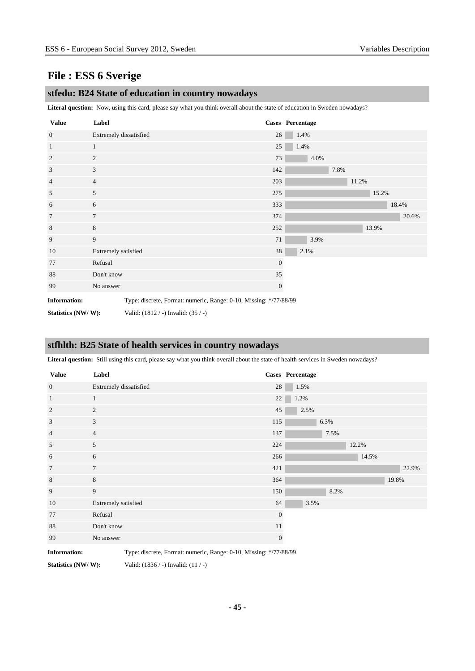#### **stfedu: B24 State of education in country nowadays**

**Literal question:** Now, using this card, please say what you think overall about the state of education in Sweden nowadays?

| <b>Value</b>        | Label                  |                                                                   | Cases Percentage |      |      |       |       |       |       |
|---------------------|------------------------|-------------------------------------------------------------------|------------------|------|------|-------|-------|-------|-------|
| $\overline{0}$      | Extremely dissatisfied |                                                                   | 26               | 1.4% |      |       |       |       |       |
| $\mathbf{1}$        | $\mathbf{1}$           |                                                                   | 25               | 1.4% |      |       |       |       |       |
| $\overline{2}$      | $\overline{c}$         |                                                                   | 73               | 4.0% |      |       |       |       |       |
| 3                   | 3                      |                                                                   | 142              |      | 7.8% |       |       |       |       |
| $\overline{4}$      | $\overline{4}$         |                                                                   | 203              |      |      | 11.2% |       |       |       |
| 5                   | 5                      |                                                                   | 275              |      |      |       | 15.2% |       |       |
| 6                   | 6                      |                                                                   | 333              |      |      |       |       | 18.4% |       |
| $\overline{7}$      | $\overline{7}$         |                                                                   | 374              |      |      |       |       |       | 20.6% |
| 8                   | 8                      |                                                                   | 252              |      |      |       | 13.9% |       |       |
| 9                   | 9                      |                                                                   | 71               | 3.9% |      |       |       |       |       |
| 10                  | Extremely satisfied    |                                                                   | 38               | 2.1% |      |       |       |       |       |
| 77                  | Refusal                |                                                                   | $\mathbf{0}$     |      |      |       |       |       |       |
| 88                  | Don't know             |                                                                   | 35               |      |      |       |       |       |       |
| 99                  | No answer              |                                                                   | $\mathbf{0}$     |      |      |       |       |       |       |
| <b>Information:</b> |                        | Type: discrete, Format: numeric, Range: 0-10, Missing: */77/88/99 |                  |      |      |       |       |       |       |
| Statistics (NW/W):  |                        | Valid: (1812 / -) Invalid: (35 / -)                               |                  |      |      |       |       |       |       |

#### **stfhlth: B25 State of health services in country nowadays**

**Literal question:** Still using this card, please say what you think overall about the state of health services in Sweden nowadays?

| <b>Value</b>   | Label                  |              | Cases Percentage |
|----------------|------------------------|--------------|------------------|
| $\mathbf{0}$   | Extremely dissatisfied | 28           | 1.5%             |
| $\mathbf{1}$   | $\mathbf{1}$           | $22\,$       | 1.2%             |
| 2              | 2                      | 45           | 2.5%             |
| 3              | 3                      | 115          | 6.3%             |
| $\overline{4}$ | $\overline{4}$         | 137          | 7.5%             |
| 5              | 5                      | 224          | 12.2%            |
| 6              | 6                      | 266          | 14.5%            |
| $\overline{7}$ | $7\phantom{.0}$        | 421          | 22.9%            |
| $\,8\,$        | $8\,$                  | 364          | 19.8%            |
| 9              | 9                      | 150          | 8.2%             |
| 10             | Extremely satisfied    | 64           | 3.5%             |
| 77             | Refusal                | $\mathbf{0}$ |                  |
| 88             | Don't know             | 11           |                  |
| 99             | No answer              | $\mathbf{0}$ |                  |

**Information:** Type: discrete, Format: numeric, Range: 0-10, Missing: \*/77/88/99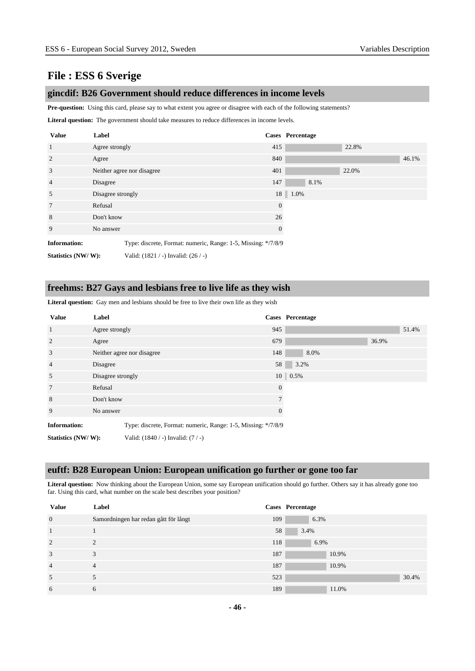#### **gincdif: B26 Government should reduce differences in income levels**

Pre-question: Using this card, please say to what extent you agree or disagree with each of the following statements?

**Literal question:** The government should take measures to reduce differences in income levels.

| <b>Value</b>        | Label             |                                                               |              | Cases Percentage |       |       |
|---------------------|-------------------|---------------------------------------------------------------|--------------|------------------|-------|-------|
| $\mathbf{1}$        | Agree strongly    |                                                               | 415          |                  | 22.8% |       |
| 2                   | Agree             |                                                               | 840          |                  |       | 46.1% |
| 3                   |                   | Neither agree nor disagree                                    | 401          |                  | 22.0% |       |
| $\overline{4}$      | Disagree          |                                                               | 147          | 8.1%             |       |       |
| 5                   | Disagree strongly |                                                               |              | $18$   1.0%      |       |       |
| 7                   | Refusal           |                                                               | $\theta$     |                  |       |       |
| 8                   |                   | Don't know                                                    |              |                  |       |       |
| 9                   | No answer         |                                                               | $\mathbf{0}$ |                  |       |       |
| <b>Information:</b> |                   | Type: discrete, Format: numeric, Range: 1-5, Missing: */7/8/9 |              |                  |       |       |
| Statistics (NW/W):  |                   | Valid: $(1821 / -)$ Invalid: $(26 / -)$                       |              |                  |       |       |

#### **freehms: B27 Gays and lesbians free to live life as they wish**

Literal question: Gay men and lesbians should be free to live their own life as they wish

| <b>Value</b>        | Label          |                                                               |                | Cases Percentage   |       |       |
|---------------------|----------------|---------------------------------------------------------------|----------------|--------------------|-------|-------|
| $\mathbf{1}$        | Agree strongly |                                                               | 945            |                    |       | 51.4% |
| 2                   | Agree          |                                                               | 679            |                    | 36.9% |       |
| 3                   |                | Neither agree nor disagree                                    | 148            | 8.0%               |       |       |
| $\overline{4}$      | Disagree       |                                                               | 58             | 3.2%               |       |       |
| 5                   |                | Disagree strongly                                             |                | $10 \,   \, 0.5\%$ |       |       |
| $7\phantom{.0}$     | Refusal        |                                                               | $\overline{0}$ |                    |       |       |
| 8                   | Don't know     |                                                               |                |                    |       |       |
| 9                   | No answer      |                                                               | $\theta$       |                    |       |       |
| <b>Information:</b> |                | Type: discrete, Format: numeric, Range: 1-5, Missing: */7/8/9 |                |                    |       |       |
| Statistics (NW/W):  |                | Valid: $(1840 / -)$ Invalid: $(7 / -)$                        |                |                    |       |       |

#### **euftf: B28 European Union: European unification go further or gone too far**

**Literal question:** Now thinking about the European Union, some say European unification should go further. Others say it has already gone too far. Using this card, what number on the scale best describes your position?

| <b>Value</b>   | Label                                 |     | Cases Percentage |
|----------------|---------------------------------------|-----|------------------|
| $\overline{0}$ | Samordningen har redan gått för långt | 109 | 6.3%             |
|                |                                       | 58  | 3.4%             |
| $\overline{2}$ | $\gamma$                              | 118 | 6.9%             |
| 3              | 3                                     | 187 | 10.9%            |
| $\overline{4}$ | $\overline{4}$                        | 187 | 10.9%            |
| 5              |                                       | 523 | 30.4%            |
| 6              | 6                                     | 189 | 11.0%            |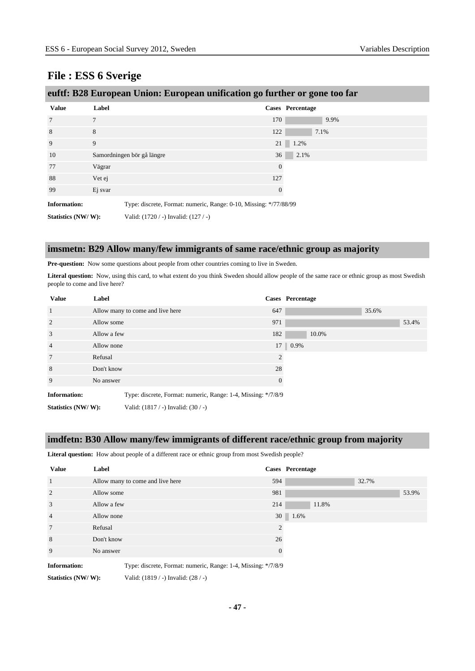| euftf: B28 European Union: European unification go further or gone too far |  |  |
|----------------------------------------------------------------------------|--|--|
|                                                                            |  |  |

| <b>Value</b>        | Label                                                             |                | Cases Percentage |
|---------------------|-------------------------------------------------------------------|----------------|------------------|
| $7\phantom{.0}$     | $\overline{7}$                                                    | 170            | 9.9%             |
| 8                   | 8                                                                 | 122            | 7.1%             |
| 9                   | 9                                                                 | 21             | 1.2%             |
| 10                  | Samordningen bör gå längre                                        | 36             | 2.1%             |
| 77                  | Vägrar                                                            | $\overline{0}$ |                  |
| 88                  | Vet ej                                                            | 127            |                  |
| 99                  | Ej svar                                                           | $\theta$       |                  |
| <b>Information:</b> | Type: discrete, Format: numeric, Range: 0-10, Missing: */77/88/99 |                |                  |
| Statistics (NW/W):  | Valid: $(1720 / -)$ Invalid: $(127 / -)$                          |                |                  |

#### **imsmetn: B29 Allow many/few immigrants of same race/ethnic group as majority**

Pre-question: Now some questions about people from other countries coming to live in Sweden.

Literal question: Now, using this card, to what extent do you think Sweden should allow people of the same race or ethnic group as most Swedish people to come and live here?

| <b>Value</b>        | Label       |                                                               |                | Cases Percentage |
|---------------------|-------------|---------------------------------------------------------------|----------------|------------------|
| $\overline{1}$      |             | Allow many to come and live here                              | 647            | 35.6%            |
| 2                   | Allow some  |                                                               | 971            | 53.4%            |
| 3                   | Allow a few |                                                               | 182            | 10.0%            |
| $\overline{4}$      | Allow none  |                                                               |                | 17 0.9%          |
| $7\phantom{.0}$     | Refusal     |                                                               | $\overline{2}$ |                  |
| 8                   | Don't know  |                                                               | 28             |                  |
| 9                   | No answer   |                                                               | $\Omega$       |                  |
| <b>Information:</b> |             | Type: discrete, Format: numeric, Range: 1-4, Missing: */7/8/9 |                |                  |
| Statistics (NW/W):  |             | Valid: $(1817 / -)$ Invalid: $(30 / -)$                       |                |                  |

#### **imdfetn: B30 Allow many/few immigrants of different race/ethnic group from majority**

**Literal question:** How about people of a different race or ethnic group from most Swedish people?

| <b>Value</b>        | Label       |                                                               |              | Cases Percentage |       |       |
|---------------------|-------------|---------------------------------------------------------------|--------------|------------------|-------|-------|
| $\overline{1}$      |             | Allow many to come and live here                              | 594          |                  | 32.7% |       |
| 2                   | Allow some  |                                                               | 981          |                  |       | 53.9% |
| 3                   | Allow a few |                                                               | 214          | 11.8%            |       |       |
| $\overline{4}$      | Allow none  |                                                               |              | 30 1.6%          |       |       |
| 7                   | Refusal     |                                                               | 2            |                  |       |       |
| 8                   | Don't know  |                                                               | 26           |                  |       |       |
| 9                   | No answer   |                                                               | $\mathbf{0}$ |                  |       |       |
| <b>Information:</b> |             | Type: discrete, Format: numeric, Range: 1-4, Missing: */7/8/9 |              |                  |       |       |
| Statistics (NW/W):  |             | Valid: (1819 / -) Invalid: (28 / -)                           |              |                  |       |       |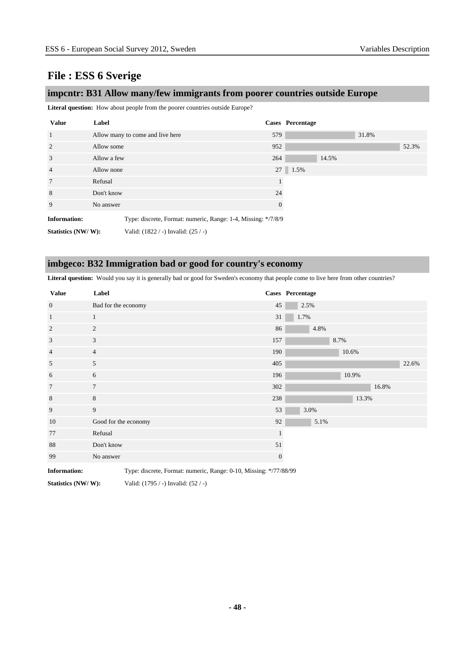#### **impcntr: B31 Allow many/few immigrants from poorer countries outside Europe**

**Literal question:** How about people from the poorer countries outside Europe?

| <b>Value</b>        | Label       |                                                               |          | Cases Percentage |       |       |
|---------------------|-------------|---------------------------------------------------------------|----------|------------------|-------|-------|
| $\overline{1}$      |             | Allow many to come and live here                              | 579      |                  | 31.8% |       |
| 2                   | Allow some  |                                                               | 952      |                  |       | 52.3% |
| 3                   | Allow a few |                                                               | 264      | 14.5%            |       |       |
| $\overline{4}$      | Allow none  |                                                               |          | 27 1.5%          |       |       |
| $7\phantom{.0}$     | Refusal     |                                                               |          |                  |       |       |
| 8                   | Don't know  |                                                               | 24       |                  |       |       |
| 9                   | No answer   |                                                               | $\theta$ |                  |       |       |
| <b>Information:</b> |             | Type: discrete, Format: numeric, Range: 1-4, Missing: */7/8/9 |          |                  |       |       |
| Statistics (NW/W):  |             | Valid: (1822 / -) Invalid: (25 / -)                           |          |                  |       |       |

#### **imbgeco: B32 Immigration bad or good for country's economy**

Literal question: Would you say it is generally bad or good for Sweden's economy that people come to live here from other countries?

| <b>Value</b>   | Label                |              | Cases Percentage |
|----------------|----------------------|--------------|------------------|
| $\mathbf{0}$   | Bad for the economy  | 45           | 2.5%             |
| $\mathbf{1}$   | $\mathbf{1}$         | 31           | 1.7%             |
| $\sqrt{2}$     | 2                    | 86           | 4.8%             |
| 3              | 3                    | 157          | 8.7%             |
| $\overline{4}$ | $\overline{4}$       | 190          | 10.6%            |
| 5              | 5                    | 405          | 22.6%            |
| 6              | 6                    | 196          | 10.9%            |
| $\overline{7}$ | $\overline{7}$       | 302          | 16.8%            |
| 8              | 8                    | 238          | 13.3%            |
| 9              | 9                    | 53           | 3.0%             |
| 10             | Good for the economy | 92           | 5.1%             |
| 77             | Refusal              | $\mathbf{1}$ |                  |
| 88             | Don't know           | 51           |                  |
| 99             | No answer            | $\mathbf{0}$ |                  |

**Information:** Type: discrete, Format: numeric, Range: 0-10, Missing: \*/77/88/99

**Statistics (NW/ W):** Valid: (1795 / -) Invalid: (52 / -)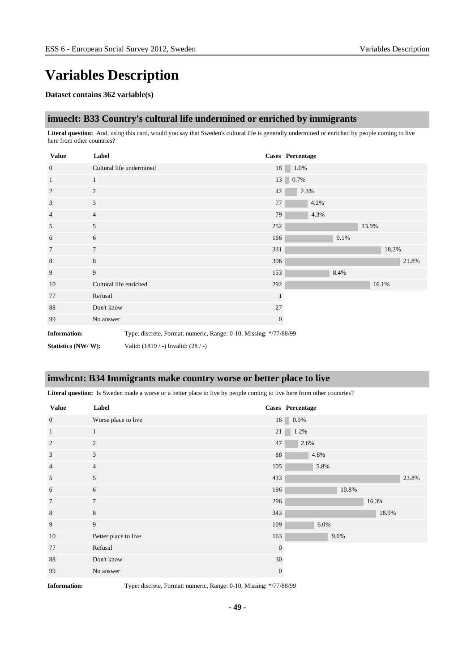# **Variables Description**

#### **Dataset contains 362 variable(s)**

#### **imueclt: B33 Country's cultural life undermined or enriched by immigrants**

**Literal question:** And, using this card, would you say that Sweden's cultural life is generally undermined or enriched by people coming to live here from other countries?

| <b>Value</b>        | Label                                                             |              | Cases Percentage |      |       |       |
|---------------------|-------------------------------------------------------------------|--------------|------------------|------|-------|-------|
| $\mathbf{0}$        | Cultural life undermined                                          |              | 18<br>1.0%       |      |       |       |
| <sup>1</sup>        | $\mathbf{1}$                                                      |              | 13 0.7%          |      |       |       |
| 2                   | 2                                                                 | 42           | 2.3%             |      |       |       |
| 3                   | 3                                                                 | 77           | 4.2%             |      |       |       |
| $\overline{4}$      | $\overline{4}$                                                    | 79           | 4.3%             |      |       |       |
| 5                   | 5                                                                 | 252          |                  |      | 13.9% |       |
| 6                   | 6                                                                 | 166          |                  | 9.1% |       |       |
| $7\phantom{.0}$     | $\overline{7}$                                                    | 331          |                  |      | 18.2% |       |
| 8                   | 8                                                                 | 396          |                  |      |       | 21.8% |
| 9                   | 9                                                                 | 153          |                  | 8.4% |       |       |
| 10                  | Cultural life enriched                                            | 292          |                  |      | 16.1% |       |
| 77                  | Refusal                                                           |              |                  |      |       |       |
| 88                  | Don't know                                                        | 27           |                  |      |       |       |
| 99                  | No answer                                                         | $\mathbf{0}$ |                  |      |       |       |
| <b>Information:</b> | Type: discrete, Format: numeric, Range: 0-10, Missing: */77/88/99 |              |                  |      |       |       |

**Statistics (NW/ W):** Valid: (1819 / -) Invalid: (28 / -)

#### **imwbcnt: B34 Immigrants make country worse or better place to live**

Literal question: Is Sweden made a worse or a better place to live by people coming to live here from other countries?

| <b>Value</b>    | Label                |                | Cases Percentage |
|-----------------|----------------------|----------------|------------------|
| $\mathbf{0}$    | Worse place to live  |                | $16 \mid 0.9\%$  |
| $\mathbf{1}$    | $\mathbf{1}$         | 21             | 1.2%             |
| 2               | 2                    | 47             | 2.6%             |
| 3               | 3                    | 88             | 4.8%             |
| $\overline{4}$  | $\overline{4}$       | 105            | 5.8%             |
| 5               | 5                    | 433            | 23.8%            |
| 6               | 6                    | 196            | 10.8%            |
| $7\phantom{.0}$ | $7\phantom{.0}$      | 296            | 16.3%            |
| $\,8\,$         | $8\,$                | 343            | 18.9%            |
| 9               | 9                    | 109            | 6.0%             |
| 10              | Better place to live | 163            | 9.0%             |
| 77              | Refusal              | $\overline{0}$ |                  |
| 88              | Don't know           | $30\,$         |                  |
| 99              | No answer            | $\overline{0}$ |                  |

**Information:** Type: discrete, Format: numeric, Range: 0-10, Missing: \*/77/88/99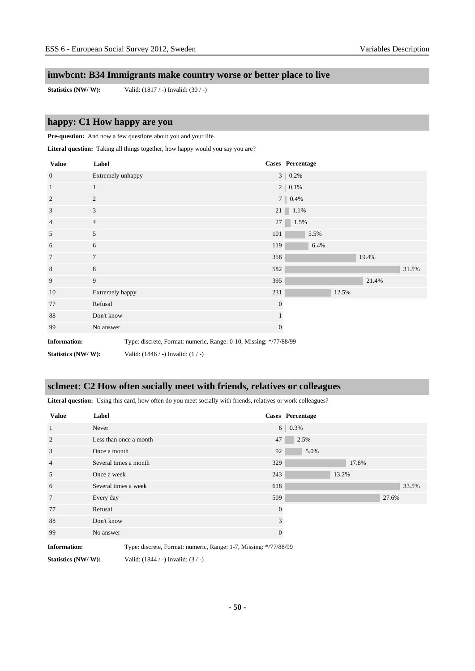### **imwbcnt: B34 Immigrants make country worse or better place to live**

**Statistics (NW/ W):** Valid: (1817 / -) Invalid: (30 / -)

### **happy: C1 How happy are you**

Pre-question: And now a few questions about you and your life.

Literal question: Taking all things together, how happy would you say you are?

| <b>Value</b>        | Label             |                                                                   |              | Cases Percentage |      |       |       |       |
|---------------------|-------------------|-------------------------------------------------------------------|--------------|------------------|------|-------|-------|-------|
| $\overline{0}$      | Extremely unhappy |                                                                   |              | $3   0.2\%$      |      |       |       |       |
| $\mathbf{1}$        | $\mathbf{1}$      |                                                                   |              | $2   0.1\%$      |      |       |       |       |
| 2                   | $\overline{c}$    |                                                                   |              | $7   0.4\%$      |      |       |       |       |
| $\mathfrak{Z}$      | 3                 |                                                                   |              | 21 1.1%          |      |       |       |       |
| $\overline{4}$      | $\overline{4}$    |                                                                   | 27           | 1.5%             |      |       |       |       |
| 5                   | 5                 |                                                                   | 101          |                  | 5.5% |       |       |       |
| 6                   | 6                 |                                                                   | 119          |                  | 6.4% |       |       |       |
| $\overline{7}$      | $\overline{7}$    |                                                                   | 358          |                  |      |       | 19.4% |       |
| $\,8$               | 8                 |                                                                   | 582          |                  |      |       |       | 31.5% |
| 9                   | 9                 |                                                                   | 395          |                  |      |       | 21.4% |       |
| 10                  | Extremely happy   |                                                                   | 231          |                  |      | 12.5% |       |       |
| 77                  | Refusal           |                                                                   | $\mathbf{0}$ |                  |      |       |       |       |
| 88                  | Don't know        |                                                                   |              |                  |      |       |       |       |
| 99                  | No answer         |                                                                   | $\mathbf{0}$ |                  |      |       |       |       |
| <b>Information:</b> |                   | Type: discrete, Format: numeric, Range: 0-10, Missing: */77/88/99 |              |                  |      |       |       |       |
| Statistics (NW/W):  |                   | Valid: $(1846 / -)$ Invalid: $(1 / -)$                            |              |                  |      |       |       |       |

#### **sclmeet: C2 How often socially meet with friends, relatives or colleagues**

**Literal question:** Using this card, how often do you meet socially with friends, relatives or work colleagues?

| <b>Value</b>    | Label                  |     | Cases Percentage       |  |
|-----------------|------------------------|-----|------------------------|--|
| 1               | Never                  |     | 6 <sup>1</sup><br>0.3% |  |
| 2               | Less than once a month | 47  | 2.5%                   |  |
| 3               | Once a month           | 92  | 5.0%                   |  |
| $\overline{4}$  | Several times a month  | 329 | 17.8%                  |  |
| 5               | Once a week            | 243 | 13.2%                  |  |
| 6               | Several times a week   | 618 | 33.5%                  |  |
| $7\phantom{.0}$ | Every day              | 509 | 27.6%                  |  |
| 77              | Refusal                |     | $\overline{0}$         |  |
| 88              | Don't know             |     | 3                      |  |
| 99              | No answer              |     | $\Omega$               |  |

**Information:** Type: discrete, Format: numeric, Range: 1-7, Missing: \*/77/88/99

**Statistics (NW/ W):** Valid: (1844 / -) Invalid: (3 / -)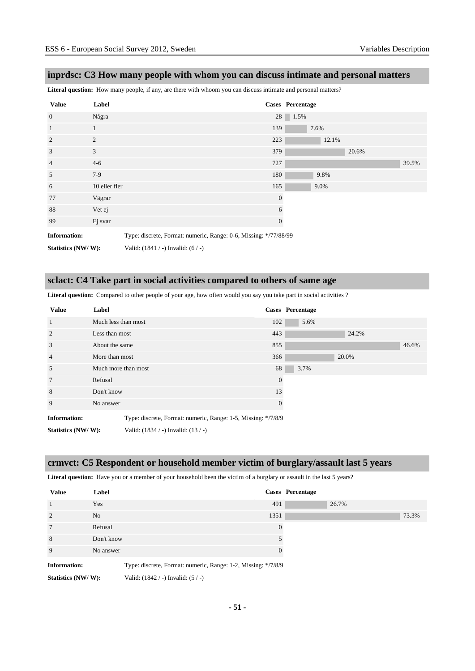#### **inprdsc: C3 How many people with whom you can discuss intimate and personal matters**

**Literal question:** How many people, if any, are there with whoom you can discuss intimate and personal matters?

| <b>Value</b>        | Label                                                            |                | Cases Percentage |
|---------------------|------------------------------------------------------------------|----------------|------------------|
| $\overline{0}$      | Några                                                            |                | 28 1.5%          |
| $\mathbf{1}$        | 1                                                                | 139            | 7.6%             |
| 2                   | 2                                                                | 223            | 12.1%            |
| 3                   | 3                                                                | 379            | 20.6%            |
| $\overline{4}$      | $4 - 6$                                                          | 727            | 39.5%            |
| 5                   | $7-9$                                                            | 180            | 9.8%             |
| 6                   | 10 eller fler                                                    | 165            | 9.0%             |
| 77                  | Vägrar                                                           | $\overline{0}$ |                  |
| 88                  | Vet ej                                                           | 6              |                  |
| 99                  | Ej svar                                                          | $\mathbf{0}$   |                  |
| <b>Information:</b> | Type: discrete, Format: numeric, Range: 0-6, Missing: */77/88/99 |                |                  |

**Statistics (NW/ W):** Valid: (1841 / -) Invalid: (6 / -)

#### **sclact: C4 Take part in social activities compared to others of same age**

Literal question: Compared to other people of your age, how often would you say you take part in social activities ?

| <b>Value</b>        | Label               |                                                               |          |     | Cases Percentage |       |       |
|---------------------|---------------------|---------------------------------------------------------------|----------|-----|------------------|-------|-------|
| $\mathbf{1}$        | Much less than most |                                                               | 102      |     | 5.6%             |       |       |
| $\overline{2}$      | Less than most      |                                                               | 443      |     |                  | 24.2% |       |
| 3                   |                     | About the same                                                |          | 855 |                  |       | 46.6% |
| $\overline{4}$      |                     | More than most                                                |          | 366 |                  | 20.0% |       |
| 5                   | Much more than most |                                                               | 68       |     | 3.7%             |       |       |
| $7\phantom{.0}$     | Refusal             |                                                               | $\Omega$ |     |                  |       |       |
| 8                   |                     | Don't know                                                    |          |     |                  |       |       |
| 9                   | No answer           |                                                               |          |     |                  |       |       |
| <b>Information:</b> |                     | Type: discrete, Format: numeric, Range: 1-5, Missing: */7/8/9 |          |     |                  |       |       |
| Statistics (NW/W):  |                     | Valid: $(1834 / -)$ Invalid: $(13 / -)$                       |          |     |                  |       |       |

#### **crmvct: C5 Respondent or household member victim of burglary/assault last 5 years**

Literal question: Have you or a member of your household been the victim of a burglary or assault in the last 5 years?

| <b>Value</b>        | Label      |                                                               |                | Cases Percentage |       |       |
|---------------------|------------|---------------------------------------------------------------|----------------|------------------|-------|-------|
| $\overline{1}$      | Yes        |                                                               | 491            |                  | 26.7% |       |
| 2                   | No.        |                                                               | 1351           |                  |       | 73.3% |
| $7\phantom{.0}$     | Refusal    |                                                               | $\overline{0}$ |                  |       |       |
| 8                   | Don't know |                                                               | 5              |                  |       |       |
| 9                   | No answer  |                                                               | $\overline{0}$ |                  |       |       |
| <b>Information:</b> |            | Type: discrete, Format: numeric, Range: 1-2, Missing: */7/8/9 |                |                  |       |       |
| Statistics (NW/W):  |            | Valid: $(1842 / -)$ Invalid: $(5 / -)$                        |                |                  |       |       |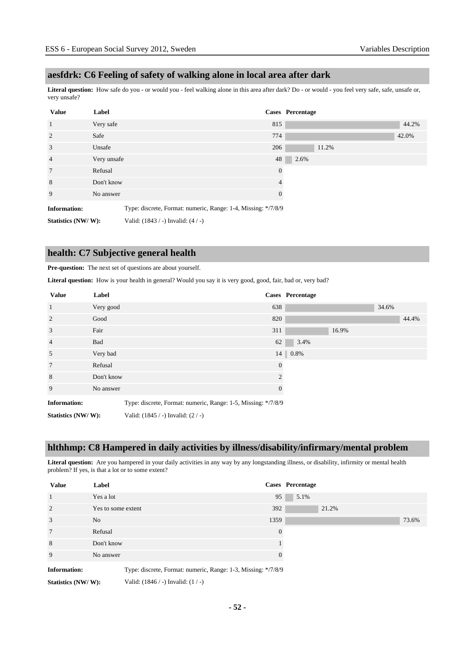#### **aesfdrk: C6 Feeling of safety of walking alone in local area after dark**

**Literal question:** How safe do you - or would you - feel walking alone in this area after dark? Do - or would - you feel very safe, safe, unsafe or, very unsafe?

| <b>Value</b>        | Label                                                         |          | Cases Percentage |
|---------------------|---------------------------------------------------------------|----------|------------------|
| $\mathbf{1}$        | Very safe                                                     | 815      | 44.2%            |
| 2                   | Safe                                                          | 774      | 42.0%            |
| 3                   | Unsafe                                                        | 206      | 11.2%            |
| $\overline{4}$      | Very unsafe                                                   | 48       | 2.6%             |
| $7\phantom{.0}$     | Refusal                                                       | $\Omega$ |                  |
| 8                   | Don't know                                                    |          |                  |
| 9                   | No answer                                                     | $\Omega$ |                  |
| <b>Information:</b> | Type: discrete, Format: numeric, Range: 1-4, Missing: */7/8/9 |          |                  |

**Statistics (NW/ W):** Valid: (1843 / -) Invalid: (4 / -)

#### **health: C7 Subjective general health**

#### **Pre-question:** The next set of questions are about yourself.

**Literal question:** How is your health in general? Would you say it is very good, good, fair, bad or, very bad?

| <b>Value</b>        | Label      |                                                               |                | <b>Cases</b> Percentage |       |       |       |
|---------------------|------------|---------------------------------------------------------------|----------------|-------------------------|-------|-------|-------|
| $\mathbf{1}$        | Very good  |                                                               | 638            |                         |       | 34.6% |       |
| 2                   | Good       |                                                               | 820            |                         |       |       | 44.4% |
| 3                   | Fair       |                                                               | 311            |                         | 16.9% |       |       |
| $\overline{4}$      | Bad        |                                                               | 62             | 3.4%                    |       |       |       |
| 5                   | Very bad   |                                                               |                | $14 \parallel 0.8\%$    |       |       |       |
| $7\phantom{.0}$     | Refusal    |                                                               | $\theta$       |                         |       |       |       |
| 8                   | Don't know |                                                               | 2              |                         |       |       |       |
| 9                   | No answer  |                                                               | $\overline{0}$ |                         |       |       |       |
| <b>Information:</b> |            | Type: discrete, Format: numeric, Range: 1-5, Missing: */7/8/9 |                |                         |       |       |       |
| Statistics (NW/W):  |            | Valid: $(1845 / -)$ Invalid: $(2 / -)$                        |                |                         |       |       |       |

#### **hlthhmp: C8 Hampered in daily activities by illness/disability/infirmary/mental problem**

Literal question: Are you hampered in your daily activities in any way by any longstanding illness, or disability, infirmity or mental health problem? If yes, is that a lot or to some extent?

| <b>Value</b>        | Label              |                                                               |          | Cases Percentage |       |       |
|---------------------|--------------------|---------------------------------------------------------------|----------|------------------|-------|-------|
| $\mathbf{1}$        | Yes a lot          |                                                               | 95       | 5.1%             |       |       |
| $\overline{2}$      | Yes to some extent |                                                               | 392      |                  | 21.2% |       |
| 3                   | No.                |                                                               | 1359     |                  |       | 73.6% |
| 7                   | Refusal            |                                                               | $\Omega$ |                  |       |       |
| 8                   | Don't know         |                                                               |          |                  |       |       |
| 9                   | No answer          |                                                               | $\Omega$ |                  |       |       |
| <b>Information:</b> |                    | Type: discrete, Format: numeric, Range: 1-3, Missing: */7/8/9 |          |                  |       |       |
| Statistics (NW/W):  |                    | Valid: $(1846 / -)$ Invalid: $(1 / -)$                        |          |                  |       |       |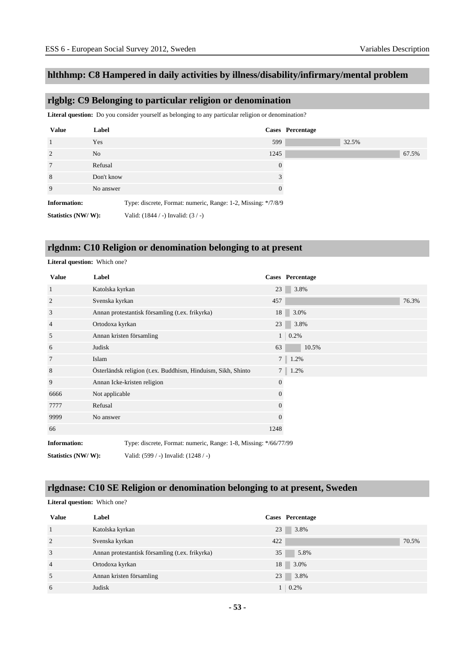### **hlthhmp: C8 Hampered in daily activities by illness/disability/infirmary/mental problem**

### **rlgblg: C9 Belonging to particular religion or denomination**

**Literal question:** Do you consider yourself as belonging to any particular religion or denomination?

| <b>Value</b>        | Label          |                                                               |          | Cases Percentage |       |       |
|---------------------|----------------|---------------------------------------------------------------|----------|------------------|-------|-------|
| $\overline{1}$      | Yes            |                                                               | 599      |                  | 32.5% |       |
| $\overline{2}$      | N <sub>o</sub> |                                                               | 1245     |                  |       | 67.5% |
| $7\phantom{.0}$     | Refusal        |                                                               | $\Omega$ |                  |       |       |
| 8                   | Don't know     |                                                               | 3        |                  |       |       |
| 9                   | No answer      |                                                               | 0        |                  |       |       |
| <b>Information:</b> |                | Type: discrete, Format: numeric, Range: 1-2, Missing: */7/8/9 |          |                  |       |       |
| Statistics (NW/W):  |                | Valid: $(1844 / -)$ Invalid: $(3 / -)$                        |          |                  |       |       |

#### **rlgdnm: C10 Religion or denomination belonging to at present**

| <b>Value</b>        | Label           |                                                                  |                  | Cases Percentage |
|---------------------|-----------------|------------------------------------------------------------------|------------------|------------------|
| 1                   | Katolska kyrkan |                                                                  | 23               | 3.8%             |
| 2                   | Svenska kyrkan  |                                                                  | 457              | 76.3%            |
| 3                   |                 | Annan protestantisk församling (t.ex. frikyrka)                  | 18               | 3.0%             |
| 4                   | Ortodoxa kyrkan |                                                                  | 23               | 3.8%             |
| 5                   |                 | Annan kristen församling                                         |                  | $1 \quad 0.2\%$  |
| 6                   | Judisk          |                                                                  | 63               | 10.5%            |
| 7                   | Islam           |                                                                  | 7 <sup>1</sup>   | 1.2%             |
| 8                   |                 | Österländsk religion (t.ex. Buddhism, Hinduism, Sikh, Shinto     | 7 <sup>1</sup>   | 1.2%             |
| 9                   |                 | Annan Icke-kristen religion                                      | $\boldsymbol{0}$ |                  |
| 6666                | Not applicable  |                                                                  | $\boldsymbol{0}$ |                  |
| 7777                | Refusal         |                                                                  | $\Omega$         |                  |
| 9999                | No answer       |                                                                  | $\boldsymbol{0}$ |                  |
| 66                  |                 |                                                                  | 1248             |                  |
| <b>Information:</b> |                 | Type: discrete, Format: numeric, Range: 1-8, Missing: */66/77/99 |                  |                  |
| Statistics (NW/W):  |                 | Valid: (599 / -) Invalid: (1248 / -)                             |                  |                  |

#### **rlgdnase: C10 SE Religion or denomination belonging to at present, Sweden**

**Literal question:** Which one?

**Literal question:** Which one?

| <b>Value</b>   | Label                                           | Cases Percentage |  |
|----------------|-------------------------------------------------|------------------|--|
|                | Katolska kyrkan                                 | 3.8%<br>23       |  |
| 2              | Svenska kyrkan                                  | 422<br>70.5%     |  |
| 3              | Annan protestantisk församling (t.ex. frikyrka) | 35<br>5.8%       |  |
| $\overline{4}$ | Ortodoxa kyrkan                                 | 3.0%<br>18       |  |
| 5              | Annan kristen församling                        | 3.8%<br>23       |  |
| 6              | Judisk                                          | $1 \quad 0.2\%$  |  |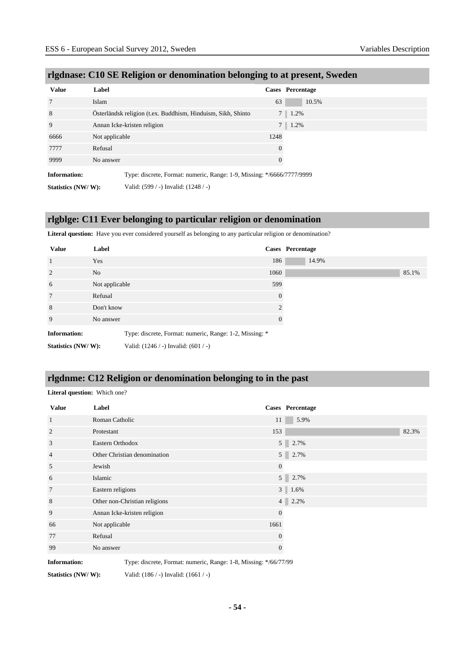| <b>Value</b>        | Label                                                                  | Cases Percentage       |  |
|---------------------|------------------------------------------------------------------------|------------------------|--|
| 7                   | Islam                                                                  | 10.5%<br>63            |  |
| 8                   | Österländsk religion (t.ex. Buddhism, Hinduism, Sikh, Shinto           | 1.2%<br>7 <sup>1</sup> |  |
| 9                   | Annan Icke-kristen religion                                            | 1.2%<br>7 <sup>1</sup> |  |
| 6666                | Not applicable                                                         | 1248                   |  |
| 7777                | Refusal                                                                | $\overline{0}$         |  |
| 9999                | No answer                                                              | $\theta$               |  |
| <b>Information:</b> | Type: discrete, Format: numeric, Range: 1-9, Missing: */6666/7777/9999 |                        |  |
| Statistics (NW/W):  | Valid: (599 / -) Invalid: (1248 / -)                                   |                        |  |

#### **rlgdnase: C10 SE Religion or denomination belonging to at present, Sweden**

#### **rlgblge: C11 Ever belonging to particular religion or denomination**

Literal question: Have you ever considered yourself as belonging to any particular religion or denomination?

| <b>Value</b>        | Label          |                                                         |                | Cases Percentage |
|---------------------|----------------|---------------------------------------------------------|----------------|------------------|
| 1                   | Yes            |                                                         | 186            | 14.9%            |
| 2                   | N <sub>o</sub> |                                                         | 1060           | 85.1%            |
| 6                   | Not applicable |                                                         | 599            |                  |
| $7\phantom{.0}$     | Refusal        |                                                         | $\Omega$       |                  |
| 8                   | Don't know     |                                                         | $\mathfrak{D}$ |                  |
| 9                   | No answer      |                                                         | 0              |                  |
| <b>Information:</b> |                | Type: discrete, Format: numeric, Range: 1-2, Missing: * |                |                  |
| Statistics (NW/W):  |                | Valid: $(1246 / -)$ Invalid: $(601 / -)$                |                |                  |

#### **rlgdnme: C12 Religion or denomination belonging to in the past**

**Literal question:** Which one?

| <b>Value</b>        | Label                                                            |                | Cases Percentage       |
|---------------------|------------------------------------------------------------------|----------------|------------------------|
| 1                   | Roman Catholic                                                   | 11             | 5.9%                   |
| 2                   | Protestant                                                       | 153            | 82.3%                  |
| 3                   | Eastern Orthodox                                                 |                | 5 2.7%                 |
| $\overline{4}$      | Other Christian denomination                                     |                | 5 2.7%                 |
| 5                   | Jewish                                                           | $\overline{0}$ |                        |
| 6                   | Islamic                                                          |                | $5 \ 2.7\%$            |
| 7                   | Eastern religions                                                |                | $3 \mid 1.6\%$         |
| 8                   | Other non-Christian religions                                    |                | 2.2%<br>4 <sup>1</sup> |
| 9                   | Annan Icke-kristen religion                                      | $\overline{0}$ |                        |
| 66                  | Not applicable                                                   | 1661           |                        |
| 77                  | Refusal                                                          | $\overline{0}$ |                        |
| 99                  | No answer                                                        | 0              |                        |
| <b>Information:</b> | Type: discrete, Format: numeric, Range: 1-8, Missing: */66/77/99 |                |                        |

**Statistics (NW/ W):** Valid: (186 / -) Invalid: (1661 / -)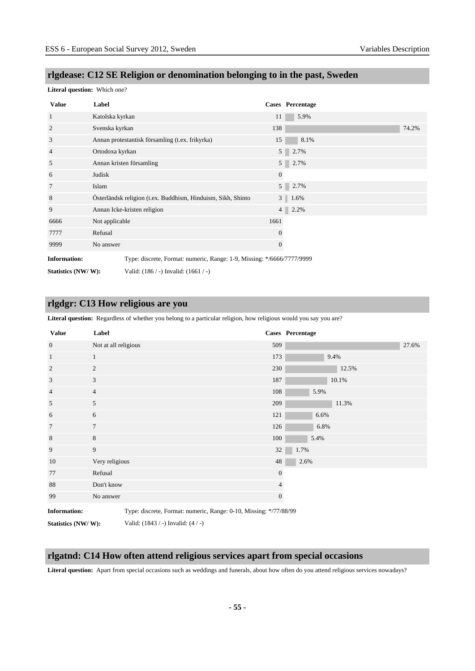## **rlgdease: C12 SE Religion or denomination belonging to in the past, Sweden**

#### **Literal question:** Which one?

| <b>Value</b>        | Label                                                                  |                | Cases Percentage |
|---------------------|------------------------------------------------------------------------|----------------|------------------|
| $\mathbf{1}$        | Katolska kyrkan                                                        | 11             | 5.9%             |
| 2                   | Svenska kyrkan                                                         | 138            | 74.2%            |
| 3                   | Annan protestantisk församling (t.ex. frikyrka)                        | 15             | 8.1%             |
| $\overline{4}$      | Ortodoxa kyrkan                                                        | 5 <sup>1</sup> | 2.7%             |
| 5                   | Annan kristen församling                                               |                | 5 2.7%           |
| 6                   | Judisk                                                                 | $\overline{0}$ |                  |
| 7                   | Islam                                                                  | 5 <sup>1</sup> | 2.7%             |
| 8                   | Österländsk religion (t.ex. Buddhism, Hinduism, Sikh, Shinto           |                | $3 \mid 1.6\%$   |
| 9                   | Annan Icke-kristen religion                                            | 4 <sup>1</sup> | 2.2%             |
| 6666                | Not applicable                                                         | 1661           |                  |
| 7777                | Refusal                                                                | $\theta$       |                  |
| 9999                | No answer                                                              | $\mathbf{0}$   |                  |
| <b>Information:</b> | Type: discrete, Format: numeric, Range: 1-9, Missing: */6666/7777/9999 |                |                  |

**Statistics (NW/ W):** Valid: (186 / -) Invalid: (1661 / -)

#### **rlgdgr: C13 How religious are you**

Literal question: Regardless of whether you belong to a particular religion, how religious would you say you are?

| <b>Value</b>        | Label                                                             |                | Cases Percentage |
|---------------------|-------------------------------------------------------------------|----------------|------------------|
| $\overline{0}$      | Not at all religious                                              | 509            | 27.6%            |
| $\mathbf{1}$        | $\mathbf{1}$                                                      | 173            | 9.4%             |
| $\overline{2}$      | 2                                                                 | 230            | 12.5%            |
| 3                   | $\mathfrak{Z}$                                                    | 187            | 10.1%            |
| $\overline{4}$      | $\overline{4}$                                                    | 108            | 5.9%             |
| 5                   | 5                                                                 | 209            | 11.3%            |
| 6                   | 6                                                                 | 121            | 6.6%             |
| $\overline{7}$      | $\overline{7}$                                                    | 126            | 6.8%             |
| 8                   | 8                                                                 | 100            | 5.4%             |
| 9                   | 9                                                                 | 32             | 1.7%             |
| 10                  | Very religious                                                    | 48             | 2.6%             |
| 77                  | Refusal                                                           | $\mathbf{0}$   |                  |
| 88                  | Don't know                                                        | 4              |                  |
| 99                  | No answer                                                         | $\overline{0}$ |                  |
| <b>Information:</b> | Type: discrete, Format: numeric, Range: 0-10, Missing: */77/88/99 |                |                  |

**Statistics (NW/ W):** Valid: (1843 / -) Invalid: (4 / -)

#### **rlgatnd: C14 How often attend religious services apart from special occasions**

**Literal question:** Apart from special occasions such as weddings and funerals, about how often do you attend religious services nowadays?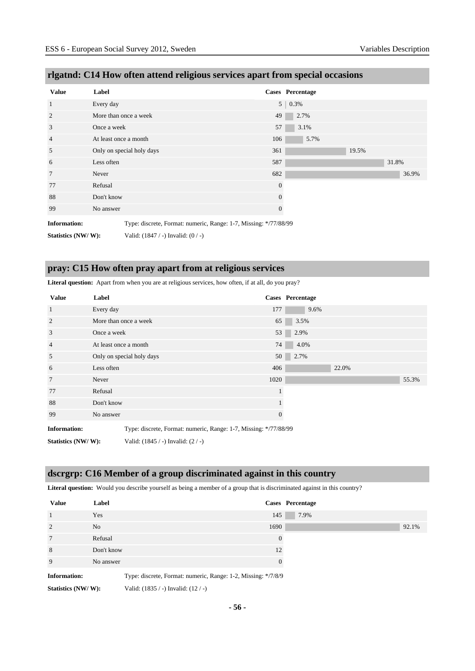| <b>Value</b>        | Label                 |                                                                  |                  | Cases Percentage |       |       |       |
|---------------------|-----------------------|------------------------------------------------------------------|------------------|------------------|-------|-------|-------|
| $\mathbf{1}$        | Every day             |                                                                  |                  | $5 \mid 0.3\%$   |       |       |       |
| 2                   |                       | More than once a week                                            | 49               | 2.7%             |       |       |       |
| 3                   | Once a week           |                                                                  | 57               | 3.1%             |       |       |       |
| $\overline{4}$      | At least once a month |                                                                  | 106              | 5.7%             |       |       |       |
| 5                   |                       | Only on special holy days                                        | 361              |                  | 19.5% |       |       |
| 6                   | Less often            |                                                                  | 587              |                  |       | 31.8% |       |
| $\overline{7}$      | Never                 |                                                                  | 682              |                  |       |       | 36.9% |
| 77                  | Refusal               |                                                                  | $\boldsymbol{0}$ |                  |       |       |       |
| 88                  | Don't know            |                                                                  | $\boldsymbol{0}$ |                  |       |       |       |
| 99                  | No answer             |                                                                  | $\boldsymbol{0}$ |                  |       |       |       |
| <b>Information:</b> |                       | Type: discrete, Format: numeric, Range: 1-7, Missing: */77/88/99 |                  |                  |       |       |       |
| Statistics (NW/W):  |                       | Valid: $(1847 / -)$ Invalid: $(0 / -)$                           |                  |                  |       |       |       |

### **rlgatnd: C14 How often attend religious services apart from special occasions**

#### **pray: C15 How often pray apart from at religious services**

**Literal question:** Apart from when you are at religious services, how often, if at all, do you pray?

| <b>Value</b>        | Label      |                                                                  |                 | <b>Cases</b> Percentage |
|---------------------|------------|------------------------------------------------------------------|-----------------|-------------------------|
| $\mathbf{1}$        | Every day  |                                                                  | 177             | 9.6%                    |
| $\overline{2}$      |            | More than once a week                                            | 65              | 3.5%                    |
| 3                   |            | Once a week                                                      |                 | 53<br>2.9%              |
| $\overline{4}$      |            | At least once a month                                            |                 | 74<br>4.0%              |
| 5                   |            | Only on special holy days                                        | 50 <sup>1</sup> | 2.7%                    |
| 6                   | Less often |                                                                  | 406             | 22.0%                   |
| $7\phantom{.0}$     | Never      |                                                                  | 1020            | 55.3%                   |
| 77                  | Refusal    |                                                                  |                 |                         |
| 88                  | Don't know |                                                                  |                 |                         |
| 99                  | No answer  |                                                                  | $\theta$        |                         |
| <b>Information:</b> |            | Type: discrete, Format: numeric, Range: 1-7, Missing: */77/88/99 |                 |                         |
| Statistics (NW/W):  |            | Valid: $(1845 / -)$ Invalid: $(2 / -)$                           |                 |                         |

# **dscrgrp: C16 Member of a group discriminated against in this country**

Literal question: Would you describe yourself as being a member of a group that is discriminated against in this country?

| <b>Value</b>        | Label          |                                                               |                | Cases Percentage |       |
|---------------------|----------------|---------------------------------------------------------------|----------------|------------------|-------|
|                     | Yes            | 145                                                           |                | 7.9%             |       |
| 2                   | N <sub>o</sub> | 1690                                                          |                |                  | 92.1% |
| 7                   | Refusal        |                                                               | $\overline{0}$ |                  |       |
| 8                   | Don't know     |                                                               | 12             |                  |       |
| 9                   | No answer      |                                                               | $\theta$       |                  |       |
| <b>Information:</b> |                | Type: discrete, Format: numeric, Range: 1-2, Missing: */7/8/9 |                |                  |       |
| Statistics (NW/W):  |                | Valid: $(1835 / -)$ Invalid: $(12 / -)$                       |                |                  |       |

**- 56 -**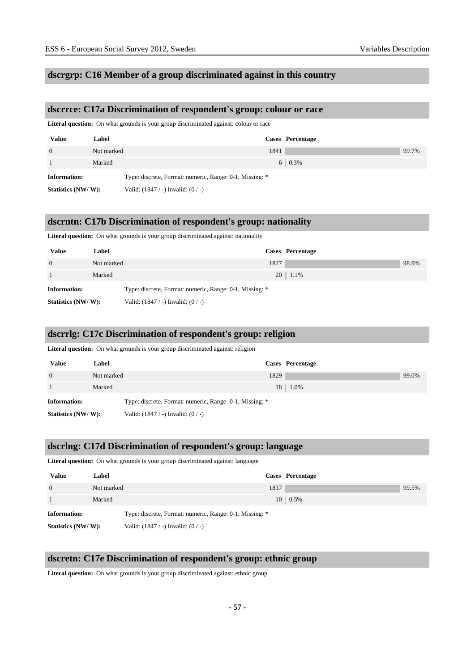#### **dscrgrp: C16 Member of a group discriminated against in this country**

#### **dscrrce: C17a Discrimination of respondent's group: colour or race**

Literal question: On what grounds is your group discriminated against: colour or race

| <b>Value</b>        | Label      |                                                         | Cases Percentage |       |
|---------------------|------------|---------------------------------------------------------|------------------|-------|
| $\Omega$            | Not marked | 1841                                                    |                  | 99.7% |
|                     | Marked     |                                                         | $6 \mid 0.3\%$   |       |
| <b>Information:</b> |            | Type: discrete, Format: numeric, Range: 0-1, Missing: * |                  |       |
| Statistics (NW/W):  |            | Valid: $(1847 / -)$ Invalid: $(0 / -)$                  |                  |       |

#### **dscrntn: C17b Discrimination of respondent's group: nationality**

Literal question: On what grounds is your group discriminated against: nationality

| <b>Value</b>        | Label      |                                                         | Cases Percentage |       |
|---------------------|------------|---------------------------------------------------------|------------------|-------|
| $\overline{0}$      | Not marked | 1827                                                    |                  | 98.9% |
|                     | Marked     |                                                         | $20 \mid 1.1\%$  |       |
| <b>Information:</b> |            | Type: discrete, Format: numeric, Range: 0-1, Missing: * |                  |       |
| Statistics (NW/W):  |            | Valid: $(1847 / -)$ Invalid: $(0 / -)$                  |                  |       |

#### **dscrrlg: C17c Discrimination of respondent's group: religion**

Literal question: On what grounds is your group discriminated against: religion

| <b>Value</b>        | Label      |                                                         | Cases Percentage   |       |
|---------------------|------------|---------------------------------------------------------|--------------------|-------|
| $\Omega$            | Not marked | 1829                                                    |                    | 99.0% |
|                     | Marked     |                                                         | $18 \,   \, 1.0\%$ |       |
| <b>Information:</b> |            | Type: discrete, Format: numeric, Range: 0-1, Missing: * |                    |       |
| Statistics (NW/W):  |            | Valid: $(1847 / -)$ Invalid: $(0 / -)$                  |                    |       |

#### **dscrlng: C17d Discrimination of respondent's group: language**

Literal question: On what grounds is your group discriminated against: language

| <b>Value</b>       | Label      |                                                         | Cases Percentage |  |
|--------------------|------------|---------------------------------------------------------|------------------|--|
| $\Omega$           | Not marked | 1837                                                    | 99.5%            |  |
|                    | Marked     |                                                         | $10 \mid 0.5\%$  |  |
| Information:       |            | Type: discrete, Format: numeric, Range: 0-1, Missing: * |                  |  |
| Statistics (NW/W): |            | Valid: $(1847 / -)$ Invalid: $(0 / -)$                  |                  |  |

#### **dscretn: C17e Discrimination of respondent's group: ethnic group**

Literal question: On what grounds is your group discriminated against: ethnic group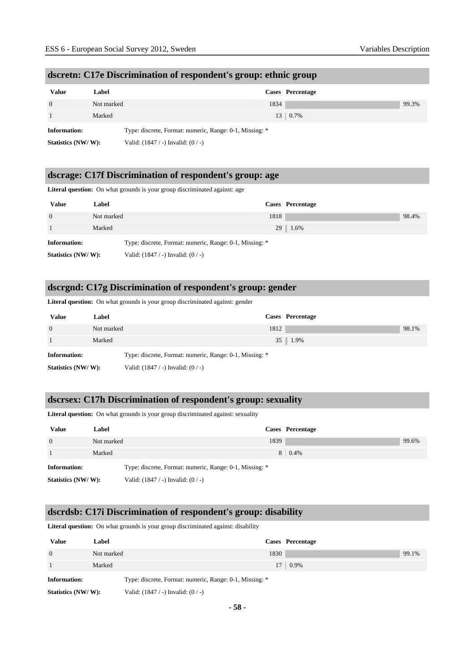| dscretn: C17e Discrimination of respondent's group: ethnic group |  |  |  |  |  |
|------------------------------------------------------------------|--|--|--|--|--|
|                                                                  |  |  |  |  |  |

| <b>Value</b>       | Label      |                                                         | Cases Percentage |       |
|--------------------|------------|---------------------------------------------------------|------------------|-------|
| $\theta$           | Not marked | 1834                                                    |                  | 99.3% |
|                    | Marked     |                                                         | $13 \pm 0.7\%$   |       |
| Information:       |            | Type: discrete, Format: numeric, Range: 0-1, Missing: * |                  |       |
| Statistics (NW/W): |            | Valid: $(1847 / -)$ Invalid: $(0 / -)$                  |                  |       |

#### **dscrage: C17f Discrimination of respondent's group: age**

Literal question: On what grounds is your group discriminated against: age

| <b>Value</b>        | Label      | Cases Percentage                                        |  |
|---------------------|------------|---------------------------------------------------------|--|
| $\overline{0}$      | Not marked | 1818<br>98.4%                                           |  |
|                     | Marked     | 29 1.6%                                                 |  |
| <b>Information:</b> |            | Type: discrete, Format: numeric, Range: 0-1, Missing: * |  |
| Statistics (NW/W):  |            | Valid: $(1847 / -)$ Invalid: $(0 / -)$                  |  |

#### **dscrgnd: C17g Discrimination of respondent's group: gender**

Literal question: On what grounds is your group discriminated against: gender

| <b>Value</b>        | Label      |                                                         | Cases Percentage   |       |
|---------------------|------------|---------------------------------------------------------|--------------------|-------|
| $\Omega$            | Not marked | 1812                                                    |                    | 98.1% |
|                     | Marked     |                                                         | $35 \,   \, 1.9\%$ |       |
| <b>Information:</b> |            | Type: discrete, Format: numeric, Range: 0-1, Missing: * |                    |       |
| Statistics (NW/W):  |            | Valid: $(1847 / -)$ Invalid: $(0 / -)$                  |                    |       |

#### **dscrsex: C17h Discrimination of respondent's group: sexuality**

Literal question: On what grounds is your group discriminated against: sexuality

| <b>Value</b>        | Label      |                                                         | Cases Percentage |       |
|---------------------|------------|---------------------------------------------------------|------------------|-------|
| $\overline{0}$      | Not marked | 1839                                                    |                  | 99.6% |
|                     | Marked     |                                                         | $8 \mid 0.4\%$   |       |
| <b>Information:</b> |            | Type: discrete, Format: numeric, Range: 0-1, Missing: * |                  |       |
| Statistics (NW/W):  |            | Valid: $(1847 / -)$ Invalid: $(0 / -)$                  |                  |       |

#### **dscrdsb: C17i Discrimination of respondent's group: disability**

**Literal question:** On what grounds is your group discriminated against: disability

| <b>Value</b>        | Label      |                                                         | Cases Percentage   |       |
|---------------------|------------|---------------------------------------------------------|--------------------|-------|
| $\overline{0}$      | Not marked | 1830                                                    |                    | 99.1% |
|                     | Marked     |                                                         | $17 \,   \, 0.9\%$ |       |
| <b>Information:</b> |            | Type: discrete, Format: numeric, Range: 0-1, Missing: * |                    |       |
| Statistics (NW/W):  |            | Valid: $(1847 / -)$ Invalid: $(0 / -)$                  |                    |       |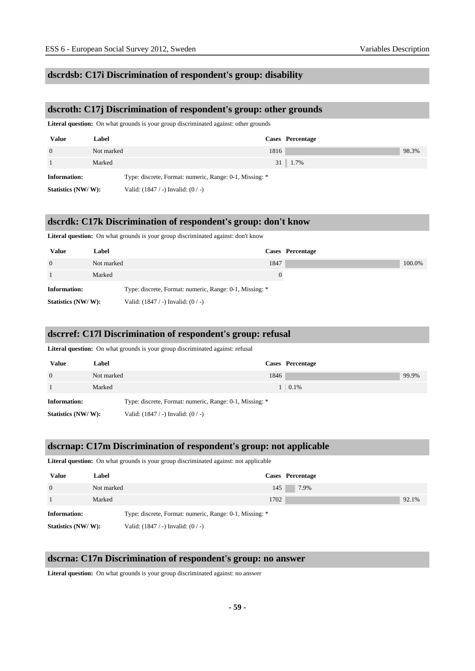#### **dscrdsb: C17i Discrimination of respondent's group: disability**

#### **dscroth: C17j Discrimination of respondent's group: other grounds**

Literal question: On what grounds is your group discriminated against: other grounds

| <b>Value</b>        | Label      |                                                         | Cases Percentage     |       |
|---------------------|------------|---------------------------------------------------------|----------------------|-------|
| $\Omega$            | Not marked | 1816                                                    |                      | 98.3% |
|                     | Marked     |                                                         | $31 \parallel 1.7\%$ |       |
| <b>Information:</b> |            | Type: discrete, Format: numeric, Range: 0-1, Missing: * |                      |       |
| Statistics (NW/W):  |            | Valid: $(1847 / -)$ Invalid: $(0 / -)$                  |                      |       |

#### **dscrdk: C17k Discrimination of respondent's group: don't know**

Literal question: On what grounds is your group discriminated against: don't know

| Value               | Label      |                                                         |      | Cases Percentage |        |
|---------------------|------------|---------------------------------------------------------|------|------------------|--------|
| $\overline{0}$      | Not marked |                                                         | 1847 |                  | 100.0% |
|                     | Marked     |                                                         |      |                  |        |
| <b>Information:</b> |            | Type: discrete, Format: numeric, Range: 0-1, Missing: * |      |                  |        |
| Statistics (NW/W):  |            | Valid: $(1847 / -)$ Invalid: $(0 / -)$                  |      |                  |        |

#### **dscrref: C17l Discrimination of respondent's group: refusal**

Literal question: On what grounds is your group discriminated against: refusal

| <b>Value</b>        | Label      |                                                         | Cases Percentage |       |
|---------------------|------------|---------------------------------------------------------|------------------|-------|
| $\Omega$            | Not marked | 1846                                                    |                  | 99.9% |
|                     | Marked     |                                                         | $1 \quad 0.1\%$  |       |
| <b>Information:</b> |            | Type: discrete, Format: numeric, Range: 0-1, Missing: * |                  |       |
| Statistics (NW/W):  |            | Valid: $(1847 / -)$ Invalid: $(0 / -)$                  |                  |       |

#### **dscrnap: C17m Discrimination of respondent's group: not applicable**

Literal question: On what grounds is your group discriminated against: not applicable

| <b>Value</b>        | Label                                                   | Cases Percentage |       |
|---------------------|---------------------------------------------------------|------------------|-------|
| $\Omega$            | Not marked                                              | 145<br>7.9%      |       |
|                     | Marked                                                  | 1702             | 92.1% |
| <b>Information:</b> | Type: discrete, Format: numeric, Range: 0-1, Missing: * |                  |       |
| Statistics (NW/W):  | Valid: $(1847 / -)$ Invalid: $(0 / -)$                  |                  |       |

#### **dscrna: C17n Discrimination of respondent's group: no answer**

Literal question: On what grounds is your group discriminated against: no answer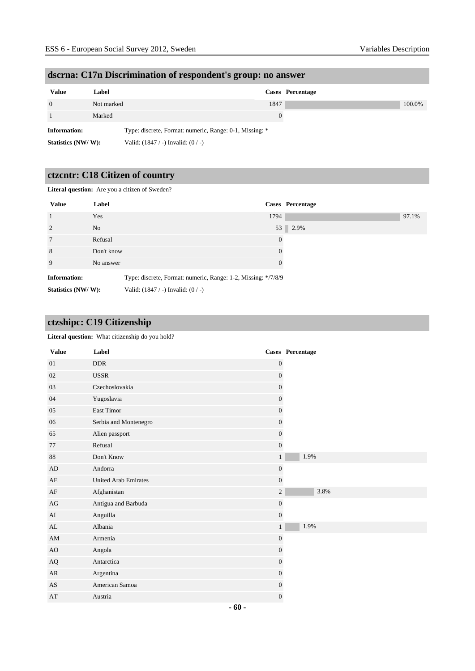| dscrna: C17n Discrimination of respondent's group: no answer |  |  |  |  |  |
|--------------------------------------------------------------|--|--|--|--|--|
|                                                              |  |  |  |  |  |

| <b>Value</b>       | Label      |                                                         |          | Cases Percentage |        |
|--------------------|------------|---------------------------------------------------------|----------|------------------|--------|
| $\theta$           | Not marked |                                                         | 1847     |                  | 100.0% |
|                    | Marked     |                                                         | $\theta$ |                  |        |
| Information:       |            | Type: discrete, Format: numeric, Range: 0-1, Missing: * |          |                  |        |
| Statistics (NW/W): |            | Valid: $(1847 / -)$ Invalid: $(0 / -)$                  |          |                  |        |

## **ctzcntr: C18 Citizen of country**

**Literal question:** Are you a citizen of Sweden?

| <b>Value</b>        | Label      | Cases Percentage                                              |  |
|---------------------|------------|---------------------------------------------------------------|--|
| $\overline{1}$      | Yes        | 1794<br>97.1%                                                 |  |
| 2                   | No         | 53 2.9%                                                       |  |
| $7\phantom{.0}$     | Refusal    | $\theta$                                                      |  |
| 8                   | Don't know | $\Omega$                                                      |  |
| 9                   | No answer  | $\Omega$                                                      |  |
| <b>Information:</b> |            | Type: discrete, Format: numeric, Range: 1-2, Missing: */7/8/9 |  |
| Statistics (NW/W):  |            | Valid: $(1847 / -)$ Invalid: $(0 / -)$                        |  |

## **ctzshipc: C19 Citizenship**

#### Literal question: What citizenship do you hold?

| <b>Value</b>           | Label                       |                  | Cases Percentage |
|------------------------|-----------------------------|------------------|------------------|
| 01                     | <b>DDR</b>                  | $\boldsymbol{0}$ |                  |
| 02                     | <b>USSR</b>                 | $\boldsymbol{0}$ |                  |
| 03                     | Czechoslovakia              | $\mathbf{0}$     |                  |
| 04                     | Yugoslavia                  | $\boldsymbol{0}$ |                  |
| $05\,$                 | East Timor                  | $\boldsymbol{0}$ |                  |
| 06                     | Serbia and Montenegro       | $\mathbf{0}$     |                  |
| 65                     | Alien passport              | $\boldsymbol{0}$ |                  |
| 77                     | Refusal                     | $\boldsymbol{0}$ |                  |
| 88                     | Don't Know                  | $\mathbf{1}$     | 1.9%             |
| AD                     | Andorra                     | $\boldsymbol{0}$ |                  |
| AE                     | <b>United Arab Emirates</b> | $\boldsymbol{0}$ |                  |
| $\rm{AF}$              | Afghanistan                 | $\sqrt{2}$       | 3.8%             |
| AG                     | Antigua and Barbuda         | $\boldsymbol{0}$ |                  |
| AI                     | Anguilla                    | $\boldsymbol{0}$ |                  |
| AL                     | Albania                     | $\mathbf{1}$     | 1.9%             |
| $\mathbf{A}\mathbf{M}$ | Armenia                     | $\mathbf{0}$     |                  |
| AO                     | Angola                      | $\boldsymbol{0}$ |                  |
| $\rm{AQ}$              | Antarctica                  | $\boldsymbol{0}$ |                  |
| AR                     | Argentina                   | $\mathbf{0}$     |                  |
| $\mathbf{A}\mathbf{S}$ | American Samoa              | $\boldsymbol{0}$ |                  |
| AT                     | Austria                     | $\mathbf{0}$     |                  |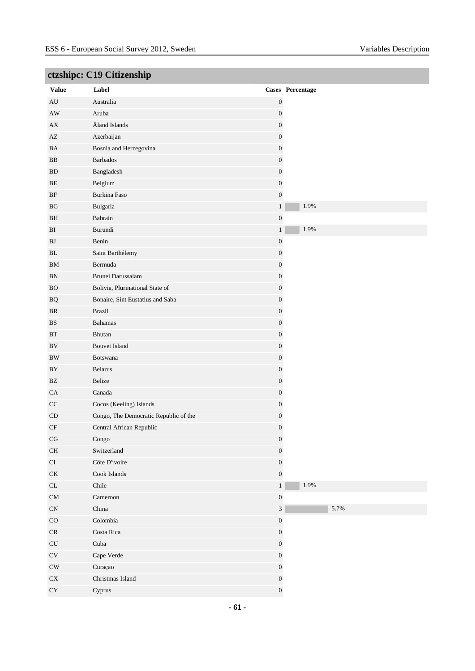|                                   | complete CTA Chapmann                 |                  |                  |
|-----------------------------------|---------------------------------------|------------------|------------------|
| <b>Value</b>                      | Label                                 |                  | Cases Percentage |
| $\hbox{AU}$                       | Australia                             | $\boldsymbol{0}$ |                  |
| $\mathbf{A}\mathbf{W}$            | Aruba                                 | $\boldsymbol{0}$ |                  |
| ${\bf AX}$                        | Åland Islands                         | $\boldsymbol{0}$ |                  |
| $\mathbf{A}\mathbf{Z}$            | Azerbaijan                            | $\boldsymbol{0}$ |                  |
| BA                                | Bosnia and Herzegovina                | $\boldsymbol{0}$ |                  |
| $_{\rm BB}$                       | <b>Barbados</b>                       | $\boldsymbol{0}$ |                  |
| ${\rm BD}$                        | Bangladesh                            | $\boldsymbol{0}$ |                  |
| $\rm BE$                          | Belgium                               | $\boldsymbol{0}$ |                  |
| $\rm BF$                          | Burkina Faso                          | $\boldsymbol{0}$ |                  |
| $_{\rm BG}$                       | Bulgaria                              | $\mathbf{1}$     | 1.9%             |
| BH                                | Bahrain                               | $\boldsymbol{0}$ |                  |
| ${\rm BI}$                        | Burundi                               | $\,1$            | 1.9%             |
| ${\bf BJ}$                        | Benin                                 | $\boldsymbol{0}$ |                  |
| BL                                | Saint Barthélemy                      | $\boldsymbol{0}$ |                  |
| BM                                | Bermuda                               | $\boldsymbol{0}$ |                  |
| ${\rm BN}$                        | Brunei Darussalam                     | $\boldsymbol{0}$ |                  |
| ${\rm BO}$                        | Bolivia, Plurinational State of       | $\boldsymbol{0}$ |                  |
| $\rm{BQ}$                         | Bonaire, Sint Eustatius and Saba      | $\boldsymbol{0}$ |                  |
| BR                                | <b>Brazil</b>                         | $\boldsymbol{0}$ |                  |
| BS                                | <b>Bahamas</b>                        | $\boldsymbol{0}$ |                  |
| $\operatorname{BT}$               | Bhutan                                | $\boldsymbol{0}$ |                  |
| $\rm BV$                          | <b>Bouvet Island</b>                  | $\boldsymbol{0}$ |                  |
| $\rm BW$                          | Botswana                              | $\boldsymbol{0}$ |                  |
| BY                                | Belarus                               | $\boldsymbol{0}$ |                  |
| $\mathbf{B}\mathbf{Z}$            | Belize                                | $\boldsymbol{0}$ |                  |
| ${\rm CA}$                        | Canada                                | $\boldsymbol{0}$ |                  |
| $\rm CC$                          | Cocos (Keeling) Islands               | $\boldsymbol{0}$ |                  |
| $\mathop{\rm CD}$                 | Congo, The Democratic Republic of the | $\boldsymbol{0}$ |                  |
| $\rm CF$                          | Central African Republic              | $\boldsymbol{0}$ |                  |
| $\mathbf{C}\mathbf{G}$            | Congo                                 | $\boldsymbol{0}$ |                  |
| $\rm CH$                          | Switzerland                           | $\boldsymbol{0}$ |                  |
| $\rm CI$                          | Côte D'ivoire                         | $\boldsymbol{0}$ |                  |
| $\mathrm{C}\mathrm{K}$            | Cook Islands                          | $\boldsymbol{0}$ |                  |
| $\ensuremath{\textup{CL}}\xspace$ | Chile                                 | $1\,$            | 1.9%             |
| ${\rm CM}$                        | Cameroon                              | $\boldsymbol{0}$ |                  |
| $\mathbf{C}\mathbf{N}$            | China                                 | $\sqrt{3}$       | 5.7%             |
| $_{\rm CO}$                       | Colombia                              | $\boldsymbol{0}$ |                  |
| $\ensuremath{\mathsf{CR}}$        | Costa Rica                            | $\boldsymbol{0}$ |                  |
| $\ensuremath{\mathrm{CU}}$        | Cuba                                  | $\boldsymbol{0}$ |                  |
| $\mathrm{CV}$                     | Cape Verde                            | $\boldsymbol{0}$ |                  |
| $\mathrm{CW}$                     | Curaçao                               | $\boldsymbol{0}$ |                  |
| ${\rm CX}$                        | Christmas Island                      | $\boldsymbol{0}$ |                  |
| ${\rm CY}$                        | Cyprus                                | $\boldsymbol{0}$ |                  |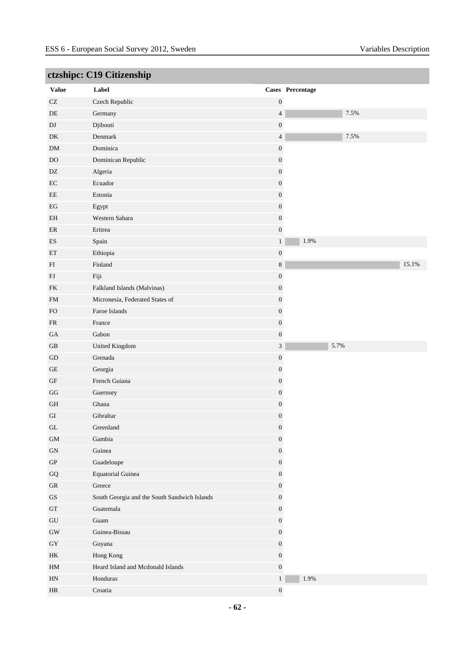| ctzshipc: C19 Citizenship  |                                              |                  |                  |       |  |  |
|----------------------------|----------------------------------------------|------------------|------------------|-------|--|--|
| <b>Value</b>               | Label                                        |                  | Cases Percentage |       |  |  |
| $\operatorname{CZ}$        | Czech Republic                               | $\boldsymbol{0}$ |                  |       |  |  |
| $\rm DE$                   | Germany                                      | $\overline{4}$   | 7.5%             |       |  |  |
| $\mathbf{D}\mathbf{J}$     | Djibouti                                     | $\boldsymbol{0}$ |                  |       |  |  |
| DK                         | Denmark                                      | $\overline{4}$   | 7.5%             |       |  |  |
| ${\rm DM}$                 | Dominica                                     | $\boldsymbol{0}$ |                  |       |  |  |
| $\rm DO$                   | Dominican Republic                           | $\boldsymbol{0}$ |                  |       |  |  |
| DZ                         | Algeria                                      | $\boldsymbol{0}$ |                  |       |  |  |
| $\rm EC$                   | Ecuador                                      | $\boldsymbol{0}$ |                  |       |  |  |
| $\rm EE$                   | Estonia                                      | $\boldsymbol{0}$ |                  |       |  |  |
| $\operatorname{EG}$        | Egypt                                        | $\boldsymbol{0}$ |                  |       |  |  |
| EH                         | Western Sahara                               | $\boldsymbol{0}$ |                  |       |  |  |
| $\rm ER$                   | Eritrea                                      | $\boldsymbol{0}$ |                  |       |  |  |
| ES                         | Spain                                        | $\mathbf{1}$     | 1.9%             |       |  |  |
| $\mathop{\rm ET}\nolimits$ | Ethiopia                                     | $\boldsymbol{0}$ |                  |       |  |  |
| ${\rm FI}$                 | Finland                                      | $\,8\,$          |                  | 15.1% |  |  |
| ${\rm FJ}$                 | Fiji                                         | $\boldsymbol{0}$ |                  |       |  |  |
| FK                         | Falkland Islands (Malvinas)                  | $\boldsymbol{0}$ |                  |       |  |  |
| FM                         | Micronesia, Federated States of              | $\boldsymbol{0}$ |                  |       |  |  |
| ${\rm FO}$                 | Faroe Islands                                | $\boldsymbol{0}$ |                  |       |  |  |
| ${\sf FR}$                 | France                                       | $\boldsymbol{0}$ |                  |       |  |  |
| $\rm GA$                   | Gabon                                        | $\boldsymbol{0}$ |                  |       |  |  |
| GB                         | United Kingdom                               | $\mathfrak{Z}$   | 5.7%             |       |  |  |
| $\operatorname{GD}$        | Grenada                                      | $\boldsymbol{0}$ |                  |       |  |  |
| $\operatorname{GE}$        | Georgia                                      | $\boldsymbol{0}$ |                  |       |  |  |
| $\operatorname{GF}$        | French Guiana                                | $\boldsymbol{0}$ |                  |       |  |  |
| $\mathbf{G}\mathbf{G}$     | Guernsey                                     | $\boldsymbol{0}$ |                  |       |  |  |
| GH                         | Ghana                                        | $\boldsymbol{0}$ |                  |       |  |  |
| ${\rm GI}$                 | Gibraltar                                    | $\boldsymbol{0}$ |                  |       |  |  |
| GL                         | Greenland                                    | $\overline{0}$   |                  |       |  |  |
| $\mbox{GM}$                | Gambia                                       | $\boldsymbol{0}$ |                  |       |  |  |
| ${\rm GN}$                 | Guinea                                       | $\boldsymbol{0}$ |                  |       |  |  |
| ${\rm GP}$                 | Guadeloupe                                   | $\boldsymbol{0}$ |                  |       |  |  |
| ${\bf G}{\bf Q}$           | <b>Equatorial Guinea</b>                     | $\boldsymbol{0}$ |                  |       |  |  |
| ${\rm GR}$                 | Greece                                       | $\boldsymbol{0}$ |                  |       |  |  |
| $\operatorname{GS}$        | South Georgia and the South Sandwich Islands | $\boldsymbol{0}$ |                  |       |  |  |
| ${\rm GT}$                 | Guatemala                                    | $\boldsymbol{0}$ |                  |       |  |  |
| ${\rm GU}$                 | Guam                                         | $\boldsymbol{0}$ |                  |       |  |  |
| $\mathrm{GW}$              | Guinea-Bissau                                | $\boldsymbol{0}$ |                  |       |  |  |
| ${\rm GY}$                 | Guyana                                       | $\boldsymbol{0}$ |                  |       |  |  |
| HK                         | Hong Kong                                    | $\boldsymbol{0}$ |                  |       |  |  |
| HM                         | Heard Island and Mcdonald Islands            | $\boldsymbol{0}$ |                  |       |  |  |
| ${\rm H N}$                | Honduras                                     | $\mathbf{1}$     | $1.9\%$          |       |  |  |
| $\rm{HR}$                  | Croatia                                      | $\boldsymbol{0}$ |                  |       |  |  |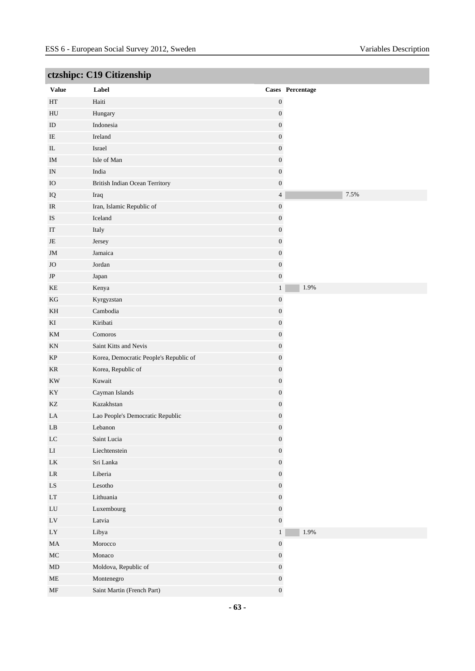|                            | cizsinpe. C17 Chizensinp               |                  |                  |
|----------------------------|----------------------------------------|------------------|------------------|
| <b>Value</b>               | Label                                  |                  | Cases Percentage |
| $\operatorname{HT}$        | Haiti                                  | $\boldsymbol{0}$ |                  |
| HU                         | Hungary                                | $\boldsymbol{0}$ |                  |
| ID                         | Indonesia                              | $\boldsymbol{0}$ |                  |
| IE                         | Ireland                                | $\boldsymbol{0}$ |                  |
| $\rm IL$                   | Israel                                 | $\boldsymbol{0}$ |                  |
| $\rm IM$                   | Isle of Man                            | $\boldsymbol{0}$ |                  |
| IN                         | India                                  | $\boldsymbol{0}$ |                  |
| $\rm IO$                   | <b>British Indian Ocean Territory</b>  | $\boldsymbol{0}$ |                  |
| IQ                         | Iraq                                   | $\overline{4}$   | 7.5%             |
| IR                         | Iran, Islamic Republic of              | $\boldsymbol{0}$ |                  |
| IS                         | Iceland                                | $\boldsymbol{0}$ |                  |
| $\operatorname{IT}$        | Italy                                  | $\boldsymbol{0}$ |                  |
| JE                         | Jersey                                 | $\boldsymbol{0}$ |                  |
| JM                         | Jamaica                                | $\boldsymbol{0}$ |                  |
| $_{\rm JO}$                | Jordan                                 | $\boldsymbol{0}$ |                  |
| $\rm{JP}$                  | Japan                                  | $\boldsymbol{0}$ |                  |
| KE                         | Kenya                                  | $\mathbf{1}$     | 1.9%             |
| KG                         | Kyrgyzstan                             | $\boldsymbol{0}$ |                  |
| KH                         | Cambodia                               | $\boldsymbol{0}$ |                  |
| KI                         | Kiribati                               | $\boldsymbol{0}$ |                  |
| KM                         | Comoros                                | $\boldsymbol{0}$ |                  |
| $\mathop{\rm KN}\nolimits$ | Saint Kitts and Nevis                  | $\boldsymbol{0}$ |                  |
| KP                         | Korea, Democratic People's Republic of | $\boldsymbol{0}$ |                  |
| $\rm KR$                   | Korea, Republic of                     | $\boldsymbol{0}$ |                  |
| $\mathop{\rm KW}$          | Kuwait                                 | $\boldsymbol{0}$ |                  |
| KY                         | Cayman Islands                         | $\boldsymbol{0}$ |                  |
| KZ                         | Kazakhstan                             | $\boldsymbol{0}$ |                  |
| LA                         | Lao People's Democratic Republic       | $\boldsymbol{0}$ |                  |
| $\mathbf{L}\mathbf{B}$     | Lebanon                                | $\boldsymbol{0}$ |                  |
| ${\rm LC}$                 | Saint Lucia                            | $\boldsymbol{0}$ |                  |
| ${\rm LI}$                 | Liechtenstein                          | $\boldsymbol{0}$ |                  |
| ${\rm LK}$                 | Sri Lanka                              | $\boldsymbol{0}$ |                  |
| $\rm LR$                   | Liberia                                | $\boldsymbol{0}$ |                  |
| ${\rm LS}$                 | Lesotho                                | $\boldsymbol{0}$ |                  |
| $\mathop{\rm LT}\nolimits$ | Lithuania                              | $\boldsymbol{0}$ |                  |
| ${\rm LU}$                 | Luxembourg                             | $\boldsymbol{0}$ |                  |
| $\mathop{\rm LV}$          | Latvia                                 | $\boldsymbol{0}$ |                  |
| ${\rm LY}$                 | Libya                                  | $\mathbf{1}$     | $1.9\%$          |
| $\rm MA$                   | Morocco                                | $\boldsymbol{0}$ |                  |
| $\rm MC$                   | Monaco                                 | $\boldsymbol{0}$ |                  |
| $\mbox{MD}$                | Moldova, Republic of                   | $\boldsymbol{0}$ |                  |
| $\rm ME$                   | Montenegro                             | $\boldsymbol{0}$ |                  |
| $\operatorname{MF}$        | Saint Martin (French Part)             | $\boldsymbol{0}$ |                  |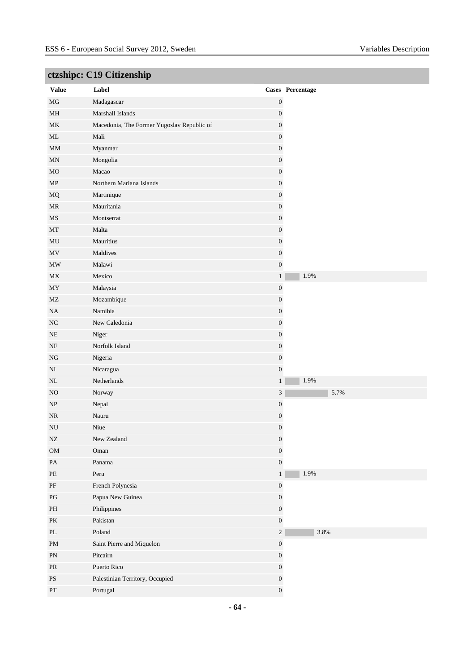| <b>Value</b>                      | Label                                      |                  | Cases Percentage |
|-----------------------------------|--------------------------------------------|------------------|------------------|
| $\rm MG$                          | Madagascar                                 | $\boldsymbol{0}$ |                  |
| $\mathbf{MH}$                     | Marshall Islands                           | $\boldsymbol{0}$ |                  |
| MK                                | Macedonia, The Former Yugoslav Republic of | $\boldsymbol{0}$ |                  |
| ML                                | Mali                                       | $\boldsymbol{0}$ |                  |
| $\mathop{\rm MM}$                 | Myanmar                                    | $\boldsymbol{0}$ |                  |
| $\mbox{MN}$                       | Mongolia                                   | $\boldsymbol{0}$ |                  |
| MO                                | Macao                                      | $\boldsymbol{0}$ |                  |
| MP                                | Northern Mariana Islands                   | $\boldsymbol{0}$ |                  |
| $_{\rm MQ}$                       | Martinique                                 | $\boldsymbol{0}$ |                  |
| MR                                | Mauritania                                 | $\boldsymbol{0}$ |                  |
| MS                                | Montserrat                                 | $\boldsymbol{0}$ |                  |
| MT                                | Malta                                      | $\boldsymbol{0}$ |                  |
| $\rm MU$                          | Mauritius                                  | $\boldsymbol{0}$ |                  |
| $\ensuremath{\text{MV}}\xspace$   | Maldives                                   | $\boldsymbol{0}$ |                  |
| $\ensuremath{\text{MW}}\xspace$   | Malawi                                     | $\boldsymbol{0}$ |                  |
| $\ensuremath{\text{MX}}\xspace$   | Mexico                                     | $\,1$            | 1.9%             |
| MY                                | Malaysia                                   | $\boldsymbol{0}$ |                  |
| $\rm MZ$                          | Mozambique                                 | $\boldsymbol{0}$ |                  |
| NA                                | Namibia                                    | $\boldsymbol{0}$ |                  |
| $_{\mathrm{NC}}$                  | New Caledonia                              | $\boldsymbol{0}$ |                  |
| $\rm NE$                          | Niger                                      | $\boldsymbol{0}$ |                  |
| NF                                | Norfolk Island                             | $\boldsymbol{0}$ |                  |
| $_{\rm NG}$                       | Nigeria                                    | $\boldsymbol{0}$ |                  |
| $_{\rm NI}$                       | Nicaragua                                  | $\boldsymbol{0}$ |                  |
| $\rm NL$                          | Netherlands                                | $\mathbf{1}$     | 1.9%             |
| N <sub>O</sub>                    | Norway                                     | $\mathfrak{Z}$   | 5.7%             |
| $\ensuremath{\text{NP}}\xspace$   | Nepal                                      | $\boldsymbol{0}$ |                  |
| $\rm NR$                          | Nauru                                      | $\boldsymbol{0}$ |                  |
| ${\rm NU}$                        | Niue                                       | $\boldsymbol{0}$ |                  |
| ${\rm NZ}$                        | New Zealand                                | $\boldsymbol{0}$ |                  |
| ${\rm OM}$                        | Oman                                       | $\boldsymbol{0}$ |                  |
| $\rm PA$                          | Panama                                     | $\boldsymbol{0}$ |                  |
| PE                                | Peru                                       | $\mathbf{1}$     | $1.9\%$          |
| $\rm PF$                          | French Polynesia                           | $\boldsymbol{0}$ |                  |
| $\mathbf{P}\mathbf{G}$            | Papua New Guinea                           | $\boldsymbol{0}$ |                  |
| $\mathbf{PH}$                     | Philippines                                | $\boldsymbol{0}$ |                  |
| $\mathbf{P}\mathbf{K}$            | Pakistan                                   | $\boldsymbol{0}$ |                  |
| $\ensuremath{\text{PL}}\xspace$   | Poland                                     | $\sqrt{2}$       | 3.8%             |
| $\mathbf{PM}$                     | Saint Pierre and Miquelon                  | $\boldsymbol{0}$ |                  |
| ${\rm PN}$                        | Pitcairn                                   | $\boldsymbol{0}$ |                  |
| $\ensuremath{\mathsf{PR}}\xspace$ | Puerto Rico                                | $\boldsymbol{0}$ |                  |
| $\mathbf{P}\mathbf{S}$            | Palestinian Territory, Occupied            | $\boldsymbol{0}$ |                  |
| $\mathbf{PT}$                     | Portugal                                   | $\boldsymbol{0}$ |                  |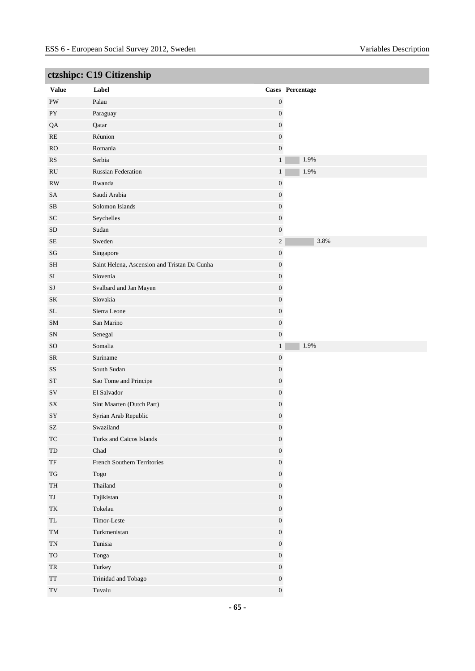|                                                  | cusinpe. Cry Chizensinp                      |                  |                  |
|--------------------------------------------------|----------------------------------------------|------------------|------------------|
| <b>Value</b>                                     | Label                                        |                  | Cases Percentage |
| $\mathrm{PW}$                                    | Palau                                        | $\boldsymbol{0}$ |                  |
| ${\rm PY}$                                       | Paraguay                                     | $\boldsymbol{0}$ |                  |
| QA                                               | Qatar                                        | $\boldsymbol{0}$ |                  |
| RE                                               | Réunion                                      | $\boldsymbol{0}$ |                  |
| RO                                               | Romania                                      | $\boldsymbol{0}$ |                  |
| RS                                               | Serbia                                       | $\,1$            | 1.9%             |
| $\mathbf{R}\mathbf{U}$                           | <b>Russian Federation</b>                    | $\mathbf{1}$     | 1.9%             |
| $\mathbf{RW}$                                    | Rwanda                                       | $\boldsymbol{0}$ |                  |
| ${\rm SA}$                                       | Saudi Arabia                                 | $\boldsymbol{0}$ |                  |
| $\rm SB$                                         | Solomon Islands                              | $\boldsymbol{0}$ |                  |
| <b>SC</b>                                        | Seychelles                                   | $\boldsymbol{0}$ |                  |
| ${\rm SD}$                                       | Sudan                                        | $\boldsymbol{0}$ |                  |
| $\rm SE$                                         | Sweden                                       | $\sqrt{2}$       | 3.8%             |
| $\mathbf{S}\mathbf{G}$                           | Singapore                                    | $\boldsymbol{0}$ |                  |
| <b>SH</b>                                        | Saint Helena, Ascension and Tristan Da Cunha | $\boldsymbol{0}$ |                  |
| $\rm SI$                                         | Slovenia                                     | $\boldsymbol{0}$ |                  |
| SJ                                               | Svalbard and Jan Mayen                       | $\boldsymbol{0}$ |                  |
| SK                                               | Slovakia                                     | $\boldsymbol{0}$ |                  |
| $\rm SL$                                         | Sierra Leone                                 | $\boldsymbol{0}$ |                  |
| ${\rm SM}$                                       | San Marino                                   | $\boldsymbol{0}$ |                  |
| ${\rm SN}$                                       | Senegal                                      | $\boldsymbol{0}$ |                  |
| <b>SO</b>                                        | Somalia                                      | $\mathbf{1}$     | 1.9%             |
| ${\sf SR}$                                       | Suriname                                     | $\boldsymbol{0}$ |                  |
| SS                                               | South Sudan                                  | $\boldsymbol{0}$ |                  |
| <b>ST</b>                                        | Sao Tome and Principe                        | $\boldsymbol{0}$ |                  |
| SV                                               | El Salvador                                  | $\boldsymbol{0}$ |                  |
| ${\rm SX}$                                       | Sint Maarten (Dutch Part)                    | $\boldsymbol{0}$ |                  |
| SY                                               | Syrian Arab Republic                         | $\boldsymbol{0}$ |                  |
| $\ensuremath{\mathrm{SZ}}$                       | Swaziland                                    | $\boldsymbol{0}$ |                  |
| $\protect\operatorname{TC}$                      | Turks and Caicos Islands                     | $\boldsymbol{0}$ |                  |
| ${\rm TD}$                                       | Chad                                         | $\boldsymbol{0}$ |                  |
| $\ensuremath{\mathsf{T}}\ensuremath{\mathsf{F}}$ | French Southern Territories                  | $\boldsymbol{0}$ |                  |
| $\mathcal{T}\mathcal{G}$                         | Togo                                         | $\boldsymbol{0}$ |                  |
| $\ensuremath{\mathsf{T}}\ensuremath{\mathsf{H}}$ | Thailand                                     | $\boldsymbol{0}$ |                  |
| TJ                                               | Tajikistan                                   | $\boldsymbol{0}$ |                  |
| $\operatorname{TK}$                              | Tokelau                                      | $\boldsymbol{0}$ |                  |
| $\ensuremath{\mathsf{T}}\ensuremath{\mathsf{L}}$ | Timor-Leste                                  | $\boldsymbol{0}$ |                  |
| $\rm TM$                                         | Turkmenistan                                 | $\boldsymbol{0}$ |                  |
| $\mbox{T}\mbox{N}$                               | Tunisia                                      | $\boldsymbol{0}$ |                  |
| ${\rm TO}$                                       | Tonga                                        | $\boldsymbol{0}$ |                  |
| ${\rm TR}$                                       | Turkey                                       | $\boldsymbol{0}$ |                  |
| $\operatorname{TT}$                              | Trinidad and Tobago                          | $\boldsymbol{0}$ |                  |
| $\operatorname{TV}$                              | Tuvalu                                       | $\boldsymbol{0}$ |                  |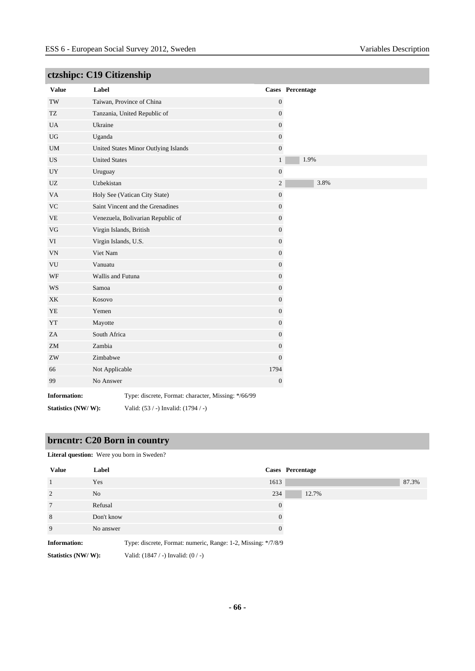| $\epsilon$                 |                         |                                                     |                  |                  |
|----------------------------|-------------------------|-----------------------------------------------------|------------------|------------------|
| <b>Value</b>               | Label                   |                                                     |                  | Cases Percentage |
| $\operatorname{TW}$        |                         | Taiwan, Province of China                           | $\boldsymbol{0}$ |                  |
| TZ                         |                         | Tanzania, United Republic of                        | $\boldsymbol{0}$ |                  |
| <b>UA</b>                  | Ukraine                 |                                                     | $\boldsymbol{0}$ |                  |
| $_{\rm UG}$                | Uganda                  |                                                     | $\boldsymbol{0}$ |                  |
| $\mathbf{UM}$              |                         | United States Minor Outlying Islands                | $\boldsymbol{0}$ |                  |
| $_{\rm US}$                | <b>United States</b>    |                                                     | $\mathbf{1}$     | 1.9%             |
| UY                         | Uruguay                 |                                                     | $\boldsymbol{0}$ |                  |
| $U\!Z$                     | Uzbekistan              |                                                     | $\sqrt{2}$       | 3.8%             |
| VA                         |                         | Holy See (Vatican City State)                       | $\boldsymbol{0}$ |                  |
| <b>VC</b>                  |                         | Saint Vincent and the Grenadines                    | $\mathbf{0}$     |                  |
| $\ensuremath{\mathsf{VE}}$ |                         | Venezuela, Bolivarian Republic of                   | $\boldsymbol{0}$ |                  |
| $\rm{VG}$                  | Virgin Islands, British |                                                     | $\boldsymbol{0}$ |                  |
| VI                         | Virgin Islands, U.S.    |                                                     | $\boldsymbol{0}$ |                  |
| <b>VN</b>                  | Viet Nam                |                                                     | $\boldsymbol{0}$ |                  |
| ${\rm VU}$                 | Vanuatu                 |                                                     | $\boldsymbol{0}$ |                  |
| $\operatorname{WF}$        | Wallis and Futuna       |                                                     | $\boldsymbol{0}$ |                  |
| WS                         | Samoa                   |                                                     | $\boldsymbol{0}$ |                  |
| XK                         | Kosovo                  |                                                     | $\boldsymbol{0}$ |                  |
| YE                         | Yemen                   |                                                     | $\boldsymbol{0}$ |                  |
| ${\it YT}$                 | Mayotte                 |                                                     | $\boldsymbol{0}$ |                  |
| ZA                         | South Africa            |                                                     | $\boldsymbol{0}$ |                  |
| ${\rm ZM}$                 | Zambia                  |                                                     | $\boldsymbol{0}$ |                  |
| ${\rm ZW}$                 | Zimbabwe                |                                                     | $\mathbf{0}$     |                  |
| 66                         | Not Applicable          |                                                     | 1794             |                  |
| 99                         | No Answer               |                                                     | $\boldsymbol{0}$ |                  |
| <b>Information:</b>        |                         | Type: discrete, Format: character, Missing: */66/99 |                  |                  |
| Statistics (NW/W):         |                         | Valid: (53 / -) Invalid: (1794 / -)                 |                  |                  |

## **brncntr: C20 Born in country**

| <b>Literal question:</b> Were you born in Sweden? |                                                               |          |                  |       |  |  |
|---------------------------------------------------|---------------------------------------------------------------|----------|------------------|-------|--|--|
| <b>Value</b>                                      | Label                                                         |          | Cases Percentage |       |  |  |
|                                                   | Yes                                                           | 1613     |                  | 87.3% |  |  |
| $\overline{2}$                                    | N <sub>o</sub>                                                | 234      | 12.7%            |       |  |  |
| 7                                                 | Refusal                                                       | $\Omega$ |                  |       |  |  |
| 8                                                 | Don't know                                                    | $\theta$ |                  |       |  |  |
| 9                                                 | No answer                                                     | 0        |                  |       |  |  |
| <b>Information:</b>                               | Type: discrete, Format: numeric, Range: 1-2, Missing: */7/8/9 |          |                  |       |  |  |

**Statistics (NW/ W):** Valid: (1847 / -) Invalid: (0 / -)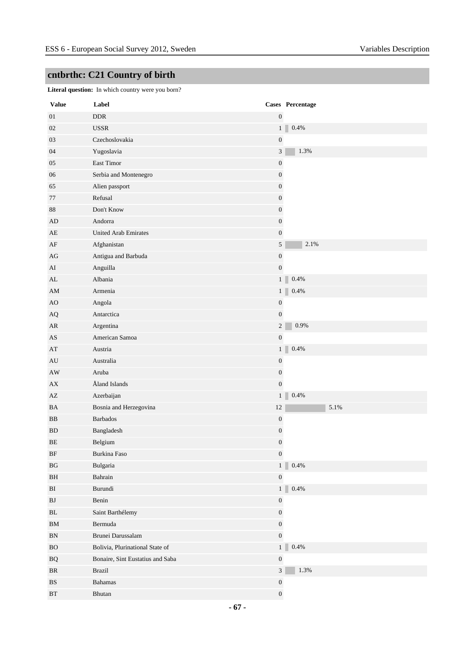**Literal question:** In which country were you born?

| <b>Value</b>           | Label                            |        | Cases Percentage          |
|------------------------|----------------------------------|--------|---------------------------|
| 01                     | <b>DDR</b>                       |        | $\boldsymbol{0}$          |
| 02                     | <b>USSR</b>                      |        | $0.4\%$<br>1 <sup>1</sup> |
| 03                     | Czechoslovakia                   |        | $\boldsymbol{0}$          |
| 04                     | Yugoslavia                       |        | $\mathfrak{Z}$<br>1.3%    |
| $05\,$                 | East Timor                       |        | $\boldsymbol{0}$          |
| 06                     | Serbia and Montenegro            |        | $\boldsymbol{0}$          |
| 65                     | Alien passport                   |        | $\boldsymbol{0}$          |
| 77                     | Refusal                          |        | $\boldsymbol{0}$          |
| $88\,$                 | Don't Know                       |        | $\boldsymbol{0}$          |
| AD                     | Andorra                          |        | $\boldsymbol{0}$          |
| AE                     | <b>United Arab Emirates</b>      |        | $\boldsymbol{0}$          |
| AF                     | Afghanistan                      |        | 5<br>2.1%                 |
| AG                     | Antigua and Barbuda              |        | $\boldsymbol{0}$          |
| AI                     | Anguilla                         |        | $\boldsymbol{0}$          |
| AL                     | Albania                          |        | $0.4\%$<br>1 <sup>1</sup> |
| AM                     | Armenia                          |        | $0.4\%$<br>1 <sub>1</sub> |
| AO                     | Angola                           |        | $\boldsymbol{0}$          |
| AQ                     | Antarctica                       |        | $\boldsymbol{0}$          |
| AR                     | Argentina                        |        | 0.9%<br>$\boldsymbol{2}$  |
| AS                     | American Samoa                   |        | $\boldsymbol{0}$          |
| AT                     | Austria                          |        | $0.4\%$<br>1 <sup>1</sup> |
| AU                     | Australia                        |        | $\boldsymbol{0}$          |
| AW                     | Aruba                            |        | $\boldsymbol{0}$          |
| ${\bf AX}$             | Åland Islands                    |        | $\boldsymbol{0}$          |
| AZ                     | Azerbaijan                       |        | $0.4\%$<br>1              |
| BA                     | Bosnia and Herzegovina           | $12\,$ | 5.1%                      |
| $_{\rm BB}$            | Barbados                         |        | $\boldsymbol{0}$          |
| <b>BD</b>              | Bangladesh                       |        | $\boldsymbol{0}$          |
| BE                     | Belgium                          |        | $\boldsymbol{0}$          |
| BF                     | Burkina Faso                     |        | $\boldsymbol{0}$          |
| $\mathbf{B}\mathbf{G}$ | Bulgaria                         |        | 0.4%<br>1 <sup>1</sup>    |
| BH                     | Bahrain                          |        | $\boldsymbol{0}$          |
| BI                     | Burundi                          |        | $0.4\%$<br>1 <sup>1</sup> |
| ${\bf BJ}$             | Benin                            |        | $\boldsymbol{0}$          |
| $\rm BL$               | Saint Barthélemy                 |        | $\boldsymbol{0}$          |
| ${\bf BM}$             | Bermuda                          |        | $\boldsymbol{0}$          |
| ${\rm BN}$             | Brunei Darussalam                |        | $\boldsymbol{0}$          |
| ${\rm BO}$             | Bolivia, Plurinational State of  |        | $0.4\%$<br>1 <sup>1</sup> |
| $\rm{BQ}$              | Bonaire, Sint Eustatius and Saba |        | $\boldsymbol{0}$          |
| $\rm{BR}$              | Brazil                           |        | 1.3%<br>$\overline{3}$    |
| $\mathbf{B}\mathbf{S}$ | <b>Bahamas</b>                   |        | $\boldsymbol{0}$          |
| $\operatorname{BT}$    | ${\bf Bhutan}$                   |        | $\boldsymbol{0}$          |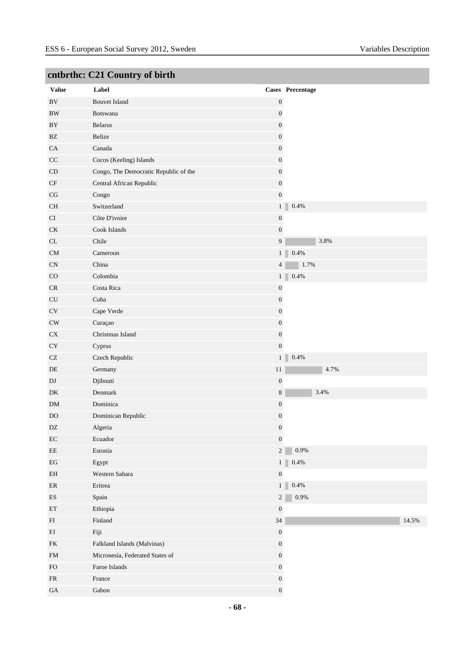| <b>Value</b>                      | Label                                 |                  | Cases Percentage           |
|-----------------------------------|---------------------------------------|------------------|----------------------------|
| $\rm BV$                          | <b>Bouvet Island</b>                  | $\boldsymbol{0}$ |                            |
| $\rm BW$                          | Botswana                              | $\boldsymbol{0}$ |                            |
| $\rm BY$                          | <b>Belarus</b>                        | $\boldsymbol{0}$ |                            |
| BZ                                | Belize                                | $\boldsymbol{0}$ |                            |
| CA                                | Canada                                | $\boldsymbol{0}$ |                            |
| $\rm CC$                          | Cocos (Keeling) Islands               | $\boldsymbol{0}$ |                            |
| CD                                | Congo, The Democratic Republic of the | $\boldsymbol{0}$ |                            |
| CF                                | Central African Republic              | $\boldsymbol{0}$ |                            |
| $\rm{CG}$                         | Congo                                 | $\boldsymbol{0}$ |                            |
| $\rm CH$                          | Switzerland                           | 1 <sup>1</sup>   | 0.4%                       |
| CI                                | Côte D'ivoire                         | $\boldsymbol{0}$ |                            |
| <b>CK</b>                         | Cook Islands                          | $\boldsymbol{0}$ |                            |
| $\ensuremath{\textup{CL}}\xspace$ | Chile                                 | $\boldsymbol{9}$ | 3.8%                       |
| ${\rm CM}$                        | Cameroon                              |                  | 1<br>0.4%                  |
| CN                                | China                                 | $\overline{4}$   | 1.7%                       |
| CO                                | Colombia                              |                  | 0.4%<br>1                  |
| CR                                | Costa Rica                            | $\boldsymbol{0}$ |                            |
| ${\rm CU}$                        | Cuba                                  | $\boldsymbol{0}$ |                            |
| CV                                | Cape Verde                            | $\boldsymbol{0}$ |                            |
| CW                                | Curaçao                               | $\boldsymbol{0}$ |                            |
| ${\rm CX}$                        | Christmas Island                      | $\boldsymbol{0}$ |                            |
| ${\rm CY}$                        | Cyprus                                | $\boldsymbol{0}$ |                            |
| CZ                                | Czech Republic                        |                  | 0.4%<br>1                  |
| $\rm DE$                          | Germany                               | $11\,$           | 4.7%                       |
| $\mathbf{D}\mathbf{J}$            | Djibouti                              | $\boldsymbol{0}$ |                            |
| DK                                | Denmark                               | $\,8\,$          | 3.4%                       |
| ${\rm DM}$                        | Dominica                              | $\boldsymbol{0}$ |                            |
| DO                                | Dominican Republic                    | $\boldsymbol{0}$ |                            |
| $\mathbf{D}\mathbf{Z}$            | Algeria                               | $\boldsymbol{0}$ |                            |
| $\rm EC$                          | Ecuador                               | $\boldsymbol{0}$ |                            |
| $\rm{EE}$                         | Estonia                               | $\overline{c}$   | 0.9%                       |
| $\operatorname{EG}$               | Egypt                                 |                  | 0.4%<br>$1$ $\blacksquare$ |
| EH                                | Western Sahara                        | $\boldsymbol{0}$ |                            |
| $\rm ER$                          | Eritrea                               | 1 <sup>1</sup>   | $0.4\%$                    |
| ${\rm ES}$                        | Spain                                 | $\overline{c}$   | $0.9\%$                    |
| $\mathop{\rm ET}\nolimits$        | Ethiopia                              | $\boldsymbol{0}$ |                            |
| ${\rm FI}$                        | Finland                               | $34\,$           | 14.5%                      |
| ${\rm FJ}$                        | Fiji                                  | $\boldsymbol{0}$ |                            |
| ${\rm FK}$                        | Falkland Islands (Malvinas)           | $\boldsymbol{0}$ |                            |
| ${\rm FM}$                        | Micronesia, Federated States of       | $\boldsymbol{0}$ |                            |
| ${\rm FO}$                        | Faroe Islands                         | $\boldsymbol{0}$ |                            |
| ${\sf FR}$                        | France                                | $\boldsymbol{0}$ |                            |
| $\rm GA$                          | Gabon                                 | $\boldsymbol{0}$ |                            |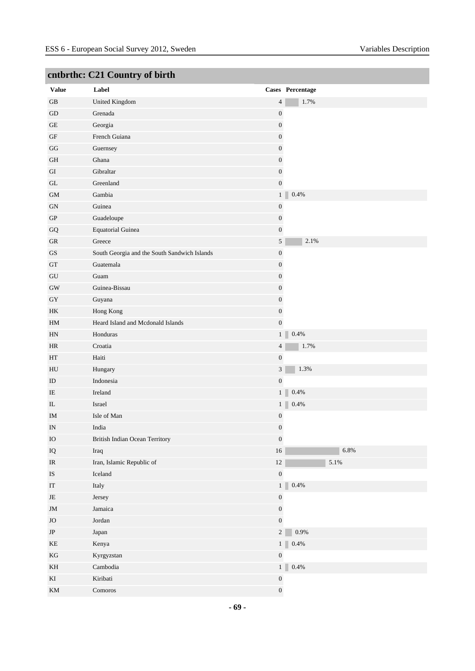| <b>Value</b>                      | .<br>Label                                   |                  | Cases Percentage |
|-----------------------------------|----------------------------------------------|------------------|------------------|
| $\operatorname{GB}$               | <b>United Kingdom</b>                        | 4                | 1.7%             |
| GD                                | Grenada                                      | $\boldsymbol{0}$ |                  |
| $\operatorname{GE}$               | Georgia                                      | $\boldsymbol{0}$ |                  |
| $\operatorname{GF}$               | French Guiana                                | $\boldsymbol{0}$ |                  |
| GG                                | Guernsey                                     | $\boldsymbol{0}$ |                  |
| $\,$ GH                           | Ghana                                        | $\boldsymbol{0}$ |                  |
| GI                                | Gibraltar                                    | $\boldsymbol{0}$ |                  |
| $\operatorname{GL}$               | Greenland                                    | $\boldsymbol{0}$ |                  |
| $\mbox{GM}$                       | Gambia                                       | 1 <sup>1</sup>   | $0.4\%$          |
| ${\rm GN}$                        | Guinea                                       | $\boldsymbol{0}$ |                  |
| ${\rm GP}$                        | Guadeloupe                                   | $\boldsymbol{0}$ |                  |
| ${\bf G}{\bf Q}$                  | <b>Equatorial Guinea</b>                     | $\boldsymbol{0}$ |                  |
| ${\rm GR}$                        | Greece                                       | 5                | 2.1%             |
| $\mathbf{G}\mathbf{S}$            | South Georgia and the South Sandwich Islands | $\boldsymbol{0}$ |                  |
| ${\rm GT}$                        | Guatemala                                    | $\boldsymbol{0}$ |                  |
| ${\rm GU}$                        | Guam                                         | $\boldsymbol{0}$ |                  |
| $\rm GW$                          | Guinea-Bissau                                | $\boldsymbol{0}$ |                  |
| ${\rm GY}$                        | Guyana                                       | $\boldsymbol{0}$ |                  |
| HK                                | Hong Kong                                    | $\boldsymbol{0}$ |                  |
| HM                                | Heard Island and Mcdonald Islands            | $\boldsymbol{0}$ |                  |
| HN                                | Honduras                                     | 1                | $0.4\%$          |
| HR                                | Croatia                                      | $\overline{4}$   | 1.7%             |
| $\operatorname{HT}$               | Haiti                                        | $\boldsymbol{0}$ |                  |
| HU                                | Hungary                                      | $\mathfrak{Z}$   | 1.3%             |
| ID                                | Indonesia                                    | $\boldsymbol{0}$ |                  |
| IE                                | Ireland                                      | 1 <sup>1</sup>   | $0.4\%$          |
| $\rm IL$                          | Israel                                       | 1 <sub>1</sub>   | $0.4\%$          |
| IM                                | Isle of Man                                  | $\boldsymbol{0}$ |                  |
| IN                                | India                                        | $\boldsymbol{0}$ |                  |
| ${\rm IO}$                        | British Indian Ocean Territory               | $\boldsymbol{0}$ |                  |
| ${\rm IQ}$                        | Iraq                                         | $16\,$           | 6.8%             |
| $\ensuremath{\mathsf{IR}}\xspace$ | Iran, Islamic Republic of                    | $12\,$           | $5.1\%$          |
| $\mathbf{IS}$                     | Iceland                                      | $\boldsymbol{0}$ |                  |
| $\operatorname{IT}$               | Italy                                        | 1 <sup>1</sup>   | $0.4\%$          |
| $\rm{JE}$                         | Jersey                                       | $\boldsymbol{0}$ |                  |
| $\mathbf{JM}$                     | Jamaica                                      | $\boldsymbol{0}$ |                  |
| $\rm JO$                          | Jordan                                       | $\boldsymbol{0}$ |                  |
| $\rm JP$                          | Japan                                        | $\overline{2}$   | 0.9%             |
| $\rm KE$                          | Kenya                                        | 1 <sup>1</sup>   | $0.4\%$          |
| $\mathbf{KG}$                     | Kyrgyzstan                                   | $\boldsymbol{0}$ |                  |
| KH                                | Cambodia                                     | 1 <sup>1</sup>   | $0.4\%$          |
| $\mathop{\mathrm{KI}}$            | Kiribati                                     | $\boldsymbol{0}$ |                  |
| KM                                | Comoros                                      | $\boldsymbol{0}$ |                  |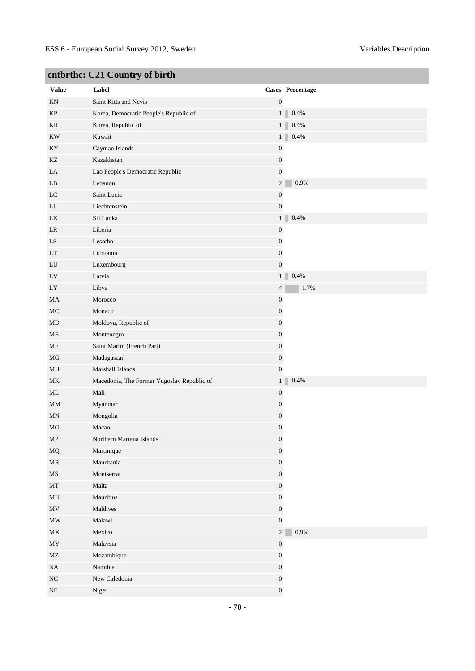|                                   | $\frac{1}{2}$                              |                  |                           |
|-----------------------------------|--------------------------------------------|------------------|---------------------------|
| Value                             | Label                                      |                  | Cases Percentage          |
| KN                                | Saint Kitts and Nevis                      | $\boldsymbol{0}$ |                           |
| KP                                | Korea, Democratic People's Republic of     |                  | $0.4\%$<br>1              |
| KR                                | Korea, Republic of                         |                  | 1<br>0.4%                 |
| $\mathop{\rm KW}$                 | Kuwait                                     |                  | 0.4%<br>1                 |
| KY                                | Cayman Islands                             | $\boldsymbol{0}$ |                           |
| KZ                                | Kazakhstan                                 | $\boldsymbol{0}$ |                           |
| LA                                | Lao People's Democratic Republic           | $\boldsymbol{0}$ |                           |
| $\rm LB$                          | Lebanon                                    | $\overline{c}$   | 0.9%                      |
| LC                                | Saint Lucia                                | $\boldsymbol{0}$ |                           |
| LI                                | Liechtenstein                              | $\boldsymbol{0}$ |                           |
| LK                                | Sri Lanka                                  |                  | $0.4\%$<br>1 <sup>1</sup> |
| LR                                | Liberia                                    | $\boldsymbol{0}$ |                           |
| ${\rm LS}$                        | Lesotho                                    | $\boldsymbol{0}$ |                           |
| LT                                | Lithuania                                  | $\boldsymbol{0}$ |                           |
| LU                                | Luxembourg                                 | $\boldsymbol{0}$ |                           |
| $\mathop{\rm LV}$                 | Latvia                                     |                  | $0.4\%$<br>$1 \mid$       |
| LY                                | Libya                                      | $\overline{4}$   | 1.7%                      |
| MA                                | Morocco                                    | $\boldsymbol{0}$ |                           |
| $\rm MC$                          | Monaco                                     | $\boldsymbol{0}$ |                           |
| MD                                | Moldova, Republic of                       | $\boldsymbol{0}$ |                           |
| $\rm ME$                          | Montenegro                                 | $\boldsymbol{0}$ |                           |
| MF                                | Saint Martin (French Part)                 | $\boldsymbol{0}$ |                           |
| $MG$                              | Madagascar                                 | $\boldsymbol{0}$ |                           |
| MH                                | Marshall Islands                           | $\boldsymbol{0}$ |                           |
| MK                                | Macedonia, The Former Yugoslav Republic of |                  | $0.4\%$<br>1 <sup>1</sup> |
| ML                                | Mali                                       | $\boldsymbol{0}$ |                           |
| MM                                | Myanmar                                    | $\boldsymbol{0}$ |                           |
| MN                                | Mongolia                                   | $\boldsymbol{0}$ |                           |
| MO                                | Macao                                      | 0                |                           |
| ${\sf MP}$                        | Northern Mariana Islands                   | $\boldsymbol{0}$ |                           |
| $_{\rm MQ}$                       | Martinique                                 | $\boldsymbol{0}$ |                           |
| $\ensuremath{\mathsf{MR}}\xspace$ | Mauritania                                 | $\boldsymbol{0}$ |                           |
| $\rm{MS}$                         | Montserrat                                 | $\boldsymbol{0}$ |                           |
| $\operatorname{MT}$               | Malta                                      | $\boldsymbol{0}$ |                           |
| $\rm MU$                          | Mauritius                                  | $\boldsymbol{0}$ |                           |
| MV                                | Maldives                                   | $\boldsymbol{0}$ |                           |
| $\ensuremath{\text{MW}}\xspace$   | Malawi                                     | $\boldsymbol{0}$ |                           |
| $\ensuremath{\text{MX}}\xspace$   | Mexico                                     | $\overline{c}$   | $0.9\%$                   |
| $\ensuremath{\text{MY}}$          | Malaysia                                   | $\boldsymbol{0}$ |                           |
| MZ                                | Mozambique                                 | $\boldsymbol{0}$ |                           |
| $_{\rm NA}$                       | Namibia                                    | $\boldsymbol{0}$ |                           |
| ${\rm NC}$                        | New Caledonia                              | $\boldsymbol{0}$ |                           |
| $\rm NE$                          | Niger                                      | $\boldsymbol{0}$ |                           |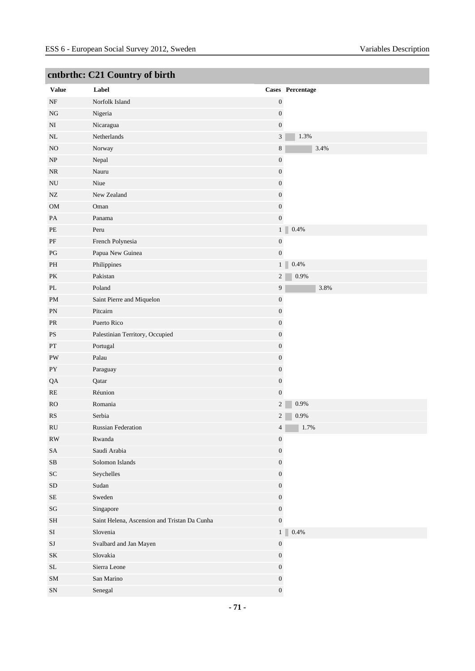|                            | entorum, car country or on the               |                  |                           |
|----------------------------|----------------------------------------------|------------------|---------------------------|
| <b>Value</b>               | Label                                        |                  | Cases Percentage          |
| $\rm{NF}$                  | Norfolk Island                               | $\boldsymbol{0}$ |                           |
| $_{\rm NG}$                | Nigeria                                      | $\boldsymbol{0}$ |                           |
| $\mathbf{N}\mathbf{I}$     | Nicaragua                                    | $\boldsymbol{0}$ |                           |
| $\rm NL$                   | Netherlands                                  | $\mathfrak{Z}$   | 1.3%                      |
| NO                         | Norway                                       | 8                | 3.4%                      |
| NP                         | Nepal                                        | $\boldsymbol{0}$ |                           |
| $\rm NR$                   | Nauru                                        | $\boldsymbol{0}$ |                           |
| ${\rm NU}$                 | Niue                                         | $\boldsymbol{0}$ |                           |
| NZ                         | New Zealand                                  | $\boldsymbol{0}$ |                           |
| OM                         | Oman                                         | $\boldsymbol{0}$ |                           |
| PA                         | Panama                                       | $\boldsymbol{0}$ |                           |
| $\ensuremath{\mathsf{PE}}$ | Peru                                         |                  | 0.4%<br>1 <sup>1</sup>    |
| $\rm PF$                   | French Polynesia                             | $\boldsymbol{0}$ |                           |
| PG                         | Papua New Guinea                             | $\boldsymbol{0}$ |                           |
| PH                         | Philippines                                  |                  | 1 <sub>1</sub><br>$0.4\%$ |
| PK                         | Pakistan                                     | $\overline{c}$   | 0.9%                      |
| $\rm PL$                   | Poland                                       | 9                | 3.8%                      |
| PM                         | Saint Pierre and Miquelon                    | $\boldsymbol{0}$ |                           |
| PN                         | Pitcairn                                     | $\boldsymbol{0}$ |                           |
| PR                         | Puerto Rico                                  | $\boldsymbol{0}$ |                           |
| $\mathbf{P}\mathbf{S}$     | Palestinian Territory, Occupied              | $\boldsymbol{0}$ |                           |
| $\mathbf{PT}$              | Portugal                                     | $\boldsymbol{0}$ |                           |
| PW                         | Palau                                        | $\boldsymbol{0}$ |                           |
| PY                         | Paraguay                                     | $\boldsymbol{0}$ |                           |
| QA                         | Qatar                                        | $\boldsymbol{0}$ |                           |
| RE                         | Réunion                                      | $\boldsymbol{0}$ |                           |
| RO                         | Romania                                      | $\overline{c}$   | 0.9%                      |
| $\mathbb{R}\mathcal{S}$    | Serbia                                       | $\overline{2}$   | 0.9%                      |
| RU                         | <b>Russian Federation</b>                    | 4                | 1.7%                      |
| $\mathbf{RW}$              | Rwanda                                       | $\boldsymbol{0}$ |                           |
| $\operatorname{SA}$        | Saudi Arabia                                 | $\boldsymbol{0}$ |                           |
| ${\bf SB}$                 | Solomon Islands                              | $\boldsymbol{0}$ |                           |
| ${\rm SC}$                 | Seychelles                                   | $\boldsymbol{0}$ |                           |
| ${\rm SD}$                 | Sudan                                        | $\boldsymbol{0}$ |                           |
| $\rm SE$                   | Sweden                                       | $\boldsymbol{0}$ |                           |
| $\mathbf{S}\mathbf{G}$     | Singapore                                    | $\boldsymbol{0}$ |                           |
| $\operatorname{SH}$        | Saint Helena, Ascension and Tristan Da Cunha | $\boldsymbol{0}$ |                           |
| $\rm SI$                   | Slovenia                                     | 1 <sup>1</sup>   | $0.4\%$                   |
| $\rm{SJ}$                  | Svalbard and Jan Mayen                       | $\boldsymbol{0}$ |                           |
| $\rm SK$                   | Slovakia                                     | $\boldsymbol{0}$ |                           |
| $\operatorname{SL}$        | Sierra Leone                                 | $\boldsymbol{0}$ |                           |
| ${\rm SM}$                 | San Marino                                   | $\boldsymbol{0}$ |                           |
| ${\rm SN}$                 | Senegal                                      | $\boldsymbol{0}$ |                           |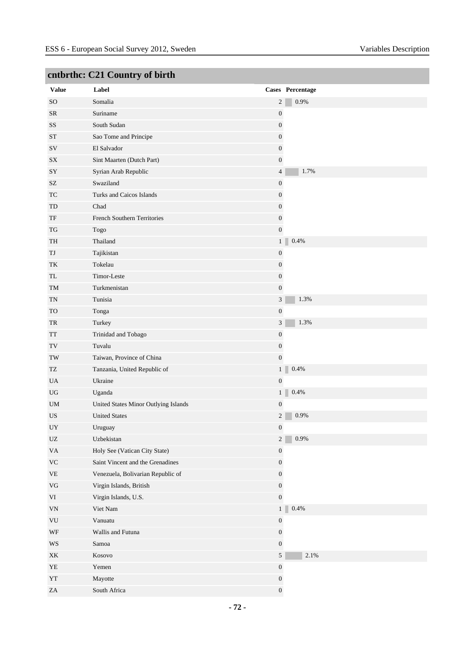|                                                  | $\mathbf{C}_{\mathbf{H}}$ and $\mathbf{C}_{\mathbf{H}}$ and $\mathbf{C}_{\mathbf{H}}$ and $\mathbf{C}_{\mathbf{H}}$ |                  |                  |
|--------------------------------------------------|---------------------------------------------------------------------------------------------------------------------|------------------|------------------|
| <b>Value</b>                                     | Label                                                                                                               |                  | Cases Percentage |
| <b>SO</b>                                        | Somalia                                                                                                             | $\overline{c}$   | $0.9\%$          |
| <b>SR</b>                                        | Suriname                                                                                                            | $\boldsymbol{0}$ |                  |
| $\rm SS$                                         | South Sudan                                                                                                         | $\boldsymbol{0}$ |                  |
| <b>ST</b>                                        | Sao Tome and Principe                                                                                               | $\boldsymbol{0}$ |                  |
| SV                                               | El Salvador                                                                                                         | $\overline{0}$   |                  |
| SX                                               | Sint Maarten (Dutch Part)                                                                                           | $\overline{0}$   |                  |
| SY                                               | Syrian Arab Republic                                                                                                | $\overline{4}$   | 1.7%             |
| $\ensuremath{\mathrm{SZ}}$                       | Swaziland                                                                                                           | $\boldsymbol{0}$ |                  |
| TC                                               | Turks and Caicos Islands                                                                                            | $\overline{0}$   |                  |
| TD                                               | Chad                                                                                                                | $\overline{0}$   |                  |
| $\ensuremath{\mathsf{T}}\ensuremath{\mathsf{F}}$ | French Southern Territories                                                                                         | $\boldsymbol{0}$ |                  |
| $\operatorname{TG}$                              | Togo                                                                                                                | $\boldsymbol{0}$ |                  |
| TH                                               | Thailand                                                                                                            | 1 <sup>1</sup>   | 0.4%             |
| TJ                                               | Tajikistan                                                                                                          | $\boldsymbol{0}$ |                  |
| TK                                               | Tokelau                                                                                                             | $\boldsymbol{0}$ |                  |
| TL                                               | Timor-Leste                                                                                                         | $\boldsymbol{0}$ |                  |
| TM                                               | Turkmenistan                                                                                                        | $\boldsymbol{0}$ |                  |
| TN                                               | Tunisia                                                                                                             | $\mathfrak{Z}$   | 1.3%             |
| <b>TO</b>                                        | Tonga                                                                                                               | $\boldsymbol{0}$ |                  |
| TR                                               | Turkey                                                                                                              | $\mathfrak{Z}$   | 1.3%             |
| TT                                               | Trinidad and Tobago                                                                                                 | $\boldsymbol{0}$ |                  |
| $\operatorname{TV}$                              | Tuvalu                                                                                                              | $\boldsymbol{0}$ |                  |
| $\operatorname{TW}$                              | Taiwan, Province of China                                                                                           | $\overline{0}$   |                  |
| TZ                                               | Tanzania, United Republic of                                                                                        | 1 <sup>1</sup>   | $0.4\%$          |
| UA                                               | Ukraine                                                                                                             | $\boldsymbol{0}$ |                  |
| UG                                               | Uganda                                                                                                              | 1 <sup>1</sup>   | 0.4%             |
| UM                                               | United States Minor Outlying Islands                                                                                | $\boldsymbol{0}$ |                  |
| US                                               | <b>United States</b>                                                                                                | $\overline{c}$   | 0.9%             |
| $_{\rm{UY}}$                                     | Uruguay                                                                                                             | $\boldsymbol{0}$ |                  |
| $\ensuremath{\text{UZ}}$                         | Uzbekistan                                                                                                          | $\overline{c}$   | $0.9\%$          |
| $\mathbf{V}\mathbf{A}$                           | Holy See (Vatican City State)                                                                                       | $\boldsymbol{0}$ |                  |
| $\rm VC$                                         | Saint Vincent and the Grenadines                                                                                    | $\boldsymbol{0}$ |                  |
| $\ensuremath{\mathsf{VE}}$                       | Venezuela, Bolivarian Republic of                                                                                   | $\boldsymbol{0}$ |                  |
| $\rm{VG}$                                        | Virgin Islands, British                                                                                             | $\boldsymbol{0}$ |                  |
| $\rm{VI}$                                        | Virgin Islands, U.S.                                                                                                | $\boldsymbol{0}$ |                  |
| $\ensuremath{\text{VN}}\xspace$                  | Viet Nam                                                                                                            | 1 <sup>1</sup>   | $0.4\%$          |
| VU                                               | Vanuatu                                                                                                             | $\boldsymbol{0}$ |                  |
| $\operatorname{WF}$                              | Wallis and Futuna                                                                                                   | $\boldsymbol{0}$ |                  |
| $\mathbf{W}\mathbf{S}$                           | Samoa                                                                                                               | $\boldsymbol{0}$ |                  |
| XK                                               | Kosovo                                                                                                              | $\mathfrak{S}$   | 2.1%             |
| ${\it YE}$                                       | Yemen                                                                                                               | $\boldsymbol{0}$ |                  |
| ${\it YT}$                                       | Mayotte                                                                                                             | $\boldsymbol{0}$ |                  |
| $\rm ZA$                                         | South Africa                                                                                                        | $\boldsymbol{0}$ |                  |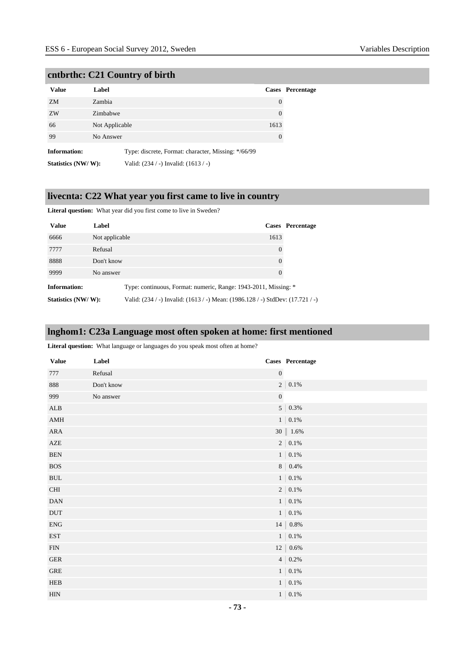# **cntbrthc: C21 Country of birth**

| <b>Value</b>        | Label          |                                                     |          | <b>Cases</b> Percentage |
|---------------------|----------------|-----------------------------------------------------|----------|-------------------------|
| ZM                  | Zambia         |                                                     | $\theta$ |                         |
| ZW                  | Zimbabwe       |                                                     | 0        |                         |
| 66                  | Not Applicable |                                                     | 1613     |                         |
| 99                  | No Answer      |                                                     | $\theta$ |                         |
| <b>Information:</b> |                | Type: discrete, Format: character, Missing: */66/99 |          |                         |
| Statistics (NW/W):  |                | Valid: (234 / -) Invalid: (1613 / -)                |          |                         |

# **livecnta: C22 What year you first came to live in country**

**Literal question:** What year did you first come to live in Sweden?

| <b>Value</b>       | Label          |                                                                                |          | Cases Percentage |
|--------------------|----------------|--------------------------------------------------------------------------------|----------|------------------|
| 6666               | Not applicable |                                                                                | 1613     |                  |
| 7777               | Refusal        |                                                                                | $\theta$ |                  |
| 8888               | Don't know     |                                                                                | $\theta$ |                  |
| 9999               | No answer      |                                                                                | $\Omega$ |                  |
| Information:       |                | Type: continuous, Format: numeric, Range: 1943-2011, Missing: *                |          |                  |
| Statistics (NW/W): |                | Valid: (234 / -) Invalid: (1613 / -) Mean: (1986.128 / -) StdDev: (17.721 / -) |          |                  |

# **lnghom1: C23a Language most often spoken at home: first mentioned**

Literal question: What language or languages do you speak most often at home?

| <b>Value</b>                     | Label      |                  | Cases Percentage  |
|----------------------------------|------------|------------------|-------------------|
| 777                              | Refusal    | $\boldsymbol{0}$ |                   |
| 888                              | Don't know |                  | $2\,$   $0.1\%$   |
| 999                              | No answer  | $\boldsymbol{0}$ |                   |
| ${\bf ALB}$                      |            |                  | $5   0.3\%$       |
| $\operatorname{AMH}$             |            |                  | $1 \,   \, 0.1\%$ |
| ${\sf A}{\sf R}{\sf A}$          |            |                  | 30   1.6%         |
| ${\sf AZE}$                      |            |                  | $2\,$   $\,0.1\%$ |
| <b>BEN</b>                       |            |                  | $1 \mid 0.1\%$    |
| $_{\rm BOS}$                     |            |                  | 8   $0.4\%$       |
| $\operatorname{BUL}$             |            |                  | $1 \,   \, 0.1\%$ |
| $\rm CHI$                        |            |                  | $2\,$   $\,0.1\%$ |
| $\mathbf{D}\mathbf{A}\mathbf{N}$ |            |                  | $1$   0.1%        |
| DUT                              |            |                  | $1 \mid 0.1\%$    |
| ${\rm ENG}$                      |            |                  | 14   $0.8\%$      |
| <b>EST</b>                       |            |                  | $1 \mid 0.1\%$    |
| ${\rm FIN}$                      |            |                  | $12   0.6\%$      |
| ${\tt GER}$                      |            |                  | $4   0.2\%$       |
| ${\tt GRE}$                      |            |                  | $1 \mid 0.1\%$    |
| HEB                              |            |                  | $1$   0.1%        |
| <b>HIN</b>                       |            |                  | $1\,$   0.1%      |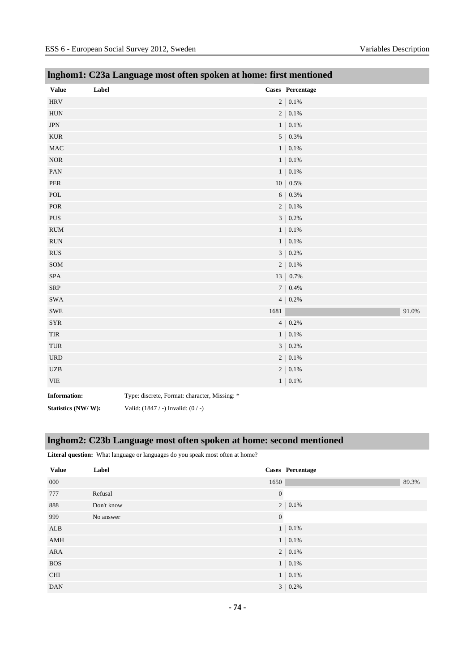| <b>Value</b>                       | Label                                         |      | Cases Percentage  |
|------------------------------------|-----------------------------------------------|------|-------------------|
| $\rm HRV$                          |                                               |      | $2\,$   $0.1\%$   |
| ${\rm HUN}$                        |                                               |      | $2\,$   $0.1\%$   |
| <b>JPN</b>                         |                                               |      | $1   0.1\%$       |
| <b>KUR</b>                         |                                               |      | $5 \mid 0.3\%$    |
| $\rm MAC$                          |                                               |      | $1 \mid 0.1\%$    |
| $\rm{NOR}$                         |                                               |      | $1 \mid 0.1\%$    |
| PAN                                |                                               |      | $1   0.1\%$       |
| ${\tt PER}$                        |                                               |      | $10   0.5\%$      |
| $\operatorname{POL}$               |                                               |      | $6   0.3\%$       |
| POR                                |                                               |      | $2   0.1\%$       |
| ${\rm PUS}$                        |                                               |      | $3   0.2\%$       |
| RUM                                |                                               |      | $1$   0.1%        |
| <b>RUN</b>                         |                                               |      | $1\,$   0.1%      |
| $\mathop{\rm RUS}\nolimits$        |                                               |      | $3   0.2\%$       |
| $\operatorname{SOM}$               |                                               |      | $2\,$   $0.1\%$   |
| <b>SPA</b>                         |                                               |      | 13   0.7%         |
| ${\rm SRP}$                        |                                               |      | $7$   0.4%        |
| $\mathbf{SWA}$                     |                                               |      | $4   0.2\%$       |
| <b>SWE</b>                         |                                               | 1681 | 91.0%             |
| <b>SYR</b>                         |                                               |      | $4   0.2\%$       |
| $\ensuremath{\mathsf{TIR}}\xspace$ |                                               |      | $1   0.1\%$       |
| TUR                                |                                               |      | $3   0.2\%$       |
| <b>URD</b>                         |                                               |      | $2\,$   $\,0.1\%$ |
| $U\!ZB$                            |                                               |      | $2\,$   $0.1\%$   |
| $\ensuremath{\mathsf{VIE}}$        |                                               |      | $1$   0.1%        |
| <b>Information:</b>                | Type: discrete, Format: character, Missing: * |      |                   |

# **lnghom1: C23a Language most often spoken at home: first mentioned**

**Statistics (NW/ W):** Valid: (1847 / -) Invalid: (0 / -)

# **lnghom2: C23b Language most often spoken at home: second mentioned**

**Literal question:** What language or languages do you speak most often at home?

| <b>Value</b> | Label      |                | <b>Cases</b> Percentage |       |
|--------------|------------|----------------|-------------------------|-------|
| 000          |            | 1650           |                         | 89.3% |
| 777          | Refusal    | $\mathbf{0}$   |                         |       |
| 888          | Don't know | 2              | 0.1%                    |       |
| 999          | No answer  | $\mathbf{0}$   |                         |       |
| ALB          |            |                | $1 \,   \, 0.1\%$       |       |
| AMH          |            |                | $1 \,   \, 0.1\%$       |       |
| <b>ARA</b>   |            |                | $2 \mid 0.1\%$          |       |
| <b>BOS</b>   |            |                | $1 \,   \, 0.1\%$       |       |
| <b>CHI</b>   |            |                | $1 \,   \, 0.1\%$       |       |
| <b>DAN</b>   |            | 3 <sup>1</sup> | 0.2%                    |       |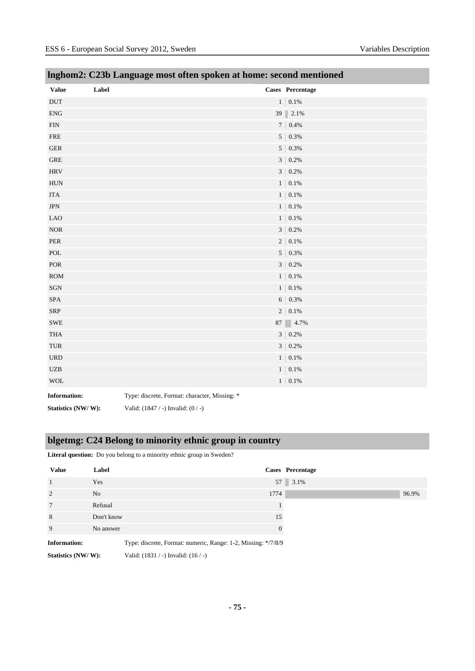| <b>Value</b>                | Label                                         | Cases Percentage |
|-----------------------------|-----------------------------------------------|------------------|
| $\operatorname{DUT}$        |                                               | $1$   0.1%       |
| <b>ENG</b>                  |                                               | 39 2.1%          |
| ${\rm FIN}$                 |                                               | $7$   0.4%       |
| <b>FRE</b>                  |                                               | $5   0.3\%$      |
| ${\tt GER}$                 |                                               | $5   0.3\%$      |
| <b>GRE</b>                  |                                               | $3   0.2\%$      |
| $\rm HRV$                   |                                               | $3 \mid 0.2\%$   |
| <b>HUN</b>                  |                                               | $1 \mid 0.1\%$   |
| <b>ITA</b>                  |                                               | $1$   0.1%       |
| $\mbox{JPN}$                |                                               | $1$   0.1%       |
| <b>LAO</b>                  |                                               | $1$   0.1%       |
| $\rm{NOR}$                  |                                               | $3\,$   $0.2\%$  |
| ${\tt PER}$                 |                                               | $2\,$   $0.1\%$  |
| $\operatorname{POL}$        |                                               | $5 \mid 0.3\%$   |
| $\mbox{POR}$                |                                               | $3   0.2\%$      |
| $\rm{ROM}$                  |                                               | $1   0.1\%$      |
| $\rm SGN$                   |                                               | $1 \mid 0.1\%$   |
| SPA                         |                                               | $6\,$   $0.3\%$  |
| ${\rm SRP}$                 |                                               | $2\,$   $0.1\%$  |
| <b>SWE</b>                  |                                               | 87 $4.7\%$       |
| $\operatorname{THA}$        |                                               | $3 \mid 0.2\%$   |
| $\ensuremath{\mathsf{TUR}}$ |                                               | $3   0.2\%$      |
| $_{\rm URD}$                |                                               | $1$   0.1%       |
| $U\!ZB$                     |                                               | $1$   0.1%       |
| <b>WOL</b>                  |                                               | $1   0.1\%$      |
| <b>Information:</b>         | Type: discrete, Format: character, Missing: * |                  |

# **lnghom2: C23b Language most often spoken at home: second mentioned**

**Information:** Type: discrete, Format: character, Missing: \*

**Statistics (NW/ W):** Valid: (1847 / -) Invalid: (0 / -)

# **blgetmg: C24 Belong to minority ethnic group in country**

|  |  |  |  |  | <b>Literal question:</b> Do you belong to a minority ethnic group in Sweden? |  |  |  |
|--|--|--|--|--|------------------------------------------------------------------------------|--|--|--|
|--|--|--|--|--|------------------------------------------------------------------------------|--|--|--|

| <b>Value</b>              | Label      |                                                               |          | Cases Percentage |       |
|---------------------------|------------|---------------------------------------------------------------|----------|------------------|-------|
| 1                         | Yes        |                                                               |          | 57 3.1%          |       |
| $\overline{2}$            | No         | 1774                                                          |          |                  | 96.9% |
| 7                         | Refusal    |                                                               |          |                  |       |
| 8                         | Don't know |                                                               | 15       |                  |       |
| 9                         | No answer  |                                                               | $\Omega$ |                  |       |
| <b>Information:</b>       |            | Type: discrete, Format: numeric, Range: 1-2, Missing: */7/8/9 |          |                  |       |
| _________________________ |            |                                                               |          |                  |       |

**Statistics (NW/ W):** Valid: (1831 / -) Invalid: (16 / -)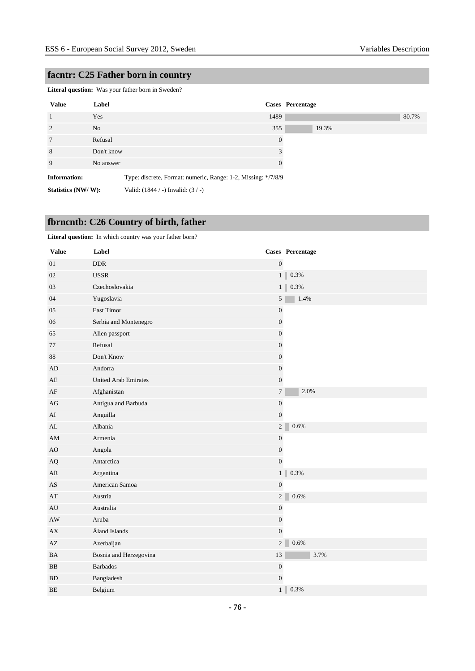# **facntr: C25 Father born in country**

**Literal question:** Was your father born in Sweden?

| <b>Value</b>        | Label      | Cases Percentage                                              |       |
|---------------------|------------|---------------------------------------------------------------|-------|
| $\overline{1}$      | Yes        | 1489                                                          | 80.7% |
| 2                   | No.        | 355                                                           | 19.3% |
| $7\phantom{.0}$     | Refusal    | $\overline{0}$                                                |       |
| 8                   | Don't know | 3                                                             |       |
| 9                   | No answer  | $\Omega$                                                      |       |
| <b>Information:</b> |            | Type: discrete, Format: numeric, Range: 1-2, Missing: */7/8/9 |       |
| Statistics (NW/W):  |            | Valid: $(1844 / -)$ Invalid: $(3 / -)$                        |       |

# **fbrncntb: C26 Country of birth, father**

**Literal question:** In which country was your father born?

| <b>Value</b>           | Label                       |                  | Cases Percentage        |
|------------------------|-----------------------------|------------------|-------------------------|
| 01                     | <b>DDR</b>                  | $\boldsymbol{0}$ |                         |
| 02                     | <b>USSR</b>                 |                  | 1 <sub>1</sub><br>0.3%  |
| 03                     | Czechoslovakia              |                  | $1$ $\parallel$<br>0.3% |
| 04                     | Yugoslavia                  | $\sqrt{5}$       | 1.4%                    |
| 05                     | East Timor                  | $\boldsymbol{0}$ |                         |
| 06                     | Serbia and Montenegro       | $\boldsymbol{0}$ |                         |
| 65                     | Alien passport              | $\boldsymbol{0}$ |                         |
| 77                     | Refusal                     | $\boldsymbol{0}$ |                         |
| 88                     | Don't Know                  | $\boldsymbol{0}$ |                         |
| AD                     | Andorra                     | $\boldsymbol{0}$ |                         |
| AE                     | <b>United Arab Emirates</b> | $\boldsymbol{0}$ |                         |
| $\rm{AF}$              | Afghanistan                 | $\boldsymbol{7}$ | 2.0%                    |
| AG                     | Antigua and Barbuda         | $\boldsymbol{0}$ |                         |
| AI                     | Anguilla                    | $\mathbf{0}$     |                         |
| AL                     | Albania                     | 2 <sup>1</sup>   | 0.6%                    |
| $\mathbf{A}\mathbf{M}$ | Armenia                     | $\boldsymbol{0}$ |                         |
| AO                     | Angola                      | $\boldsymbol{0}$ |                         |
| AQ                     | Antarctica                  | $\boldsymbol{0}$ |                         |
| AR                     | Argentina                   |                  | 0.3%<br>1               |
| $\mathbf{A}\mathbf{S}$ | American Samoa              | $\boldsymbol{0}$ |                         |
| $\mathbf{A}\mathbf{T}$ | Austria                     | $\overline{c}$   | $0.6\%$                 |
| AU                     | Australia                   | $\boldsymbol{0}$ |                         |
| AW                     | Aruba                       | $\boldsymbol{0}$ |                         |
| AX                     | Åland Islands               | $\boldsymbol{0}$ |                         |
| $\mathbf{A}\mathbf{Z}$ | Azerbaijan                  | $\sqrt{2}$       | $0.6\%$                 |
| <b>BA</b>              | Bosnia and Herzegovina      | 13               | 3.7%                    |
| <b>BB</b>              | <b>Barbados</b>             | $\boldsymbol{0}$ |                         |
| <b>BD</b>              | Bangladesh                  | $\boldsymbol{0}$ |                         |
| BE                     | Belgium                     | $\mathbf{1}$     | 0.3%                    |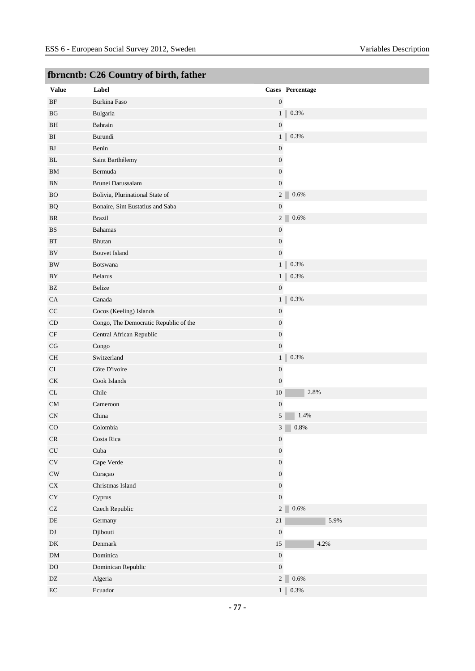|                            | rornento. C20 Country or on th, father |                           |
|----------------------------|----------------------------------------|---------------------------|
| <b>Value</b>               | Label                                  | Cases Percentage          |
| $\rm{BF}$                  | Burkina Faso                           | $\boldsymbol{0}$          |
| BG                         | Bulgaria                               | 1<br>0.3%                 |
| BH                         | Bahrain                                | $\boldsymbol{0}$          |
| BI                         | Burundi                                | 1<br>0.3%                 |
| BJ                         | Benin                                  | $\boldsymbol{0}$          |
| $\mathbf{BL}$              | Saint Barthélemy                       | $\boldsymbol{0}$          |
| BM                         | Bermuda                                | $\boldsymbol{0}$          |
| BN                         | Brunei Darussalam                      | $\boldsymbol{0}$          |
| <b>BO</b>                  | Bolivia, Plurinational State of        | 2 <sup>2</sup><br>0.6%    |
| <b>BQ</b>                  | Bonaire, Sint Eustatius and Saba       | $\boldsymbol{0}$          |
| BR                         | <b>Brazil</b>                          | 2 <sup>2</sup><br>$0.6\%$ |
| $_{\rm BS}$                | <b>Bahamas</b>                         | $\boldsymbol{0}$          |
| $\operatorname{BT}$        | Bhutan                                 | $\boldsymbol{0}$          |
| $\rm BV$                   | <b>Bouvet Island</b>                   | $\boldsymbol{0}$          |
| <b>BW</b>                  | <b>Botswana</b>                        | 1<br>0.3%                 |
| BY                         | <b>Belarus</b>                         | 1<br>0.3%                 |
| BZ                         | Belize                                 | $\boldsymbol{0}$          |
| CA                         | Canada                                 | 1<br>0.3%                 |
| CC                         | Cocos (Keeling) Islands                | $\boldsymbol{0}$          |
| CD                         | Congo, The Democratic Republic of the  | $\boldsymbol{0}$          |
| $\rm CF$                   | Central African Republic               | $\boldsymbol{0}$          |
| $\rm{CG}$                  | Congo                                  | $\boldsymbol{0}$          |
| <b>CH</b>                  | Switzerland                            | 0.3%<br>1                 |
| CI                         | Côte D'ivoire                          | $\boldsymbol{0}$          |
| $\mathrm{C}\mathrm{K}$     | Cook Islands                           | $\boldsymbol{0}$          |
| CL                         | Chile                                  | $10\,$<br>2.8%            |
| CM                         | Cameroon                               | $\boldsymbol{0}$          |
| CN                         | China                                  | 1.4%<br>5                 |
| CO                         | Colombia                               | $0.8\%$<br>3              |
| ${\sf CR}$                 | Costa Rica                             | $\boldsymbol{0}$          |
| $\ensuremath{\mathrm{CU}}$ | Cuba                                   | $\boldsymbol{0}$          |
| $\mathrm{CV}$              | Cape Verde                             | $\boldsymbol{0}$          |
| $\mathrm{CW}$              | Curaçao                                | $\boldsymbol{0}$          |
| ${\rm CX}$                 | Christmas Island                       | $\boldsymbol{0}$          |
| ${\rm CY}$                 | Cyprus                                 | $\boldsymbol{0}$          |
| $\operatorname{CZ}$        | Czech Republic                         | $0.6\%$<br>2 <sup>2</sup> |
| $\rm DE$                   | Germany                                | $21\,$<br>5.9%            |
| $\mathop{\rm DJ}\nolimits$ | Djibouti                               | $\boldsymbol{0}$          |
| ${\rm DK}$                 | Denmark                                | $15\,$<br>4.2%            |
| ${\rm DM}$                 | Dominica                               | $\boldsymbol{0}$          |
| $\rm DO$                   | Dominican Republic                     | $\boldsymbol{0}$          |
| DZ                         | Algeria                                | 2 <sup>2</sup><br>$0.6\%$ |
| $\rm EC$                   | Ecuador                                | 1<br>$0.3\%$              |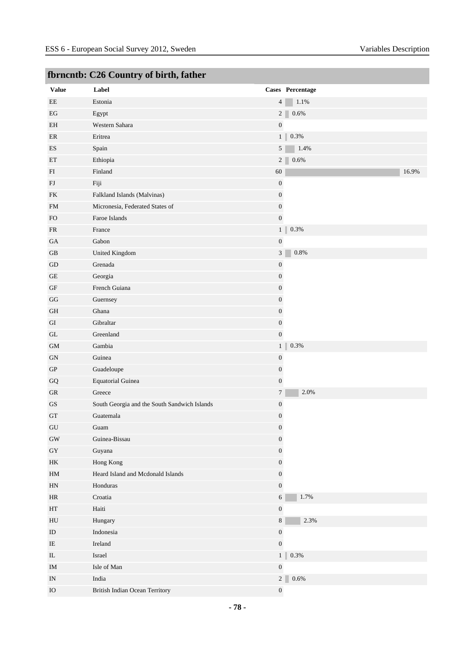|                            | Tornento. Czo Country or on th, father       |                  |                  |
|----------------------------|----------------------------------------------|------------------|------------------|
| <b>Value</b>               | Label                                        |                  | Cases Percentage |
| $\rm{EE}$                  | Estonia                                      | 4                | $1.1\%$          |
| EG                         | Egypt                                        | 2 <sup>1</sup>   | 0.6%             |
| EH                         | Western Sahara                               | $\boldsymbol{0}$ |                  |
| $\rm ER$                   | Eritrea                                      | 1                | $0.3\%$          |
| ES                         | Spain                                        | $5\overline{)}$  | 1.4%             |
| ET                         | Ethiopia                                     | $2\Box$          | $0.6\%$          |
| FI                         | Finland                                      | 60               | 16.9%            |
| FJ                         | Fiji                                         | $\boldsymbol{0}$ |                  |
| FK                         | Falkland Islands (Malvinas)                  | $\boldsymbol{0}$ |                  |
| <b>FM</b>                  | Micronesia, Federated States of              | $\boldsymbol{0}$ |                  |
| FO.                        | Faroe Islands                                | $\boldsymbol{0}$ |                  |
| ${\sf FR}$                 | France                                       | 1                | 0.3%             |
| <b>GA</b>                  | Gabon                                        | $\boldsymbol{0}$ |                  |
| GB                         | United Kingdom                               | 3                | 0.8%             |
| ${\rm GD}$                 | Grenada                                      | $\boldsymbol{0}$ |                  |
| $\operatorname{GE}$        | Georgia                                      | $\boldsymbol{0}$ |                  |
| $\operatorname{GF}$        | French Guiana                                | $\boldsymbol{0}$ |                  |
| GG                         | Guernsey                                     | $\boldsymbol{0}$ |                  |
| <b>GH</b>                  | Ghana                                        | $\boldsymbol{0}$ |                  |
| $\rm GI$                   | Gibraltar                                    | $\boldsymbol{0}$ |                  |
| GL                         | Greenland                                    | $\boldsymbol{0}$ |                  |
| <b>GM</b>                  | Gambia                                       | 1                | $0.3\%$          |
| ${\rm GN}$                 | Guinea                                       | $\boldsymbol{0}$ |                  |
| ${\rm GP}$                 | Guadeloupe                                   | $\boldsymbol{0}$ |                  |
| ${\bf G}{\bf Q}$           | <b>Equatorial Guinea</b>                     | $\boldsymbol{0}$ |                  |
| ${\rm GR}$                 | Greece                                       | $\tau$           | 2.0%             |
| $\mathbf{G}\mathbf{S}$     | South Georgia and the South Sandwich Islands | $\boldsymbol{0}$ |                  |
| GT                         | Guatemala                                    | $\boldsymbol{0}$ |                  |
| GU                         | Guam                                         | $\boldsymbol{0}$ |                  |
| $\rm GW$                   | Guinea-Bissau                                | $\boldsymbol{0}$ |                  |
| ${\rm GY}$                 | Guyana                                       | $\boldsymbol{0}$ |                  |
| HK                         | Hong Kong                                    | $\boldsymbol{0}$ |                  |
| $\mathop{\rm HM}\nolimits$ | Heard Island and Mcdonald Islands            | $\boldsymbol{0}$ |                  |
| $\mathop{\rm HN}\nolimits$ | Honduras                                     | $\boldsymbol{0}$ |                  |
| $\rm{HR}$                  | Croatia                                      | $6\phantom{.}6$  | 1.7%             |
| $\operatorname{HT}$        | Haiti                                        | $\boldsymbol{0}$ |                  |
| ${\rm H}{\rm U}$           | Hungary                                      | $8\,$            | 2.3%             |
| $\rm ID$                   | Indonesia                                    | $\boldsymbol{0}$ |                  |
| $\rm IE$                   | Ireland                                      | $\boldsymbol{0}$ |                  |
| $\rm IL$                   | Israel                                       | 1                | $0.3\%$          |
| $\rm IM$                   | Isle of Man                                  | $\boldsymbol{0}$ |                  |
| $\ensuremath{\text{IN}}$   | India                                        | 2 <sup>7</sup>   | $0.6\%$          |
| $\rm IO$                   | <b>British Indian Ocean Territory</b>        | $\boldsymbol{0}$ |                  |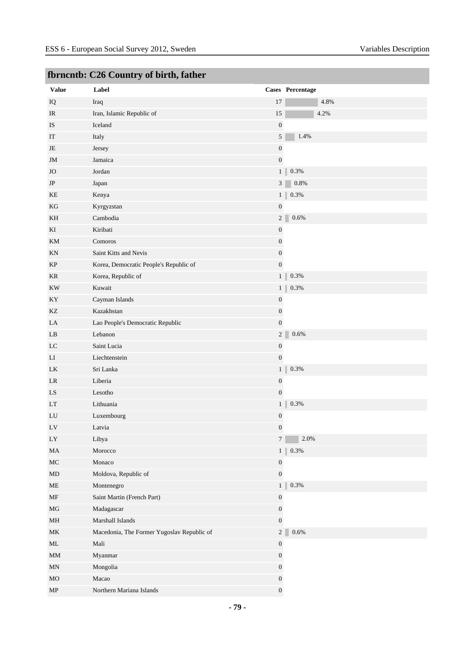| $\cdots$<br><b>Value</b> | Label                                      |                             | Cases Percentage |
|--------------------------|--------------------------------------------|-----------------------------|------------------|
| IQ                       | Iraq                                       | 17                          | 4.8%             |
| IR                       | Iran, Islamic Republic of                  | 15                          | 4.2%             |
| IS                       | Iceland                                    | $\boldsymbol{0}$            |                  |
| IT                       | Italy                                      | 5                           | 1.4%             |
| JE                       | Jersey                                     | $\boldsymbol{0}$            |                  |
| JM                       | Jamaica                                    | $\boldsymbol{0}$            |                  |
| <b>JO</b>                | Jordan                                     |                             | $0.3\%$<br>1     |
| $\rm{JP}$                | Japan                                      | $\ensuremath{\mathfrak{Z}}$ | 0.8%             |
| KE                       | Kenya                                      |                             | $1 \ 0.3\%$      |
| KG                       | Kyrgyzstan                                 | $\boldsymbol{0}$            |                  |
| KH                       | Cambodia                                   | 2 <sup>1</sup>              | $0.6\%$          |
| ΚI                       | Kiribati                                   | $\boldsymbol{0}$            |                  |
| KM                       | Comoros                                    | $\boldsymbol{0}$            |                  |
| KN                       | Saint Kitts and Nevis                      | $\boldsymbol{0}$            |                  |
| KP                       | Korea, Democratic People's Republic of     | $\boldsymbol{0}$            |                  |
| KR                       | Korea, Republic of                         | 1                           | $0.3\%$          |
| $\mathbf{K}\mathbf{W}$   | Kuwait                                     |                             | 1<br>$0.3\%$     |
| KY                       | Cayman Islands                             | $\boldsymbol{0}$            |                  |
| KZ                       | Kazakhstan                                 | $\boldsymbol{0}$            |                  |
| LA                       | Lao People's Democratic Republic           | $\boldsymbol{0}$            |                  |
| LB                       | Lebanon                                    | $2\sqrt{ }$                 | 0.6%             |
| LC                       | Saint Lucia                                | $\boldsymbol{0}$            |                  |
| LI                       | Liechtenstein                              | $\boldsymbol{0}$            |                  |
| LK                       | Sri Lanka                                  | 1                           | $0.3\%$          |
| LR                       | Liberia                                    | $\boldsymbol{0}$            |                  |
| ${\rm LS}$               | Lesotho                                    | $\boldsymbol{0}$            |                  |
| LT                       | Lithuania                                  | $\mathbf{1}$                | $0.3\%$          |
| LU                       | Luxembourg                                 | $\boldsymbol{0}$            |                  |
| LV                       | Latvia                                     | $\boldsymbol{0}$            |                  |
| LY                       | Libya                                      | $\tau$                      | $2.0\%$          |
| MA                       | Morocco                                    |                             | 1<br>$0.3\%$     |
| $\rm MC$                 | Monaco                                     | $\boldsymbol{0}$            |                  |
| MD                       | Moldova, Republic of                       | $\boldsymbol{0}$            |                  |
| ME                       | Montenegro                                 | 1                           | $0.3\%$          |
| MF                       | Saint Martin (French Part)                 | $\boldsymbol{0}$            |                  |
| $_{\rm MG}$              | Madagascar                                 | $\boldsymbol{0}$            |                  |
| MH                       | Marshall Islands                           | $\boldsymbol{0}$            |                  |
| MK                       | Macedonia, The Former Yugoslav Republic of | $\overline{2}$              | $0.6\%$          |
| ML                       | Mali                                       | $\boldsymbol{0}$            |                  |
| $\mathop{\rm MM}$        | Myanmar                                    | $\boldsymbol{0}$            |                  |
| MN                       | Mongolia                                   | $\boldsymbol{0}$            |                  |
| MO                       | Macao                                      | $\boldsymbol{0}$            |                  |
| ${\bf MP}$               | Northern Mariana Islands                   | $\boldsymbol{0}$            |                  |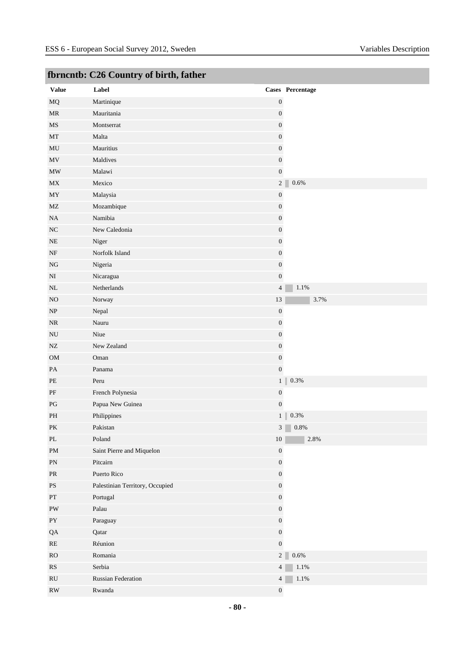|                                   | <u>romento: C20 Country or on the rather</u> |                  |                  |
|-----------------------------------|----------------------------------------------|------------------|------------------|
| <b>Value</b>                      | Label                                        |                  | Cases Percentage |
| $\rm MQ$                          | Martinique                                   | $\boldsymbol{0}$ |                  |
| $\ensuremath{\mathsf{MR}}\xspace$ | Mauritania                                   | $\boldsymbol{0}$ |                  |
| MS                                | Montserrat                                   | $\boldsymbol{0}$ |                  |
| $\operatorname{MT}$               | Malta                                        | $\boldsymbol{0}$ |                  |
| $\rm MU$                          | Mauritius                                    | $\boldsymbol{0}$ |                  |
| MV                                | Maldives                                     | $\boldsymbol{0}$ |                  |
| $\ensuremath{\text{MW}}\xspace$   | Malawi                                       | $\boldsymbol{0}$ |                  |
| MX                                | Mexico                                       | 2 <sup>2</sup>   | $0.6\%$          |
| $\boldsymbol{\mathrm{MY}}$        | Malaysia                                     | $\boldsymbol{0}$ |                  |
| MZ                                | Mozambique                                   | $\boldsymbol{0}$ |                  |
| NA                                | Namibia                                      | $\boldsymbol{0}$ |                  |
| $_{\mathrm{NC}}$                  | New Caledonia                                | $\boldsymbol{0}$ |                  |
| $\rm NE$                          | Niger                                        | $\boldsymbol{0}$ |                  |
| $\rm{NF}$                         | Norfolk Island                               | $\boldsymbol{0}$ |                  |
| $_{\rm NG}$                       | Nigeria                                      | $\boldsymbol{0}$ |                  |
| $\rm NI$                          | Nicaragua                                    | $\boldsymbol{0}$ |                  |
| $\rm NL$                          | Netherlands                                  | $\overline{4}$   | $1.1\%$          |
| $_{\rm NO}$                       | Norway                                       | $13\,$           | 3.7%             |
| $\ensuremath{\text{NP}}\xspace$   | Nepal                                        | $\boldsymbol{0}$ |                  |
| $\rm NR$                          | Nauru                                        | $\boldsymbol{0}$ |                  |
| $\rm NU$                          | Niue                                         | $\boldsymbol{0}$ |                  |
| ${\rm NZ}$                        | New Zealand                                  | $\boldsymbol{0}$ |                  |
| $_{\rm OM}$                       | Oman                                         | $\boldsymbol{0}$ |                  |
| $\mathbf{PA}$                     | Panama                                       | $\boldsymbol{0}$ |                  |
| $\rm PE$                          | Peru                                         | 1 <sup>1</sup>   | $0.3\%$          |
| $\rm PF$                          | French Polynesia                             | $\boldsymbol{0}$ |                  |
| $\mathbf{P}\mathbf{G}$            | Papua New Guinea                             | $\boldsymbol{0}$ |                  |
| $\rm PH$                          | Philippines                                  | 1 <sup>1</sup>   | $0.3\%$          |
| $\mathbf{P}\mathbf{K}$            | Pakistan                                     | 3 <sup>1</sup>   | 0.8%             |
| $\mathbf{P}\mathbf{L}$            | Poland                                       | $10\,$           | $2.8\%$          |
| $\mathbf{PM}$                     | Saint Pierre and Miquelon                    | $\boldsymbol{0}$ |                  |
| ${\rm PN}$                        | Pitcairn                                     | $\boldsymbol{0}$ |                  |
| $\ensuremath{\mathsf{PR}}\xspace$ | Puerto Rico                                  | $\boldsymbol{0}$ |                  |
| $\mathbf{P}\mathbf{S}$            | Palestinian Territory, Occupied              | $\boldsymbol{0}$ |                  |
| $\mathbf{PT}$                     | Portugal                                     | $\boldsymbol{0}$ |                  |
| ${\rm PW}$                        | Palau                                        | $\boldsymbol{0}$ |                  |
| ${\rm PY}$                        | Paraguay                                     | $\boldsymbol{0}$ |                  |
| QA                                | Qatar                                        | $\boldsymbol{0}$ |                  |
| $\mathbf{RE}$                     | Réunion                                      | $\boldsymbol{0}$ |                  |
| ${\rm RO}$                        | Romania                                      | 2 <sup>2</sup>   | $0.6\%$          |
| $\mathbf{R}\mathbf{S}$            | Serbia                                       | $\overline{4}$   | $1.1\%$          |
| $\mathbf{R}\mathbf{U}$            | Russian Federation                           | $\overline{4}$   | $1.1\%$          |
| RW                                | Rwanda                                       | $\boldsymbol{0}$ |                  |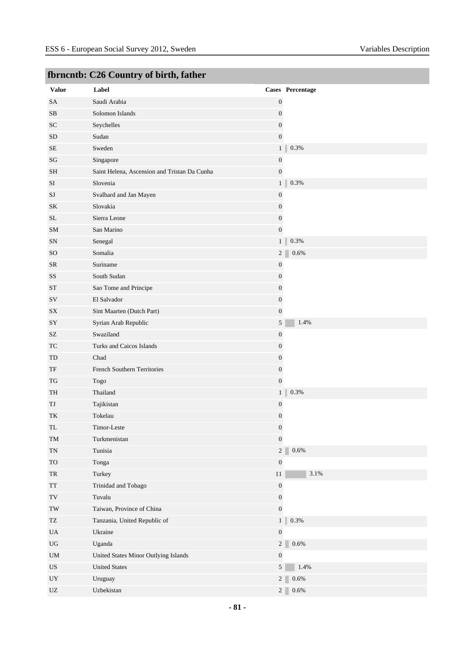| <b>Value</b>                                     | Label                                        |                  | Cases Percentage          |
|--------------------------------------------------|----------------------------------------------|------------------|---------------------------|
| SA                                               | Saudi Arabia                                 | $\boldsymbol{0}$ |                           |
| $\rm SB$                                         | Solomon Islands                              | $\boldsymbol{0}$ |                           |
| SC                                               | Seychelles                                   | $\boldsymbol{0}$ |                           |
| <b>SD</b>                                        | Sudan                                        | $\boldsymbol{0}$ |                           |
| $\rm SE$                                         | Sweden                                       |                  | $0.3\%$<br>1 <sup>1</sup> |
| $\mathbf{S}\mathbf{G}$                           | Singapore                                    | $\boldsymbol{0}$ |                           |
| <b>SH</b>                                        | Saint Helena, Ascension and Tristan Da Cunha | $\boldsymbol{0}$ |                           |
| $\rm SI$                                         | Slovenia                                     |                  | $0.3\%$<br>1 <sup>1</sup> |
| SJ                                               | Svalbard and Jan Mayen                       | $\boldsymbol{0}$ |                           |
| SK                                               | Slovakia                                     | $\boldsymbol{0}$ |                           |
| SL                                               | Sierra Leone                                 | $\boldsymbol{0}$ |                           |
| SM                                               | San Marino                                   | $\boldsymbol{0}$ |                           |
| ${\rm SN}$                                       | Senegal                                      |                  | 0.3%<br>1 <sup>1</sup>    |
| SO                                               | Somalia                                      |                  | 2 <sup>2</sup><br>0.6%    |
| <b>SR</b>                                        | Suriname                                     | $\boldsymbol{0}$ |                           |
| SS                                               | South Sudan                                  | $\boldsymbol{0}$ |                           |
| ${\cal S}{\cal T}$                               | Sao Tome and Principe                        | $\boldsymbol{0}$ |                           |
| $\mathrm{SV}$                                    | El Salvador                                  | $\boldsymbol{0}$ |                           |
| SX                                               | Sint Maarten (Dutch Part)                    | $\boldsymbol{0}$ |                           |
| SY                                               | Syrian Arab Republic                         | $5\overline{)}$  | 1.4%                      |
| $\ensuremath{\mathrm{SZ}}$                       | Swaziland                                    | $\boldsymbol{0}$ |                           |
| TC                                               | Turks and Caicos Islands                     | $\boldsymbol{0}$ |                           |
| TD                                               | Chad                                         | $\boldsymbol{0}$ |                           |
| $\ensuremath{\mathsf{T}}\ensuremath{\mathsf{F}}$ | French Southern Territories                  | $\boldsymbol{0}$ |                           |
| TG                                               | Togo                                         | $\boldsymbol{0}$ |                           |
| TH                                               | Thailand                                     |                  | $0.3\%$<br>1 <sup>1</sup> |
| TJ                                               | Tajikistan                                   | $\boldsymbol{0}$ |                           |
| TK                                               | Tokelau                                      | $\boldsymbol{0}$ |                           |
| TL                                               | Timor-Leste                                  | $\boldsymbol{0}$ |                           |
| TM                                               | Turkmenistan                                 | $\boldsymbol{0}$ |                           |
| $\mathcal{T}\mathcal{N}$                         | Tunisia                                      | $\overline{2}$   | 0.6%                      |
| <b>TO</b>                                        | Tonga                                        | $\boldsymbol{0}$ |                           |
| ${\rm TR}$                                       | Turkey                                       | $11\,$           | $3.1\%$                   |
| $\operatorname{TT}$                              | Trinidad and Tobago                          | $\boldsymbol{0}$ |                           |
| $\operatorname{TV}$                              | Tuvalu                                       | $\boldsymbol{0}$ |                           |
| $\operatorname{TW}$                              | Taiwan, Province of China                    | $\boldsymbol{0}$ |                           |
| TZ                                               | Tanzania, United Republic of                 |                  | $0.3\%$<br>1 <sup>1</sup> |
| $\mathbf{UA}$                                    | Ukraine                                      | $\boldsymbol{0}$ |                           |
| $_{\rm UG}$                                      | Uganda                                       | $2\vert$         | $0.6\%$                   |
| $\mathbf{U}\mathbf{M}$                           | United States Minor Outlying Islands         | $\boldsymbol{0}$ |                           |
| US                                               | <b>United States</b>                         | 5 <sup>5</sup>   | 1.4%                      |
| $_{\rm{UY}}$                                     | Uruguay                                      |                  | 2 <sup>2</sup><br>0.6%    |
| $\ensuremath{\text{UZ}}$                         | Uzbekistan                                   |                  | 2 <sup>2</sup><br>$0.6\%$ |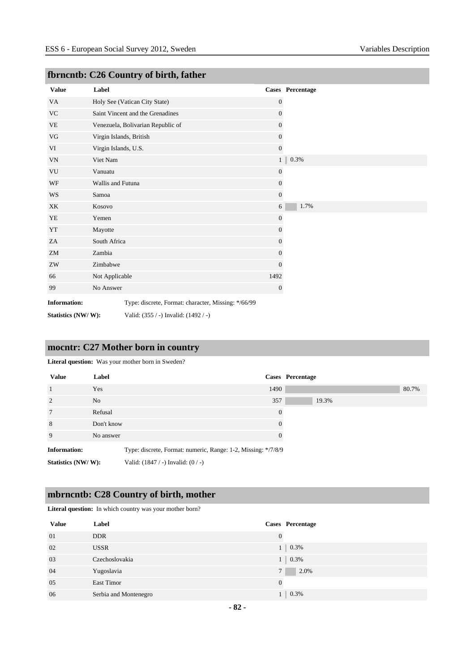| <b>Value</b>        | Label                   |                                                     |                  | Cases Percentage |
|---------------------|-------------------------|-----------------------------------------------------|------------------|------------------|
| VA                  |                         | Holy See (Vatican City State)                       | $\mathbf{0}$     |                  |
| $\rm VC$            |                         | Saint Vincent and the Grenadines                    | $\boldsymbol{0}$ |                  |
| VE                  |                         | Venezuela, Bolivarian Republic of                   | $\overline{0}$   |                  |
| VG                  | Virgin Islands, British |                                                     | $\boldsymbol{0}$ |                  |
| VI                  | Virgin Islands, U.S.    |                                                     | $\mathbf{0}$     |                  |
| <b>VN</b>           | Viet Nam                |                                                     | 1                | 0.3%             |
| ${\rm VU}$          | Vanuatu                 |                                                     | $\boldsymbol{0}$ |                  |
| WF                  | Wallis and Futuna       |                                                     | $\boldsymbol{0}$ |                  |
| WS                  | Samoa                   |                                                     | $\overline{0}$   |                  |
| XK                  | Kosovo                  |                                                     | 6                | 1.7%             |
| YE                  | Yemen                   |                                                     | $\overline{0}$   |                  |
| YT                  | Mayotte                 |                                                     | $\boldsymbol{0}$ |                  |
| ZA                  | South Africa            |                                                     | 0                |                  |
| ZM                  | Zambia                  |                                                     | $\overline{0}$   |                  |
| ${\rm ZW}$          | Zimbabwe                |                                                     | $\overline{0}$   |                  |
| 66                  | Not Applicable          |                                                     | 1492             |                  |
| 99                  | No Answer               |                                                     | $\mathbf{0}$     |                  |
| <b>Information:</b> |                         | Type: discrete, Format: character, Missing: */66/99 |                  |                  |
| Statistics (NW/W):  |                         | Valid: (355 / -) Invalid: (1492 / -)                |                  |                  |

# **mocntr: C27 Mother born in country**

#### **Literal question:** Was your mother born in Sweden?

| <b>Value</b>        | Label          | Cases Percentage                                              |       |
|---------------------|----------------|---------------------------------------------------------------|-------|
|                     | Yes            | 1490                                                          | 80.7% |
| 2                   | N <sub>o</sub> | 357<br>19.3%                                                  |       |
| 7                   | Refusal        | $\theta$                                                      |       |
| 8                   | Don't know     | 0                                                             |       |
| 9                   | No answer      | 0                                                             |       |
| <b>Information:</b> |                | Type: discrete, Format: numeric, Range: 1-2, Missing: */7/8/9 |       |
| Statistics (NW/W):  |                | Valid: $(1847 / -)$ Invalid: $(0 / -)$                        |       |

# **mbrncntb: C28 Country of birth, mother**

**Literal question:** In which country was your mother born?

| <b>Value</b> | Label                 |          | <b>Cases</b> Percentage |
|--------------|-----------------------|----------|-------------------------|
| 01           | <b>DDR</b>            | $\Omega$ |                         |
| 02           | <b>USSR</b>           |          | $1 \ 0.3\%$             |
| 03           | Czechoslovakia        |          | $1 \ 0.3\%$             |
| 04           | Yugoslavia            |          | 2.0%                    |
| 05           | East Timor            | $\Omega$ |                         |
| 06           | Serbia and Montenegro |          | 0.3%                    |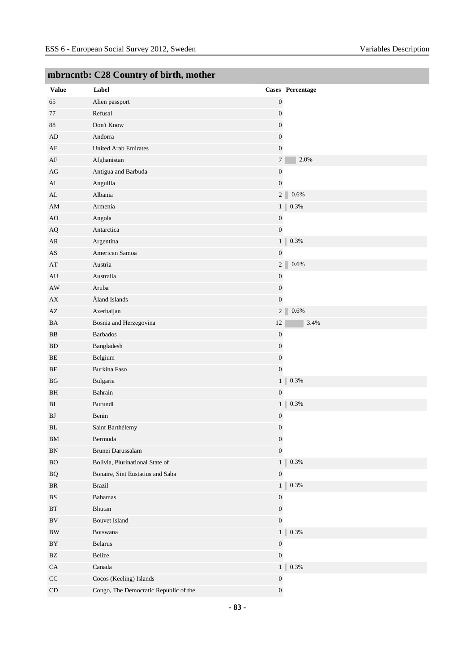| <b>Value</b>           | Label                                 |                  | Cases Percentage          |
|------------------------|---------------------------------------|------------------|---------------------------|
| 65                     | Alien passport                        | $\boldsymbol{0}$ |                           |
| 77                     | Refusal                               | $\boldsymbol{0}$ |                           |
| 88                     | Don't Know                            | $\boldsymbol{0}$ |                           |
| AD                     | Andorra                               | $\boldsymbol{0}$ |                           |
| AE                     | <b>United Arab Emirates</b>           | $\boldsymbol{0}$ |                           |
| AF                     | Afghanistan                           |                  | $\overline{7}$<br>2.0%    |
| AG                     | Antigua and Barbuda                   | $\boldsymbol{0}$ |                           |
| AI                     | Anguilla                              |                  | $\boldsymbol{0}$          |
| AL                     | Albania                               |                  | 2 <sup>2</sup><br>0.6%    |
| AM                     | Armenia                               |                  | 1 <sub>1</sub><br>0.3%    |
| AO                     | Angola                                | $\boldsymbol{0}$ |                           |
| AQ                     | Antarctica                            | $\boldsymbol{0}$ |                           |
| AR                     | Argentina                             |                  | 0.3%<br>1 <sup>1</sup>    |
| AS                     | American Samoa                        | $\boldsymbol{0}$ |                           |
| AT                     | Austria                               |                  | 0.6%<br>2 <sup>2</sup>    |
| AU                     | Australia                             | $\boldsymbol{0}$ |                           |
| AW                     | Aruba                                 | $\boldsymbol{0}$ |                           |
| ${\bf AX}$             | Åland Islands                         | $\boldsymbol{0}$ |                           |
| AZ                     | Azerbaijan                            |                  | 0.6%<br>2 <sup>2</sup>    |
| BA                     | Bosnia and Herzegovina                | $12\,$           | 3.4%                      |
| BB                     | <b>Barbados</b>                       | $\boldsymbol{0}$ |                           |
| <b>BD</b>              | Bangladesh                            | $\boldsymbol{0}$ |                           |
| $\rm BE$               | Belgium                               | $\boldsymbol{0}$ |                           |
| BF                     | Burkina Faso                          |                  | $\boldsymbol{0}$          |
| BG                     | Bulgaria                              |                  | $0.3\%$<br>1 <sup>1</sup> |
| BH                     | Bahrain                               | $\boldsymbol{0}$ |                           |
| BI                     | Burundi                               |                  | 0.3%<br>1 <sup>1</sup>    |
| BJ                     | Benin                                 | $\boldsymbol{0}$ |                           |
| BL                     | Saint Barthélemy                      | $\boldsymbol{0}$ |                           |
| ${\rm BM}$             | Bermuda                               | $\boldsymbol{0}$ |                           |
| ${\rm BN}$             | Brunei Darussalam                     |                  | $\boldsymbol{0}$          |
| ${\rm BO}$             | Bolivia, Plurinational State of       |                  | $0.3\%$<br>1 <sub>1</sub> |
| $\rm{BQ}$              | Bonaire, Sint Eustatius and Saba      | $\boldsymbol{0}$ |                           |
| BR                     | Brazil                                |                  | 1 <sup>1</sup><br>$0.3\%$ |
| $\mathbf{B}\mathbf{S}$ | <b>Bahamas</b>                        | $\boldsymbol{0}$ |                           |
| $\operatorname{BT}$    | Bhutan                                | $\boldsymbol{0}$ |                           |
| $\rm BV$               | <b>Bouvet Island</b>                  |                  | $\boldsymbol{0}$          |
| $\rm BW$               | Botswana                              |                  | 0.3%<br>1                 |
| BY                     | Belarus                               | $\boldsymbol{0}$ |                           |
| $\mathbf{B}\mathbf{Z}$ | Belize                                |                  | $\boldsymbol{0}$          |
| CA                     | Canada                                |                  | $0.3\%$<br>1 <sup>1</sup> |
| $\rm CC$               | Cocos (Keeling) Islands               | $\boldsymbol{0}$ |                           |
| $\mathop{\rm CD}$      | Congo, The Democratic Republic of the |                  | $\boldsymbol{0}$          |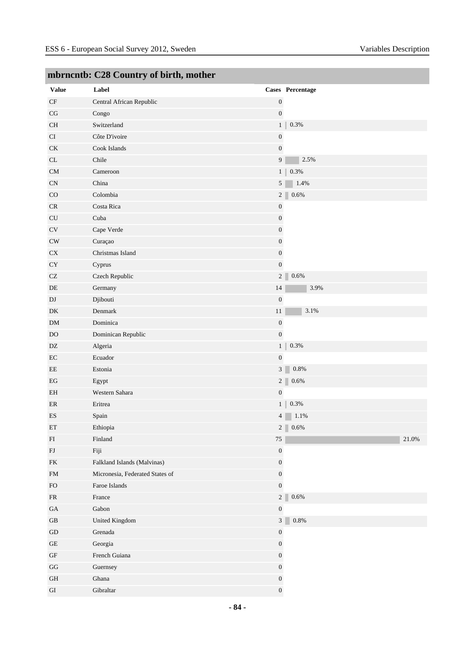| $\cdots$<br><b>Value</b> | $\sim$ counts $\sim$ or one and inter-<br>Label |                  | Cases Percentage          |
|--------------------------|-------------------------------------------------|------------------|---------------------------|
| $\rm CF$                 | Central African Republic                        | $\boldsymbol{0}$ |                           |
| $\rm{CG}$                | Congo                                           | $\boldsymbol{0}$ |                           |
| $\rm CH$                 | Switzerland                                     |                  | 0.3%<br>1 <sup>1</sup>    |
| CI                       | Côte D'ivoire                                   | $\boldsymbol{0}$ |                           |
| CK                       | Cook Islands                                    | $\boldsymbol{0}$ |                           |
| CL                       | Chile                                           | 9                | 2.5%                      |
| ${\rm CM}$               | Cameroon                                        |                  | $0.3\%$<br>1 <sup>1</sup> |
|                          | China                                           | 5 <sup>1</sup>   |                           |
| CN<br>CO                 | Colombia                                        |                  | 1.4%                      |
|                          |                                                 |                  | $2\vert$<br>$0.6\%$       |
| ${\sf CR}$               | Costa Rica                                      | $\boldsymbol{0}$ |                           |
| ${\rm CU}$               | Cuba                                            | $\boldsymbol{0}$ |                           |
| $\rm{CV}$                | Cape Verde                                      | $\boldsymbol{0}$ |                           |
| CW                       | Curaçao                                         | $\boldsymbol{0}$ |                           |
| ${\rm CX}$               | Christmas Island                                | $\boldsymbol{0}$ |                           |
| CY                       | Cyprus                                          | $\boldsymbol{0}$ |                           |
| $\operatorname{CZ}$      | Czech Republic                                  |                  | 2 <sup>2</sup><br>$0.6\%$ |
| DE                       | Germany                                         | 14               | 3.9%                      |
| $\mathbf{D}\mathbf{J}$   | Djibouti                                        | $\boldsymbol{0}$ |                           |
| DK                       | Denmark                                         | 11               | 3.1%                      |
| DM                       | Dominica                                        | $\boldsymbol{0}$ |                           |
| <b>DO</b>                | Dominican Republic                              | $\boldsymbol{0}$ |                           |
| DZ                       | Algeria                                         | 1 <sup>1</sup>   | $0.3\%$                   |
| $\rm EC$                 | Ecuador                                         | $\boldsymbol{0}$ |                           |
| $\rm{EE}$                | Estonia                                         | $\overline{3}$   | 0.8%                      |
| $_{\rm EG}$              | Egypt                                           |                  | $2\vert$<br>0.6%          |
| EH                       | Western Sahara                                  | $\boldsymbol{0}$ |                           |
| ER                       | Eritrea                                         |                  | $0.3\%$<br>1              |
| ES                       | Spain                                           | 4                | $1.1\%$                   |
| ET                       | Ethiopia                                        |                  | 2 <sup>1</sup><br>0.6%    |
| ${\rm FI}$               | Finland                                         | $75\,$           | $21.0\%$                  |
| ${\rm FJ}$               | Fiji                                            | $\boldsymbol{0}$ |                           |
| ${\rm FK}$               | Falkland Islands (Malvinas)                     | $\boldsymbol{0}$ |                           |
| ${\rm FM}$               | Micronesia, Federated States of                 | $\boldsymbol{0}$ |                           |
| ${\rm FO}$               | Faroe Islands                                   | $\boldsymbol{0}$ |                           |
| ${\sf FR}$               | France                                          |                  | 2 <sup>2</sup><br>0.6%    |
| $\rm GA$                 | Gabon                                           | $\boldsymbol{0}$ |                           |
| $\operatorname{GB}$      | United Kingdom                                  | 3                | $0.8\%$                   |
| ${\rm GD}$               | Grenada                                         | $\boldsymbol{0}$ |                           |
| $\operatorname{GE}$      | Georgia                                         | $\boldsymbol{0}$ |                           |
| $\operatorname{GF}$      | French Guiana                                   | $\boldsymbol{0}$ |                           |
| $\mathbf{G}\mathbf{G}$   | Guernsey                                        | $\boldsymbol{0}$ |                           |
| $\operatorname{GH}$      | Ghana                                           | $\boldsymbol{0}$ |                           |
| ${\rm GI}$               | Gibraltar                                       | $\boldsymbol{0}$ |                           |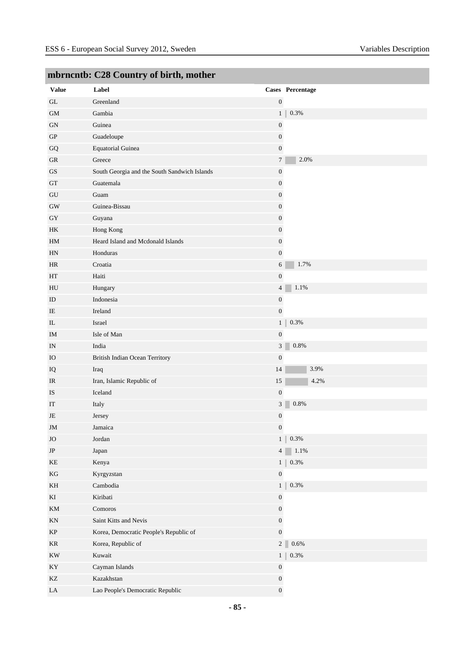|                                 | mornento: C20 Country or on the mother       |                  |                           |
|---------------------------------|----------------------------------------------|------------------|---------------------------|
| <b>Value</b>                    | Label                                        |                  | Cases Percentage          |
| $\operatorname{GL}$             | Greenland                                    | $\boldsymbol{0}$ |                           |
| $\mbox{GM}$                     | Gambia                                       |                  | 0.3%<br>1 <sub>1</sub>    |
| ${\rm GN}$                      | Guinea                                       | $\boldsymbol{0}$ |                           |
| ${\rm GP}$                      | Guadeloupe                                   | $\boldsymbol{0}$ |                           |
| ${\bf G}{\bf Q}$                | <b>Equatorial Guinea</b>                     | $\boldsymbol{0}$ |                           |
| ${\rm GR}$                      | Greece                                       |                  | 2.0%<br>$7\overline{ }$   |
| $\mathbf{G}\mathbf{S}$          | South Georgia and the South Sandwich Islands | $\boldsymbol{0}$ |                           |
| ${\rm GT}$                      | Guatemala                                    | $\boldsymbol{0}$ |                           |
| ${\rm GU}$                      | Guam                                         | $\boldsymbol{0}$ |                           |
| $\rm GW$                        | Guinea-Bissau                                | $\boldsymbol{0}$ |                           |
| GY                              | Guyana                                       | $\boldsymbol{0}$ |                           |
| $\rm{HK}$                       | Hong Kong                                    | $\boldsymbol{0}$ |                           |
| $\mathop{\rm HM}\nolimits$      | Heard Island and Mcdonald Islands            | $\boldsymbol{0}$ |                           |
| HN                              | Honduras                                     | $\overline{0}$   |                           |
| HR                              | Croatia                                      |                  | 1.7%<br>6                 |
| HT                              | Haiti                                        | $\boldsymbol{0}$ |                           |
| HU                              | Hungary                                      |                  | $\overline{4}$<br>1.1%    |
| ID                              | Indonesia                                    | $\boldsymbol{0}$ |                           |
| IE                              | Ireland                                      | $\boldsymbol{0}$ |                           |
| $\rm IL$                        | Israel                                       |                  | 1 <sup>1</sup><br>0.3%    |
| IM                              | Isle of Man                                  | $\boldsymbol{0}$ |                           |
| IN                              | India                                        |                  | $0.8\%$<br>3              |
| IO                              | British Indian Ocean Territory               | $\boldsymbol{0}$ |                           |
| IQ                              | Iraq                                         | $14\,$           | 3.9%                      |
| IR                              | Iran, Islamic Republic of                    | $15\,$           | 4.2%                      |
| IS                              | Iceland                                      | $\boldsymbol{0}$ |                           |
| IT                              | Italy                                        | 3                | 0.8%                      |
| $\rm{JE}$                       | Jersey                                       | $\boldsymbol{0}$ |                           |
| JM                              | Jamaica                                      | $\boldsymbol{0}$ |                           |
| <b>JO</b>                       | Jordan                                       |                  | 0.3%<br>$1 \parallel$     |
| $\rm{JP}$                       | Japan                                        |                  | 1.1%<br>4                 |
| $\rm KE$                        | Kenya                                        |                  | $0.3\%$<br>$1 \parallel$  |
| $\mathbf{KG}$                   | Kyrgyzstan                                   | $\boldsymbol{0}$ |                           |
| $\mathbf{KH}$                   | Cambodia                                     |                  | $0.3\%$<br>1 <sup>1</sup> |
| $\mathop{\mathrm{KI}}\nolimits$ | Kiribati                                     | $\boldsymbol{0}$ |                           |
| KM                              | Comoros                                      | $\boldsymbol{0}$ |                           |
| $\mathop{\rm KN}\nolimits$      | Saint Kitts and Nevis                        | $\boldsymbol{0}$ |                           |
| $\rm KP$                        | Korea, Democratic People's Republic of       | $\boldsymbol{0}$ |                           |
| $\rm KR$                        | Korea, Republic of                           |                  | 0.6%<br>2 <sup>2</sup>    |
| $\mathop{\rm KW}$               | Kuwait                                       |                  | $0.3\%$<br>1 <sup>1</sup> |
| $\mathbf{K}\mathbf{Y}$          | Cayman Islands                               | $\boldsymbol{0}$ |                           |
| $\mathbf{KZ}$                   | Kazakhstan                                   | $\boldsymbol{0}$ |                           |
| ${\rm LA}$                      | Lao People's Democratic Republic             | $\boldsymbol{0}$ |                           |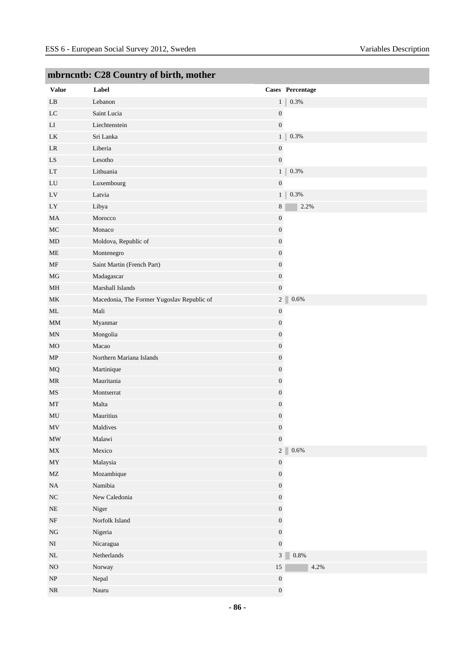|                                   | mornemo. Czo country or on m, momen        |                  |                  |
|-----------------------------------|--------------------------------------------|------------------|------------------|
| <b>Value</b>                      | Label                                      |                  | Cases Percentage |
| $\mathbf{L}\mathbf{B}$            | Lebanon                                    | 1                | $0.3\%$          |
| $_{\rm LC}$                       | Saint Lucia                                | $\boldsymbol{0}$ |                  |
| ${\rm LI}$                        | $\label{thm:inert} \textbf{Liechtenstein}$ | $\boldsymbol{0}$ |                  |
| LK                                | Sri Lanka                                  | $\mathbf{1}$     | $0.3\%$          |
| LR                                | Liberia                                    | $\boldsymbol{0}$ |                  |
| ${\rm LS}$                        | Lesotho                                    | $\boldsymbol{0}$ |                  |
| $\mathop{\rm LT}\nolimits$        | Lithuania                                  | 1 <sup>1</sup>   | $0.3\%$          |
| ${\rm LU}$                        | Luxembourg                                 | $\boldsymbol{0}$ |                  |
| LV                                | Latvia                                     | 1                | $0.3\%$          |
| LY                                | Libya                                      | $\,8\,$          | 2.2%             |
| MA                                | Morocco                                    | $\boldsymbol{0}$ |                  |
| $\rm MC$                          | Monaco                                     | $\boldsymbol{0}$ |                  |
| $\rm MD$                          | Moldova, Republic of                       | $\boldsymbol{0}$ |                  |
| $\rm ME$                          | Montenegro                                 | $\boldsymbol{0}$ |                  |
| MF                                | Saint Martin (French Part)                 | $\boldsymbol{0}$ |                  |
| $\rm MG$                          | Madagascar                                 | $\boldsymbol{0}$ |                  |
| MH                                | Marshall Islands                           | $\boldsymbol{0}$ |                  |
| $\rm MK$                          | Macedonia, The Former Yugoslav Republic of | 2 <sup>2</sup>   | $0.6\%$          |
| $\rm ML$                          | Mali                                       | $\boldsymbol{0}$ |                  |
| MM                                | Myanmar                                    | $\boldsymbol{0}$ |                  |
| $\mbox{MN}$                       | Mongolia                                   | $\boldsymbol{0}$ |                  |
| $_{\rm MO}$                       | Macao                                      | $\boldsymbol{0}$ |                  |
| MP                                | Northern Mariana Islands                   | $\boldsymbol{0}$ |                  |
| MQ                                | Martinique                                 | $\boldsymbol{0}$ |                  |
| $\ensuremath{\mathsf{MR}}\xspace$ | Mauritania                                 | $\boldsymbol{0}$ |                  |
| $\rm MS$                          | Montserrat                                 | $\boldsymbol{0}$ |                  |
| $\rm{MT}$                         | Malta                                      | $\boldsymbol{0}$ |                  |
| MU                                | Mauritius                                  | $\boldsymbol{0}$ |                  |
| $\ensuremath{\text{MV}}\xspace$   | Maldives                                   | $\boldsymbol{0}$ |                  |
| $\ensuremath{\text{MW}}\xspace$   | Malawi                                     | $\boldsymbol{0}$ |                  |
| MX                                | Mexico                                     | 2 <sup>7</sup>   | $0.6\%$          |
| $\boldsymbol{\mathrm{MY}}$        | Malaysia                                   | $\boldsymbol{0}$ |                  |
| $\rm MZ$                          | Mozambique                                 | $\boldsymbol{0}$ |                  |
| $\rm NA$                          | Namibia                                    | $\boldsymbol{0}$ |                  |
| $\rm NC$                          | New Caledonia                              | $\boldsymbol{0}$ |                  |
| $\rm NE$                          | Niger                                      | $\boldsymbol{0}$ |                  |
| $\rm{NF}$                         | Norfolk Island                             | $\boldsymbol{0}$ |                  |
| ${\rm NG}$                        | Nigeria                                    | $\boldsymbol{0}$ |                  |
| $\rm NI$                          | Nicaragua                                  | $\boldsymbol{0}$ |                  |
| $\rm NL$                          | Netherlands                                | 3 <sup>7</sup>   | $0.8\%$          |
| $\rm NO$                          | Norway                                     | $15\,$           | 4.2%             |
| $\ensuremath{\mathbf{NP}}\xspace$ | Nepal                                      | $\boldsymbol{0}$ |                  |
| $\rm NR$                          | $\rm Nauru$                                | $\boldsymbol{0}$ |                  |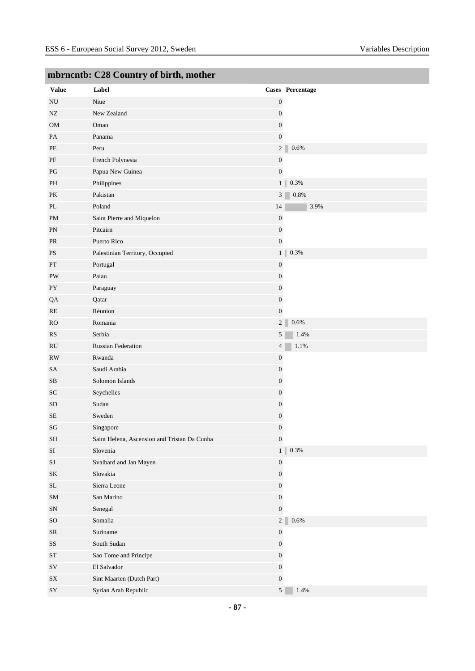| ------<br><b>Value</b>     | Label                                        |                  | Cases Percentage          |
|----------------------------|----------------------------------------------|------------------|---------------------------|
| ${\rm NU}$                 | Niue                                         | $\boldsymbol{0}$ |                           |
| ${\rm NZ}$                 | New Zealand                                  | $\boldsymbol{0}$ |                           |
| ${\rm OM}$                 | Oman                                         | $\boldsymbol{0}$ |                           |
| PA                         | Panama                                       | $\boldsymbol{0}$ |                           |
| $\ensuremath{\mathsf{PE}}$ | Peru                                         |                  | 2 <sup>2</sup><br>$0.6\%$ |
| $\rm PF$                   | French Polynesia                             | $\boldsymbol{0}$ |                           |
| PG                         | Papua New Guinea                             | $\boldsymbol{0}$ |                           |
| PH                         | Philippines                                  |                  | 0.3%<br>1 <sup>1</sup>    |
| PK                         | Pakistan                                     | 3                | $0.8\%$                   |
| $\rm PL$                   | Poland                                       | 14               | 3.9%                      |
| $\mathbf{PM}$              | Saint Pierre and Miquelon                    | $\boldsymbol{0}$ |                           |
| PN                         | Pitcairn                                     | $\boldsymbol{0}$ |                           |
| PR                         | Puerto Rico                                  | $\boldsymbol{0}$ |                           |
| <b>PS</b>                  | Palestinian Territory, Occupied              |                  | 1 <sup>1</sup><br>0.3%    |
| PT                         | Portugal                                     | $\boldsymbol{0}$ |                           |
| PW                         | Palau                                        | $\boldsymbol{0}$ |                           |
| ${\rm PY}$                 | Paraguay                                     | $\boldsymbol{0}$ |                           |
| QA                         | Qatar                                        | $\boldsymbol{0}$ |                           |
| RE                         | Réunion                                      | $\overline{0}$   |                           |
| <b>RO</b>                  | Romania                                      |                  | 2 <sup>2</sup><br>0.6%    |
| ${\rm RS}$                 | Serbia                                       | $5\overline{)}$  | 1.4%                      |
| RU                         | <b>Russian Federation</b>                    | $\overline{4}$   | 1.1%                      |
| RW                         | Rwanda                                       | $\boldsymbol{0}$ |                           |
| SA                         | Saudi Arabia                                 | $\boldsymbol{0}$ |                           |
| $\rm SB$                   | Solomon Islands                              | $\boldsymbol{0}$ |                           |
| SC                         | Seychelles                                   | $\boldsymbol{0}$ |                           |
| <b>SD</b>                  | Sudan                                        | $\boldsymbol{0}$ |                           |
| $\rm SE$                   | Sweden                                       | $\boldsymbol{0}$ |                           |
| SG                         | Singapore                                    | $\boldsymbol{0}$ |                           |
| $\operatorname{SH}$        | Saint Helena, Ascension and Tristan Da Cunha | $\boldsymbol{0}$ |                           |
| SI                         | Slovenia                                     |                  | $0.3\%$<br>1 <sup>1</sup> |
| $\rm{SJ}$                  | Svalbard and Jan Mayen                       | $\boldsymbol{0}$ |                           |
| SK                         | Slovakia                                     | $\boldsymbol{0}$ |                           |
| $\operatorname{SL}$        | Sierra Leone                                 | $\overline{0}$   |                           |
| ${\bf SM}$                 | San Marino                                   | $\boldsymbol{0}$ |                           |
| ${\rm SN}$                 | Senegal                                      | $\boldsymbol{0}$ |                           |
| $\rm SO$                   | Somalia                                      |                  | 2 <sup>2</sup><br>$0.6\%$ |
| ${\rm SR}$                 | Suriname                                     | $\boldsymbol{0}$ |                           |
| $\rm SS$                   | South Sudan                                  | $\boldsymbol{0}$ |                           |
| $\operatorname{ST}$        | Sao Tome and Principe                        | $\overline{0}$   |                           |
| ${\rm SV}$                 | El Salvador                                  | $\boldsymbol{0}$ |                           |
| ${\rm SX}$                 | Sint Maarten (Dutch Part)                    | $\boldsymbol{0}$ |                           |
| ${\rm SY}$                 | Syrian Arab Republic                         | 5 <sup>5</sup>   | 1.4%                      |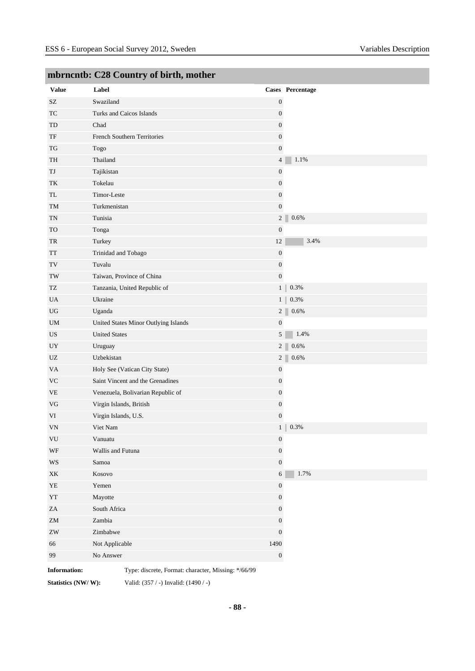| <b>Value</b>               | Label                                               |                  | Cases Percentage |
|----------------------------|-----------------------------------------------------|------------------|------------------|
| $\ensuremath{\mathrm{SZ}}$ | Swaziland                                           | $\boldsymbol{0}$ |                  |
| TC                         | Turks and Caicos Islands                            | $\boldsymbol{0}$ |                  |
| TD                         | Chad                                                | $\boldsymbol{0}$ |                  |
| $\ensuremath{\mathsf{TF}}$ | French Southern Territories                         | $\boldsymbol{0}$ |                  |
| $\mathcal{T}\mathcal{G}$   | Togo                                                | $\boldsymbol{0}$ |                  |
| TH                         | Thailand                                            | $\overline{4}$   | 1.1%             |
| TJ                         | Tajikistan                                          | $\boldsymbol{0}$ |                  |
| TK                         | Tokelau                                             | $\boldsymbol{0}$ |                  |
| TL                         | Timor-Leste                                         | $\boldsymbol{0}$ |                  |
| TM                         | Turkmenistan                                        | $\boldsymbol{0}$ |                  |
| $\mathcal{T}\mathcal{N}$   | Tunisia                                             | 2                | $0.6\%$          |
| <b>TO</b>                  | Tonga                                               | $\boldsymbol{0}$ |                  |
| TR                         | Turkey                                              | 12               | 3.4%             |
| TT                         | Trinidad and Tobago                                 | $\boldsymbol{0}$ |                  |
| $\operatorname{TV}$        | Tuvalu                                              | $\boldsymbol{0}$ |                  |
| TW                         | Taiwan, Province of China                           | $\boldsymbol{0}$ |                  |
| TZ                         | Tanzania, United Republic of                        | 1 <sup>1</sup>   | 0.3%             |
| UA                         | Ukraine                                             | 1 <sub>1</sub>   | 0.3%             |
| UG                         | Uganda                                              | 2 <sup>2</sup>   | 0.6%             |
| $\mathbf{U}\mathbf{M}$     | United States Minor Outlying Islands                | $\boldsymbol{0}$ |                  |
| US                         | <b>United States</b>                                | 5                | 1.4%             |
| UY                         | Uruguay                                             | 2 <sup>2</sup>   | 0.6%             |
| $U\!Z$                     | Uzbekistan                                          | 2 <sup>2</sup>   | 0.6%             |
| VA                         | Holy See (Vatican City State)                       | $\boldsymbol{0}$ |                  |
| <b>VC</b>                  | Saint Vincent and the Grenadines                    | $\boldsymbol{0}$ |                  |
| <b>VE</b>                  | Venezuela, Bolivarian Republic of                   | $\boldsymbol{0}$ |                  |
| $\rm{VG}$                  | Virgin Islands, British                             | $\boldsymbol{0}$ |                  |
| VI                         | Virgin Islands, U.S.                                | $\mathbf{0}$     |                  |
| VN                         | Viet Nam                                            | 1 <sup>1</sup>   | 0.3%             |
| VU                         | Vanuatu                                             | $\boldsymbol{0}$ |                  |
| WF                         | Wallis and Futuna                                   | $\boldsymbol{0}$ |                  |
| $\mathbf{W}\mathbf{S}$     | Samoa                                               | $\boldsymbol{0}$ |                  |
| $\mathbf{X}\mathbf{K}$     | Kosovo                                              | $6\phantom{.}$   | 1.7%             |
| ${\rm YE}$                 | Yemen                                               | $\boldsymbol{0}$ |                  |
| ${\it YT}$                 | Mayotte                                             | $\boldsymbol{0}$ |                  |
| $\rm ZA$                   | South Africa                                        | $\boldsymbol{0}$ |                  |
| ${\rm ZM}$                 | Zambia                                              | $\boldsymbol{0}$ |                  |
| ${\rm ZW}$                 | Zimbabwe                                            | $\boldsymbol{0}$ |                  |
| 66                         | Not Applicable                                      | 1490             |                  |
| 99                         | No Answer                                           | $\boldsymbol{0}$ |                  |
| <b>Information:</b>        | Type: discrete, Format: character, Missing: */66/99 |                  |                  |

**Statistics (NW/ W):** Valid: (357 / -) Invalid: (1490 / -)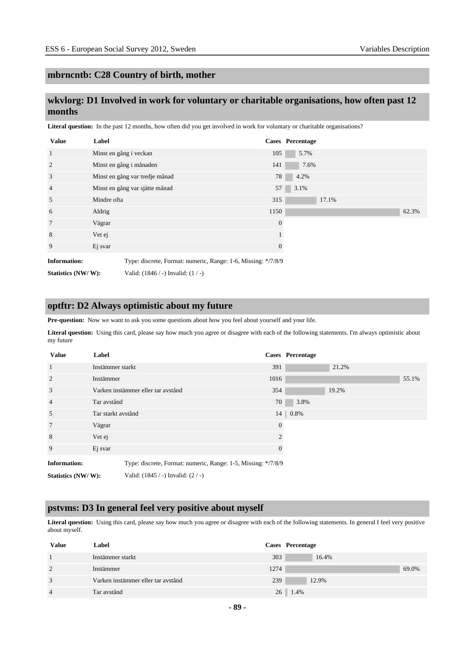# **wkvlorg: D1 Involved in work for voluntary or charitable organisations, how often past 12 months**

Literal question: In the past 12 months, how often did you get involved in work for voluntary or charitable organisations?

| <b>Value</b>        | Label                  |                                                               |          | <b>Cases</b> Percentage |       |       |
|---------------------|------------------------|---------------------------------------------------------------|----------|-------------------------|-------|-------|
| $\mathbf{1}$        | Minst en gång i veckan |                                                               | 105      | 5.7%                    |       |       |
| 2                   |                        | Minst en gång i månaden                                       | 141      | 7.6%                    |       |       |
| 3                   |                        | Minst en gång var tredje månad                                | 78       | 4.2%                    |       |       |
| $\overline{4}$      |                        | Minst en gång var sjätte månad                                | 57       | 3.1%                    |       |       |
| 5                   | Mindre ofta            |                                                               | 315      |                         | 17.1% |       |
| 6                   | Aldrig                 |                                                               | 1150     |                         |       | 62.3% |
| $7\phantom{.0}$     | Vägrar                 |                                                               | $\theta$ |                         |       |       |
| 8                   | Vet ej                 |                                                               |          |                         |       |       |
| 9                   | Ej svar                |                                                               | 0        |                         |       |       |
| <b>Information:</b> |                        | Type: discrete, Format: numeric, Range: 1-6, Missing: */7/8/9 |          |                         |       |       |
| Statistics (NW/W):  |                        | Valid: $(1846 / -)$ Invalid: $(1 / -)$                        |          |                         |       |       |

#### **optftr: D2 Always optimistic about my future**

**Pre-question:** Now we want to ask you some questions about how you feel about yourself and your life.

**Literal question:** Using this card, please say how much you agree or disagree with each of the following statements. I'm always optimistic about my future

| <b>Value</b>        | Label                                                         |                | <b>Cases</b> Percentage |       |       |
|---------------------|---------------------------------------------------------------|----------------|-------------------------|-------|-------|
| -1                  | Instämmer starkt                                              | 391            |                         | 21.2% |       |
| 2                   | Instämmer                                                     | 1016           |                         |       | 55.1% |
| 3                   | Varken instämmer eller tar avstånd                            | 354            |                         | 19.2% |       |
| $\overline{4}$      | Tar avstånd                                                   | 70             | 3.8%                    |       |       |
| 5                   | Tar starkt avstånd                                            | 14             | 0.8%                    |       |       |
| 7                   | Vägrar                                                        | $\overline{0}$ |                         |       |       |
| 8                   | Vet ej                                                        | $\overline{2}$ |                         |       |       |
| 9                   | Ej svar                                                       | $\theta$       |                         |       |       |
| <b>Information:</b> | Type: discrete, Format: numeric, Range: 1-5, Missing: */7/8/9 |                |                         |       |       |
| Statistics (NW/W):  | Valid: $(1845 / -)$ Invalid: $(2 / -)$                        |                |                         |       |       |

#### **pstvms: D3 In general feel very positive about myself**

Literal question: Using this card, please say how much you agree or disagree with each of the following statements. In general I feel very positive about myself.

| Value          | Label                              |      | Cases Percentage |       |
|----------------|------------------------------------|------|------------------|-------|
|                | Instämmer starkt                   | 303  | 16.4%            |       |
| 2              | Instämmer                          | 1274 |                  | 69.0% |
| 3              | Varken instämmer eller tar avstånd | 239  | 12.9%            |       |
| $\overline{4}$ | Tar avstånd                        |      | $26 \mid 1.4\%$  |       |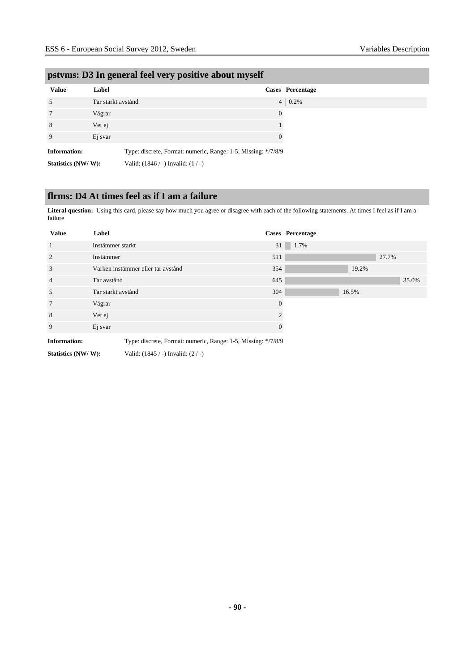|                     | $\tilde{}$         |                                        |                                                               |
|---------------------|--------------------|----------------------------------------|---------------------------------------------------------------|
| <b>Value</b>        | Label              |                                        | Cases Percentage                                              |
| 5                   | Tar starkt avstånd |                                        | $4 \mid 0.2\%$                                                |
| 7                   | Vägrar             |                                        | $\theta$                                                      |
| 8                   | Vet ej             |                                        |                                                               |
| 9                   | Ej svar            |                                        | $\mathbf{0}$                                                  |
| <b>Information:</b> |                    |                                        | Type: discrete, Format: numeric, Range: 1-5, Missing: */7/8/9 |
| Statistics (NW/W):  |                    | Valid: $(1846 / -)$ Invalid: $(1 / -)$ |                                                               |

# **pstvms: D3 In general feel very positive about myself**

# **flrms: D4 At times feel as if I am a failure**

**Literal question:** Using this card, please say how much you agree or disagree with each of the following statements. At times I feel as if I am a failure

| <b>Value</b>        | Label                                                         |                             | Cases Percentage |       |       |       |
|---------------------|---------------------------------------------------------------|-----------------------------|------------------|-------|-------|-------|
| $\overline{1}$      | Instämmer starkt                                              | 31                          | 1.7%             |       |       |       |
| 2                   | Instämmer                                                     | 511                         |                  |       | 27.7% |       |
| 3                   | Varken instämmer eller tar avstånd                            | 354                         |                  | 19.2% |       |       |
| $\overline{4}$      | Tar avstånd                                                   | 645                         |                  |       |       | 35.0% |
| 5                   | Tar starkt avstånd                                            | 304                         |                  | 16.5% |       |       |
| $7\phantom{.0}$     | Vägrar                                                        | $\Omega$                    |                  |       |       |       |
| 8                   | Vet ej                                                        | $\mathcal{D}_{\mathcal{A}}$ |                  |       |       |       |
| 9                   | Ej svar                                                       | $\Omega$                    |                  |       |       |       |
| <b>Information:</b> | Type: discrete, Format: numeric, Range: 1-5, Missing: */7/8/9 |                             |                  |       |       |       |

**Statistics (NW/ W):** Valid: (1845 / -) Invalid: (2 / -)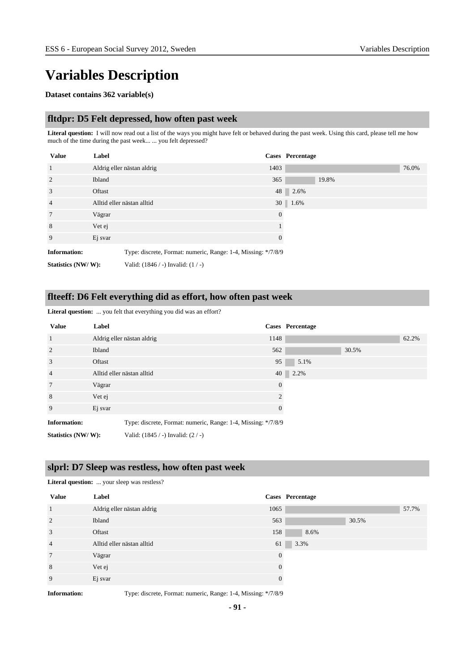# **Variables Description**

#### **Dataset contains 362 variable(s)**

#### **fltdpr: D5 Felt depressed, how often past week**

**Literal question:** I will now read out a list of the ways you might have felt or behaved during the past week. Using this card, please tell me how much of the time during the past week... ... you felt depressed?

| <b>Value</b>        | Label                                                         |          | <b>Cases</b> Percentage |
|---------------------|---------------------------------------------------------------|----------|-------------------------|
| $\mathbf{1}$        | Aldrig eller nästan aldrig                                    | 1403     | 76.0%                   |
| $\overline{2}$      | <b>Ibland</b>                                                 | 365      | 19.8%                   |
| 3                   | Oftast                                                        |          | 48 2.6%                 |
| $\overline{4}$      | Alltid eller nästan alltid                                    |          | $30 \mid 1.6\%$         |
| $7\phantom{.0}$     | Vägrar                                                        | $\theta$ |                         |
| 8                   | Vet ej                                                        |          |                         |
| 9                   | Ej svar                                                       | $\theta$ |                         |
| <b>Information:</b> | Type: discrete, Format: numeric, Range: 1-4, Missing: */7/8/9 |          |                         |
| Statistics (NW/W):  | Valid: $(1846 / -)$ Invalid: $(1 / -)$                        |          |                         |

# **flteeff: D6 Felt everything did as effort, how often past week**

| <b>Value</b>        | Label                                                         |                | Cases Percentage |       |       |
|---------------------|---------------------------------------------------------------|----------------|------------------|-------|-------|
| $\mathbf{1}$        | Aldrig eller nästan aldrig                                    | 1148           |                  |       | 62.2% |
| 2                   | Ibland                                                        | 562            |                  | 30.5% |       |
| 3                   | Oftast                                                        | 95             | 5.1%             |       |       |
| $\overline{4}$      | Alltid eller nästan alltid                                    |                | 40 2.2%          |       |       |
| $7\phantom{.0}$     | Vägrar                                                        | $\theta$       |                  |       |       |
| 8                   | Vet ej                                                        | $\mathfrak{D}$ |                  |       |       |
| 9                   | Ej svar                                                       | $\overline{0}$ |                  |       |       |
| <b>Information:</b> | Type: discrete, Format: numeric, Range: 1-4, Missing: */7/8/9 |                |                  |       |       |
| Statistics (NW/W):  | Valid: $(1845 / -)$ Invalid: $(2 / -)$                        |                |                  |       |       |

### **Literal question:** ... you felt that everything you did was an effort?

#### **slprl: D7 Sleep was restless, how often past week**

| <b>Literal question:</b> your sleep was restless? |                            |          |                         |  |  |
|---------------------------------------------------|----------------------------|----------|-------------------------|--|--|
| <b>Value</b>                                      | Label                      |          | <b>Cases</b> Percentage |  |  |
| $\overline{1}$                                    | Aldrig eller nästan aldrig | 1065     | 57.7%                   |  |  |
| $\overline{2}$                                    | Ibland                     | 563      | 30.5%                   |  |  |
| 3                                                 | Oftast                     | 158      | 8.6%                    |  |  |
| $\overline{4}$                                    | Alltid eller nästan alltid | 61       | 3.3%                    |  |  |
| $7\phantom{.0}$                                   | Vägrar                     | $\theta$ |                         |  |  |
| 8                                                 | Vet ej                     | $\Omega$ |                         |  |  |
| 9                                                 | Ej svar                    | $\theta$ |                         |  |  |

**Information:** Type: discrete, Format: numeric, Range: 1-4, Missing: \*/7/8/9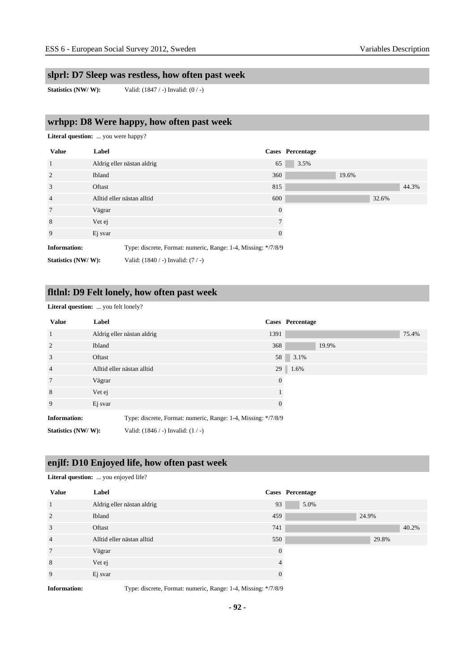# **slprl: D7 Sleep was restless, how often past week**

**Statistics (NW/ W):** Valid: (1847 / -) Invalid: (0 / -)

# **wrhpp: D8 Were happy, how often past week**

**Literal question:** ... you were happy?

| <b>Value</b>        | Label                              |                                                               | <b>Cases</b> Percentage |       |
|---------------------|------------------------------------|---------------------------------------------------------------|-------------------------|-------|
| 1                   | Aldrig eller nästan aldrig         | 65                                                            | 3.5%                    |       |
| 2                   | Ibland                             | 360                                                           | 19.6%                   |       |
| 3                   | Oftast                             | 815                                                           |                         | 44.3% |
| $\overline{4}$      | Alltid eller nästan alltid         | 600                                                           |                         | 32.6% |
| $7\phantom{.0}$     | Vägrar                             | $\theta$                                                      |                         |       |
| 8                   | Vet ej                             |                                                               |                         |       |
| 9                   | Ej svar                            | $\Omega$                                                      |                         |       |
| <b>Information:</b> |                                    | Type: discrete, Format: numeric, Range: 1-4, Missing: */7/8/9 |                         |       |
| Statistics (NW/W):  | Valid: (1840 / -) Invalid: (7 / -) |                                                               |                         |       |

# **fltlnl: D9 Felt lonely, how often past week**

**Literal question:** ... you felt lonely?

**Literal question:** ... you enjoyed life?

| <b>Value</b>        | Label                                                         |                | Cases Percentage |
|---------------------|---------------------------------------------------------------|----------------|------------------|
| $\mathbf{1}$        | Aldrig eller nästan aldrig                                    | 1391           | 75.4%            |
| 2                   | Ibland                                                        | 368            | 19.9%            |
| 3                   | Oftast                                                        | 58             | 3.1%             |
| $\overline{4}$      | Alltid eller nästan alltid                                    |                | 29 1.6%          |
| $7\phantom{.0}$     | Vägrar                                                        | $\overline{0}$ |                  |
| 8                   | Vet ej                                                        |                |                  |
| 9                   | Ej svar                                                       |                |                  |
| <b>Information:</b> | Type: discrete, Format: numeric, Range: 1-4, Missing: */7/8/9 |                |                  |
| Statistics (NW/W):  | Valid: $(1846 / -)$ Invalid: $(1 / -)$                        |                |                  |

# **enjlf: D10 Enjoyed life, how often past week**

| <b>Value</b>   | Label                      |          | Cases Percentage |
|----------------|----------------------------|----------|------------------|
| $\mathbf{1}$   | Aldrig eller nästan aldrig | 93       | 5.0%             |
| 2              | Ibland                     | 459      | 24.9%            |
| 3              | Oftast                     | 741      | 40.2%            |
| $\overline{4}$ | Alltid eller nästan alltid | 550      | 29.8%            |
| $\overline{7}$ | Vägrar                     | $\Omega$ |                  |
| 8              | Vet ej                     | 4        |                  |
| 9              | Ej svar                    | $\Omega$ |                  |

**Information:** Type: discrete, Format: numeric, Range: 1-4, Missing: \*/7/8/9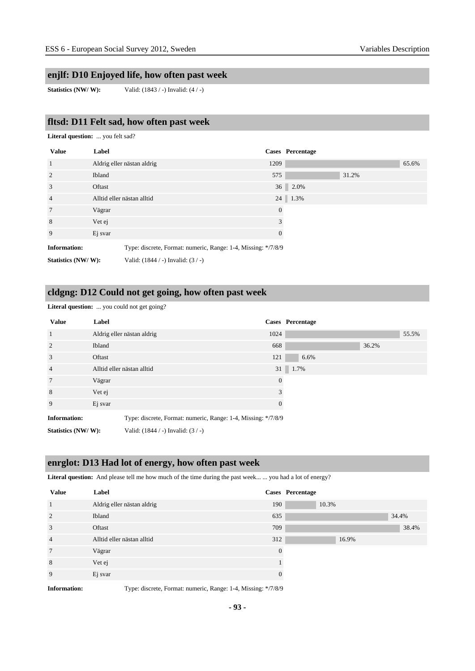# **enjlf: D10 Enjoyed life, how often past week**

**Statistics (NW/ W):** Valid: (1843 / -) Invalid: (4 / -)

# **fltsd: D11 Felt sad, how often past week**

**Literal question:** ... you felt sad?

| <b>Value</b>        | Label                                                         |                | <b>Cases</b> Percentage |       |       |
|---------------------|---------------------------------------------------------------|----------------|-------------------------|-------|-------|
| $\overline{1}$      | Aldrig eller nästan aldrig                                    | 1209           |                         |       | 65.6% |
| 2                   | <b>Ibland</b>                                                 | 575            |                         | 31.2% |       |
| 3                   | Oftast                                                        |                | 36 2.0%                 |       |       |
| $\overline{4}$      | Alltid eller nästan alltid                                    |                | 24 1.3%                 |       |       |
| $7\phantom{.0}$     | Vägrar                                                        | $\theta$       |                         |       |       |
| 8                   | Vet ej                                                        | 3              |                         |       |       |
| 9                   | Ej svar                                                       | $\overline{0}$ |                         |       |       |
| <b>Information:</b> | Type: discrete, Format: numeric, Range: 1-4, Missing: */7/8/9 |                |                         |       |       |
| Statistics (NW/W):  | Valid: $(1844 / -)$ Invalid: $(3 / -)$                        |                |                         |       |       |

# **cldgng: D12 Could not get going, how often past week**

Literal question: ... you could not get going?

| <b>Value</b>        | Label                                                         |                | Cases Percentage |       |       |
|---------------------|---------------------------------------------------------------|----------------|------------------|-------|-------|
| $\mathbf{1}$        | Aldrig eller nästan aldrig                                    | 1024           |                  |       | 55.5% |
| 2                   | Ibland                                                        | 668            |                  | 36.2% |       |
| 3                   | Oftast                                                        | 121            | 6.6%             |       |       |
| $\overline{4}$      | Alltid eller nästan alltid                                    |                | 31 1.7%          |       |       |
| $7\phantom{.0}$     | Vägrar                                                        | $\overline{0}$ |                  |       |       |
| 8                   | Vet ej                                                        | 3              |                  |       |       |
| 9                   | Ej svar                                                       | $\Omega$       |                  |       |       |
| <b>Information:</b> | Type: discrete, Format: numeric, Range: 1-4, Missing: */7/8/9 |                |                  |       |       |
| Statistics (NW/W):  | Valid: $(1844 / -)$ Invalid: $(3 / -)$                        |                |                  |       |       |

# **enrglot: D13 Had lot of energy, how often past week**

Literal question: And please tell me how much of the time during the past week... ... you had a lot of energy?

| <b>Value</b>   | Label                      |          | <b>Cases</b> Percentage |
|----------------|----------------------------|----------|-------------------------|
| $\mathbf{1}$   | Aldrig eller nästan aldrig | 190      | 10.3%                   |
| 2              | Ibland                     | 635      | 34.4%                   |
| 3              | Oftast                     | 709      | 38.4%                   |
| $\overline{4}$ | Alltid eller nästan alltid | 312      | 16.9%                   |
| 7              | Vägrar                     | $\Omega$ |                         |
| 8              | Vet ej                     |          |                         |
| 9              | Ej svar                    |          |                         |

**Information:** Type: discrete, Format: numeric, Range: 1-4, Missing: \*/7/8/9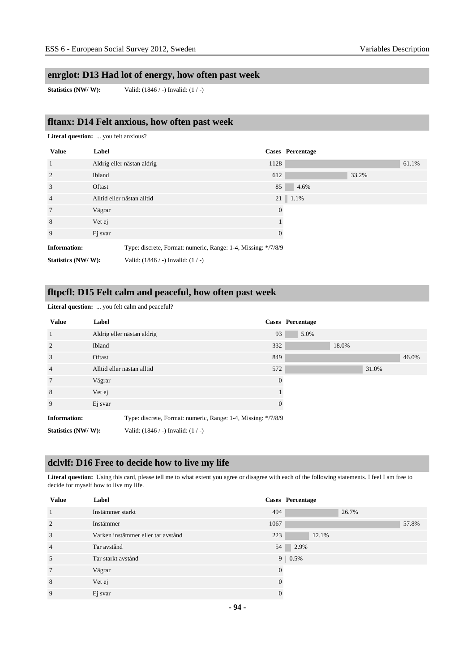# **enrglot: D13 Had lot of energy, how often past week**

**Statistics (NW/ W):** Valid: (1846 / -) Invalid: (1 / -)

### **fltanx: D14 Felt anxious, how often past week**

**Literal question:** ... you felt anxious?

| <b>Value</b>        | Label                                  |                                                               | <b>Cases</b> Percentage |       |       |
|---------------------|----------------------------------------|---------------------------------------------------------------|-------------------------|-------|-------|
| $\mathbf{1}$        | Aldrig eller nästan aldrig             | 1128                                                          |                         |       | 61.1% |
| 2                   | <b>Ibland</b>                          | 612                                                           |                         | 33.2% |       |
| 3                   | Oftast                                 | 85                                                            | 4.6%                    |       |       |
| $\overline{4}$      | Alltid eller nästan alltid             |                                                               | $21 \parallel 1.1\%$    |       |       |
| $7\phantom{.0}$     | Vägrar                                 | $\mathbf{0}$                                                  |                         |       |       |
| 8                   | Vet ej                                 |                                                               |                         |       |       |
| 9                   | Ej svar                                | $\overline{0}$                                                |                         |       |       |
| <b>Information:</b> |                                        | Type: discrete, Format: numeric, Range: 1-4, Missing: */7/8/9 |                         |       |       |
| Statistics (NW/W):  | Valid: $(1846 / -)$ Invalid: $(1 / -)$ |                                                               |                         |       |       |

# **fltpcfl: D15 Felt calm and peaceful, how often past week**

**Literal question:** ... you felt calm and peaceful?

| <b>Value</b>        | Label                                                         |          | Cases Percentage |       |       |       |
|---------------------|---------------------------------------------------------------|----------|------------------|-------|-------|-------|
| $\mathbf{1}$        | Aldrig eller nästan aldrig                                    | 93       | 5.0%             |       |       |       |
| 2                   | <b>Ibland</b>                                                 | 332      |                  | 18.0% |       |       |
| 3                   | Oftast                                                        | 849      |                  |       |       | 46.0% |
| $\overline{4}$      | Alltid eller nästan alltid                                    | 572      |                  |       | 31.0% |       |
| $7\phantom{.0}$     | Vägrar                                                        | $\theta$ |                  |       |       |       |
| 8                   | Vet ej                                                        |          |                  |       |       |       |
| 9                   | Ej svar                                                       | $\theta$ |                  |       |       |       |
| <b>Information:</b> | Type: discrete, Format: numeric, Range: 1-4, Missing: */7/8/9 |          |                  |       |       |       |
| Statistics (NW/W):  | Valid: $(1846 / -)$ Invalid: $(1 / -)$                        |          |                  |       |       |       |

#### **dclvlf: D16 Free to decide how to live my life**

**Literal question:** Using this card, please tell me to what extent you agree or disagree with each of the following statements. I feel I am free to decide for myself how to live my life.

| <b>Value</b>   | Label                              |          | <b>Cases</b> Percentage |
|----------------|------------------------------------|----------|-------------------------|
|                | Instämmer starkt                   | 494      | 26.7%                   |
| $\overline{2}$ | Instämmer                          | 1067     | 57.8%                   |
| 3              | Varken instämmer eller tar avstånd | 223      | 12.1%                   |
| $\overline{4}$ | Tar avstånd                        | 54       | 2.9%                    |
| 5              | Tar starkt avstånd                 |          | $9 \mid 0.5\%$          |
| $\overline{7}$ | Vägrar                             | $\Omega$ |                         |
| 8              | Vet ej                             |          |                         |
| 9              | Ej svar                            | $\Omega$ |                         |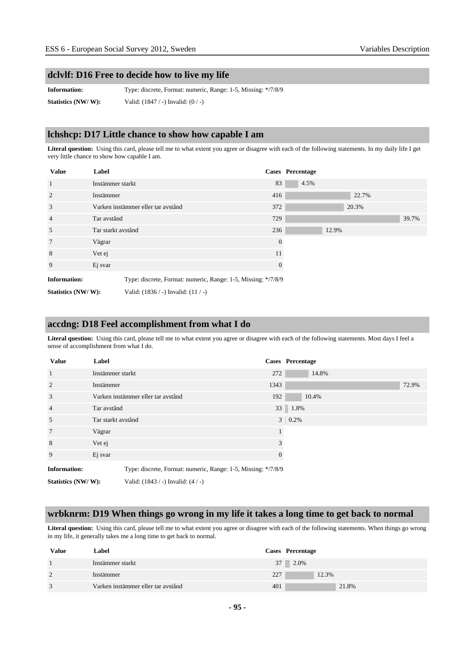#### **dclvlf: D16 Free to decide how to live my life**

**Information:** Type: discrete, Format: numeric, Range: 1-5, Missing: \*/7/8/9 **Statistics (NW/ W):** Valid: (1847 / -) Invalid: (0 / -)

#### **lchshcp: D17 Little chance to show how capable I am**

**Literal question:** Using this card, please tell me to what extent you agree or disagree with each of the following statements. In my daily life I get very little chance to show how capable I am.

| <b>Value</b>        | Label                                                         |              | <b>Cases</b> Percentage |       |       |       |
|---------------------|---------------------------------------------------------------|--------------|-------------------------|-------|-------|-------|
| 1                   | Instämmer starkt                                              | 83           | 4.5%                    |       |       |       |
| 2                   | Instämmer                                                     | 416          |                         |       | 22.7% |       |
| 3                   | Varken instämmer eller tar avstånd                            | 372          |                         |       | 20.3% |       |
| $\overline{4}$      | Tar avstånd                                                   | 729          |                         |       |       | 39.7% |
| 5                   | Tar starkt avstånd                                            | 236          |                         | 12.9% |       |       |
| $7\phantom{.0}$     | Vägrar                                                        | $\theta$     |                         |       |       |       |
| 8                   | Vet ej                                                        | 11           |                         |       |       |       |
| 9                   | Ej svar                                                       | $\mathbf{0}$ |                         |       |       |       |
| <b>Information:</b> | Type: discrete, Format: numeric, Range: 1-5, Missing: */7/8/9 |              |                         |       |       |       |
| Statistics (NW/W):  | Valid: $(1836 / -)$ Invalid: $(11 / -)$                       |              |                         |       |       |       |

#### **accdng: D18 Feel accomplishment from what I do**

**Literal question:** Using this card, please tell me to what extent you agree or disagree with each of the following statements. Most days I feel a sense of accomplishment from what I do.

| <b>Value</b>        | Label                                                         |                | <b>Cases</b> Percentage |
|---------------------|---------------------------------------------------------------|----------------|-------------------------|
| $\mathbf{1}$        | Instämmer starkt                                              | 272            | 14.8%                   |
| 2                   | Instämmer                                                     | 1343           | 72.9%                   |
| 3                   | Varken instämmer eller tar avstånd                            | 192            | 10.4%                   |
| $\overline{4}$      | Tar avstånd                                                   |                | 33 1.8%                 |
| 5                   | Tar starkt avstånd                                            | 3 <sup>1</sup> | 0.2%                    |
| 7                   | Vägrar                                                        |                |                         |
| 8                   | Vet ej                                                        | 3              |                         |
| 9                   | Ej svar                                                       | $\theta$       |                         |
| <b>Information:</b> | Type: discrete, Format: numeric, Range: 1-5, Missing: */7/8/9 |                |                         |
| Statistics (NW/W):  | Valid: $(1843 / -)$ Invalid: $(4 / -)$                        |                |                         |

#### **wrbknrm: D19 When things go wrong in my life it takes a long time to get back to normal**

Literal question: Using this card, please tell me to what extent you agree or disagree with each of the following statements. When things go wrong in my life, it generally takes me a long time to get back to normal.

| <b>Value</b>  | Label                              | Cases Percentage |
|---------------|------------------------------------|------------------|
|               | Instämmer starkt                   | 37 2.0%          |
| $\mathcal{D}$ | Instämmer                          | 12.3%<br>227     |
| 3             | Varken instämmer eller tar avstånd | 21.8%<br>401     |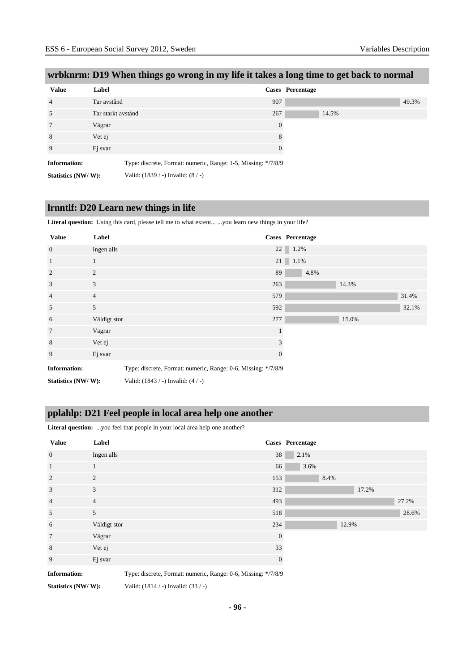| <b>Value</b>        | Label              |                                                               | Cases Percentage |
|---------------------|--------------------|---------------------------------------------------------------|------------------|
| $\overline{4}$      | Tar avstånd        |                                                               | 907              |
| 5                   | Tar starkt avstånd |                                                               | 267              |
| $7\phantom{.0}$     | Vägrar             |                                                               | $\Omega$         |
| 8                   | Vet ej             |                                                               | 8                |
| 9                   | Ej svar            |                                                               | 0                |
| <b>Information:</b> |                    | Type: discrete, Format: numeric, Range: 1-5, Missing: */7/8/9 |                  |
| Statistics (NW/W):  |                    | Valid: $(1839 / -)$ Invalid: $(8 / -)$                        |                  |

# **wrbknrm: D19 When things go wrong in my life it takes a long time to get back to normal**

# **lrnntlf: D20 Learn new things in life**

Literal question: Using this card, please tell me to what extent... ...you learn new things in your life?

| <b>Value</b>        | Label                                                         |              | Cases Percentage |
|---------------------|---------------------------------------------------------------|--------------|------------------|
| $\mathbf{0}$        | Ingen alls                                                    |              | 22 1.2%          |
| $\mathbf{1}$        | 1                                                             |              | $21 \ 1.1\%$     |
| 2                   | 2                                                             | 89           | 4.8%             |
| 3                   | 3                                                             | 263          | 14.3%            |
| $\overline{4}$      | $\overline{4}$                                                | 579          | 31.4%            |
| 5                   | 5                                                             | 592          | 32.1%            |
| 6                   | Väldigt stor                                                  | 277          | 15.0%            |
| $7\phantom{.0}$     | Vägrar                                                        |              |                  |
| 8                   | Vet ej                                                        |              | 3                |
| 9                   | Ej svar                                                       | $\mathbf{0}$ |                  |
| <b>Information:</b> | Type: discrete, Format: numeric, Range: 0-6, Missing: */7/8/9 |              |                  |

**Statistics (NW/ W):** Valid: (1843 / -) Invalid: (4 / -)

#### **pplahlp: D21 Feel people in local area help one another**

Literal question: ...you feel that people in your local area help one another?

| <b>Value</b>        | Label                                                         |              | Cases Percentage |       |       |       |
|---------------------|---------------------------------------------------------------|--------------|------------------|-------|-------|-------|
| $\mathbf{0}$        | Ingen alls                                                    | 38           | 2.1%             |       |       |       |
| $\mathbf{1}$        | $\mathbf{1}$                                                  | 66           | 3.6%             |       |       |       |
| $\overline{2}$      | 2                                                             | 153          |                  | 8.4%  |       |       |
| 3                   | 3                                                             | 312          |                  |       | 17.2% |       |
| $\overline{4}$      | $\overline{4}$                                                | 493          |                  |       |       | 27.2% |
| 5                   | 5                                                             | 518          |                  |       |       | 28.6% |
| 6                   | Väldigt stor                                                  | 234          |                  | 12.9% |       |       |
| $\overline{7}$      | Vägrar                                                        | $\mathbf{0}$ |                  |       |       |       |
| 8                   | Vet ej                                                        | 33           |                  |       |       |       |
| 9                   | Ej svar                                                       | $\mathbf{0}$ |                  |       |       |       |
| <b>Information:</b> | Type: discrete, Format: numeric, Range: 0-6, Missing: */7/8/9 |              |                  |       |       |       |

**Statistics (NW/ W):** Valid: (1814 / -) Invalid: (33 / -)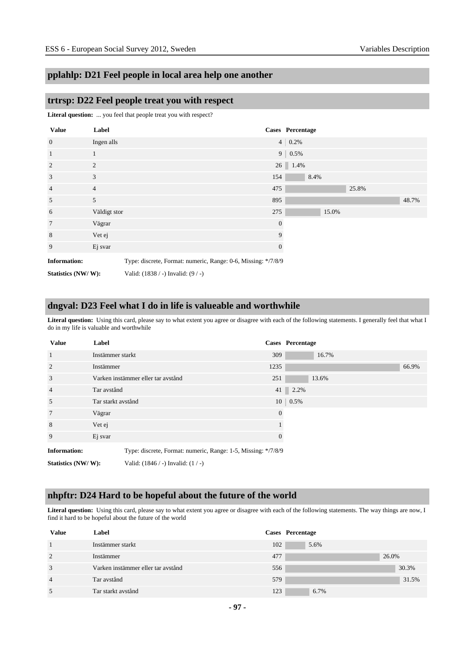# **pplahlp: D21 Feel people in local area help one another**

#### **trtrsp: D22 Feel people treat you with respect**

Literal question: ... you feel that people treat you with respect?

| <b>Value</b>        | Label          |                                                               |                | Cases Percentage |       |       |       |
|---------------------|----------------|---------------------------------------------------------------|----------------|------------------|-------|-------|-------|
| $\mathbf{0}$        | Ingen alls     |                                                               |                | $4 \mid 0.2\%$   |       |       |       |
| $\mathbf{1}$        | $\mathbf{1}$   |                                                               |                | $9   0.5\%$      |       |       |       |
| 2                   | $\overline{2}$ |                                                               |                | $26$   1.4%      |       |       |       |
| 3                   | 3              |                                                               | 154            | 8.4%             |       |       |       |
| $\overline{4}$      | $\overline{4}$ |                                                               | 475            |                  |       | 25.8% |       |
| 5                   | 5              |                                                               | 895            |                  |       |       | 48.7% |
| 6                   | Väldigt stor   |                                                               | 275            |                  | 15.0% |       |       |
| $\overline{7}$      | Vägrar         |                                                               | $\overline{0}$ |                  |       |       |       |
| 8                   | Vet ej         |                                                               | 9              |                  |       |       |       |
| 9                   | Ej svar        |                                                               | $\overline{0}$ |                  |       |       |       |
| <b>Information:</b> |                | Type: discrete, Format: numeric, Range: 0-6, Missing: */7/8/9 |                |                  |       |       |       |
| Statistics (NW/W):  |                | Valid: (1838 / -) Invalid: (9 / -)                            |                |                  |       |       |       |

# **dngval: D23 Feel what I do in life is valueable and worthwhile**

Literal question: Using this card, please say to what extent you agree or disagree with each of the following statements. I generally feel that what I do in my life is valuable and worthwhile

| <b>Value</b>        | Label              |                                                               |                | Cases Percentage |       |       |
|---------------------|--------------------|---------------------------------------------------------------|----------------|------------------|-------|-------|
| 1                   | Instämmer starkt   |                                                               | 309            |                  | 16.7% |       |
| $\overline{2}$      | Instämmer          |                                                               | 1235           |                  |       | 66.9% |
| 3                   |                    | Varken instämmer eller tar avstånd                            | 251            |                  | 13.6% |       |
| $\overline{4}$      | Tar avstånd        |                                                               |                | 41 2.2%          |       |       |
| 5                   | Tar starkt avstånd |                                                               |                | $10 \mid 0.5\%$  |       |       |
| 7                   | Vägrar             |                                                               | $\overline{0}$ |                  |       |       |
| 8                   | Vet ej             |                                                               |                |                  |       |       |
| 9                   | Ej svar            |                                                               | $\theta$       |                  |       |       |
| <b>Information:</b> |                    | Type: discrete, Format: numeric, Range: 1-5, Missing: */7/8/9 |                |                  |       |       |
| Statistics (NW/W):  |                    | Valid: $(1846 / -)$ Invalid: $(1 / -)$                        |                |                  |       |       |

### **nhpftr: D24 Hard to be hopeful about the future of the world**

Literal question: Using this card, please say to what extent you agree or disagree with each of the following statements. The way things are now, I find it hard to be hopeful about the future of the world

| <b>Value</b>   | Label                              | Cases Percentage |       |
|----------------|------------------------------------|------------------|-------|
|                | Instämmer starkt                   | 102<br>5.6%      |       |
| 2              | Instämmer                          | 477              | 26.0% |
| 3              | Varken instämmer eller tar avstånd | 556              | 30.3% |
| $\overline{4}$ | Tar avstånd                        | 579              | 31.5% |
| 5              | Tar starkt avstånd                 | 123<br>6.7%      |       |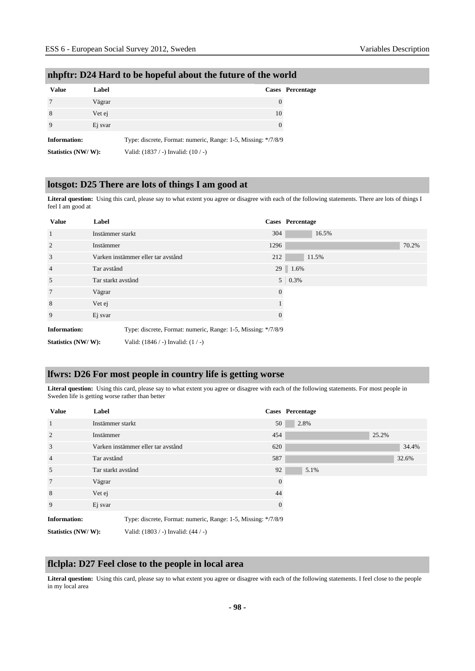| <b>Value</b>        | Label   |                                                               | <b>Cases</b> Percentage |
|---------------------|---------|---------------------------------------------------------------|-------------------------|
|                     | Vägrar  |                                                               | $\theta$                |
| 8                   | Vet ej  | 10                                                            |                         |
|                     | Ej svar |                                                               | $\Omega$                |
| <b>Information:</b> |         | Type: discrete, Format: numeric, Range: 1-5, Missing: */7/8/9 |                         |
| Statistics (NW/W):  |         | Valid: (1837 / -) Invalid: (10 / -)                           |                         |

#### **nhpftr: D24 Hard to be hopeful about the future of the world**

# **lotsgot: D25 There are lots of things I am good at**

**Literal question:** Using this card, please say to what extent you agree or disagree with each of the following statements. There are lots of things I feel I am good at

| <b>Value</b>                                                                         | Label              |                                        |                | Cases Percentage |
|--------------------------------------------------------------------------------------|--------------------|----------------------------------------|----------------|------------------|
| $\overline{1}$                                                                       | Instämmer starkt   |                                        | 304            | 16.5%            |
| 2                                                                                    | Instämmer          |                                        | 1296           | 70.2%            |
| 3                                                                                    |                    | Varken instämmer eller tar avstånd     | 212            | 11.5%            |
| $\overline{4}$                                                                       | Tar avstånd        |                                        |                | 29 1.6%          |
| 5                                                                                    | Tar starkt avstånd |                                        |                | $5 \mid 0.3\%$   |
| $7\phantom{.0}$                                                                      | Vägrar             |                                        | $\theta$       |                  |
| 8                                                                                    | Vet ej             |                                        |                |                  |
| 9                                                                                    | Ej svar            |                                        | $\overline{0}$ |                  |
| <b>Information:</b><br>Type: discrete, Format: numeric, Range: 1-5, Missing: */7/8/9 |                    |                                        |                |                  |
| Statistics (NW/W):                                                                   |                    | Valid: $(1846 / -)$ Invalid: $(1 / -)$ |                |                  |

#### **lfwrs: D26 For most people in country life is getting worse**

Literal question: Using this card, please say to what extent you agree or disagree with each of the following statements. For most people in Sweden life is getting worse rather than better

| <b>Value</b>        | Label              |                                                               |                | Cases Percentage |       |       |
|---------------------|--------------------|---------------------------------------------------------------|----------------|------------------|-------|-------|
| $\mathbf{1}$        | Instämmer starkt   |                                                               | 50             | 2.8%             |       |       |
| 2                   | Instämmer          |                                                               | 454            |                  | 25.2% |       |
| 3                   |                    | Varken instämmer eller tar avstånd                            | 620            |                  |       | 34.4% |
| $\overline{4}$      | Tar avstånd        |                                                               | 587            |                  |       | 32.6% |
| 5                   | Tar starkt avstånd |                                                               | 92             | 5.1%             |       |       |
| $7\phantom{.0}$     | Vägrar             |                                                               | $\overline{0}$ |                  |       |       |
| 8                   | Vet ej             |                                                               | 44             |                  |       |       |
| 9                   | Ej svar            |                                                               | $\overline{0}$ |                  |       |       |
| <b>Information:</b> |                    | Type: discrete, Format: numeric, Range: 1-5, Missing: */7/8/9 |                |                  |       |       |
| Statistics (NW/W):  |                    | Valid: $(1803 / -)$ Invalid: $(44 / -)$                       |                |                  |       |       |

#### **flclpla: D27 Feel close to the people in local area**

**Literal question:** Using this card, please say to what extent you agree or disagree with each of the following statements. I feel close to the people in my local area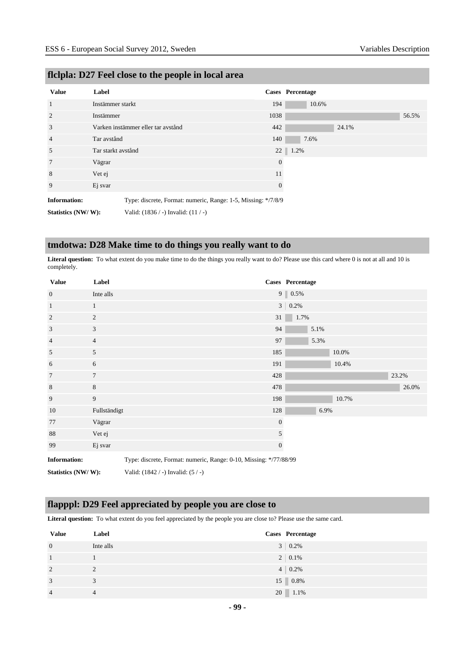| <b>Value</b>        | Label              |                                                               |          | Cases Percentage |  |
|---------------------|--------------------|---------------------------------------------------------------|----------|------------------|--|
| 1                   | Instämmer starkt   |                                                               | 194      | 10.6%            |  |
| $\overline{2}$      | Instämmer          |                                                               | 1038     | 56.5%            |  |
| 3                   |                    | Varken instämmer eller tar avstånd                            | 442      | 24.1%            |  |
| $\overline{4}$      | Tar avstånd        |                                                               | 140      | 7.6%             |  |
| 5                   | Tar starkt avstånd |                                                               |          | 22<br>1.2%       |  |
| 7                   | Vägrar             |                                                               | $\theta$ |                  |  |
| 8                   | Vet ej             |                                                               | 11       |                  |  |
| 9                   | Ej svar            |                                                               | 0        |                  |  |
| <b>Information:</b> |                    | Type: discrete, Format: numeric, Range: 1-5, Missing: */7/8/9 |          |                  |  |
| Statistics (NW/W):  |                    | Valid: $(1836 / -)$ Invalid: $(11 / -)$                       |          |                  |  |

# **flclpla: D27 Feel close to the people in local area**

# **tmdotwa: D28 Make time to do things you really want to do**

**Literal question:** To what extent do you make time to do the things you really want to do? Please use this card where 0 is not at all and 10 is completely.

| <b>Value</b>        | Label                                                             |                                        |              | Cases Percentage |      |       |       |
|---------------------|-------------------------------------------------------------------|----------------------------------------|--------------|------------------|------|-------|-------|
| $\overline{0}$      | Inte alls                                                         |                                        |              | $9 \ 0.5\%$      |      |       |       |
| $\mathbf{1}$        | $\mathbf{1}$                                                      |                                        |              | $3   0.2\%$      |      |       |       |
| $\overline{2}$      | 2                                                                 |                                        | 31           | 1.7%             |      |       |       |
| 3                   | 3                                                                 |                                        | 94           |                  | 5.1% |       |       |
| $\overline{4}$      | $\overline{4}$                                                    |                                        | 97           |                  | 5.3% |       |       |
| 5                   | 5                                                                 | 185                                    |              |                  |      | 10.0% |       |
| 6                   | 6                                                                 | 191                                    |              |                  |      | 10.4% |       |
| $7\phantom{.0}$     | $7\phantom{.0}$                                                   | 428                                    |              |                  |      |       | 23.2% |
| $\,8\,$             | $8\,$                                                             | 478                                    |              |                  |      |       | 26.0% |
| 9                   | 9                                                                 | 198                                    |              |                  |      | 10.7% |       |
| 10                  | Fullständigt                                                      |                                        | 128          |                  | 6.9% |       |       |
| 77                  | Vägrar                                                            |                                        | $\mathbf{0}$ |                  |      |       |       |
| 88                  | Vet ej                                                            |                                        | 5            |                  |      |       |       |
| 99                  | Ej svar                                                           |                                        | $\mathbf{0}$ |                  |      |       |       |
| <b>Information:</b> | Type: discrete, Format: numeric, Range: 0-10, Missing: */77/88/99 |                                        |              |                  |      |       |       |
| Statistics (NW/W):  |                                                                   | Valid: $(1842 / -)$ Invalid: $(5 / -)$ |              |                  |      |       |       |

# **flapppl: D29 Feel appreciated by people you are close to**

**Literal question:** To what extent do you feel appreciated by the people you are close to? Please use the same card.

| <b>Value</b>   | Label     | Cases Percentage     |
|----------------|-----------|----------------------|
| $\overline{0}$ | Inte alls | $3 \mid 0.2\%$       |
|                |           | $2 \mid 0.1\%$       |
| 2              | 2         | $4 \mid 0.2\%$       |
| 3              | 3         | $15 \ 0.8\%$         |
| $\overline{4}$ |           | $20 \parallel 1.1\%$ |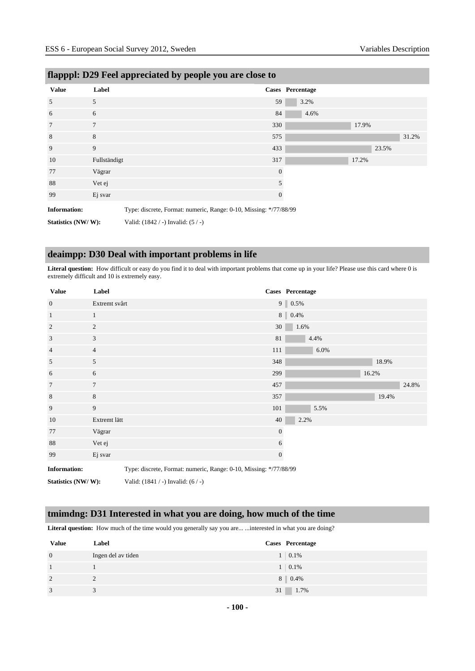| .                   |              | - -<br>$\cdots$                                                   |                |                  |       |       |
|---------------------|--------------|-------------------------------------------------------------------|----------------|------------------|-------|-------|
| <b>Value</b>        | Label        |                                                                   |                | Cases Percentage |       |       |
| 5                   | 5            |                                                                   | 59             | 3.2%             |       |       |
| 6                   | 6            |                                                                   | 84             | 4.6%             |       |       |
| 7                   | $\tau$       |                                                                   | 330            |                  | 17.9% |       |
| 8                   | 8            |                                                                   | 575            |                  |       | 31.2% |
| 9                   | 9            |                                                                   | 433            |                  | 23.5% |       |
| 10                  | Fullständigt |                                                                   | 317            |                  | 17.2% |       |
| 77                  | Vägrar       |                                                                   | $\overline{0}$ |                  |       |       |
| 88                  | Vet ej       |                                                                   | 5              |                  |       |       |
| 99                  | Ej svar      |                                                                   | $\mathbf{0}$   |                  |       |       |
| <b>Information:</b> |              | Type: discrete, Format: numeric, Range: 0-10, Missing: */77/88/99 |                |                  |       |       |
| Statistics (NW/W):  |              | Valid: $(1842 / -)$ Invalid: $(5 / -)$                            |                |                  |       |       |

# **flapppl: D29 Feel appreciated by people you are close to**

# **deaimpp: D30 Deal with important problems in life**

**Literal question:** How difficult or easy do you find it to deal with important problems that come up in your life? Please use this card where 0 is extremely difficult and 10 is extremely easy.

| <b>Value</b>        | Label                                                             |                                    |              | Cases Percentage |
|---------------------|-------------------------------------------------------------------|------------------------------------|--------------|------------------|
| $\mathbf{0}$        | Extremt svårt                                                     |                                    |              | $9 \ 0.5\%$      |
| $\mathbf{1}$        | $\mathbf{1}$                                                      |                                    |              | 8 0.4%           |
| 2                   | 2                                                                 |                                    | 30           | 1.6%             |
| 3                   | 3                                                                 |                                    | 81           | 4.4%             |
| $\overline{4}$      | $\overline{4}$                                                    |                                    | 111          | 6.0%             |
| 5                   | 5                                                                 |                                    | 348          | 18.9%            |
| 6                   | 6                                                                 |                                    | 299          | 16.2%            |
| 7                   | $\overline{7}$                                                    |                                    | 457          | 24.8%            |
| 8                   | 8                                                                 |                                    | 357          | 19.4%            |
| 9                   | 9                                                                 |                                    | 101          | 5.5%             |
| 10                  | Extremt lätt                                                      |                                    | 40           | 2.2%             |
| 77                  | Vägrar                                                            |                                    | $\mathbf{0}$ |                  |
| 88                  | Vet ej                                                            |                                    |              | 6                |
| 99                  | Ej svar                                                           |                                    |              | $\boldsymbol{0}$ |
| <b>Information:</b> | Type: discrete, Format: numeric, Range: 0-10, Missing: */77/88/99 |                                    |              |                  |
| Statistics (NW/W):  |                                                                   | Valid: (1841 / -) Invalid: (6 / -) |              |                  |

# **tmimdng: D31 Interested in what you are doing, how much of the time**

Literal question: How much of the time would you generally say you are... ...interested in what you are doing?

| <b>Value</b>   | Label              | Cases Percentage |
|----------------|--------------------|------------------|
| $\overline{0}$ | Ingen del av tiden | $1 \quad 0.1\%$  |
| -1             |                    | $1 \quad 0.1\%$  |
| $\overline{2}$ |                    | 8 0.4%           |
| 3              |                    | 31 1.7%          |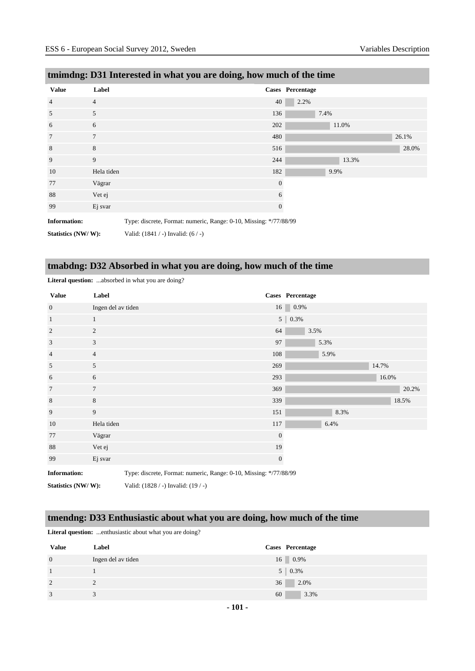|                     | unniquig: Dol interested in what you are doing, now much of the thire |                  |                         |       |  |  |
|---------------------|-----------------------------------------------------------------------|------------------|-------------------------|-------|--|--|
| <b>Value</b>        | Label                                                                 |                  | <b>Cases</b> Percentage |       |  |  |
| $\overline{4}$      | $\overline{4}$                                                        | 40               | 2.2%                    |       |  |  |
| 5                   | 5                                                                     | 136              | 7.4%                    |       |  |  |
| 6                   | 6                                                                     | 202              | 11.0%                   |       |  |  |
| 7                   | $\tau$                                                                | 480              |                         | 26.1% |  |  |
| 8                   | 8                                                                     | 516              |                         | 28.0% |  |  |
| 9                   | 9                                                                     | 244              | 13.3%                   |       |  |  |
| 10                  | Hela tiden                                                            | 182              | 9.9%                    |       |  |  |
| 77                  | Vägrar                                                                | $\mathbf{0}$     |                         |       |  |  |
| 88                  | Vet ej                                                                | 6                |                         |       |  |  |
| 99                  | Ej svar                                                               | $\boldsymbol{0}$ |                         |       |  |  |
| <b>Information:</b> | Type: discrete, Format: numeric, Range: 0-10, Missing: */77/88/99     |                  |                         |       |  |  |

# **tmimdng: D31 Interested in what you are doing, how much of the time**

# **tmabdng: D32 Absorbed in what you are doing, how much of the time**

| <b>Value</b>        | Label                                                             |                                     |              | Cases Percentage |       |
|---------------------|-------------------------------------------------------------------|-------------------------------------|--------------|------------------|-------|
| $\overline{0}$      | Ingen del av tiden                                                |                                     |              | 16<br>0.9%       |       |
| $\mathbf{1}$        | $\mathbf{1}$                                                      |                                     |              | $5 \ 0.3\%$      |       |
| 2                   | $\overline{c}$                                                    |                                     | 64           | 3.5%             |       |
| 3                   | 3                                                                 |                                     | 97           | 5.3%             |       |
| $\overline{4}$      | $\overline{4}$                                                    |                                     | 108          | 5.9%             |       |
| 5                   | 5                                                                 |                                     | 269          |                  | 14.7% |
| 6                   | 6                                                                 |                                     | 293          |                  | 16.0% |
| 7                   | 7                                                                 |                                     | 369          |                  | 20.2% |
| $\,8\,$             | 8                                                                 |                                     | 339          |                  | 18.5% |
| 9                   | 9                                                                 |                                     | 151          | 8.3%             |       |
| 10                  | Hela tiden                                                        |                                     | 117          | 6.4%             |       |
| 77                  | Vägrar                                                            |                                     | $\mathbf{0}$ |                  |       |
| 88                  | Vet ej                                                            |                                     | 19           |                  |       |
| 99                  | Ej svar                                                           |                                     | $\mathbf{0}$ |                  |       |
| <b>Information:</b> | Type: discrete, Format: numeric, Range: 0-10, Missing: */77/88/99 |                                     |              |                  |       |
| Statistics (NW/W):  |                                                                   | Valid: (1828 / -) Invalid: (19 / -) |              |                  |       |

**Literal question:** ...absorbed in what you are doing?

**Statistics (NW/ W):** Valid: (1841 / -) Invalid: (6 / -)

# **tmendng: D33 Enthusiastic about what you are doing, how much of the time**

Literal question: ...enthusiastic about what you are doing?

| <b>Value</b>   | Label              | Cases Percentage         |
|----------------|--------------------|--------------------------|
| $\overline{0}$ | Ingen del av tiden | $16 \, \square \, 0.9\%$ |
|                |                    | $5 \,   \, 0.3\%$        |
| 2              |                    | 36<br>2.0%               |
| 3              |                    | 3.3%<br>60               |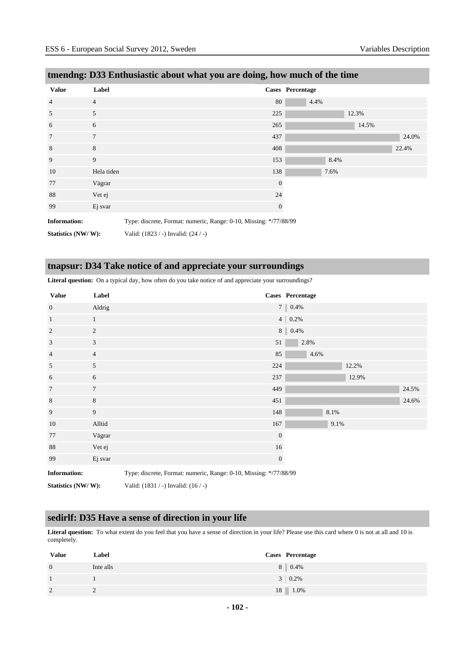| tmendng: D33 Enthusiastic about what you are doing, how much of the time |                |                |                  |       |       |
|--------------------------------------------------------------------------|----------------|----------------|------------------|-------|-------|
| <b>Value</b>                                                             | Label          |                | Cases Percentage |       |       |
| $\overline{4}$                                                           | $\overline{4}$ | 80             | 4.4%             |       |       |
| 5                                                                        | 5              | 225            |                  | 12.3% |       |
| 6                                                                        | 6              | 265            |                  | 14.5% |       |
| $\overline{7}$                                                           | $\overline{7}$ | 437            |                  |       | 24.0% |
| 8                                                                        | 8              | 408            |                  |       | 22.4% |
| 9                                                                        | 9              | 153            | 8.4%             |       |       |
| 10                                                                       | Hela tiden     | 138            | 7.6%             |       |       |
| 77                                                                       | Vägrar         | $\overline{0}$ |                  |       |       |
| 88                                                                       | Vet ej         | 24             |                  |       |       |
| 99                                                                       | Ej svar        | $\theta$       |                  |       |       |
| _ _                                                                      |                |                |                  |       |       |

**Information:** Type: discrete, Format: numeric, Range: 0-10, Missing: \*/77/88/99

**Statistics (NW/ W):** Valid: (1823 / -) Invalid: (24 / -)

# **tnapsur: D34 Take notice of and appreciate your surroundings**

**Literal question:** On a typical day, how often do you take notice of and appreciate your surroundings?

| <b>Value</b>        | Label          |                                                                   | Cases Percentage |      |       |       |
|---------------------|----------------|-------------------------------------------------------------------|------------------|------|-------|-------|
| $\mathbf{0}$        | Aldrig         |                                                                   | 7 0.4%           |      |       |       |
| $\mathbf{1}$        | 1              |                                                                   | $4   0.2\%$      |      |       |       |
| $\overline{2}$      | $\overline{c}$ |                                                                   | $8 \ 0.4\%$      |      |       |       |
| 3                   | 3              | 51                                                                | 2.8%             |      |       |       |
| $\overline{4}$      | $\overline{4}$ | 85                                                                | 4.6%             |      |       |       |
| 5                   | 5              | 224                                                               |                  |      | 12.2% |       |
| 6                   | 6              | 237                                                               |                  |      | 12.9% |       |
| $7\phantom{.0}$     | $\overline{7}$ | 449                                                               |                  |      |       | 24.5% |
| 8                   | 8              | 451                                                               |                  |      |       | 24.6% |
| 9                   | 9              | 148                                                               |                  | 8.1% |       |       |
| 10                  | Alltid         | 167                                                               |                  | 9.1% |       |       |
| 77                  | Vägrar         | $\boldsymbol{0}$                                                  |                  |      |       |       |
| 88                  | Vet ej         | 16                                                                |                  |      |       |       |
| 99                  | Ej svar        | $\mathbf{0}$                                                      |                  |      |       |       |
| <b>Information:</b> |                | Type: discrete, Format: numeric, Range: 0-10, Missing: */77/88/99 |                  |      |       |       |

**Statistics (NW/ W):** Valid: (1831 / -) Invalid: (16 / -)

#### **sedirlf: D35 Have a sense of direction in your life**

**Literal question:** To what extent do you feel that you have a sense of direction in your life? Please use this card where 0 is not at all and 10 is completely.

| <b>Value</b>   | Label     | <b>Cases</b> Percentage |
|----------------|-----------|-------------------------|
| $\overline{0}$ | Inte alls | 8 0.4%                  |
|                |           | $3 \mid 0.2\%$          |
| 2              | ∼         | 18 1.0%                 |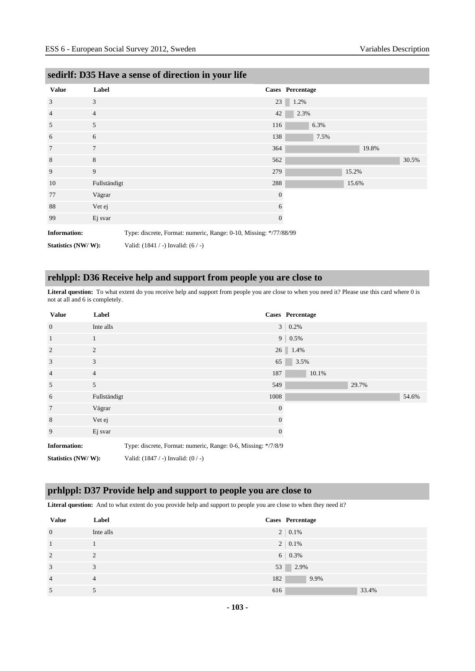| <b>Value</b>        | Label          |                                                                   |                  | Cases Percentage |       |       |       |
|---------------------|----------------|-------------------------------------------------------------------|------------------|------------------|-------|-------|-------|
| 3                   | 3              |                                                                   | 23               | 1.2%             |       |       |       |
| $\overline{4}$      | $\overline{4}$ |                                                                   | 42               | 2.3%             |       |       |       |
| 5                   | 5              |                                                                   | 116              | 6.3%             |       |       |       |
| 6                   | 6              |                                                                   | 138              | 7.5%             |       |       |       |
| $7\phantom{.0}$     | $\overline{7}$ |                                                                   | 364              |                  |       | 19.8% |       |
| 8                   | 8              |                                                                   | 562              |                  |       |       | 30.5% |
| 9                   | 9              |                                                                   | 279              |                  | 15.2% |       |       |
| 10                  | Fullständigt   |                                                                   | 288              |                  | 15.6% |       |       |
| 77                  | Vägrar         |                                                                   | $\mathbf{0}$     |                  |       |       |       |
| 88                  | Vet ej         |                                                                   | 6                |                  |       |       |       |
| 99                  | Ej svar        |                                                                   | $\boldsymbol{0}$ |                  |       |       |       |
| <b>Information:</b> |                | Type: discrete, Format: numeric, Range: 0-10, Missing: */77/88/99 |                  |                  |       |       |       |
| Statistics (NW/W):  |                | Valid: $(1841 / -)$ Invalid: $(6 / -)$                            |                  |                  |       |       |       |

# **sedirlf: D35 Have a sense of direction in your life**

# **rehlppl: D36 Receive help and support from people you are close to**

**Literal question:** To what extent do you receive help and support from people you are close to when you need it? Please use this card where 0 is not at all and 6 is completely.

| <b>Value</b>        | Label          |                                                               |                | Cases Percentage |
|---------------------|----------------|---------------------------------------------------------------|----------------|------------------|
| $\overline{0}$      | Inte alls      |                                                               |                | $3   0.2\%$      |
| $\overline{1}$      | 1              |                                                               |                | $9   0.5\%$      |
| $\overline{2}$      | $\overline{2}$ |                                                               |                | 26 1.4%          |
| 3                   | 3              |                                                               | 65             | 3.5%             |
| $\overline{4}$      | $\overline{4}$ |                                                               | 187            | 10.1%            |
| 5                   | 5              |                                                               | 549            | 29.7%            |
| 6                   | Fullständigt   |                                                               | 1008           | 54.6%            |
| $7\phantom{.0}$     | Vägrar         |                                                               | $\theta$       |                  |
| 8                   | Vet ej         |                                                               | $\overline{0}$ |                  |
| 9                   | Ej svar        |                                                               | $\mathbf{0}$   |                  |
| <b>Information:</b> |                | Type: discrete, Format: numeric, Range: 0-6, Missing: */7/8/9 |                |                  |
| Statistics (NW/W):  |                | Valid: $(1847 / -)$ Invalid: $(0 / -)$                        |                |                  |

# **prhlppl: D37 Provide help and support to people you are close to**

Literal question: And to what extent do you provide help and support to people you are close to when they need it?

| <b>Value</b>   | Label          | Cases Percentage |
|----------------|----------------|------------------|
| $\mathbf{0}$   | Inte alls      | $2 \mid 0.1\%$   |
| 1              |                | $2 \mid 0.1\%$   |
| 2              | 2              | $6   0.3\%$      |
| 3              | 3              | 53<br>2.9%       |
| $\overline{4}$ | $\overline{4}$ | 182<br>9.9%      |
| 5              |                | 616<br>33.4%     |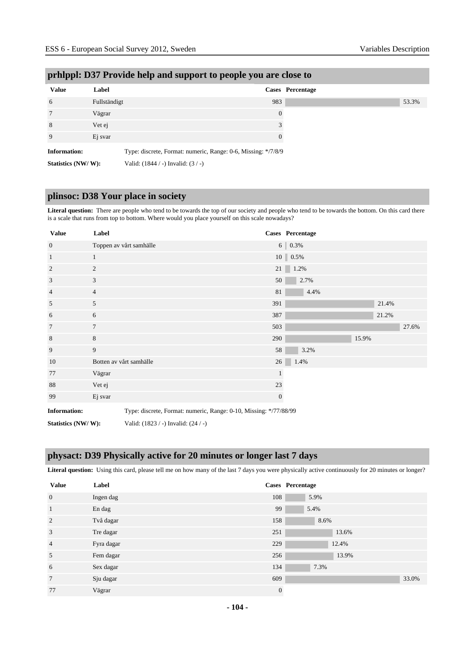| <b>Value</b>        | Label        |                                                               | Cases Percentage |
|---------------------|--------------|---------------------------------------------------------------|------------------|
| 6                   | Fullständigt |                                                               | 983              |
| 7                   | Vägrar       |                                                               | $\overline{0}$   |
| 8                   | Vet ej       |                                                               |                  |
| 9                   | Ej svar      |                                                               | 0                |
| <b>Information:</b> |              | Type: discrete, Format: numeric, Range: 0-6, Missing: */7/8/9 |                  |
| Statistics (NW/W):  |              | Valid: $(1844 / -)$ Invalid: $(3 / -)$                        |                  |

# **prhlppl: D37 Provide help and support to people you are close to**

# **plinsoc: D38 Your place in society**

**Literal question:** There are people who tend to be towards the top of our society and people who tend to be towards the bottom. On this card there is a scale that runs from top to bottom. Where would you place yourself on this scale nowadays?

| <b>Value</b>        | Label                                                             |                                     |                | Cases Percentage       |       |       |
|---------------------|-------------------------------------------------------------------|-------------------------------------|----------------|------------------------|-------|-------|
| $\mathbf{0}$        |                                                                   | Toppen av vårt samhälle             |                | $6   0.3\%$            |       |       |
| $\mathbf{1}$        | $\mathbf{1}$                                                      |                                     |                | $10 \, \vert \, 0.5\%$ |       |       |
| 2                   | 2                                                                 |                                     | 21             | 1.2%                   |       |       |
| 3                   | 3                                                                 |                                     | 50             | 2.7%                   |       |       |
| $\overline{4}$      | $\overline{4}$                                                    |                                     | 81             | 4.4%                   |       |       |
| 5                   | 5                                                                 |                                     | 391            |                        | 21.4% |       |
| 6                   | 6                                                                 |                                     | 387            |                        | 21.2% |       |
| $\tau$              | $7\phantom{.0}$                                                   |                                     | 503            |                        |       | 27.6% |
| 8                   | 8                                                                 |                                     | 290            |                        | 15.9% |       |
| 9                   | 9                                                                 |                                     | 58             | 3.2%                   |       |       |
| 10                  |                                                                   | Botten av vårt samhälle             | 26             | 1.4%                   |       |       |
| 77                  | Vägrar                                                            |                                     |                |                        |       |       |
| 88                  | Vet ej                                                            |                                     | 23             |                        |       |       |
| 99                  | Ej svar                                                           |                                     | $\overline{0}$ |                        |       |       |
| <b>Information:</b> | Type: discrete, Format: numeric, Range: 0-10, Missing: */77/88/99 |                                     |                |                        |       |       |
| Statistics (NW/W):  |                                                                   | Valid: (1823 / -) Invalid: (24 / -) |                |                        |       |       |

# **physact: D39 Physically active for 20 minutes or longer last 7 days**

Literal question: Using this card, please tell me on how many of the last 7 days you were physically active continuously for 20 minutes or longer?

| <b>Value</b>    | Label      |                | Cases Percentage |
|-----------------|------------|----------------|------------------|
| $\mathbf{0}$    | Ingen dag  | 108            | 5.9%             |
| $\mathbf{1}$    | En dag     | 99             | 5.4%             |
| $\overline{2}$  | Två dagar  | 158            | 8.6%             |
| 3               | Tre dagar  | 251            | 13.6%            |
| $\overline{4}$  | Fyra dagar | 229            | 12.4%            |
| 5               | Fem dagar  | 256            | 13.9%            |
| 6               | Sex dagar  | 134            | 7.3%             |
| $7\phantom{.0}$ | Sju dagar  | 609            | 33.0%            |
| 77              | Vägrar     | $\overline{0}$ |                  |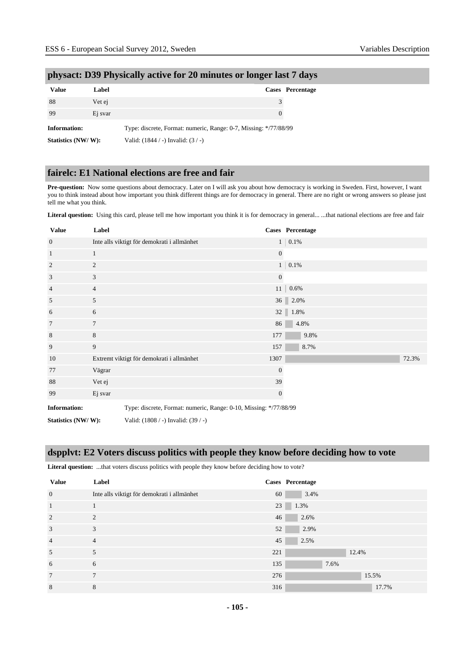| <b>Value</b>        | Label   |                                                                  |               | <b>Cases</b> Percentage |
|---------------------|---------|------------------------------------------------------------------|---------------|-------------------------|
| 88                  | Vet ej  |                                                                  | $\mathcal{F}$ |                         |
| 99                  | Ej svar |                                                                  | $\theta$      |                         |
| <b>Information:</b> |         | Type: discrete, Format: numeric, Range: 0-7, Missing: */77/88/99 |               |                         |
| Statistics (NW/W):  |         | Valid: $(1844 / -)$ Invalid: $(3 / -)$                           |               |                         |

### **physact: D39 Physically active for 20 minutes or longer last 7 days**

# **fairelc: E1 National elections are free and fair**

**Pre-question:** Now some questions about democracy. Later on I will ask you about how democracy is working in Sweden. First, however, I want you to think instead about how important you think different things are for democracy in general. There are no right or wrong answers so please just tell me what you think.

Literal question: Using this card, please tell me how important you think it is for democracy in general... ...that national elections are free and fair

| <b>Value</b>                                                                             | Label          |                                             |                | Cases Percentage  |       |
|------------------------------------------------------------------------------------------|----------------|---------------------------------------------|----------------|-------------------|-------|
| $\mathbf{0}$                                                                             |                | Inte alls viktigt för demokrati i allmänhet |                | $1 \ 0.1\%$       |       |
| $\mathbf{1}$                                                                             | $\mathbf{1}$   |                                             | $\overline{0}$ |                   |       |
| $\overline{2}$                                                                           | $\mathfrak{2}$ |                                             |                | $1 \,   \, 0.1\%$ |       |
| 3                                                                                        | 3              |                                             | $\mathbf{0}$   |                   |       |
| $\overline{4}$                                                                           | $\overline{4}$ |                                             | 11             | 0.6%              |       |
| 5                                                                                        | 5              |                                             |                | 36 2.0%           |       |
| 6                                                                                        | 6              |                                             |                | 32 $1.8%$         |       |
| $\overline{7}$                                                                           | $\overline{7}$ |                                             | 86             | 4.8%              |       |
| 8                                                                                        | 8              |                                             | 177            | 9.8%              |       |
| 9                                                                                        | 9              |                                             | 157            | 8.7%              |       |
| 10                                                                                       |                | Extremt viktigt för demokrati i allmänhet   | 1307           |                   | 72.3% |
| 77                                                                                       | Vägrar         |                                             | $\overline{0}$ |                   |       |
| 88                                                                                       | Vet ej         |                                             | 39             |                   |       |
| 99                                                                                       | Ej svar        |                                             | $\mathbf{0}$   |                   |       |
| <b>Information:</b><br>Type: discrete, Format: numeric, Range: 0-10, Missing: */77/88/99 |                |                                             |                |                   |       |
| Statistics (NW/W):                                                                       |                | Valid: (1808 / -) Invalid: (39 / -)         |                |                   |       |

# **dspplvt: E2 Voters discuss politics with people they know before deciding how to vote**

Literal question: ...that voters discuss politics with people they know before deciding how to vote?

| <b>Value</b>   | Label                                       |     | Cases Percentage |
|----------------|---------------------------------------------|-----|------------------|
| $\overline{0}$ | Inte alls viktigt för demokrati i allmänhet | 60  | 3.4%             |
| $\mathbf{1}$   |                                             | 23  | 1.3%             |
| 2              | $\mathfrak{D}$                              | 46  | 2.6%             |
| 3              | 3                                           | 52  | 2.9%             |
| $\overline{4}$ | $\overline{4}$                              | 45  | 2.5%             |
| 5              | 5                                           | 221 | 12.4%            |
| 6              | 6                                           | 135 | 7.6%             |
| $\overline{7}$ | $\overline{7}$                              | 276 | 15.5%            |
| 8              | 8                                           | 316 | 17.7%            |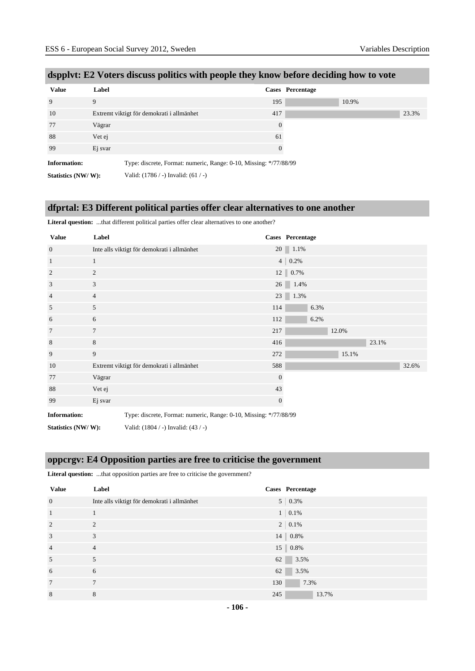| <b>Value</b>        | Label                                                             |          | Cases Percentage |       |
|---------------------|-------------------------------------------------------------------|----------|------------------|-------|
| 9                   | 9                                                                 | 195      |                  | 10.9% |
| 10                  | Extremt viktigt för demokrati i allmänhet                         | 417      |                  |       |
| 77                  | Vägrar                                                            | $\Omega$ |                  |       |
| 88                  | Vet ej                                                            | 61       |                  |       |
| 99                  | Ej svar                                                           | $\Omega$ |                  |       |
| <b>Information:</b> | Type: discrete, Format: numeric, Range: 0-10, Missing: */77/88/99 |          |                  |       |

# **dspplvt: E2 Voters discuss politics with people they know before deciding how to vote**

**Statistics (NW/ W):** Valid: (1786 / -) Invalid: (61 / -)

# **dfprtal: E3 Different political parties offer clear alternatives to one another**

**Literal question:** ...that different political parties offer clear alternatives to one another?

| <b>Value</b>        | Label          |                                                                   |              | Cases Percentage     |      |       |       |       |
|---------------------|----------------|-------------------------------------------------------------------|--------------|----------------------|------|-------|-------|-------|
| $\mathbf{0}$        |                | Inte alls viktigt för demokrati i allmänhet                       |              | 20 1.1%              |      |       |       |       |
| $\mathbf{1}$        | $\mathbf{1}$   |                                                                   |              | $4 \mid 0.2\%$       |      |       |       |       |
| $\overline{2}$      | 2              |                                                                   |              | $12 \parallel 0.7\%$ |      |       |       |       |
| 3                   | 3              |                                                                   |              | 26 1.4%              |      |       |       |       |
| $\overline{4}$      | $\overline{4}$ |                                                                   |              | 23 1.3%              |      |       |       |       |
| 5                   | 5              |                                                                   | 114          |                      | 6.3% |       |       |       |
| 6                   | 6              |                                                                   | 112          |                      | 6.2% |       |       |       |
| 7                   | $\tau$         |                                                                   | 217          |                      |      | 12.0% |       |       |
| 8                   | 8              |                                                                   | 416          |                      |      |       | 23.1% |       |
| 9                   | 9              |                                                                   | 272          |                      |      | 15.1% |       |       |
| 10                  |                | Extremt viktigt för demokrati i allmänhet                         | 588          |                      |      |       |       | 32.6% |
| 77                  | Vägrar         |                                                                   | $\mathbf{0}$ |                      |      |       |       |       |
| 88                  | Vet ej         |                                                                   | 43           |                      |      |       |       |       |
| 99                  | Ej svar        |                                                                   | $\mathbf{0}$ |                      |      |       |       |       |
| <b>Information:</b> |                | Type: discrete, Format: numeric, Range: 0-10, Missing: */77/88/99 |              |                      |      |       |       |       |
| Statistics (NW/W):  |                | Valid: (1804 / -) Invalid: (43 / -)                               |              |                      |      |       |       |       |

# **oppcrgv: E4 Opposition parties are free to criticise the government**

| <b>Literal question:</b> that opposition parties are free to criticise the government? |  |
|----------------------------------------------------------------------------------------|--|
|                                                                                        |  |

| <b>Value</b>    | Label                                       |     | Cases Percentage     |
|-----------------|---------------------------------------------|-----|----------------------|
| $\mathbf{0}$    | Inte alls viktigt för demokrati i allmänhet |     | $5 \mid 0.3\%$       |
| $\overline{1}$  |                                             |     | $1 \,   \, 0.1\%$    |
| $\overline{2}$  | $\overline{c}$                              |     | $2 \mid 0.1\%$       |
| 3               | 3                                           |     | $14 \parallel 0.8\%$ |
| $\overline{4}$  | $\overline{4}$                              |     | $15 \parallel 0.8\%$ |
| 5               | 5                                           | 62  | 3.5%                 |
| 6               | 6                                           | 62  | 3.5%                 |
| $7\phantom{.0}$ | $\tau$                                      | 130 | 7.3%                 |
| 8               | 8                                           | 245 | 13.7%                |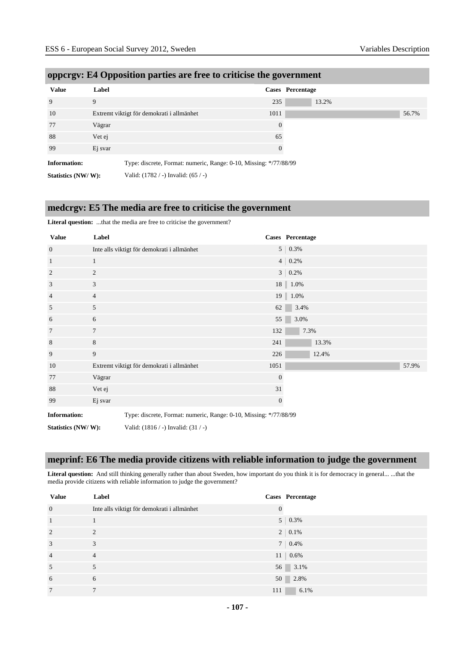| <b>Value</b>        | Label                                                             |          | Cases Percentage |
|---------------------|-------------------------------------------------------------------|----------|------------------|
| 9                   | 9                                                                 | 235      | 13.2%            |
| 10                  | Extremt viktigt för demokrati i allmänhet                         | 1011     |                  |
| 77                  | Vägrar                                                            | $\theta$ |                  |
| 88                  | Vet ej                                                            | 65       |                  |
| 99                  | Ej svar                                                           | $\Omega$ |                  |
| <b>Information:</b> | Type: discrete, Format: numeric, Range: 0-10, Missing: */77/88/99 |          |                  |
| Statistics (NW/W):  | Valid: $(1782 / -)$ Invalid: $(65 / -)$                           |          |                  |

# **oppcrgv: E4 Opposition parties are free to criticise the government**

# **medcrgv: E5 The media are free to criticise the government**

Literal question: ...that the media are free to criticise the government?

| <b>Value</b>        | Label          |                                                                   |                  | Cases Percentage |       |       |
|---------------------|----------------|-------------------------------------------------------------------|------------------|------------------|-------|-------|
| $\overline{0}$      |                | Inte alls viktigt för demokrati i allmänhet                       |                  | $5 \mid 0.3\%$   |       |       |
| $\mathbf{1}$        | 1              |                                                                   |                  | $4   0.2\%$      |       |       |
| $\overline{2}$      | $\overline{c}$ |                                                                   |                  | $3   0.2\%$      |       |       |
| 3                   | 3              |                                                                   |                  | 18   1.0%        |       |       |
| $\overline{4}$      | 4              |                                                                   |                  | 19   1.0%        |       |       |
| 5                   | 5              |                                                                   | 62               | 3.4%             |       |       |
| 6                   | 6              |                                                                   | 55               | 3.0%             |       |       |
| 7                   | $\tau$         |                                                                   | 132              |                  | 7.3%  |       |
| $\,8\,$             | 8              |                                                                   | 241              |                  | 13.3% |       |
| 9                   | 9              |                                                                   | 226              |                  | 12.4% |       |
| 10                  |                | Extremt viktigt för demokrati i allmänhet                         | 1051             |                  |       | 57.9% |
| 77                  | Vägrar         |                                                                   | $\mathbf{0}$     |                  |       |       |
| 88                  | Vet ej         |                                                                   | 31               |                  |       |       |
| 99                  | Ej svar        |                                                                   | $\boldsymbol{0}$ |                  |       |       |
| <b>Information:</b> |                | Type: discrete, Format: numeric, Range: 0-10, Missing: */77/88/99 |                  |                  |       |       |
| Statistics (NW/W):  |                | Valid: $(1816 / -)$ Invalid: $(31 / -)$                           |                  |                  |       |       |

# **meprinf: E6 The media provide citizens with reliable information to judge the government**

Literal question: And still thinking generally rather than about Sweden, how important do you think it is for democracy in general... ...that the media provide citizens with reliable information to judge the government?

| <b>Value</b>    | Label                                       |          | Cases Percentage   |
|-----------------|---------------------------------------------|----------|--------------------|
| $\mathbf{0}$    | Inte alls viktigt för demokrati i allmänhet | $\theta$ |                    |
| <sup>1</sup>    |                                             |          | $5 \mid 0.3\%$     |
| $\overline{2}$  | 2                                           |          | $2 \mid 0.1\%$     |
| 3               | 3                                           |          | $7 \mid 0.4\%$     |
| $\overline{4}$  | $\overline{4}$                              |          | $11 \,   \, 0.6\%$ |
| 5               |                                             |          | 56 3.1%            |
| 6               | 6                                           |          | 50 2.8%            |
| $7\phantom{.0}$ | $\overline{7}$                              | 111      | 6.1%               |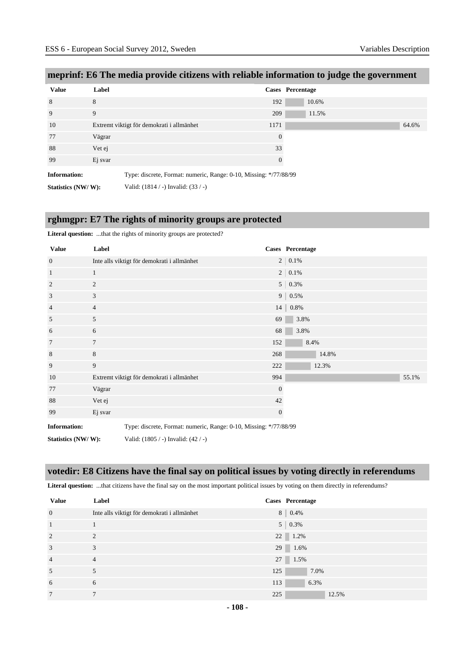| <b>Value</b>        | Label                                                             |                | Cases Percentage |  |
|---------------------|-------------------------------------------------------------------|----------------|------------------|--|
| 8                   | 8                                                                 | 192            | 10.6%            |  |
| 9                   | 9                                                                 | 209            | 11.5%            |  |
| 10                  | Extremt viktigt för demokrati i allmänhet                         | 1171           | 64.6%            |  |
| 77                  | Vägrar                                                            | $\overline{0}$ |                  |  |
| 88                  | Vet ej                                                            | 33             |                  |  |
| 99                  | Ej svar                                                           | $\theta$       |                  |  |
| <b>Information:</b> | Type: discrete, Format: numeric, Range: 0-10, Missing: */77/88/99 |                |                  |  |
| Statistics (NW/W):  | Valid: $(1814 / -)$ Invalid: $(33 / -)$                           |                |                  |  |

# **meprinf: E6 The media provide citizens with reliable information to judge the government**

#### **rghmgpr: E7 The rights of minority groups are protected**

**Literal question:** ...that the rights of minority groups are protected?

| <b>Value</b>        | Label          |                                                                   |              | Cases Percentage |
|---------------------|----------------|-------------------------------------------------------------------|--------------|------------------|
| $\mathbf{0}$        |                | Inte alls viktigt för demokrati i allmänhet                       |              | $2 \mid 0.1\%$   |
| $\mathbf{1}$        | 1              |                                                                   |              | $2 \mid 0.1\%$   |
| $\overline{2}$      | $\overline{c}$ |                                                                   |              | $5   0.3\%$      |
| 3                   | 3              |                                                                   |              | $9   0.5\%$      |
| $\overline{4}$      | $\overline{4}$ |                                                                   |              | $14$   $0.8\%$   |
| 5                   | 5              |                                                                   | 69           | 3.8%             |
| 6                   | 6              |                                                                   | 68           | 3.8%             |
| $7\phantom{.0}$     | $\overline{7}$ |                                                                   | 152          | 8.4%             |
| $\,8\,$             | 8              |                                                                   | 268          | 14.8%            |
| 9                   | 9              |                                                                   | 222          | 12.3%            |
| 10                  |                | Extremt viktigt för demokrati i allmänhet                         | 994          | 55.1%            |
| 77                  | Vägrar         |                                                                   | $\mathbf{0}$ |                  |
| 88                  | Vet ej         |                                                                   | 42           |                  |
| 99                  | Ej svar        |                                                                   | $\mathbf{0}$ |                  |
| <b>Information:</b> |                | Type: discrete, Format: numeric, Range: 0-10, Missing: */77/88/99 |              |                  |
| Statistics (NW/W):  |                | Valid: (1805 / -) Invalid: (42 / -)                               |              |                  |

# **votedir: E8 Citizens have the final say on political issues by voting directly in referendums**

Literal question: ...that citizens have the final say on the most important political issues by voting on them directly in referendums?

| <b>Value</b>   | Label                                       | Cases Percentage |
|----------------|---------------------------------------------|------------------|
| $\mathbf{0}$   | Inte alls viktigt för demokrati i allmänhet | $8 \ 0.4\%$      |
| 1              |                                             | $5 \mid 0.3\%$   |
| 2              | $\overline{c}$                              | $22 \mid 1.2\%$  |
| 3              | 3                                           | $29 \mid 1.6\%$  |
| $\overline{4}$ | $\overline{4}$                              | 27 1.5%          |
| 5              |                                             | 125<br>7.0%      |
| 6              | 6                                           | 113<br>6.3%      |
| 7              | $\overline{7}$                              | 225<br>12.5%     |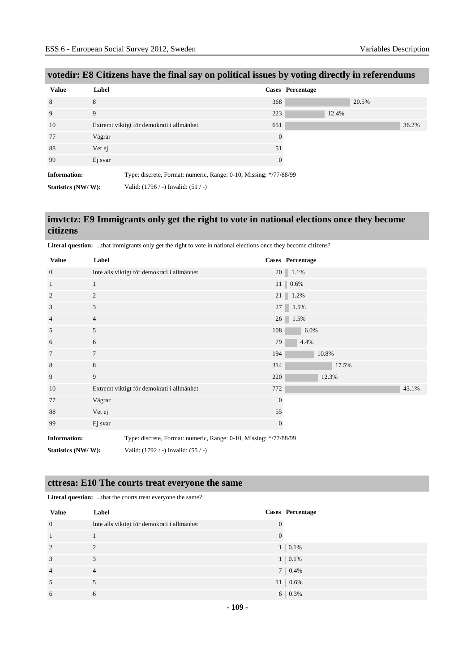| <b>Value</b>        | Label                                                             |                | Cases Percentage |
|---------------------|-------------------------------------------------------------------|----------------|------------------|
| 8                   | 8                                                                 | 368            | 20.5%            |
| 9                   | 9                                                                 | 223            | 12.4%            |
| 10                  | Extremt viktigt för demokrati i allmänhet                         | 651            | 36.2%            |
| 77                  | Vägrar                                                            | $\overline{0}$ |                  |
| 88                  | Vet ej                                                            | 51             |                  |
| 99                  | Ej svar                                                           | $\theta$       |                  |
| <b>Information:</b> | Type: discrete, Format: numeric, Range: 0-10, Missing: */77/88/99 |                |                  |
| Statistics (NW/W):  | Valid: $(1796 / -)$ Invalid: $(51 / -)$                           |                |                  |

# **votedir: E8 Citizens have the final say on political issues by voting directly in referendums**

#### **imvtctz: E9 Immigrants only get the right to vote in national elections once they become citizens**

| <b>Value</b>        | Label          |                                                                   |                  | <b>Cases</b> Percentage |
|---------------------|----------------|-------------------------------------------------------------------|------------------|-------------------------|
| $\overline{0}$      |                | Inte alls viktigt för demokrati i allmänhet                       |                  | $20 \parallel 1.1\%$    |
| 1                   | $\mathbf{1}$   |                                                                   |                  | $11 \parallel 0.6\%$    |
| 2                   | $\overline{c}$ |                                                                   |                  | $21 \ 1.2\%$            |
| 3                   | 3              |                                                                   |                  | 27 1.5%                 |
| $\overline{4}$      | $\overline{4}$ |                                                                   |                  | 26 1.5%                 |
| 5                   | 5              |                                                                   | 108              | 6.0%                    |
| 6                   | 6              |                                                                   | 79               | 4.4%                    |
| 7                   | 7              |                                                                   | 194              | 10.8%                   |
| 8                   | 8              |                                                                   | 314              | 17.5%                   |
| 9                   | 9              |                                                                   | 220              | 12.3%                   |
| 10                  |                | Extremt viktigt för demokrati i allmänhet                         | 772              | 43.1%                   |
| 77                  | Vägrar         |                                                                   | $\mathbf{0}$     |                         |
| 88                  | Vet ej         |                                                                   | 55               |                         |
| 99                  | Ej svar        |                                                                   | $\boldsymbol{0}$ |                         |
| <b>Information:</b> |                | Type: discrete, Format: numeric, Range: 0-10, Missing: */77/88/99 |                  |                         |
| Statistics (NW/W):  |                | Valid: (1792 / -) Invalid: (55 / -)                               |                  |                         |

**Literal question:** ...that immigrants only get the right to vote in national elections once they become citizens?

# **cttresa: E10 The courts treat everyone the same**

**Literal question:** ...that the courts treat everyone the same?

| <b>Value</b>   | Label                                       | Cases Percentage |
|----------------|---------------------------------------------|------------------|
| $\overline{0}$ | Inte alls viktigt för demokrati i allmänhet |                  |
| 1              |                                             |                  |
| 2              | $\overline{2}$                              | $1 \quad 0.1\%$  |
| 3              | 3                                           | $1 \ 0.1\%$      |
| $\overline{4}$ | $\overline{4}$                              | $7 \mid 0.4\%$   |
| 5              |                                             | $11 \mid 0.6\%$  |
| 6              | 6                                           | $6 \mid 0.3\%$   |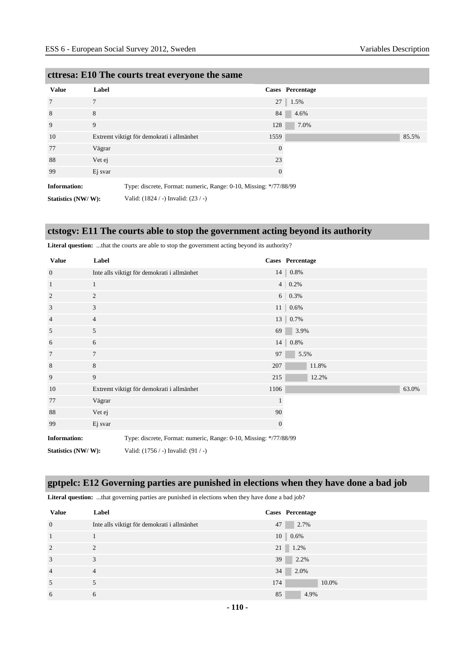| <b>Value</b>        | Label                                                             | <b>Cases</b> Percentage |       |
|---------------------|-------------------------------------------------------------------|-------------------------|-------|
| 7                   | $\overline{7}$                                                    | $27 \parallel 1.5\%$    |       |
| 8                   | 8                                                                 | 4.6%<br>84              |       |
| 9                   | 9                                                                 | 7.0%<br>128             |       |
| 10                  | Extremt viktigt för demokrati i allmänhet                         | 1559                    | 85.5% |
| 77                  | Vägrar                                                            | $\mathbf{0}$            |       |
| 88                  | Vet ej                                                            | 23                      |       |
| 99                  | Ej svar                                                           | $\mathbf{0}$            |       |
| <b>Information:</b> | Type: discrete, Format: numeric, Range: 0-10, Missing: */77/88/99 |                         |       |
| Statistics (NW/W):  | Valid: (1824 / -) Invalid: (23 / -)                               |                         |       |

#### **cttresa: E10 The courts treat everyone the same**

**ctstogv: E11 The courts able to stop the government acting beyond its authority**

| <b>Value</b>        | Label          |                                                                   |              | Cases Percentage   |
|---------------------|----------------|-------------------------------------------------------------------|--------------|--------------------|
| $\overline{0}$      |                | Inte alls viktigt för demokrati i allmänhet                       |              | 14 0.8%            |
| 1                   | 1              |                                                                   |              | $4   0.2\%$        |
| 2                   | $\mathfrak{2}$ |                                                                   |              | $6 \mid 0.3\%$     |
| 3                   | 3              |                                                                   |              | $11 \,   \, 0.6\%$ |
| 4                   | $\overline{4}$ |                                                                   |              | 13 0.7%            |
| 5                   | 5              |                                                                   | 69           | 3.9%               |
| 6                   | 6              |                                                                   |              | $14 \,   \, 0.8\%$ |
| $\overline{7}$      | 7              |                                                                   | 97           | 5.5%               |
| 8                   | 8              |                                                                   | 207          | 11.8%              |
| 9                   | 9              |                                                                   | 215          | 12.2%              |
| 10                  |                | Extremt viktigt för demokrati i allmänhet                         | 1106         | 63.0%              |
| 77                  | Vägrar         |                                                                   | $\mathbf{1}$ |                    |
| 88                  | Vet ej         |                                                                   | 90           |                    |
| 99                  | Ej svar        |                                                                   | $\mathbf{0}$ |                    |
| <b>Information:</b> |                | Type: discrete, Format: numeric, Range: 0-10, Missing: */77/88/99 |              |                    |
| Statistics (NW/W):  |                | Valid: (1756 / -) Invalid: (91 / -)                               |              |                    |

Literal question: ...that the courts are able to stop the government acting beyond its authority?

# **gptpelc: E12 Governing parties are punished in elections when they have done a bad job**

Literal question: ...that governing parties are punished in elections when they have done a bad job?

| <b>Value</b>   | Label                                       | Cases Percentage     |
|----------------|---------------------------------------------|----------------------|
| $\overline{0}$ | Inte alls viktigt för demokrati i allmänhet | 2.7%<br>47           |
| $\mathbf{1}$   |                                             | $10 \parallel 0.6\%$ |
| 2              | 2                                           | $21 \ 1.2\%$         |
| 3              | 3                                           | 2.2%<br>39           |
| $\overline{4}$ | $\overline{4}$                              | 34<br>2.0%           |
| 5              |                                             | 174<br>10.0%         |
| 6              | 6                                           | 85<br>4.9%           |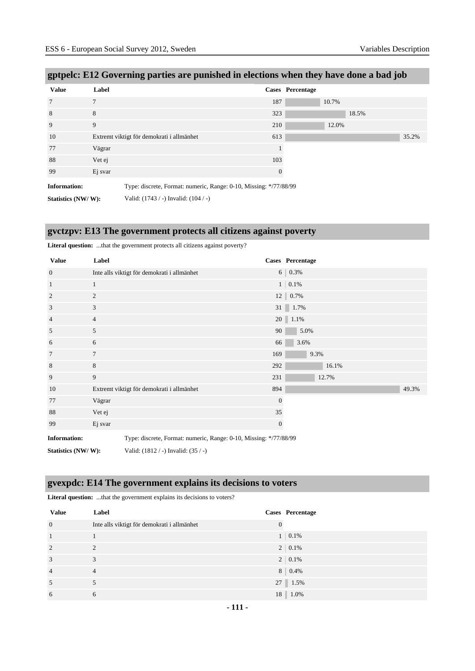| <b>Value</b>        | Label                                                             |          | Cases Percentage |  |
|---------------------|-------------------------------------------------------------------|----------|------------------|--|
| $7\phantom{.0}$     | 7                                                                 | 187      | 10.7%            |  |
| 8                   | 8                                                                 | 323      | 18.5%            |  |
| 9                   | 9                                                                 | 210      | 12.0%            |  |
| 10                  | Extremt viktigt för demokrati i allmänhet                         | 613      | 35.2%            |  |
| 77                  | Vägrar                                                            |          |                  |  |
| 88                  | Vet ej                                                            | 103      |                  |  |
| 99                  | Ej svar                                                           | $\theta$ |                  |  |
| <b>Information:</b> | Type: discrete, Format: numeric, Range: 0-10, Missing: */77/88/99 |          |                  |  |
| Statistics (NW/W):  | Valid: $(1743 / -)$ Invalid: $(104 / -)$                          |          |                  |  |

# **gptpelc: E12 Governing parties are punished in elections when they have done a bad job**

#### **gvctzpv: E13 The government protects all citizens against poverty**

|                     | <b>Enter al question.</b> that the government protects all entreths against poverty: |                                                                   |                  |                   |       |  |       |
|---------------------|--------------------------------------------------------------------------------------|-------------------------------------------------------------------|------------------|-------------------|-------|--|-------|
| <b>Value</b>        | Label                                                                                |                                                                   |                  | Cases Percentage  |       |  |       |
| $\overline{0}$      |                                                                                      | Inte alls viktigt för demokrati i allmänhet                       |                  | $6   0.3\%$       |       |  |       |
| $\mathbf{1}$        | 1                                                                                    |                                                                   |                  | $1 \,   \, 0.1\%$ |       |  |       |
| 2                   | $\overline{2}$                                                                       |                                                                   |                  | 12 0.7%           |       |  |       |
| 3                   | 3                                                                                    |                                                                   |                  | 31 1.7%           |       |  |       |
| $\overline{4}$      | $\overline{4}$                                                                       |                                                                   |                  | 20 1.1%           |       |  |       |
| 5                   | 5                                                                                    |                                                                   | 90               | 5.0%              |       |  |       |
| 6                   | 6                                                                                    |                                                                   | 66               | 3.6%              |       |  |       |
| 7                   | $\tau$                                                                               |                                                                   | 169              |                   | 9.3%  |  |       |
| 8                   | 8                                                                                    |                                                                   | 292              |                   | 16.1% |  |       |
| 9                   | 9                                                                                    |                                                                   | 231              |                   | 12.7% |  |       |
| 10                  |                                                                                      | Extremt viktigt för demokrati i allmänhet                         | 894              |                   |       |  | 49.3% |
| 77                  | Vägrar                                                                               |                                                                   | $\boldsymbol{0}$ |                   |       |  |       |
| 88                  | Vet ej                                                                               |                                                                   | 35               |                   |       |  |       |
| 99                  | Ej svar                                                                              |                                                                   | $\mathbf{0}$     |                   |       |  |       |
| <b>Information:</b> |                                                                                      | Type: discrete, Format: numeric, Range: 0-10, Missing: */77/88/99 |                  |                   |       |  |       |
| Statistics (NW/W):  |                                                                                      | Valid: (1812 / -) Invalid: (35 / -)                               |                  |                   |       |  |       |

#### **Literal question:** ...that the government protects all citizens against poverty?

#### **gvexpdc: E14 The government explains its decisions to voters**

| <b>Value</b>   | Label                                       |                | Cases Percentage |
|----------------|---------------------------------------------|----------------|------------------|
| $\mathbf{0}$   | Inte alls viktigt för demokrati i allmänhet | $\overline{0}$ |                  |
| $\mathbf{1}$   |                                             |                | $1 \ 0.1\%$      |
| 2              | $\mathcal{D}_{\mathcal{A}}$                 |                | $2 \mid 0.1\%$   |
| 3              | 3                                           |                | $2 \mid 0.1\%$   |
| $\overline{4}$ | $\overline{4}$                              |                | $8 \mid 0.4\%$   |
| 5              |                                             |                | 27 1.5%          |
| 6              | 6                                           |                | 18 1.0%          |

Literal question: ...that the government explains its decisions to voters?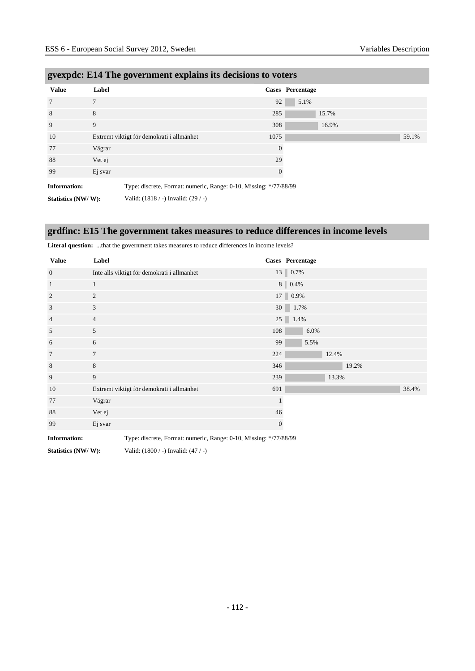| <b>Value</b>        | Label                                                             |              | <b>Cases</b> Percentage |       |
|---------------------|-------------------------------------------------------------------|--------------|-------------------------|-------|
| 7                   | $\overline{7}$                                                    | 92           | 5.1%                    |       |
| 8                   | 8                                                                 | 285          | 15.7%                   |       |
| 9                   | 9                                                                 | 308          | 16.9%                   |       |
| 10                  | Extremt viktigt för demokrati i allmänhet                         | 1075         |                         | 59.1% |
| 77                  | Vägrar                                                            | $\theta$     |                         |       |
| 88                  | Vet ej                                                            | 29           |                         |       |
| 99                  | Ej svar                                                           | $\mathbf{0}$ |                         |       |
| <b>Information:</b> | Type: discrete, Format: numeric, Range: 0-10, Missing: */77/88/99 |              |                         |       |
| Statistics (NW/W):  | Valid: (1818 / -) Invalid: (29 / -)                               |              |                         |       |

#### **gvexpdc: E14 The government explains its decisions to voters**

**grdfinc: E15 The government takes measures to reduce differences in income levels**

| <b>Value</b>        | Label                                                             |              | Cases Percentage |
|---------------------|-------------------------------------------------------------------|--------------|------------------|
| $\overline{0}$      | Inte alls viktigt för demokrati i allmänhet                       |              | 13 0.7%          |
| 1                   | 1                                                                 |              | 8 0.4%           |
| $\overline{c}$      | $\overline{2}$                                                    |              | 17 0.9%          |
| 3                   | 3                                                                 |              | 30 1.7%          |
| $\overline{4}$      | $\overline{4}$                                                    |              | $25 \ 1.4\%$     |
| 5                   | 5                                                                 | 108          | 6.0%             |
| 6                   | 6                                                                 | 99           | 5.5%             |
| 7                   | $\overline{7}$                                                    | 224          | 12.4%            |
| 8                   | 8                                                                 | 346          | 19.2%            |
| 9                   | 9                                                                 | 239          | 13.3%            |
| 10                  | Extremt viktigt för demokrati i allmänhet                         | 691          | 38.4%            |
| 77                  | Vägrar                                                            | $\mathbf{1}$ |                  |
| 88                  | Vet ej                                                            | 46           |                  |
| 99                  | Ej svar                                                           | $\mathbf{0}$ |                  |
| <b>Information:</b> | Type: discrete, Format: numeric, Range: 0-10, Missing: */77/88/99 |              |                  |

**Literal question:** ...that the government takes measures to reduce differences in income levels?

**Statistics (NW/ W):** Valid: (1800 / -) Invalid: (47 / -)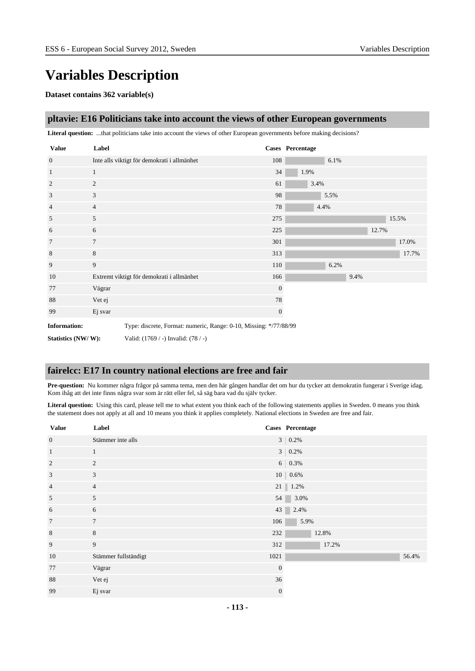# **Variables Description**

#### **Dataset contains 362 variable(s)**

#### **pltavie: E16 Politicians take into account the views of other European governments**

**Literal question:** ...that politicians take into account the views of other European governments before making decisions?

| <b>Value</b>        | Label          |                                                                   |              | Cases Percentage |      |      |       |       |
|---------------------|----------------|-------------------------------------------------------------------|--------------|------------------|------|------|-------|-------|
| $\overline{0}$      |                | Inte alls viktigt för demokrati i allmänhet                       | 108          |                  | 6.1% |      |       |       |
| $\mathbf{1}$        | $\mathbf{1}$   |                                                                   | 34           | 1.9%             |      |      |       |       |
| 2                   | 2              |                                                                   | 61           | 3.4%             |      |      |       |       |
| 3                   | 3              |                                                                   | 98           |                  | 5.5% |      |       |       |
| $\overline{4}$      | $\overline{4}$ |                                                                   | 78           | 4.4%             |      |      |       |       |
| 5                   | 5              |                                                                   | 275          |                  |      |      |       | 15.5% |
| 6                   | 6              |                                                                   | 225          |                  |      |      | 12.7% |       |
| $\tau$              | $\tau$         |                                                                   | 301          |                  |      |      |       | 17.0% |
| 8                   | 8              |                                                                   | 313          |                  |      |      |       | 17.7% |
| 9                   | 9              |                                                                   | 110          |                  | 6.2% |      |       |       |
| 10                  |                | Extremt viktigt för demokrati i allmänhet                         | 166          |                  |      | 9.4% |       |       |
| 77                  | Vägrar         |                                                                   | $\mathbf{0}$ |                  |      |      |       |       |
| 88                  | Vet ej         |                                                                   | 78           |                  |      |      |       |       |
| 99                  | Ej svar        |                                                                   | $\mathbf{0}$ |                  |      |      |       |       |
| <b>Information:</b> |                | Type: discrete, Format: numeric, Range: 0-10, Missing: */77/88/99 |              |                  |      |      |       |       |
| Statistics (NW/W):  |                | Valid: (1769 / -) Invalid: (78 / -)                               |              |                  |      |      |       |       |

#### **fairelcc: E17 In country national elections are free and fair**

**Pre-question:** Nu kommer några frågor på samma tema, men den här gången handlar det om hur du tycker att demokratin fungerar i Sverige idag. Kom ihåg att det inte finns några svar som är rätt eller fel, så säg bara vad du själv tycker.

**Literal question:** Using this card, please tell me to what extent you think each of the following statements applies in Sweden. 0 means you think the statement does not apply at all and 10 means you think it applies completely. National elections in Sweden are free and fair.

| <b>Value</b>    | Label                |              | Cases Percentage     |
|-----------------|----------------------|--------------|----------------------|
| $\mathbf{0}$    | Stämmer inte alls    |              | $3   0.2\%$          |
| $\,1\,$         | 1                    |              | $3   0.2\%$          |
| $\overline{2}$  | 2                    |              | $6   0.3\%$          |
| $\overline{3}$  | 3                    |              | $10 0.6\%$           |
| $\overline{4}$  | $\overline{4}$       |              | $21 \parallel 1.2\%$ |
| 5               | 5                    |              | 3.0%<br>54           |
| 6               | 6                    |              | 43 2.4%              |
| $7\phantom{.0}$ | $7\phantom{.0}$      | 106          | 5.9%                 |
| 8               | $8\,$                | 232          | 12.8%                |
| $\overline{9}$  | 9                    | 312          | 17.2%                |
| 10              | Stämmer fullständigt | 1021         | 56.4%                |
| 77              | Vägrar               | $\mathbf{0}$ |                      |
| 88              | Vet ej               | 36           |                      |
| 99              | Ej svar              | $\mathbf{0}$ |                      |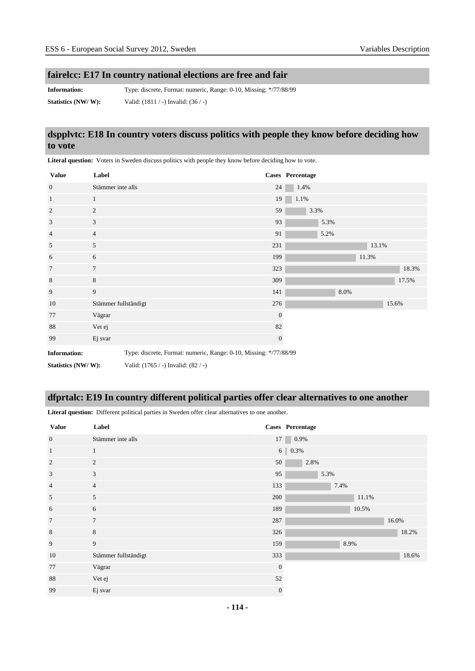# **fairelcc: E17 In country national elections are free and fair**

**Information:** Type: discrete, Format: numeric, Range: 0-10, Missing: \*/77/88/99 **Statistics (NW/ W):** Valid: (1811 / -) Invalid: (36 / -)

#### **dspplvtc: E18 In country voters discuss politics with people they know before deciding how to vote**

| <b>Value</b>        | Label                |                                                                   |                  | Cases Percentage |      |       |       |
|---------------------|----------------------|-------------------------------------------------------------------|------------------|------------------|------|-------|-------|
| $\mathbf{0}$        | Stämmer inte alls    |                                                                   | 24               | 1.4%             |      |       |       |
| $\mathbf{1}$        | $\mathbf{1}$         |                                                                   | 19               | 1.1%             |      |       |       |
| $\overline{2}$      | 2                    |                                                                   | 59               | 3.3%             |      |       |       |
| 3                   | 3                    |                                                                   | 93               | 5.3%             |      |       |       |
| $\overline{4}$      | $\overline{4}$       |                                                                   | 91               | 5.2%             |      |       |       |
| 5                   | 5                    |                                                                   | 231              |                  |      | 13.1% |       |
| 6                   | 6                    |                                                                   | 199              |                  |      | 11.3% |       |
| $7\phantom{.0}$     | $7\phantom{.0}$      |                                                                   | 323              |                  |      |       | 18.3% |
| $\,8\,$             | $\,8\,$              |                                                                   | 309              |                  |      |       | 17.5% |
| 9                   | 9                    |                                                                   | 141              |                  | 8.0% |       |       |
| 10                  | Stämmer fullständigt |                                                                   | 276              |                  |      |       | 15.6% |
| 77                  | Vägrar               |                                                                   | $\mathbf{0}$     |                  |      |       |       |
| 88                  | Vet ej               |                                                                   | 82               |                  |      |       |       |
| 99                  | Ej svar              |                                                                   | $\boldsymbol{0}$ |                  |      |       |       |
| <b>Information:</b> |                      | Type: discrete, Format: numeric, Range: 0-10, Missing: */77/88/99 |                  |                  |      |       |       |
| Statistics (NW/W):  |                      | Valid: (1765 / -) Invalid: (82 / -)                               |                  |                  |      |       |       |

**Literal question:** Voters in Sweden discuss politics with people they know before deciding how to vote.

#### **dfprtalc: E19 In country different political parties offer clear alternatives to one another**

**Literal question:** Different political parties in Sweden offer clear alternatives to one another.

| <b>Value</b>   | Label                |              | Cases Percentage  |
|----------------|----------------------|--------------|-------------------|
| $\mathbf{0}$   | Stämmer inte alls    | 17           | 0.9%              |
| $\mathbf{1}$   | $\mathbf{1}$         |              | $6 \,   \, 0.3\%$ |
| $\overline{2}$ | 2                    | 50           | 2.8%              |
| 3              | 3                    | 95           | 5.3%              |
| $\overline{4}$ | $\overline{4}$       | 133          | 7.4%              |
| 5              | 5                    | 200          | 11.1%             |
| 6              | 6                    | 189          | 10.5%             |
| $\overline{7}$ | $7\phantom{.0}$      | 287          | 16.0%             |
| 8              | 8                    | 326          | 18.2%             |
| 9              | 9                    | 159          | 8.9%              |
| 10             | Stämmer fullständigt | 333          | 18.6%             |
| 77             | Vägrar               | $\mathbf{0}$ |                   |
| 88             | Vet ej               | 52           |                   |
| 99             | Ej svar              | $\mathbf{0}$ |                   |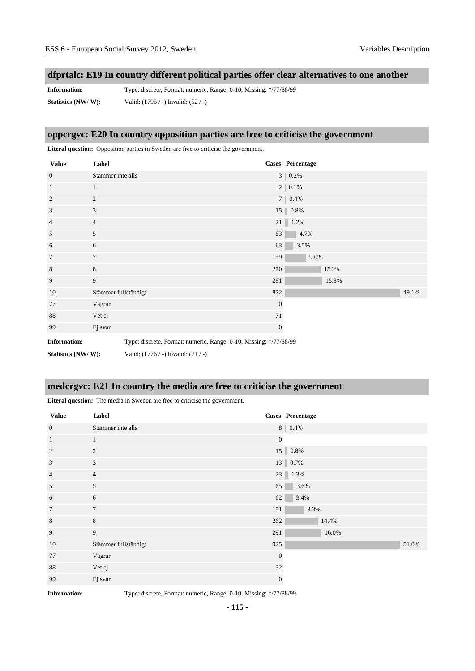#### **dfprtalc: E19 In country different political parties offer clear alternatives to one another**

**Information:** Type: discrete, Format: numeric, Range: 0-10, Missing: \*/77/88/99 **Statistics (NW/ W):** Valid: (1795 / -) Invalid: (52 / -)

#### **oppcrgvc: E20 In country opposition parties are free to criticise the government**

**Literal question:** Opposition parties in Sweden are free to criticise the government. **Value Label Cases Percentage** 0 Stämmer inte alls 3 | 0.2% 1 1 1 2 0.1% 2 2 7 0.4% 3 3 15 0.8% 4 21 1.2%  $5$  83 4.7%  $6 \t\t 63 \t 3.5\%$  $7$  and  $7$  159 9.0% 8 8 8 8 270  $15.2\%$ 9 9 281 15.8% 10 Stämmer fullständigt 1987 auch 1987 auch 1997 auch 1997 auch 1997 auch 1997 auch 1997 auch 1997 auch 1997 auch 1997 auch 1998 auch 1997 auch 1998 auch 1998 auch 1998 auch 1998 auch 1998 auch 1998 auch 1998 auch 1998 auc 77 Vägrar 0 88 Vet ej tradicional de la contradición de la contradición de la contradición de la contradición de la contradición de la contradición de la contradición de la contradición de la contradición de la contradición de la cont 99 Ej svar 0 **Information:** Type: discrete, Format: numeric, Range: 0-10, Missing: \*/77/88/99 **Statistics (NW/ W):** Valid: (1776 / -) Invalid: (71 / -)

#### **medcrgvc: E21 In country the media are free to criticise the government**

**Literal question:** The media in Sweden are free to criticise the government.

| <b>Value</b>    | Label                |                | Cases Percentage |
|-----------------|----------------------|----------------|------------------|
| $\mathbf{0}$    | Stämmer inte alls    |                | $8   0.4\%$      |
| $\mathbf{1}$    | $\mathbf{1}$         | $\overline{0}$ |                  |
| $\overline{2}$  | 2                    |                | $15$   $0.8\%$   |
| 3               | 3                    |                | 13 0.7%          |
| $\overline{4}$  | $\overline{4}$       |                | $23 \mid 1.3\%$  |
| 5               | 5                    | 65             | 3.6%             |
| 6               | 6                    | 62             | 3.4%             |
| $7\phantom{.0}$ | $7\phantom{.0}$      | 151            | 8.3%             |
| 8               | 8                    | 262            | 14.4%            |
| 9               | 9                    | 291            | 16.0%            |
| 10              | Stämmer fullständigt | 925            | 51.0%            |
| 77              | Vägrar               | $\mathbf{0}$   |                  |
| 88              | Vet ej               | 32             |                  |
| 99              | Ej svar              | $\mathbf{0}$   |                  |

**Information:** Type: discrete, Format: numeric, Range: 0-10, Missing: \*/77/88/99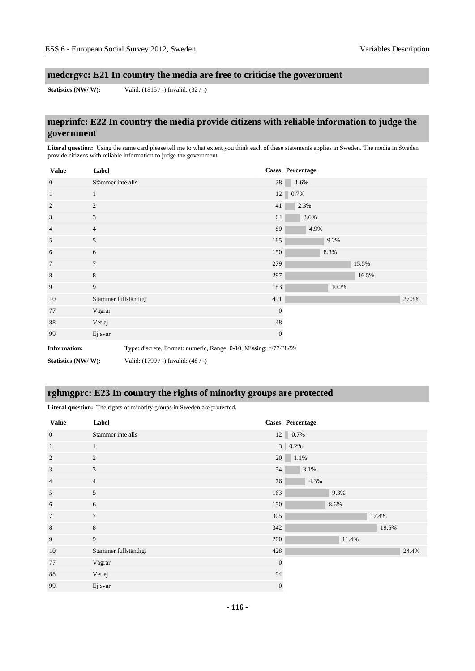# **medcrgvc: E21 In country the media are free to criticise the government**

**Statistics (NW/ W):** Valid: (1815 / -) Invalid: (32 / -)

# **meprinfc: E22 In country the media provide citizens with reliable information to judge the government**

Literal question: Using the same card please tell me to what extent you think each of these statements applies in Sweden. The media in Sweden provide citizens with reliable information to judge the government.

| <b>Value</b>        | Label                |                                                                   |              | Cases Percentage |       |       |       |
|---------------------|----------------------|-------------------------------------------------------------------|--------------|------------------|-------|-------|-------|
| $\overline{0}$      | Stämmer inte alls    |                                                                   | 28           | 1.6%             |       |       |       |
| $\mathbf{1}$        | $\mathbf{1}$         |                                                                   |              | 12 0.7%          |       |       |       |
| 2                   | $\overline{c}$       |                                                                   | 41           | 2.3%             |       |       |       |
| 3                   | $\mathbf{3}$         |                                                                   | 64           | 3.6%             |       |       |       |
| $\overline{4}$      | $\overline{4}$       |                                                                   | 89           | 4.9%             |       |       |       |
| 5                   | 5                    |                                                                   | 165          |                  | 9.2%  |       |       |
| 6                   | 6                    |                                                                   | 150          |                  | 8.3%  |       |       |
| $7\phantom{.0}$     | $\tau$               |                                                                   | 279          |                  |       | 15.5% |       |
| 8                   | 8                    |                                                                   | 297          |                  |       | 16.5% |       |
| 9                   | 9                    |                                                                   | 183          |                  | 10.2% |       |       |
| 10                  | Stämmer fullständigt |                                                                   | 491          |                  |       |       | 27.3% |
| 77                  | Vägrar               |                                                                   | $\mathbf{0}$ |                  |       |       |       |
| 88                  | Vet ej               |                                                                   | 48           |                  |       |       |       |
| 99                  | Ej svar              |                                                                   | $\mathbf{0}$ |                  |       |       |       |
| <b>Information:</b> |                      | Type: discrete, Format: numeric, Range: 0-10, Missing: */77/88/99 |              |                  |       |       |       |
| Statistics (NW/W):  |                      | Valid: (1799 / -) Invalid: (48 / -)                               |              |                  |       |       |       |

# **rghmgprc: E23 In country the rights of minority groups are protected**

**Literal question:** The rights of minority groups in Sweden are protected.

| <b>Value</b>    | Label                |                | Cases Percentage                            |
|-----------------|----------------------|----------------|---------------------------------------------|
| $\mathbf{0}$    | Stämmer inte alls    |                | $12 \begin{array}{ c c } 0.7\% \end{array}$ |
| $\mathbf{1}$    | $\mathbf{1}$         |                | $3   0.2\%$                                 |
| $\overline{2}$  | 2                    |                | $20 \ 1.1\%$                                |
| 3               | $\mathbf{3}$         | 54             | 3.1%                                        |
| $\overline{4}$  | $\overline{4}$       | 76             | 4.3%                                        |
| 5               | 5                    | 163            | 9.3%                                        |
| 6               | 6                    | 150            | 8.6%                                        |
| $7\phantom{.0}$ | $7\phantom{.0}$      | 305            | 17.4%                                       |
| 8               | $8\,$                | 342            | 19.5%                                       |
| 9               | 9                    | 200            | 11.4%                                       |
| 10              | Stämmer fullständigt | 428            | 24.4%                                       |
| 77              | Vägrar               | $\overline{0}$ |                                             |
| 88              | Vet ej               | 94             |                                             |
| 99              | Ej svar              | $\mathbf{0}$   |                                             |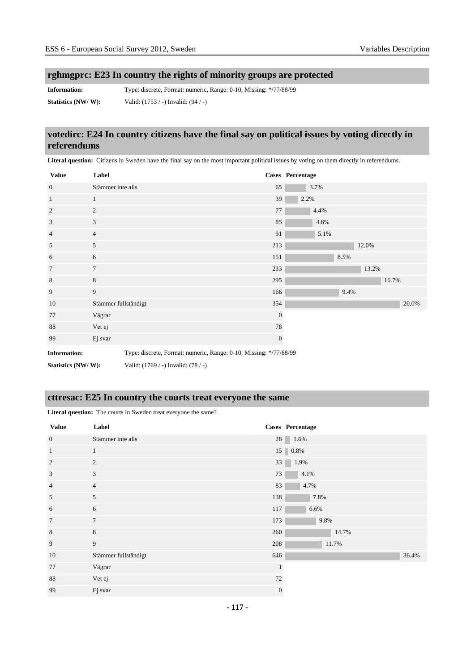#### **rghmgprc: E23 In country the rights of minority groups are protected**

**Information:** Type: discrete, Format: numeric, Range: 0-10, Missing: \*/77/88/99 **Statistics (NW/ W):** Valid: (1753 / -) Invalid: (94 / -)

#### **votedirc: E24 In country citizens have the final say on political issues by voting directly in referendums**

Literal question: Citizens in Sweden have the final say on the most important political issues by voting on them directly in referendums.

| <b>Value</b>        | Label                |                                                                   |              | Cases Percentage |      |      |       |       |       |
|---------------------|----------------------|-------------------------------------------------------------------|--------------|------------------|------|------|-------|-------|-------|
| $\mathbf{0}$        | Stämmer inte alls    |                                                                   | 65           |                  | 3.7% |      |       |       |       |
| $\mathbf{1}$        | $\mathbf{1}$         |                                                                   | 39           | 2.2%             |      |      |       |       |       |
| $\overline{2}$      | 2                    |                                                                   | $77\,$       |                  | 4.4% |      |       |       |       |
| 3                   | 3                    |                                                                   | 85           |                  | 4.8% |      |       |       |       |
| $\overline{4}$      | $\overline{4}$       |                                                                   | 91           |                  | 5.1% |      |       |       |       |
| 5                   | 5                    |                                                                   | 213          |                  |      |      | 12.0% |       |       |
| 6                   | 6                    |                                                                   | 151          |                  |      | 8.5% |       |       |       |
| $7\phantom{.0}$     | $\overline{7}$       |                                                                   | 233          |                  |      |      | 13.2% |       |       |
| $\,8\,$             | $8\,$                |                                                                   | 295          |                  |      |      |       | 16.7% |       |
| 9                   | 9                    |                                                                   | 166          |                  |      | 9.4% |       |       |       |
| 10                  | Stämmer fullständigt |                                                                   | 354          |                  |      |      |       |       | 20.0% |
| 77                  | Vägrar               |                                                                   | $\mathbf{0}$ |                  |      |      |       |       |       |
| 88                  | Vet ej               |                                                                   | 78           |                  |      |      |       |       |       |
| 99                  | Ej svar              |                                                                   | $\mathbf{0}$ |                  |      |      |       |       |       |
| <b>Information:</b> |                      | Type: discrete, Format: numeric, Range: 0-10, Missing: */77/88/99 |              |                  |      |      |       |       |       |
| Statistics (NW/W):  |                      | Valid: (1769 / -) Invalid: (78 / -)                               |              |                  |      |      |       |       |       |

#### **cttresac: E25 In country the courts treat everyone the same**

**Literal question:** The courts in Sweden treat everyone the same?

| <b>Value</b>    | Label                |              | Cases Percentage       |
|-----------------|----------------------|--------------|------------------------|
| $\mathbf{0}$    | Stämmer inte alls    |              | $28 \ 1.6\%$           |
| $\overline{1}$  | $\mathbf{1}$         |              | $15 \, \vert \, 0.8\%$ |
| $\overline{2}$  | 2                    | 33           | 1.9%                   |
| 3               | 3                    | 73           | 4.1%                   |
| $\overline{4}$  | $\overline{4}$       | 83           | 4.7%                   |
| 5               | 5                    | 138          | 7.8%                   |
| 6               | 6                    | 117          | 6.6%                   |
| $7\phantom{.0}$ | $\tau$               | 173          | 9.8%                   |
| $\,8\,$         | 8                    | 260          | 14.7%                  |
| $\overline{9}$  | 9                    | 208          | 11.7%                  |
| 10              | Stämmer fullständigt | 646          | 36.4%                  |
| 77              | Vägrar               | $\mathbf{1}$ |                        |
| 88              | Vet ej               | 72           |                        |
| 99              | Ej svar              | $\mathbf{0}$ |                        |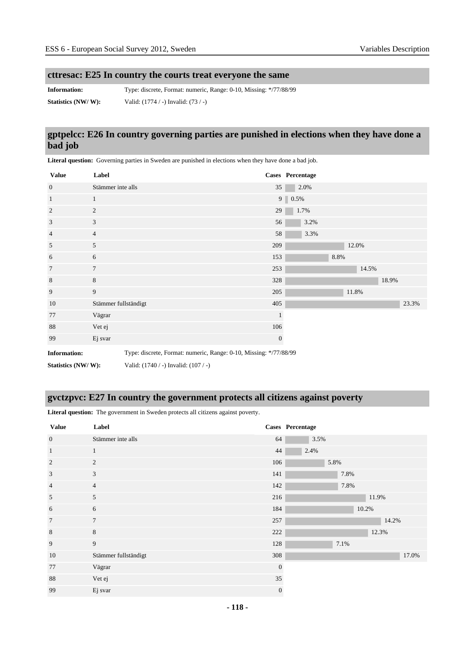# **cttresac: E25 In country the courts treat everyone the same**

**Information:** Type: discrete, Format: numeric, Range: 0-10, Missing: \*/77/88/99 **Statistics (NW/ W):** Valid: (1774 / -) Invalid: (73 / -)

# **gptpelcc: E26 In country governing parties are punished in elections when they have done a bad job**

Literal question: Governing parties in Sweden are punished in elections when they have done a bad job.

| <b>Value</b>        | Label                |                                                                   | Cases Percentage |             |      |      |       |       |       |
|---------------------|----------------------|-------------------------------------------------------------------|------------------|-------------|------|------|-------|-------|-------|
| $\overline{0}$      | Stämmer inte alls    |                                                                   | 35               |             | 2.0% |      |       |       |       |
| $\mathbf{1}$        | $\mathbf{1}$         |                                                                   |                  | $9 \ 0.5\%$ |      |      |       |       |       |
| $\overline{2}$      | $\overline{2}$       |                                                                   | 29               |             | 1.7% |      |       |       |       |
| 3                   | 3                    |                                                                   | 56               |             | 3.2% |      |       |       |       |
| $\overline{4}$      | $\overline{4}$       |                                                                   | 58               |             | 3.3% |      |       |       |       |
| 5                   | 5                    |                                                                   | 209              |             |      |      | 12.0% |       |       |
| 6                   | 6                    |                                                                   | 153              |             |      | 8.8% |       |       |       |
| $\overline{7}$      | $\overline{7}$       |                                                                   | 253              |             |      |      | 14.5% |       |       |
| 8                   | 8                    |                                                                   | 328              |             |      |      |       | 18.9% |       |
| 9                   | 9                    |                                                                   | 205              |             |      |      | 11.8% |       |       |
| 10                  | Stämmer fullständigt |                                                                   | 405              |             |      |      |       |       | 23.3% |
| 77                  | Vägrar               |                                                                   | 1                |             |      |      |       |       |       |
| 88                  | Vet ej               |                                                                   | 106              |             |      |      |       |       |       |
| 99                  | Ej svar              |                                                                   | $\mathbf{0}$     |             |      |      |       |       |       |
| <b>Information:</b> |                      | Type: discrete, Format: numeric, Range: 0-10, Missing: */77/88/99 |                  |             |      |      |       |       |       |
| Statistics (NW/W):  |                      | Valid: $(1740 / -)$ Invalid: $(107 / -)$                          |                  |             |      |      |       |       |       |

# **gvctzpvc: E27 In country the government protects all citizens against poverty**

**Literal question:** The government in Sweden protects all citizens against poverty.

| <b>Value</b>   | Label                |              | Cases Percentage |
|----------------|----------------------|--------------|------------------|
| $\mathbf{0}$   | Stämmer inte alls    | 64           | 3.5%             |
| $\mathbf{1}$   | $\mathbf{1}$         | 44           | 2.4%             |
| $\overline{2}$ | 2                    | 106          | 5.8%             |
| 3              | 3                    | 141          | 7.8%             |
| $\overline{4}$ | $\overline{4}$       | 142          | 7.8%             |
| 5              | 5                    | 216          | 11.9%            |
| 6              | 6                    | 184          | 10.2%            |
| $\overline{7}$ | $7\phantom{.0}$      | 257          | 14.2%            |
| $\,8\,$        | 8                    | 222          | 12.3%            |
| 9              | 9                    | 128          | 7.1%             |
| 10             | Stämmer fullständigt | 308          | 17.0%            |
| 77             | Vägrar               | $\mathbf{0}$ |                  |
| 88             | Vet ej               | 35           |                  |
| 99             | Ej svar              | $\mathbf{0}$ |                  |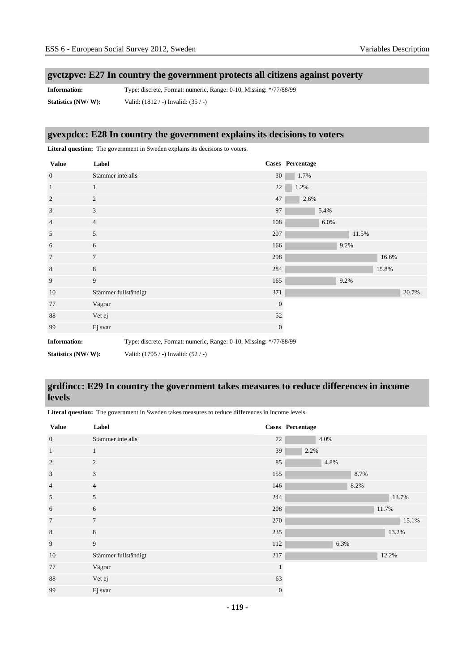#### **gvctzpvc: E27 In country the government protects all citizens against poverty**

**Information:** Type: discrete, Format: numeric, Range: 0-10, Missing: \*/77/88/99 **Statistics (NW/ W):** Valid: (1812 / -) Invalid: (35 / -)

#### **gvexpdcc: E28 In country the government explains its decisions to voters**

**Literal question:** The government in Sweden explains its decisions to voters. **Value Label Cases Percentage** 0 Stämmer inte alls 30 1.7% 1 1 22 1.2% 2 2 2 2 2 2 2 2 2 2 2 2  $\frac{47}{200}$  2.6% 3 3 3 3 3 4  $\frac{3}{2}$  5.4% 4 108 6.0% and the set of the set of the set of the set of the set of the set of the set of the set of the set of the set of the set of the set of the set of the set of the set of the set of the set of the set of the set o  $5$   $207$   $11.5%$ 6 6 6 6 166 9.2%  $7$  298 16.6% and  $7$ 8  $8$  8  $15.8\%$ 9 9 9 9 9 9 9  $165$  9.2% 10 Stämmer fullständigt 371 20.7% 77 Vägrar 0 88 Vet ej 52 99 Ej svar 0 **Information:** Type: discrete, Format: numeric, Range: 0-10, Missing: \*/77/88/99 **Statistics (NW/ W):** Valid: (1795 / -) Invalid: (52 / -)

#### **grdfincc: E29 In country the government takes measures to reduce differences in income levels**

**Literal question:** The government in Sweden takes measures to reduce differences in income levels.

| <b>Value</b>   | Label                |              | Cases Percentage |
|----------------|----------------------|--------------|------------------|
| $\mathbf{0}$   | Stämmer inte alls    | 72           | 4.0%             |
| $\mathbf{1}$   | $\mathbf{1}$         | 39           | 2.2%             |
| $\overline{2}$ | 2                    | 85           | 4.8%             |
| 3              | 3                    | 155          | 8.7%             |
| $\overline{4}$ | $\overline{4}$       | 146          | 8.2%             |
| 5              | 5                    | 244          | 13.7%            |
| 6              | 6                    | 208          | 11.7%            |
| $\overline{7}$ | $\tau$               | 270          | 15.1%            |
| 8              | $\,8\,$              | 235          | 13.2%            |
| 9              | 9                    | 112          | 6.3%             |
| 10             | Stämmer fullständigt | 217          | 12.2%            |
| 77             | Vägrar               |              |                  |
| 88             | Vet ej               | 63           |                  |
| 99             | Ej svar              | $\mathbf{0}$ |                  |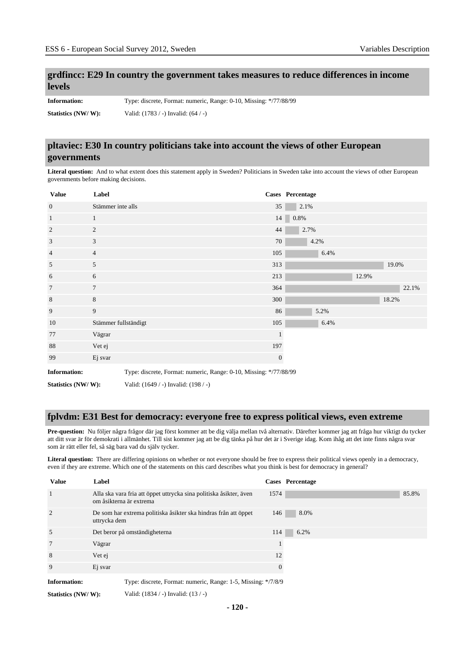#### **grdfincc: E29 In country the government takes measures to reduce differences in income levels**

**Information:** Type: discrete, Format: numeric, Range: 0-10, Missing: \*/77/88/99 **Statistics (NW/ W):** Valid: (1783 / -) Invalid: (64 / -)

#### **pltaviec: E30 In country politicians take into account the views of other European governments**

**Literal question:** And to what extent does this statement apply in Sweden? Politicians in Sweden take into account the views of other European governments before making decisions.

| <b>Value</b>        | Label                |                                                                   |              | Cases Percentage |       |       |
|---------------------|----------------------|-------------------------------------------------------------------|--------------|------------------|-------|-------|
| $\mathbf{0}$        | Stämmer inte alls    |                                                                   | 35           | 2.1%             |       |       |
| $\mathbf{1}$        | 1                    |                                                                   |              | 14 0.8%          |       |       |
| 2                   | $\overline{c}$       |                                                                   | 44           | 2.7%             |       |       |
| 3                   | 3                    |                                                                   | 70           | 4.2%             |       |       |
| $\overline{4}$      | $\overline{4}$       |                                                                   | 105          | 6.4%             |       |       |
| 5                   | 5                    |                                                                   | 313          |                  | 19.0% |       |
| 6                   | 6                    |                                                                   | 213          |                  | 12.9% |       |
| $\overline{7}$      | $\overline{7}$       |                                                                   | 364          |                  |       | 22.1% |
| $\,$ 8 $\,$         | 8                    |                                                                   | 300          |                  | 18.2% |       |
| 9                   | 9                    |                                                                   | 86           | 5.2%             |       |       |
| 10                  | Stämmer fullständigt |                                                                   | 105          | 6.4%             |       |       |
| 77                  | Vägrar               |                                                                   | $\mathbf{1}$ |                  |       |       |
| 88                  | Vet ej               |                                                                   | 197          |                  |       |       |
| 99                  | Ej svar              |                                                                   | $\mathbf{0}$ |                  |       |       |
| <b>Information:</b> |                      | Type: discrete, Format: numeric, Range: 0-10, Missing: */77/88/99 |              |                  |       |       |
| Statistics (NW/W):  |                      | Valid: (1649 / -) Invalid: (198 / -)                              |              |                  |       |       |

#### **fplvdm: E31 Best for democracy: everyone free to express political views, even extreme**

**Pre-question:** Nu följer några frågor där jag först kommer att be dig välja mellan två alternativ. Därefter kommer jag att fråga hur viktigt du tycker att ditt svar är för demokrati i allmänhet. Till sist kommer jag att be dig tänka på hur det är i Sverige idag. Kom ihåg att det inte finns några svar som är rätt eller fel, så säg bara vad du själv tycker.

**Literal question:** There are differing opinions on whether or not everyone should be free to express their political views openly in a democracy, even if they are extreme. Which one of the statements on this card describes what you think is best for democracy in general?

| <b>Value</b>   | Label                                                                                         |          | <b>Cases</b> Percentage |
|----------------|-----------------------------------------------------------------------------------------------|----------|-------------------------|
| $\overline{1}$ | Alla ska vara fria att öppet uttrycka sina politiska åsikter, även<br>om åsikterna är extrema | 1574     | 85.8%                   |
| $\overline{2}$ | De som har extrema politiska åsikter ska hindras från att öppet<br>uttrycka dem               | 146      | 8.0%                    |
| 5              | Det beror på omständigheterna                                                                 | 114      | 6.2%                    |
| 7              | Vägrar                                                                                        |          |                         |
| 8              | Vet ej                                                                                        | 12       |                         |
| 9              | Ej svar                                                                                       | $\Omega$ |                         |
| Information:   | Type: discrete, Format: numeric, Range: 1-5, Missing: */7/8/9                                 |          |                         |

**Statistics (NW/ W):** Valid: (1834 / -) Invalid: (13 / -)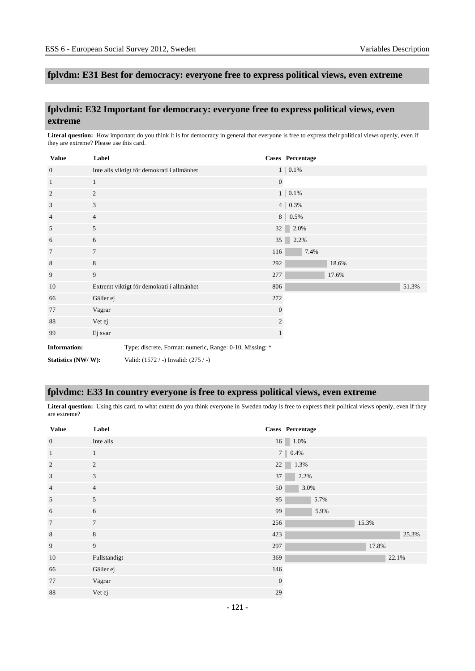#### **fplvdm: E31 Best for democracy: everyone free to express political views, even extreme**

#### **fplvdmi: E32 Important for democracy: everyone free to express political views, even extreme**

Literal question: How important do you think it is for democracy in general that everyone is free to express their political views openly, even if they are extreme? Please use this card.

| <b>Value</b>        | Label          |                                                          |              | Cases Percentage  |       |
|---------------------|----------------|----------------------------------------------------------|--------------|-------------------|-------|
| $\overline{0}$      |                | Inte alls viktigt för demokrati i allmänhet              |              | $1 \,   \, 0.1\%$ |       |
| $\mathbf{1}$        | $\mathbf{1}$   |                                                          | $\mathbf{0}$ |                   |       |
| $\overline{2}$      | 2              |                                                          |              | $1 \,   \, 0.1\%$ |       |
| 3                   | 3              |                                                          |              | $4   0.3\%$       |       |
| $\overline{4}$      | $\overline{4}$ |                                                          |              | $8 \,   \, 0.5\%$ |       |
| 5                   | 5              |                                                          | 32           | 2.0%              |       |
| 6                   | 6              |                                                          | 35           | 2.2%              |       |
| $7\phantom{.0}$     | $\overline{7}$ |                                                          | 116          | 7.4%              |       |
| 8                   | 8              |                                                          | 292          | 18.6%             |       |
| 9                   | 9              |                                                          | 277          | 17.6%             |       |
| 10                  |                | Extremt viktigt för demokrati i allmänhet                | 806          |                   | 51.3% |
| 66                  | Gäller ej      |                                                          | 272          |                   |       |
| 77                  | Vägrar         |                                                          | $\mathbf{0}$ |                   |       |
| 88                  | Vet ej         |                                                          | 2            |                   |       |
| 99                  | Ej svar        |                                                          |              |                   |       |
| <b>Information:</b> |                | Type: discrete, Format: numeric, Range: 0-10, Missing: * |              |                   |       |
| Statistics (NW/W):  |                | Valid: (1572 / -) Invalid: (275 / -)                     |              |                   |       |

#### **fplvdmc: E33 In country everyone is free to express political views, even extreme**

Literal question: Using this card, to what extent do you think everyone in Sweden today is free to express their political views openly, even if they are extreme?

| <b>Value</b>   | Label           |              | Cases Percentage  |
|----------------|-----------------|--------------|-------------------|
| $\mathbf{0}$   | Inte alls       |              | $16$ 1.0%         |
| $\mathbf{1}$   | $\mathbf{1}$    |              | $7 \,   \, 0.4\%$ |
| $\overline{2}$ | 2               | $22\,$       | 1.3%              |
| 3              | 3               | 37           | 2.2%              |
| $\overline{4}$ | $\overline{4}$  | 50           | 3.0%              |
| 5              | 5               | 95           | 5.7%              |
| 6              | 6               | 99           | 5.9%              |
| $\overline{7}$ | $7\phantom{.0}$ | 256          | 15.3%             |
| $\,8\,$        | $8\,$           | 423          | 25.3%             |
| 9              | 9               | 297          | 17.8%             |
| 10             | Fullständigt    | 369          | 22.1%             |
| 66             | Gäller ej       | 146          |                   |
| 77             | Vägrar          | $\mathbf{0}$ |                   |
| 88             | Vet ej          | 29           |                   |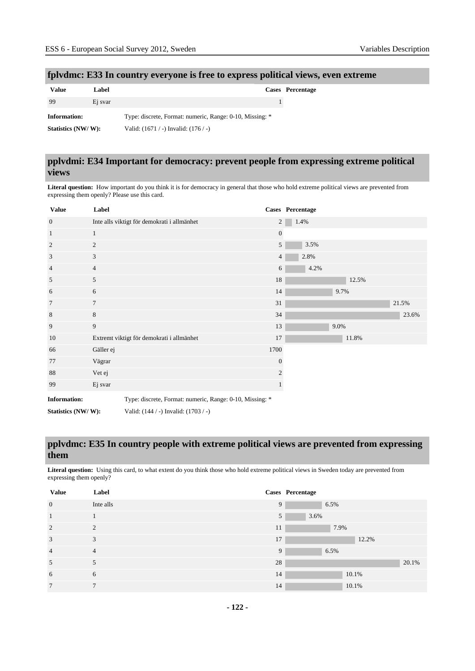#### **fplvdmc: E33 In country everyone is free to express political views, even extreme**

| Value              | Label   |                                                          | Cases Percentage |
|--------------------|---------|----------------------------------------------------------|------------------|
| -99                | Ei svar |                                                          |                  |
| Information:       |         | Type: discrete, Format: numeric, Range: 0-10, Missing: * |                  |
| Statistics (NW/W): |         | Valid: $(1671 / -)$ Invalid: $(176 / -)$                 |                  |

#### **pplvdmi: E34 Important for democracy: prevent people from expressing extreme political views**

**Literal question:** How important do you think it is for democracy in general that those who hold extreme political views are prevented from expressing them openly? Please use this card.

| <b>Value</b>        | Label           |                                                          |                | Cases Percentage |      |       |       |       |
|---------------------|-----------------|----------------------------------------------------------|----------------|------------------|------|-------|-------|-------|
| $\overline{0}$      |                 | Inte alls viktigt för demokrati i allmänhet              | $\overline{2}$ | 1.4%             |      |       |       |       |
| 1                   | $\mathbf{1}$    |                                                          | $\mathbf{0}$   |                  |      |       |       |       |
| 2                   | $\overline{c}$  |                                                          | 5              | 3.5%             |      |       |       |       |
| 3                   | 3               |                                                          | $\overline{4}$ | 2.8%             |      |       |       |       |
| $\overline{4}$      | $\overline{4}$  |                                                          | 6              | 4.2%             |      |       |       |       |
| 5                   | 5               |                                                          | 18             |                  |      | 12.5% |       |       |
| 6                   | 6               |                                                          | 14             |                  | 9.7% |       |       |       |
| 7                   | $7\phantom{.0}$ |                                                          | 31             |                  |      |       | 21.5% |       |
| 8                   | 8               |                                                          | 34             |                  |      |       |       | 23.6% |
| 9                   | 9               |                                                          | $13\,$         |                  | 9.0% |       |       |       |
| 10                  |                 | Extremt viktigt för demokrati i allmänhet                | 17             |                  |      | 11.8% |       |       |
| 66                  | Gäller ej       |                                                          | 1700           |                  |      |       |       |       |
| 77                  | Vägrar          |                                                          | $\mathbf{0}$   |                  |      |       |       |       |
| 88                  | Vet ej          |                                                          | $\overline{2}$ |                  |      |       |       |       |
| 99                  | Ej svar         |                                                          |                |                  |      |       |       |       |
| <b>Information:</b> |                 | Type: discrete, Format: numeric, Range: 0-10, Missing: * |                |                  |      |       |       |       |
| Statistics (NW/W):  |                 | Valid: (144 / -) Invalid: (1703 / -)                     |                |                  |      |       |       |       |

#### **pplvdmc: E35 In country people with extreme political views are prevented from expressing them**

**Literal question:** Using this card, to what extent do you think those who hold extreme political views in Sweden today are prevented from expressing them openly?

| <b>Value</b>   | Label          |    | Cases Percentage |
|----------------|----------------|----|------------------|
| $\mathbf{0}$   | Inte alls      | 9  | 6.5%             |
| 1              |                | 5  | 3.6%             |
| 2              | $\mathfrak{D}$ | 11 | 7.9%             |
| 3              | 3              | 17 | 12.2%            |
| $\overline{4}$ | $\overline{4}$ | 9  | 6.5%             |
| 5              | 5              | 28 | 20.1%            |
| 6              | 6              | 14 | 10.1%            |
| $\overline{7}$ | $\mathcal{I}$  | 14 | 10.1%            |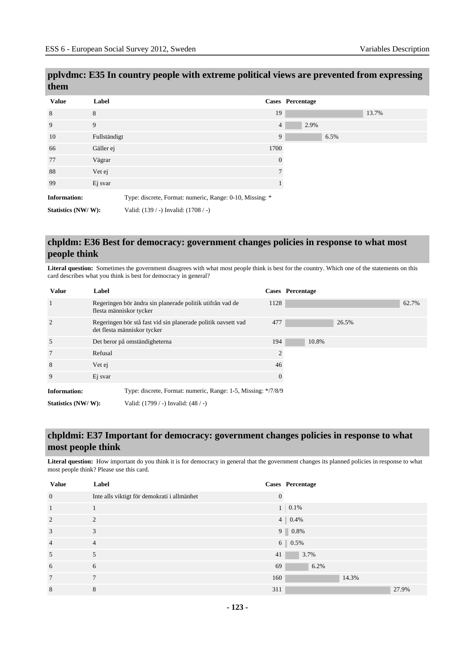# **pplvdmc: E35 In country people with extreme political views are prevented from expressing them**

| <b>Value</b>        | Label        |                                                          | <b>Cases</b> Percentage |  |
|---------------------|--------------|----------------------------------------------------------|-------------------------|--|
| 8                   | 8            |                                                          | 19                      |  |
| 9                   | 9            |                                                          | $\overline{4}$          |  |
| 10                  | Fullständigt |                                                          | 9                       |  |
| 66                  | Gäller ej    |                                                          | 1700                    |  |
| 77                  | Vägrar       |                                                          | $\theta$                |  |
| 88                  | Vet ej       |                                                          | 7                       |  |
| 99                  | Ej svar      |                                                          |                         |  |
| <b>Information:</b> |              | Type: discrete, Format: numeric, Range: 0-10, Missing: * |                         |  |
| Statistics (NW/W):  |              | Valid: (139 / -) Invalid: (1708 / -)                     |                         |  |

#### **chpldm: E36 Best for democracy: government changes policies in response to what most people think**

Literal question: Sometimes the government disagrees with what most people think is best for the country. Which one of the statements on this card describes what you think is best for democracy in general?

| <b>Value</b>        | Label                                                                                        |          | Cases Percentage |
|---------------------|----------------------------------------------------------------------------------------------|----------|------------------|
| <sup>1</sup>        | Regeringen bör ändra sin planerade politik utifrån vad de<br>flesta människor tycker         | 1128     | 62.7%            |
| $\overline{2}$      | Regeringen bör stå fast vid sin planerade politik oavsett vad<br>det flesta människor tycker | 477      | 26.5%            |
| 5                   | Det beror på omständigheterna                                                                | 194      | 10.8%            |
| 7                   | Refusal                                                                                      | 2        |                  |
| 8                   | Vet ej                                                                                       | 46       |                  |
| 9                   | Ej svar                                                                                      | $\theta$ |                  |
| <b>Information:</b> | Type: discrete, Format: numeric, Range: 1-5, Missing: */7/8/9                                |          |                  |
| Statistics (NW/W):  | Valid: (1799 / -) Invalid: (48 / -)                                                          |          |                  |

# **chpldmi: E37 Important for democracy: government changes policies in response to what most people think**

Literal question: How important do you think it is for democracy in general that the government changes its planned policies in response to what most people think? Please use this card.

| <b>Value</b>    | Label                                       |     | Cases Percentage    |
|-----------------|---------------------------------------------|-----|---------------------|
| $\mathbf{0}$    | Inte alls viktigt för demokrati i allmänhet |     |                     |
| $\mathbf{1}$    |                                             |     | $1 \,   \, 0.1\%$   |
| 2               | $\mathfrak{D}$                              |     | $4 \mid 0.4\%$      |
| 3               | 3                                           |     | $9 \ 0.8\%$         |
| $\overline{4}$  | $\overline{4}$                              |     | $6 \parallel 0.5\%$ |
| 5               | 5                                           | 41  | 3.7%                |
| 6               | 6                                           | 69  | 6.2%                |
| $7\phantom{.0}$ | $\tau$                                      | 160 | 14.3%               |
| 8               | 8                                           | 311 | 27.9%               |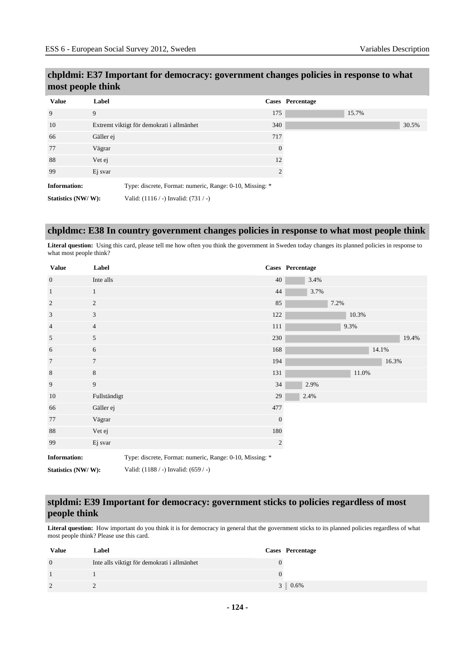# **chpldmi: E37 Important for democracy: government changes policies in response to what most people think**

| <b>Value</b>        | Label     |                                                          |                | Cases Percentage |
|---------------------|-----------|----------------------------------------------------------|----------------|------------------|
| 9                   | 9         |                                                          | 175            |                  |
| 10                  |           | Extremt viktigt för demokrati i allmänhet                | 340            |                  |
| 66                  | Gäller ej |                                                          | 717            |                  |
| 77                  | Vägrar    |                                                          | $\theta$       |                  |
| 88                  | Vet ej    |                                                          | 12             |                  |
| 99                  | Ej svar   |                                                          | $\mathfrak{D}$ |                  |
| <b>Information:</b> |           | Type: discrete, Format: numeric, Range: 0-10, Missing: * |                |                  |
| Statistics (NW/W):  |           | Valid: $(1116 / -)$ Invalid: $(731 / -)$                 |                |                  |

#### **chpldmc: E38 In country government changes policies in response to what most people think**

Literal question: Using this card, please tell me how often you think the government in Sweden today changes its planned policies in response to what most people think?

| <b>Value</b>        | Label          |                                                          |              | Cases Percentage |      |       |       |       |
|---------------------|----------------|----------------------------------------------------------|--------------|------------------|------|-------|-------|-------|
| $\mathbf{0}$        | Inte alls      |                                                          | 40           | 3.4%             |      |       |       |       |
| $\mathbf{1}$        | $\mathbf{1}$   |                                                          | 44           | 3.7%             |      |       |       |       |
| 2                   | 2              |                                                          | 85           |                  | 7.2% |       |       |       |
| 3                   | 3              |                                                          | 122          |                  |      | 10.3% |       |       |
| $\overline{4}$      | $\overline{4}$ |                                                          | 111          |                  |      | 9.3%  |       |       |
| 5                   | 5              |                                                          | 230          |                  |      |       |       | 19.4% |
| 6                   | 6              |                                                          | 168          |                  |      |       | 14.1% |       |
| $7\phantom{.0}$     | $\tau$         |                                                          | 194          |                  |      |       | 16.3% |       |
| 8                   | $8\,$          |                                                          | 131          |                  |      | 11.0% |       |       |
| 9                   | $\overline{9}$ |                                                          | 34           | 2.9%             |      |       |       |       |
| 10                  | Fullständigt   |                                                          | 29           | 2.4%             |      |       |       |       |
| 66                  | Gäller ej      |                                                          | 477          |                  |      |       |       |       |
| 77                  | Vägrar         |                                                          | $\mathbf{0}$ |                  |      |       |       |       |
| 88                  | Vet ej         |                                                          | 180          |                  |      |       |       |       |
| 99                  | Ej svar        |                                                          | $\sqrt{2}$   |                  |      |       |       |       |
| <b>Information:</b> |                | Type: discrete, Format: numeric, Range: 0-10, Missing: * |              |                  |      |       |       |       |
| Statistics (NW/W):  |                | Valid: (1188 / -) Invalid: (659 / -)                     |              |                  |      |       |       |       |

# **stpldmi: E39 Important for democracy: government sticks to policies regardless of most people think**

Literal question: How important do you think it is for democracy in general that the government sticks to its planned policies regardless of what most people think? Please use this card.

| <b>Value</b> | Label                                       | Cases Percentage |
|--------------|---------------------------------------------|------------------|
| $\Omega$     | Inte alls viktigt för demokrati i allmänhet |                  |
|              |                                             |                  |
|              |                                             | $3 \mid 0.6\%$   |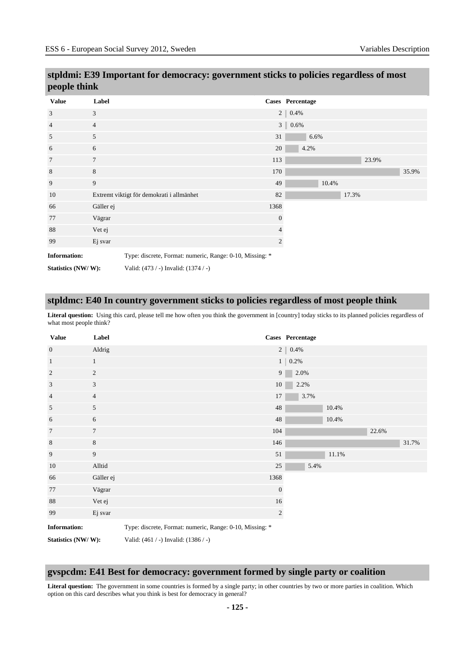| people think        |                |                                                          |                |                  |       |       |       |       |
|---------------------|----------------|----------------------------------------------------------|----------------|------------------|-------|-------|-------|-------|
| <b>Value</b>        | Label          |                                                          |                | Cases Percentage |       |       |       |       |
| 3                   | 3              |                                                          |                | $2   0.4\%$      |       |       |       |       |
| $\overline{4}$      | $\overline{4}$ |                                                          |                | $3   0.6\%$      |       |       |       |       |
| 5                   | 5              |                                                          | 31             | 6.6%             |       |       |       |       |
| 6                   | 6              |                                                          | 20             | 4.2%             |       |       |       |       |
| 7                   | $\overline{7}$ |                                                          | 113            |                  |       |       | 23.9% |       |
| 8                   | $\,8\,$        |                                                          | 170            |                  |       |       |       | 35.9% |
| 9                   | 9              |                                                          | 49             |                  | 10.4% |       |       |       |
| 10                  |                | Extremt viktigt för demokrati i allmänhet                | 82             |                  |       | 17.3% |       |       |
| 66                  | Gäller ej      |                                                          | 1368           |                  |       |       |       |       |
| 77                  | Vägrar         |                                                          | $\mathbf{0}$   |                  |       |       |       |       |
| 88                  | Vet ej         |                                                          | 4              |                  |       |       |       |       |
| 99                  | Ej svar        |                                                          | $\overline{c}$ |                  |       |       |       |       |
| <b>Information:</b> |                | Type: discrete, Format: numeric, Range: 0-10, Missing: * |                |                  |       |       |       |       |
| Statistics (NW/W):  |                | Valid: (473 / -) Invalid: (1374 / -)                     |                |                  |       |       |       |       |

# **stpldmi: E39 Important for democracy: government sticks to policies regardless of most people think**

#### **stpldmc: E40 In country government sticks to policies regardless of most people think**

Literal question: Using this card, please tell me how often you think the government in [country] today sticks to its planned policies regardless of what most people think?

| <b>Value</b>        | Label            |                                                          |                | Cases Percentage  |       |       |       |
|---------------------|------------------|----------------------------------------------------------|----------------|-------------------|-------|-------|-------|
| $\overline{0}$      | Aldrig           |                                                          |                | $2$   $0.4\%$     |       |       |       |
| $\mathbf{1}$        | $\mathbf{1}$     |                                                          |                | $1 \,   \, 0.2\%$ |       |       |       |
| $\overline{2}$      | $\overline{c}$   |                                                          | 9 <sup>1</sup> | 2.0%              |       |       |       |
| 3                   | 3                |                                                          | 10             | 2.2%              |       |       |       |
| $\overline{4}$      | $\overline{4}$   |                                                          | 17             | 3.7%              |       |       |       |
| 5                   | 5                |                                                          | $48\,$         |                   | 10.4% |       |       |
| 6                   | 6                |                                                          | 48             |                   | 10.4% |       |       |
| $\overline{7}$      | $\tau$           |                                                          | 104            |                   |       | 22.6% |       |
| $\,$ 8 $\,$         | $\,8$            |                                                          | 146            |                   |       |       | 31.7% |
| 9                   | $\boldsymbol{9}$ |                                                          | 51             |                   | 11.1% |       |       |
| 10                  | Alltid           |                                                          | $25\,$         | 5.4%              |       |       |       |
| 66                  | Gäller ej        |                                                          | 1368           |                   |       |       |       |
| 77                  | Vägrar           |                                                          | $\mathbf{0}$   |                   |       |       |       |
| 88                  | Vet ej           |                                                          | 16             |                   |       |       |       |
| 99                  | Ej svar          |                                                          | 2              |                   |       |       |       |
| <b>Information:</b> |                  | Type: discrete, Format: numeric, Range: 0-10, Missing: * |                |                   |       |       |       |
| Statistics (NW/W):  |                  | Valid: $(461 / -)$ Invalid: $(1386 / -)$                 |                |                   |       |       |       |

# **gvspcdm: E41 Best for democracy: government formed by single party or coalition**

Literal question: The government in some countries is formed by a single party; in other countries by two or more parties in coalition. Which option on this card describes what you think is best for democracy in general?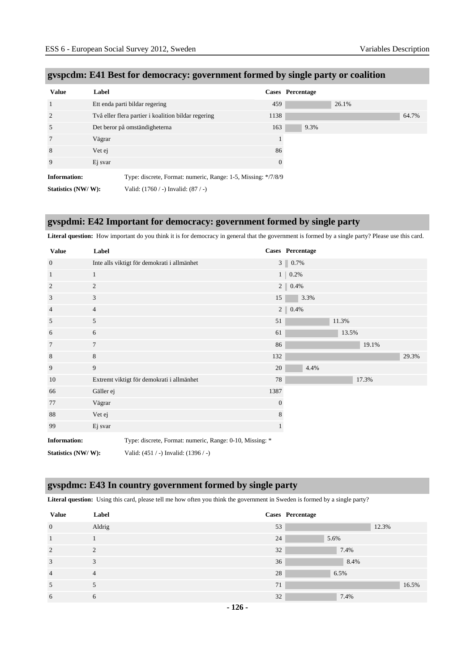| <b>Value</b>        | Label                                                         |          | Cases Percentage |       |       |
|---------------------|---------------------------------------------------------------|----------|------------------|-------|-------|
|                     | Ett enda parti bildar regering                                | 459      |                  | 26.1% |       |
| 2                   | Två eller flera partier i koalition bildar regering           | 1138     |                  |       | 64.7% |
| 5                   | Det beror på omständigheterna                                 | 163      | 9.3%             |       |       |
|                     | Vägrar                                                        |          |                  |       |       |
| 8                   | Vet ej                                                        | 86       |                  |       |       |
| 9                   | Ej svar                                                       | $\theta$ |                  |       |       |
| <b>Information:</b> | Type: discrete, Format: numeric, Range: 1-5, Missing: */7/8/9 |          |                  |       |       |
| Statistics (NW/W):  | Valid: (1760 / -) Invalid: (87 / -)                           |          |                  |       |       |

# **gvspcdm: E41 Best for democracy: government formed by single party or coalition**

#### **gvspdmi: E42 Important for democracy: government formed by single party**

**Literal question:** How important do you think it is for democracy in general that the government is formed by a single party? Please use this card.

| <b>Value</b>        | Label          |                                                          | Cases Percentage |                   |      |       |       |       |
|---------------------|----------------|----------------------------------------------------------|------------------|-------------------|------|-------|-------|-------|
| $\overline{0}$      |                | Inte alls viktigt för demokrati i allmänhet              |                  | $3$   $0.7\%$     |      |       |       |       |
| $\mathbf{1}$        | 1              |                                                          |                  | $1 \ 0.2\%$       |      |       |       |       |
| $\boldsymbol{2}$    | $\overline{c}$ |                                                          |                  | $2 \,   \, 0.4\%$ |      |       |       |       |
| 3                   | 3              |                                                          | 15               |                   | 3.3% |       |       |       |
| $\overline{4}$      | $\overline{4}$ |                                                          | $2 \parallel$    | 0.4%              |      |       |       |       |
| 5                   | 5              |                                                          | 51               |                   |      | 11.3% |       |       |
| 6                   | 6              |                                                          | 61               |                   |      | 13.5% |       |       |
| 7                   | 7              |                                                          | 86               |                   |      |       | 19.1% |       |
| 8                   | 8              |                                                          | 132              |                   |      |       |       | 29.3% |
| 9                   | 9              |                                                          | 20               |                   | 4.4% |       |       |       |
| 10                  |                | Extremt viktigt för demokrati i allmänhet                | 78               |                   |      |       | 17.3% |       |
| 66                  | Gäller ej      |                                                          | 1387             |                   |      |       |       |       |
| 77                  | Vägrar         |                                                          | $\mathbf{0}$     |                   |      |       |       |       |
| 88                  | Vet ej         |                                                          | 8                |                   |      |       |       |       |
| 99                  | Ej svar        |                                                          | $\mathbf{1}$     |                   |      |       |       |       |
| <b>Information:</b> |                | Type: discrete, Format: numeric, Range: 0-10, Missing: * |                  |                   |      |       |       |       |
| Statistics (NW/W):  |                | Valid: (451 / -) Invalid: (1396 / -)                     |                  |                   |      |       |       |       |

#### **gvspdmc: E43 In country government formed by single party**

**Literal question:** Using this card, please tell me how often you think the government in Sweden is formed by a single party?

| <b>Value</b>   | Label          |    | Cases Percentage |
|----------------|----------------|----|------------------|
| $\mathbf{0}$   | Aldrig         | 53 | 12.3%            |
| $\mathbf{1}$   |                | 24 | 5.6%             |
| 2              | 2              | 32 | 7.4%             |
| 3              | 3              | 36 | 8.4%             |
| $\overline{4}$ | $\overline{4}$ | 28 | 6.5%             |
| 5              | 5              | 71 | 16.5%            |
| 6              | 6              | 32 | 7.4%             |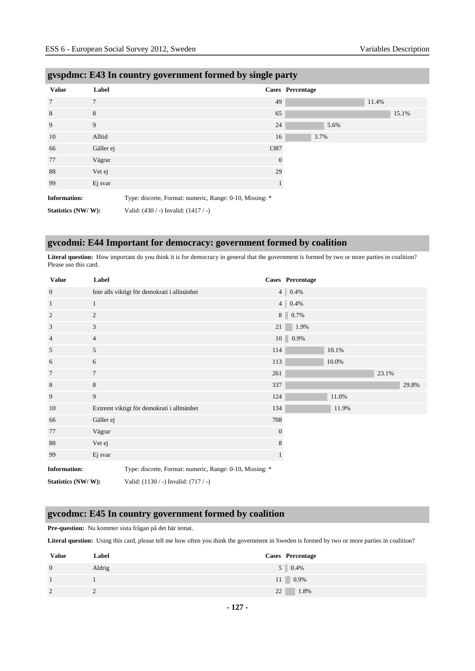| $\sigma$ i          |                | $\mathbf{v}$ $\mathbf{\sigma}$                           | $\bullet$<br>$\circ$<br>$\mathbf{r}$ | ັ                       |       |  |
|---------------------|----------------|----------------------------------------------------------|--------------------------------------|-------------------------|-------|--|
| <b>Value</b>        | Label          |                                                          |                                      | <b>Cases</b> Percentage |       |  |
| $7\phantom{.0}$     | $\overline{7}$ |                                                          | 49                                   |                         | 11.4% |  |
| 8                   | 8              |                                                          | 65                                   |                         | 15.1% |  |
| 9                   | 9              |                                                          | 24                                   | 5.6%                    |       |  |
| 10                  | Alltid         |                                                          | 16                                   | 3.7%                    |       |  |
| 66                  | Gäller ej      |                                                          | 1387                                 |                         |       |  |
| 77                  | Vägrar         |                                                          | $\mathbf{0}$                         |                         |       |  |
| 88                  | Vet ej         |                                                          | 29                                   |                         |       |  |
| 99                  | Ej svar        |                                                          | $\mathbf{1}$                         |                         |       |  |
| <b>Information:</b> |                | Type: discrete, Format: numeric, Range: 0-10, Missing: * |                                      |                         |       |  |
| Statistics (NW/W):  |                | Valid: (430 / -) Invalid: (1417 / -)                     |                                      |                         |       |  |

#### **gvspdmc: E43 In country government formed by single party**

# **gvcodmi: E44 Important for democracy: government formed by coalition**

Literal question: How important do you think it is for democracy in general that the government is formed by two or more parties in coalition? Please use this card.

| <b>Value</b>        | Label          |                                                          |                | Cases Percentage |       |       |       |
|---------------------|----------------|----------------------------------------------------------|----------------|------------------|-------|-------|-------|
| $\mathbf{0}$        |                | Inte alls viktigt för demokrati i allmänhet              |                | 4   0.4%         |       |       |       |
| $\mathbf{1}$        | $\mathbf{1}$   |                                                          |                | 4   0.4%         |       |       |       |
| $\overline{2}$      | 2              |                                                          |                | $8 \ 0.7\%$      |       |       |       |
| 3                   | 3              |                                                          | 21             | 1.9%             |       |       |       |
| 4                   | $\overline{4}$ |                                                          |                | $10$ 0.9%        |       |       |       |
| 5                   | 5              |                                                          | 114            |                  | 10.1% |       |       |
| 6                   | 6              |                                                          | 113            |                  | 10.0% |       |       |
| 7                   | $\overline{7}$ |                                                          | 261            |                  |       | 23.1% |       |
| 8                   | 8              |                                                          | 337            |                  |       |       | 29.8% |
| 9                   | 9              |                                                          | 124            |                  | 11.0% |       |       |
| 10                  |                | Extremt viktigt för demokrati i allmänhet                | 134            |                  | 11.9% |       |       |
| 66                  | Gäller ej      |                                                          | 708            |                  |       |       |       |
| 77                  | Vägrar         |                                                          | $\overline{0}$ |                  |       |       |       |
| 88                  | Vet ej         |                                                          | 8              |                  |       |       |       |
| 99                  | Ej svar        |                                                          |                |                  |       |       |       |
| <b>Information:</b> |                | Type: discrete, Format: numeric, Range: 0-10, Missing: * |                |                  |       |       |       |
| Statistics (NW/W):  |                | Valid: $(1130 / -)$ Invalid: $(717 / -)$                 |                |                  |       |       |       |

#### **gvcodmc: E45 In country government formed by coalition**

**Pre-question:** Nu kommer sista frågan på det här temat.

**Literal question:** Using this card, please tell me how often you think the government in Sweden is formed by two or more parties in coalition?

| <b>Value</b>   | Label  | Cases Percentage |
|----------------|--------|------------------|
| $\overline{0}$ | Aldrig | $5 \t 0.4\%$     |
| 1              |        | $11 \quad 0.9\%$ |
| 2              |        | 1.8%<br>22       |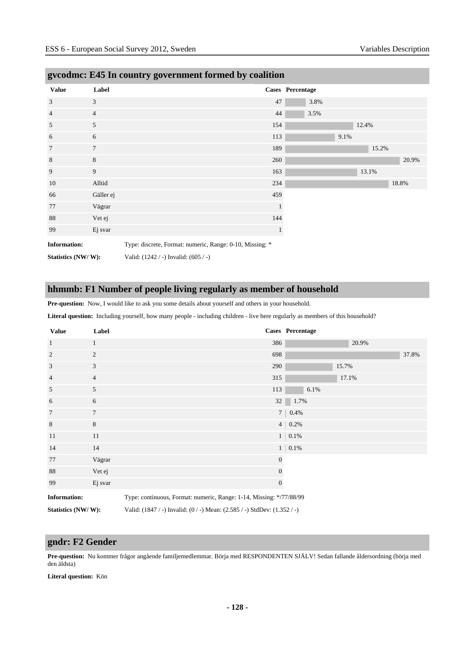| <b>Value</b>        | Label          |                                                          |     | Cases Percentage |       |       |       |  |
|---------------------|----------------|----------------------------------------------------------|-----|------------------|-------|-------|-------|--|
| 3                   | 3              |                                                          | 47  | 3.8%             |       |       |       |  |
| $\overline{4}$      | $\overline{4}$ |                                                          | 44  | 3.5%             |       |       |       |  |
| 5                   | 5              |                                                          | 154 |                  | 12.4% |       |       |  |
| 6                   | 6              |                                                          | 113 |                  | 9.1%  |       |       |  |
| $7\phantom{.0}$     | $\tau$         |                                                          | 189 |                  |       | 15.2% |       |  |
| $\,$ 8 $\,$         | $8\,$          |                                                          | 260 |                  |       |       | 20.9% |  |
| 9                   | 9              |                                                          | 163 |                  |       | 13.1% |       |  |
| 10                  | Alltid         |                                                          | 234 |                  |       |       | 18.8% |  |
| 66                  | Gäller ej      |                                                          | 459 |                  |       |       |       |  |
| 77                  | Vägrar         |                                                          |     |                  |       |       |       |  |
| 88                  | Vet ej         |                                                          | 144 |                  |       |       |       |  |
| 99                  | Ej svar        |                                                          |     |                  |       |       |       |  |
| <b>Information:</b> |                | Type: discrete, Format: numeric, Range: 0-10, Missing: * |     |                  |       |       |       |  |
| Statistics (NW/W):  |                | Valid: $(1242 / -)$ Invalid: $(605 / -)$                 |     |                  |       |       |       |  |

# **gvcodmc: E45 In country government formed by coalition**

#### **hhmmb: F1 Number of people living regularly as member of household**

**Pre-question:** Now, I would like to ask you some details about yourself and others in your household.

**Literal question:** Including yourself, how many people - including children - live here regularly as members of this household?

| <b>Value</b>        | Label          | Cases Percentage                                                    |       |
|---------------------|----------------|---------------------------------------------------------------------|-------|
| $\mathbf{1}$        | $\mathbf{1}$   | 20.9%<br>386                                                        |       |
| $\overline{2}$      | $\overline{c}$ | 698                                                                 | 37.8% |
| 3                   | 3              | 290<br>15.7%                                                        |       |
| $\overline{4}$      | $\overline{4}$ | 315<br>17.1%                                                        |       |
| 5                   | 5              | 6.1%<br>113                                                         |       |
| 6                   | 6              | $32 \ 1.7\%$                                                        |       |
| $7\phantom{.0}$     | $\tau$         | $7   0.4\%$                                                         |       |
| $\,8\,$             | 8              | $4   0.2\%$                                                         |       |
| 11                  | 11             | $1 \,   \, 0.1\%$                                                   |       |
| 14                  | 14             | $1 \,   \, 0.1\%$                                                   |       |
| 77                  | Vägrar         | $\overline{0}$                                                      |       |
| 88                  | Vet ej         | $\mathbf{0}$                                                        |       |
| 99                  | Ej svar        | $\overline{0}$                                                      |       |
| <b>Information:</b> |                | Type: continuous, Format: numeric, Range: 1-14, Missing: */77/88/99 |       |

**Statistics (NW/ W):** Valid: (1847 / -) Invalid: (0 / -) Mean: (2.585 / -) StdDev: (1.352 / -)

#### **gndr: F2 Gender**

**Pre-question:** Nu kommer frågor angående familjemedlemmar. Börja med RESPONDENTEN SJÄLV! Sedan fallande åldersordning (börja med den äldsta)

**Literal question:** Kön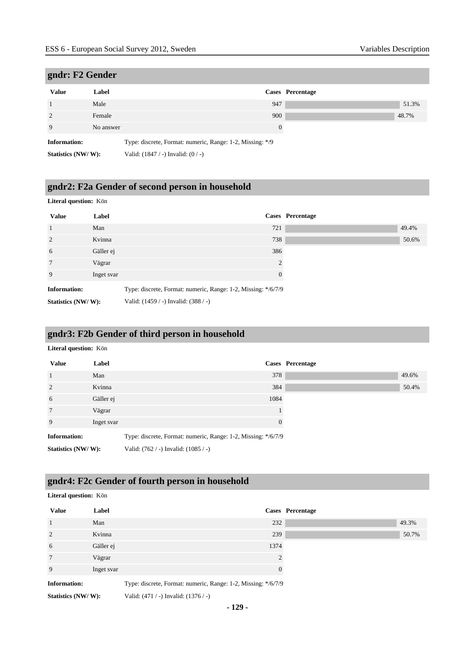# **gndr: F2 Gender**

| Value               | Label     |                                                           | Cases Percentage |
|---------------------|-----------|-----------------------------------------------------------|------------------|
|                     | Male      | 947                                                       |                  |
|                     | Female    | 900                                                       |                  |
|                     | No answer | 0                                                         |                  |
| <b>Information:</b> |           | Type: discrete, Format: numeric, Range: 1-2, Missing: */9 |                  |

**Statistics (NW/ W):** Valid: (1847 / -) Invalid: (0 / -)

# **gndr2: F2a Gender of second person in household**

#### **Literal question:** Kön

| <b>Value</b>        | Label      | Cases Percentage                                              |
|---------------------|------------|---------------------------------------------------------------|
| 1                   | Man        | 721                                                           |
| 2                   | Kvinna     | 738                                                           |
| 6                   | Gäller ej  | 386                                                           |
| $7\phantom{.0}$     | Vägrar     | 2                                                             |
| 9                   | Inget svar | $\Omega$                                                      |
| <b>Information:</b> |            | Type: discrete, Format: numeric, Range: 1-2, Missing: */6/7/9 |
| Statistics (NW/W):  |            | Valid: (1459 / -) Invalid: (388 / -)                          |

#### **gndr3: F2b Gender of third person in household**

#### **Literal question:** Kön

| <b>Value</b>        | Label      |                                                               |          | Cases Percentage |       |
|---------------------|------------|---------------------------------------------------------------|----------|------------------|-------|
|                     | Man        |                                                               | 378      |                  | 49.6% |
| $\overline{2}$      | Kvinna     |                                                               | 384      |                  | 50.4% |
| 6                   | Gäller ej  |                                                               | 1084     |                  |       |
| 7                   | Vägrar     |                                                               |          |                  |       |
| 9                   | Inget svar |                                                               | $\Omega$ |                  |       |
| <b>Information:</b> |            | Type: discrete, Format: numeric, Range: 1-2, Missing: */6/7/9 |          |                  |       |
| Statistics (NW/W):  |            | Valid: $(762 / -)$ Invalid: $(1085 / -)$                      |          |                  |       |

# **gndr4: F2c Gender of fourth person in household**

| Literal question: Kön |            |                                                               |                  |       |  |  |
|-----------------------|------------|---------------------------------------------------------------|------------------|-------|--|--|
| <b>Value</b>          | Label      |                                                               | Cases Percentage |       |  |  |
|                       | Man        | 232                                                           |                  | 49.3% |  |  |
| 2                     | Kvinna     | 239                                                           |                  | 50.7% |  |  |
| 6                     | Gäller ej  | 1374                                                          |                  |       |  |  |
| 7                     | Vägrar     | $\mathcal{D}_{\mathcal{A}}$                                   |                  |       |  |  |
| 9                     | Inget svar | $\overline{0}$                                                |                  |       |  |  |
| <b>Information:</b>   |            | Type: discrete, Format: numeric, Range: 1-2, Missing: */6/7/9 |                  |       |  |  |
| Statistics (NW/W):    |            | Valid: $(471 / -)$ Invalid: $(1376 / -)$                      |                  |       |  |  |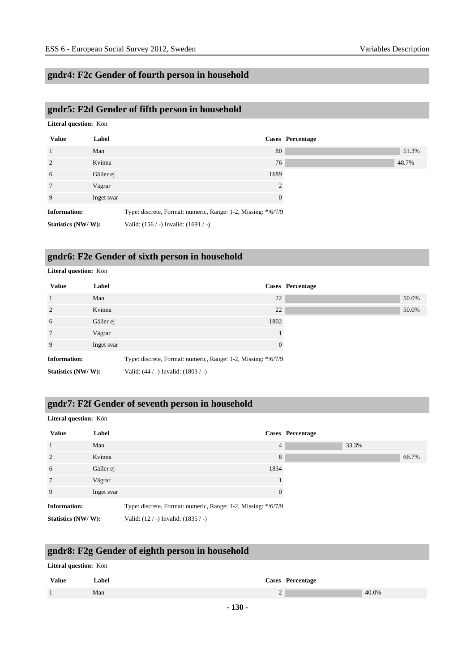# **gndr4: F2c Gender of fourth person in household**

# **gndr5: F2d Gender of fifth person in household**

| Literal question: Kön |            |                                                               |                  |       |
|-----------------------|------------|---------------------------------------------------------------|------------------|-------|
| <b>Value</b>          | Label      |                                                               | Cases Percentage |       |
| $\mathbf{1}$          | Man        | 80                                                            |                  | 51.3% |
| 2                     | Kvinna     | 76                                                            |                  | 48.7% |
| 6                     | Gäller ej  | 1689                                                          |                  |       |
| $7\phantom{.0}$       | Vägrar     | 2                                                             |                  |       |
| 9                     | Inget svar | $\theta$                                                      |                  |       |
| <b>Information:</b>   |            | Type: discrete, Format: numeric, Range: 1-2, Missing: */6/7/9 |                  |       |
| Statistics (NW/W):    |            | Valid: $(156 / -)$ Invalid: $(1691 / -)$                      |                  |       |

# **gndr6: F2e Gender of sixth person in household**

| Literal question: Kön |            |                                                               |                  |  |  |
|-----------------------|------------|---------------------------------------------------------------|------------------|--|--|
| <b>Value</b>          | Label      |                                                               | Cases Percentage |  |  |
| $\mathbf{1}$          | Man        | 22                                                            | 50.0%            |  |  |
| 2                     | Kvinna     | 22                                                            | 50.0%            |  |  |
| 6                     | Gäller ej  | 1802                                                          |                  |  |  |
| 7                     | Vägrar     |                                                               |                  |  |  |
| 9                     | Inget svar | $\theta$                                                      |                  |  |  |
| <b>Information:</b>   |            | Type: discrete, Format: numeric, Range: 1-2, Missing: */6/7/9 |                  |  |  |
| Statistics (NW/W):    |            | Valid: (44 / -) Invalid: (1803 / -)                           |                  |  |  |

#### **gndr7: F2f Gender of seventh person in household**

#### **Literal question:** Kön

| <b>Value</b>        | Label      |                                                               |          | Cases Percentage |       |       |
|---------------------|------------|---------------------------------------------------------------|----------|------------------|-------|-------|
| 1                   | Man        |                                                               | 4        |                  | 33.3% |       |
| $\overline{2}$      | Kvinna     |                                                               | 8        |                  |       | 66.7% |
| 6                   | Gäller ej  |                                                               | 1834     |                  |       |       |
| 7                   | Vägrar     |                                                               |          |                  |       |       |
| 9                   | Inget svar |                                                               | $\Omega$ |                  |       |       |
| <b>Information:</b> |            | Type: discrete, Format: numeric, Range: 1-2, Missing: */6/7/9 |          |                  |       |       |
| Statistics (NW/W):  |            | Valid: $(12 / -)$ Invalid: $(1835 / -)$                       |          |                  |       |       |

# **gndr8: F2g Gender of eighth person in household**

| <b>Literal question:</b> Kön |       |   |                  |       |  |  |
|------------------------------|-------|---|------------------|-------|--|--|
| <b>Value</b>                 | Label |   | Cases Percentage |       |  |  |
|                              | Man   | ∼ |                  | 40.0% |  |  |
|                              |       |   |                  |       |  |  |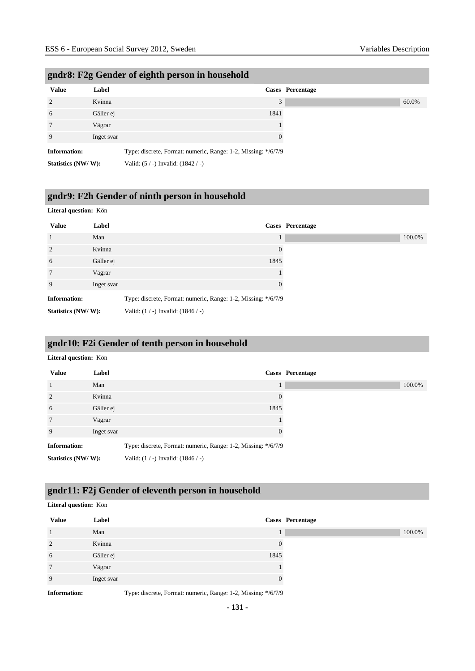| <b>Value</b>        | Label      | Cases Percentage                                              |
|---------------------|------------|---------------------------------------------------------------|
| 2                   | Kvinna     | 3                                                             |
| 6                   | Gäller ej  | 1841                                                          |
| 7                   | Vägrar     |                                                               |
| 9                   | Inget svar | $\Omega$                                                      |
| <b>Information:</b> |            | Type: discrete, Format: numeric, Range: 1-2, Missing: */6/7/9 |
| Statistics (NW/W):  |            | Valid: (5 / -) Invalid: (1842 / -)                            |

#### **gndr8: F2g Gender of eighth person in household**

# **gndr9: F2h Gender of ninth person in household**

#### **Literal question:** Kön

| <b>Value</b>        | Label      | Cases Percentage                                              |
|---------------------|------------|---------------------------------------------------------------|
| $\overline{1}$      | Man        | $\mathbf{I}$                                                  |
| 2                   | Kvinna     | $\overline{0}$                                                |
| 6                   | Gäller ej  | 1845                                                          |
| $7\phantom{.0}$     | Vägrar     |                                                               |
| 9                   | Inget svar | $\theta$                                                      |
| <b>Information:</b> |            | Type: discrete, Format: numeric, Range: 1-2, Missing: */6/7/9 |
| Statistics (NW/W):  |            | Valid: $(1/-)$ Invalid: $(1846/-)$                            |

# **gndr10: F2i Gender of tenth person in household**

| Literal question: Kön |            |                                                               |                  |  |
|-----------------------|------------|---------------------------------------------------------------|------------------|--|
| <b>Value</b>          | Label      |                                                               | Cases Percentage |  |
| $\mathbf{1}$          | Man        | Τ.                                                            |                  |  |
| 2                     | Kvinna     | $\overline{0}$                                                |                  |  |
| 6                     | Gäller ej  | 1845                                                          |                  |  |
| 7                     | Vägrar     |                                                               |                  |  |
| 9                     | Inget svar | $\Omega$                                                      |                  |  |
| <b>Information:</b>   |            | Type: discrete, Format: numeric, Range: 1-2, Missing: */6/7/9 |                  |  |
| Statistics (NW/W):    |            | Valid: $(1 / -)$ Invalid: $(1846 / -)$                        |                  |  |

# **gndr11: F2j Gender of eleventh person in household**

#### **Literal question:** Kön

| <b>Value</b>   | Label      |      | Cases Percentage |
|----------------|------------|------|------------------|
|                | Man        |      | 100.0%           |
| $\overline{2}$ | Kvinna     | 0    |                  |
| 6              | Gäller ej  | 1845 |                  |
| 7              | Vägrar     |      |                  |
| 9              | Inget svar | 0    |                  |
|                |            |      |                  |

**Information:** Type: discrete, Format: numeric, Range: 1-2, Missing: \*/6/7/9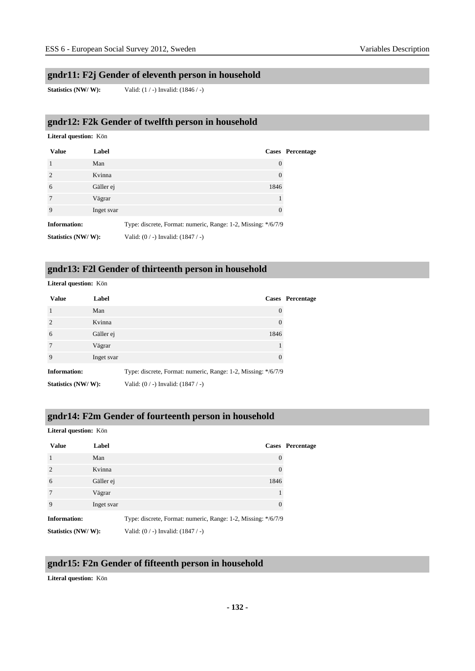#### **gndr11: F2j Gender of eleventh person in household**

**Statistics (NW/ W):** Valid: (1 / -) Invalid: (1846 / -)

#### **gndr12: F2k Gender of twelfth person in household**

#### **Literal question:** Kön

| <b>Value</b>        | Label      |                                                               | Cases Percentage |
|---------------------|------------|---------------------------------------------------------------|------------------|
|                     | Man        | 0                                                             |                  |
| 2                   | Kvinna     | $\boldsymbol{0}$                                              |                  |
| 6                   | Gäller ej  | 1846                                                          |                  |
| 7                   | Vägrar     |                                                               |                  |
| 9                   | Inget svar | $\theta$                                                      |                  |
| <b>Information:</b> |            | Type: discrete, Format: numeric, Range: 1-2, Missing: */6/7/9 |                  |
| Statistics (NW/W):  |            | Valid: $(0/-)$ Invalid: $(1847/-)$                            |                  |

#### **gndr13: F2l Gender of thirteenth person in household**

#### **Literal question:** Kön

| <b>Value</b>        | Label      |                                                               | Cases Percentage |
|---------------------|------------|---------------------------------------------------------------|------------------|
|                     | Man        | $\theta$                                                      |                  |
| $\overline{2}$      | Kvinna     | 0                                                             |                  |
| 6                   | Gäller ej  | 1846                                                          |                  |
| 7                   | Vägrar     |                                                               |                  |
| 9                   | Inget svar | $\Omega$                                                      |                  |
| <b>Information:</b> |            | Type: discrete, Format: numeric, Range: 1-2, Missing: */6/7/9 |                  |
| Statistics (NW/W):  |            | Valid: $(0/-)$ Invalid: $(1847/-)$                            |                  |

#### **gndr14: F2m Gender of fourteenth person in household**

| Literal question: Kön |            |                                                               |                         |
|-----------------------|------------|---------------------------------------------------------------|-------------------------|
| <b>Value</b>          | Label      |                                                               | <b>Cases</b> Percentage |
| $\overline{1}$        | Man        | $\left($                                                      |                         |
| $\overline{c}$        | Kvinna     |                                                               |                         |
| 6                     | Gäller ej  | 1846                                                          |                         |
| $\overline{7}$        | Vägrar     |                                                               |                         |
| 9                     | Inget svar |                                                               |                         |
| <b>Information:</b>   |            | Type: discrete, Format: numeric, Range: 1-2, Missing: */6/7/9 |                         |

**Statistics (NW/ W):** Valid: (0 / -) Invalid: (1847 / -)

#### **gndr15: F2n Gender of fifteenth person in household**

**Literal question:** Kön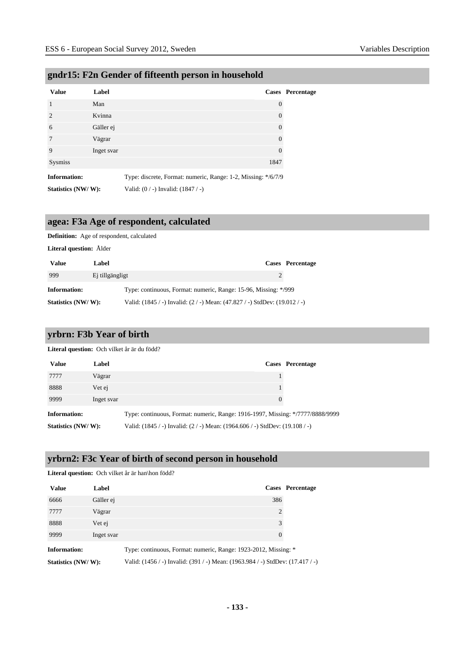# **gndr15: F2n Gender of fifteenth person in household**

| <b>Value</b>        | Label      |                                                               | Cases Percentage |
|---------------------|------------|---------------------------------------------------------------|------------------|
| $\mathbf{1}$        | Man        | $\theta$                                                      |                  |
| $\mathcal{D}$       | Kvinna     | $\Omega$                                                      |                  |
| 6                   | Gäller ej  | $\Omega$                                                      |                  |
| 7                   | Vägrar     | $\Omega$                                                      |                  |
| 9                   | Inget svar | $\Omega$                                                      |                  |
| <b>Sysmiss</b>      |            | 1847                                                          |                  |
| <b>Information:</b> |            | Type: discrete, Format: numeric, Range: 1-2, Missing: */6/7/9 |                  |
| Statistics (NW/W):  |            | Valid: $(0/-)$ Invalid: $(1847/-)$                            |                  |

#### **agea: F3a Age of respondent, calculated**

#### **Definition:** Age of respondent, calculated

**Literal question:** Ålder

| <b>Value</b>       | Label           |                                                                            | Cases Percentage |
|--------------------|-----------------|----------------------------------------------------------------------------|------------------|
| 999                | Ej tillgängligt |                                                                            |                  |
| Information:       |                 | Type: continuous, Format: numeric, Range: 15-96, Missing: */999            |                  |
| Statistics (NW/W): |                 | Valid: (1845 / -) Invalid: (2 / -) Mean: (47.827 / -) StdDev: (19.012 / -) |                  |

#### **yrbrn: F3b Year of birth**

**Literal question:** Och vilket år är du född?

| <b>Value</b>        | Label      |                                                                                | Cases Percentage |
|---------------------|------------|--------------------------------------------------------------------------------|------------------|
| 7777                | Vägrar     |                                                                                |                  |
| 8888                | Vet ej     |                                                                                |                  |
| 9999                | Inget svar |                                                                                |                  |
| <b>Information:</b> |            | Type: continuous, Format: numeric, Range: 1916-1997, Missing: */7777/8888/9999 |                  |
| Statistics (NW/W):  |            | Valid: (1845 / -) Invalid: (2 / -) Mean: (1964.606 / -) StdDev: (19.108 / -)   |                  |

#### **yrbrn2: F3c Year of birth of second person in household**

|                     |            | <b>Literal question:</b> Och vilket år är han\hon född?                        |                  |
|---------------------|------------|--------------------------------------------------------------------------------|------------------|
| <b>Value</b>        | Label      |                                                                                | Cases Percentage |
| 6666                | Gäller ej  | 386                                                                            |                  |
| 7777                | Vägrar     | 2                                                                              |                  |
| 8888                | Vet ej     | 3                                                                              |                  |
| 9999                | Inget svar | 0                                                                              |                  |
| <b>Information:</b> |            | Type: continuous, Format: numeric, Range: 1923-2012, Missing: *                |                  |
| Statistics (NW/W):  |            | Valid: (1456 / -) Invalid: (391 / -) Mean: (1963.984 / -) StdDev: (17.417 / -) |                  |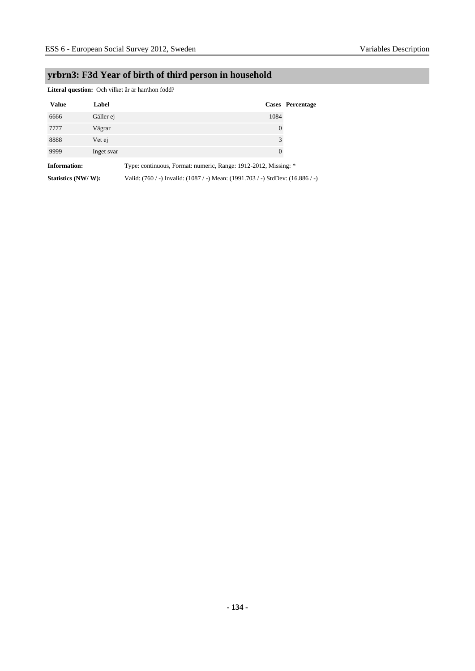# **yrbrn3: F3d Year of birth of third person in household**

Literal question: Och vilket år är han\hon född?

| <b>Value</b>        | Label      | Cases Percentage                                                               |  |
|---------------------|------------|--------------------------------------------------------------------------------|--|
| 6666                | Gäller ej  | 1084                                                                           |  |
| 7777                | Vägrar     | $\overline{0}$                                                                 |  |
| 8888                | Vet ej     | 3                                                                              |  |
| 9999                | Inget svar | $\theta$                                                                       |  |
| <b>Information:</b> |            | Type: continuous, Format: numeric, Range: 1912-2012, Missing: *                |  |
| Statistics (NW/W):  |            | Valid: (760 / -) Invalid: (1087 / -) Mean: (1991.703 / -) StdDev: (16.886 / -) |  |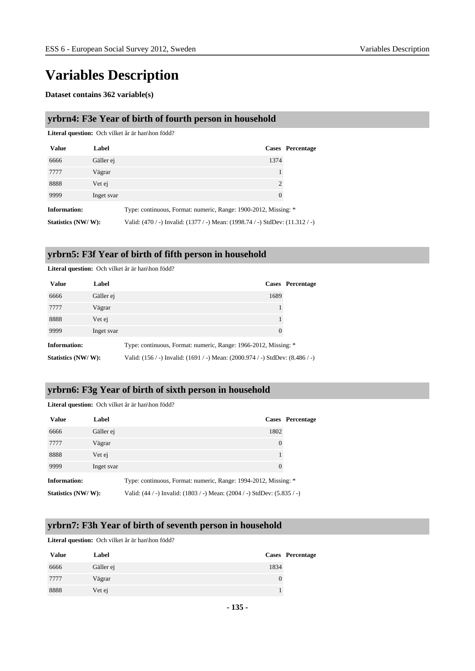# **Variables Description**

**Dataset contains 362 variable(s)**

#### **yrbrn4: F3e Year of birth of fourth person in household**

**Literal question:** Och vilket år är han\hon född?

| <b>Value</b>        | Label      |                                                                               | Cases Percentage |
|---------------------|------------|-------------------------------------------------------------------------------|------------------|
| 6666                | Gäller ej  | 1374                                                                          |                  |
| 7777                | Vägrar     |                                                                               |                  |
| 8888                | Vet ej     | 2                                                                             |                  |
| 9999                | Inget svar | $\theta$                                                                      |                  |
| <b>Information:</b> |            | Type: continuous, Format: numeric, Range: 1900-2012, Missing: *               |                  |
| Statistics (NW/W):  |            | Valid: (470 / -) Invalid: (1377 / -) Mean: (1998.74 / -) StdDev: (11.312 / -) |                  |

# **yrbrn5: F3f Year of birth of fifth person in household**

**Literal question:** Och vilket år är han\hon född?

| <b>Value</b>        | Label      |                                                                                   | Cases Percentage |
|---------------------|------------|-----------------------------------------------------------------------------------|------------------|
| 6666                | Gäller ei  | 1689                                                                              |                  |
| 7777                | Vägrar     |                                                                                   |                  |
| 8888                | Vet ej     |                                                                                   |                  |
| 9999                | Inget svar | 0                                                                                 |                  |
| <b>Information:</b> |            | Type: continuous, Format: numeric, Range: 1966-2012, Missing: *                   |                  |
| Statistics (NW/W):  |            | Valid: $(156/$ -) Invalid: $(1691/$ -) Mean: $(2000.974/$ -) StdDev: $(8.486/$ -) |                  |

#### **yrbrn6: F3g Year of birth of sixth person in household**

**Literal question:** Och vilket år är han\hon född?

| <b>Value</b>        | Label      |                                                                          | <b>Cases</b> Percentage |
|---------------------|------------|--------------------------------------------------------------------------|-------------------------|
| 6666                | Gäller ej  | 1802                                                                     |                         |
| 7777                | Vägrar     | $\theta$                                                                 |                         |
| 8888                | Vet ej     |                                                                          |                         |
| 9999                | Inget svar | $\Omega$                                                                 |                         |
| <b>Information:</b> |            | Type: continuous, Format: numeric, Range: 1994-2012, Missing: *          |                         |
| Statistics (NW/W):  |            | Valid: (44 / -) Invalid: (1803 / -) Mean: (2004 / -) StdDev: (5.835 / -) |                         |

#### **yrbrn7: F3h Year of birth of seventh person in household**

Literal question: Och vilket år är han\hon född?

| <b>Value</b> | Label     |      | Cases Percentage |
|--------------|-----------|------|------------------|
| 6666         | Gäller ej | 1834 |                  |
| 7777         | Vägrar    | U    |                  |
| 8888         | Vet ej    |      |                  |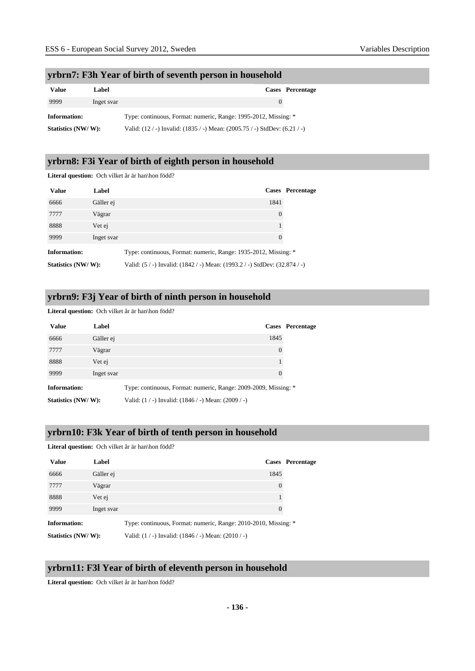#### **yrbrn7: F3h Year of birth of seventh person in household**

| Value               | Label      |                                                                                    | Cases Percentage |
|---------------------|------------|------------------------------------------------------------------------------------|------------------|
| 9999                | Inget svar | $\theta$                                                                           |                  |
| <b>Information:</b> |            | Type: continuous, Format: numeric, Range: 1995-2012, Missing: *                    |                  |
| Statistics (NW/W):  |            | Valid: $(12 / -)$ Invalid: $(1835 / -)$ Mean: $(2005.75 / -)$ StdDev: $(6.21 / -)$ |                  |

#### **yrbrn8: F3i Year of birth of eighth person in household**

**Literal question:** Och vilket år är han\hon född?

| <b>Value</b>        | Label      |                                                                            | <b>Cases</b> Percentage |  |
|---------------------|------------|----------------------------------------------------------------------------|-------------------------|--|
| 6666                | Gäller ej  | 1841                                                                       |                         |  |
| 7777                | Vägrar     | $\overline{0}$                                                             |                         |  |
| 8888                | Vet ej     |                                                                            |                         |  |
| 9999                | Inget svar | $\Omega$                                                                   |                         |  |
| <b>Information:</b> |            | Type: continuous, Format: numeric, Range: 1935-2012, Missing: *            |                         |  |
| Statistics (NW/W):  |            | Valid: (5 / -) Invalid: (1842 / -) Mean: (1993.2 / -) StdDev: (32.874 / -) |                         |  |

#### **yrbrn9: F3j Year of birth of ninth person in household**

#### Literal question: Och vilket år är han\hon född?

| <b>Value</b>        | Label      |                                                                 | Cases Percentage |
|---------------------|------------|-----------------------------------------------------------------|------------------|
| 6666                | Gäller ej  | 1845                                                            |                  |
| 7777                | Vägrar     | 0                                                               |                  |
| 8888                | Vet ej     |                                                                 |                  |
| 9999                | Inget svar | 0                                                               |                  |
| <b>Information:</b> |            | Type: continuous, Format: numeric, Range: 2009-2009, Missing: * |                  |
| Statistics (NW/W):  |            | Valid: $(1/-)$ Invalid: $(1846/-)$ Mean: $(2009/-)$             |                  |

#### **yrbrn10: F3k Year of birth of tenth person in household**

Literal question: Och vilket år är han\hon född?

| <b>Value</b>        | Label      |                                                                 | Cases Percentage |
|---------------------|------------|-----------------------------------------------------------------|------------------|
| 6666                | Gäller ej  | 1845                                                            |                  |
| 7777                | Vägrar     | 0                                                               |                  |
| 8888                | Vet ej     |                                                                 |                  |
| 9999                | Inget svar | 0                                                               |                  |
| <b>Information:</b> |            | Type: continuous, Format: numeric, Range: 2010-2010, Missing: * |                  |
| Statistics (NW/W):  |            | Valid: $(1/-)$ Invalid: $(1846/-)$ Mean: $(2010/-)$             |                  |

#### **yrbrn11: F3l Year of birth of eleventh person in household**

Literal question: Och vilket år är han\hon född?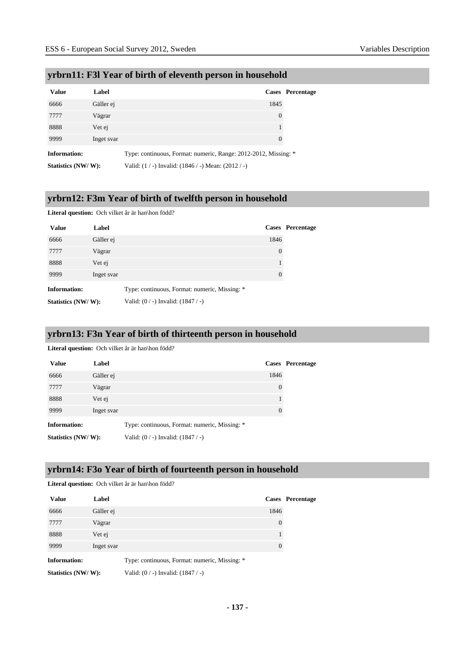| <b>Value</b>        | Label      |                                                                 | Cases Percentage |
|---------------------|------------|-----------------------------------------------------------------|------------------|
| 6666                | Gäller ej  | 1845                                                            |                  |
| 7777                | Vägrar     | $\theta$                                                        |                  |
| 8888                | Vet ej     |                                                                 |                  |
| 9999                | Inget svar | $\theta$                                                        |                  |
| <b>Information:</b> |            | Type: continuous, Format: numeric, Range: 2012-2012, Missing: * |                  |

#### **yrbrn11: F3l Year of birth of eleventh person in household**

**Statistics (NW/ W):** Valid: (1/-) Invalid: (1846/-) Mean: (2012/-)

# **yrbrn12: F3m Year of birth of twelfth person in household**

#### **Literal question:** Och vilket år är han\hon född?

| <b>Value</b>        | Label      |                                               |          | <b>Cases</b> Percentage |
|---------------------|------------|-----------------------------------------------|----------|-------------------------|
| 6666                | Gäller ej  |                                               | 1846     |                         |
| 7777                | Vägrar     |                                               | 0        |                         |
| 8888                | Vet ej     |                                               |          |                         |
| 9999                | Inget svar |                                               | $\theta$ |                         |
| <b>Information:</b> |            | Type: continuous, Format: numeric, Missing: * |          |                         |
| Statistics (NW/W):  |            | Valid: $(0/-)$ Invalid: $(1847/-)$            |          |                         |

#### **yrbrn13: F3n Year of birth of thirteenth person in household**

Literal question: Och vilket år är han\hon född?

Literal question: Och vilket år är han\hon född?

| <b>Value</b>        | Label      |                                               |          | <b>Cases</b> Percentage |
|---------------------|------------|-----------------------------------------------|----------|-------------------------|
| 6666                | Gäller ej  |                                               | 1846     |                         |
| 7777                | Vägrar     |                                               | $\theta$ |                         |
| 8888                | Vet ej     |                                               |          |                         |
| 9999                | Inget svar |                                               | $\theta$ |                         |
| <b>Information:</b> |            | Type: continuous, Format: numeric, Missing: * |          |                         |
| Statistics (NW/W):  |            | Valid: $(0/-)$ Invalid: $(1847/-)$            |          |                         |

#### **yrbrn14: F3o Year of birth of fourteenth person in household**

| <b>Value</b>        | Label      |                                               |          | <b>Cases</b> Percentage |
|---------------------|------------|-----------------------------------------------|----------|-------------------------|
| 6666                | Gäller ej  |                                               | 1846     |                         |
| 7777                | Vägrar     |                                               | 0        |                         |
| 8888                | Vet ej     |                                               |          |                         |
| 9999                | Inget svar |                                               | $\theta$ |                         |
| <b>Information:</b> |            | Type: continuous, Format: numeric, Missing: * |          |                         |
| Statistics (NW/W):  |            | Valid: $(0/-)$ Invalid: $(1847/-)$            |          |                         |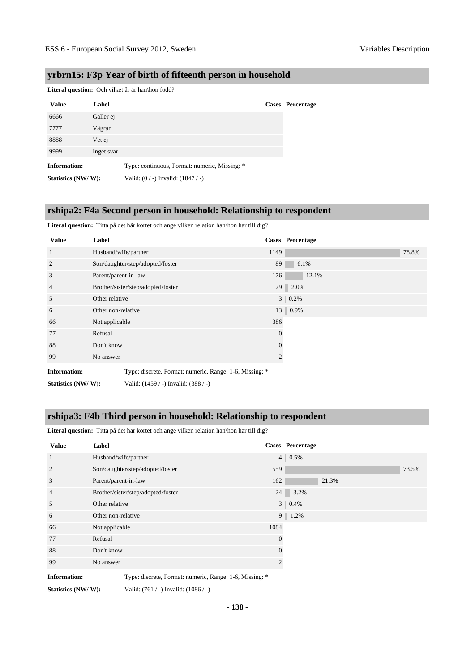#### **yrbrn15: F3p Year of birth of fifteenth person in household**

**Literal question:** Och vilket år är han\hon född?

| <b>Value</b>        | Label      |                                               | <b>Cases</b> Percentage |
|---------------------|------------|-----------------------------------------------|-------------------------|
| 6666                | Gäller ej  |                                               |                         |
| 7777                | Vägrar     |                                               |                         |
| 8888                | Vet ej     |                                               |                         |
| 9999                | Inget svar |                                               |                         |
| <b>Information:</b> |            | Type: continuous, Format: numeric, Missing: * |                         |
| Statistics (NW/W):  |            | Valid: $(0/-)$ Invalid: $(1847/-)$            |                         |

#### **rshipa2: F4a Second person in household: Relationship to respondent**

Literal question: Titta på det här kortet och ange vilken relation han\hon har till dig?

| <b>Value</b>        | Label                |                                                         |                 | <b>Cases</b> Percentage |
|---------------------|----------------------|---------------------------------------------------------|-----------------|-------------------------|
| 1                   | Husband/wife/partner |                                                         | 1149            | 78.8%                   |
| 2                   |                      | Son/daughter/step/adopted/foster                        | 89              | 6.1%                    |
| 3                   | Parent/parent-in-law |                                                         | 176             | 12.1%                   |
| $\overline{4}$      |                      | Brother/sister/step/adopted/foster                      |                 | 29 2.0%                 |
| 5                   | Other relative       |                                                         | 3 <sup>1</sup>  | 0.2%                    |
| 6                   | Other non-relative   |                                                         | 13 <sup>1</sup> | $  0.9\%$               |
| 66                  | Not applicable       |                                                         | 386             |                         |
| 77                  | Refusal              |                                                         | 0               |                         |
| 88                  | Don't know           |                                                         | $\overline{0}$  |                         |
| 99                  | No answer            |                                                         | 2               |                         |
| <b>Information:</b> |                      | Type: discrete, Format: numeric, Range: 1-6, Missing: * |                 |                         |
| Statistics (NW/W):  |                      | Valid: (1459 / -) Invalid: (388 / -)                    |                 |                         |

#### **rshipa3: F4b Third person in household: Relationship to respondent**

Literal question: Titta på det här kortet och ange vilken relation han\hon har till dig?

| <b>Value</b>                                                    | Label                                                                                                    |                | Cases Percentage |
|-----------------------------------------------------------------|----------------------------------------------------------------------------------------------------------|----------------|------------------|
| -1                                                              | Husband/wife/partner                                                                                     | 4 <sup>1</sup> | 0.5%             |
| $\overline{2}$                                                  | Son/daughter/step/adopted/foster                                                                         | 559            | 73.5%            |
| 3                                                               | Parent/parent-in-law                                                                                     | 162            | 21.3%            |
| $\overline{4}$                                                  | Brother/sister/step/adopted/foster                                                                       | 24             | 3.2%             |
| 5                                                               | Other relative                                                                                           | 3 <sup>1</sup> | 0.4%             |
| 6                                                               | Other non-relative                                                                                       | 9 <sup>1</sup> | 1.2%             |
| 66                                                              | Not applicable                                                                                           | 1084           |                  |
| 77                                                              | Refusal                                                                                                  | $\theta$       |                  |
| 88                                                              | Don't know                                                                                               | $\mathbf{0}$   |                  |
| 99                                                              | No answer                                                                                                | 2              |                  |
| $\mathbf{L} \cdot \mathbf{R}$ and $\mathbf{L} \cdot \mathbf{R}$ | $T_{\text{max}}$ . Hence, $T_{\text{max}}$ , and $T_{\text{max}}$ , $T_{\text{max}}$ of $T_{\text{max}}$ |                |                  |

**Information:** Type: discrete, Format: numeric, Range: 1-6, Missing:

**Statistics (NW/ W):** Valid: (761 / -) Invalid: (1086 / -)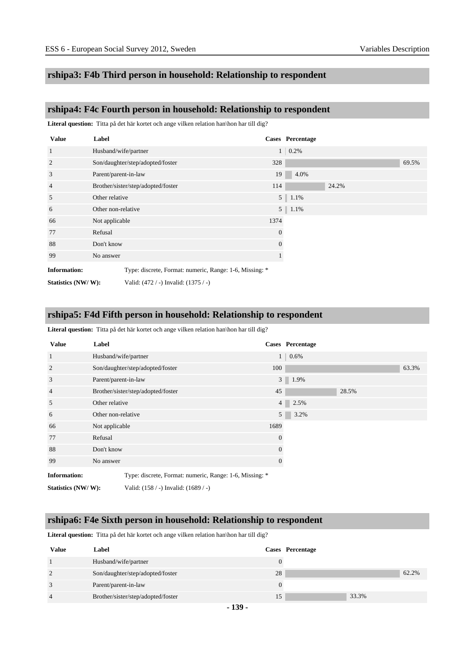#### **rshipa3: F4b Third person in household: Relationship to respondent**

#### **rshipa4: F4c Fourth person in household: Relationship to respondent**

Literal question: Titta på det här kortet och ange vilken relation han\hon har till dig?

| <b>Value</b>        | Label                |                                                         |          | <b>Cases</b> Percentage |  |
|---------------------|----------------------|---------------------------------------------------------|----------|-------------------------|--|
| 1                   | Husband/wife/partner |                                                         |          | 0.2%<br>1 <sup>1</sup>  |  |
| $\overline{2}$      |                      | Son/daughter/step/adopted/foster                        | 328      | 69.5%                   |  |
| 3                   | Parent/parent-in-law |                                                         | 19       | 4.0%                    |  |
| 4                   |                      | Brother/sister/step/adopted/foster                      | 114      | 24.2%                   |  |
| 5                   | Other relative       |                                                         |          | $5 \mid 1.1\%$          |  |
| 6                   | Other non-relative   |                                                         |          | $5 \t1.1\%$             |  |
| 66                  | Not applicable       |                                                         | 1374     |                         |  |
| 77                  | Refusal              |                                                         | $\theta$ |                         |  |
| 88                  | Don't know           |                                                         | $\theta$ |                         |  |
| 99                  | No answer            |                                                         |          |                         |  |
| <b>Information:</b> |                      | Type: discrete, Format: numeric, Range: 1-6, Missing: * |          |                         |  |
| Statistics (NW/W):  |                      | Valid: (472 / -) Invalid: (1375 / -)                    |          |                         |  |

#### **rshipa5: F4d Fifth person in household: Relationship to respondent**

Literal question: Titta på det här kortet och ange vilken relation han\hon har till dig?

| <b>Value</b>        | Label                |                                                         |                | <b>Cases</b> Percentage |       |       |
|---------------------|----------------------|---------------------------------------------------------|----------------|-------------------------|-------|-------|
| $\mathbf{1}$        | Husband/wife/partner |                                                         | 1 <sup>1</sup> | 0.6%                    |       |       |
| 2                   |                      | Son/daughter/step/adopted/foster                        | 100            |                         |       | 63.3% |
| 3                   | Parent/parent-in-law |                                                         |                | $3 \mid 1.9\%$          |       |       |
| $\overline{4}$      |                      | Brother/sister/step/adopted/foster                      | 45             |                         | 28.5% |       |
| 5                   | Other relative       |                                                         | 4 <sup>1</sup> | 2.5%                    |       |       |
| 6                   | Other non-relative   |                                                         | 5 <sup>1</sup> | 3.2%                    |       |       |
| 66                  | Not applicable       |                                                         | 1689           |                         |       |       |
| 77                  | Refusal              |                                                         | $\Omega$       |                         |       |       |
| 88                  | Don't know           |                                                         | $\Omega$       |                         |       |       |
| 99                  | No answer            |                                                         | $\mathbf{0}$   |                         |       |       |
| <b>Information:</b> |                      | Type: discrete, Format: numeric, Range: 1-6, Missing: * |                |                         |       |       |
| Statistics (NW/W):  |                      | Valid: (158 / -) Invalid: (1689 / -)                    |                |                         |       |       |

#### **rshipa6: F4e Sixth person in household: Relationship to respondent**

Literal question: Titta på det här kortet och ange vilken relation han\hon har till dig?

| Value          | Label                              |    | Cases Percentage |
|----------------|------------------------------------|----|------------------|
|                | Husband/wife/partner               |    |                  |
| 2              | Son/daughter/step/adopted/foster   | 28 | 62.2%            |
| 3              | Parent/parent-in-law               |    |                  |
| $\overline{4}$ | Brother/sister/step/adopted/foster | 15 | 33.3%            |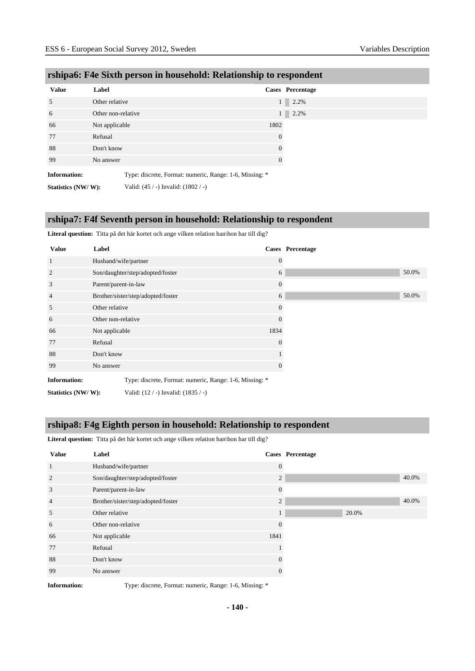| <b>Value</b>        | Label                                                   | Cases Percentage |
|---------------------|---------------------------------------------------------|------------------|
| 5                   | Other relative                                          | $1 \square$      |
| 6                   | Other non-relative                                      | $1 \square$      |
| 66                  | Not applicable                                          | 1802             |
| 77                  | Refusal                                                 | $\boldsymbol{0}$ |
| 88                  | Don't know                                              | $\boldsymbol{0}$ |
| 99                  | No answer                                               | $\overline{0}$   |
| <b>Information:</b> | Type: discrete, Format: numeric, Range: 1-6, Missing: * |                  |
| Statistics (NW/W):  | Valid: $(45 / -)$ Invalid: $(1802 / -)$                 |                  |

# **rshipa6: F4e Sixth person in household: Relationship to respondent**

#### **rshipa7: F4f Seventh person in household: Relationship to respondent**

Literal question: Titta på det här kortet och ange vilken relation han\hon har till dig?

| <b>Value</b>        | Label                |                                                         |                  | <b>Cases</b> Percentage |
|---------------------|----------------------|---------------------------------------------------------|------------------|-------------------------|
| $\mathbf{1}$        | Husband/wife/partner |                                                         | $\overline{0}$   |                         |
| 2                   |                      | Son/daughter/step/adopted/foster                        | 6                |                         |
| 3                   | Parent/parent-in-law |                                                         | $\mathbf{0}$     |                         |
| $\overline{4}$      |                      | Brother/sister/step/adopted/foster                      | 6                |                         |
| 5                   | Other relative       |                                                         | $\boldsymbol{0}$ |                         |
| 6                   | Other non-relative   |                                                         | $\overline{0}$   |                         |
| 66                  | Not applicable       |                                                         | 1834             |                         |
| 77                  | Refusal              |                                                         | 0                |                         |
| 88                  | Don't know           |                                                         |                  |                         |
| 99                  | No answer            |                                                         | 0                |                         |
| <b>Information:</b> |                      | Type: discrete, Format: numeric, Range: 1-6, Missing: * |                  |                         |
| Statistics (NW/W):  |                      | Valid: (12 / -) Invalid: (1835 / -)                     |                  |                         |

#### **rshipa8: F4g Eighth person in household: Relationship to respondent**

**Literal question:** Titta på det här kortet och ange vilken relation han\hon har till dig?

| <b>Value</b>   | Label                              |                | Cases Percentage |
|----------------|------------------------------------|----------------|------------------|
| 1              | Husband/wife/partner               | $\theta$       |                  |
| $\overline{2}$ | Son/daughter/step/adopted/foster   | $\mathfrak{2}$ | 40.0%            |
| 3              | Parent/parent-in-law               | $\overline{0}$ |                  |
| $\overline{4}$ | Brother/sister/step/adopted/foster | $\overline{2}$ | 40.0%            |
| 5              | Other relative                     | 1              | 20.0%            |
| 6              | Other non-relative                 | $\theta$       |                  |
| 66             | Not applicable                     | 1841           |                  |
| 77             | Refusal                            |                |                  |
| 88             | Don't know                         | $\theta$       |                  |
| 99             | No answer                          | 0              |                  |

**Information:** Type: discrete, Format: numeric, Range: 1-6, Missing: \*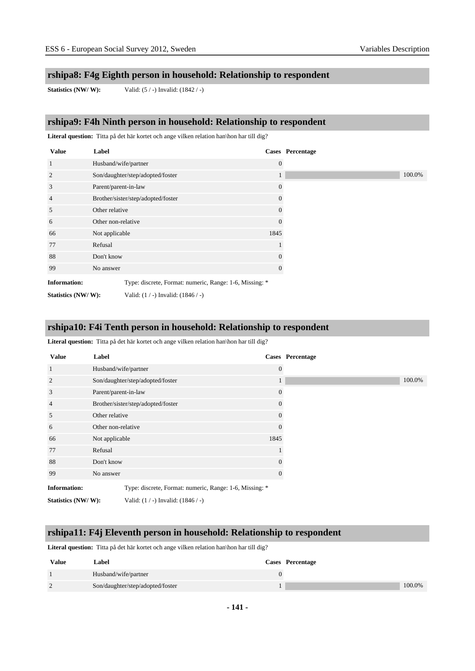#### **rshipa8: F4g Eighth person in household: Relationship to respondent**

**Statistics (NW/ W):** Valid: (5 / -) Invalid: (1842 / -)

# **rshipa9: F4h Ninth person in household: Relationship to respondent**

Literal question: Titta på det här kortet och ange vilken relation han\hon har till dig?

| <b>Value</b>        | Label                |                                                         | Cases Percentage |
|---------------------|----------------------|---------------------------------------------------------|------------------|
| $\mathbf{1}$        | Husband/wife/partner |                                                         | $\Omega$         |
| $\overline{2}$      |                      | Son/daughter/step/adopted/foster                        | $\mathbf{I}$     |
| 3                   | Parent/parent-in-law |                                                         | 0                |
| $\overline{4}$      |                      | Brother/sister/step/adopted/foster                      | 0                |
| 5                   | Other relative       |                                                         | 0                |
| 6                   | Other non-relative   |                                                         | 0                |
| 66                  | Not applicable       |                                                         | 1845             |
| 77                  | Refusal              |                                                         |                  |
| 88                  | Don't know           |                                                         | $\theta$         |
| 99                  | No answer            |                                                         | $\Omega$         |
| <b>Information:</b> |                      | Type: discrete, Format: numeric, Range: 1-6, Missing: * |                  |
| Statistics (NW/W):  |                      | Valid: $(1 / -)$ Invalid: $(1846 / -)$                  |                  |

#### **rshipa10: F4i Tenth person in household: Relationship to respondent**

Literal question: Titta på det här kortet och ange vilken relation han\hon har till dig?

| <b>Value</b>        | Label                |                                                         | <b>Cases</b> Percentage |
|---------------------|----------------------|---------------------------------------------------------|-------------------------|
| -1                  | Husband/wife/partner |                                                         | $\overline{0}$          |
| $\overline{2}$      |                      | Son/daughter/step/adopted/foster                        | 1                       |
| 3                   | Parent/parent-in-law |                                                         | $\overline{0}$          |
| $\overline{4}$      |                      | Brother/sister/step/adopted/foster                      | 0                       |
| 5                   | Other relative       |                                                         | 0                       |
| 6                   | Other non-relative   |                                                         | 0                       |
| 66                  | Not applicable       |                                                         | 1845                    |
| 77                  | Refusal              |                                                         |                         |
| 88                  | Don't know           |                                                         | 0                       |
| 99                  | No answer            |                                                         | 0                       |
| <b>Information:</b> |                      | Type: discrete, Format: numeric, Range: 1-6, Missing: * |                         |
| Statistics (NW/W):  |                      | Valid: $(1 / -)$ Invalid: $(1846 / -)$                  |                         |

#### **rshipa11: F4j Eleventh person in household: Relationship to respondent**

Literal question: Titta på det här kortet och ange vilken relation han\hon har till dig?

| <b>Value</b> | Label                            | Cases Percentage |
|--------------|----------------------------------|------------------|
|              | Husband/wife/partner             |                  |
|              | Son/daughter/step/adopted/foster | 100.0%           |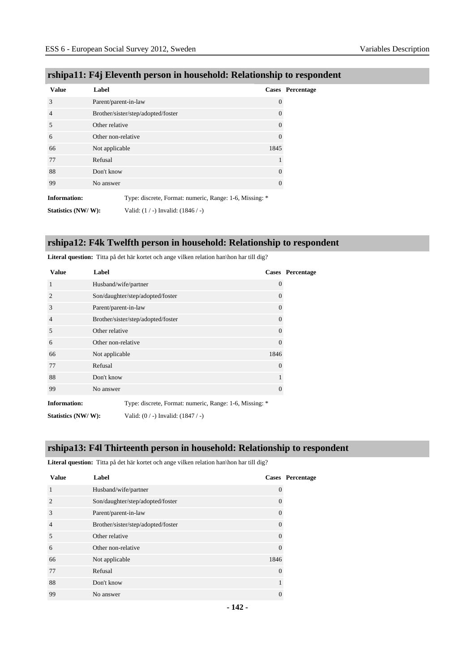| <b>Value</b>        | Label                                                   |          | Cases Percentage |
|---------------------|---------------------------------------------------------|----------|------------------|
| 3                   | Parent/parent-in-law                                    | $\theta$ |                  |
| $\overline{4}$      | Brother/sister/step/adopted/foster                      | $\Omega$ |                  |
| 5                   | Other relative                                          | $\Omega$ |                  |
| 6                   | Other non-relative                                      | $\Omega$ |                  |
| 66                  | Not applicable                                          | 1845     |                  |
| 77                  | Refusal                                                 |          |                  |
| 88                  | Don't know                                              | $\Omega$ |                  |
| 99                  | No answer                                               | $\theta$ |                  |
| <b>Information:</b> | Type: discrete, Format: numeric, Range: 1-6, Missing: * |          |                  |
| Statistics (NW/W):  | Valid: $(1 / -)$ Invalid: $(1846 / -)$                  |          |                  |

# **rshipa11: F4j Eleventh person in household: Relationship to respondent**

# **rshipa12: F4k Twelfth person in household: Relationship to respondent**

Literal question: Titta på det här kortet och ange vilken relation han\hon har till dig?

| <b>Value</b>        | Label                                                   |          | Cases Percentage |
|---------------------|---------------------------------------------------------|----------|------------------|
| 1                   | Husband/wife/partner                                    | $\theta$ |                  |
| $\overline{2}$      | Son/daughter/step/adopted/foster                        | $\Omega$ |                  |
| 3                   | Parent/parent-in-law                                    | $\Omega$ |                  |
| $\overline{4}$      | Brother/sister/step/adopted/foster                      | $\theta$ |                  |
| 5                   | Other relative                                          | $\theta$ |                  |
| 6                   | Other non-relative                                      | $\Omega$ |                  |
| 66                  | Not applicable                                          | 1846     |                  |
| 77                  | Refusal                                                 | $\Omega$ |                  |
| 88                  | Don't know                                              |          |                  |
| 99                  | No answer                                               | $\theta$ |                  |
| <b>Information:</b> | Type: discrete, Format: numeric, Range: 1-6, Missing: * |          |                  |
| Statistics (NW/W):  | Valid: $(0/-)$ Invalid: $(1847/-)$                      |          |                  |

#### **rshipa13: F4l Thirteenth person in household: Relationship to respondent**

Literal question: Titta på det här kortet och ange vilken relation han\hon har till dig?

| <b>Value</b>   | Label                              |          | Cases Percentage |
|----------------|------------------------------------|----------|------------------|
| 1              | Husband/wife/partner               | $\left($ |                  |
| $\overline{2}$ | Son/daughter/step/adopted/foster   | $\left($ |                  |
| 3              | Parent/parent-in-law               | $\left($ |                  |
| $\overline{4}$ | Brother/sister/step/adopted/foster | $\Omega$ |                  |
| 5              | Other relative                     | $\left($ |                  |
| 6              | Other non-relative                 | $\Omega$ |                  |
| 66             | Not applicable                     | 1846     |                  |
| 77             | Refusal                            | $\Omega$ |                  |
| 88             | Don't know                         |          |                  |
| 99             | No answer                          |          |                  |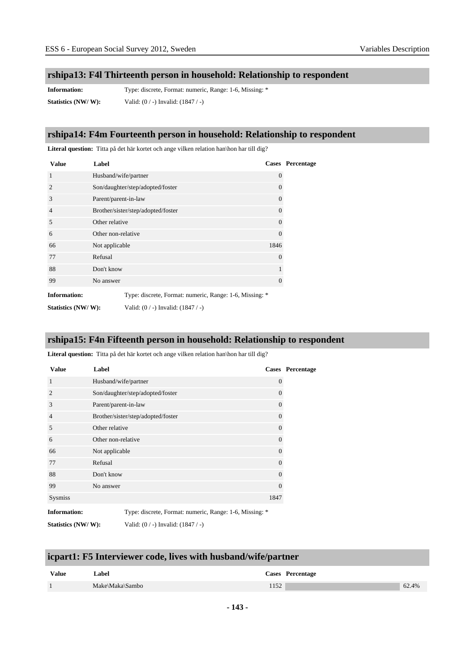# **rshipa13: F4l Thirteenth person in household: Relationship to respondent**

**Information:** Type: discrete, Format: numeric, Range: 1-6, Missing: \* **Statistics (NW/ W):** Valid: (0 / -) Invalid: (1847 / -)

#### **rshipa14: F4m Fourteenth person in household: Relationship to respondent**

Literal question: Titta på det här kortet och ange vilken relation han\hon har till dig?

| <b>Value</b>        | Label                                                   |          | <b>Cases</b> Percentage |
|---------------------|---------------------------------------------------------|----------|-------------------------|
| 1                   | Husband/wife/partner                                    | $\theta$ |                         |
| $\overline{2}$      | Son/daughter/step/adopted/foster                        | $\theta$ |                         |
| 3                   | Parent/parent-in-law                                    | $\Omega$ |                         |
| $\overline{4}$      | Brother/sister/step/adopted/foster                      | $\theta$ |                         |
| 5                   | Other relative                                          | $\theta$ |                         |
| 6                   | Other non-relative                                      | $\Omega$ |                         |
| 66                  | Not applicable                                          | 1846     |                         |
| 77                  | Refusal                                                 | $\Omega$ |                         |
| 88                  | Don't know                                              |          |                         |
| 99                  | No answer                                               | $\Omega$ |                         |
| <b>Information:</b> | Type: discrete, Format: numeric, Range: 1-6, Missing: * |          |                         |
| Statistics (NW/W):  | Valid: $(0/-)$ Invalid: $(1847/-)$                      |          |                         |

#### **rshipa15: F4n Fifteenth person in household: Relationship to respondent**

Literal question: Titta på det här kortet och ange vilken relation han\hon har till dig?

| <b>Value</b>        | Label                                                   |          | Cases Percentage |
|---------------------|---------------------------------------------------------|----------|------------------|
| $\mathbf{1}$        | Husband/wife/partner                                    | $\Omega$ |                  |
| $\overline{2}$      | Son/daughter/step/adopted/foster                        | $\theta$ |                  |
| 3                   | Parent/parent-in-law                                    | $\Omega$ |                  |
| $\overline{4}$      | Brother/sister/step/adopted/foster                      | $\Omega$ |                  |
| 5                   | Other relative                                          | 0        |                  |
| 6                   | Other non-relative                                      | 0        |                  |
| 66                  | Not applicable                                          | $\Omega$ |                  |
| 77                  | Refusal                                                 | $\theta$ |                  |
| 88                  | Don't know                                              | $\Omega$ |                  |
| 99                  | No answer                                               | $\Omega$ |                  |
| Sysmiss             |                                                         | 1847     |                  |
| <b>Information:</b> | Type: discrete, Format: numeric, Range: 1-6, Missing: * |          |                  |

**Statistics (NW/ W):** Valid: (0 / -) Invalid: (1847 / -)

# **icpart1: F5 Interviewer code, lives with husband/wife/partner**

| <b>Value</b> | Label           | Cases Percentage |       |
|--------------|-----------------|------------------|-------|
|              | Make\Maka\Sambo | 152              | 62.4% |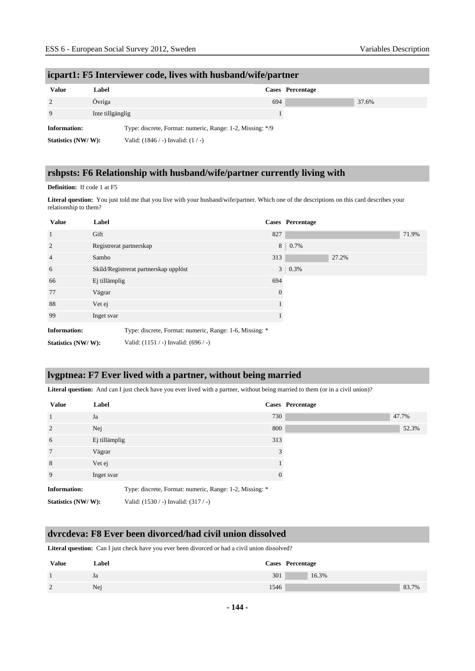# **icpart1: F5 Interviewer code, lives with husband/wife/partner Value Label Cases Percentage** 2 Övriga  $\frac{1}{2}$  Övriga  $\frac{1}{2}$   $\frac{1}{2}$   $\frac{1}{2}$   $\frac{1}{2}$   $\frac{1}{2}$   $\frac{1}{2}$   $\frac{1}{2}$   $\frac{1}{2}$   $\frac{1}{2}$   $\frac{1}{2}$   $\frac{1}{2}$   $\frac{1}{2}$   $\frac{1}{2}$   $\frac{1}{2}$   $\frac{1}{2}$   $\frac{1}{2}$   $\frac{1}{2}$   $\frac{1}{2}$   $\frac{1}{2}$   $\frac{1$ 9 Inte tillgänglig 1 **Information:** Type: discrete, Format: numeric, Range: 1-2, Missing: \*/9 **Statistics (NW/ W):** Valid: (1846 / -) Invalid: (1 / -)

# **rshpsts: F6 Relationship with husband/wife/partner currently living with**

#### **Definition:** If code 1 at F5

Literal question: You just told me that you live with your husband/wife/partner. Which one of the descriptions on this card describes your relationship to them?

| <b>Value</b>        | Label         |                                                         |          | Cases Percentage |       |       |
|---------------------|---------------|---------------------------------------------------------|----------|------------------|-------|-------|
| 1                   | Gift          |                                                         | 827      |                  |       | 71.9% |
| $\overline{2}$      |               | Registrerat partnerskap                                 | 8        | 0.7%             |       |       |
| $\overline{4}$      | Sambo         |                                                         | 313      |                  | 27.2% |       |
| 6                   |               | Skild/Registrerat partnerskap upplöst                   |          | $3 \mid 0.3\%$   |       |       |
| 66                  | Ej tillämplig |                                                         | 694      |                  |       |       |
| 77                  | Vägrar        |                                                         | $\Omega$ |                  |       |       |
| 88                  | Vet ej        |                                                         |          |                  |       |       |
| 99                  | Inget svar    |                                                         |          |                  |       |       |
| <b>Information:</b> |               | Type: discrete, Format: numeric, Range: 1-6, Missing: * |          |                  |       |       |
| Statistics (NW/W):  |               | Valid: $(1151 / -)$ Invalid: $(696 / -)$                |          |                  |       |       |

#### **lvgptnea: F7 Ever lived with a partner, without being married**

Literal question: And can I just check have you ever lived with a partner, without being married to them (or in a civil union)?

| <b>Value</b>        | Label         |                                                         |          | Cases Percentage |
|---------------------|---------------|---------------------------------------------------------|----------|------------------|
| $\overline{1}$      | Ja            |                                                         | 730      | 47.7%            |
| 2                   | Nej           |                                                         | 800      | 52.3%            |
| 6                   | Ej tillämplig |                                                         | 313      |                  |
| $7\phantom{.0}$     | Vägrar        |                                                         |          |                  |
| 8                   | Vet ej        |                                                         |          |                  |
| 9                   | Inget svar    |                                                         | $\Omega$ |                  |
| <b>Information:</b> |               | Type: discrete, Format: numeric, Range: 1-2, Missing: * |          |                  |
| Statistics (NW/W):  |               | Valid: (1530 / -) Invalid: (317 / -)                    |          |                  |

#### **dvrcdeva: F8 Ever been divorced/had civil union dissolved**

Literal question: Can I just check have you ever been divorced or had a civil union dissolved?

| <b>Value</b>    | Label | <b>Cases</b> Percentage |
|-----------------|-------|-------------------------|
|                 | Ja    | 301<br>16.3%            |
| $\bigcirc$<br>∸ | Nej   | 83.7%<br>1546           |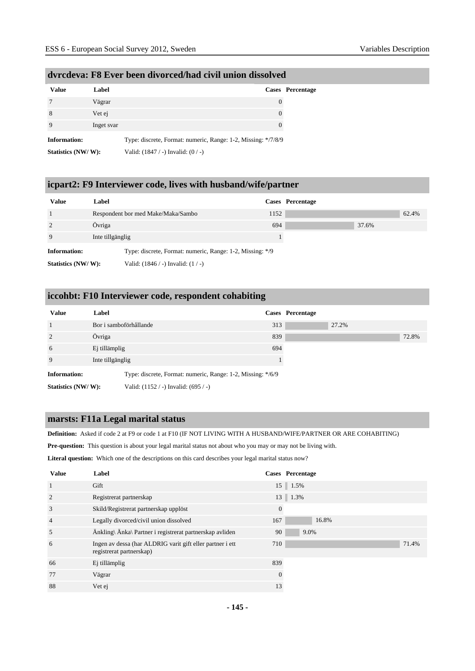| <b>Value</b>        | Label      |                                                               | Cases Percentage |
|---------------------|------------|---------------------------------------------------------------|------------------|
|                     | Vägrar     | $\theta$                                                      |                  |
| 8                   | Vet ej     | $\theta$                                                      |                  |
|                     | Inget svar | $\theta$                                                      |                  |
| <b>Information:</b> |            | Type: discrete, Format: numeric, Range: 1-2, Missing: */7/8/9 |                  |
| Statistics (NW/W):  |            | Valid: $(1847 / -)$ Invalid: $(0 / -)$                        |                  |

#### **dvrcdeva: F8 Ever been divorced/had civil union dissolved**

### **icpart2: F9 Interviewer code, lives with husband/wife/partner**

| <b>Value</b>        | Label                                                     |      | Cases Percentage |       |
|---------------------|-----------------------------------------------------------|------|------------------|-------|
|                     | Respondent bor med Make/Maka/Sambo                        | 1152 |                  | 62.4% |
| 2                   | Övriga                                                    | 694  | 37.6%            |       |
| 9                   | Inte tillgänglig                                          |      |                  |       |
| <b>Information:</b> | Type: discrete, Format: numeric, Range: 1-2, Missing: */9 |      |                  |       |
| Statistics (NW/W):  | Valid: $(1846 / -)$ Invalid: $(1 / -)$                    |      |                  |       |

### **iccohbt: F10 Interviewer code, respondent cohabiting**

| <b>Value</b>        | Label                                                       |     | Cases Percentage |       |
|---------------------|-------------------------------------------------------------|-----|------------------|-------|
|                     | Bor i samboförhållande                                      | 313 | 27.2%            |       |
| $\overline{2}$      | Övriga                                                      | 839 |                  | 72.8% |
| 6                   | Ej tillämplig                                               | 694 |                  |       |
| 9                   | Inte tillgänglig                                            |     |                  |       |
| <b>Information:</b> | Type: discrete, Format: numeric, Range: 1-2, Missing: */6/9 |     |                  |       |
| Statistics (NW/W):  | Valid: $(1152 / -)$ Invalid: $(695 / -)$                    |     |                  |       |

#### **marsts: F11a Legal marital status**

**Definition:** Asked if code 2 at F9 or code 1 at F10 (IF NOT LIVING WITH A HUSBAND/WIFE/PARTNER OR ARE COHABITING)

**Pre-question:** This question is about your legal marital status not about who you may or may not be living with.

**Literal question:** Which one of the descriptions on this card describes your legal marital status now?

| <b>Value</b>   | Label                                                                                 | <b>Cases</b> Percentage |  |
|----------------|---------------------------------------------------------------------------------------|-------------------------|--|
| $\overline{1}$ | Gift                                                                                  | 15 1.5%                 |  |
| $\overline{2}$ | Registrerat partnerskap                                                               | $13 \parallel 1.3\%$    |  |
| 3              | Skild/Registrerat partnerskap upplöst                                                 | $\theta$                |  |
| $\overline{4}$ | Legally divorced/civil union dissolved                                                | 16.8%<br>167            |  |
| 5              | Änkling\ Änka\ Partner i registrerat partnerskap avliden                              | 90<br>9.0%              |  |
| 6              | Ingen av dessa (har ALDRIG varit gift eller partner i ett<br>registrerat partnerskap) | 710<br>71.4%            |  |
| 66             | Ej tillämplig                                                                         | 839                     |  |
| 77             | Vägrar                                                                                | $\theta$                |  |
| 88             | Vet ej                                                                                | 13                      |  |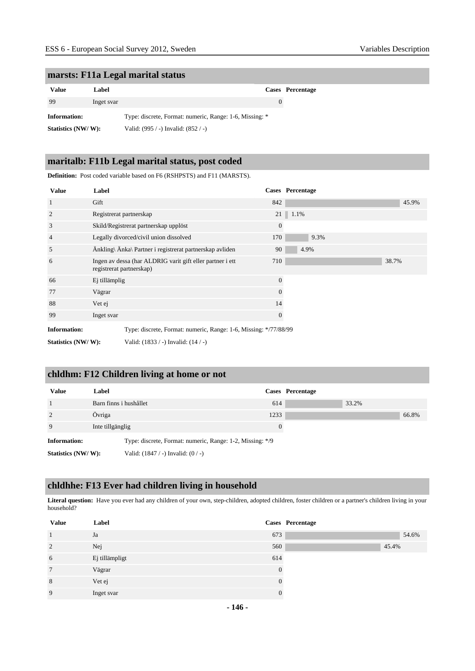#### **marsts: F11a Legal marital status**

| Value              | Label      |                                                         | Cases Percentage |
|--------------------|------------|---------------------------------------------------------|------------------|
| 99                 | Inget svar | $\theta$                                                |                  |
| Information:       |            | Type: discrete, Format: numeric, Range: 1-6, Missing: * |                  |
| Statistics (NW/W): |            | Valid: $(995 / -)$ Invalid: $(852 / -)$                 |                  |

#### **maritalb: F11b Legal marital status, post coded**

**Definition:** Post coded variable based on F6 (RSHPSTS) and F11 (MARSTS). **Value Label Cases Percentage** 1 Gift 642  $\frac{1}{2}$  Gift 65.9% and  $\frac{1}{2}$  642  $\frac{1}{2}$  642  $\frac{1}{2}$  645.9% and  $\frac{1}{2}$  65.9% and  $\frac{1}{2}$  65.9% and  $\frac{1}{2}$  65.9% and  $\frac{1}{2}$  65.9% and  $\frac{1}{2}$  65.9% and  $\frac{1}{2}$  65.9% and  $\frac{1}{2}$  65.9% 2 Registrerat partnerskap 21 | 1.1% 3 Skild/Registrerat partnerskap upplöst 0 4 Legally divorced/civil union dissolved 170 9.3% 5 Änkling\ Änka\ Partner i registrerat partnerskap avliden 90 4.9% 6 Ingen av dessa (har ALDRIG varit gift eller partner i ett registrerat partnerskap) 710 38.7% 66 Ej tillämplig 0 77 Vägrar 0 88 Vet ej tiet van die 14de eeu n.C. In 14de eeu n.C. In 14de eeu n.C. In 14de eeu n.C. In 14de eeu n.C. In 14 99 Inget svar 0 **Information:** Type: discrete, Format: numeric, Range: 1-6, Missing: \*/77/88/99 **Statistics (NW/ W):** Valid: (1833 / -) Invalid: (14 / -)

#### **chldhm: F12 Children living at home or not**

| <b>Value</b>        | Label                  |                                                           |          | Cases Percentage |       |       |
|---------------------|------------------------|-----------------------------------------------------------|----------|------------------|-------|-------|
|                     | Barn finns i hushållet |                                                           | 614      |                  | 33.2% |       |
| 2                   | Övriga                 |                                                           | 1233     |                  |       | 66.8% |
| 9                   | Inte tillgänglig       |                                                           | $\Omega$ |                  |       |       |
| <b>Information:</b> |                        | Type: discrete, Format: numeric, Range: 1-2, Missing: */9 |          |                  |       |       |
| Statistics (NW/W):  |                        | Valid: $(1847 / -)$ Invalid: $(0 / -)$                    |          |                  |       |       |

#### **chldhhe: F13 Ever had children living in household**

Literal question: Have you ever had any children of your own, step-children, adopted children, foster children or a partner's children living in your household?

| <b>Value</b>    | Label          |     | Cases Percentage |
|-----------------|----------------|-----|------------------|
|                 | Ja             | 673 | 54.6%            |
| 2               | Nej            | 560 | 45.4%            |
| 6               | Ej tillämpligt | 614 |                  |
| $7\phantom{.0}$ | Vägrar         |     |                  |
| 8               | Vet ej         |     |                  |
| 9               | Inget svar     |     |                  |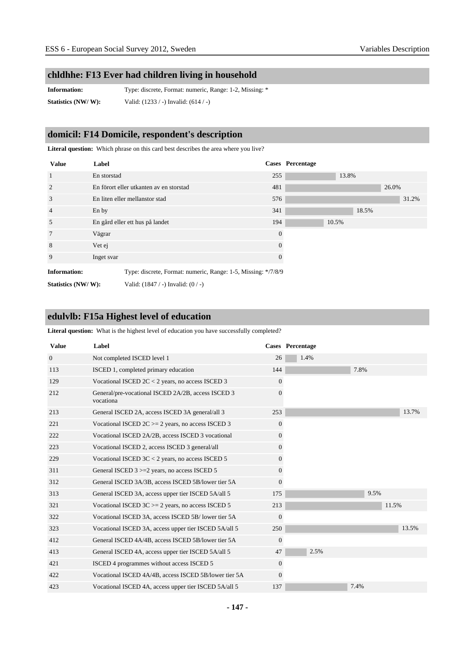#### **chldhhe: F13 Ever had children living in household**

**Information:** Type: discrete, Format: numeric, Range: 1-2, Missing: \* **Statistics (NW/ W):** Valid: (1233 / -) Invalid: (614 / -)

### **domicil: F14 Domicile, respondent's description**

**Literal question:** Which phrase on this card best describes the area where you live?

| <b>Value</b>        | Label                                                         |          | <b>Cases</b> Percentage |       |
|---------------------|---------------------------------------------------------------|----------|-------------------------|-------|
| <sup>1</sup>        | En storstad                                                   | 255      | 13.8%                   |       |
| 2                   | En förort eller utkanten av en storstad                       | 481      |                         | 26.0% |
| 3                   | En liten eller mellanstor stad                                | 576      |                         | 31.2% |
| $\overline{4}$      | En by                                                         | 341      |                         | 18.5% |
| 5                   | En gård eller ett hus på landet                               | 194      | 10.5%                   |       |
| $7\phantom{.0}$     | Vägrar                                                        | $\theta$ |                         |       |
| 8                   | Vet ej                                                        | 0        |                         |       |
| 9                   | Inget svar                                                    | 0        |                         |       |
| <b>Information:</b> | Type: discrete, Format: numeric, Range: 1-5, Missing: */7/8/9 |          |                         |       |
| Statistics (NW/W):  | Valid: $(1847 / -)$ Invalid: $(0 / -)$                        |          |                         |       |

#### **edulvlb: F15a Highest level of education**

**Literal question:** What is the highest level of education you have successfully completed?

| <b>Value</b>   | Label                                                           |                  | <b>Cases</b> Percentage |       |
|----------------|-----------------------------------------------------------------|------------------|-------------------------|-------|
| $\overline{0}$ | Not completed ISCED level 1                                     | 26               | 1.4%                    |       |
| 113            | ISCED 1, completed primary education                            | 144              | 7.8%                    |       |
| 129            | Vocational ISCED $2C < 2$ years, no access ISCED 3              | $\overline{0}$   |                         |       |
| 212            | General/pre-vocational ISCED 2A/2B, access ISCED 3<br>vocationa | $\Omega$         |                         |       |
| 213            | General ISCED 2A, access ISCED 3A general/all 3                 | 253              |                         | 13.7% |
| 221            | Vocational ISCED $2C \ge 2$ years, no access ISCED 3            | $\boldsymbol{0}$ |                         |       |
| 222            | Vocational ISCED 2A/2B, access ISCED 3 vocational               | $\overline{0}$   |                         |       |
| 223            | Vocational ISCED 2, access ISCED 3 general/all                  | $\overline{0}$   |                         |       |
| 229            | Vocational ISCED $3C < 2$ years, no access ISCED 5              | $\Omega$         |                         |       |
| 311            | General ISCED 3 >=2 years, no access ISCED 5                    | $\overline{0}$   |                         |       |
| 312            | General ISCED 3A/3B, access ISCED 5B/lower tier 5A              | $\Omega$         |                         |       |
| 313            | General ISCED 3A, access upper tier ISCED 5A/all 5              | 175              | 9.5%                    |       |
| 321            | Vocational ISCED $3C = 2$ years, no access ISCED 5              | 213              |                         | 11.5% |
| 322            | Vocational ISCED 3A, access ISCED 5B/lower tier 5A              | $\overline{0}$   |                         |       |
| 323            | Vocational ISCED 3A, access upper tier ISCED 5A/all 5           | 250              |                         | 13.5% |
| 412            | General ISCED 4A/4B, access ISCED 5B/lower tier 5A              | $\overline{0}$   |                         |       |
| 413            | General ISCED 4A, access upper tier ISCED 5A/all 5              | 47               | 2.5%                    |       |
| 421            | ISCED 4 programmes without access ISCED 5                       | $\overline{0}$   |                         |       |
| 422            | Vocational ISCED 4A/4B, access ISCED 5B/lower tier 5A           | $\Omega$         |                         |       |
| 423            | Vocational ISCED 4A, access upper tier ISCED 5A/all 5           | 137              | 7.4%                    |       |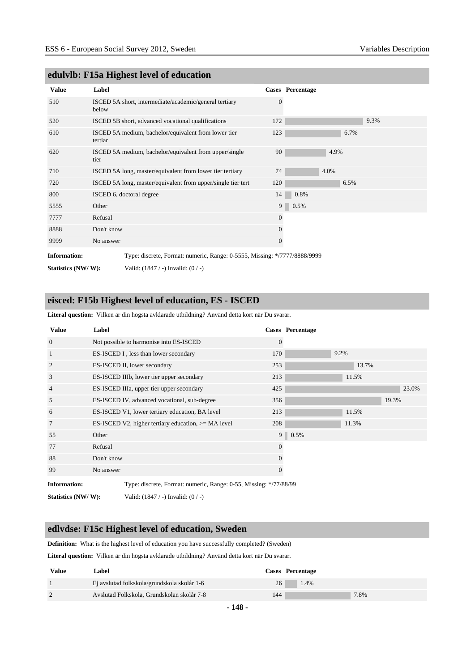|                     | $\frac{1}{2}$                                                             |                |                  |
|---------------------|---------------------------------------------------------------------------|----------------|------------------|
| <b>Value</b>        | Label                                                                     |                | Cases Percentage |
| 510                 | ISCED 5A short, intermediate/academic/general tertiary<br>below           | $\Omega$       |                  |
| 520                 | ISCED 5B short, advanced vocational qualifications                        | 172            | 9.3%             |
| 610                 | ISCED 5A medium, bachelor/equivalent from lower tier<br>tertiar           | 123            | 6.7%             |
| 620                 | ISCED 5A medium, bachelor/equivalent from upper/single<br>tier            | 90             | 4.9%             |
| 710                 | ISCED 5A long, master/equivalent from lower tier tertiary                 | 74             | 4.0%             |
| 720                 | ISCED 5A long, master/equivalent from upper/single tier tert              | 120            | 6.5%             |
| 800                 | ISCED 6, doctoral degree                                                  | 14             | 0.8%             |
| 5555                | Other                                                                     | 9 <sup>1</sup> | 0.5%             |
| 7777                | Refusal                                                                   | $\mathbf{0}$   |                  |
| 8888                | Don't know                                                                | $\Omega$       |                  |
| 9999                | No answer                                                                 | $\theta$       |                  |
| <b>Information:</b> | Type: discrete, Format: numeric, Range: 0-5555, Missing: */7777/8888/9999 |                |                  |

#### **edulvlb: F15a Highest level of education**

**Statistics (NW/ W):** Valid: (1847 / -) Invalid: (0 / -)

#### **eisced: F15b Highest level of education, ES - ISCED**

**Literal question:** Vilken är din högsta avklarade utbildning? Använd detta kort när Du svarar.

| <b>Value</b>        | Label      |                                                                   |                | Cases Percentage |       |       |
|---------------------|------------|-------------------------------------------------------------------|----------------|------------------|-------|-------|
| $\overline{0}$      |            | Not possible to harmonise into ES-ISCED                           | $\overline{0}$ |                  |       |       |
| 1                   |            | ES-ISCED I, less than lower secondary                             | 170            |                  | 9.2%  |       |
| $\overline{2}$      |            | ES-ISCED II, lower secondary                                      | 253            |                  | 13.7% |       |
| 3                   |            | ES-ISCED IIIb, lower tier upper secondary                         | 213            |                  | 11.5% |       |
| $\overline{4}$      |            | ES-ISCED IIIa, upper tier upper secondary                         | 425            |                  |       | 23.0% |
| 5                   |            | ES-ISCED IV, advanced vocational, sub-degree                      | 356            |                  |       | 19.3% |
| 6                   |            | ES-ISCED V1, lower tertiary education, BA level                   | 213            |                  | 11.5% |       |
| $7\phantom{.0}$     |            | ES-ISCED V2, higher tertiary education, $>= MA$ level             | 208            |                  | 11.3% |       |
| 55                  | Other      |                                                                   |                | 9 0.5%           |       |       |
| 77                  | Refusal    |                                                                   | $\mathbf{0}$   |                  |       |       |
| 88                  | Don't know |                                                                   | $\theta$       |                  |       |       |
| 99                  | No answer  |                                                                   | $\Omega$       |                  |       |       |
| <b>Information:</b> |            | Type: discrete, Format: numeric, Range: 0-55, Missing: */77/88/99 |                |                  |       |       |
| Statistics (NW/W):  |            | Valid: $(1847 / -)$ Invalid: $(0 / -)$                            |                |                  |       |       |

#### **edlvdse: F15c Highest level of education, Sweden**

**Definition:** What is the highest level of education you have successfully completed? (Sweden)

**Literal question:** Vilken är din högsta avklarade utbildning? Använd detta kort när Du svarar.

| Value | Label                                       |     | Cases Percentage |
|-------|---------------------------------------------|-----|------------------|
|       | Ej avslutad folkskola/grundskola skolår 1-6 | 26  | 1.4%             |
|       | Avslutad Folkskola, Grundskolan skolår 7-8  | 144 | 7.8%             |

**- 148 -**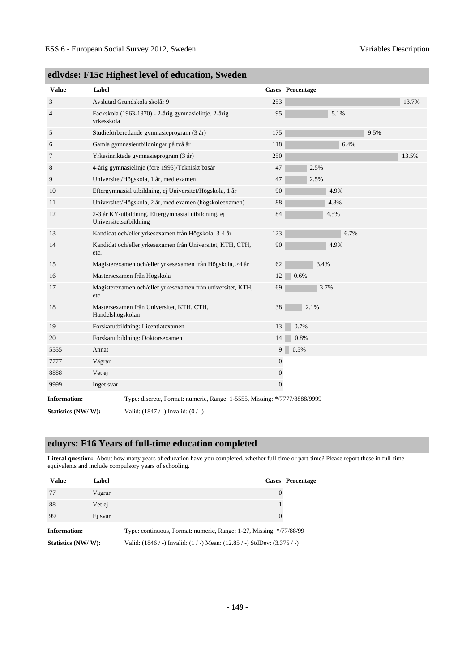| <b>Value</b>        | Label                  |                                                                           |                  | Cases Percentage |      |      |      |       |
|---------------------|------------------------|---------------------------------------------------------------------------|------------------|------------------|------|------|------|-------|
| 3                   |                        | Avslutad Grundskola skolår 9                                              | 253              |                  |      |      |      | 13.7% |
| $\overline{4}$      | yrkesskola             | Fackskola (1963-1970) - 2-årig gymnasielinje, 2-årig                      | 95               |                  |      | 5.1% |      |       |
| 5                   |                        | Studieförberedande gymnasieprogram (3 år)                                 | 175              |                  |      |      | 9.5% |       |
| 6                   |                        | Gamla gymnasieutbildningar på två år                                      | 118              |                  |      | 6.4% |      |       |
| 7                   |                        | Yrkesinriktade gymnasieprogram (3 år)                                     | 250              |                  |      |      |      | 13.5% |
| 8                   |                        | 4-årig gymnasielinje (före 1995)/Tekniskt basår                           | 47               | 2.5%             |      |      |      |       |
| 9                   |                        | Universitet/Högskola, 1 år, med examen                                    | 47               | 2.5%             |      |      |      |       |
| 10                  |                        | Eftergymnasial utbildning, ej Universitet/Högskola, 1 år                  | 90               |                  | 4.9% |      |      |       |
| 11                  |                        | Universitet/Högskola, 2 år, med examen (högskoleexamen)                   | 88               |                  | 4.8% |      |      |       |
| 12                  | Universitetsutbildning | 2-3 år KY-utbildning, Eftergymnasial utbildning, ej                       | $\rm 84$         |                  | 4.5% |      |      |       |
| 13                  |                        | Kandidat och/eller yrkesexamen från Högskola, 3-4 år                      | 123              |                  |      | 6.7% |      |       |
| 14                  | etc.                   | Kandidat och/eller yrkesexamen från Universitet, KTH, CTH,                | 90               |                  | 4.9% |      |      |       |
| 15                  |                        | Magisterexamen och/eller yrkesexamen från Högskola, >4 år                 | 62               |                  | 3.4% |      |      |       |
| 16                  |                        | Mastersexamen från Högskola                                               | 12               | 0.6%             |      |      |      |       |
| 17                  | etc                    | Magisterexamen och/eller yrkesexamen från universitet, KTH,               | 69               |                  | 3.7% |      |      |       |
| 18                  | Handelshögskolan       | Mastersexamen från Universitet, KTH, CTH,                                 | 38               | 2.1%             |      |      |      |       |
| 19                  |                        | Forskarutbildning: Licentiatexamen                                        | 13               | 0.7%             |      |      |      |       |
| 20                  |                        | Forskarutbildning: Doktorsexamen                                          | 14               | 0.8%             |      |      |      |       |
| 5555                | Annat                  |                                                                           | 9                | 0.5%             |      |      |      |       |
| 7777                | Vägrar                 |                                                                           | $\boldsymbol{0}$ |                  |      |      |      |       |
| 8888                | Vet ej                 |                                                                           | 0                |                  |      |      |      |       |
| 9999                | Inget svar             |                                                                           | $\boldsymbol{0}$ |                  |      |      |      |       |
| <b>Information:</b> |                        | Type: discrete, Format: numeric, Range: 1-5555, Missing: */7777/8888/9999 |                  |                  |      |      |      |       |
| Statistics (NW/W):  |                        | Valid: $(1847 / -)$ Invalid: $(0 / -)$                                    |                  |                  |      |      |      |       |

### **edlvdse: F15c Highest level of education, Sweden**

#### **eduyrs: F16 Years of full-time education completed**

**Literal question:** About how many years of education have you completed, whether full-time or part-time? Please report these in full-time equivalents and include compulsory years of schooling.

| <b>Value</b>        | Label   |                                                                     | Cases Percentage |
|---------------------|---------|---------------------------------------------------------------------|------------------|
| -77                 | Vägrar  |                                                                     |                  |
| 88                  | Vet ej  |                                                                     |                  |
| -99                 | Ej svar |                                                                     |                  |
| <b>Information:</b> |         | Type: continuous, Format: numeric, Range: 1-27, Missing: */77/88/99 |                  |

**Statistics (NW/ W):** Valid: (1846 / -) Invalid: (1 / -) Mean: (12.85 / -) StdDev: (3.375 / -)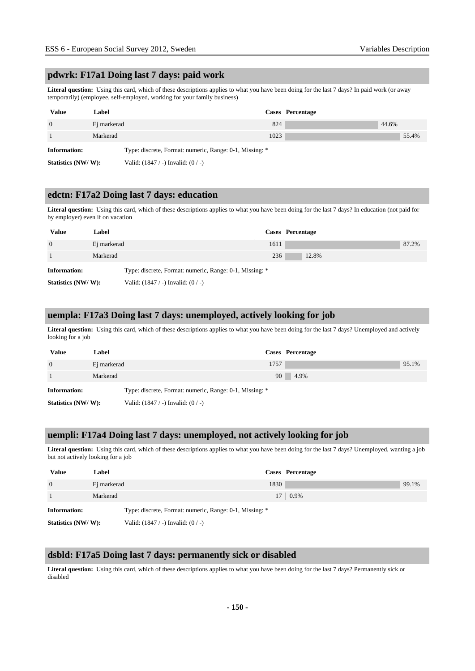#### **pdwrk: F17a1 Doing last 7 days: paid work**

**Literal question:** Using this card, which of these descriptions applies to what you have been doing for the last 7 days? In paid work (or away temporarily) (employee, self-employed, working for your family business)

| <b>Value</b>        | Label       |                                                         | Cases Percentage |       |       |
|---------------------|-------------|---------------------------------------------------------|------------------|-------|-------|
| $\Omega$            | Ej markerad | 824                                                     |                  | 44.6% |       |
|                     | Markerad    | 1023                                                    |                  |       | 55.4% |
| <b>Information:</b> |             | Type: discrete, Format: numeric, Range: 0-1, Missing: * |                  |       |       |
| Statistics (NW/W):  |             | Valid: $(1847 / -)$ Invalid: $(0 / -)$                  |                  |       |       |

#### **edctn: F17a2 Doing last 7 days: education**

**Literal question:** Using this card, which of these descriptions applies to what you have been doing for the last 7 days? In education (not paid for by employer) even if on vacation

| <b>Value</b>       | Label       | Cases Percentage                                        |  |
|--------------------|-------------|---------------------------------------------------------|--|
| $\overline{0}$     | Ej markerad | 87.2%<br>1611                                           |  |
|                    | Markerad    | 236<br>12.8%                                            |  |
| Information:       |             | Type: discrete, Format: numeric, Range: 0-1, Missing: * |  |
| Statistics (NW/W): |             | Valid: $(1847 / -)$ Invalid: $(0 / -)$                  |  |

#### **uempla: F17a3 Doing last 7 days: unemployed, actively looking for job**

**Literal question:** Using this card, which of these descriptions applies to what you have been doing for the last 7 days? Unemployed and actively looking for a job

| <b>Value</b>       | Label       |                                                         |      | Cases Percentage |       |
|--------------------|-------------|---------------------------------------------------------|------|------------------|-------|
| $\overline{0}$     | Ej markerad |                                                         | 1757 |                  | 95.1% |
|                    | Markerad    |                                                         | 90   | 4.9%             |       |
| Information:       |             | Type: discrete, Format: numeric, Range: 0-1, Missing: * |      |                  |       |
| Statistics (NW/W): |             | Valid: $(1847 / -)$ Invalid: $(0 / -)$                  |      |                  |       |

#### **uempli: F17a4 Doing last 7 days: unemployed, not actively looking for job**

**Literal question:** Using this card, which of these descriptions applies to what you have been doing for the last 7 days? Unemployed, wanting a job but not actively looking for a job

| <b>Value</b>       | Label       |                                                         | Cases Percentage |       |
|--------------------|-------------|---------------------------------------------------------|------------------|-------|
| $\overline{0}$     | Ej markerad | 1830                                                    |                  | 99.1% |
|                    | Markerad    |                                                         | $17 \pm 0.9\%$   |       |
| Information:       |             | Type: discrete, Format: numeric, Range: 0-1, Missing: * |                  |       |
| Statistics (NW/W): |             | Valid: $(1847 / -)$ Invalid: $(0 / -)$                  |                  |       |

#### **dsbld: F17a5 Doing last 7 days: permanently sick or disabled**

**Literal question:** Using this card, which of these descriptions applies to what you have been doing for the last 7 days? Permanently sick or disabled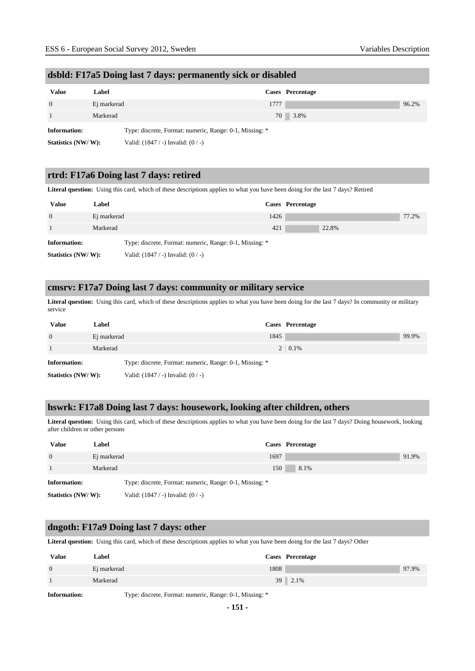### **dsbld: F17a5 Doing last 7 days: permanently sick or disabled**

| Value              | Label       |                                                         | Cases Percentage |       |
|--------------------|-------------|---------------------------------------------------------|------------------|-------|
| $\overline{0}$     | Ej markerad | 1777                                                    |                  | 96.2% |
|                    | Markerad    |                                                         | 70 3.8%          |       |
| Information:       |             | Type: discrete, Format: numeric, Range: 0-1, Missing: * |                  |       |
| Statistics (NW/W): |             | Valid: $(1847 / -)$ Invalid: $(0 / -)$                  |                  |       |

#### **rtrd: F17a6 Doing last 7 days: retired**

**Literal question:** Using this card, which of these descriptions applies to what you have been doing for the last 7 days? Retired

| <b>Value</b>       | Label       |                                                         |      | Cases Percentage |       |
|--------------------|-------------|---------------------------------------------------------|------|------------------|-------|
| $\overline{0}$     | Ej markerad |                                                         | 1426 |                  | 77.2% |
|                    | Markerad    |                                                         | 421  | 22.8%            |       |
| Information:       |             | Type: discrete, Format: numeric, Range: 0-1, Missing: * |      |                  |       |
| Statistics (NW/W): |             | Valid: $(1847 / -)$ Invalid: $(0 / -)$                  |      |                  |       |

#### **cmsrv: F17a7 Doing last 7 days: community or military service**

**Literal question:** Using this card, which of these descriptions applies to what you have been doing for the last 7 days? In community or military service

| <b>Value</b>       | Label       |                                                         |      | Cases Percentage |       |
|--------------------|-------------|---------------------------------------------------------|------|------------------|-------|
| $\overline{0}$     | Ej markerad |                                                         | 1845 |                  | 99.9% |
|                    | Markerad    |                                                         |      | $2 \mid 0.1\%$   |       |
| Information:       |             | Type: discrete, Format: numeric, Range: 0-1, Missing: * |      |                  |       |
| Statistics (NW/W): |             | Valid: $(1847 / -)$ Invalid: $(0 / -)$                  |      |                  |       |

#### **hswrk: F17a8 Doing last 7 days: housework, looking after children, others**

**Literal question:** Using this card, which of these descriptions applies to what you have been doing for the last 7 days? Doing housework, looking after children or other persons

| <b>Value</b>       | Label       |                                                         |      | Cases Percentage |       |
|--------------------|-------------|---------------------------------------------------------|------|------------------|-------|
| $\overline{0}$     | Ej markerad |                                                         | 1697 |                  | 91.9% |
|                    | Markerad    |                                                         | 150  | 8.1%             |       |
| Information:       |             | Type: discrete, Format: numeric, Range: 0-1, Missing: * |      |                  |       |
| Statistics (NW/W): |             | Valid: $(1847 / -)$ Invalid: $(0 / -)$                  |      |                  |       |

#### **dngoth: F17a9 Doing last 7 days: other**

**Literal question:** Using this card, which of these descriptions applies to what you have been doing for the last 7 days? Other

| <b>Value</b>   | Label       |      | Cases Percentage |       |
|----------------|-------------|------|------------------|-------|
| $\overline{0}$ | Ej markerad | 1808 |                  | 97.9% |
|                | Markerad    |      | 39 2.1%          |       |

**Information:** Type: discrete, Format: numeric, Range: 0-1, Missing: \*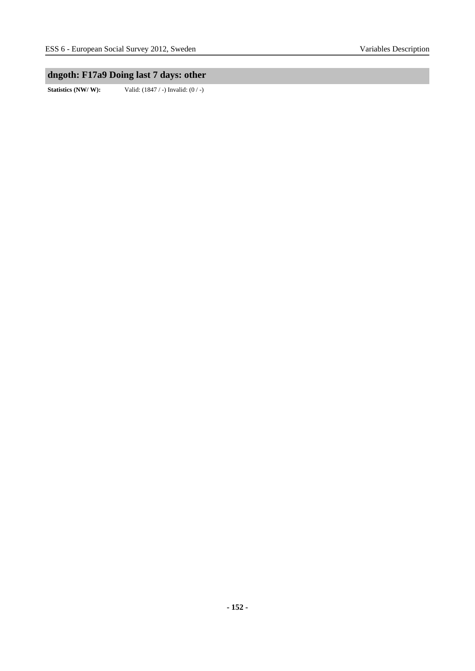### **dngoth: F17a9 Doing last 7 days: other**

**Statistics (NW/ W):** Valid: (1847 / -) Invalid: (0 / -)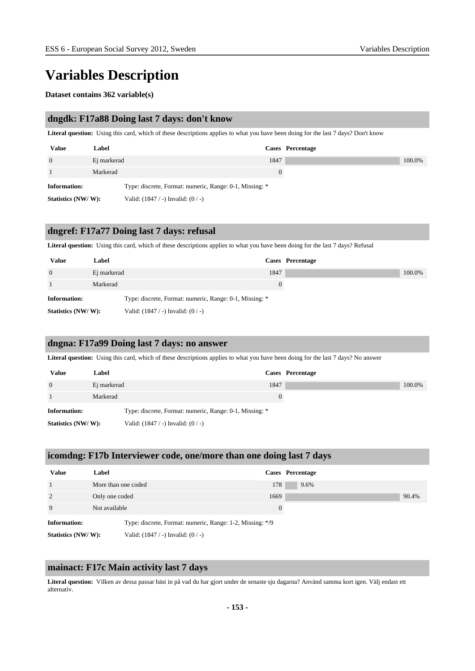# **Variables Description**

#### **Dataset contains 362 variable(s)**

#### **dngdk: F17a88 Doing last 7 days: don't know**

**Literal question:** Using this card, which of these descriptions applies to what you have been doing for the last 7 days? Don't know

| <b>Value</b>        | Label       |                                                         |      | Cases Percentage |        |
|---------------------|-------------|---------------------------------------------------------|------|------------------|--------|
| $\overline{0}$      | Ej markerad |                                                         | 1847 |                  | 100.0% |
|                     | Markerad    |                                                         |      |                  |        |
| <b>Information:</b> |             | Type: discrete, Format: numeric, Range: 0-1, Missing: * |      |                  |        |
| Statistics (NW/W):  |             | Valid: $(1847 / -)$ Invalid: $(0 / -)$                  |      |                  |        |

#### **dngref: F17a77 Doing last 7 days: refusal**

**Literal question:** Using this card, which of these descriptions applies to what you have been doing for the last 7 days? Refusal

| <b>Value</b>        | Label       |                                                         |          | Cases Percentage |        |
|---------------------|-------------|---------------------------------------------------------|----------|------------------|--------|
| $\overline{0}$      | Ej markerad |                                                         | 1847     |                  | 100.0% |
|                     | Markerad    |                                                         | $\theta$ |                  |        |
| <b>Information:</b> |             | Type: discrete, Format: numeric, Range: 0-1, Missing: * |          |                  |        |
| Statistics (NW/W):  |             | Valid: $(1847 / -)$ Invalid: $(0 / -)$                  |          |                  |        |

#### **dngna: F17a99 Doing last 7 days: no answer**

**Literal question:** Using this card, which of these descriptions applies to what you have been doing for the last 7 days? No answer

| <b>Value</b>        | Label       |                                                         | Cases Percentage |        |
|---------------------|-------------|---------------------------------------------------------|------------------|--------|
| $\overline{0}$      | Ej markerad | 1847                                                    |                  | 100.0% |
|                     | Markerad    |                                                         |                  |        |
| <b>Information:</b> |             | Type: discrete, Format: numeric, Range: 0-1, Missing: * |                  |        |
| Statistics (NW/W):  |             | Valid: $(1847 / -)$ Invalid: $(0 / -)$                  |                  |        |

#### **icomdng: F17b Interviewer code, one/more than one doing last 7 days**

| <b>Value</b>        | Label                                                     | Cases Percentage |       |
|---------------------|-----------------------------------------------------------|------------------|-------|
|                     | More than one coded                                       | 178<br>9.6%      |       |
| $\overline{2}$      | Only one coded                                            | 1669             | 90.4% |
| 9                   | Not available                                             | $\overline{0}$   |       |
| <b>Information:</b> | Type: discrete, Format: numeric, Range: 1-2, Missing: */9 |                  |       |
| Statistics (NW/W):  | Valid: $(1847 / -)$ Invalid: $(0 / -)$                    |                  |       |

#### **mainact: F17c Main activity last 7 days**

**Literal question:** Vilken av dessa passar bäst in på vad du har gjort under de senaste sju dagarna? Använd samma kort igen. Välj endast ett alternativ.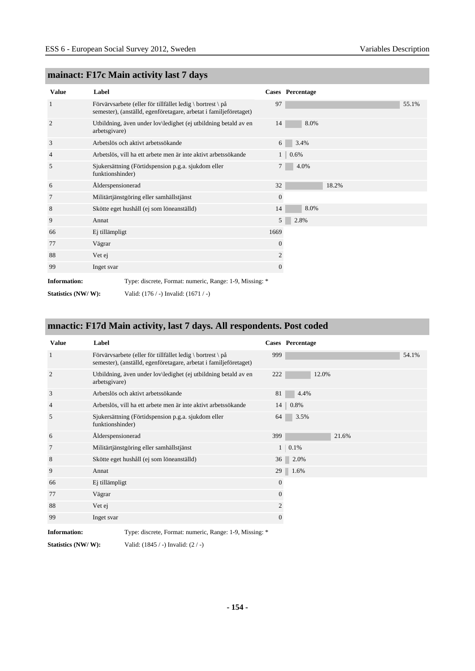| <b>Value</b>                                                                   | Label             |                                                                                                                                 |                | Cases Percentage |       |       |
|--------------------------------------------------------------------------------|-------------------|---------------------------------------------------------------------------------------------------------------------------------|----------------|------------------|-------|-------|
| $\mathbf{1}$                                                                   |                   | Förvärvsarbete (eller för tillfället ledig \ bortrest \ på<br>semester), (anställd, egenföretagare, arbetat i familjeföretaget) | 97             |                  |       | 55.1% |
| 2                                                                              | arbetsgivare)     | Utbildning, även under lov\ledighet (ej utbildning betald av en                                                                 | 14             | 8.0%             |       |       |
| 3                                                                              |                   | Arbetslös och aktivt arbetssökande                                                                                              | 6              | 3.4%             |       |       |
| $\overline{4}$                                                                 |                   | Arbetslös, vill ha ett arbete men är inte aktivt arbetssökande                                                                  | $\mathbf{1}$   | 0.6%             |       |       |
| 5                                                                              | funktionshinder)  | Sjukersättning (Förtidspension p.g.a. sjukdom eller                                                                             | 7              | 4.0%             |       |       |
| 6                                                                              | Ålderspensionerad |                                                                                                                                 | 32             |                  | 18.2% |       |
| 7                                                                              |                   | Militärtjänstgöring eller samhällstjänst                                                                                        | $\mathbf{0}$   |                  |       |       |
| 8                                                                              |                   | Skötte eget hushåll (ej som löneanställd)                                                                                       | 14             | 8.0%             |       |       |
| 9                                                                              | Annat             |                                                                                                                                 | 5 <sup>1</sup> | 2.8%             |       |       |
| 66                                                                             | Ej tillämpligt    |                                                                                                                                 | 1669           |                  |       |       |
| 77                                                                             | Vägrar            |                                                                                                                                 | $\mathbf{0}$   |                  |       |       |
| 88                                                                             | Vet ej            |                                                                                                                                 | 2              |                  |       |       |
| 99                                                                             | Inget svar        |                                                                                                                                 | 0              |                  |       |       |
| Type: discrete, Format: numeric, Range: 1-9, Missing: *<br><b>Information:</b> |                   |                                                                                                                                 |                |                  |       |       |
| Statistics (NW/W):                                                             |                   | Valid: $(176 / -)$ Invalid: $(1671 / -)$                                                                                        |                |                  |       |       |

### **mainact: F17c Main activity last 7 days**

### **mnactic: F17d Main activity, last 7 days. All respondents. Post coded**

| <b>Value</b>        | Label                                                                                                                               |              | Cases Percentage   |
|---------------------|-------------------------------------------------------------------------------------------------------------------------------------|--------------|--------------------|
| -1                  | Förvärvsarbete (eller för tillfället ledig \ bortrest \ $p\aa$<br>semester), (anställd, egenföretagare, arbetat i familjeföretaget) | 999          | 54.1%              |
| $\overline{2}$      | Utbildning, även under lov\ledighet (ej utbildning betald av en<br>arbetsgivare)                                                    | 222          | 12.0%              |
| 3                   | Arbetslös och aktivt arbetssökande                                                                                                  | 81           | 4.4%               |
| $\overline{4}$      | Arbetslös, vill ha ett arbete men är inte aktivt arbetssökande                                                                      |              | $14 \,   \, 0.8\%$ |
| 5                   | Sjukersättning (Förtidspension p.g.a. sjukdom eller<br>funktionshinder)                                                             | 64           | 3.5%               |
| 6                   | Alderspensionerad                                                                                                                   | 399          | 21.6%              |
| 7                   | Militärtjänstgöring eller samhällstjänst                                                                                            |              | $1 \ 0.1\%$        |
| 8                   | Skötte eget hushåll (ej som löneanställd)                                                                                           | 36           | 2.0%               |
| 9                   | Annat                                                                                                                               | 29           | 1.6%               |
| 66                  | Ej tillämpligt                                                                                                                      | $\mathbf{0}$ |                    |
| 77                  | Vägrar                                                                                                                              | $\mathbf{0}$ |                    |
| 88                  | Vet ej                                                                                                                              | 2            |                    |
| 99                  | Inget svar                                                                                                                          | $\mathbf{0}$ |                    |
| <b>Information:</b> | Type: discrete, Format: numeric, Range: 1-9, Missing: *                                                                             |              |                    |

**Statistics (NW/ W):** Valid: (1845 / -) Invalid: (2 / -)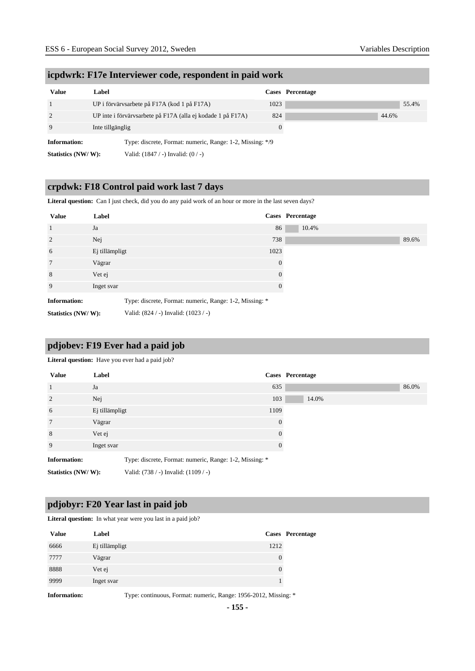| <b>Value</b>        | Label                                                       | Cases Percentage |
|---------------------|-------------------------------------------------------------|------------------|
|                     | UP i förvärvsarbete på F17A (kod 1 på F17A)                 | 1023             |
| 2                   | UP inte i förvärvsarbete på F17A (alla ej kodade 1 på F17A) | 824              |
| 9                   | Inte tillgänglig                                            | $\Omega$         |
| <b>Information:</b> | Type: discrete, Format: numeric, Range: 1-2, Missing: */9   |                  |
| Statistics (NW/W):  | Valid: $(1847 / -)$ Invalid: $(0 / -)$                      |                  |

#### **icpdwrk: F17e Interviewer code, respondent in paid work**

### **crpdwk: F18 Control paid work last 7 days**

Literal question: Can I just check, did you do any paid work of an hour or more in the last seven days?

| <b>Value</b>        | Label                                    | Cases Percentage                                        |
|---------------------|------------------------------------------|---------------------------------------------------------|
| <sup>1</sup>        | Ja                                       | 86                                                      |
| 2                   | Nej                                      | 738                                                     |
| 6                   | Ej tillämpligt                           | 1023                                                    |
| $7\phantom{.0}$     | Vägrar                                   | $\theta$                                                |
| 8                   | Vet ej                                   | $\theta$                                                |
| 9                   | Inget svar                               | $\theta$                                                |
| <b>Information:</b> |                                          | Type: discrete, Format: numeric, Range: 1-2, Missing: * |
| Statistics (NW/W):  | Valid: $(824 / -)$ Invalid: $(1023 / -)$ |                                                         |

#### **pdjobev: F19 Ever had a paid job**

#### Literal question: Have you ever had a paid job?

| <b>Value</b>        | Label                                                   | <b>Cases</b> Percentage |       |
|---------------------|---------------------------------------------------------|-------------------------|-------|
| $\overline{1}$      | Ja                                                      | 635                     | 86.0% |
| $\overline{2}$      | Nej                                                     | 103                     | 14.0% |
| 6                   | Ej tillämpligt                                          | 1109                    |       |
| $7\phantom{.0}$     | Vägrar                                                  | $\Omega$                |       |
| 8                   | Vet ej                                                  | $\Omega$                |       |
| 9                   | Inget svar                                              | $\Omega$                |       |
| <b>Information:</b> | Type: discrete, Format: numeric, Range: 1-2, Missing: * |                         |       |
| Statistics (NW/W):  | Valid: (738 / -) Invalid: (1109 / -)                    |                         |       |

#### **pdjobyr: F20 Year last in paid job**

Literal question: In what year were you last in a paid job?

| <b>Value</b> | Label          |          | Cases Percentage |
|--------------|----------------|----------|------------------|
| 6666         | Ej tillämpligt | 1212     |                  |
| 7777         | Vägrar         | $\theta$ |                  |
| 8888         | Vet ej         | $\theta$ |                  |
| 9999         | Inget svar     |          |                  |
|              |                |          |                  |

**Information:** Type: continuous, Format: numeric, Range: 1956-2012, Missing: \*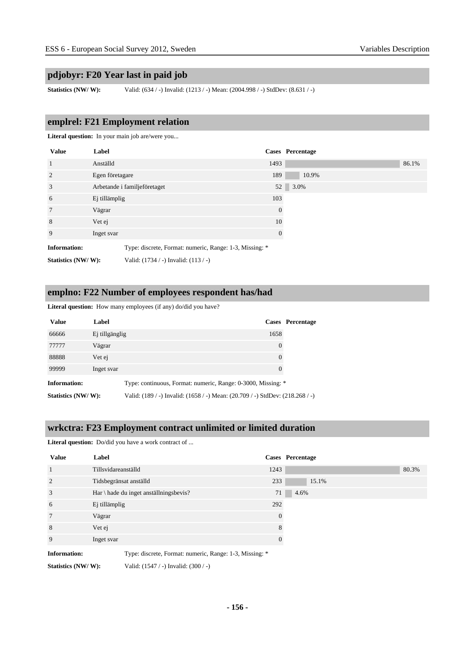#### **pdjobyr: F20 Year last in paid job**

**Statistics (NW/ W):** Valid: (634 / -) Invalid: (1213 / -) Mean: (2004.998 / -) StdDev: (8.631 / -)

#### **emplrel: F21 Employment relation**

Literal question: In your main job are/were you...

| <b>Value</b>        | Label           |                                                         |                | Cases Percentage |
|---------------------|-----------------|---------------------------------------------------------|----------------|------------------|
| <sup>1</sup>        | Anställd        |                                                         | 1493           | 86.1%            |
| 2                   | Egen företagare |                                                         | 189            | 10.9%            |
| 3                   |                 | Arbetande i familjeföretaget                            |                | 52 3.0%          |
| 6                   | Ej tillämplig   |                                                         | 103            |                  |
| $7\phantom{.0}$     | Vägrar          |                                                         | $\theta$       |                  |
| 8                   | Vet ej          |                                                         | 10             |                  |
| 9                   | Inget svar      |                                                         | $\overline{0}$ |                  |
| <b>Information:</b> |                 | Type: discrete, Format: numeric, Range: 1-3, Missing: * |                |                  |
| Statistics (NW/W):  |                 | Valid: (1734 / -) Invalid: (113 / -)                    |                |                  |

#### **emplno: F22 Number of employees respondent has/had**

Literal question: How many employees (if any) do/did you have?

| <b>Value</b>        | Label          |                                                                               | <b>Cases</b> Percentage |
|---------------------|----------------|-------------------------------------------------------------------------------|-------------------------|
| 66666               | Ej tillgänglig | 1658                                                                          |                         |
| 77777               | Vägrar         | 0                                                                             |                         |
| 88888               | Vet ej         | 0                                                                             |                         |
| 99999               | Inget svar     | $\Omega$                                                                      |                         |
| <b>Information:</b> |                | Type: continuous, Format: numeric, Range: 0-3000, Missing: *                  |                         |
| Statistics (NW/W):  |                | Valid: (189 / -) Invalid: (1658 / -) Mean: (20.709 / -) StdDev: (218.268 / -) |                         |

#### **wrkctra: F23 Employment contract unlimited or limited duration**

Literal question: Do/did you have a work contract of ...

| <b>Value</b>        | Label                                                   |              | Cases Percentage |
|---------------------|---------------------------------------------------------|--------------|------------------|
| $\overline{1}$      | Tillsvidareanställd                                     | 1243         | 80.3%            |
| 2                   | Tidsbegränsat anställd                                  | 233          | 15.1%            |
| 3                   | Har \ hade du inget anställningsbevis?                  | 71           | 4.6%             |
| 6                   | Ej tillämplig                                           | 292          |                  |
| $7\phantom{.0}$     | Vägrar                                                  | $\theta$     |                  |
| 8                   | Vet ej                                                  | 8            |                  |
| 9                   | Inget svar                                              | $\mathbf{0}$ |                  |
| <b>Information:</b> | Type: discrete, Format: numeric, Range: 1-3, Missing: * |              |                  |
| Statistics (NW/W):  | Valid: $(1547 / -)$ Invalid: $(300 / -)$                |              |                  |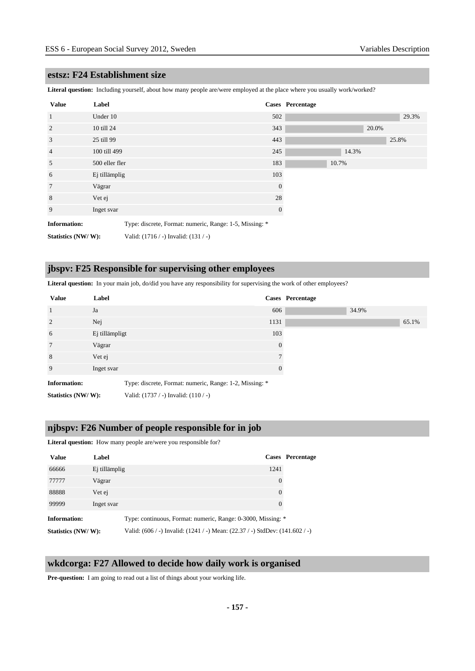#### **estsz: F24 Establishment size**

**Literal question:** Including yourself, about how many people are/were employed at the place where you usually work/worked?

| <b>Value</b>                                                                   | Label          |                                      |              | <b>Cases</b> Percentage |       |       |
|--------------------------------------------------------------------------------|----------------|--------------------------------------|--------------|-------------------------|-------|-------|
| $\mathbf{1}$                                                                   | Under 10       |                                      | 502          |                         |       | 29.3% |
| $\overline{2}$                                                                 | 10 till 24     |                                      | 343          |                         | 20.0% |       |
| 3                                                                              | 25 till 99     |                                      | 443          |                         |       | 25.8% |
| $\overline{4}$                                                                 | 100 till 499   |                                      | 245          | 14.3%                   |       |       |
| 5                                                                              | 500 eller fler |                                      | 183          | 10.7%                   |       |       |
| 6                                                                              | Ej tillämplig  |                                      | 103          |                         |       |       |
| $7\phantom{.0}$                                                                | Vägrar         |                                      | $\theta$     |                         |       |       |
| 8                                                                              | Vet ej         |                                      | 28           |                         |       |       |
| 9                                                                              | Inget svar     |                                      | $\mathbf{0}$ |                         |       |       |
| <b>Information:</b><br>Type: discrete, Format: numeric, Range: 1-5, Missing: * |                |                                      |              |                         |       |       |
| Statistics (NW/W):                                                             |                | Valid: (1716 / -) Invalid: (131 / -) |              |                         |       |       |

#### **jbspv: F25 Responsible for supervising other employees**

Literal question: In your main job, do/did you have any responsibility for supervising the work of other employees?

| <b>Value</b>        | Label          |                                                         | Cases Percentage |       |       |
|---------------------|----------------|---------------------------------------------------------|------------------|-------|-------|
| <sup>1</sup>        | Ja             | 606                                                     |                  | 34.9% |       |
| 2                   | Nej            | 1131                                                    |                  |       | 65.1% |
| 6                   | Ej tillämpligt | 103                                                     |                  |       |       |
| $7\phantom{.0}$     | Vägrar         | $\overline{0}$                                          |                  |       |       |
| 8                   | Vet ej         |                                                         |                  |       |       |
| 9                   | Inget svar     | $\Omega$                                                |                  |       |       |
| <b>Information:</b> |                | Type: discrete, Format: numeric, Range: 1-2, Missing: * |                  |       |       |
| Statistics (NW/W):  |                | Valid: $(1737 / -)$ Invalid: $(110 / -)$                |                  |       |       |

#### **njbspv: F26 Number of people responsible for in job**

Literal question: How many people are/were you responsible for?

| <b>Value</b>       | Label         |                                                                              | Cases Percentage |
|--------------------|---------------|------------------------------------------------------------------------------|------------------|
| 66666              | Ej tillämplig | 1241                                                                         |                  |
| 77777              | Vägrar        | $\overline{0}$                                                               |                  |
| 88888              | Vet ej        | $\overline{0}$                                                               |                  |
| 99999              | Inget svar    | $\theta$                                                                     |                  |
| Information:       |               | Type: continuous, Format: numeric, Range: 0-3000, Missing: *                 |                  |
| Statistics (NW/W): |               | Valid: (606 / -) Invalid: (1241 / -) Mean: (22.37 / -) StdDev: (141.602 / -) |                  |

#### **wkdcorga: F27 Allowed to decide how daily work is organised**

**Pre-question:** I am going to read out a list of things about your working life.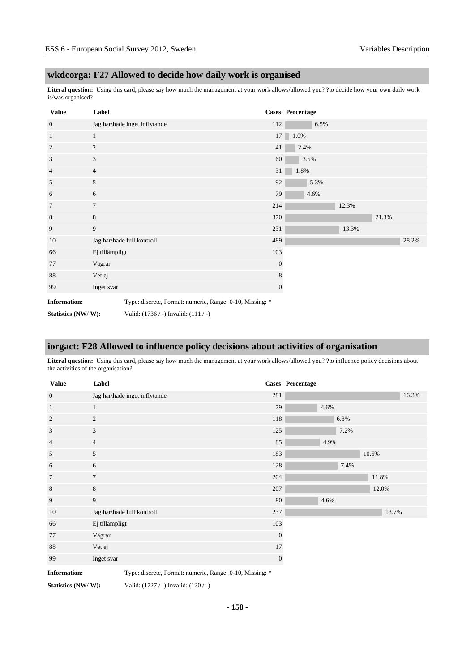#### **wkdcorga: F27 Allowed to decide how daily work is organised**

**Literal question:** Using this card, please say how much the management at your work allows/allowed you? ?to decide how your own daily work is/was organised?

| <b>Value</b>                                                   | Label          |                                                          |                  | Cases Percentage |       |       |       |
|----------------------------------------------------------------|----------------|----------------------------------------------------------|------------------|------------------|-------|-------|-------|
| $\mathbf{0}$                                                   |                | Jag har\hade inget inflytande                            | 112              | 6.5%             |       |       |       |
| $\mathbf{1}$                                                   | 1              |                                                          |                  | $17 \ 1.0\%$     |       |       |       |
| $\boldsymbol{2}$                                               | $\overline{c}$ |                                                          | 41               | 2.4%             |       |       |       |
| $\mathfrak{Z}$                                                 | 3              |                                                          | 60               | 3.5%             |       |       |       |
| $\overline{4}$                                                 | $\overline{4}$ |                                                          | 31               | 1.8%             |       |       |       |
| 5                                                              | 5              |                                                          | 92               | 5.3%             |       |       |       |
| 6                                                              | 6              |                                                          | 79               | 4.6%             |       |       |       |
| 7                                                              | $\tau$         |                                                          | 214              |                  | 12.3% |       |       |
| 8                                                              | 8              |                                                          | 370              |                  |       | 21.3% |       |
| 9                                                              | 9              |                                                          | 231              |                  | 13.3% |       |       |
| 10                                                             |                | Jag har\hade full kontroll                               | 489              |                  |       |       | 28.2% |
| 66                                                             | Ej tillämpligt |                                                          | 103              |                  |       |       |       |
| 77                                                             | Vägrar         |                                                          | $\boldsymbol{0}$ |                  |       |       |       |
| 88                                                             | Vet ej         |                                                          | 8                |                  |       |       |       |
| 99                                                             | Inget svar     |                                                          | $\mathbf{0}$     |                  |       |       |       |
| <b>Information:</b>                                            |                | Type: discrete, Format: numeric, Range: 0-10, Missing: * |                  |                  |       |       |       |
| Valid: $(1736 / -)$ Invalid: $(111 / -)$<br>Statistics (NW/W): |                |                                                          |                  |                  |       |       |       |

### **iorgact: F28 Allowed to influence policy decisions about activities of organisation**

Literal question: Using this card, please say how much the management at your work allows/allowed you? ?to influence policy decisions about the activities of the organisation?

| <b>Value</b>        | Label                                                    |              | Cases Percentage |
|---------------------|----------------------------------------------------------|--------------|------------------|
| $\mathbf{0}$        | Jag har\hade inget inflytande                            | 281          | 16.3%            |
| $\mathbf{1}$        | $\mathbf{1}$                                             | 79           | 4.6%             |
| $\overline{2}$      | $\overline{c}$                                           | 118          | 6.8%             |
| 3                   | 3                                                        | 125          | 7.2%             |
| $\overline{4}$      | $\overline{4}$                                           | 85           | 4.9%             |
| 5                   | 5                                                        | 183          | 10.6%            |
| 6                   | 6                                                        | 128          | 7.4%             |
| $\tau$              | $7\phantom{.0}$                                          | 204          | 11.8%            |
| 8                   | 8                                                        | 207          | 12.0%            |
| 9                   | 9                                                        | 80           | 4.6%             |
| 10                  | Jag har\hade full kontroll                               | 237          | 13.7%            |
| 66                  | Ej tillämpligt                                           | 103          |                  |
| 77                  | Vägrar                                                   | $\mathbf{0}$ |                  |
| 88                  | Vet ej                                                   | 17           |                  |
| 99                  | Inget svar                                               | $\mathbf{0}$ |                  |
| <b>Information:</b> | Type: discrete, Format: numeric, Range: 0-10, Missing: * |              |                  |

**Statistics (NW/ W):** Valid: (1727 / -) Invalid: (120 / -)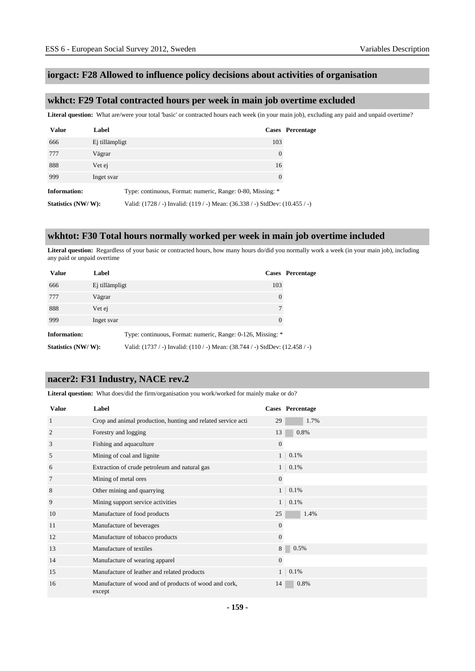#### **iorgact: F28 Allowed to influence policy decisions about activities of organisation**

#### **wkhct: F29 Total contracted hours per week in main job overtime excluded**

Literal question: What are/were your total 'basic' or contracted hours each week (in your main job), excluding any paid and unpaid overtime?

| <b>Value</b>        | Label          |                                                                              | <b>Cases</b> Percentage |
|---------------------|----------------|------------------------------------------------------------------------------|-------------------------|
| 666                 | Ej tillämpligt | 103                                                                          |                         |
| 777                 | Vägrar         | $\theta$                                                                     |                         |
| 888                 | Vet ej         | 16                                                                           |                         |
| 999                 | Inget svar     | $\Omega$                                                                     |                         |
| <b>Information:</b> |                | Type: continuous, Format: numeric, Range: 0-80, Missing: *                   |                         |
| Statistics (NW/W):  |                | Valid: (1728 / -) Invalid: (119 / -) Mean: (36.338 / -) StdDev: (10.455 / -) |                         |

#### **wkhtot: F30 Total hours normally worked per week in main job overtime included**

Literal question: Regardless of your basic or contracted hours, how many hours do/did you normally work a week (in your main job), including any paid or unpaid overtime

| <b>Value</b>        | Label          |                                                                              | Cases Percentage |
|---------------------|----------------|------------------------------------------------------------------------------|------------------|
| 666                 | Ej tillämpligt | 103                                                                          |                  |
| 777                 | Vägrar         | 0                                                                            |                  |
| 888                 | Vet ej         | 7                                                                            |                  |
| 999                 | Inget svar     | $\theta$                                                                     |                  |
| <b>Information:</b> |                | Type: continuous, Format: numeric, Range: 0-126, Missing: *                  |                  |
| Statistics (NW/W):  |                | Valid: (1737 / -) Invalid: (110 / -) Mean: (38.744 / -) StdDev: (12.458 / -) |                  |

#### **nacer2: F31 Industry, NACE rev.2**

Literal question: What does/did the firm/organisation you work/worked for mainly make or do?

| <b>Value</b>   | Label                                                           |                | Cases Percentage |
|----------------|-----------------------------------------------------------------|----------------|------------------|
| 1              | Crop and animal production, hunting and related service acti    | 29             | 1.7%             |
| $\overline{2}$ | Forestry and logging                                            | 13             | 0.8%             |
| 3              | Fishing and aquaculture                                         | $\overline{0}$ |                  |
| 5              | Mining of coal and lignite                                      | 1 <sup>1</sup> | 0.1%             |
| 6              | Extraction of crude petroleum and natural gas                   |                | $1 \ 0.1\%$      |
| 7              | Mining of metal ores                                            | $\overline{0}$ |                  |
| 8              | Other mining and quarrying                                      | 1              | 0.1%             |
| 9              | Mining support service activities                               | 1 <sup>1</sup> | 0.1%             |
| 10             | Manufacture of food products                                    | 25             | 1.4%             |
| 11             | Manufacture of beverages                                        | $\overline{0}$ |                  |
| 12             | Manufacture of tobacco products                                 | $\mathbf{0}$   |                  |
| 13             | Manufacture of textiles                                         | 8              | 0.5%             |
| 14             | Manufacture of wearing apparel                                  | $\overline{0}$ |                  |
| 15             | Manufacture of leather and related products                     | 1              | 0.1%             |
| 16             | Manufacture of wood and of products of wood and cork,<br>except | 14             | 0.8%             |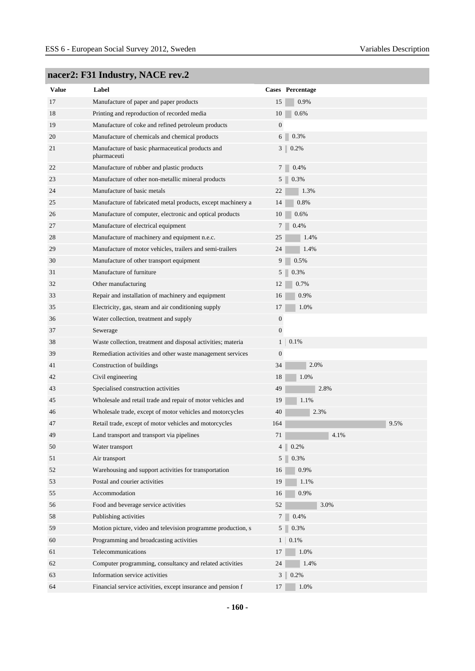### **nacer2: F31 Industry, NACE rev.2**

| <b>Value</b> | Label                                                           |                  | Cases Percentage       |
|--------------|-----------------------------------------------------------------|------------------|------------------------|
| 17           | Manufacture of paper and paper products                         | 15               | 0.9%                   |
| 18           | Printing and reproduction of recorded media                     | 10               | 0.6%                   |
| 19           | Manufacture of coke and refined petroleum products              | $\mathbf{0}$     |                        |
| 20           | Manufacture of chemicals and chemical products                  | 6                | 0.3%                   |
| 21           | Manufacture of basic pharmaceutical products and<br>pharmaceuti |                  | 3 <sup>1</sup><br>0.2% |
| 22           | Manufacture of rubber and plastic products                      | 7                | 0.4%                   |
| 23           | Manufacture of other non-metallic mineral products              | 5                | 0.3%                   |
| 24           | Manufacture of basic metals                                     | 22               | 1.3%                   |
| 25           | Manufacture of fabricated metal products, except machinery a    | 14               | 0.8%                   |
| 26           | Manufacture of computer, electronic and optical products        | 10               | 0.6%                   |
| 27           | Manufacture of electrical equipment                             |                  | 0.4%                   |
| 28           | Manufacture of machinery and equipment n.e.c.                   | 25               | 1.4%                   |
| 29           | Manufacture of motor vehicles, trailers and semi-trailers       | 24               | 1.4%                   |
| 30           | Manufacture of other transport equipment                        | 9                | 0.5%                   |
| 31           | Manufacture of furniture                                        | 5                | 0.3%                   |
| 32           | Other manufacturing                                             | 12               | 0.7%                   |
| 33           | Repair and installation of machinery and equipment              | 16               | 0.9%                   |
| 35           | Electricity, gas, steam and air conditioning supply             | 17               | 1.0%                   |
| 36           | Water collection, treatment and supply                          | $\boldsymbol{0}$ |                        |
| 37           | Sewerage                                                        | $\boldsymbol{0}$ |                        |
| 38           | Waste collection, treatment and disposal activities; materia    | $\mathbf{1}$     | 0.1%                   |
| 39           | Remediation activities and other waste management services      | $\boldsymbol{0}$ |                        |
| 41           | Construction of buildings                                       | 34               | 2.0%                   |
| 42           | Civil engineering                                               | 18               | 1.0%                   |
| 43           | Specialised construction activities                             | 49               | 2.8%                   |
| 45           | Wholesale and retail trade and repair of motor vehicles and     | 19               | 1.1%                   |
| 46           | Wholesale trade, except of motor vehicles and motorcycles       | 40               | 2.3%                   |
| 47           | Retail trade, except of motor vehicles and motorcycles          | 164              | 9.5%                   |
| 49           | Land transport and transport via pipelines                      | 71               | 4.1%                   |
| 50           | Water transport                                                 |                  | 4<br>0.2%              |
| 51           | Air transport                                                   |                  | 0.3%<br>5 <sup>1</sup> |
| 52           | Warehousing and support activities for transportation           | 16               | 0.9%                   |
| 53           | Postal and courier activities                                   | 19               | 1.1%                   |
| 55           | Accommodation                                                   | 16               | 0.9%                   |
| 56           | Food and beverage service activities                            | 52               | 3.0%                   |
| 58           | Publishing activities                                           | 7                | 0.4%                   |
| 59           | Motion picture, video and television programme production, s    |                  | 0.3%<br>5 <sup>1</sup> |
| 60           | Programming and broadcasting activities                         | 1 <sup>1</sup>   | 0.1%                   |
| 61           | Telecommunications                                              | 17               | 1.0%                   |
| 62           | Computer programming, consultancy and related activities        | 24               | 1.4%                   |
| 63           | Information service activities                                  |                  | $3   0.2\%$            |
| 64           | Financial service activities, except insurance and pension f    | 17               | 1.0%                   |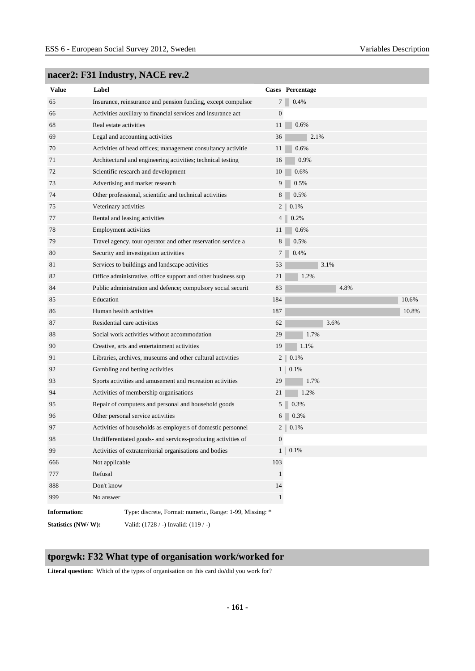| <b>Value</b>        | Label                  |                                                              |                  | Cases Percentage |
|---------------------|------------------------|--------------------------------------------------------------|------------------|------------------|
| 65                  |                        | Insurance, reinsurance and pension funding, except compulsor | 7                | 0.4%             |
| 66                  |                        | Activities auxiliary to financial services and insurance act | $\boldsymbol{0}$ |                  |
| 68                  | Real estate activities |                                                              | 11               | 0.6%             |
| 69                  |                        | Legal and accounting activities                              | 36               | 2.1%             |
| 70                  |                        | Activities of head offices; management consultancy activitie | 11               | 0.6%             |
| 71                  |                        | Architectural and engineering activities; technical testing  | 16               | 0.9%             |
| 72                  |                        | Scientific research and development                          | 10               | 0.6%             |
| 73                  |                        | Advertising and market research                              | 9                | 0.5%             |
| 74                  |                        | Other professional, scientific and technical activities      | 8                | 0.5%             |
| 75                  | Veterinary activities  |                                                              | 2                | 0.1%             |
| 77                  |                        | Rental and leasing activities                                | 4                | 0.2%             |
| 78                  |                        | <b>Employment activities</b>                                 | 11               | 0.6%             |
| 79                  |                        | Travel agency, tour operator and other reservation service a | 8                | 0.5%             |
| 80                  |                        | Security and investigation activities                        | 7                | 0.4%             |
| 81                  |                        | Services to buildings and landscape activities               | 53               | 3.1%             |
| 82                  |                        | Office administrative, office support and other business sup | 21               | 1.2%             |
| 84                  |                        | Public administration and defence; compulsory social securit | 83               | 4.8%             |
| 85                  | Education              |                                                              | 184              | 10.6%            |
| 86                  |                        | Human health activities                                      | 187              | 10.8%            |
| 87                  |                        | Residential care activities                                  | 62               | 3.6%             |
| 88                  |                        | Social work activities without accommodation                 | 29               | 1.7%             |
| 90                  |                        | Creative, arts and entertainment activities                  | 19               | 1.1%             |
| 91                  |                        | Libraries, archives, museums and other cultural activities   | $\overline{c}$   | 0.1%             |
| 92                  |                        | Gambling and betting activities                              | 1                | 0.1%             |
| 93                  |                        | Sports activities and amusement and recreation activities    | 29               | 1.7%             |
| 94                  |                        | Activities of membership organisations                       | 21               | 1.2%             |
| 95                  |                        | Repair of computers and personal and household goods         | 5 <sup>1</sup>   | 0.3%             |
| 96                  |                        | Other personal service activities                            | 6                | 0.3%             |
| 97                  |                        | Activities of households as employers of domestic personnel  | 2                | 0.1%             |
| 98                  |                        | Undifferentiated goods- and services-producing activities of | 0                |                  |
| 99                  |                        | Activities of extraterritorial organisations and bodies      | $\mathbf{1}$     | 0.1%             |
| 666                 | Not applicable         |                                                              | 103              |                  |
| 777                 | Refusal                |                                                              | $\mathbf{1}$     |                  |
| 888                 | Don't know             |                                                              | 14               |                  |
| 999                 | No answer              |                                                              | $\,1$            |                  |
| <b>Information:</b> |                        | Type: discrete, Format: numeric, Range: 1-99, Missing: *     |                  |                  |
| Statistics (NW/W):  |                        | Valid: (1728 / -) Invalid: (119 / -)                         |                  |                  |

### **nacer2: F31 Industry, NACE rev.2**

### **tporgwk: F32 What type of organisation work/worked for**

**Literal question:** Which of the types of organisation on this card do/did you work for?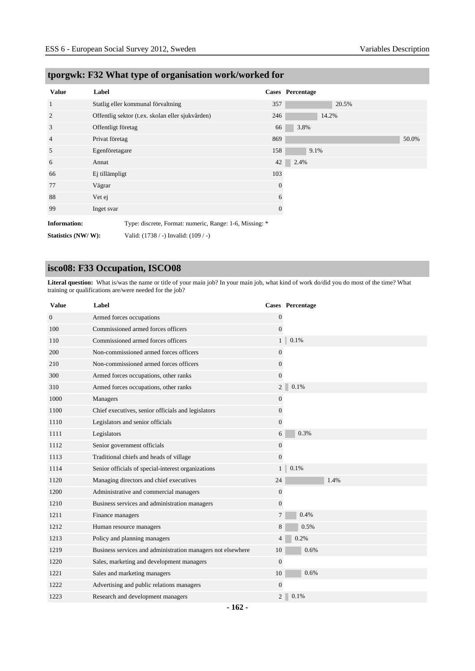| <b>Value</b>                                                                   | Label              |                                                  |                  | Cases Percentage |       |
|--------------------------------------------------------------------------------|--------------------|--------------------------------------------------|------------------|------------------|-------|
| $\mathbf{1}$                                                                   |                    | Statlig eller kommunal förvaltning               | 357              | 20.5%            |       |
| 2                                                                              |                    | Offentlig sektor (t.ex. skolan eller sjukvården) | 246              | 14.2%            |       |
| 3                                                                              | Offentligt företag |                                                  | 66               | 3.8%             |       |
| 4                                                                              | Privat företag     |                                                  | 869              |                  | 50.0% |
| 5                                                                              | Egenföretagare     |                                                  | 158              | 9.1%             |       |
| 6                                                                              | Annat              |                                                  | 42               | 2.4%             |       |
| 66                                                                             | Ej tillämpligt     |                                                  | 103              |                  |       |
| 77                                                                             | Vägrar             |                                                  | $\mathbf{0}$     |                  |       |
| 88                                                                             | Vet ej             |                                                  | 6                |                  |       |
| 99                                                                             | Inget svar         |                                                  | $\boldsymbol{0}$ |                  |       |
| <b>Information:</b><br>Type: discrete, Format: numeric, Range: 1-6, Missing: * |                    |                                                  |                  |                  |       |
| Statistics (NW/W):                                                             |                    | Valid: $(1738 / -)$ Invalid: $(109 / -)$         |                  |                  |       |

### **tporgwk: F32 What type of organisation work/worked for**

### **isco08: F33 Occupation, ISCO08**

**Literal question:** What is/was the name or title of your main job? In your main job, what kind of work do/did you do most of the time? What training or qualifications are/were needed for the job?

| <b>Value</b> | Label                                                       |                | Cases Percentage |
|--------------|-------------------------------------------------------------|----------------|------------------|
| $\mathbf{0}$ | Armed forces occupations                                    | $\mathbf{0}$   |                  |
| 100          | Commissioned armed forces officers                          | $\overline{0}$ |                  |
| 110          | Commissioned armed forces officers                          | 1 <sup>1</sup> | 0.1%             |
| 200          | Non-commissioned armed forces officers                      | $\mathbf{0}$   |                  |
| 210          | Non-commissioned armed forces officers                      | $\mathbf{0}$   |                  |
| 300          | Armed forces occupations, other ranks                       | $\overline{0}$ |                  |
| 310          | Armed forces occupations, other ranks                       | 2 <sup>1</sup> | 0.1%             |
| 1000         | Managers                                                    | $\mathbf{0}$   |                  |
| 1100         | Chief executives, senior officials and legislators          | $\mathbf{0}$   |                  |
| 1110         | Legislators and senior officials                            | $\overline{0}$ |                  |
| 1111         | Legislators                                                 | 6              | 0.3%             |
| 1112         | Senior government officials                                 | $\overline{0}$ |                  |
| 1113         | Traditional chiefs and heads of village                     | $\overline{0}$ |                  |
| 1114         | Senior officials of special-interest organizations          | $\mathbf{1}$   | 0.1%             |
| 1120         | Managing directors and chief executives                     | 24             | 1.4%             |
| 1200         | Administrative and commercial managers                      | $\overline{0}$ |                  |
| 1210         | Business services and administration managers               | $\overline{0}$ |                  |
| 1211         | Finance managers                                            | $\tau$         | 0.4%             |
| 1212         | Human resource managers                                     | 8              | 0.5%             |
| 1213         | Policy and planning managers                                | $\overline{4}$ | 0.2%             |
| 1219         | Business services and administration managers not elsewhere | 10             | 0.6%             |
| 1220         | Sales, marketing and development managers                   | $\overline{0}$ |                  |
| 1221         | Sales and marketing managers                                | 10             | 0.6%             |
| 1222         | Advertising and public relations managers                   | $\overline{0}$ |                  |
| 1223         | Research and development managers                           | $\overline{2}$ | 0.1%             |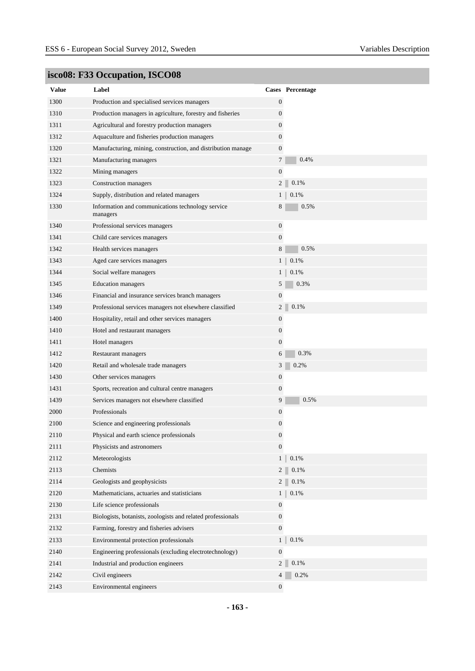| <b>Value</b> | Label                                                         |                  | Cases Percentage |
|--------------|---------------------------------------------------------------|------------------|------------------|
| 1300         | Production and specialised services managers                  | $\boldsymbol{0}$ |                  |
| 1310         | Production managers in agriculture, forestry and fisheries    | $\boldsymbol{0}$ |                  |
| 1311         | Agricultural and forestry production managers                 | $\boldsymbol{0}$ |                  |
| 1312         | Aquaculture and fisheries production managers                 | $\overline{0}$   |                  |
| 1320         | Manufacturing, mining, construction, and distribution manage  | $\boldsymbol{0}$ |                  |
| 1321         | Manufacturing managers                                        | $\tau$           | 0.4%             |
| 1322         | Mining managers                                               | $\boldsymbol{0}$ |                  |
| 1323         | Construction managers                                         | 2 <sup>1</sup>   | 0.1%             |
| 1324         | Supply, distribution and related managers                     | 1 <sub>1</sub>   | 0.1%             |
| 1330         | Information and communications technology service<br>managers | 8                | 0.5%             |
| 1340         | Professional services managers                                | $\mathbf{0}$     |                  |
| 1341         | Child care services managers                                  | $\boldsymbol{0}$ |                  |
| 1342         | Health services managers                                      | 8                | 0.5%             |
| 1343         | Aged care services managers                                   | 1 <sub>1</sub>   | 0.1%             |
| 1344         | Social welfare managers                                       | $1 \mid$         | 0.1%             |
| 1345         | <b>Education</b> managers                                     | 5                | 0.3%             |
| 1346         | Financial and insurance services branch managers              | $\boldsymbol{0}$ |                  |
| 1349         | Professional services managers not elsewhere classified       | 2                | 0.1%             |
| 1400         | Hospitality, retail and other services managers               | $\boldsymbol{0}$ |                  |
| 1410         | Hotel and restaurant managers                                 | $\boldsymbol{0}$ |                  |
| 1411         | Hotel managers                                                | $\boldsymbol{0}$ |                  |
| 1412         | Restaurant managers                                           | 6                | 0.3%             |
| 1420         | Retail and wholesale trade managers                           | 3 <sup>1</sup>   | 0.2%             |
| 1430         | Other services managers                                       | $\boldsymbol{0}$ |                  |
| 1431         | Sports, recreation and cultural centre managers               | $\boldsymbol{0}$ |                  |
| 1439         | Services managers not elsewhere classified                    | 9                | 0.5%             |
| 2000         | Professionals                                                 | $\boldsymbol{0}$ |                  |
| 2100         | Science and engineering professionals                         | $\boldsymbol{0}$ |                  |
| 2110         | Physical and earth science professionals                      | $\boldsymbol{0}$ |                  |
| 2111         | Physicists and astronomers                                    | $\boldsymbol{0}$ |                  |
| 2112         | Meteorologists                                                | $\mathbf{1}$     | 0.1%             |
| 2113         | Chemists                                                      | 2 <sup>1</sup>   | 0.1%             |
| 2114         | Geologists and geophysicists                                  | 2 <sup>1</sup>   | 0.1%             |
| 2120         | Mathematicians, actuaries and statisticians                   | $\mathbf{1}$     | $0.1\%$          |
| 2130         | Life science professionals                                    | $\boldsymbol{0}$ |                  |
| 2131         | Biologists, botanists, zoologists and related professionals   | $\boldsymbol{0}$ |                  |
| 2132         | Farming, forestry and fisheries advisers                      | $\overline{0}$   |                  |
| 2133         | Environmental protection professionals                        | $\mathbf{1}$     | $0.1\%$          |
| 2140         | Engineering professionals (excluding electrotechnology)       | $\boldsymbol{0}$ |                  |
| 2141         | Industrial and production engineers                           | 2 <sup>1</sup>   | $0.1\%$          |
| 2142         | Civil engineers                                               | 4                | 0.2%             |
| 2143         | Environmental engineers                                       | $\overline{0}$   |                  |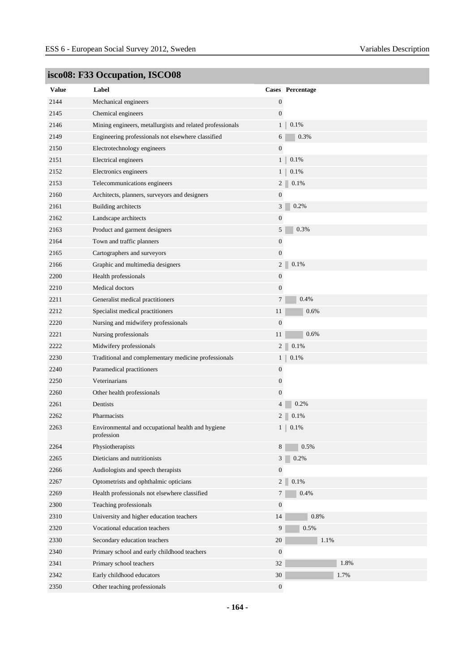| <b>Value</b> | Label                                                           |                  | <b>Cases</b> Percentage |
|--------------|-----------------------------------------------------------------|------------------|-------------------------|
| 2144         | Mechanical engineers                                            | $\boldsymbol{0}$ |                         |
| 2145         | Chemical engineers                                              | $\boldsymbol{0}$ |                         |
| 2146         | Mining engineers, metallurgists and related professionals       |                  | 0.1%<br>1 <sub>1</sub>  |
| 2149         | Engineering professionals not elsewhere classified              | 6                | 0.3%                    |
| 2150         | Electrotechnology engineers                                     | $\boldsymbol{0}$ |                         |
| 2151         | Electrical engineers                                            | 1 <sup>1</sup>   | 0.1%                    |
| 2152         | Electronics engineers                                           | 1 <sup>1</sup>   | 0.1%                    |
| 2153         | Telecommunications engineers                                    |                  | $2\vert$<br>0.1%        |
| 2160         | Architects, planners, surveyors and designers                   | $\boldsymbol{0}$ |                         |
| 2161         | Building architects                                             | 3                | 0.2%                    |
| 2162         | Landscape architects                                            | $\boldsymbol{0}$ |                         |
| 2163         | Product and garment designers                                   | 5                | 0.3%                    |
| 2164         | Town and traffic planners                                       | $\boldsymbol{0}$ |                         |
| 2165         | Cartographers and surveyors                                     | $\boldsymbol{0}$ |                         |
| 2166         | Graphic and multimedia designers                                | $\boldsymbol{2}$ | 0.1%                    |
| 2200         | Health professionals                                            | $\boldsymbol{0}$ |                         |
| 2210         | Medical doctors                                                 | $\boldsymbol{0}$ |                         |
| 2211         | Generalist medical practitioners                                | $\tau$           | 0.4%                    |
| 2212         | Specialist medical practitioners                                | 11               | 0.6%                    |
| 2220         | Nursing and midwifery professionals                             | $\mathbf{0}$     |                         |
| 2221         | Nursing professionals                                           | 11               | 0.6%                    |
| 2222         | Midwifery professionals                                         |                  | $0.1\%$<br>$2\vert$     |
| 2230         | Traditional and complementary medicine professionals            |                  | 1 <sub>1</sub><br>0.1%  |
| 2240         | Paramedical practitioners                                       | $\boldsymbol{0}$ |                         |
| 2250         | Veterinarians                                                   | $\boldsymbol{0}$ |                         |
| 2260         | Other health professionals                                      | $\boldsymbol{0}$ |                         |
| 2261         | Dentists                                                        | $\overline{4}$   | 0.2%                    |
| 2262         | Pharmacists                                                     | $\overline{c}$   | 0.1%                    |
| 2263         | Environmental and occupational health and hygiene<br>profession |                  | 0.1%<br>1 <sub>1</sub>  |
| 2264         | Physiotherapists                                                | 8                | 0.5%                    |
| 2265         | Dieticians and nutritionists                                    | $\mathfrak{Z}$   | 0.2%                    |
| 2266         | Audiologists and speech therapists                              | $\boldsymbol{0}$ |                         |
| 2267         | Optometrists and ophthalmic opticians                           |                  | $0.1\%$<br>$2\vert$     |
| 2269         | Health professionals not elsewhere classified                   | $\tau$           | 0.4%                    |
| 2300         | Teaching professionals                                          | $\boldsymbol{0}$ |                         |
| 2310         | University and higher education teachers                        | 14               | $0.8\%$                 |
| 2320         | Vocational education teachers                                   | 9                | 0.5%                    |
| 2330         | Secondary education teachers                                    | $20\,$           | 1.1%                    |
| 2340         | Primary school and early childhood teachers                     | $\boldsymbol{0}$ |                         |
| 2341         | Primary school teachers                                         | 32               | 1.8%                    |
| 2342         | Early childhood educators                                       | 30               | 1.7%                    |
| 2350         | Other teaching professionals                                    | $\boldsymbol{0}$ |                         |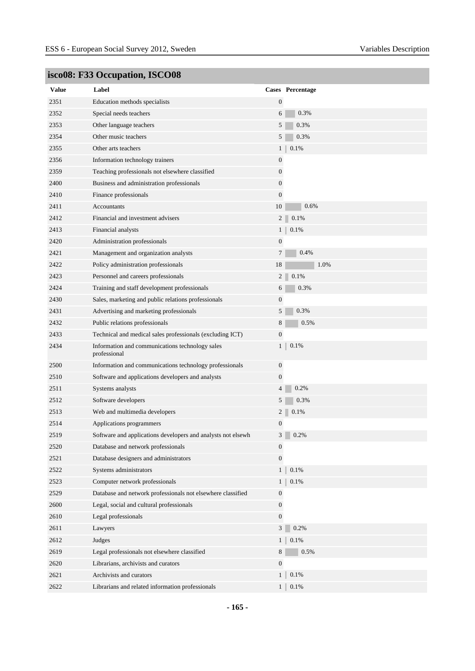| <b>Value</b> | Label                                                           |                  | Cases Percentage       |
|--------------|-----------------------------------------------------------------|------------------|------------------------|
| 2351         | Education methods specialists                                   | $\mathbf{0}$     |                        |
| 2352         | Special needs teachers                                          | 6                | 0.3%                   |
| 2353         | Other language teachers                                         | 5                | 0.3%                   |
| 2354         | Other music teachers                                            | 5                | 0.3%                   |
| 2355         | Other arts teachers                                             | 1 <sub>1</sub>   | 0.1%                   |
| 2356         | Information technology trainers                                 | $\boldsymbol{0}$ |                        |
| 2359         | Teaching professionals not elsewhere classified                 | $\boldsymbol{0}$ |                        |
| 2400         | Business and administration professionals                       | $\boldsymbol{0}$ |                        |
| 2410         | Finance professionals                                           | $\mathbf{0}$     |                        |
| 2411         | Accountants                                                     | 10               | 0.6%                   |
| 2412         | Financial and investment advisers                               |                  | 2 <sup>1</sup><br>0.1% |
| 2413         | Financial analysts                                              | 1 <sub>1</sub>   | 0.1%                   |
| 2420         | Administration professionals                                    | $\boldsymbol{0}$ |                        |
| 2421         | Management and organization analysts                            | $\overline{7}$   | 0.4%                   |
| 2422         | Policy administration professionals                             | 18               | 1.0%                   |
| 2423         | Personnel and careers professionals                             | 2 <sup>1</sup>   | 0.1%                   |
| 2424         | Training and staff development professionals                    | 6                | 0.3%                   |
| 2430         | Sales, marketing and public relations professionals             | $\boldsymbol{0}$ |                        |
| 2431         | Advertising and marketing professionals                         | 5                | 0.3%                   |
| 2432         | Public relations professionals                                  | 8                | 0.5%                   |
| 2433         | Technical and medical sales professionals (excluding ICT)       | $\boldsymbol{0}$ |                        |
| 2434         | Information and communications technology sales<br>professional | $\mathbf{1}$     | 0.1%                   |
| 2500         | Information and communications technology professionals         | $\boldsymbol{0}$ |                        |
| 2510         | Software and applications developers and analysts               | $\boldsymbol{0}$ |                        |
| 2511         | Systems analysts                                                | $\overline{4}$   | 0.2%                   |
| 2512         | Software developers                                             | 5                | 0.3%                   |
| 2513         | Web and multimedia developers                                   |                  | $2^{\dagger}$<br>0.1%  |
| 2514         | Applications programmers                                        | $\boldsymbol{0}$ |                        |
| 2519         | Software and applications developers and analysts not elsewh    |                  | $3 \ 0.2\%$            |
| 2520         | Database and network professionals                              | $\boldsymbol{0}$ |                        |
| 2521         | Database designers and administrators                           | $\boldsymbol{0}$ |                        |
| 2522         | Systems administrators                                          | 1 <sup>1</sup>   | 0.1%                   |
| 2523         | Computer network professionals                                  | $1 \mid$         | $0.1\%$                |
| 2529         | Database and network professionals not elsewhere classified     | $\boldsymbol{0}$ |                        |
| 2600         | Legal, social and cultural professionals                        | $\boldsymbol{0}$ |                        |
| 2610         | Legal professionals                                             | $\boldsymbol{0}$ |                        |
| 2611         | Lawyers                                                         | 3 <sup>1</sup>   | 0.2%                   |
| 2612         | Judges                                                          | $1 \square$      | $0.1\%$                |
| 2619         | Legal professionals not elsewhere classified                    | 8                | 0.5%                   |
| 2620         | Librarians, archivists and curators                             | $\boldsymbol{0}$ |                        |
| 2621         | Archivists and curators                                         |                  | 0.1%<br>$1 \parallel$  |
| 2622         | Librarians and related information professionals                |                  | $1$   $0.1\%$          |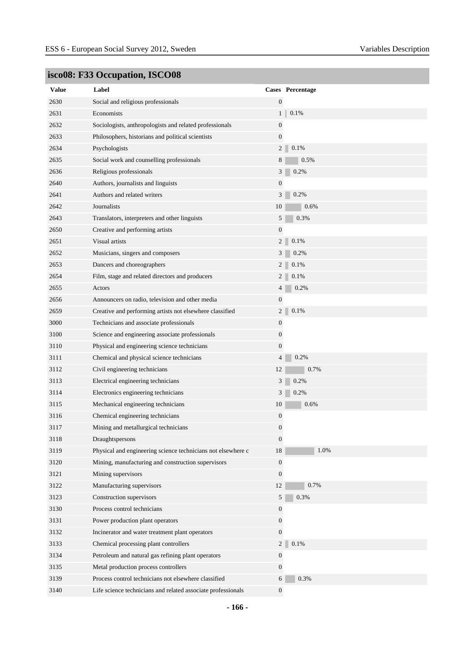| <b>Value</b> | Label                                                        |                  | Cases Percentage |
|--------------|--------------------------------------------------------------|------------------|------------------|
| 2630         | Social and religious professionals                           | $\mathbf{0}$     |                  |
| 2631         | Economists                                                   | $\mathbf{1}$     | 0.1%             |
| 2632         | Sociologists, anthropologists and related professionals      | $\boldsymbol{0}$ |                  |
| 2633         | Philosophers, historians and political scientists            | $\mathbf{0}$     |                  |
| 2634         | Psychologists                                                | $\overline{c}$   | 0.1%             |
| 2635         | Social work and counselling professionals                    | 8                | 0.5%             |
| 2636         | Religious professionals                                      | 3                | 0.2%             |
| 2640         | Authors, journalists and linguists                           | $\boldsymbol{0}$ |                  |
| 2641         | Authors and related writers                                  | 3                | 0.2%             |
| 2642         | Journalists                                                  | 10               | 0.6%             |
| 2643         | Translators, interpreters and other linguists                | 5                | 0.3%             |
| 2650         | Creative and performing artists                              | $\mathbf{0}$     |                  |
| 2651         | Visual artists                                               | $\overline{c}$   | 0.1%             |
| 2652         | Musicians, singers and composers                             | 3                | 0.2%             |
| 2653         | Dancers and choreographers                                   | 2 <sup>1</sup>   | 0.1%             |
| 2654         | Film, stage and related directors and producers              | $\overline{c}$   | 0.1%             |
| 2655         | Actors                                                       | 4                | 0.2%             |
| 2656         | Announcers on radio, television and other media              | $\boldsymbol{0}$ |                  |
| 2659         | Creative and performing artists not elsewhere classified     | $\overline{c}$   | 0.1%             |
| 3000         | Technicians and associate professionals                      | $\boldsymbol{0}$ |                  |
| 3100         | Science and engineering associate professionals              | 0                |                  |
| 3110         | Physical and engineering science technicians                 | $\boldsymbol{0}$ |                  |
| 3111         | Chemical and physical science technicians                    | 4                | 0.2%             |
| 3112         | Civil engineering technicians                                | 12               | 0.7%             |
| 3113         | Electrical engineering technicians                           | 3                | 0.2%             |
| 3114         | Electronics engineering technicians                          | 3                | 0.2%             |
| 3115         | Mechanical engineering technicians                           | 10               | 0.6%             |
| 3116         | Chemical engineering technicians                             | $\boldsymbol{0}$ |                  |
| 3117         | Mining and metallurgical technicians                         | 0                |                  |
| 3118         | Draughtspersons                                              | $\boldsymbol{0}$ |                  |
| 3119         | Physical and engineering science technicians not elsewhere c | 18               | 1.0%             |
| 3120         | Mining, manufacturing and construction supervisors           | $\mathbf{0}$     |                  |
| 3121         | Mining supervisors                                           | $\mathbf{0}$     |                  |
| 3122         | Manufacturing supervisors                                    | 12               | 0.7%             |
| 3123         | Construction supervisors                                     | 5                | 0.3%             |
| 3130         | Process control technicians                                  | $\mathbf{0}$     |                  |
| 3131         | Power production plant operators                             | $\boldsymbol{0}$ |                  |
| 3132         | Incinerator and water treatment plant operators              | $\boldsymbol{0}$ |                  |
| 3133         | Chemical processing plant controllers                        | $\overline{2}$   | 0.1%             |
| 3134         | Petroleum and natural gas refining plant operators           | $\boldsymbol{0}$ |                  |
| 3135         | Metal production process controllers                         | $\boldsymbol{0}$ |                  |
| 3139         | Process control technicians not elsewhere classified         | 6                | $0.3\%$          |
| 3140         | Life science technicians and related associate professionals | $\mathbf{0}$     |                  |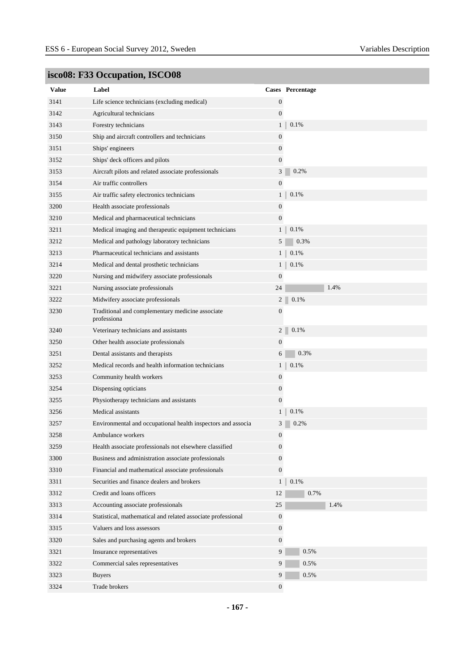| <b>Value</b> | Label                                                           |                  | Cases Percentage |
|--------------|-----------------------------------------------------------------|------------------|------------------|
| 3141         | Life science technicians (excluding medical)                    | $\mathbf{0}$     |                  |
| 3142         | Agricultural technicians                                        | $\mathbf{0}$     |                  |
| 3143         | Forestry technicians                                            | 1 <sub>1</sub>   | 0.1%             |
| 3150         | Ship and aircraft controllers and technicians                   | $\boldsymbol{0}$ |                  |
| 3151         | Ships' engineers                                                | 0                |                  |
| 3152         | Ships' deck officers and pilots                                 | $\overline{0}$   |                  |
| 3153         | Aircraft pilots and related associate professionals             | 3                | 0.2%             |
| 3154         | Air traffic controllers                                         | $\boldsymbol{0}$ |                  |
| 3155         | Air traffic safety electronics technicians                      | $\mathbf{1}$     | 0.1%             |
| 3200         | Health associate professionals                                  | $\boldsymbol{0}$ |                  |
| 3210         | Medical and pharmaceutical technicians                          | $\boldsymbol{0}$ |                  |
| 3211         | Medical imaging and therapeutic equipment technicians           | $1 \square$      | 0.1%             |
| 3212         | Medical and pathology laboratory technicians                    | 5                | 0.3%             |
| 3213         | Pharmaceutical technicians and assistants                       | $1 \square$      | 0.1%             |
| 3214         | Medical and dental prosthetic technicians                       | 1 <sub>1</sub>   | 0.1%             |
| 3220         | Nursing and midwifery associate professionals                   | $\boldsymbol{0}$ |                  |
| 3221         | Nursing associate professionals                                 | 24               | 1.4%             |
| 3222         | Midwifery associate professionals                               | $\overline{c}$   | 0.1%             |
| 3230         | Traditional and complementary medicine associate<br>professiona | $\boldsymbol{0}$ |                  |
| 3240         | Veterinary technicians and assistants                           | $\overline{c}$   | 0.1%             |
| 3250         | Other health associate professionals                            | $\boldsymbol{0}$ |                  |
| 3251         | Dental assistants and therapists                                | 6                | 0.3%             |
| 3252         | Medical records and health information technicians              | 1 <sub>1</sub>   | 0.1%             |
| 3253         | Community health workers                                        | $\boldsymbol{0}$ |                  |
| 3254         | Dispensing opticians                                            | $\boldsymbol{0}$ |                  |
| 3255         | Physiotherapy technicians and assistants                        | $\boldsymbol{0}$ |                  |
| 3256         | Medical assistants                                              | 1 <sub>1</sub>   | 0.1%             |
| 3257         | Environmental and occupational health inspectors and associa    | 3                | 0.2%             |
| 3258         | Ambulance workers                                               | 0                |                  |
| 3259         | Health associate professionals not elsewhere classified         | $\boldsymbol{0}$ |                  |
| 3300         | Business and administration associate professionals             | 0                |                  |
| 3310         | Financial and mathematical associate professionals              | $\overline{0}$   |                  |
| 3311         | Securities and finance dealers and brokers                      | 1 <sup>1</sup>   | 0.1%             |
| 3312         | Credit and loans officers                                       | 12               | 0.7%             |
| 3313         | Accounting associate professionals                              | 25               | 1.4%             |
| 3314         | Statistical, mathematical and related associate professional    | $\mathbf{0}$     |                  |
| 3315         | Valuers and loss assessors                                      | $\mathbf{0}$     |                  |
| 3320         | Sales and purchasing agents and brokers                         | $\overline{0}$   |                  |
| 3321         | Insurance representatives                                       | 9                | 0.5%             |
| 3322         | Commercial sales representatives                                | 9                | 0.5%             |
| 3323         | <b>Buyers</b>                                                   | 9                | 0.5%             |
| 3324         | Trade brokers                                                   | $\boldsymbol{0}$ |                  |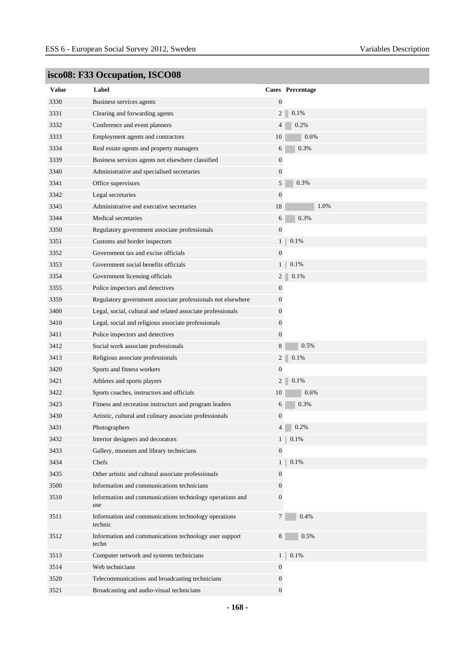| <b>Value</b> | Label                                                           |                  | Cases Percentage         |
|--------------|-----------------------------------------------------------------|------------------|--------------------------|
| 3330         | Business services agents                                        | $\mathbf{0}$     |                          |
| 3331         | Clearing and forwarding agents                                  | 2 <sup>1</sup>   | 0.1%                     |
| 3332         | Conference and event planners                                   | $\overline{4}$   | 0.2%                     |
| 3333         | Employment agents and contractors                               | 10               | 0.6%                     |
| 3334         | Real estate agents and property managers                        | 6                | 0.3%                     |
| 3339         | Business services agents not elsewhere classified               | $\boldsymbol{0}$ |                          |
| 3340         | Administrative and specialised secretaries                      | $\mathbf{0}$     |                          |
| 3341         | Office supervisors                                              | 5                | 0.3%                     |
| 3342         | Legal secretaries                                               | $\mathbf{0}$     |                          |
| 3343         | Administrative and executive secretaries                        | 18               | 1.0%                     |
| 3344         | Medical secretaries                                             | 6                | 0.3%                     |
| 3350         | Regulatory government associate professionals                   | $\boldsymbol{0}$ |                          |
| 3351         | Customs and border inspectors                                   | $\mathbf{1}$     | 0.1%                     |
| 3352         | Government tax and excise officials                             | $\mathbf{0}$     |                          |
| 3353         | Government social benefits officials                            |                  | 1<br>0.1%                |
| 3354         | Government licensing officials                                  | $\overline{c}$   | 0.1%                     |
| 3355         | Police inspectors and detectives                                | $\boldsymbol{0}$ |                          |
| 3359         | Regulatory government associate professionals not elsewhere     | $\mathbf{0}$     |                          |
| 3400         | Legal, social, cultural and related associate professionals     | $\overline{0}$   |                          |
| 3410         | Legal, social and religious associate professionals             | $\mathbf{0}$     |                          |
| 3411         | Police inspectors and detectives                                | $\mathbf{0}$     |                          |
| 3412         | Social work associate professionals                             | 8                | 0.5%                     |
| 3413         | Religious associate professionals                               |                  | 2<br>0.1%                |
| 3420         | Sports and fitness workers                                      | $\boldsymbol{0}$ |                          |
| 3421         | Athletes and sports players                                     | 2 <sup>1</sup>   | 0.1%                     |
| 3422         | Sports coaches, instructors and officials                       | 10               | 0.6%                     |
| 3423         | Fitness and recreation instructors and program leaders          | 6                | 0.3%                     |
| 3430         | Artistic, cultural and culinary associate professionals         | $\boldsymbol{0}$ |                          |
| 3431         | Photographers                                                   | $\overline{4}$   | 0.2%                     |
| 3432         | Interior designers and decorators                               | 1                | 0.1%                     |
| 3433         | Gallery, museum and library technicians                         | $\mathbf{0}$     |                          |
| 3434         | Chefs                                                           |                  | 0.1%<br>$1 \parallel$    |
| 3435         | Other artistic and cultural associate professionals             | $\mathbf{0}$     |                          |
| 3500         | Information and communications technicians                      | $\overline{0}$   |                          |
| 3510         | Information and communications technology operations and<br>use | $\overline{0}$   |                          |
| 3511         | Information and communications technology operations<br>technic | $\tau$           | 0.4%                     |
| 3512         | Information and communications technology user support<br>techn | 8                | 0.5%                     |
| 3513         | Computer network and systems technicians                        |                  | $0.1\%$<br>$1 \parallel$ |
| 3514         | Web technicians                                                 | $\mathbf{0}$     |                          |
| 3520         | Telecommunications and broadcasting technicians                 | $\mathbf{0}$     |                          |
| 3521         | Broadcasting and audio-visual technicians                       | $\overline{0}$   |                          |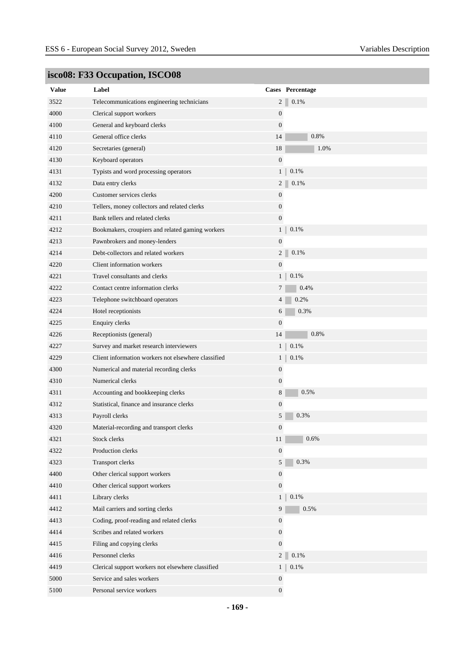| Value | Label                                               |                  | Cases Percentage |
|-------|-----------------------------------------------------|------------------|------------------|
| 3522  | Telecommunications engineering technicians          | $\overline{c}$   | 0.1%             |
| 4000  | Clerical support workers                            | $\boldsymbol{0}$ |                  |
| 4100  | General and keyboard clerks                         | $\mathbf{0}$     |                  |
| 4110  | General office clerks                               | 14               | 0.8%             |
| 4120  | Secretaries (general)                               | 18               | 1.0%             |
| 4130  | Keyboard operators                                  | $\mathbf{0}$     |                  |
| 4131  | Typists and word processing operators               | 1 <sub>1</sub>   | 0.1%             |
| 4132  | Data entry clerks                                   | $\overline{2}$   | 0.1%             |
| 4200  | Customer services clerks                            | 0                |                  |
| 4210  | Tellers, money collectors and related clerks        | $\boldsymbol{0}$ |                  |
| 4211  | Bank tellers and related clerks                     | $\mathbf{0}$     |                  |
| 4212  | Bookmakers, croupiers and related gaming workers    | 1 <sup>1</sup>   | 0.1%             |
| 4213  | Pawnbrokers and money-lenders                       | $\boldsymbol{0}$ |                  |
| 4214  | Debt-collectors and related workers                 | $\overline{c}$   | 0.1%             |
| 4220  | Client information workers                          | $\boldsymbol{0}$ |                  |
| 4221  | Travel consultants and clerks                       | 1 <sub>1</sub>   | 0.1%             |
| 4222  | Contact centre information clerks                   | 7                | 0.4%             |
| 4223  | Telephone switchboard operators                     | 4                | 0.2%             |
| 4224  | Hotel receptionists                                 | 6                | 0.3%             |
| 4225  | <b>Enquiry clerks</b>                               | $\boldsymbol{0}$ |                  |
| 4226  | Receptionists (general)                             | 14               | 0.8%             |
| 4227  | Survey and market research interviewers             | 1 <sub>1</sub>   | 0.1%             |
| 4229  | Client information workers not elsewhere classified | $\mathbf{1}$     | 0.1%             |
| 4300  | Numerical and material recording clerks             | $\boldsymbol{0}$ |                  |
| 4310  | Numerical clerks                                    | $\boldsymbol{0}$ |                  |
| 4311  | Accounting and bookkeeping clerks                   | 8                | 0.5%             |
| 4312  | Statistical, finance and insurance clerks           | $\boldsymbol{0}$ |                  |
| 4313  | Payroll clerks                                      | 5                | 0.3%             |
| 4320  | Material-recording and transport clerks             | $\boldsymbol{0}$ |                  |
| 4321  | Stock clerks                                        | 11               | 0.6%             |
| 4322  | Production clerks                                   | $\mathbf{0}$     |                  |
| 4323  | Transport clerks                                    | 5                | 0.3%             |
| 4400  | Other clerical support workers                      | $\boldsymbol{0}$ |                  |
| 4410  | Other clerical support workers                      | $\boldsymbol{0}$ |                  |
| 4411  | Library clerks                                      | 1 <sup>1</sup>   | $0.1\%$          |
| 4412  | Mail carriers and sorting clerks                    | 9                | 0.5%             |
| 4413  | Coding, proof-reading and related clerks            | $\boldsymbol{0}$ |                  |
| 4414  | Scribes and related workers                         | $\mathbf{0}$     |                  |
| 4415  | Filing and copying clerks                           | $\boldsymbol{0}$ |                  |
| 4416  | Personnel clerks                                    | 2 <sup>1</sup>   | 0.1%             |
| 4419  | Clerical support workers not elsewhere classified   | 1 <sup>1</sup>   | $0.1\%$          |
| 5000  | Service and sales workers                           | $\boldsymbol{0}$ |                  |
| 5100  | Personal service workers                            | $\boldsymbol{0}$ |                  |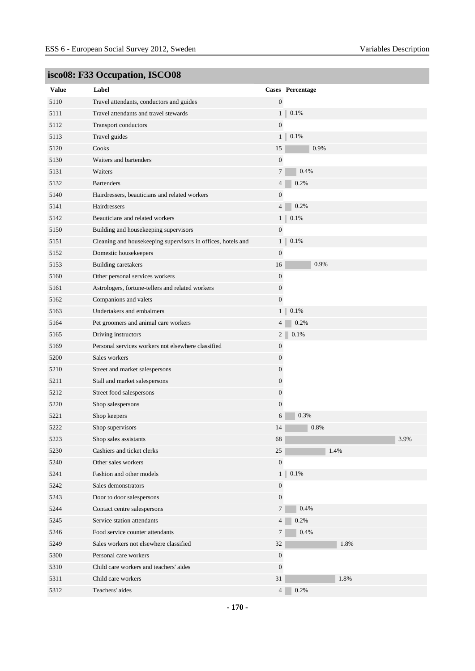|              | <b>Beover 1 cc occupation, 190000</b>                        |                  |                  |
|--------------|--------------------------------------------------------------|------------------|------------------|
| <b>Value</b> | Label                                                        |                  | Cases Percentage |
| 5110         | Travel attendants, conductors and guides                     | $\boldsymbol{0}$ |                  |
| 5111         | Travel attendants and travel stewards                        | 1 <sub>1</sub>   | 0.1%             |
| 5112         | Transport conductors                                         | $\mathbf{0}$     |                  |
| 5113         | Travel guides                                                | $1 \parallel$    | 0.1%             |
| 5120         | Cooks                                                        | 15               | 0.9%             |
| 5130         | Waiters and bartenders                                       | $\mathbf{0}$     |                  |
| 5131         | Waiters                                                      | $7\phantom{.0}$  | 0.4%             |
| 5132         | <b>Bartenders</b>                                            | $\overline{4}$   | 0.2%             |
| 5140         | Hairdressers, beauticians and related workers                | $\boldsymbol{0}$ |                  |
| 5141         | Hairdressers                                                 | $\overline{4}$   | 0.2%             |
| 5142         | Beauticians and related workers                              | $1 \parallel$    | 0.1%             |
| 5150         | Building and housekeeping supervisors                        | $\boldsymbol{0}$ |                  |
| 5151         | Cleaning and housekeeping supervisors in offices, hotels and | 1 <sup>1</sup>   | 0.1%             |
| 5152         | Domestic housekeepers                                        | $\boldsymbol{0}$ |                  |
| 5153         | <b>Building caretakers</b>                                   | 16               | 0.9%             |
| 5160         | Other personal services workers                              | $\boldsymbol{0}$ |                  |
| 5161         | Astrologers, fortune-tellers and related workers             | $\boldsymbol{0}$ |                  |
| 5162         | Companions and valets                                        | $\mathbf{0}$     |                  |
| 5163         | Undertakers and embalmers                                    | 1 <sub>1</sub>   | 0.1%             |
| 5164         | Pet groomers and animal care workers                         | $\overline{4}$   | 0.2%             |
| 5165         | Driving instructors                                          | 2 <sup>1</sup>   | 0.1%             |
| 5169         | Personal services workers not elsewhere classified           | $\boldsymbol{0}$ |                  |
| 5200         | Sales workers                                                | $\boldsymbol{0}$ |                  |
| 5210         | Street and market salespersons                               | $\mathbf{0}$     |                  |
| 5211         | Stall and market salespersons                                | $\boldsymbol{0}$ |                  |
| 5212         | Street food salespersons                                     | $\boldsymbol{0}$ |                  |
| 5220         | Shop salespersons                                            | $\mathbf{0}$     |                  |
| 5221         | Shop keepers                                                 | 6                | 0.3%             |
| 5222         | Shop supervisors                                             | 14               | 0.8%             |
| 5223         | Shop sales assistants                                        | 68               | 3.9%             |
| 5230         | Cashiers and ticket clerks                                   | $25\,$           | 1.4%             |
| 5240         | Other sales workers                                          | $\boldsymbol{0}$ |                  |
| 5241         | Fashion and other models                                     | 1 <sub>1</sub>   | $0.1\%$          |
| 5242         | Sales demonstrators                                          | $\boldsymbol{0}$ |                  |
| 5243         | Door to door salespersons                                    | $\overline{0}$   |                  |
| 5244         | Contact centre salespersons                                  | $\tau$           | 0.4%             |
| 5245         | Service station attendants                                   | $\overline{4}$   | 0.2%             |
| 5246         | Food service counter attendants                              | 7                | 0.4%             |
| 5249         | Sales workers not elsewhere classified                       | 32               | 1.8%             |
| 5300         | Personal care workers                                        | $\boldsymbol{0}$ |                  |
| 5310         | Child care workers and teachers' aides                       | $\mathbf{0}$     |                  |
| 5311         | Child care workers                                           | 31               | 1.8%             |
| 5312         | Teachers' aides                                              | 4 <sup>1</sup>   | 0.2%             |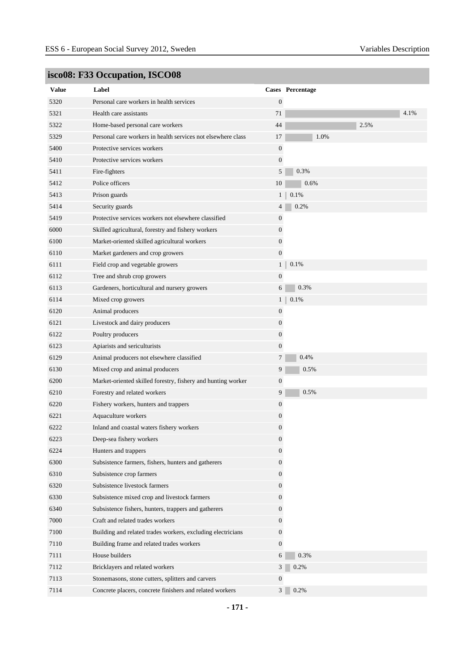| <b>Value</b> | Label                                                        |                  | Cases Percentage    |  |
|--------------|--------------------------------------------------------------|------------------|---------------------|--|
| 5320         | Personal care workers in health services                     | $\mathbf{0}$     |                     |  |
| 5321         | Health care assistants                                       | 71               | 4.1%                |  |
| 5322         | Home-based personal care workers                             | 44               | 2.5%                |  |
|              |                                                              |                  |                     |  |
| 5329         | Personal care workers in health services not elsewhere class | 17               | 1.0%                |  |
| 5400         | Protective services workers                                  | $\boldsymbol{0}$ |                     |  |
| 5410         | Protective services workers                                  | $\boldsymbol{0}$ |                     |  |
| 5411         | Fire-fighters                                                | 5                | 0.3%                |  |
| 5412         | Police officers                                              | 10               | 0.6%                |  |
| 5413         | Prison guards                                                |                  | 0.1%<br>$1 \square$ |  |
| 5414         | Security guards                                              | 4                | 0.2%                |  |
| 5419         | Protective services workers not elsewhere classified         | 0                |                     |  |
| 6000         | Skilled agricultural, forestry and fishery workers           | 0                |                     |  |
| 6100         | Market-oriented skilled agricultural workers                 | $\boldsymbol{0}$ |                     |  |
| 6110         | Market gardeners and crop growers                            | $\boldsymbol{0}$ |                     |  |
| 6111         | Field crop and vegetable growers                             | 1 <sub>1</sub>   | 0.1%                |  |
| 6112         | Tree and shrub crop growers                                  | $\boldsymbol{0}$ |                     |  |
| 6113         | Gardeners, horticultural and nursery growers                 | 6                | 0.3%                |  |
| 6114         | Mixed crop growers                                           | 1 <sub>1</sub>   | 0.1%                |  |
| 6120         | Animal producers                                             | $\boldsymbol{0}$ |                     |  |
| 6121         | Livestock and dairy producers                                | 0                |                     |  |
| 6122         | Poultry producers                                            | $\boldsymbol{0}$ |                     |  |
| 6123         | Apiarists and sericulturists                                 | $\boldsymbol{0}$ |                     |  |
| 6129         | Animal producers not elsewhere classified                    | 7                | 0.4%                |  |
| 6130         | Mixed crop and animal producers                              | 9                | 0.5%                |  |
| 6200         | Market-oriented skilled forestry, fishery and hunting worker | 0                |                     |  |
| 6210         | Forestry and related workers                                 | 9                | 0.5%                |  |
| 6220         | Fishery workers, hunters and trappers                        | $\boldsymbol{0}$ |                     |  |
| 6221         | Aquaculture workers                                          | 0                |                     |  |
| 6222         | Inland and coastal waters fishery workers                    | $\boldsymbol{0}$ |                     |  |
| 6223         | Deep-sea fishery workers                                     | 0                |                     |  |
| 6224         | Hunters and trappers                                         | $\boldsymbol{0}$ |                     |  |
| 6300         | Subsistence farmers, fishers, hunters and gatherers          | $\boldsymbol{0}$ |                     |  |
| 6310         | Subsistence crop farmers                                     | $\mathbf{0}$     |                     |  |
| 6320         | Subsistence livestock farmers                                | $\overline{0}$   |                     |  |
| 6330         | Subsistence mixed crop and livestock farmers                 | $\overline{0}$   |                     |  |
| 6340         | Subsistence fishers, hunters, trappers and gatherers         | $\overline{0}$   |                     |  |
| 7000         | Craft and related trades workers                             | $\boldsymbol{0}$ |                     |  |
| 7100         | Building and related trades workers, excluding electricians  | $\overline{0}$   |                     |  |
| 7110         | Building frame and related trades workers                    | $\overline{0}$   |                     |  |
| 7111         | House builders                                               | 6                | 0.3%                |  |
| 7112         | Bricklayers and related workers                              | 3                | 0.2%                |  |
| 7113         | Stonemasons, stone cutters, splitters and carvers            | $\boldsymbol{0}$ |                     |  |
| 7114         | Concrete placers, concrete finishers and related workers     | 3 <sup>1</sup>   | 0.2%                |  |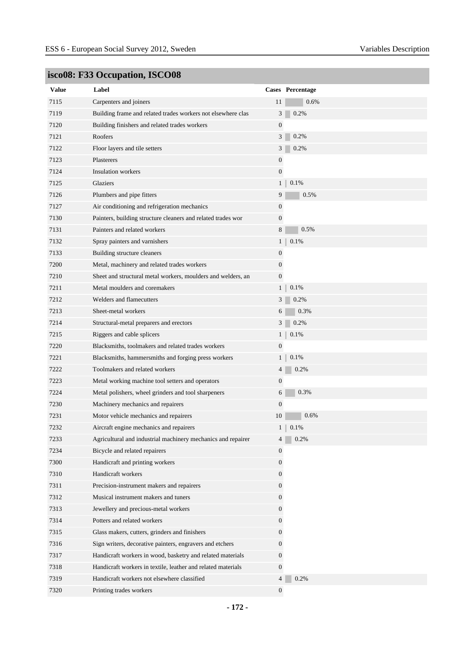| <b>Value</b> | Label                                                        |                  | Cases Percentage |
|--------------|--------------------------------------------------------------|------------------|------------------|
| 7115         | Carpenters and joiners                                       | 11               | 0.6%             |
| 7119         | Building frame and related trades workers not elsewhere clas | 3                | 0.2%             |
| 7120         | Building finishers and related trades workers                | $\mathbf{0}$     |                  |
| 7121         | Roofers                                                      | 3                | 0.2%             |
| 7122         | Floor layers and tile setters                                | 3                | 0.2%             |
| 7123         | Plasterers                                                   | $\boldsymbol{0}$ |                  |
| 7124         | <b>Insulation workers</b>                                    | $\boldsymbol{0}$ |                  |
| 7125         | <b>Glaziers</b>                                              | $1 \parallel$    | 0.1%             |
| 7126         | Plumbers and pipe fitters                                    | 9                | 0.5%             |
| 7127         | Air conditioning and refrigeration mechanics                 | 0                |                  |
| 7130         | Painters, building structure cleaners and related trades wor | $\boldsymbol{0}$ |                  |
| 7131         | Painters and related workers                                 | 8                | 0.5%             |
| 7132         | Spray painters and varnishers                                | $1 \parallel$    | 0.1%             |
| 7133         | Building structure cleaners                                  | 0                |                  |
| 7200         | Metal, machinery and related trades workers                  | $\boldsymbol{0}$ |                  |
| 7210         | Sheet and structural metal workers, moulders and welders, an | $\boldsymbol{0}$ |                  |
| 7211         | Metal moulders and coremakers                                | 1 <sub>1</sub>   | 0.1%             |
| 7212         | Welders and flamecutters                                     | 3                | 0.2%             |
| 7213         | Sheet-metal workers                                          | 6                | 0.3%             |
| 7214         | Structural-metal preparers and erectors                      | 3 <sup>1</sup>   | 0.2%             |
| 7215         | Riggers and cable splicers                                   | 1 <sub>1</sub>   | 0.1%             |
| 7220         | Blacksmiths, toolmakers and related trades workers           | $\boldsymbol{0}$ |                  |
| 7221         | Blacksmiths, hammersmiths and forging press workers          | $1 \parallel$    | 0.1%             |
| 7222         | Toolmakers and related workers                               | 4                | 0.2%             |
| 7223         | Metal working machine tool setters and operators             | 0                |                  |
| 7224         | Metal polishers, wheel grinders and tool sharpeners          | 6                | 0.3%             |
| 7230         | Machinery mechanics and repairers                            | $\boldsymbol{0}$ |                  |
| 7231         | Motor vehicle mechanics and repairers                        | 10               | 0.6%             |
| 7232         | Aircraft engine mechanics and repairers                      | $1 \parallel$    | 0.1%             |
| 7233         | Agricultural and industrial machinery mechanics and repairer |                  | $4\Box$<br>0.2%  |
| 7234         | Bicycle and related repairers                                | 0                |                  |
| 7300         | Handicraft and printing workers                              | $\boldsymbol{0}$ |                  |
| 7310         | Handicraft workers                                           | $\mathbf{0}$     |                  |
| 7311         | Precision-instrument makers and repairers                    | $\mathbf{0}$     |                  |
| 7312         | Musical instrument makers and tuners                         | $\overline{0}$   |                  |
| 7313         | Jewellery and precious-metal workers                         | $\overline{0}$   |                  |
| 7314         | Potters and related workers                                  | $\overline{0}$   |                  |
| 7315         | Glass makers, cutters, grinders and finishers                | $\boldsymbol{0}$ |                  |
| 7316         | Sign writers, decorative painters, engravers and etchers     | $\overline{0}$   |                  |
| 7317         | Handicraft workers in wood, basketry and related materials   | $\boldsymbol{0}$ |                  |
| 7318         | Handicraft workers in textile, leather and related materials | $\overline{0}$   |                  |
| 7319         | Handicraft workers not elsewhere classified                  | $\overline{4}$   | 0.2%             |
| 7320         | Printing trades workers                                      | $\overline{0}$   |                  |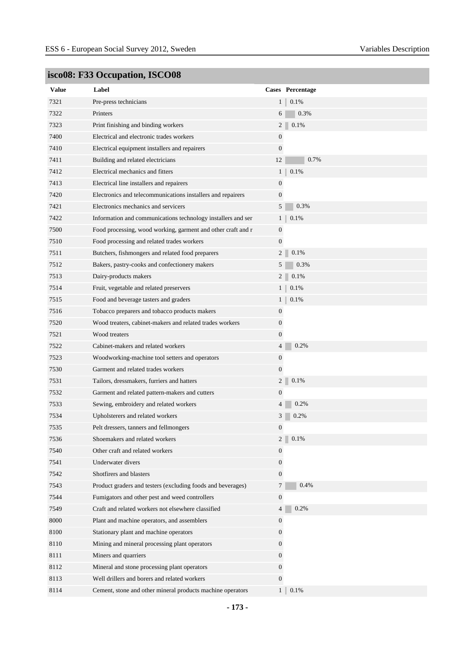| <b>Value</b> | Label                                                        |                  | Cases Percentage |
|--------------|--------------------------------------------------------------|------------------|------------------|
| 7321         | Pre-press technicians                                        | $1 \parallel$    | 0.1%             |
| 7322         | Printers                                                     | 6                | 0.3%             |
| 7323         | Print finishing and binding workers                          | 2 <sup>1</sup>   | 0.1%             |
| 7400         | Electrical and electronic trades workers                     | $\boldsymbol{0}$ |                  |
| 7410         | Electrical equipment installers and repairers                | $\mathbf{0}$     |                  |
| 7411         | Building and related electricians                            | 12               | 0.7%             |
| 7412         | Electrical mechanics and fitters                             | 1 <sup>1</sup>   | $0.1\%$          |
| 7413         | Electrical line installers and repairers                     | $\boldsymbol{0}$ |                  |
| 7420         | Electronics and telecommunications installers and repairers  | $\mathbf{0}$     |                  |
| 7421         | Electronics mechanics and servicers                          | 5                | 0.3%             |
| 7422         | Information and communications technology installers and ser | $1 \parallel$    | 0.1%             |
| 7500         | Food processing, wood working, garment and other craft and r | $\mathbf{0}$     |                  |
| 7510         | Food processing and related trades workers                   | $\mathbf{0}$     |                  |
| 7511         | Butchers, fishmongers and related food preparers             | $\mathfrak{2}$   | 0.1%             |
| 7512         | Bakers, pastry-cooks and confectionery makers                | 5                | 0.3%             |
| 7513         | Dairy-products makers                                        | $2^{\mid}$       | 0.1%             |
| 7514         | Fruit, vegetable and related preservers                      | $1 \parallel$    | 0.1%             |
| 7515         | Food and beverage tasters and graders                        | $1 \parallel$    | 0.1%             |
| 7516         | Tobacco preparers and tobacco products makers                | $\mathbf{0}$     |                  |
| 7520         | Wood treaters, cabinet-makers and related trades workers     | $\overline{0}$   |                  |
| 7521         | Wood treaters                                                | $\overline{0}$   |                  |
| 7522         | Cabinet-makers and related workers                           | $\overline{4}$   | 0.2%             |
| 7523         | Woodworking-machine tool setters and operators               | $\boldsymbol{0}$ |                  |
| 7530         | Garment and related trades workers                           | $\mathbf{0}$     |                  |
| 7531         | Tailors, dressmakers, furriers and hatters                   | $\overline{2}$   | 0.1%             |
| 7532         | Garment and related pattern-makers and cutters               | $\mathbf{0}$     |                  |
| 7533         | Sewing, embroidery and related workers                       | $\overline{4}$   | 0.2%             |
| 7534         | Upholsterers and related workers                             | 3                | 0.2%             |
| 7535         | Pelt dressers, tanners and fellmongers                       | $\boldsymbol{0}$ |                  |
| 7536         | Shoemakers and related workers                               |                  | 0.1%             |
| 7540         | Other craft and related workers                              | $\mathbf{0}$     |                  |
| 7541         | Underwater divers                                            | $\overline{0}$   |                  |
| 7542         | Shotfirers and blasters                                      | $\overline{0}$   |                  |
| 7543         | Product graders and testers (excluding foods and beverages)  | $\tau$           | 0.4%             |
| 7544         | Fumigators and other pest and weed controllers               | $\mathbf{0}$     |                  |
| 7549         | Craft and related workers not elsewhere classified           | $\overline{4}$   | 0.2%             |
| 8000         | Plant and machine operators, and assemblers                  | $\mathbf{0}$     |                  |
| 8100         | Stationary plant and machine operators                       | $\overline{0}$   |                  |
| 8110         | Mining and mineral processing plant operators                | $\overline{0}$   |                  |
| 8111         | Miners and quarriers                                         | $\mathbf{0}$     |                  |
| 8112         | Mineral and stone processing plant operators                 | $\mathbf{0}$     |                  |
| 8113         | Well drillers and borers and related workers                 | $\overline{0}$   |                  |
| 8114         | Cement, stone and other mineral products machine operators   | 1 <sup>1</sup>   | 0.1%             |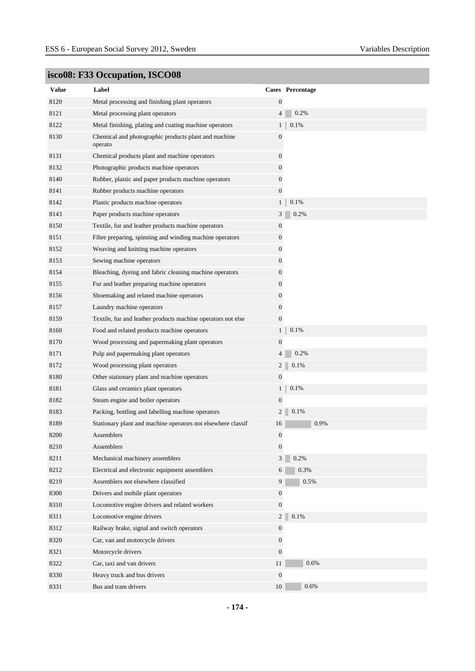| <b>Value</b> | Label                                                           |                  | Cases Percentage |
|--------------|-----------------------------------------------------------------|------------------|------------------|
| 8120         | Metal processing and finishing plant operators                  | $\boldsymbol{0}$ |                  |
| 8121         | Metal processing plant operators                                | $\overline{4}$   | 0.2%             |
| 8122         | Metal finishing, plating and coating machine operators          | 1 <sub>1</sub>   | 0.1%             |
| 8130         | Chemical and photographic products plant and machine<br>operato | $\boldsymbol{0}$ |                  |
| 8131         | Chemical products plant and machine operators                   | $\boldsymbol{0}$ |                  |
| 8132         | Photographic products machine operators                         | $\boldsymbol{0}$ |                  |
| 8140         | Rubber, plastic and paper products machine operators            | $\boldsymbol{0}$ |                  |
| 8141         | Rubber products machine operators                               | $\boldsymbol{0}$ |                  |
| 8142         | Plastic products machine operators                              | 1 <sup>1</sup>   | 0.1%             |
| 8143         | Paper products machine operators                                | 3                | 0.2%             |
| 8150         | Textile, fur and leather products machine operators             | $\boldsymbol{0}$ |                  |
| 8151         | Fibre preparing, spinning and winding machine operators         | $\boldsymbol{0}$ |                  |
| 8152         | Weaving and knitting machine operators                          | $\boldsymbol{0}$ |                  |
| 8153         | Sewing machine operators                                        | $\boldsymbol{0}$ |                  |
| 8154         | Bleaching, dyeing and fabric cleaning machine operators         | $\boldsymbol{0}$ |                  |
| 8155         | Fur and leather preparing machine operators                     | $\boldsymbol{0}$ |                  |
| 8156         | Shoemaking and related machine operators                        | $\boldsymbol{0}$ |                  |
| 8157         | Laundry machine operators                                       | $\boldsymbol{0}$ |                  |
| 8159         | Textile, fur and leather products machine operators not else    | $\boldsymbol{0}$ |                  |
| 8160         | Food and related products machine operators                     | $\mathbf{1}$     | 0.1%             |
| 8170         | Wood processing and papermaking plant operators                 | $\boldsymbol{0}$ |                  |
| 8171         | Pulp and papermaking plant operators                            | $\overline{4}$   | 0.2%             |
| 8172         | Wood processing plant operators                                 | $\overline{c}$   | 0.1%             |
| 8180         | Other stationary plant and machine operators                    | $\boldsymbol{0}$ |                  |
| 8181         | Glass and ceramics plant operators                              | $\mathbf{1}$     | 0.1%             |
| 8182         | Steam engine and boiler operators                               | $\boldsymbol{0}$ |                  |
| 8183         | Packing, bottling and labelling machine operators               | 2                | 0.1%             |
| 8189         | Stationary plant and machine operators not elsewhere classif    | 16               | 0.9%             |
| 8200         | Assemblers                                                      | $\mathbf{0}$     |                  |
| 8210         | Assemblers                                                      | $\mathbf{0}$     |                  |
| 8211         | Mechanical machinery assemblers                                 | 3                | 0.2%             |
| 8212         | Electrical and electronic equipment assemblers                  | 6                | 0.3%             |
| 8219         | Assemblers not elsewhere classified                             | 9                | 0.5%             |
| 8300         | Drivers and mobile plant operators                              | $\mathbf{0}$     |                  |
| 8310         | Locomotive engine drivers and related workers                   | $\boldsymbol{0}$ |                  |
| 8311         | Locomotive engine drivers                                       | $\sqrt{2}$       | 0.1%             |
| 8312         | Railway brake, signal and switch operators                      | $\boldsymbol{0}$ |                  |
| 8320         | Car, van and motorcycle drivers                                 | $\mathbf{0}$     |                  |
| 8321         | Motorcycle drivers                                              | $\mathbf{0}$     |                  |
| 8322         | Car, taxi and van drivers                                       | 11               | 0.6%             |
| 8330         | Heavy truck and bus drivers                                     | $\boldsymbol{0}$ |                  |
| 8331         | Bus and tram drivers                                            | 10               | 0.6%             |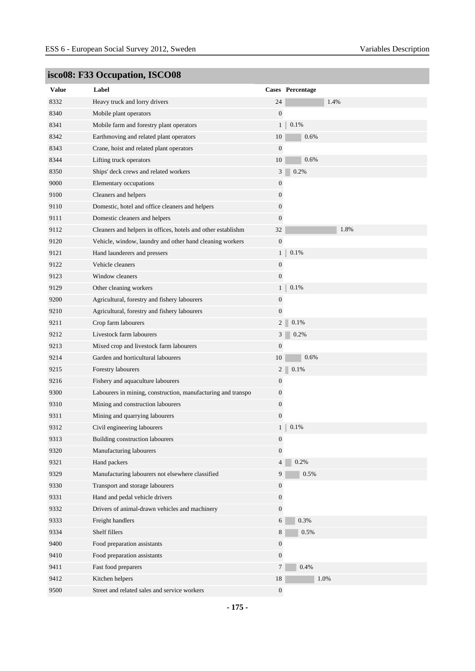| <b>Value</b> | Label                                                        |                  | Cases Percentage |
|--------------|--------------------------------------------------------------|------------------|------------------|
| 8332         | Heavy truck and lorry drivers                                | 24               | 1.4%             |
| 8340         | Mobile plant operators                                       | $\mathbf{0}$     |                  |
| 8341         | Mobile farm and forestry plant operators                     | 1 <sub>1</sub>   | 0.1%             |
| 8342         | Earthmoving and related plant operators                      | 10               | 0.6%             |
| 8343         | Crane, hoist and related plant operators                     | $\boldsymbol{0}$ |                  |
| 8344         | Lifting truck operators                                      | 10               | 0.6%             |
| 8350         | Ships' deck crews and related workers                        | 3                | 0.2%             |
| 9000         | Elementary occupations                                       | $\boldsymbol{0}$ |                  |
| 9100         | Cleaners and helpers                                         | $\boldsymbol{0}$ |                  |
| 9110         | Domestic, hotel and office cleaners and helpers              | $\boldsymbol{0}$ |                  |
| 9111         | Domestic cleaners and helpers                                | $\mathbf{0}$     |                  |
| 9112         | Cleaners and helpers in offices, hotels and other establishm | 32               | 1.8%             |
| 9120         | Vehicle, window, laundry and other hand cleaning workers     | $\mathbf{0}$     |                  |
| 9121         | Hand launderers and pressers                                 | $1\vert$         | 0.1%             |
| 9122         | Vehicle cleaners                                             | $\mathbf{0}$     |                  |
| 9123         | Window cleaners                                              | $\boldsymbol{0}$ |                  |
| 9129         | Other cleaning workers                                       | 1 <sup>1</sup>   | 0.1%             |
| 9200         | Agricultural, forestry and fishery labourers                 | $\boldsymbol{0}$ |                  |
| 9210         | Agricultural, forestry and fishery labourers                 | $\mathbf{0}$     |                  |
| 9211         | Crop farm labourers                                          | $\overline{c}$   | 0.1%             |
| 9212         | Livestock farm labourers                                     | 3                | 0.2%             |
| 9213         | Mixed crop and livestock farm labourers                      | $\boldsymbol{0}$ |                  |
| 9214         | Garden and horticultural labourers                           | 10               | 0.6%             |
| 9215         | Forestry labourers                                           | $\overline{c}$   | 0.1%             |
| 9216         | Fishery and aquaculture labourers                            | $\boldsymbol{0}$ |                  |
| 9300         | Labourers in mining, construction, manufacturing and transpo | $\mathbf{0}$     |                  |
| 9310         | Mining and construction labourers                            | $\boldsymbol{0}$ |                  |
| 9311         | Mining and quarrying labourers                               | $\mathbf{0}$     |                  |
| 9312         | Civil engineering labourers                                  | 1 <sub>1</sub>   | 0.1%             |
| 9313         | Building construction labourers                              | $\boldsymbol{0}$ |                  |
| 9320         | Manufacturing labourers                                      | $\overline{0}$   |                  |
| 9321         | Hand packers                                                 | $\overline{4}$   | 0.2%             |
| 9329         | Manufacturing labourers not elsewhere classified             | 9                | 0.5%             |
| 9330         | Transport and storage labourers                              | $\mathbf{0}$     |                  |
| 9331         | Hand and pedal vehicle drivers                               | $\boldsymbol{0}$ |                  |
| 9332         | Drivers of animal-drawn vehicles and machinery               | $\mathbf{0}$     |                  |
| 9333         | Freight handlers                                             | 6                | 0.3%             |
| 9334         | Shelf fillers                                                | 8                | 0.5%             |
| 9400         | Food preparation assistants                                  | $\boldsymbol{0}$ |                  |
| 9410         | Food preparation assistants                                  | $\mathbf{0}$     |                  |
| 9411         | Fast food preparers                                          | $7\overline{ }$  | 0.4%             |
| 9412         | Kitchen helpers                                              | $18\,$           | 1.0%             |
| 9500         | Street and related sales and service workers                 | $\boldsymbol{0}$ |                  |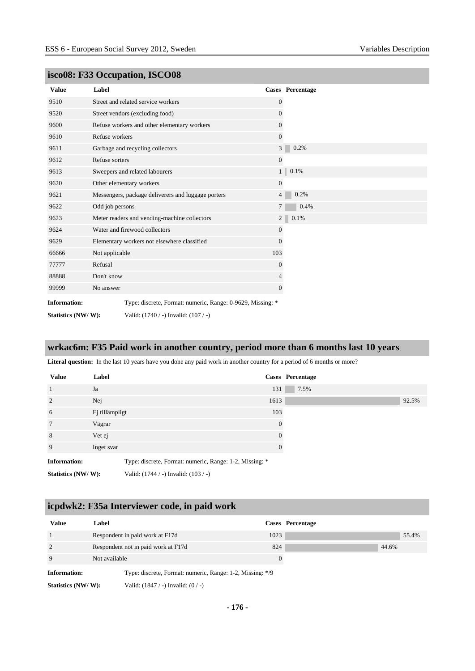| <b>Value</b>        | Label                                                      |                  | <b>Cases</b> Percentage |
|---------------------|------------------------------------------------------------|------------------|-------------------------|
| 9510                | Street and related service workers                         | $\mathbf{0}$     |                         |
| 9520                | Street vendors (excluding food)                            | $\theta$         |                         |
| 9600                | Refuse workers and other elementary workers                | $\theta$         |                         |
| 9610                | Refuse workers                                             | $\mathbf{0}$     |                         |
| 9611                | Garbage and recycling collectors                           | 3 <sup>1</sup>   | 0.2%                    |
| 9612                | Refuse sorters                                             | $\mathbf{0}$     |                         |
| 9613                | Sweepers and related labourers                             | 1                | 0.1%                    |
| 9620                | Other elementary workers                                   | $\mathbf{0}$     |                         |
| 9621                | Messengers, package deliverers and luggage porters         | 4                | 0.2%                    |
| 9622                | Odd job persons                                            | $\tau$           | 0.4%                    |
| 9623                | Meter readers and vending-machine collectors               | 2 <sup>1</sup>   | 0.1%                    |
| 9624                | Water and firewood collectors                              | $\boldsymbol{0}$ |                         |
| 9629                | Elementary workers not elsewhere classified                | $\theta$         |                         |
| 66666               | Not applicable                                             | 103              |                         |
| 77777               | Refusal                                                    | $\mathbf{0}$     |                         |
| 88888               | Don't know                                                 | 4                |                         |
| 99999               | No answer                                                  | $\mathbf{0}$     |                         |
| <b>Information:</b> | Type: discrete, Format: numeric, Range: 0-9629, Missing: * |                  |                         |
| Statistics (NW/W):  | Valid: (1740 / -) Invalid: (107 / -)                       |                  |                         |

#### **wrkac6m: F35 Paid work in another country, period more than 6 months last 10 years**

Literal question: In the last 10 years have you done any paid work in another country for a period of 6 months or more?

| <b>Value</b>        | Label          |                                                         |          | Cases Percentage |       |
|---------------------|----------------|---------------------------------------------------------|----------|------------------|-------|
| $\mathbf{1}$        | Ja             |                                                         | 131      | 7.5%             |       |
| 2                   | Nej            |                                                         | 1613     |                  | 92.5% |
| 6                   | Ej tillämpligt |                                                         | 103      |                  |       |
| 7                   | Vägrar         |                                                         | $\Omega$ |                  |       |
| 8                   | Vet ej         |                                                         | 0        |                  |       |
| 9                   | Inget svar     |                                                         | 0        |                  |       |
| <b>Information:</b> |                | Type: discrete, Format: numeric, Range: 1-2, Missing: * |          |                  |       |
| Statistics (NW/W):  |                | Valid: (1744 / -) Invalid: (103 / -)                    |          |                  |       |

### **icpdwk2: F35a Interviewer code, in paid work**

| <b>Value</b>        | Label                                                     |                | Cases Percentage |
|---------------------|-----------------------------------------------------------|----------------|------------------|
|                     | Respondent in paid work at F17d                           | 1023           |                  |
| $\overline{2}$      | Respondent not in paid work at F17d                       | 824            | 44.6%            |
| 9                   | Not available                                             | $\overline{0}$ |                  |
| <b>Information:</b> | Type: discrete, Format: numeric, Range: 1-2, Missing: */9 |                |                  |
| Statistics (NW/W):  | Valid: $(1847 / -)$ Invalid: $(0 / -)$                    |                |                  |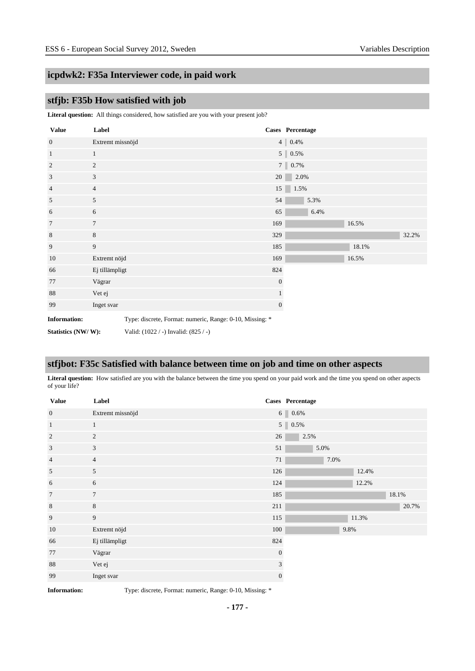### **icpdwk2: F35a Interviewer code, in paid work**

### **stfjb: F35b How satisfied with job**

**Literal question:** All things considered, how satisfied are you with your present job?

| <b>Value</b>        | Label            |                                                          | Cases Percentage |                   |      |      |       |       |
|---------------------|------------------|----------------------------------------------------------|------------------|-------------------|------|------|-------|-------|
| $\mathbf{0}$        | Extremt missnöjd |                                                          |                  | $4 \,   \, 0.4\%$ |      |      |       |       |
| $\mathbf{1}$        | $\mathbf{1}$     |                                                          |                  | $5 \,   \, 0.5\%$ |      |      |       |       |
| $\overline{2}$      | $\overline{c}$   |                                                          |                  | 7 0.7%            |      |      |       |       |
| 3                   | 3                |                                                          | 20               |                   | 2.0% |      |       |       |
| $\overline{4}$      | $\overline{4}$   |                                                          | 15               |                   | 1.5% |      |       |       |
| 5                   | 5                |                                                          | 54               |                   |      | 5.3% |       |       |
| 6                   | 6                |                                                          | 65               |                   |      | 6.4% |       |       |
| $\tau$              | $\tau$           |                                                          | 169              |                   |      |      | 16.5% |       |
| $\,8\,$             | $\,8\,$          |                                                          | 329              |                   |      |      |       | 32.2% |
| 9                   | 9                |                                                          | 185              |                   |      |      | 18.1% |       |
| 10                  | Extremt nöjd     |                                                          | 169              |                   |      |      | 16.5% |       |
| 66                  | Ej tillämpligt   |                                                          | 824              |                   |      |      |       |       |
| 77                  | Vägrar           |                                                          | $\mathbf{0}$     |                   |      |      |       |       |
| 88                  | Vet ej           |                                                          | $\mathbf{1}$     |                   |      |      |       |       |
| 99                  | Inget svar       |                                                          | $\mathbf{0}$     |                   |      |      |       |       |
| <b>Information:</b> |                  | Type: discrete, Format: numeric, Range: 0-10, Missing: * |                  |                   |      |      |       |       |
| Statistics (NW/W):  |                  | Valid: (1022 / -) Invalid: (825 / -)                     |                  |                   |      |      |       |       |

#### **stfjbot: F35c Satisfied with balance between time on job and time on other aspects**

Literal question: How satisfied are you with the balance between the time you spend on your paid work and the time you spend on other aspects of your life?

| <b>Value</b>    | Label            |              | Cases Percentage |      |       |       |       |
|-----------------|------------------|--------------|------------------|------|-------|-------|-------|
| $\mathbf{0}$    | Extremt missnöjd |              | $6 \ 0.6\%$      |      |       |       |       |
| $\mathbf{1}$    | $\mathbf{1}$     |              | $5 \ 0.5\%$      |      |       |       |       |
| 2               | 2                | 26           | 2.5%             |      |       |       |       |
| $\sqrt{3}$      | 3                | 51           | 5.0%             |      |       |       |       |
| $\overline{4}$  | $\overline{4}$   | 71           | 7.0%             |      |       |       |       |
| $\sqrt{5}$      | 5                | 126          |                  |      | 12.4% |       |       |
| 6               | 6                | 124          |                  |      | 12.2% |       |       |
| $7\phantom{.0}$ | $\tau$           | 185          |                  |      |       | 18.1% |       |
| $\,8\,$         | $8\,$            | 211          |                  |      |       |       | 20.7% |
| 9               | 9                | $115\,$      |                  |      | 11.3% |       |       |
| 10              | Extremt nöjd     | 100          |                  | 9.8% |       |       |       |
| 66              | Ej tillämpligt   | 824          |                  |      |       |       |       |
| 77              | Vägrar           | $\mathbf{0}$ |                  |      |       |       |       |
| 88              | Vet ej           | 3            |                  |      |       |       |       |
| 99              | Inget svar       | $\mathbf{0}$ |                  |      |       |       |       |

**Information:** Type: discrete, Format: numeric, Range: 0-10, Missing: \*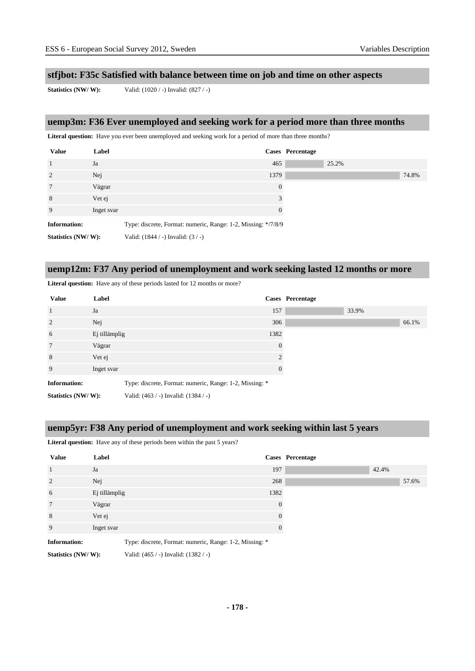#### **stfjbot: F35c Satisfied with balance between time on job and time on other aspects**

**Statistics (NW/ W):** Valid: (1020 / -) Invalid: (827 / -)

#### **uemp3m: F36 Ever unemployed and seeking work for a period more than three months**

Literal question: Have you ever been unemployed and seeking work for a period of more than three months?

| <b>Value</b>        | Label      |                                                               |          | Cases Percentage |       |       |
|---------------------|------------|---------------------------------------------------------------|----------|------------------|-------|-------|
| $\mathbf{1}$        | Ja         |                                                               | 465      |                  | 25.2% |       |
| 2                   | Nej        |                                                               | 1379     |                  |       | 74.8% |
| 7                   | Vägrar     |                                                               | $\theta$ |                  |       |       |
| 8                   | Vet ej     |                                                               | 3        |                  |       |       |
| 9                   | Inget svar |                                                               | $\Omega$ |                  |       |       |
| <b>Information:</b> |            | Type: discrete, Format: numeric, Range: 1-2, Missing: */7/8/9 |          |                  |       |       |
| Statistics (NW/W):  |            | Valid: $(1844 / -)$ Invalid: $(3 / -)$                        |          |                  |       |       |

#### **uemp12m: F37 Any period of unemployment and work seeking lasted 12 months or more**

Literal question: Have any of these periods lasted for 12 months or more?

| <b>Value</b>        | Label         |                                                         |          | Cases Percentage |       |       |
|---------------------|---------------|---------------------------------------------------------|----------|------------------|-------|-------|
| $\mathbf{1}$        | Ja            |                                                         | 157      |                  | 33.9% |       |
| 2                   | Nej           |                                                         | 306      |                  |       | 66.1% |
| 6                   | Ej tillämplig |                                                         | 1382     |                  |       |       |
| $7\phantom{.0}$     | Vägrar        |                                                         | $\Omega$ |                  |       |       |
| 8                   | Vet ej        |                                                         |          |                  |       |       |
| 9                   | Inget svar    |                                                         | $\Omega$ |                  |       |       |
| <b>Information:</b> |               | Type: discrete, Format: numeric, Range: 1-2, Missing: * |          |                  |       |       |
| Statistics (NW/W):  |               | Valid: (463 / -) Invalid: (1384 / -)                    |          |                  |       |       |

### **uemp5yr: F38 Any period of unemployment and work seeking within last 5 years**

Literal question: Have any of these periods been within the past 5 years?

| <b>Value</b>        | Label         | Cases Percentage                                        |
|---------------------|---------------|---------------------------------------------------------|
| $\overline{1}$      | Ja            | 197                                                     |
| $\overline{2}$      | Nej           | 268                                                     |
| 6                   | Ej tillämplig | 1382                                                    |
| $7\phantom{.0}$     | Vägrar        | $\Omega$                                                |
| 8                   | Vet ej        |                                                         |
| 9                   | Inget svar    |                                                         |
| <b>Information:</b> |               | Type: discrete, Format: numeric, Range: 1-2, Missing: * |

**Statistics (NW/ W):** Valid: (465 / -) Invalid: (1382 / -)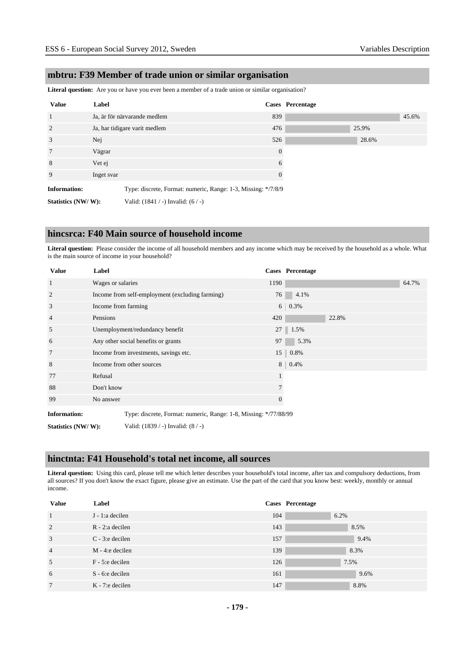#### **mbtru: F39 Member of trade union or similar organisation**

**Literal question:** Are you or have you ever been a member of a trade union or similar organisation?

| <b>Value</b>        | Label                                                         |          | Cases Percentage |       |       |
|---------------------|---------------------------------------------------------------|----------|------------------|-------|-------|
| 1                   | Ja, är för närvarande medlem                                  | 839      |                  |       | 45.6% |
| 2                   | Ja, har tidigare varit medlem                                 | 476      |                  | 25.9% |       |
| 3                   | Nej                                                           | 526      |                  | 28.6% |       |
| $7\phantom{.0}$     | Vägrar                                                        | $\Omega$ |                  |       |       |
| 8                   | Vet ej                                                        | 6        |                  |       |       |
| 9                   | Inget svar                                                    | 0        |                  |       |       |
| <b>Information:</b> | Type: discrete, Format: numeric, Range: 1-3, Missing: */7/8/9 |          |                  |       |       |
| Statistics (NW/W):  | Valid: $(1841 / -)$ Invalid: $(6 / -)$                        |          |                  |       |       |

#### **hincsrca: F40 Main source of household income**

**Literal question:** Please consider the income of all household members and any income which may be received by the household as a whole. What is the main source of income in your household?

| <b>Value</b>        | Label                                                            |              | Cases Percentage |       |
|---------------------|------------------------------------------------------------------|--------------|------------------|-------|
| $\mathbf{1}$        | Wages or salaries                                                | 1190         |                  | 64.7% |
| 2                   | Income from self-employment (excluding farming)                  | 76           | 4.1%             |       |
| 3                   | Income from farming                                              |              | $6 \mid 0.3\%$   |       |
| $\overline{4}$      | Pensions                                                         | 420          | 22.8%            |       |
| 5                   | Unemployment/redundancy benefit                                  |              | 27 1.5%          |       |
| 6                   | Any other social benefits or grants                              | 97           | 5.3%             |       |
| 7                   | Income from investments, savings etc.                            |              | 15 0.8%          |       |
| 8                   | Income from other sources                                        | 8            | 0.4%             |       |
| 77                  | Refusal                                                          |              |                  |       |
| 88                  | Don't know                                                       |              |                  |       |
| 99                  | No answer                                                        | $\mathbf{0}$ |                  |       |
| <b>Information:</b> | Type: discrete, Format: numeric, Range: 1-8, Missing: */77/88/99 |              |                  |       |

**Statistics (NW/ W):** Valid: (1839 / -) Invalid: (8 / -)

#### **hinctnta: F41 Household's total net income, all sources**

**Literal question:** Using this card, please tell me which letter describes your household's total income, after tax and compulsory deductions, from all sources? If you don't know the exact figure, please give an estimate. Use the part of the card that you know best: weekly, monthly or annual income.

| <b>Value</b>   | Label               |     | <b>Cases</b> Percentage |
|----------------|---------------------|-----|-------------------------|
|                | J - 1:a decilen     | 104 | 6.2%                    |
| 2              | $R - 2$ : a decilen | 143 | 8.5%                    |
| 3              | $C - 3$ : e decilen | 157 | 9.4%                    |
| $\overline{4}$ | $M - 4$ : e decilen | 139 | 8.3%                    |
| 5              | $F - 5$ : e decilen | 126 | 7.5%                    |
| 6              | $S - 6$ : e decilen | 161 | 9.6%                    |
| $\overline{7}$ | $K - 7$ : e decilen | 147 | 8.8%                    |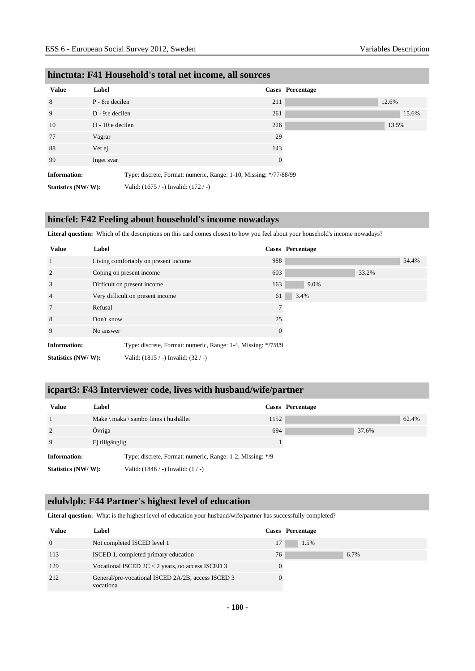| <b>Value</b>        | Label                                    |                                                                   | Cases Percentage |
|---------------------|------------------------------------------|-------------------------------------------------------------------|------------------|
| 8                   | $P - 8$ : e decilen                      | 211                                                               | 12.6%            |
| 9                   | D - 9:e decilen                          | 261                                                               |                  |
| 10                  | $H - 10$ : e decilen                     | 226                                                               | 13.5%            |
| 77                  | Vägrar                                   | 29                                                                |                  |
| 88                  | Vet ej                                   | 143                                                               |                  |
| 99                  | Inget svar                               | $\theta$                                                          |                  |
| <b>Information:</b> |                                          | Type: discrete, Format: numeric, Range: 1-10, Missing: */77/88/99 |                  |
| Statistics (NW/W):  | Valid: $(1675 / -)$ Invalid: $(172 / -)$ |                                                                   |                  |

#### **hinctnta: F41 Household's total net income, all sources**

#### **hincfel: F42 Feeling about household's income nowadays**

**Literal question:** Which of the descriptions on this card comes closest to how you feel about your household's income nowadays?

| <b>Value</b>                                                                         | Label                                |          | Cases Percentage |       |       |
|--------------------------------------------------------------------------------------|--------------------------------------|----------|------------------|-------|-------|
| 1                                                                                    | Living comfortably on present income | 988      |                  |       | 54.4% |
| $\overline{2}$                                                                       | Coping on present income             | 603      |                  | 33.2% |       |
| 3                                                                                    | Difficult on present income          | 163      | 9.0%             |       |       |
| $\overline{4}$                                                                       | Very difficult on present income     | 61       | 3.4%             |       |       |
| $7\phantom{.0}$                                                                      | Refusal                              |          |                  |       |       |
| 8                                                                                    | Don't know                           | 25       |                  |       |       |
| 9                                                                                    | No answer                            | $\Omega$ |                  |       |       |
| <b>Information:</b><br>Type: discrete, Format: numeric, Range: 1-4, Missing: */7/8/9 |                                      |          |                  |       |       |
| Statistics (NW/W):                                                                   | Valid: (1815 / -) Invalid: (32 / -)  |          |                  |       |       |

### **icpart3: F43 Interviewer code, lives with husband/wife/partner**

| <b>Value</b>       | Label          |                                                           |      | Cases Percentage |       |       |
|--------------------|----------------|-----------------------------------------------------------|------|------------------|-------|-------|
|                    |                | Make \ maka \ sambo finns i hushållet                     | 1152 |                  |       | 62.4% |
| 2                  | Övriga         |                                                           | 694  |                  | 37.6% |       |
| 9                  | Ej tillgänglig |                                                           |      |                  |       |       |
| Information:       |                | Type: discrete, Format: numeric, Range: 1-2, Missing: */9 |      |                  |       |       |
| Statistics (NW/W): |                | Valid: $(1846 / -)$ Invalid: $(1 / -)$                    |      |                  |       |       |

#### **edulvlpb: F44 Partner's highest level of education**

**Literal question:** What is the highest level of education your husband/wife/partner has successfully completed?

| Value          | Label                                                           |    | Cases Percentage |
|----------------|-----------------------------------------------------------------|----|------------------|
| $\overline{0}$ | Not completed ISCED level 1                                     | 17 | 1.5%             |
| 113            | ISCED 1, completed primary education                            | 76 | 6.7%             |
| 129            | Vocational ISCED $2C < 2$ years, no access ISCED 3              |    |                  |
| 212            | General/pre-vocational ISCED 2A/2B, access ISCED 3<br>vocationa |    |                  |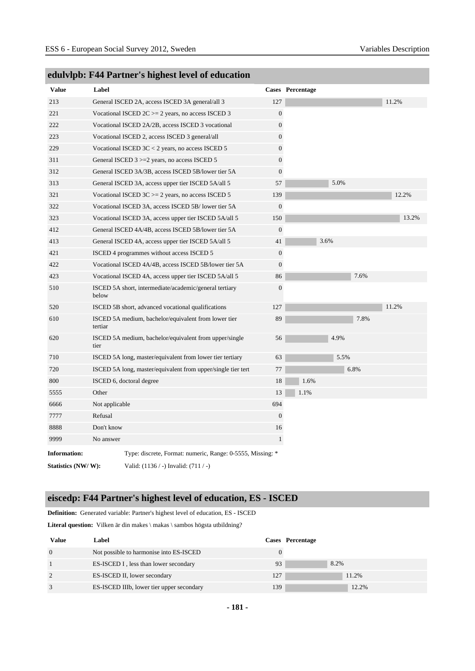| <b>Value</b>        | Label          |                                                              |                  | <b>Cases</b> Percentage |
|---------------------|----------------|--------------------------------------------------------------|------------------|-------------------------|
| 213                 |                | General ISCED 2A, access ISCED 3A general/all 3              | 127              | 11.2%                   |
| 221                 |                | Vocational ISCED $2C \ge 2$ years, no access ISCED 3         | $\boldsymbol{0}$ |                         |
| 222                 |                | Vocational ISCED 2A/2B, access ISCED 3 vocational            | $\boldsymbol{0}$ |                         |
| 223                 |                | Vocational ISCED 2, access ISCED 3 general/all               | $\boldsymbol{0}$ |                         |
| 229                 |                | Vocational ISCED $3C < 2$ years, no access ISCED 5           | $\boldsymbol{0}$ |                         |
| 311                 |                | General ISCED $3 \ge 2$ years, no access ISCED 5             | $\overline{0}$   |                         |
| 312                 |                | General ISCED 3A/3B, access ISCED 5B/lower tier 5A           | $\overline{0}$   |                         |
| 313                 |                | General ISCED 3A, access upper tier ISCED 5A/all 5           | 57               | 5.0%                    |
| 321                 |                | Vocational ISCED $3C \ge 2$ years, no access ISCED 5         | 139              | 12.2%                   |
| 322                 |                | Vocational ISCED 3A, access ISCED 5B/lower tier 5A           | $\boldsymbol{0}$ |                         |
| 323                 |                | Vocational ISCED 3A, access upper tier ISCED 5A/all 5        | 150              | 13.2%                   |
| 412                 |                | General ISCED 4A/4B, access ISCED 5B/lower tier 5A           | $\mathbf{0}$     |                         |
| 413                 |                | General ISCED 4A, access upper tier ISCED 5A/all 5           | 41               | 3.6%                    |
| 421                 |                | ISCED 4 programmes without access ISCED 5                    | $\boldsymbol{0}$ |                         |
| 422                 |                | Vocational ISCED 4A/4B, access ISCED 5B/lower tier 5A        | $\boldsymbol{0}$ |                         |
| 423                 |                | Vocational ISCED 4A, access upper tier ISCED 5A/all 5        | 86               | 7.6%                    |
| 510                 | below          | ISCED 5A short, intermediate/academic/general tertiary       | $\boldsymbol{0}$ |                         |
| 520                 |                | ISCED 5B short, advanced vocational qualifications           | 127              | 11.2%                   |
| 610                 | tertiar        | ISCED 5A medium, bachelor/equivalent from lower tier         | 89               | 7.8%                    |
| 620                 | tier           | ISCED 5A medium, bachelor/equivalent from upper/single       | 56               | 4.9%                    |
| 710                 |                | ISCED 5A long, master/equivalent from lower tier tertiary    | 63               | 5.5%                    |
| 720                 |                | ISCED 5A long, master/equivalent from upper/single tier tert | 77               | 6.8%                    |
| 800                 |                | ISCED 6, doctoral degree                                     | 18               | 1.6%                    |
| 5555                | Other          |                                                              | 13               | 1.1%                    |
| 6666                | Not applicable |                                                              | 694              |                         |
| 7777                | Refusal        |                                                              | $\Omega$         |                         |
| 8888                | Don't know     |                                                              | 16               |                         |
| 9999                | No answer      |                                                              | $\mathbf{1}$     |                         |
| <b>Information:</b> |                | Type: discrete, Format: numeric, Range: 0-5555, Missing: *   |                  |                         |
| Statistics (NW/W):  |                | Valid: (1136 / -) Invalid: (711 / -)                         |                  |                         |

# **edulvlpb: F44 Partner's highest level of education**

# **eiscedp: F44 Partner's highest level of education, ES - ISCED**

**Definition:** Generated variable: Partner's highest level of education, ES - ISCED

Literal question: Vilken är din makes \ makas \ sambos högsta utbildning?

| <b>Value</b> | Label                                     |     | Cases Percentage |
|--------------|-------------------------------------------|-----|------------------|
| $\Omega$     | Not possible to harmonise into ES-ISCED   |     |                  |
|              | ES-ISCED I, less than lower secondary     | 93  | 8.2%             |
| 2            | ES-ISCED II, lower secondary              | 127 | 11.2%            |
|              | ES-ISCED IIIb, lower tier upper secondary | 139 | 12.2%            |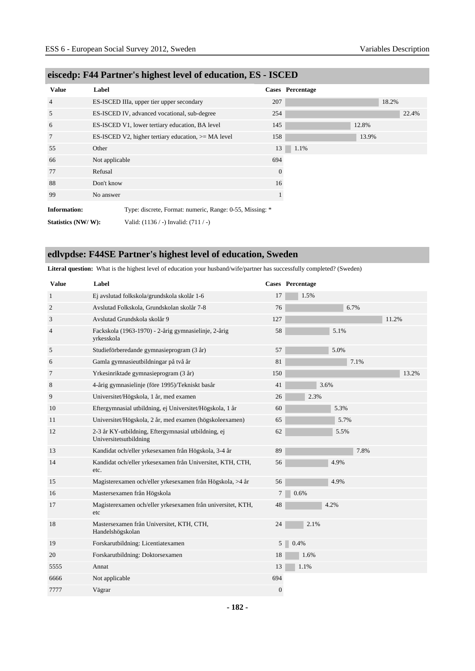| <b>Value</b>        | Label          |                                                          |                  | Cases Percentage |       |       |
|---------------------|----------------|----------------------------------------------------------|------------------|------------------|-------|-------|
| $\overline{4}$      |                | ES-ISCED IIIa, upper tier upper secondary                | 207              |                  | 18.2% |       |
| 5                   |                | ES-ISCED IV, advanced vocational, sub-degree             | 254              |                  |       | 22.4% |
| 6                   |                | ES-ISCED V1, lower tertiary education, BA level          | 145              |                  | 12.8% |       |
| 7                   |                | ES-ISCED V2, higher tertiary education, $>= MA$ level    | 158              |                  | 13.9% |       |
| 55                  | Other          |                                                          | 13               | 1.1%             |       |       |
| 66                  | Not applicable |                                                          | 694              |                  |       |       |
| 77                  | Refusal        |                                                          | $\boldsymbol{0}$ |                  |       |       |
| 88                  | Don't know     |                                                          | 16               |                  |       |       |
| 99                  | No answer      |                                                          |                  |                  |       |       |
| <b>Information:</b> |                | Type: discrete, Format: numeric, Range: 0-55, Missing: * |                  |                  |       |       |
| Statistics (NW/W):  |                | Valid: $(1136 / -)$ Invalid: $(711 / -)$                 |                  |                  |       |       |

# **eiscedp: F44 Partner's highest level of education, ES - ISCED**

# **edlvpdse: F44SE Partner's highest level of education, Sweden**

**Literal question:** What is the highest level of education your husband/wife/partner has successfully completed? (Sweden)

| <b>Value</b>   | Label                                                                         |                | Cases Percentage |
|----------------|-------------------------------------------------------------------------------|----------------|------------------|
| $\mathbf{1}$   | Ej avslutad folkskola/grundskola skolår 1-6                                   | 17             | 1.5%             |
| $\mathfrak{2}$ | Avslutad Folkskola, Grundskolan skolår 7-8                                    | 76             | 6.7%             |
| 3              | Avslutad Grundskola skolår 9                                                  | 127            | 11.2%            |
| 4              | Fackskola (1963-1970) - 2-årig gymnasielinje, 2-årig<br>yrkesskola            | 58             | 5.1%             |
| 5              | Studieförberedande gymnasieprogram (3 år)                                     | 57             | 5.0%             |
| 6              | Gamla gymnasieutbildningar på två år                                          | 81             | 7.1%             |
| 7              | Yrkesinriktade gymnasieprogram (3 år)                                         | 150            | 13.2%            |
| 8              | 4-årig gymnasielinje (före 1995)/Tekniskt basår                               | 41             | 3.6%             |
| 9              | Universitet/Högskola, 1 år, med examen                                        | 26             | 2.3%             |
| 10             | Eftergymnasial utbildning, ej Universitet/Högskola, 1 år                      | 60             | 5.3%             |
| 11             | Universitet/Högskola, 2 år, med examen (högskoleexamen)                       | 65             | 5.7%             |
| 12             | 2-3 år KY-utbildning, Eftergymnasial utbildning, ej<br>Universitetsutbildning | 62             | 5.5%             |
| 13             | Kandidat och/eller yrkesexamen från Högskola, 3-4 år                          | 89             | 7.8%             |
| 14             | Kandidat och/eller yrkesexamen från Universitet, KTH, CTH,<br>etc.            | 56             | 4.9%             |
| 15             | Magisterexamen och/eller yrkesexamen från Högskola, >4 år                     | 56             | 4.9%             |
| 16             | Mastersexamen från Högskola                                                   | 7              | 0.6%             |
| 17             | Magisterexamen och/eller yrkesexamen från universitet, KTH,<br>etc            | 48             | 4.2%             |
| 18             | Mastersexamen från Universitet, KTH, CTH,<br>Handelshögskolan                 | 24             | 2.1%             |
| 19             | Forskarutbildning: Licentiatexamen                                            | 5 <sup>1</sup> | 0.4%             |
| 20             | Forskarutbildning: Doktorsexamen                                              | 18             | 1.6%             |
| 5555           | Annat                                                                         | 13             | 1.1%             |
| 6666           | Not applicable                                                                | 694            |                  |
| 7777           | Vägrar                                                                        | $\overline{0}$ |                  |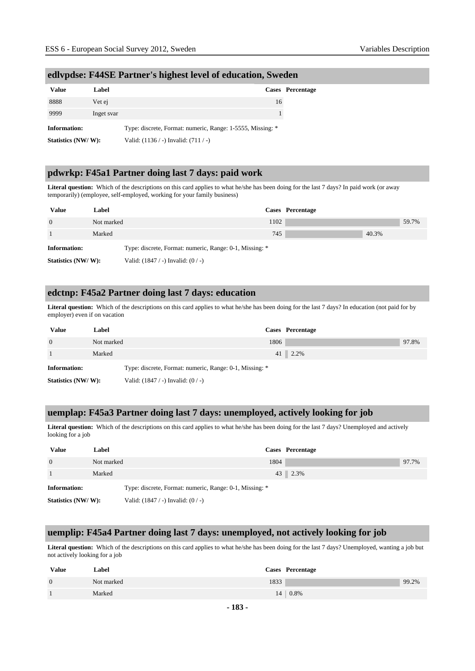| <b>Value</b>        | Label      |                                                            | <b>Cases</b> Percentage |
|---------------------|------------|------------------------------------------------------------|-------------------------|
| 8888                | Vet ej     | 16                                                         |                         |
| 9999                | Inget svar |                                                            |                         |
| <b>Information:</b> |            | Type: discrete, Format: numeric, Range: 1-5555, Missing: * |                         |
| Statistics (NW/W):  |            | Valid: $(1136 / -)$ Invalid: $(711 / -)$                   |                         |

### **edlvpdse: F44SE Partner's highest level of education, Sweden**

### **pdwrkp: F45a1 Partner doing last 7 days: paid work**

**Literal question:** Which of the descriptions on this card applies to what he/she has been doing for the last 7 days? In paid work (or away temporarily) (employee, self-employed, working for your family business)

| <b>Value</b>        | Label      |                                                         |      | Cases Percentage |       |       |
|---------------------|------------|---------------------------------------------------------|------|------------------|-------|-------|
| $\Omega$            | Not marked |                                                         | 1102 |                  |       | 59.7% |
|                     | Marked     |                                                         | 745  |                  | 40.3% |       |
| <b>Information:</b> |            | Type: discrete, Format: numeric, Range: 0-1, Missing: * |      |                  |       |       |
| Statistics (NW/W):  |            | Valid: $(1847 / -)$ Invalid: $(0 / -)$                  |      |                  |       |       |

### **edctnp: F45a2 Partner doing last 7 days: education**

**Literal question:** Which of the descriptions on this card applies to what he/she has been doing for the last 7 days? In education (not paid for by employer) even if on vacation

| <b>Value</b>        | Label      |                                                         | Cases Percentage |  |
|---------------------|------------|---------------------------------------------------------|------------------|--|
| $\Omega$            | Not marked | 1806                                                    | 97.8%            |  |
|                     | Marked     |                                                         | $41 \, 2.2\%$    |  |
| <b>Information:</b> |            | Type: discrete, Format: numeric, Range: 0-1, Missing: * |                  |  |
| Statistics (NW/W):  |            | Valid: $(1847 / -)$ Invalid: $(0 / -)$                  |                  |  |

#### **uemplap: F45a3 Partner doing last 7 days: unemployed, actively looking for job**

**Literal question:** Which of the descriptions on this card applies to what he/she has been doing for the last 7 days? Unemployed and actively looking for a job

| <b>Value</b>       | Label      |                                                         | Cases Percentage |       |
|--------------------|------------|---------------------------------------------------------|------------------|-------|
| $\Omega$           | Not marked | 1804                                                    |                  | 97.7% |
|                    | Marked     |                                                         | 43 2.3%          |       |
| Information:       |            | Type: discrete, Format: numeric, Range: 0-1, Missing: * |                  |       |
| Statistics (NW/W): |            | Valid: $(1847 / -)$ Invalid: $(0 / -)$                  |                  |       |

#### **uemplip: F45a4 Partner doing last 7 days: unemployed, not actively looking for job**

Literal question: Which of the descriptions on this card applies to what he/she has been doing for the last 7 days? Unemployed, wanting a job but not actively looking for a job

| <b>Value</b>   | Label      |      | Cases Percentage   |       |
|----------------|------------|------|--------------------|-------|
| $\overline{0}$ | Not marked | 1833 |                    | 99.2% |
|                | Marked     |      | $14 \,   \, 0.8\%$ |       |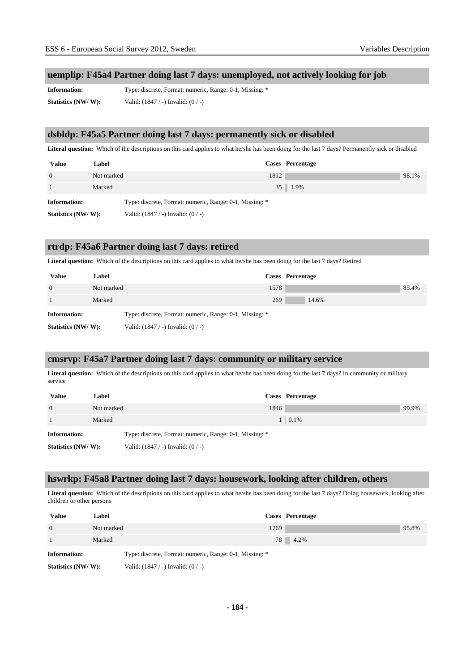#### **uemplip: F45a4 Partner doing last 7 days: unemployed, not actively looking for job**

**Information:** Type: discrete, Format: numeric, Range: 0-1, Missing: \* **Statistics (NW/ W):** Valid: (1847 / -) Invalid: (0 / -)

#### **dsbldp: F45a5 Partner doing last 7 days: permanently sick or disabled**

**Literal question:** Which of the descriptions on this card applies to what he/she has been doing for the last 7 days? Permanently sick or disabled

| <b>Value</b>        | Label      |                                                         | Cases Percentage     |       |
|---------------------|------------|---------------------------------------------------------|----------------------|-------|
| $\Omega$            | Not marked | 1812                                                    |                      | 98.1% |
|                     | Marked     |                                                         | $35 \parallel 1.9\%$ |       |
| <b>Information:</b> |            | Type: discrete, Format: numeric, Range: 0-1, Missing: * |                      |       |
| Statistics (NW/W):  |            | Valid: $(1847 / -)$ Invalid: $(0 / -)$                  |                      |       |

#### **rtrdp: F45a6 Partner doing last 7 days: retired**

**Literal question:** Which of the descriptions on this card applies to what he/she has been doing for the last 7 days? Retired

| <b>Value</b>        | Label      |                                                         |     | Cases Percentage |       |
|---------------------|------------|---------------------------------------------------------|-----|------------------|-------|
| $\Omega$            | Not marked | 1578                                                    |     |                  | 85.4% |
|                     | Marked     |                                                         | 269 | 14.6%            |       |
| <b>Information:</b> |            | Type: discrete, Format: numeric, Range: 0-1, Missing: * |     |                  |       |
| Statistics (NW/W):  |            | Valid: $(1847 / -)$ Invalid: $(0 / -)$                  |     |                  |       |

#### **cmsrvp: F45a7 Partner doing last 7 days: community or military service**

Literal question: Which of the descriptions on this card applies to what he/she has been doing for the last 7 days? In community or military service

| <b>Value</b>       | Label      |                                                         | Cases Percentage |
|--------------------|------------|---------------------------------------------------------|------------------|
| $\Omega$           | Not marked | 1846                                                    | 99.9%            |
|                    | Marked     |                                                         | $1 \quad 0.1\%$  |
| Information:       |            | Type: discrete, Format: numeric, Range: 0-1, Missing: * |                  |
| Statistics (NW/W): |            | Valid: $(1847 / -)$ Invalid: $(0 / -)$                  |                  |

#### **hswrkp: F45a8 Partner doing last 7 days: housework, looking after children, others**

Literal question: Which of the descriptions on this card applies to what he/she has been doing for the last 7 days? Doing housework, looking after children or other persons

| Value               | Label      |                                                         | Cases Percentage |       |
|---------------------|------------|---------------------------------------------------------|------------------|-------|
| $\Omega$            | Not marked | 1769                                                    |                  | 95.8% |
|                     | Marked     |                                                         | 78 4.2%          |       |
| <b>Information:</b> |            | Type: discrete, Format: numeric, Range: 0-1, Missing: * |                  |       |
| Statistics (NW/W):  |            | Valid: $(1847 / -)$ Invalid: $(0 / -)$                  |                  |       |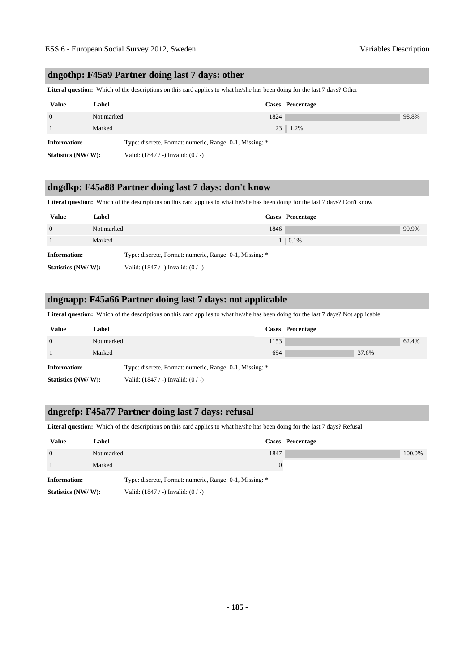### **dngothp: F45a9 Partner doing last 7 days: other**

**Literal question:** Which of the descriptions on this card applies to what he/she has been doing for the last 7 days? Other

| <b>Value</b>       | Label      |                                                         | Cases Percentage |       |
|--------------------|------------|---------------------------------------------------------|------------------|-------|
| $\Omega$           | Not marked | 1824                                                    |                  | 98.8% |
|                    | Marked     |                                                         | $23 \mid 1.2\%$  |       |
| Information:       |            | Type: discrete, Format: numeric, Range: 0-1, Missing: * |                  |       |
| Statistics (NW/W): |            | Valid: $(1847 / -)$ Invalid: $(0 / -)$                  |                  |       |

### **dngdkp: F45a88 Partner doing last 7 days: don't know**

**Literal question:** Which of the descriptions on this card applies to what he/she has been doing for the last 7 days? Don't know

| <b>Value</b>       | Label      |                                                         | Cases Percentage  |       |
|--------------------|------------|---------------------------------------------------------|-------------------|-------|
| $\overline{0}$     | Not marked | 1846                                                    |                   | 99.9% |
|                    | Marked     |                                                         | $1 \,   \, 0.1\%$ |       |
| Information:       |            | Type: discrete, Format: numeric, Range: 0-1, Missing: * |                   |       |
| Statistics (NW/W): |            | Valid: $(1847 / -)$ Invalid: $(0 / -)$                  |                   |       |

#### **dngnapp: F45a66 Partner doing last 7 days: not applicable**

**Literal question:** Which of the descriptions on this card applies to what he/she has been doing for the last 7 days? Not applicable

| <b>Value</b>        | Label      |                                                         |      | Cases Percentage |       |       |
|---------------------|------------|---------------------------------------------------------|------|------------------|-------|-------|
| $\Omega$            | Not marked |                                                         | 1153 |                  |       | 62.4% |
|                     | Marked     |                                                         | 694  |                  | 37.6% |       |
| <b>Information:</b> |            | Type: discrete, Format: numeric, Range: 0-1, Missing: * |      |                  |       |       |
| Statistics (NW/W):  |            | Valid: $(1847 / -)$ Invalid: $(0 / -)$                  |      |                  |       |       |

#### **dngrefp: F45a77 Partner doing last 7 days: refusal**

**Literal question:** Which of the descriptions on this card applies to what he/she has been doing for the last 7 days? Refusal

| <b>Value</b>        | Label      |                                                         |      | Cases Percentage |
|---------------------|------------|---------------------------------------------------------|------|------------------|
| $\Omega$            | Not marked |                                                         | 1847 |                  |
|                     | Marked     |                                                         | 0    |                  |
| <b>Information:</b> |            | Type: discrete, Format: numeric, Range: 0-1, Missing: * |      |                  |
| Statistics (NW/W):  |            | Valid: $(1847 / -)$ Invalid: $(0 / -)$                  |      |                  |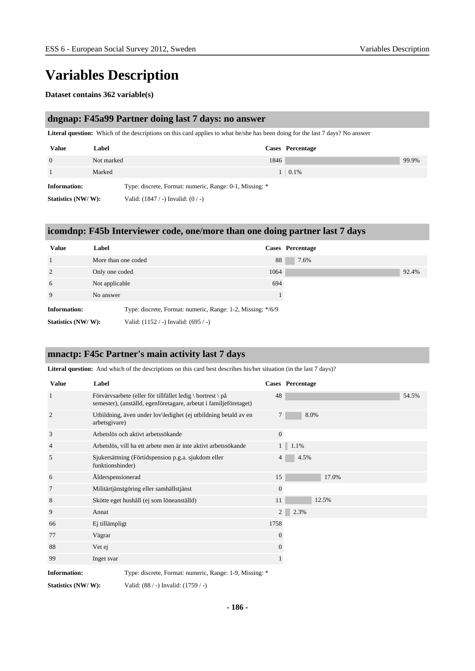# **Variables Description**

#### **Dataset contains 362 variable(s)**

#### **dngnap: F45a99 Partner doing last 7 days: no answer**

**Literal question:** Which of the descriptions on this card applies to what he/she has been doing for the last 7 days? No answer

| <b>Value</b>        | Label      |                                                         |      | Cases Percentage  |       |
|---------------------|------------|---------------------------------------------------------|------|-------------------|-------|
| $\Omega$            | Not marked |                                                         | 1846 |                   | 99.9% |
|                     | Marked     |                                                         |      | $1 \,   \, 0.1\%$ |       |
| <b>Information:</b> |            | Type: discrete, Format: numeric, Range: 0-1, Missing: * |      |                   |       |
| Statistics (NW/W):  |            | Valid: $(1847 / -)$ Invalid: $(0 / -)$                  |      |                   |       |

#### **icomdnp: F45b Interviewer code, one/more than one doing partner last 7 days**

| <b>Value</b>        | Label                                                       | Cases Percentage |       |
|---------------------|-------------------------------------------------------------|------------------|-------|
|                     | More than one coded                                         | 88               | 7.6%  |
| 2                   | Only one coded                                              | 1064             | 92.4% |
| 6                   | Not applicable                                              | 694              |       |
| 9                   | No answer                                                   |                  |       |
| <b>Information:</b> | Type: discrete, Format: numeric, Range: 1-2, Missing: */6/9 |                  |       |
| Statistics (NW/W):  | Valid: (1152 / -) Invalid: (695 / -)                        |                  |       |

### **mnactp: F45c Partner's main activity last 7 days**

Literal question: And which of the descriptions on this card best describes his/her situation (in the last 7 days)?

| <b>Value</b>        | Label                                                                                                                               |                | <b>Cases</b> Percentage |
|---------------------|-------------------------------------------------------------------------------------------------------------------------------------|----------------|-------------------------|
| $\mathbf{1}$        | Förvärvsarbete (eller för tillfället ledig \ bortrest \ $p\aa$<br>semester), (anställd, egenföretagare, arbetat i familjeföretaget) | 48             | 54.5%                   |
| 2                   | Utbildning, även under lov\ledighet (ej utbildning betald av en<br>arbetsgivare)                                                    | $\tau$         | 8.0%                    |
| 3                   | Arbetslös och aktivt arbetssökande                                                                                                  | $\overline{0}$ |                         |
| $\overline{4}$      | Arbetslös, vill ha ett arbete men är inte aktivt arbetssökande                                                                      | 1              | 1.1%                    |
| 5                   | Sjukersättning (Förtidspension p.g.a. sjukdom eller<br>funktionshinder)                                                             | 4              | 4.5%                    |
| 6                   | Alderspensionerad                                                                                                                   | 15             | 17.0%                   |
| 7                   | Militärtjänstgöring eller samhällstjänst                                                                                            | $\mathbf{0}$   |                         |
| 8                   | Skötte eget hushåll (ej som löneanställd)                                                                                           | 11             | 12.5%                   |
| 9                   | Annat                                                                                                                               | $\overline{2}$ | 2.3%                    |
| 66                  | Ej tillämpligt                                                                                                                      | 1758           |                         |
| 77                  | Vägrar                                                                                                                              | $\theta$       |                         |
| 88                  | Vet ej                                                                                                                              | 0              |                         |
| 99                  | Inget svar                                                                                                                          |                |                         |
| <b>Information:</b> | Type: discrete, Format: numeric, Range: 1-9, Missing: *                                                                             |                |                         |

**Statistics (NW/ W):** Valid: (88 / -) Invalid: (1759 / -)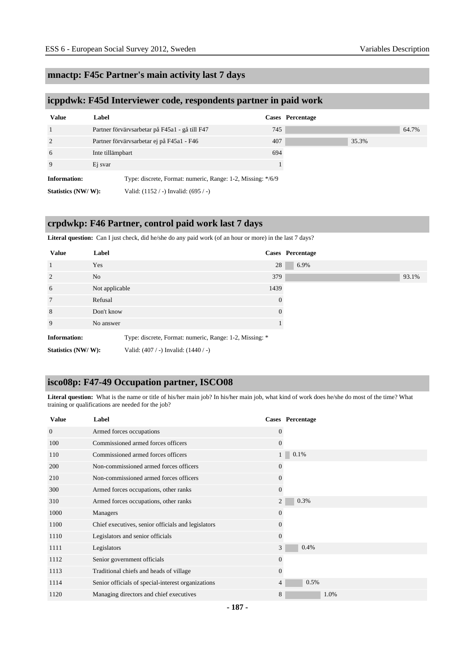### **mnactp: F45c Partner's main activity last 7 days**

#### **icppdwk: F45d Interviewer code, respondents partner in paid work**

| <b>Value</b>        | Label            |                                                             |     | Cases Percentage |  |
|---------------------|------------------|-------------------------------------------------------------|-----|------------------|--|
| 1                   |                  | Partner förvärvsarbetar på F45a1 - gå till F47              | 745 |                  |  |
| 2                   |                  | Partner förvärvsarbetar ej på F45a1 - F46                   | 407 |                  |  |
| 6                   | Inte tillämpbart |                                                             | 694 |                  |  |
| 9                   | Ej svar          |                                                             |     |                  |  |
| <b>Information:</b> |                  | Type: discrete, Format: numeric, Range: 1-2, Missing: */6/9 |     |                  |  |
| Statistics (NW/W):  |                  | Valid: (1152 / -) Invalid: (695 / -)                        |     |                  |  |

# **crpdwkp: F46 Partner, control paid work last 7 days**

Literal question: Can I just check, did he/she do any paid work (of an hour or more) in the last 7 days?

| <b>Value</b>        | Label                                                   |              | Cases Percentage |
|---------------------|---------------------------------------------------------|--------------|------------------|
| $\overline{1}$      | Yes                                                     | 28           | 6.9%             |
| 2                   | No                                                      | 379          | 93.1%            |
| 6                   | Not applicable                                          | 1439         |                  |
| $7\phantom{.0}$     | Refusal                                                 | $\mathbf{0}$ |                  |
| 8                   | Don't know                                              | $\theta$     |                  |
| 9                   | No answer                                               |              |                  |
| <b>Information:</b> | Type: discrete, Format: numeric, Range: 1-2, Missing: * |              |                  |
| Statistics (NW/W):  | Valid: $(407 / -)$ Invalid: $(1440 / -)$                |              |                  |

# **isco08p: F47-49 Occupation partner, ISCO08**

Literal question: What is the name or title of his/her main job? In his/her main job, what kind of work does he/she do most of the time? What training or qualifications are needed for the job?

| <b>Value</b>   | Label                                              |                | Cases Percentage |
|----------------|----------------------------------------------------|----------------|------------------|
| $\overline{0}$ | Armed forces occupations                           | $\overline{0}$ |                  |
| 100            | Commissioned armed forces officers                 | $\overline{0}$ |                  |
| 110            | Commissioned armed forces officers                 |                | 0.1%             |
| 200            | Non-commissioned armed forces officers             | $\Omega$       |                  |
| 210            | Non-commissioned armed forces officers             | $\overline{0}$ |                  |
| 300            | Armed forces occupations, other ranks              | $\overline{0}$ |                  |
| 310            | Armed forces occupations, other ranks              | 2              | 0.3%             |
| 1000           | Managers                                           | $\overline{0}$ |                  |
| 1100           | Chief executives, senior officials and legislators | 0              |                  |
| 1110           | Legislators and senior officials                   | $\overline{0}$ |                  |
| 1111           | Legislators                                        | 3              | 0.4%             |
| 1112           | Senior government officials                        | $\overline{0}$ |                  |
| 1113           | Traditional chiefs and heads of village            | $\overline{0}$ |                  |
| 1114           | Senior officials of special-interest organizations | $\overline{4}$ | 0.5%             |
| 1120           | Managing directors and chief executives            | 8              | 1.0%             |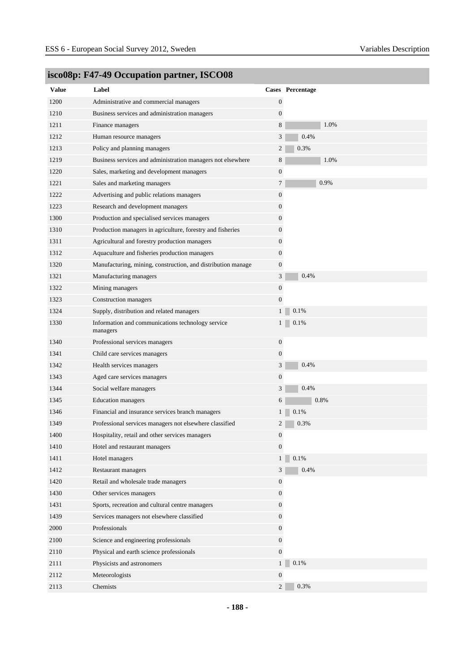| <b>Value</b> | Label                                                         |                  | Cases Percentage    |
|--------------|---------------------------------------------------------------|------------------|---------------------|
| 1200         | Administrative and commercial managers                        | $\mathbf{0}$     |                     |
| 1210         | Business services and administration managers                 | $\boldsymbol{0}$ |                     |
| 1211         | Finance managers                                              | 8                | 1.0%                |
| 1212         | Human resource managers                                       | 3                | 0.4%                |
| 1213         | Policy and planning managers                                  | 2                | 0.3%                |
| 1219         | Business services and administration managers not elsewhere   | 8                | 1.0%                |
| 1220         | Sales, marketing and development managers                     | $\boldsymbol{0}$ |                     |
| 1221         | Sales and marketing managers                                  | $\tau$           | 0.9%                |
| 1222         | Advertising and public relations managers                     | $\boldsymbol{0}$ |                     |
| 1223         | Research and development managers                             | 0                |                     |
| 1300         | Production and specialised services managers                  | $\boldsymbol{0}$ |                     |
| 1310         | Production managers in agriculture, forestry and fisheries    | 0                |                     |
| 1311         | Agricultural and forestry production managers                 | $\boldsymbol{0}$ |                     |
| 1312         | Aquaculture and fisheries production managers                 | $\boldsymbol{0}$ |                     |
| 1320         | Manufacturing, mining, construction, and distribution manage  | $\boldsymbol{0}$ |                     |
| 1321         | Manufacturing managers                                        | 3                | 0.4%                |
| 1322         | Mining managers                                               | $\boldsymbol{0}$ |                     |
| 1323         | Construction managers                                         | $\boldsymbol{0}$ |                     |
| 1324         | Supply, distribution and related managers                     | $\mathbf{1}$     | 0.1%                |
| 1330         | Information and communications technology service<br>managers |                  | 0.1%<br>$1 \square$ |
| 1340         | Professional services managers                                | $\boldsymbol{0}$ |                     |
| 1341         | Child care services managers                                  | $\boldsymbol{0}$ |                     |
| 1342         | Health services managers                                      | 3                | 0.4%                |
| 1343         | Aged care services managers                                   | $\boldsymbol{0}$ |                     |
| 1344         | Social welfare managers                                       | 3                | 0.4%                |
| 1345         | <b>Education</b> managers                                     | 6                | 0.8%                |
| 1346         | Financial and insurance services branch managers              | 1 <sup>1</sup>   | 0.1%                |
| 1349         | Professional services managers not elsewhere classified       | 2                | 0.3%                |
| 1400         | Hospitality, retail and other services managers               | $\boldsymbol{0}$ |                     |
| 1410         | Hotel and restaurant managers                                 | $\boldsymbol{0}$ |                     |
| 1411         | Hotel managers                                                | 1                | $0.1\%$             |
| 1412         | Restaurant managers                                           | $\mathfrak{Z}$   | 0.4%                |
| 1420         | Retail and wholesale trade managers                           | 0                |                     |
| 1430         | Other services managers                                       | $\boldsymbol{0}$ |                     |
| 1431         | Sports, recreation and cultural centre managers               | $\boldsymbol{0}$ |                     |
| 1439         | Services managers not elsewhere classified                    | $\boldsymbol{0}$ |                     |
| 2000         | Professionals                                                 | $\boldsymbol{0}$ |                     |
| 2100         | Science and engineering professionals                         | $\boldsymbol{0}$ |                     |
| 2110         | Physical and earth science professionals                      | $\boldsymbol{0}$ |                     |
| 2111         | Physicists and astronomers                                    | $\mathbf{1}$     | 0.1%                |
| 2112         | Meteorologists                                                | $\boldsymbol{0}$ |                     |
| 2113         | Chemists                                                      | $\overline{2}$   | 0.3%                |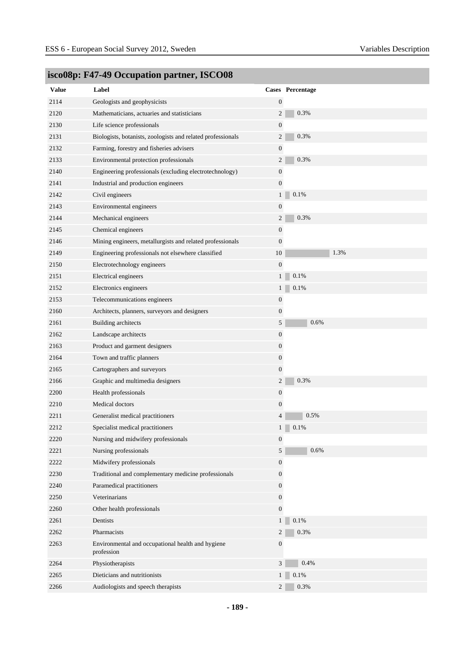| <b>Value</b> | Label                                                           |                  | Cases Percentage |
|--------------|-----------------------------------------------------------------|------------------|------------------|
| 2114         | Geologists and geophysicists                                    | $\boldsymbol{0}$ |                  |
| 2120         | Mathematicians, actuaries and statisticians                     | $\overline{c}$   | 0.3%             |
| 2130         | Life science professionals                                      | $\boldsymbol{0}$ |                  |
| 2131         | Biologists, botanists, zoologists and related professionals     | $\overline{c}$   | 0.3%             |
| 2132         | Farming, forestry and fisheries advisers                        | $\boldsymbol{0}$ |                  |
| 2133         | Environmental protection professionals                          | $\overline{c}$   | 0.3%             |
| 2140         | Engineering professionals (excluding electrotechnology)         | $\boldsymbol{0}$ |                  |
| 2141         | Industrial and production engineers                             | $\boldsymbol{0}$ |                  |
| 2142         | Civil engineers                                                 | $\mathbf{1}$     | 0.1%             |
| 2143         | Environmental engineers                                         | $\boldsymbol{0}$ |                  |
| 2144         | Mechanical engineers                                            | $\overline{c}$   | 0.3%             |
| 2145         | Chemical engineers                                              | $\boldsymbol{0}$ |                  |
| 2146         | Mining engineers, metallurgists and related professionals       | $\boldsymbol{0}$ |                  |
| 2149         | Engineering professionals not elsewhere classified              | 10               | 1.3%             |
| 2150         | Electrotechnology engineers                                     | $\boldsymbol{0}$ |                  |
| 2151         | Electrical engineers                                            | $\mathbf{1}$     | 0.1%             |
| 2152         | Electronics engineers                                           | $\mathbf{1}$     | 0.1%             |
| 2153         | Telecommunications engineers                                    | $\boldsymbol{0}$ |                  |
| 2160         | Architects, planners, surveyors and designers                   | $\boldsymbol{0}$ |                  |
| 2161         | <b>Building</b> architects                                      | 5                | 0.6%             |
| 2162         | Landscape architects                                            | $\boldsymbol{0}$ |                  |
| 2163         | Product and garment designers                                   | $\boldsymbol{0}$ |                  |
| 2164         | Town and traffic planners                                       | $\boldsymbol{0}$ |                  |
| 2165         | Cartographers and surveyors                                     | $\boldsymbol{0}$ |                  |
| 2166         | Graphic and multimedia designers                                | $\mathbf{2}$     | 0.3%             |
| 2200         | Health professionals                                            | $\boldsymbol{0}$ |                  |
| 2210         | Medical doctors                                                 | $\boldsymbol{0}$ |                  |
| 2211         | Generalist medical practitioners                                | 4                | 0.5%             |
| 2212         | Specialist medical practitioners                                | $\mathbf{1}$     | 0.1%             |
| 2220         | Nursing and midwifery professionals                             | $\theta$         |                  |
| 2221         | Nursing professionals                                           | 5                | 0.6%             |
| 2222         | Midwifery professionals                                         | $\boldsymbol{0}$ |                  |
| 2230         | Traditional and complementary medicine professionals            | $\mathbf{0}$     |                  |
| 2240         | Paramedical practitioners                                       | $\overline{0}$   |                  |
| 2250         | Veterinarians                                                   | $\mathbf{0}$     |                  |
| 2260         | Other health professionals                                      | $\overline{0}$   |                  |
| 2261         | Dentists                                                        | $\mathbf{1}$     | 0.1%             |
| 2262         | Pharmacists                                                     | 2                | 0.3%             |
| 2263         | Environmental and occupational health and hygiene<br>profession | $\boldsymbol{0}$ |                  |
| 2264         | Physiotherapists                                                | $\mathfrak{Z}$   | 0.4%             |
| 2265         | Dieticians and nutritionists                                    | $1 \square$      | 0.1%             |
| 2266         | Audiologists and speech therapists                              | 2 <sup>1</sup>   | 0.3%             |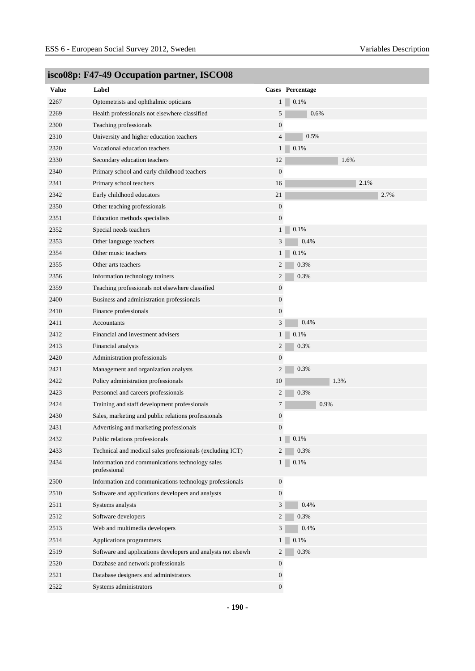| Value | Label                                                           |                  | Cases Percentage |
|-------|-----------------------------------------------------------------|------------------|------------------|
| 2267  | Optometrists and ophthalmic opticians                           | $\mathbf{1}$     | 0.1%             |
| 2269  | Health professionals not elsewhere classified                   | 5                | 0.6%             |
| 2300  | Teaching professionals                                          | $\mathbf{0}$     |                  |
| 2310  | University and higher education teachers                        | $\overline{4}$   | 0.5%             |
| 2320  | Vocational education teachers                                   | 1                | 0.1%             |
| 2330  | Secondary education teachers                                    | 12               | 1.6%             |
| 2340  | Primary school and early childhood teachers                     | $\boldsymbol{0}$ |                  |
| 2341  | Primary school teachers                                         | 16               | 2.1%             |
| 2342  | Early childhood educators                                       | $21\,$           | 2.7%             |
| 2350  | Other teaching professionals                                    | $\boldsymbol{0}$ |                  |
| 2351  | Education methods specialists                                   | $\mathbf{0}$     |                  |
| 2352  | Special needs teachers                                          | $\mathbf{1}$     | 0.1%             |
| 2353  | Other language teachers                                         | 3                | 0.4%             |
| 2354  | Other music teachers                                            | 1                | 0.1%             |
| 2355  | Other arts teachers                                             | 2                | 0.3%             |
| 2356  | Information technology trainers                                 | $\overline{c}$   | 0.3%             |
| 2359  | Teaching professionals not elsewhere classified                 | $\boldsymbol{0}$ |                  |
| 2400  | Business and administration professionals                       | $\boldsymbol{0}$ |                  |
| 2410  | Finance professionals                                           | $\mathbf{0}$     |                  |
| 2411  | Accountants                                                     | 3                | 0.4%             |
| 2412  | Financial and investment advisers                               | 1                | $0.1\%$          |
| 2413  | Financial analysts                                              | 2                | 0.3%             |
| 2420  | Administration professionals                                    | $\boldsymbol{0}$ |                  |
| 2421  | Management and organization analysts                            | $\mathbf{2}$     | 0.3%             |
| 2422  | Policy administration professionals                             | 10               | 1.3%             |
| 2423  | Personnel and careers professionals                             | 2                | 0.3%             |
| 2424  | Training and staff development professionals                    | $\tau$           | 0.9%             |
| 2430  | Sales, marketing and public relations professionals             | $\boldsymbol{0}$ |                  |
| 2431  | Advertising and marketing professionals                         | $\boldsymbol{0}$ |                  |
| 2432  | Public relations professionals                                  |                  | $1 \ 0.1\%$      |
| 2433  | Technical and medical sales professionals (excluding ICT)       | $\overline{2}$   | 0.3%             |
| 2434  | Information and communications technology sales<br>professional | $1 \square$      | 0.1%             |
| 2500  | Information and communications technology professionals         | $\boldsymbol{0}$ |                  |
| 2510  | Software and applications developers and analysts               | $\boldsymbol{0}$ |                  |
| 2511  | Systems analysts                                                | $\mathfrak{Z}$   | 0.4%             |
| 2512  | Software developers                                             | 2                | 0.3%             |
| 2513  | Web and multimedia developers                                   | $\mathfrak{Z}$   | 0.4%             |
| 2514  | Applications programmers                                        | $\mathbf{1}$     | $0.1\%$          |
| 2519  | Software and applications developers and analysts not elsewh    | 2                | 0.3%             |
| 2520  | Database and network professionals                              | $\boldsymbol{0}$ |                  |
| 2521  | Database designers and administrators                           | $\boldsymbol{0}$ |                  |
| 2522  | Systems administrators                                          | $\mathbf{0}$     |                  |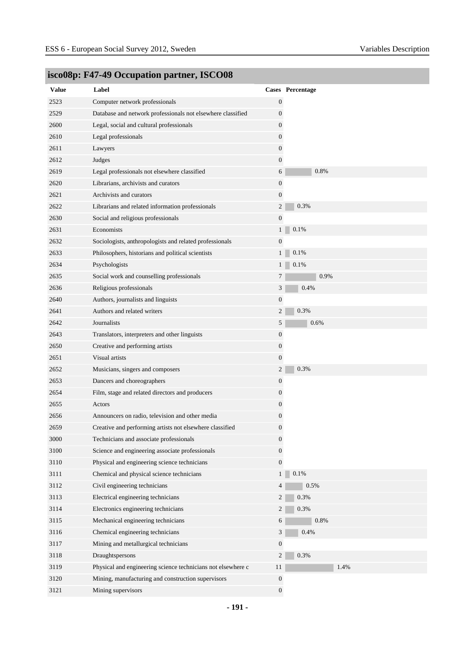| <b>Value</b> | Label                                                        |                  | Cases Percentage |
|--------------|--------------------------------------------------------------|------------------|------------------|
| 2523         | Computer network professionals                               | $\boldsymbol{0}$ |                  |
| 2529         | Database and network professionals not elsewhere classified  | 0                |                  |
| 2600         | Legal, social and cultural professionals                     | 0                |                  |
| 2610         | Legal professionals                                          | $\boldsymbol{0}$ |                  |
| 2611         | Lawyers                                                      | $\boldsymbol{0}$ |                  |
| 2612         | Judges                                                       | $\boldsymbol{0}$ |                  |
| 2619         | Legal professionals not elsewhere classified                 | 6                | 0.8%             |
| 2620         | Librarians, archivists and curators                          | $\boldsymbol{0}$ |                  |
| 2621         | Archivists and curators                                      | $\boldsymbol{0}$ |                  |
| 2622         | Librarians and related information professionals             | $\overline{c}$   | 0.3%             |
| 2630         | Social and religious professionals                           | $\boldsymbol{0}$ |                  |
| 2631         | Economists                                                   | $1\vert$         | 0.1%             |
| 2632         | Sociologists, anthropologists and related professionals      | $\boldsymbol{0}$ |                  |
| 2633         | Philosophers, historians and political scientists            | 1 <sup>1</sup>   | 0.1%             |
| 2634         | Psychologists                                                | 1 <sub>1</sub>   | 0.1%             |
| 2635         | Social work and counselling professionals                    | 7                | 0.9%             |
| 2636         | Religious professionals                                      | 3                | 0.4%             |
| 2640         | Authors, journalists and linguists                           | $\boldsymbol{0}$ |                  |
| 2641         | Authors and related writers                                  | $\overline{c}$   | 0.3%             |
| 2642         | Journalists                                                  | 5                | 0.6%             |
| 2643         | Translators, interpreters and other linguists                | $\boldsymbol{0}$ |                  |
| 2650         | Creative and performing artists                              | $\boldsymbol{0}$ |                  |
| 2651         | Visual artists                                               | $\boldsymbol{0}$ |                  |
| 2652         | Musicians, singers and composers                             | $\overline{c}$   | 0.3%             |
| 2653         | Dancers and choreographers                                   | 0                |                  |
| 2654         | Film, stage and related directors and producers              | 0                |                  |
| 2655         | Actors                                                       | 0                |                  |
| 2656         | Announcers on radio, television and other media              | $\boldsymbol{0}$ |                  |
| 2659         | Creative and performing artists not elsewhere classified     | $\boldsymbol{0}$ |                  |
| $3000\,$     | Technicians and associate professionals                      | $\boldsymbol{0}$ |                  |
| 3100         | Science and engineering associate professionals              | $\boldsymbol{0}$ |                  |
| 3110         | Physical and engineering science technicians                 | $\mathbf{0}$     |                  |
| 3111         | Chemical and physical science technicians                    | 1 <sub>1</sub>   | 0.1%             |
| 3112         | Civil engineering technicians                                | 4                | 0.5%             |
| 3113         | Electrical engineering technicians                           | 2                | $0.3\%$          |
| 3114         | Electronics engineering technicians                          | $\overline{2}$   | 0.3%             |
| 3115         | Mechanical engineering technicians                           | 6                | 0.8%             |
| 3116         | Chemical engineering technicians                             | 3 <sup>7</sup>   | 0.4%             |
| 3117         | Mining and metallurgical technicians                         | $\boldsymbol{0}$ |                  |
| 3118         | Draughtspersons                                              | $\overline{c}$   | 0.3%             |
| 3119         | Physical and engineering science technicians not elsewhere c | 11               | 1.4%             |
| 3120         | Mining, manufacturing and construction supervisors           | $\boldsymbol{0}$ |                  |
| 3121         | Mining supervisors                                           | $\mathbf{0}$     |                  |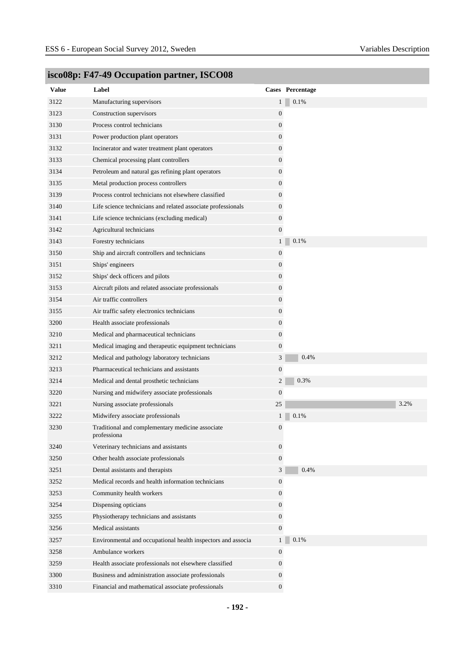| <b>Value</b> | Label                                                           |                  | Cases Percentage |
|--------------|-----------------------------------------------------------------|------------------|------------------|
| 3122         | Manufacturing supervisors                                       | $\mathbf{1}$     | 0.1%             |
| 3123         | Construction supervisors                                        | $\boldsymbol{0}$ |                  |
| 3130         | Process control technicians                                     | 0                |                  |
| 3131         | Power production plant operators                                | 0                |                  |
| 3132         | Incinerator and water treatment plant operators                 | 0                |                  |
| 3133         | Chemical processing plant controllers                           | 0                |                  |
| 3134         | Petroleum and natural gas refining plant operators              | 0                |                  |
| 3135         | Metal production process controllers                            | 0                |                  |
| 3139         | Process control technicians not elsewhere classified            | 0                |                  |
| 3140         | Life science technicians and related associate professionals    | $\overline{0}$   |                  |
| 3141         | Life science technicians (excluding medical)                    | 0                |                  |
| 3142         | Agricultural technicians                                        | $\overline{0}$   |                  |
| 3143         | Forestry technicians                                            | $\mathbf{1}$     | 0.1%             |
| 3150         | Ship and aircraft controllers and technicians                   | 0                |                  |
| 3151         | Ships' engineers                                                | 0                |                  |
| 3152         | Ships' deck officers and pilots                                 | 0                |                  |
| 3153         | Aircraft pilots and related associate professionals             | 0                |                  |
| 3154         | Air traffic controllers                                         | 0                |                  |
| 3155         | Air traffic safety electronics technicians                      | $\boldsymbol{0}$ |                  |
| 3200         | Health associate professionals                                  | 0                |                  |
| 3210         | Medical and pharmaceutical technicians                          | 0                |                  |
| 3211         | Medical imaging and therapeutic equipment technicians           | 0                |                  |
| 3212         | Medical and pathology laboratory technicians                    | $\mathfrak{Z}$   | 0.4%             |
| 3213         | Pharmaceutical technicians and assistants                       | $\boldsymbol{0}$ |                  |
| 3214         | Medical and dental prosthetic technicians                       | $\overline{2}$   | 0.3%             |
| 3220         | Nursing and midwifery associate professionals                   | $\boldsymbol{0}$ |                  |
| 3221         | Nursing associate professionals                                 | 25               | 3.2%             |
| 3222         | Midwifery associate professionals                               | $\mathbf{1}$     | 0.1%             |
| 3230         | Traditional and complementary medicine associate<br>professiona | 0                |                  |
| 3240         | Veterinary technicians and assistants                           | 0                |                  |
| 3250         | Other health associate professionals                            | 0                |                  |
| 3251         | Dental assistants and therapists                                | 3                | 0.4%             |
| 3252         | Medical records and health information technicians              | $\mathbf{0}$     |                  |
| 3253         | Community health workers                                        | 0                |                  |
| 3254         | Dispensing opticians                                            | 0                |                  |
| 3255         | Physiotherapy technicians and assistants                        | $\overline{0}$   |                  |
| 3256         | Medical assistants                                              | 0                |                  |
| 3257         | Environmental and occupational health inspectors and associa    | $\mathbf{1}$     | 0.1%             |
| 3258         | Ambulance workers                                               | 0                |                  |
| 3259         | Health associate professionals not elsewhere classified         | 0                |                  |
| 3300         | Business and administration associate professionals             | 0                |                  |
| 3310         | Financial and mathematical associate professionals              | 0                |                  |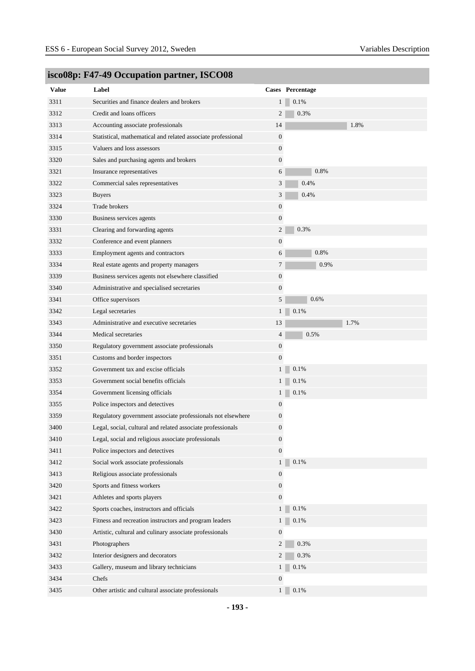| <b>Value</b> | Label                                                        |                  | Cases Percentage |
|--------------|--------------------------------------------------------------|------------------|------------------|
| 3311         | Securities and finance dealers and brokers                   | 1 <sub>1</sub>   | 0.1%             |
| 3312         | Credit and loans officers                                    | 2                | 0.3%             |
| 3313         | Accounting associate professionals                           | 14               | 1.8%             |
| 3314         | Statistical, mathematical and related associate professional | $\boldsymbol{0}$ |                  |
| 3315         | Valuers and loss assessors                                   | $\mathbf{0}$     |                  |
| 3320         | Sales and purchasing agents and brokers                      | $\mathbf{0}$     |                  |
| 3321         | Insurance representatives                                    | 6                | 0.8%             |
| 3322         | Commercial sales representatives                             | 3                | 0.4%             |
| 3323         | <b>Buyers</b>                                                | 3                | 0.4%             |
| 3324         | Trade brokers                                                | $\boldsymbol{0}$ |                  |
| 3330         | Business services agents                                     | $\mathbf{0}$     |                  |
| 3331         | Clearing and forwarding agents                               | $\overline{c}$   | 0.3%             |
| 3332         | Conference and event planners                                | $\mathbf{0}$     |                  |
| 3333         | Employment agents and contractors                            | 6                | 0.8%             |
| 3334         | Real estate agents and property managers                     | 7                | 0.9%             |
| 3339         | Business services agents not elsewhere classified            | $\boldsymbol{0}$ |                  |
| 3340         | Administrative and specialised secretaries                   | $\boldsymbol{0}$ |                  |
| 3341         | Office supervisors                                           | 5                | 0.6%             |
| 3342         | Legal secretaries                                            | 1                | 0.1%             |
| 3343         | Administrative and executive secretaries                     | 13               | 1.7%             |
| 3344         | Medical secretaries                                          | $\overline{4}$   | 0.5%             |
| 3350         | Regulatory government associate professionals                | $\boldsymbol{0}$ |                  |
| 3351         | Customs and border inspectors                                | $\boldsymbol{0}$ |                  |
| 3352         | Government tax and excise officials                          | $1\vert$         | 0.1%             |
| 3353         | Government social benefits officials                         | 1 <sub>1</sub>   | 0.1%             |
| 3354         | Government licensing officials                               | $\mathbf{1}$     | 0.1%             |
| 3355         | Police inspectors and detectives                             | $\boldsymbol{0}$ |                  |
| 3359         | Regulatory government associate professionals not elsewhere  | $\boldsymbol{0}$ |                  |
| 3400         | Legal, social, cultural and related associate professionals  | $\boldsymbol{0}$ |                  |
| 3410         | Legal, social and religious associate professionals          | $\boldsymbol{0}$ |                  |
| 3411         | Police inspectors and detectives                             | $\mathbf{0}$     |                  |
| 3412         | Social work associate professionals                          | 1 <sup>1</sup>   | 0.1%             |
| 3413         | Religious associate professionals                            | $\boldsymbol{0}$ |                  |
| 3420         | Sports and fitness workers                                   | $\boldsymbol{0}$ |                  |
| 3421         | Athletes and sports players                                  | $\boldsymbol{0}$ |                  |
| 3422         | Sports coaches, instructors and officials                    | 1 <sup>1</sup>   | 0.1%             |
| 3423         | Fitness and recreation instructors and program leaders       | 1 <sup>1</sup>   | 0.1%             |
| 3430         | Artistic, cultural and culinary associate professionals      | $\boldsymbol{0}$ |                  |
| 3431         | Photographers                                                | $\overline{2}$   | 0.3%             |
| 3432         | Interior designers and decorators                            | $\overline{2}$   | 0.3%             |
| 3433         | Gallery, museum and library technicians                      | 1 <sub>1</sub>   | 0.1%             |
| 3434         | Chefs                                                        | $\boldsymbol{0}$ |                  |
| 3435         | Other artistic and cultural associate professionals          | 1 <sup>1</sup>   | 0.1%             |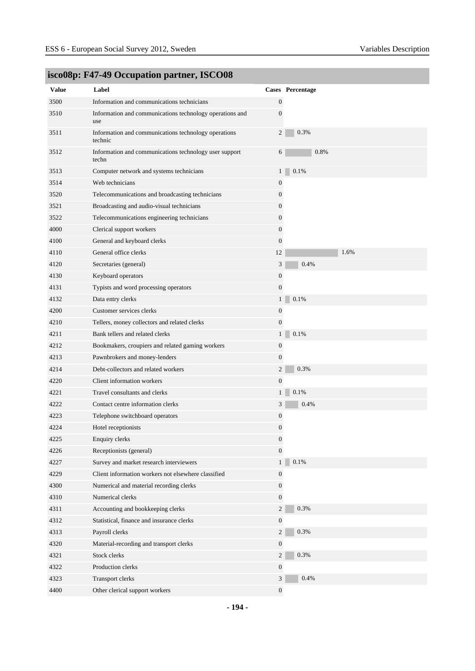| <b>Value</b> | Label                                                           |                  | Cases Percentage |
|--------------|-----------------------------------------------------------------|------------------|------------------|
| 3500         | Information and communications technicians                      | $\boldsymbol{0}$ |                  |
| 3510         | Information and communications technology operations and        | $\boldsymbol{0}$ |                  |
|              | use                                                             |                  |                  |
| 3511         | Information and communications technology operations<br>technic | 2                | 0.3%             |
| 3512         | Information and communications technology user support<br>techn | 6                | 0.8%             |
| 3513         | Computer network and systems technicians                        | $\mathbf{1}$     | 0.1%             |
| 3514         | Web technicians                                                 | $\boldsymbol{0}$ |                  |
| 3520         | Telecommunications and broadcasting technicians                 | $\mathbf{0}$     |                  |
| 3521         | Broadcasting and audio-visual technicians                       | $\mathbf{0}$     |                  |
| 3522         | Telecommunications engineering technicians                      | $\boldsymbol{0}$ |                  |
| 4000         | Clerical support workers                                        | $\mathbf{0}$     |                  |
| 4100         | General and keyboard clerks                                     | $\mathbf{0}$     |                  |
| 4110         | General office clerks                                           | 12               | 1.6%             |
| 4120         | Secretaries (general)                                           | $\mathfrak{Z}$   | 0.4%             |
| 4130         | Keyboard operators                                              | $\boldsymbol{0}$ |                  |
| 4131         | Typists and word processing operators                           | $\boldsymbol{0}$ |                  |
| 4132         | Data entry clerks                                               | $\mathbf{1}$     | 0.1%             |
| 4200         | Customer services clerks                                        | $\boldsymbol{0}$ |                  |
| 4210         | Tellers, money collectors and related clerks                    | $\boldsymbol{0}$ |                  |
| 4211         | Bank tellers and related clerks                                 | $\mathbf{1}$     | 0.1%             |
| 4212         | Bookmakers, croupiers and related gaming workers                | $\boldsymbol{0}$ |                  |
| 4213         | Pawnbrokers and money-lenders                                   | $\boldsymbol{0}$ |                  |
| 4214         | Debt-collectors and related workers                             | 2                | 0.3%             |
| 4220         | Client information workers                                      | $\boldsymbol{0}$ |                  |
| 4221         | Travel consultants and clerks                                   | $\mathbf{1}$     | 0.1%             |
| 4222         | Contact centre information clerks                               | 3                | 0.4%             |
| 4223         | Telephone switchboard operators                                 | $\boldsymbol{0}$ |                  |
| 4224         | Hotel receptionists                                             | $\boldsymbol{0}$ |                  |
| 4225         | <b>Enquiry clerks</b>                                           | 0                |                  |
| 4226         | Receptionists (general)                                         | $\overline{0}$   |                  |
| 4227         | Survey and market research interviewers                         | $\mathbf{1}$     | 0.1%             |
| 4229         | Client information workers not elsewhere classified             | $\boldsymbol{0}$ |                  |
| 4300         | Numerical and material recording clerks                         | $\mathbf{0}$     |                  |
| 4310         | Numerical clerks                                                | $\overline{0}$   |                  |
| 4311         | Accounting and bookkeeping clerks                               | 2                | 0.3%             |
| 4312         | Statistical, finance and insurance clerks                       | $\mathbf{0}$     |                  |
| 4313         | Payroll clerks                                                  | $\overline{2}$   | 0.3%             |
| 4320         | Material-recording and transport clerks                         | $\mathbf{0}$     |                  |
| 4321         | Stock clerks                                                    | $\overline{2}$   | 0.3%             |
| 4322         | Production clerks                                               | $\boldsymbol{0}$ |                  |
| 4323         | Transport clerks                                                | $\mathbf{3}$     | 0.4%             |
| 4400         | Other clerical support workers                                  | $\overline{0}$   |                  |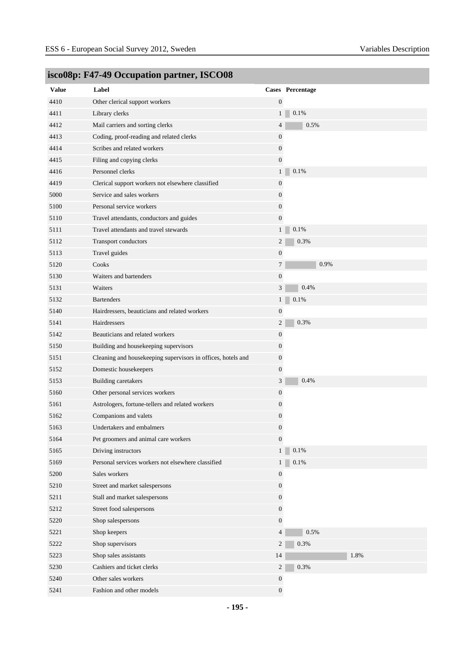| <b>Value</b> | Label                                                        |                  | Cases Percentage |
|--------------|--------------------------------------------------------------|------------------|------------------|
| 4410         | Other clerical support workers                               | $\mathbf{0}$     |                  |
| 4411         | Library clerks                                               | 1 <sup>1</sup>   | 0.1%             |
| 4412         | Mail carriers and sorting clerks                             | 4                | 0.5%             |
| 4413         | Coding, proof-reading and related clerks                     | $\boldsymbol{0}$ |                  |
| 4414         | Scribes and related workers                                  | $\boldsymbol{0}$ |                  |
| 4415         | Filing and copying clerks<br>Personnel clerks                | $\boldsymbol{0}$ | 0.1%             |
| 4416         |                                                              | $1\vert$         |                  |
| 4419         | Clerical support workers not elsewhere classified            | $\boldsymbol{0}$ |                  |
| 5000         | Service and sales workers                                    | 0                |                  |
| 5100         | Personal service workers                                     | $\boldsymbol{0}$ |                  |
| 5110         | Travel attendants, conductors and guides                     | $\overline{0}$   |                  |
| 5111         | Travel attendants and travel stewards                        | 1 <sub>1</sub>   | $0.1\%$          |
| 5112         | Transport conductors                                         | $\overline{c}$   | 0.3%             |
| 5113         | Travel guides                                                | $\boldsymbol{0}$ |                  |
| 5120         | Cooks                                                        | $\tau$           | 0.9%             |
| 5130         | Waiters and bartenders                                       | $\boldsymbol{0}$ |                  |
| 5131         | Waiters                                                      | $\mathfrak{Z}$   | 0.4%             |
| 5132         | <b>Bartenders</b>                                            | 1                | 0.1%             |
| 5140         | Hairdressers, beauticians and related workers                | $\boldsymbol{0}$ |                  |
| 5141         | Hairdressers                                                 | $\overline{c}$   | 0.3%             |
| 5142         | Beauticians and related workers                              | $\boldsymbol{0}$ |                  |
| 5150         | Building and housekeeping supervisors                        | $\boldsymbol{0}$ |                  |
| 5151         | Cleaning and housekeeping supervisors in offices, hotels and | 0                |                  |
| 5152         | Domestic housekeepers                                        | $\boldsymbol{0}$ |                  |
| 5153         | <b>Building caretakers</b>                                   | 3                | 0.4%             |
| 5160         | Other personal services workers                              | $\boldsymbol{0}$ |                  |
| 5161         | Astrologers, fortune-tellers and related workers             | 0                |                  |
| 5162         | Companions and valets                                        | 0                |                  |
| 5163         | Undertakers and embalmers                                    | $\boldsymbol{0}$ |                  |
| 5164         | Pet groomers and animal care workers                         | $\boldsymbol{0}$ |                  |
| 5165         | Driving instructors                                          | 1 <sup>1</sup>   | $0.1\%$          |
| 5169         | Personal services workers not elsewhere classified           | 1                | 0.1%             |
| 5200         | Sales workers                                                | $\boldsymbol{0}$ |                  |
| 5210         | Street and market salespersons                               | $\mathbf{0}$     |                  |
| 5211         | Stall and market salespersons                                | $\boldsymbol{0}$ |                  |
| 5212         | Street food salespersons                                     | $\boldsymbol{0}$ |                  |
| 5220         | Shop salespersons                                            | $\boldsymbol{0}$ |                  |
| 5221         | Shop keepers                                                 | $\overline{4}$   | 0.5%             |
| 5222         | Shop supervisors                                             | $\overline{c}$   | 0.3%             |
| 5223         | Shop sales assistants                                        | 14               | 1.8%             |
| 5230         | Cashiers and ticket clerks                                   | $\overline{2}$   | 0.3%             |
| 5240         | Other sales workers                                          | $\boldsymbol{0}$ |                  |
| 5241         | Fashion and other models                                     | $\mathbf{0}$     |                  |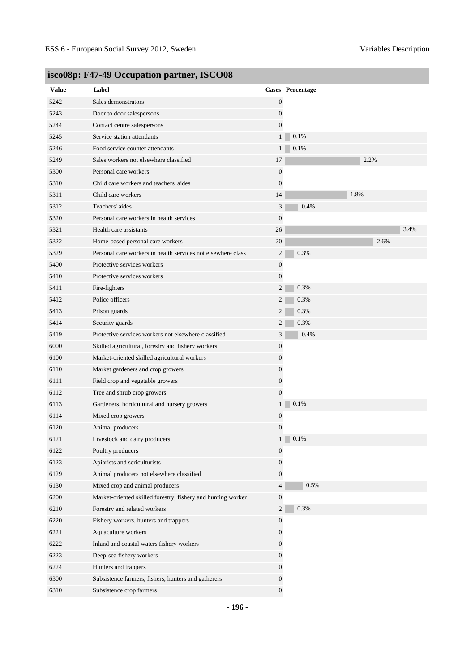| <b>Value</b> | Label                                                        |                  | Cases Percentage |
|--------------|--------------------------------------------------------------|------------------|------------------|
| 5242         | Sales demonstrators                                          | $\boldsymbol{0}$ |                  |
| 5243         | Door to door salespersons                                    | $\overline{0}$   |                  |
| 5244         | Contact centre salespersons                                  | $\overline{0}$   |                  |
| 5245         | Service station attendants                                   | 1 <sup>1</sup>   | 0.1%             |
| 5246         | Food service counter attendants                              | 1 <sup>1</sup>   | 0.1%             |
| 5249         | Sales workers not elsewhere classified                       | 17               | 2.2%             |
| 5300         | Personal care workers                                        | 0                |                  |
| 5310         | Child care workers and teachers' aides                       | $\boldsymbol{0}$ |                  |
| 5311         | Child care workers                                           | 14               | 1.8%             |
| 5312         | Teachers' aides                                              | 3                | 0.4%             |
| 5320         | Personal care workers in health services                     | $\overline{0}$   |                  |
| 5321         | Health care assistants                                       | 26               | 3.4%             |
| 5322         | Home-based personal care workers                             | 20               | 2.6%             |
| 5329         | Personal care workers in health services not elsewhere class | 2                | 0.3%             |
| 5400         | Protective services workers                                  | $\boldsymbol{0}$ |                  |
| 5410         | Protective services workers                                  | $\boldsymbol{0}$ |                  |
| 5411         | Fire-fighters                                                | $\overline{2}$   | 0.3%             |
| 5412         | Police officers                                              | $\overline{c}$   | 0.3%             |
| 5413         | Prison guards                                                | $\overline{2}$   | 0.3%             |
| 5414         | Security guards                                              | $\overline{2}$   | 0.3%             |
| 5419         | Protective services workers not elsewhere classified         | 3                | 0.4%             |
| 6000         | Skilled agricultural, forestry and fishery workers           | 0                |                  |
| 6100         | Market-oriented skilled agricultural workers                 | 0                |                  |
| 6110         | Market gardeners and crop growers                            | $\boldsymbol{0}$ |                  |
| 6111         | Field crop and vegetable growers                             | $\overline{0}$   |                  |
| 6112         | Tree and shrub crop growers                                  | $\overline{0}$   |                  |
| 6113         | Gardeners, horticultural and nursery growers                 | $\mathbf{1}$     | 0.1%             |
| 6114         | Mixed crop growers                                           | 0                |                  |
| 6120         | Animal producers                                             | 0                |                  |
| 6121         | Livestock and dairy producers                                | $\mathbf{1}$     | $\Box$ 0.1%      |
| 6122         | Poultry producers                                            | $\boldsymbol{0}$ |                  |
| 6123         | Apiarists and sericulturists                                 | $\mathbf{0}$     |                  |
| 6129         | Animal producers not elsewhere classified                    | $\boldsymbol{0}$ |                  |
| 6130         | Mixed crop and animal producers                              | $\overline{4}$   | 0.5%             |
| 6200         | Market-oriented skilled forestry, fishery and hunting worker | $\boldsymbol{0}$ |                  |
| 6210         | Forestry and related workers                                 | $\overline{2}$   | 0.3%             |
| 6220         | Fishery workers, hunters and trappers                        | $\boldsymbol{0}$ |                  |
| 6221         | Aquaculture workers                                          | 0                |                  |
| 6222         | Inland and coastal waters fishery workers                    | $\mathbf{0}$     |                  |
| 6223         | Deep-sea fishery workers                                     | $\boldsymbol{0}$ |                  |
| 6224         | Hunters and trappers                                         | 0                |                  |
| 6300         | Subsistence farmers, fishers, hunters and gatherers          | 0                |                  |
| 6310         |                                                              | $\overline{0}$   |                  |
|              | Subsistence crop farmers                                     |                  |                  |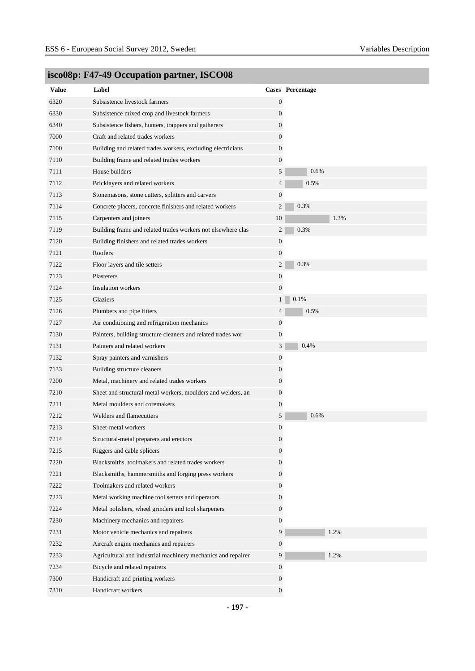| <b>Value</b> | Label                                                        |                  | Cases Percentage |
|--------------|--------------------------------------------------------------|------------------|------------------|
| 6320         | Subsistence livestock farmers                                | $\boldsymbol{0}$ |                  |
| 6330         | Subsistence mixed crop and livestock farmers                 | 0                |                  |
| 6340         | Subsistence fishers, hunters, trappers and gatherers         | $\boldsymbol{0}$ |                  |
| 7000         | Craft and related trades workers                             | 0                |                  |
| 7100         | Building and related trades workers, excluding electricians  | $\boldsymbol{0}$ |                  |
| 7110         | Building frame and related trades workers                    | $\boldsymbol{0}$ |                  |
| 7111         | House builders                                               | 5                | 0.6%             |
| 7112         | Bricklayers and related workers                              | 4                | 0.5%             |
| 7113         | Stonemasons, stone cutters, splitters and carvers            | $\boldsymbol{0}$ |                  |
| 7114         | Concrete placers, concrete finishers and related workers     | $\overline{2}$   | 0.3%             |
| 7115         | Carpenters and joiners                                       | 10               | 1.3%             |
| 7119         | Building frame and related trades workers not elsewhere clas | $\overline{2}$   | 0.3%             |
| 7120         | Building finishers and related trades workers                | $\boldsymbol{0}$ |                  |
| 7121         | Roofers                                                      | $\boldsymbol{0}$ |                  |
| 7122         | Floor layers and tile setters                                | 2                | 0.3%             |
| 7123         | Plasterers                                                   | $\boldsymbol{0}$ |                  |
| 7124         | <b>Insulation workers</b>                                    | $\boldsymbol{0}$ |                  |
| 7125         | Glaziers                                                     | 1 <sup>1</sup>   | 0.1%             |
| 7126         | Plumbers and pipe fitters                                    | $\overline{4}$   | 0.5%             |
| 7127         | Air conditioning and refrigeration mechanics                 | $\boldsymbol{0}$ |                  |
| 7130         | Painters, building structure cleaners and related trades wor | $\boldsymbol{0}$ |                  |
| 7131         | Painters and related workers                                 | $\mathfrak{Z}$   | 0.4%             |
| 7132         | Spray painters and varnishers                                | $\boldsymbol{0}$ |                  |
| 7133         | Building structure cleaners                                  | 0                |                  |
| 7200         | Metal, machinery and related trades workers                  | $\boldsymbol{0}$ |                  |
| 7210         | Sheet and structural metal workers, moulders and welders, an | $\boldsymbol{0}$ |                  |
| 7211         | Metal moulders and coremakers                                | 0                |                  |
| 7212         | Welders and flamecutters                                     | 5                | 0.6%             |
| 7213         | Sheet-metal workers                                          | 0                |                  |
| 7214         | Structural-metal preparers and erectors                      | $\boldsymbol{0}$ |                  |
| 7215         | Riggers and cable splicers                                   | 0                |                  |
| 7220         | Blacksmiths, toolmakers and related trades workers           | $\overline{0}$   |                  |
| 7221         | Blacksmiths, hammersmiths and forging press workers          | $\overline{0}$   |                  |
| 7222         | Toolmakers and related workers                               | $\boldsymbol{0}$ |                  |
| 7223         | Metal working machine tool setters and operators             | $\boldsymbol{0}$ |                  |
| 7224         | Metal polishers, wheel grinders and tool sharpeners          | $\overline{0}$   |                  |
| 7230         | Machinery mechanics and repairers                            | $\overline{0}$   |                  |
| 7231         | Motor vehicle mechanics and repairers                        | 9                | 1.2%             |
| 7232         | Aircraft engine mechanics and repairers                      | $\boldsymbol{0}$ |                  |
| 7233         | Agricultural and industrial machinery mechanics and repairer | 9                | 1.2%             |
| 7234         | Bicycle and related repairers                                | $\boldsymbol{0}$ |                  |
| 7300         | Handicraft and printing workers                              | $\boldsymbol{0}$ |                  |
| 7310         | Handicraft workers                                           | $\boldsymbol{0}$ |                  |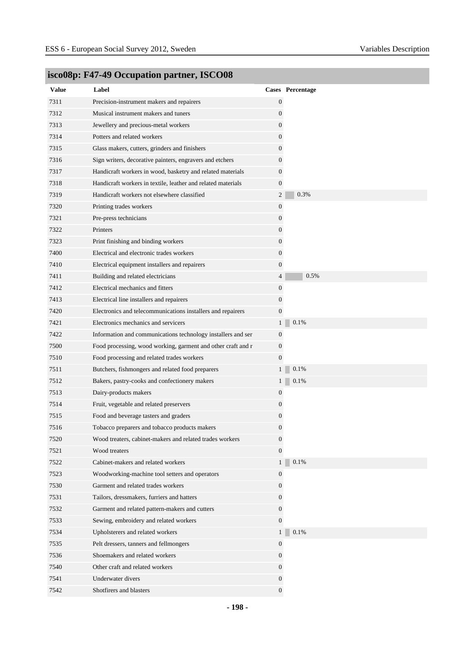| <b>Value</b> | Label                                                        |                  | Cases Percentage |
|--------------|--------------------------------------------------------------|------------------|------------------|
| 7311         | Precision-instrument makers and repairers                    | $\boldsymbol{0}$ |                  |
| 7312         | Musical instrument makers and tuners                         | $\boldsymbol{0}$ |                  |
| 7313         | Jewellery and precious-metal workers                         | $\mathbf{0}$     |                  |
| 7314         | Potters and related workers                                  | $\boldsymbol{0}$ |                  |
| 7315         | Glass makers, cutters, grinders and finishers                | $\boldsymbol{0}$ |                  |
| 7316         | Sign writers, decorative painters, engravers and etchers     | $\boldsymbol{0}$ |                  |
| 7317         | Handicraft workers in wood, basketry and related materials   | $\mathbf{0}$     |                  |
| 7318         | Handicraft workers in textile, leather and related materials | $\boldsymbol{0}$ |                  |
| 7319         | Handicraft workers not elsewhere classified                  | $\overline{2}$   | 0.3%             |
| 7320         | Printing trades workers                                      | $\boldsymbol{0}$ |                  |
| 7321         | Pre-press technicians                                        | $\boldsymbol{0}$ |                  |
| 7322         | Printers                                                     | $\mathbf{0}$     |                  |
| 7323         | Print finishing and binding workers                          | $\boldsymbol{0}$ |                  |
| 7400         | Electrical and electronic trades workers                     | $\mathbf{0}$     |                  |
| 7410         | Electrical equipment installers and repairers                | $\boldsymbol{0}$ |                  |
| 7411         | Building and related electricians                            | $\overline{4}$   | 0.5%             |
| 7412         | Electrical mechanics and fitters                             | $\boldsymbol{0}$ |                  |
| 7413         | Electrical line installers and repairers                     | $\boldsymbol{0}$ |                  |
| 7420         | Electronics and telecommunications installers and repairers  | $\boldsymbol{0}$ |                  |
| 7421         | Electronics mechanics and servicers                          | 1                | 0.1%             |
| 7422         | Information and communications technology installers and ser | $\mathbf{0}$     |                  |
| 7500         | Food processing, wood working, garment and other craft and r | $\mathbf{0}$     |                  |
| 7510         | Food processing and related trades workers                   | $\boldsymbol{0}$ |                  |
| 7511         | Butchers, fishmongers and related food preparers             | $\mathbf{1}$     | 0.1%             |
| 7512         | Bakers, pastry-cooks and confectionery makers                | $1\vert$         | 0.1%             |
| 7513         | Dairy-products makers                                        | $\boldsymbol{0}$ |                  |
| 7514         | Fruit, vegetable and related preservers                      | 0                |                  |
| 7515         | Food and beverage tasters and graders                        | $\mathbf{0}$     |                  |
| 7516         | Tobacco preparers and tobacco products makers                | 0                |                  |
| 7520         | Wood treaters, cabinet-makers and related trades workers     | 0                |                  |
| 7521         | Wood treaters                                                | $\boldsymbol{0}$ |                  |
| 7522         | Cabinet-makers and related workers                           | $\mathbf{1}$     | 0.1%             |
| 7523         | Woodworking-machine tool setters and operators               | $\mathbf{0}$     |                  |
| 7530         | Garment and related trades workers                           | $\boldsymbol{0}$ |                  |
| 7531         | Tailors, dressmakers, furriers and hatters                   | $\mathbf{0}$     |                  |
| 7532         | Garment and related pattern-makers and cutters               | $\mathbf{0}$     |                  |
| 7533         | Sewing, embroidery and related workers                       | $\mathbf{0}$     |                  |
| 7534         | Upholsterers and related workers                             | $\mathbf{1}$     | 0.1%             |
| 7535         | Pelt dressers, tanners and fellmongers                       | $\boldsymbol{0}$ |                  |
| 7536         | Shoemakers and related workers                               | $\boldsymbol{0}$ |                  |
| 7540         | Other craft and related workers                              | $\mathbf{0}$     |                  |
| 7541         | Underwater divers                                            | $\mathbf{0}$     |                  |
| 7542         | Shotfirers and blasters                                      | $\boldsymbol{0}$ |                  |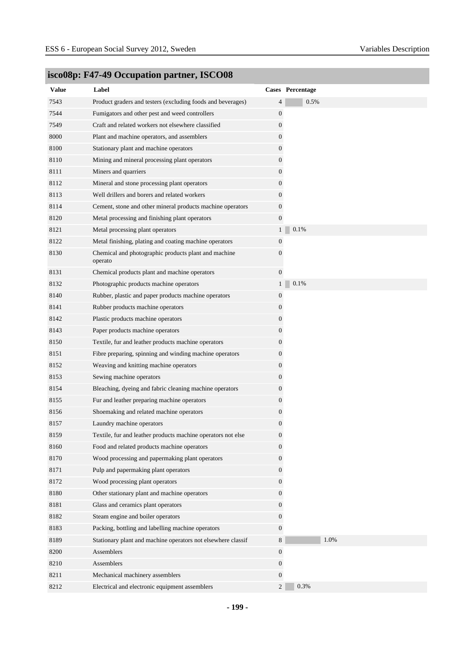| <b>Value</b> | Label                                                           |                  | Cases Percentage |
|--------------|-----------------------------------------------------------------|------------------|------------------|
| 7543         | Product graders and testers (excluding foods and beverages)     | 4                | 0.5%             |
| 7544         | Fumigators and other pest and weed controllers                  | $\boldsymbol{0}$ |                  |
| 7549         | Craft and related workers not elsewhere classified              | 0                |                  |
| 8000         | Plant and machine operators, and assemblers                     | 0                |                  |
| 8100         | Stationary plant and machine operators                          | $\boldsymbol{0}$ |                  |
| 8110         | Mining and mineral processing plant operators                   | $\boldsymbol{0}$ |                  |
| 8111         | Miners and quarriers                                            | $\overline{0}$   |                  |
| 8112         | Mineral and stone processing plant operators                    | 0                |                  |
| 8113         | Well drillers and borers and related workers                    | 0                |                  |
| 8114         | Cement, stone and other mineral products machine operators      | $\boldsymbol{0}$ |                  |
| 8120         | Metal processing and finishing plant operators                  | $\boldsymbol{0}$ |                  |
| 8121         | Metal processing plant operators                                | 1 <sup>1</sup>   | 0.1%             |
| 8122         | Metal finishing, plating and coating machine operators          | $\boldsymbol{0}$ |                  |
| 8130         | Chemical and photographic products plant and machine<br>operato | 0                |                  |
| 8131         | Chemical products plant and machine operators                   | $\boldsymbol{0}$ |                  |
| 8132         | Photographic products machine operators                         | $\mathbf{1}$     | 0.1%             |
| 8140         | Rubber, plastic and paper products machine operators            | 0                |                  |
| 8141         | Rubber products machine operators                               | 0                |                  |
| 8142         | Plastic products machine operators                              | $\boldsymbol{0}$ |                  |
| 8143         | Paper products machine operators                                | $\overline{0}$   |                  |
| 8150         | Textile, fur and leather products machine operators             | 0                |                  |
| 8151         | Fibre preparing, spinning and winding machine operators         | 0                |                  |
| 8152         | Weaving and knitting machine operators                          | 0                |                  |
| 8153         | Sewing machine operators                                        | 0                |                  |
| 8154         | Bleaching, dyeing and fabric cleaning machine operators         | 0                |                  |
| 8155         | Fur and leather preparing machine operators                     | 0                |                  |
| 8156         | Shoemaking and related machine operators                        | 0                |                  |
| 8157         | Laundry machine operators                                       | $\boldsymbol{0}$ |                  |
| 8159         | Textile, fur and leather products machine operators not else    | $\boldsymbol{0}$ |                  |
| 8160         | Food and related products machine operators                     | $\boldsymbol{0}$ |                  |
| 8170         | Wood processing and papermaking plant operators                 | $\boldsymbol{0}$ |                  |
| 8171         | Pulp and papermaking plant operators                            | $\overline{0}$   |                  |
| 8172         | Wood processing plant operators                                 | $\boldsymbol{0}$ |                  |
| 8180         | Other stationary plant and machine operators                    | $\overline{0}$   |                  |
| 8181         | Glass and ceramics plant operators                              | $\boldsymbol{0}$ |                  |
| 8182         | Steam engine and boiler operators                               | $\mathbf{0}$     |                  |
| 8183         | Packing, bottling and labelling machine operators               | $\mathbf{0}$     |                  |
| 8189         | Stationary plant and machine operators not elsewhere classif    | 8                | 1.0%             |
| 8200         | Assemblers                                                      | $\boldsymbol{0}$ |                  |
| 8210         | Assemblers                                                      | $\mathbf{0}$     |                  |
| 8211         | Mechanical machinery assemblers                                 | $\mathbf{0}$     |                  |
| 8212         | Electrical and electronic equipment assemblers                  | $\overline{2}$   | 0.3%             |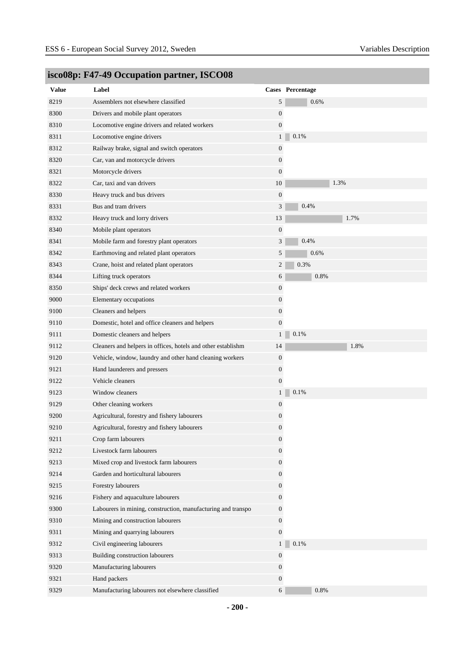| <b>Value</b> | Label                                                        |                  | Cases Percentage |
|--------------|--------------------------------------------------------------|------------------|------------------|
| 8219         | Assemblers not elsewhere classified                          | 5                | 0.6%             |
| 8300         | Drivers and mobile plant operators                           | $\boldsymbol{0}$ |                  |
| 8310         | Locomotive engine drivers and related workers                | $\boldsymbol{0}$ |                  |
| 8311         | Locomotive engine drivers                                    | 1 <sup>1</sup>   | 0.1%             |
| 8312         | Railway brake, signal and switch operators                   | $\boldsymbol{0}$ |                  |
| 8320         | Car, van and motorcycle drivers                              | 0                |                  |
| 8321         | Motorcycle drivers                                           | 0                |                  |
| 8322         | Car, taxi and van drivers                                    | 10               | 1.3%             |
| 8330         | Heavy truck and bus drivers                                  | $\boldsymbol{0}$ |                  |
| 8331         | Bus and tram drivers                                         | 3                | 0.4%             |
| 8332         | Heavy truck and lorry drivers                                | 13               | 1.7%             |
| 8340         | Mobile plant operators                                       | $\boldsymbol{0}$ |                  |
| 8341         | Mobile farm and forestry plant operators                     | 3                | 0.4%             |
| 8342         | Earthmoving and related plant operators                      | 5                | 0.6%             |
| 8343         | Crane, hoist and related plant operators                     | 2                | 0.3%             |
| 8344         | Lifting truck operators                                      | 6                | 0.8%             |
| 8350         | Ships' deck crews and related workers                        | 0                |                  |
| 9000         | Elementary occupations                                       | 0                |                  |
| 9100         | Cleaners and helpers                                         | $\boldsymbol{0}$ |                  |
| 9110         | Domestic, hotel and office cleaners and helpers              | $\overline{0}$   |                  |
| 9111         | Domestic cleaners and helpers                                | $\mathbf{1}$     | 0.1%             |
| 9112         | Cleaners and helpers in offices, hotels and other establishm | 14               | 1.8%             |
| 9120         | Vehicle, window, laundry and other hand cleaning workers     | 0                |                  |
| 9121         | Hand launderers and pressers                                 | 0                |                  |
| 9122         | Vehicle cleaners                                             | $\boldsymbol{0}$ |                  |
| 9123         | Window cleaners                                              | $\mathbf{1}$     | 0.1%             |
| 9129         | Other cleaning workers                                       | 0                |                  |
| 9200         | Agricultural, forestry and fishery labourers                 | $\boldsymbol{0}$ |                  |
| 9210         | Agricultural, forestry and fishery labourers                 | 0                |                  |
| 9211         | Crop farm labourers                                          | $\boldsymbol{0}$ |                  |
| 9212         | Livestock farm labourers                                     | 0                |                  |
| 9213         | Mixed crop and livestock farm labourers                      | $\boldsymbol{0}$ |                  |
| 9214         | Garden and horticultural labourers                           | $\boldsymbol{0}$ |                  |
| 9215         | Forestry labourers                                           | $\boldsymbol{0}$ |                  |
| 9216         | Fishery and aquaculture labourers                            | $\mathbf{0}$     |                  |
| 9300         | Labourers in mining, construction, manufacturing and transpo | 0                |                  |
| 9310         | Mining and construction labourers                            | 0                |                  |
| 9311         | Mining and quarrying labourers                               | $\boldsymbol{0}$ |                  |
| 9312         | Civil engineering labourers                                  | 1 <sup>1</sup>   | 0.1%             |
| 9313         | Building construction labourers                              | $\boldsymbol{0}$ |                  |
| 9320         | Manufacturing labourers                                      | $\boldsymbol{0}$ |                  |
| 9321         | Hand packers                                                 | $\boldsymbol{0}$ |                  |
| 9329         | Manufacturing labourers not elsewhere classified             | 6                | 0.8%             |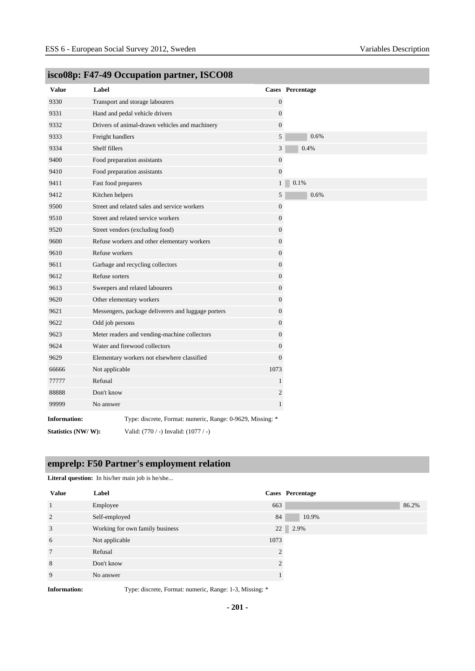| <b>Value</b>        | Label               |                                                            |                  | Cases Percentage |
|---------------------|---------------------|------------------------------------------------------------|------------------|------------------|
| 9330                |                     | Transport and storage labourers                            | $\boldsymbol{0}$ |                  |
| 9331                |                     | Hand and pedal vehicle drivers                             | $\mathbf{0}$     |                  |
| 9332                |                     | Drivers of animal-drawn vehicles and machinery             | $\mathbf{0}$     |                  |
| 9333                | Freight handlers    |                                                            | 5                | 0.6%             |
| 9334                | Shelf fillers       |                                                            | 3                | 0.4%             |
| 9400                |                     | Food preparation assistants                                | $\boldsymbol{0}$ |                  |
| 9410                |                     | Food preparation assistants                                | $\boldsymbol{0}$ |                  |
| 9411                | Fast food preparers |                                                            | 1 <sup>1</sup>   | 0.1%             |
| 9412                | Kitchen helpers     |                                                            | 5                | 0.6%             |
| 9500                |                     | Street and related sales and service workers               | $\boldsymbol{0}$ |                  |
| 9510                |                     | Street and related service workers                         | $\mathbf{0}$     |                  |
| 9520                |                     | Street vendors (excluding food)                            | $\boldsymbol{0}$ |                  |
| 9600                |                     | Refuse workers and other elementary workers                | $\mathbf{0}$     |                  |
| 9610                | Refuse workers      |                                                            | $\boldsymbol{0}$ |                  |
| 9611                |                     | Garbage and recycling collectors                           | $\boldsymbol{0}$ |                  |
| 9612                | Refuse sorters      |                                                            | $\mathbf{0}$     |                  |
| 9613                |                     | Sweepers and related labourers                             | $\boldsymbol{0}$ |                  |
| 9620                |                     | Other elementary workers                                   | $\boldsymbol{0}$ |                  |
| 9621                |                     | Messengers, package deliverers and luggage porters         | $\boldsymbol{0}$ |                  |
| 9622                | Odd job persons     |                                                            | $\mathbf{0}$     |                  |
| 9623                |                     | Meter readers and vending-machine collectors               | $\boldsymbol{0}$ |                  |
| 9624                |                     | Water and firewood collectors                              | $\mathbf{0}$     |                  |
| 9629                |                     | Elementary workers not elsewhere classified                | $\overline{0}$   |                  |
| 66666               | Not applicable      |                                                            | 1073             |                  |
| 77777               | Refusal             |                                                            | $\mathbf{1}$     |                  |
| 88888               | Don't know          |                                                            | $\boldsymbol{2}$ |                  |
| 99999               | No answer           |                                                            | $\mathbf{1}$     |                  |
| <b>Information:</b> |                     | Type: discrete, Format: numeric, Range: 0-9629, Missing: * |                  |                  |
| Statistics (NW/W):  |                     | Valid: (770 / -) Invalid: (1077 / -)                       |                  |                  |

# **emprelp: F50 Partner's employment relation**

**Literal question:** In his/her main job is he/she...

| <b>Value</b>   | Label                           |      | Cases Percentage |  |
|----------------|---------------------------------|------|------------------|--|
| $\mathbf{1}$   | Employee                        | 663  | 86.2%            |  |
| 2              | Self-employed                   | 84   | 10.9%            |  |
| 3              | Working for own family business | 22   | 2.9%             |  |
| 6              | Not applicable                  | 1073 |                  |  |
| $\overline{7}$ | Refusal                         |      |                  |  |
| 8              | Don't know                      |      |                  |  |
| 9              | No answer                       |      |                  |  |
|                |                                 |      |                  |  |

**Information:** Type: discrete, Format: numeric, Range: 1-3, Missing: \*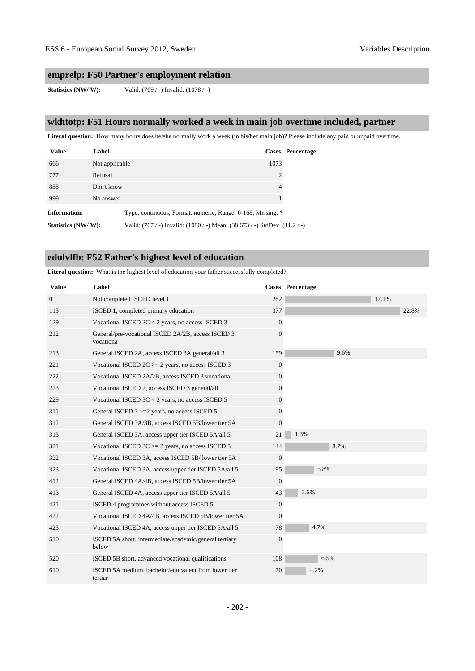### **emprelp: F50 Partner's employment relation**

**Statistics (NW/ W):** Valid: (769 / -) Invalid: (1078 / -)

### **wkhtotp: F51 Hours normally worked a week in main job overtime included, partner**

Literal question: How many hours does he/she normally work a week (in his/her main job)? Please include any paid or unpaid overtime.

| <b>Value</b>        | Label          |                                                                            |                | Cases Percentage |
|---------------------|----------------|----------------------------------------------------------------------------|----------------|------------------|
| 666                 | Not applicable |                                                                            | 1073           |                  |
| 777                 | Refusal        |                                                                            | 2              |                  |
| 888                 | Don't know     |                                                                            | $\overline{4}$ |                  |
| 999                 | No answer      |                                                                            |                |                  |
| <b>Information:</b> |                | Type: continuous, Format: numeric, Range: 0-168, Missing: *                |                |                  |
| Statistics (NW/W):  |                | Valid: (767 / -) Invalid: (1080 / -) Mean: (38.673 / -) StdDev: (11.2 / -) |                |                  |

### **edulvlfb: F52 Father's highest level of education**

**Literal question:** What is the highest level of education your father successfully completed?

| <b>Value</b>   | Label                                                           |                | Cases Percentage |
|----------------|-----------------------------------------------------------------|----------------|------------------|
| $\overline{0}$ | Not completed ISCED level 1                                     | 282            | 17.1%            |
| 113            | ISCED 1, completed primary education                            | 377            | 22.8%            |
| 129            | Vocational ISCED $2C < 2$ years, no access ISCED 3              | $\overline{0}$ |                  |
| 212            | General/pre-vocational ISCED 2A/2B, access ISCED 3<br>vocationa | $\Omega$       |                  |
| 213            | General ISCED 2A, access ISCED 3A general/all 3                 | 159            | 9.6%             |
| 221            | Vocational ISCED $2C = 2$ years, no access ISCED 3              | $\overline{0}$ |                  |
| 222            | Vocational ISCED 2A/2B, access ISCED 3 vocational               | $\overline{0}$ |                  |
| 223            | Vocational ISCED 2, access ISCED 3 general/all                  | $\overline{0}$ |                  |
| 229            | Vocational ISCED $3C < 2$ years, no access ISCED 5              | $\overline{0}$ |                  |
| 311            | General ISCED 3 >=2 years, no access ISCED 5                    | $\overline{0}$ |                  |
| 312            | General ISCED 3A/3B, access ISCED 5B/lower tier 5A              | $\overline{0}$ |                  |
| 313            | General ISCED 3A, access upper tier ISCED 5A/all 5              | 21             | 1.3%             |
| 321            | Vocational ISCED $3C = 2$ years, no access ISCED 5              | 144            | 8.7%             |
| 322            | Vocational ISCED 3A, access ISCED 5B/lower tier 5A              | $\overline{0}$ |                  |
| 323            | Vocational ISCED 3A, access upper tier ISCED 5A/all 5           | 95             | 5.8%             |
| 412            | General ISCED 4A/4B, access ISCED 5B/lower tier 5A              | $\mathbf{0}$   |                  |
| 413            | General ISCED 4A, access upper tier ISCED 5A/all 5              | 43             | 2.6%             |
| 421            | ISCED 4 programmes without access ISCED 5                       | $\overline{0}$ |                  |
| 422            | Vocational ISCED 4A/4B, access ISCED 5B/lower tier 5A           | $\overline{0}$ |                  |
| 423            | Vocational ISCED 4A, access upper tier ISCED 5A/all 5           | 78             | 4.7%             |
| 510            | ISCED 5A short, intermediate/academic/general tertiary<br>below | $\theta$       |                  |
| 520            | ISCED 5B short, advanced vocational qualifications              | 108            | 6.5%             |
| 610            | ISCED 5A medium, bachelor/equivalent from lower tier<br>tertiar | 70             | 4.2%             |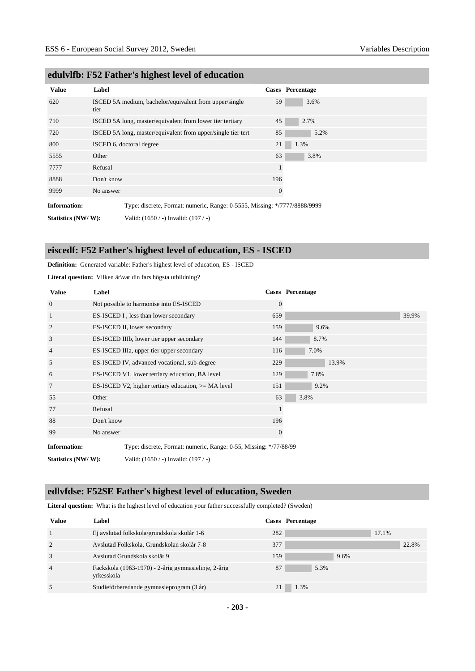| <b>Value</b>        | Label      |                                                                           |              | Cases Percentage |
|---------------------|------------|---------------------------------------------------------------------------|--------------|------------------|
| 620                 | tier       | ISCED 5A medium, bachelor/equivalent from upper/single                    | 59           | 3.6%             |
| 710                 |            | ISCED 5A long, master/equivalent from lower tier tertiary                 | 45           | 2.7%             |
| 720                 |            | ISCED 5A long, master/equivalent from upper/single tier tert              | 85           | 5.2%             |
| 800                 |            | ISCED 6, doctoral degree                                                  | 21           | 1.3%             |
| 5555                | Other      |                                                                           | 63           | 3.8%             |
| 7777                | Refusal    |                                                                           | $\mathbf{1}$ |                  |
| 8888                | Don't know |                                                                           | 196          |                  |
| 9999                | No answer  |                                                                           | $\mathbf{0}$ |                  |
| <b>Information:</b> |            | Type: discrete, Format: numeric, Range: 0-5555, Missing: */7777/8888/9999 |              |                  |
| Statistics (NW/W):  |            | Valid: (1650 / -) Invalid: (197 / -)                                      |              |                  |

### **edulvlfb: F52 Father's highest level of education**

### **eiscedf: F52 Father's highest level of education, ES - ISCED**

#### **Definition:** Generated variable: Father's highest level of education, ES - ISCED

Literal question: Vilken är\var din fars högsta utbildning?

| <b>Value</b>        | Label                                                             |              | <b>Cases</b> Percentage |
|---------------------|-------------------------------------------------------------------|--------------|-------------------------|
| $\overline{0}$      | Not possible to harmonise into ES-ISCED                           | $\mathbf{0}$ |                         |
| 1                   | ES-ISCED I, less than lower secondary                             | 659          | 39.9%                   |
| 2                   | ES-ISCED II, lower secondary                                      | 159          | 9.6%                    |
| 3                   | ES-ISCED IIIb, lower tier upper secondary                         | 144          | 8.7%                    |
| 4                   | ES-ISCED IIIa, upper tier upper secondary                         | 116          | 7.0%                    |
| 5                   | ES-ISCED IV, advanced vocational, sub-degree                      | 229          | 13.9%                   |
| 6                   | ES-ISCED V1, lower tertiary education, BA level                   | 129          | 7.8%                    |
| 7                   | ES-ISCED V2, higher tertiary education, $>= MA$ level             | 151          | 9.2%                    |
| 55                  | Other                                                             | 63           | 3.8%                    |
| 77                  | Refusal                                                           |              |                         |
| 88                  | Don't know                                                        | 196          |                         |
| 99                  | No answer                                                         | $\theta$     |                         |
| <b>Information:</b> | Type: discrete, Format: numeric, Range: 0-55, Missing: */77/88/99 |              |                         |

**Statistics (NW/ W):** Valid: (1650 / -) Invalid: (197 / -)

### **edlvfdse: F52SE Father's highest level of education, Sweden**

**Literal question:** What is the highest level of education your father successfully completed? (Sweden)

| <b>Value</b>   | Label                                                              |     | Cases Percentage |
|----------------|--------------------------------------------------------------------|-----|------------------|
|                | Ej avslutad folkskola/grundskola skolår 1-6                        | 282 | 17.1%            |
| $\overline{2}$ | Avslutad Folkskola, Grundskolan skolår 7-8                         | 377 | 22.8%            |
| 3              | Avslutad Grundskola skolår 9                                       | 159 | 9.6%             |
| $\overline{4}$ | Fackskola (1963-1970) - 2-årig gymnasielinje, 2-årig<br>yrkesskola | 87  | 5.3%             |
|                | Studieförberedande gymnasieprogram (3 år)                          |     | 1.3%             |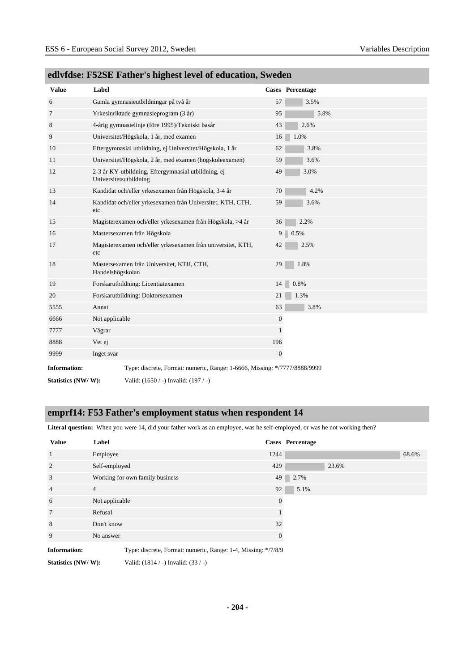| <b>Value</b>        | Label                                                                         |                | Cases Percentage |
|---------------------|-------------------------------------------------------------------------------|----------------|------------------|
| 6                   | Gamla gymnasieutbildningar på två år                                          | 57             | 3.5%             |
| $\tau$              | Yrkesinriktade gymnasieprogram (3 år)                                         | 95             | 5.8%             |
| 8                   | 4-årig gymnasielinje (före 1995)/Tekniskt basår                               | 43             | 2.6%             |
| 9                   | Universitet/Högskola, 1 år, med examen                                        | 16             | 1.0%             |
| 10                  | Eftergymnasial utbildning, ej Universitet/Högskola, 1 år                      | 62             | 3.8%             |
| 11                  | Universitet/Högskola, 2 år, med examen (högskoleexamen)                       | 59             | 3.6%             |
| 12                  | 2-3 år KY-utbildning, Eftergymnasial utbildning, ej<br>Universitetsutbildning | 49             | 3.0%             |
| 13                  | Kandidat och/eller yrkesexamen från Högskola, 3-4 år                          | 70             | 4.2%             |
| 14                  | Kandidat och/eller yrkesexamen från Universitet, KTH, CTH,<br>etc.            | 59             | 3.6%             |
| 15                  | Magisterexamen och/eller yrkesexamen från Högskola, >4 år                     | 36             | 2.2%             |
| 16                  | Mastersexamen från Högskola                                                   | 9 <sup>1</sup> | 0.5%             |
| 17                  | Magisterexamen och/eller yrkesexamen från universitet, KTH,<br>etc            | 42             | 2.5%             |
| 18                  | Mastersexamen från Universitet, KTH, CTH,<br>Handelshögskolan                 | 29             | 1.8%             |
| 19                  | Forskarutbildning: Licentiatexamen                                            | 14             | 0.8%             |
| 20                  | Forskarutbildning: Doktorsexamen                                              | 21             | 1.3%             |
| 5555                | Annat                                                                         | 63             | 3.8%             |
| 6666                | Not applicable                                                                | $\mathbf{0}$   |                  |
| 7777                | Vägrar                                                                        | $\mathbf{1}$   |                  |
| 8888                | Vet ej                                                                        | 196            |                  |
| 9999                | Inget svar                                                                    | $\mathbf{0}$   |                  |
| <b>Information:</b> | Type: discrete, Format: numeric, Range: 1-6666, Missing: */7777/8888/9999     |                |                  |

# **edlvfdse: F52SE Father's highest level of education, Sweden**

**Statistics (NW/ W):** Valid: (1650 / -) Invalid: (197 / -)

# **emprf14: F53 Father's employment status when respondent 14**

Literal question: When you were 14, did your father work as an employee, was he self-employed, or was he not working then?

| <b>Value</b>        | Label                                                         |          | Cases Percentage |
|---------------------|---------------------------------------------------------------|----------|------------------|
| $\mathbf{1}$        | Employee                                                      | 1244     | 68.6%            |
| $\overline{2}$      | Self-employed                                                 | 429      | 23.6%            |
| 3                   | Working for own family business                               | 49       | 2.7%             |
| $\overline{4}$      | $\overline{4}$                                                | 92       | 5.1%             |
| 6                   | Not applicable                                                | $\Omega$ |                  |
| $7\phantom{.0}$     | Refusal                                                       |          |                  |
| 8                   | Don't know                                                    | 32       |                  |
| 9                   | No answer                                                     | $\theta$ |                  |
| <b>Information:</b> | Type: discrete, Format: numeric, Range: 1-4, Missing: */7/8/9 |          |                  |

**Statistics (NW/ W):** Valid: (1814 / -) Invalid: (33 / -)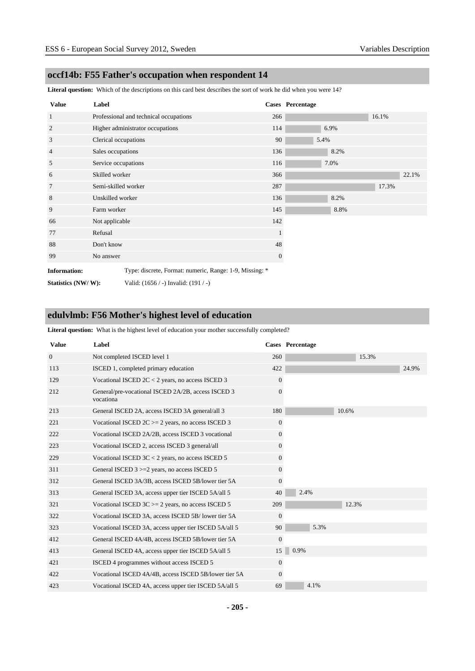### **occf14b: F55 Father's occupation when respondent 14**

**Literal question:** Which of the descriptions on this card best describes the sort of work he did when you were 14?

| <b>Value</b>        | Label                |                                                         |              | <b>Cases</b> Percentage |      |       |       |
|---------------------|----------------------|---------------------------------------------------------|--------------|-------------------------|------|-------|-------|
| $\mathbf{1}$        |                      | Professional and technical occupations                  | 266          |                         |      | 16.1% |       |
| $\overline{c}$      |                      | Higher administrator occupations                        | 114          | 6.9%                    |      |       |       |
| 3                   | Clerical occupations |                                                         | 90           | 5.4%                    |      |       |       |
| $\overline{4}$      | Sales occupations    |                                                         | 136          |                         | 8.2% |       |       |
| 5                   | Service occupations  |                                                         | 116          | 7.0%                    |      |       |       |
| 6                   | Skilled worker       |                                                         | 366          |                         |      |       | 22.1% |
| $7\phantom{.0}$     | Semi-skilled worker  |                                                         | 287          |                         |      | 17.3% |       |
| 8                   | Unskilled worker     |                                                         | 136          |                         | 8.2% |       |       |
| 9                   | Farm worker          |                                                         | 145          |                         | 8.8% |       |       |
| 66                  | Not applicable       |                                                         | 142          |                         |      |       |       |
| 77                  | Refusal              |                                                         | $\perp$      |                         |      |       |       |
| 88                  | Don't know           |                                                         | 48           |                         |      |       |       |
| 99                  | No answer            |                                                         | $\mathbf{0}$ |                         |      |       |       |
| <b>Information:</b> |                      | Type: discrete, Format: numeric, Range: 1-9, Missing: * |              |                         |      |       |       |
| Statistics (NW/W):  |                      | Valid: $(1656 / -)$ Invalid: $(191 / -)$                |              |                         |      |       |       |

# **edulvlmb: F56 Mother's highest level of education**

**Literal question:** What is the highest level of education your mother successfully completed?

| <b>Value</b>   | Label                                                           |                | <b>Cases</b> Percentage |
|----------------|-----------------------------------------------------------------|----------------|-------------------------|
| $\overline{0}$ | Not completed ISCED level 1                                     | 260            | 15.3%                   |
| 113            | ISCED 1, completed primary education                            | 422            | 24.9%                   |
| 129            | Vocational ISCED $2C < 2$ years, no access ISCED 3              | $\overline{0}$ |                         |
| 212            | General/pre-vocational ISCED 2A/2B, access ISCED 3<br>vocationa | $\Omega$       |                         |
| 213            | General ISCED 2A, access ISCED 3A general/all 3                 | 180            | 10.6%                   |
| 221            | Vocational ISCED $2C \ge 2$ years, no access ISCED 3            | $\overline{0}$ |                         |
| 222            | Vocational ISCED 2A/2B, access ISCED 3 vocational               | $\overline{0}$ |                         |
| 223            | Vocational ISCED 2, access ISCED 3 general/all                  | 0              |                         |
| 229            | Vocational ISCED $3C < 2$ years, no access ISCED 5              | 0              |                         |
| 311            | General ISCED 3 >=2 years, no access ISCED 5                    | 0              |                         |
| 312            | General ISCED 3A/3B, access ISCED 5B/lower tier 5A              | $\overline{0}$ |                         |
| 313            | General ISCED 3A, access upper tier ISCED 5A/all 5              | 40             | 2.4%                    |
| 321            | Vocational ISCED $3C = 2$ years, no access ISCED 5              | 209            | 12.3%                   |
| 322            | Vocational ISCED 3A, access ISCED 5B/lower tier 5A              | $\overline{0}$ |                         |
| 323            | Vocational ISCED 3A, access upper tier ISCED 5A/all 5           | 90             | 5.3%                    |
| 412            | General ISCED 4A/4B, access ISCED 5B/lower tier 5A              | $\overline{0}$ |                         |
| 413            | General ISCED 4A, access upper tier ISCED 5A/all 5              | 15             | 0.9%                    |
| 421            | ISCED 4 programmes without access ISCED 5                       | 0              |                         |
| 422            | Vocational ISCED 4A/4B, access ISCED 5B/lower tier 5A           | $\overline{0}$ |                         |
| 423            | Vocational ISCED 4A, access upper tier ISCED 5A/all 5           | 69             | 4.1%                    |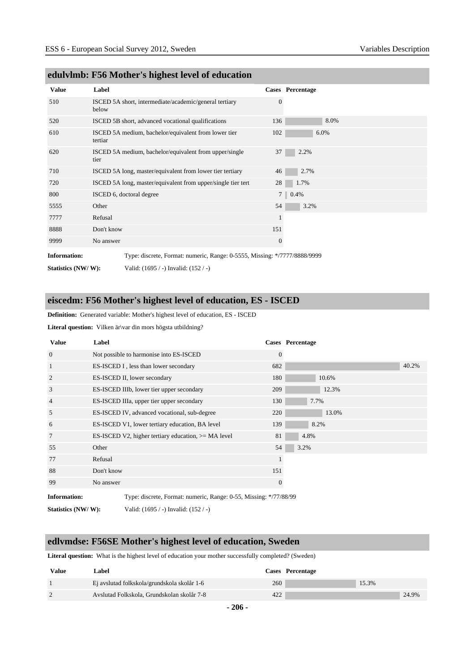| <b>Value</b>        | Label                                                                     |              | Cases Percentage |
|---------------------|---------------------------------------------------------------------------|--------------|------------------|
| 510                 | ISCED 5A short, intermediate/academic/general tertiary<br>below           | $\Omega$     |                  |
| 520                 | ISCED 5B short, advanced vocational qualifications                        | 136          | 8.0%             |
| 610                 | ISCED 5A medium, bachelor/equivalent from lower tier<br>tertiar           | 102          | 6.0%             |
| 620                 | ISCED 5A medium, bachelor/equivalent from upper/single<br>tier            | 37           | 2.2%             |
| 710                 | ISCED 5A long, master/equivalent from lower tier tertiary                 | 46           | 2.7%             |
| 720                 | ISCED 5A long, master/equivalent from upper/single tier tert              | 28           | 1.7%             |
| 800                 | ISCED 6, doctoral degree                                                  |              | $7 \ 0.4\%$      |
| 5555                | Other                                                                     | 54           | 3.2%             |
| 7777                | Refusal                                                                   |              |                  |
| 8888                | Don't know                                                                | 151          |                  |
| 9999                | No answer                                                                 | $\mathbf{0}$ |                  |
| <b>Information:</b> | Type: discrete, Format: numeric, Range: 0-5555, Missing: */7777/8888/9999 |              |                  |

#### **edulvlmb: F56 Mother's highest level of education**

# **eiscedm: F56 Mother's highest level of education, ES - ISCED**

**Definition:** Generated variable: Mother's highest level of education, ES - ISCED

Literal question: Vilken är\var din mors högsta utbildning?

**Statistics (NW/ W):** Valid: (1695 / -) Invalid: (152 / -)

| <b>Value</b>        | Label      |                                                                   |                | <b>Cases</b> Percentage |
|---------------------|------------|-------------------------------------------------------------------|----------------|-------------------------|
| $\overline{0}$      |            | Not possible to harmonise into ES-ISCED                           | $\overline{0}$ |                         |
| $\mathbf{1}$        |            | ES-ISCED I, less than lower secondary                             | 682            | 40.2%                   |
| 2                   |            | ES-ISCED II, lower secondary                                      | 180            | 10.6%                   |
| 3                   |            | ES-ISCED IIIb, lower tier upper secondary                         | 209            | 12.3%                   |
| $\overline{4}$      |            | ES-ISCED IIIa, upper tier upper secondary                         | 130            | 7.7%                    |
| 5                   |            | ES-ISCED IV, advanced vocational, sub-degree                      | 220            | 13.0%                   |
| 6                   |            | ES-ISCED V1, lower tertiary education, BA level                   | 139            | 8.2%                    |
| 7                   |            | ES-ISCED V2, higher tertiary education, $>= MA$ level             | 81             | 4.8%                    |
| 55                  | Other      |                                                                   | 54             | 3.2%                    |
| 77                  | Refusal    |                                                                   |                |                         |
| 88                  | Don't know |                                                                   | 151            |                         |
| 99                  | No answer  |                                                                   | $\mathbf{0}$   |                         |
| <b>Information:</b> |            | Type: discrete, Format: numeric, Range: 0-55, Missing: */77/88/99 |                |                         |
| Statistics (NW/W):  |            | Valid: (1695 / -) Invalid: (152 / -)                              |                |                         |

### **edlvmdse: F56SE Mother's highest level of education, Sweden**

**Literal question:** What is the highest level of education your mother successfully completed? (Sweden)

| Value | Label                                       |     | Cases Percentage |       |       |
|-------|---------------------------------------------|-----|------------------|-------|-------|
|       | Ej avslutad folkskola/grundskola skolår 1-6 | 260 |                  | 15.3% |       |
|       | Avslutad Folkskola, Grundskolan skolår 7-8  | 422 |                  |       | 24.9% |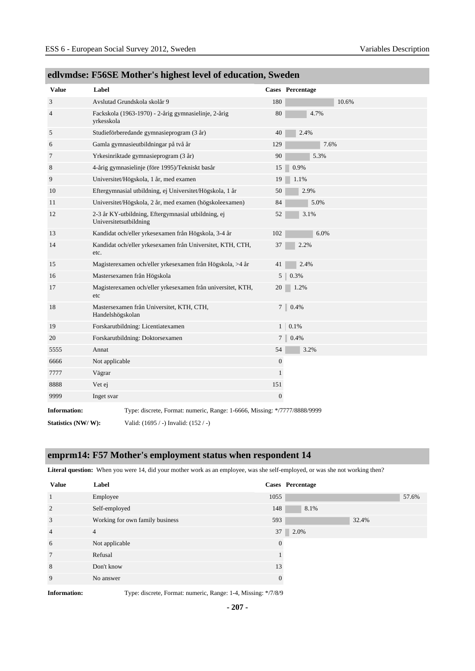| <b>Value</b>        | Label                                                                         |                  | <b>Cases</b> Percentage |
|---------------------|-------------------------------------------------------------------------------|------------------|-------------------------|
| 3                   | Avslutad Grundskola skolår 9                                                  | 180              | 10.6%                   |
| 4                   | Fackskola (1963-1970) - 2-årig gymnasielinje, 2-årig<br>yrkesskola            | 80               | 4.7%                    |
| 5                   | Studieförberedande gymnasieprogram (3 år)                                     | 40               | 2.4%                    |
| 6                   | Gamla gymnasieutbildningar på två år                                          | 129              | 7.6%                    |
| $\tau$              | Yrkesinriktade gymnasieprogram (3 år)                                         | 90               | 5.3%                    |
| 8                   | 4-årig gymnasielinje (före 1995)/Tekniskt basår                               | 15               | 0.9%                    |
| 9                   | Universitet/Högskola, 1 år, med examen                                        | 19               | 1.1%                    |
| 10                  | Eftergymnasial utbildning, ej Universitet/Högskola, 1 år                      | 50               | 2.9%                    |
| 11                  | Universitet/Högskola, 2 år, med examen (högskoleexamen)                       | 84               | 5.0%                    |
| 12                  | 2-3 år KY-utbildning, Eftergymnasial utbildning, ej<br>Universitetsutbildning | 52               | 3.1%                    |
| 13                  | Kandidat och/eller yrkesexamen från Högskola, 3-4 år                          | 102              | 6.0%                    |
| 14                  | Kandidat och/eller yrkesexamen från Universitet, KTH, CTH,<br>etc.            | 37               | 2.2%                    |
| 15                  | Magisterexamen och/eller yrkesexamen från Högskola, >4 år                     | 41               | 2.4%                    |
| 16                  | Mastersexamen från Högskola                                                   | 5                | 0.3%                    |
| 17                  | Magisterexamen och/eller yrkesexamen från universitet, KTH,<br>etc            | 20               | 1.2%                    |
| 18                  | Mastersexamen från Universitet, KTH, CTH,<br>Handelshögskolan                 | 7 <sup>1</sup>   | 0.4%                    |
| 19                  | Forskarutbildning: Licentiatexamen                                            | 1                | 0.1%                    |
| 20                  | Forskarutbildning: Doktorsexamen                                              | 7                | 0.4%                    |
| 5555                | Annat                                                                         | 54               | 3.2%                    |
| 6666                | Not applicable                                                                | $\boldsymbol{0}$ |                         |
| 7777                | Vägrar                                                                        | $\mathbf{1}$     |                         |
| 8888                | Vet ej                                                                        | 151              |                         |
| 9999                | Inget svar                                                                    | $\boldsymbol{0}$ |                         |
| <b>Information:</b> | Type: discrete, Format: numeric, Range: 1-6666, Missing: */7777/8888/9999     |                  |                         |
| Statistics (NW/W):  | Valid: (1695 / -) Invalid: (152 / -)                                          |                  |                         |

# **edlvmdse: F56SE Mother's highest level of education, Sweden**

### **emprm14: F57 Mother's employment status when respondent 14**

**Literal question:** When you were 14, did your mother work as an employee, was she self-employed, or was she not working then?

| <b>Value</b>    | Label                           |          | <b>Cases</b> Percentage |  |
|-----------------|---------------------------------|----------|-------------------------|--|
| $\mathbf{1}$    | Employee                        | 1055     | 57.6%                   |  |
| 2               | Self-employed                   | 148      | 8.1%                    |  |
| 3               | Working for own family business | 593      | 32.4%                   |  |
| $\overline{4}$  | $\overline{4}$                  | 37       | 2.0%                    |  |
| 6               | Not applicable                  | $\Omega$ |                         |  |
| $7\phantom{.0}$ | Refusal                         |          |                         |  |
| 8               | Don't know                      | 13       |                         |  |
| 9               | No answer                       |          |                         |  |

**Information:** Type: discrete, Format: numeric, Range: 1-4, Missing: \*/7/8/9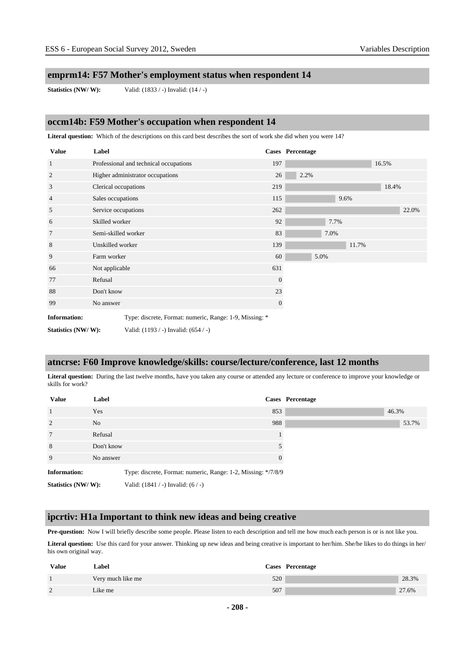#### **emprm14: F57 Mother's employment status when respondent 14**

**Statistics (NW/ W):** Valid: (1833 / -) Invalid: (14 / -)

#### **occm14b: F59 Mother's occupation when respondent 14**

**Literal question:** Which of the descriptions on this card best describes the sort of work she did when you were 14?

| <b>Value</b>        | Label                |                                                         |              | <b>Cases</b> Percentage |      |       |       |       |
|---------------------|----------------------|---------------------------------------------------------|--------------|-------------------------|------|-------|-------|-------|
| $\mathbf{1}$        |                      | Professional and technical occupations                  | 197          |                         |      |       | 16.5% |       |
| $\overline{2}$      |                      | Higher administrator occupations                        | 26           | 2.2%                    |      |       |       |       |
| 3                   | Clerical occupations |                                                         | 219          |                         |      |       | 18.4% |       |
| $\overline{4}$      | Sales occupations    |                                                         | 115          |                         | 9.6% |       |       |       |
| 5                   | Service occupations  |                                                         | 262          |                         |      |       |       | 22.0% |
| 6                   | Skilled worker       |                                                         | 92           |                         | 7.7% |       |       |       |
| $\overline{7}$      | Semi-skilled worker  |                                                         | 83           |                         | 7.0% |       |       |       |
| 8                   | Unskilled worker     |                                                         | 139          |                         |      | 11.7% |       |       |
| 9                   | Farm worker          |                                                         | 60           | 5.0%                    |      |       |       |       |
| 66                  | Not applicable       |                                                         | 631          |                         |      |       |       |       |
| 77                  | Refusal              |                                                         | $\mathbf{0}$ |                         |      |       |       |       |
| 88                  | Don't know           |                                                         | 23           |                         |      |       |       |       |
| 99                  | No answer            |                                                         | $\mathbf{0}$ |                         |      |       |       |       |
| <b>Information:</b> |                      | Type: discrete, Format: numeric, Range: 1-9, Missing: * |              |                         |      |       |       |       |
| Statistics (NW/W):  |                      | Valid: $(1193 / -)$ Invalid: $(654 / -)$                |              |                         |      |       |       |       |

#### **atncrse: F60 Improve knowledge/skills: course/lecture/conference, last 12 months**

**Literal question:** During the last twelve months, have you taken any course or attended any lecture or conference to improve your knowledge or skills for work?

| <b>Value</b>        | Label          |                                                               |          | Cases Percentage |       |
|---------------------|----------------|---------------------------------------------------------------|----------|------------------|-------|
| $\overline{1}$      | Yes            |                                                               | 853      |                  | 46.3% |
| $\overline{2}$      | N <sub>o</sub> |                                                               | 988      |                  | 53.7% |
| 7                   | Refusal        |                                                               |          |                  |       |
| 8                   | Don't know     |                                                               |          |                  |       |
| 9                   | No answer      |                                                               | $\Omega$ |                  |       |
| <b>Information:</b> |                | Type: discrete, Format: numeric, Range: 1-2, Missing: */7/8/9 |          |                  |       |
| Statistics (NW/W):  |                | Valid: $(1841 / -)$ Invalid: $(6 / -)$                        |          |                  |       |

#### **ipcrtiv: H1a Important to think new ideas and being creative**

**Pre-question:** Now I will briefly describe some people. Please listen to each description and tell me how much each person is or is not like you.

Literal question: Use this card for your answer. Thinking up new ideas and being creative is important to her/him. She/he likes to do things in her/ his own original way.

| <b>Value</b> | <b>Label</b>      |     | Cases Percentage |       |
|--------------|-------------------|-----|------------------|-------|
|              | Very much like me | 520 |                  | 28.3% |
|              | Like me           | 507 |                  | 27.6% |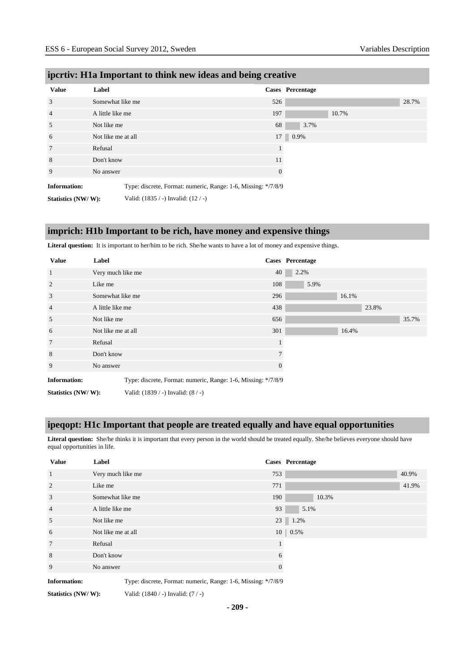| <b>Value</b>        | Label              |                                                               | Cases Percentage |       |       |
|---------------------|--------------------|---------------------------------------------------------------|------------------|-------|-------|
| 3                   | Somewhat like me   | 526                                                           |                  |       | 28.7% |
| $\overline{4}$      | A little like me   | 197                                                           |                  | 10.7% |       |
| 5                   | Not like me        | 68                                                            | 3.7%             |       |       |
| 6                   | Not like me at all | 17                                                            | 0.9%             |       |       |
| 7                   | Refusal            |                                                               |                  |       |       |
| 8                   | Don't know         | 11                                                            |                  |       |       |
| 9                   | No answer          | $\mathbf{0}$                                                  |                  |       |       |
| <b>Information:</b> |                    | Type: discrete, Format: numeric, Range: 1-6, Missing: */7/8/9 |                  |       |       |
| Statistics (NW/W):  |                    | Valid: (1835 / -) Invalid: (12 / -)                           |                  |       |       |

# **ipcrtiv: H1a Important to think new ideas and being creative**

**imprich: H1b Important to be rich, have money and expensive things**

**Literal question:** It is important to her/him to be rich. She/he wants to have a lot of money and expensive things.

| <b>Value</b>        | Label              |                                                               |        | <b>Cases</b> Percentage |       |       |       |
|---------------------|--------------------|---------------------------------------------------------------|--------|-------------------------|-------|-------|-------|
| $\mathbf{1}$        | Very much like me  |                                                               | 40     | 2.2%                    |       |       |       |
| 2                   | Like me            |                                                               | 108    | 5.9%                    |       |       |       |
| 3                   | Somewhat like me   |                                                               | 296    |                         | 16.1% |       |       |
| $\overline{4}$      | A little like me   |                                                               | 438    |                         |       | 23.8% |       |
| 5                   | Not like me        |                                                               | 656    |                         |       |       | 35.7% |
| 6                   | Not like me at all |                                                               | 301    |                         | 16.4% |       |       |
| $7\phantom{.0}$     | Refusal            |                                                               |        |                         |       |       |       |
| 8                   | Don't know         |                                                               | $\tau$ |                         |       |       |       |
| 9                   | No answer          |                                                               |        |                         |       |       |       |
| <b>Information:</b> |                    | Type: discrete, Format: numeric, Range: 1-6, Missing: */7/8/9 |        |                         |       |       |       |
| Statistics (NW/W):  |                    | Valid: $(1839 / -)$ Invalid: $(8 / -)$                        |        |                         |       |       |       |

### **ipeqopt: H1c Important that people are treated equally and have equal opportunities**

**Literal question:** She/he thinks it is important that every person in the world should be treated equally. She/he believes everyone should have equal opportunities in life.

| <b>Value</b>        | Label                                                         |          | <b>Cases</b> Percentage |
|---------------------|---------------------------------------------------------------|----------|-------------------------|
| $\mathbf{1}$        | Very much like me                                             | 753      | 40.9%                   |
| 2                   | Like me                                                       | 771      | 41.9%                   |
| 3                   | Somewhat like me                                              | 190      | 10.3%                   |
| $\overline{4}$      | A little like me                                              | 93       | 5.1%                    |
| 5                   | Not like me                                                   |          | 23 1.2%                 |
| 6                   | Not like me at all                                            |          | $10 \,   \, 0.5\%$      |
| 7                   | Refusal                                                       |          |                         |
| 8                   | Don't know                                                    | 6        |                         |
| 9                   | No answer                                                     | $\theta$ |                         |
| <b>Information:</b> | Type: discrete, Format: numeric, Range: 1-6, Missing: */7/8/9 |          |                         |

**Statistics (NW/ W):** Valid: (1840 / -) Invalid: (7 / -)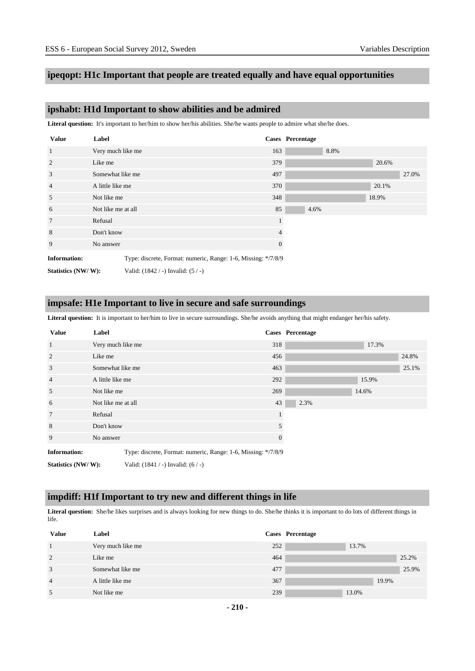### **ipeqopt: H1c Important that people are treated equally and have equal opportunities**

### **ipshabt: H1d Important to show abilities and be admired**

Literal question: It's important to her/him to show her/his abilities. She/he wants people to admire what she/he does.

| <b>Value</b>        | Label              |                                                               |              | <b>Cases</b> Percentage |      |       |       |
|---------------------|--------------------|---------------------------------------------------------------|--------------|-------------------------|------|-------|-------|
| 1                   | Very much like me  |                                                               | 163          |                         | 8.8% |       |       |
| 2                   | Like me            |                                                               | 379          |                         |      | 20.6% |       |
| 3                   | Somewhat like me   |                                                               | 497          |                         |      |       | 27.0% |
| $\overline{4}$      | A little like me   |                                                               | 370          |                         |      | 20.1% |       |
| 5                   | Not like me        |                                                               | 348          |                         |      | 18.9% |       |
| 6                   | Not like me at all |                                                               | 85           | 4.6%                    |      |       |       |
| 7                   | Refusal            |                                                               |              |                         |      |       |       |
| 8                   | Don't know         |                                                               | 4            |                         |      |       |       |
| 9                   | No answer          |                                                               | $\mathbf{0}$ |                         |      |       |       |
| <b>Information:</b> |                    | Type: discrete, Format: numeric, Range: 1-6, Missing: */7/8/9 |              |                         |      |       |       |
| Statistics (NW/W):  |                    | Valid: $(1842 / -)$ Invalid: $(5 / -)$                        |              |                         |      |       |       |

#### **impsafe: H1e Important to live in secure and safe surroundings**

Literal question: It is important to her/him to live in secure surroundings. She/he avoids anything that might endanger her/his safety.

| <b>Value</b>        | Label              |                                                               |          | Cases Percentage |       |       |
|---------------------|--------------------|---------------------------------------------------------------|----------|------------------|-------|-------|
| $\mathbf{1}$        | Very much like me  |                                                               | 318      |                  | 17.3% |       |
| 2                   | Like me            |                                                               | 456      |                  |       | 24.8% |
| 3                   | Somewhat like me   |                                                               | 463      |                  |       | 25.1% |
| $\overline{4}$      | A little like me   |                                                               | 292      |                  | 15.9% |       |
| 5                   | Not like me        |                                                               | 269      |                  | 14.6% |       |
| 6                   | Not like me at all |                                                               | 43       | 2.3%             |       |       |
| $7\phantom{.0}$     | Refusal            |                                                               |          |                  |       |       |
| 8                   | Don't know         |                                                               | 5        |                  |       |       |
| 9                   | No answer          |                                                               | $\theta$ |                  |       |       |
| <b>Information:</b> |                    | Type: discrete, Format: numeric, Range: 1-6, Missing: */7/8/9 |          |                  |       |       |
| Statistics (NW/W):  |                    | Valid: $(1841 / -)$ Invalid: $(6 / -)$                        |          |                  |       |       |

#### **impdiff: H1f Important to try new and different things in life**

**Literal question:** She/he likes surprises and is always looking for new things to do. She/he thinks it is important to do lots of different things in life.

| <b>Value</b>   | Label             |     | Cases Percentage |
|----------------|-------------------|-----|------------------|
|                | Very much like me | 252 | 13.7%            |
| 2              | Like me           | 464 | 25.2%            |
| 3              | Somewhat like me  | 477 | 25.9%            |
| $\overline{4}$ | A little like me  | 367 | 19.9%            |
| 5              | Not like me       | 239 | 13.0%            |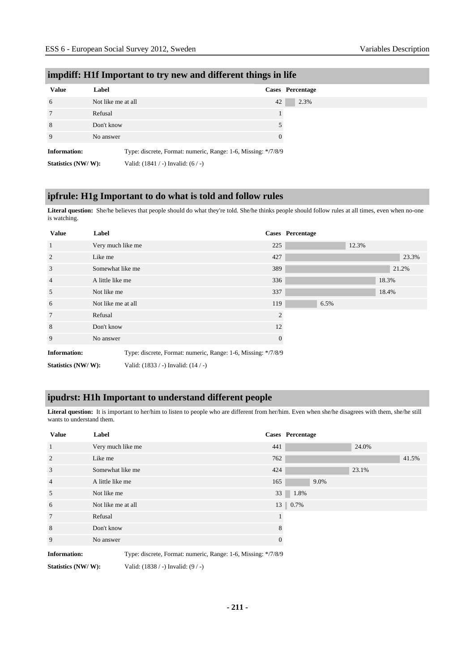| <b>Value</b>        | Label              |                                        | Cases Percentage                                              |
|---------------------|--------------------|----------------------------------------|---------------------------------------------------------------|
| 6                   | Not like me at all |                                        | 42                                                            |
| 7                   | Refusal            |                                        |                                                               |
| 8                   | Don't know         |                                        |                                                               |
| 9                   | No answer          |                                        | $\Omega$                                                      |
| <b>Information:</b> |                    |                                        | Type: discrete, Format: numeric, Range: 1-6, Missing: */7/8/9 |
| Statistics (NW/W):  |                    | Valid: $(1841 / -)$ Invalid: $(6 / -)$ |                                                               |

### **impdiff: H1f Important to try new and different things in life**

### **ipfrule: H1g Important to do what is told and follow rules**

Literal question: She/he believes that people should do what they're told. She/he thinks people should follow rules at all times, even when no-one is watching.

| <b>Value</b>        | Label              |                                                               |              | Cases Percentage |       |       |
|---------------------|--------------------|---------------------------------------------------------------|--------------|------------------|-------|-------|
| $\overline{1}$      | Very much like me  |                                                               | 225          |                  | 12.3% |       |
| 2                   | Like me            |                                                               | 427          |                  |       | 23.3% |
| 3                   | Somewhat like me   |                                                               | 389          |                  |       | 21.2% |
| $\overline{4}$      | A little like me   |                                                               | 336          |                  |       | 18.3% |
| 5                   | Not like me        |                                                               | 337          |                  |       | 18.4% |
| 6                   | Not like me at all |                                                               | 119          | 6.5%             |       |       |
| $7\phantom{.0}$     | Refusal            |                                                               | 2            |                  |       |       |
| 8                   | Don't know         |                                                               | 12           |                  |       |       |
| 9                   | No answer          |                                                               | $\mathbf{0}$ |                  |       |       |
| <b>Information:</b> |                    | Type: discrete, Format: numeric, Range: 1-6, Missing: */7/8/9 |              |                  |       |       |
| Statistics (NW/W):  |                    | Valid: $(1833 / -)$ Invalid: $(14 / -)$                       |              |                  |       |       |

### **ipudrst: H1h Important to understand different people**

Literal question: It is important to her/him to listen to people who are different from her/him. Even when she/he disagrees with them, she/he still wants to understand them.

| <b>Value</b>        | Label                                                         |          | <b>Cases</b> Percentage |
|---------------------|---------------------------------------------------------------|----------|-------------------------|
| $\mathbf{1}$        | Very much like me                                             | 441      | 24.0%                   |
| 2                   | Like me                                                       | 762      | 41.5%                   |
| 3                   | Somewhat like me                                              | 424      | 23.1%                   |
| $\overline{4}$      | A little like me                                              | 165      | 9.0%                    |
| 5                   | Not like me                                                   | 33       | 1.8%                    |
| 6                   | Not like me at all                                            |          | 13 0.7%                 |
| $7\phantom{.0}$     | Refusal                                                       |          |                         |
| 8                   | Don't know                                                    | 8        |                         |
| 9                   | No answer                                                     | $\theta$ |                         |
| <b>Information:</b> | Type: discrete, Format: numeric, Range: 1-6, Missing: */7/8/9 |          |                         |

**Statistics (NW/ W):** Valid: (1838 / -) Invalid: (9 / -)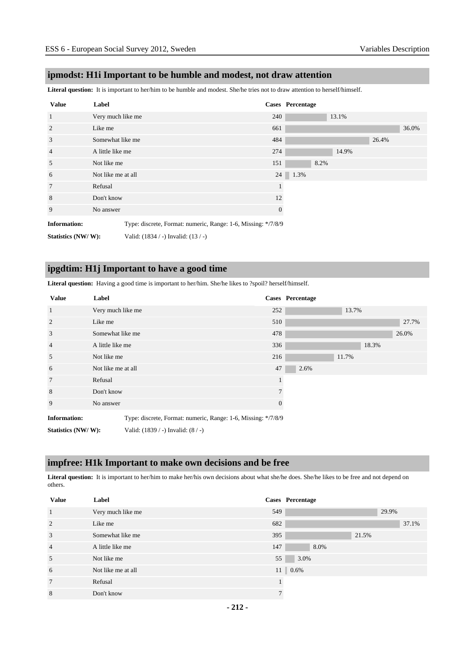### **ipmodst: H1i Important to be humble and modest, not draw attention**

**Literal question:** It is important to her/him to be humble and modest. She/he tries not to draw attention to herself/himself.

| <b>Value</b>        | Label              |                                                               |              | <b>Cases</b> Percentage |       |       |
|---------------------|--------------------|---------------------------------------------------------------|--------------|-------------------------|-------|-------|
| $\mathbf{1}$        | Very much like me  |                                                               | 240          | 13.1%                   |       |       |
| 2                   | Like me            |                                                               | 661          |                         |       | 36.0% |
| 3                   | Somewhat like me   |                                                               | 484          |                         | 26.4% |       |
| $\overline{4}$      | A little like me   |                                                               | 274          | 14.9%                   |       |       |
| 5                   | Not like me        |                                                               | 151          | 8.2%                    |       |       |
| 6                   | Not like me at all |                                                               | 24           | 1.3%                    |       |       |
| $7\phantom{.0}$     | Refusal            |                                                               |              |                         |       |       |
| 8                   | Don't know         |                                                               | 12           |                         |       |       |
| 9                   | No answer          |                                                               | $\mathbf{0}$ |                         |       |       |
| <b>Information:</b> |                    | Type: discrete, Format: numeric, Range: 1-6, Missing: */7/8/9 |              |                         |       |       |
| Statistics (NW/W):  |                    | Valid: $(1834 / -)$ Invalid: $(13 / -)$                       |              |                         |       |       |

### **ipgdtim: H1j Important to have a good time**

**Literal question:** Having a good time is important to her/him. She/he likes to ?spoil? herself/himself.

| <b>Value</b>        | Label              |                                                               |          | <b>Cases</b> Percentage |       |       |
|---------------------|--------------------|---------------------------------------------------------------|----------|-------------------------|-------|-------|
| $\mathbf{1}$        | Very much like me  |                                                               | 252      |                         | 13.7% |       |
| 2                   | Like me            |                                                               | 510      |                         |       | 27.7% |
| 3                   | Somewhat like me   |                                                               | 478      |                         |       | 26.0% |
| $\overline{4}$      | A little like me   |                                                               | 336      |                         | 18.3% |       |
| 5                   | Not like me        |                                                               | 216      |                         | 11.7% |       |
| 6                   | Not like me at all |                                                               | 47       | 2.6%                    |       |       |
| $7\phantom{.0}$     | Refusal            |                                                               |          |                         |       |       |
| 8                   | Don't know         |                                                               |          |                         |       |       |
| 9                   | No answer          |                                                               | $\theta$ |                         |       |       |
| <b>Information:</b> |                    | Type: discrete, Format: numeric, Range: 1-6, Missing: */7/8/9 |          |                         |       |       |
| Statistics (NW/W):  |                    | Valid: (1839 / -) Invalid: (8 / -)                            |          |                         |       |       |

### **impfree: H1k Important to make own decisions and be free**

Literal question: It is important to her/him to make her/his own decisions about what she/he does. She/he likes to be free and not depend on others.

| <b>Value</b>   | Label              |     | Cases Percentage   |       |
|----------------|--------------------|-----|--------------------|-------|
| 1              | Very much like me  | 549 |                    | 29.9% |
| 2              | Like me            | 682 |                    | 37.1% |
| 3              | Somewhat like me   | 395 | 21.5%              |       |
| $\overline{4}$ | A little like me   | 147 | 8.0%               |       |
| 5              | Not like me        | 55  | 3.0%               |       |
| 6              | Not like me at all |     | $11 \,   \, 0.6\%$ |       |
| 7              | Refusal            |     |                    |       |
| 8              | Don't know         |     |                    |       |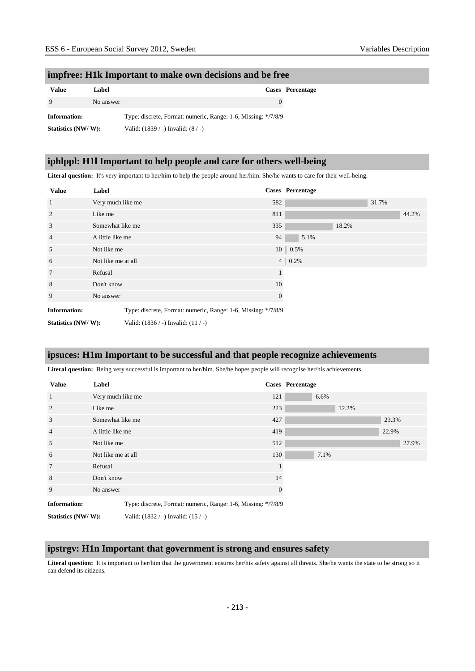#### **impfree: H1k Important to make own decisions and be free**

| Value              | Label     |                                                               | <b>Cases</b> Percentage |
|--------------------|-----------|---------------------------------------------------------------|-------------------------|
|                    | No answer |                                                               |                         |
| Information:       |           | Type: discrete, Format: numeric, Range: 1-6, Missing: */7/8/9 |                         |
| Statistics (NW/W): |           | Valid: $(1839 / -)$ Invalid: $(8 / -)$                        |                         |

### **iphlppl: H1l Important to help people and care for others well-being**

**Literal question:** It's very important to her/him to help the people around her/him. She/he wants to care for their well-being.

| <b>Value</b>        | Label              |                                                               |                | <b>Cases</b> Percentage |       |       |       |
|---------------------|--------------------|---------------------------------------------------------------|----------------|-------------------------|-------|-------|-------|
| $\mathbf{1}$        | Very much like me  |                                                               | 582            |                         |       | 31.7% |       |
| $\overline{2}$      | Like me            |                                                               | 811            |                         |       |       | 44.2% |
| 3                   | Somewhat like me   |                                                               | 335            |                         | 18.2% |       |       |
| $\overline{4}$      |                    | A little like me                                              |                | 5.1%                    |       |       |       |
| 5                   | Not like me        |                                                               |                | $10 \mid 0.5\%$         |       |       |       |
| 6                   | Not like me at all |                                                               | $4\vert$       | 0.2%                    |       |       |       |
| $\tau$              | Refusal            |                                                               | $\mathbf{1}$   |                         |       |       |       |
| 8                   | Don't know         |                                                               | 10             |                         |       |       |       |
| 9                   | No answer          |                                                               | $\overline{0}$ |                         |       |       |       |
| <b>Information:</b> |                    | Type: discrete, Format: numeric, Range: 1-6, Missing: */7/8/9 |                |                         |       |       |       |
| Statistics (NW/W):  |                    | Valid: $(1836 / -)$ Invalid: $(11 / -)$                       |                |                         |       |       |       |

### **ipsuces: H1m Important to be successful and that people recognize achievements**

**Literal question:** Being very successful is important to her/him. She/he hopes people will recognise her/his achievements.

| <b>Value</b>        | Label              |                                                               |              | <b>Cases</b> Percentage |       |       |       |
|---------------------|--------------------|---------------------------------------------------------------|--------------|-------------------------|-------|-------|-------|
| $\overline{1}$      | Very much like me  |                                                               | 121          | 6.6%                    |       |       |       |
| 2                   | Like me            |                                                               | 223          |                         | 12.2% |       |       |
| 3                   | Somewhat like me   |                                                               | 427          |                         |       | 23.3% |       |
| $\overline{4}$      | A little like me   |                                                               | 419          |                         |       | 22.9% |       |
| 5                   | Not like me        |                                                               | 512          |                         |       |       | 27.9% |
| 6                   | Not like me at all |                                                               | 130          | 7.1%                    |       |       |       |
| $7\phantom{.0}$     | Refusal            |                                                               |              |                         |       |       |       |
| 8                   | Don't know         |                                                               | 14           |                         |       |       |       |
| 9                   | No answer          |                                                               | $\mathbf{0}$ |                         |       |       |       |
| <b>Information:</b> |                    | Type: discrete, Format: numeric, Range: 1-6, Missing: */7/8/9 |              |                         |       |       |       |
| Statistics (NW/W):  |                    | Valid: (1832 / -) Invalid: (15 / -)                           |              |                         |       |       |       |

### **ipstrgv: H1n Important that government is strong and ensures safety**

Literal question: It is important to her/him that the government ensures her/his safety against all threats. She/he wants the state to be strong so it can defend its citizens.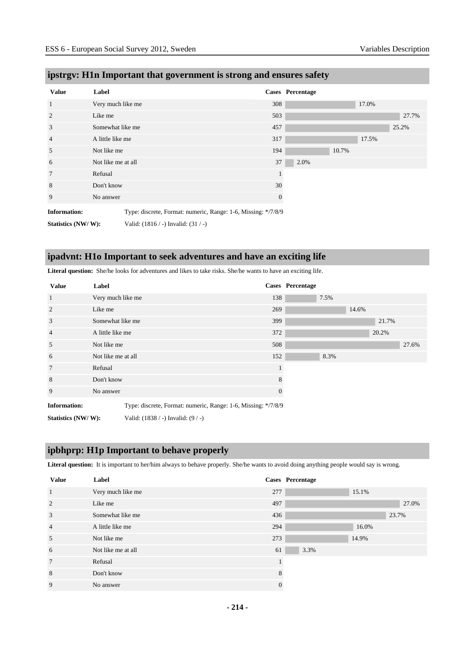| <b>Value</b>        | Label              |                                                               |              | <b>Cases</b> Percentage |       |       |       |
|---------------------|--------------------|---------------------------------------------------------------|--------------|-------------------------|-------|-------|-------|
| $\mathbf{1}$        | Very much like me  |                                                               | 308          |                         |       | 17.0% |       |
| 2                   | Like me            |                                                               | 503          |                         |       |       | 27.7% |
| 3                   | Somewhat like me   |                                                               | 457          |                         |       |       | 25.2% |
| $\overline{4}$      | A little like me   |                                                               | 317          |                         |       | 17.5% |       |
| 5                   | Not like me        |                                                               | 194          |                         | 10.7% |       |       |
| 6                   | Not like me at all |                                                               | 37           | 2.0%                    |       |       |       |
| 7                   | Refusal            |                                                               |              |                         |       |       |       |
| 8                   | Don't know         |                                                               | 30           |                         |       |       |       |
| 9                   | No answer          |                                                               | $\mathbf{0}$ |                         |       |       |       |
| <b>Information:</b> |                    | Type: discrete, Format: numeric, Range: 1-6, Missing: */7/8/9 |              |                         |       |       |       |
| Statistics (NW/W):  |                    | Valid: $(1816 / -)$ Invalid: $(31 / -)$                       |              |                         |       |       |       |

# **ipstrgv: H1n Important that government is strong and ensures safety**

# **ipadvnt: H1o Important to seek adventures and have an exciting life**

**Literal question:** She/he looks for adventures and likes to take risks. She/he wants to have an exciting life.

| <b>Value</b>        | Label              |                                                               |          | <b>Cases</b> Percentage |      |       |       |       |
|---------------------|--------------------|---------------------------------------------------------------|----------|-------------------------|------|-------|-------|-------|
| 1                   | Very much like me  |                                                               | 138      |                         | 7.5% |       |       |       |
| $\overline{c}$      | Like me            |                                                               | 269      |                         |      | 14.6% |       |       |
| 3                   | Somewhat like me   |                                                               | 399      |                         |      |       | 21.7% |       |
| $\overline{4}$      | A little like me   |                                                               | 372      |                         |      |       | 20.2% |       |
| 5                   | Not like me        |                                                               | 508      |                         |      |       |       | 27.6% |
| 6                   | Not like me at all |                                                               | 152      |                         | 8.3% |       |       |       |
| $7\phantom{.0}$     | Refusal            |                                                               |          |                         |      |       |       |       |
| 8                   | Don't know         |                                                               | 8        |                         |      |       |       |       |
| 9                   | No answer          |                                                               | $\theta$ |                         |      |       |       |       |
| <b>Information:</b> |                    | Type: discrete, Format: numeric, Range: 1-6, Missing: */7/8/9 |          |                         |      |       |       |       |
| Statistics (NW/W):  |                    | Valid: $(1838 / -)$ Invalid: $(9 / -)$                        |          |                         |      |       |       |       |

### **ipbhprp: H1p Important to behave properly**

Literal question: It is important to her/him always to behave properly. She/he wants to avoid doing anything people would say is wrong.

| <b>Value</b>    | Label              |          | <b>Cases</b> Percentage |
|-----------------|--------------------|----------|-------------------------|
| $\mathbf{1}$    | Very much like me  | 277      | 15.1%                   |
| 2               | Like me            | 497      | 27.0%                   |
| 3               | Somewhat like me   | 436      | 23.7%                   |
| $\overline{4}$  | A little like me   | 294      | 16.0%                   |
| 5               | Not like me        | 273      | 14.9%                   |
| 6               | Not like me at all | 61       | 3.3%                    |
| $7\phantom{.0}$ | Refusal            |          |                         |
| 8               | Don't know         | 8        |                         |
| 9               | No answer          | $\Omega$ |                         |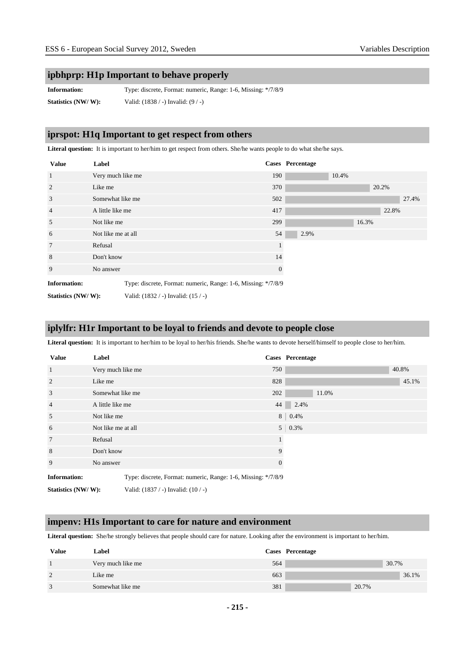### **ipbhprp: H1p Important to behave properly**

**Information:** Type: discrete, Format: numeric, Range: 1-6, Missing: \*/7/8/9 **Statistics (NW/ W):** Valid: (1838 / -) Invalid: (9 / -)

#### **iprspot: H1q Important to get respect from others**

Literal question: It is important to her/him to get respect from others. She/he wants people to do what she/he says.

| <b>Value</b>        | Label              |                                                               |          | <b>Cases</b> Percentage |       |       |       |       |
|---------------------|--------------------|---------------------------------------------------------------|----------|-------------------------|-------|-------|-------|-------|
| 1                   | Very much like me  |                                                               | 190      |                         | 10.4% |       |       |       |
| 2                   | Like me            |                                                               | 370      |                         |       |       | 20.2% |       |
| 3                   | Somewhat like me   |                                                               | 502      |                         |       |       |       | 27.4% |
| $\overline{4}$      | A little like me   |                                                               | 417      |                         |       |       | 22.8% |       |
| 5                   | Not like me        |                                                               | 299      |                         |       | 16.3% |       |       |
| 6                   | Not like me at all |                                                               | 54       | 2.9%                    |       |       |       |       |
| $7\phantom{.0}$     | Refusal            |                                                               |          |                         |       |       |       |       |
| 8                   | Don't know         |                                                               | 14       |                         |       |       |       |       |
| 9                   | No answer          |                                                               | $\theta$ |                         |       |       |       |       |
| <b>Information:</b> |                    | Type: discrete, Format: numeric, Range: 1-6, Missing: */7/8/9 |          |                         |       |       |       |       |
| Statistics (NW/W):  |                    | Valid: (1832 / -) Invalid: (15 / -)                           |          |                         |       |       |       |       |

### **iplylfr: H1r Important to be loyal to friends and devote to people close**

**Literal question:** It is important to her/him to be loyal to her/his friends. She/he wants to devote herself/himself to people close to her/him.

| <b>Value</b>        | Label              |                                                               |                | Cases Percentage |
|---------------------|--------------------|---------------------------------------------------------------|----------------|------------------|
| $\mathbf{1}$        | Very much like me  |                                                               | 750            | 40.8%            |
| 2                   | Like me            |                                                               | 828            | 45.1%            |
| 3                   | Somewhat like me   |                                                               | 202            | 11.0%            |
| $\overline{4}$      | A little like me   |                                                               | 44             | 2.4%             |
| 5                   | Not like me        |                                                               | 8 <sup>1</sup> | 0.4%             |
| 6                   | Not like me at all |                                                               |                | $5 \mid 0.3\%$   |
| 7                   | Refusal            |                                                               |                |                  |
| 8                   | Don't know         |                                                               | 9              |                  |
| 9                   | No answer          |                                                               | $\overline{0}$ |                  |
| <b>Information:</b> |                    | Type: discrete, Format: numeric, Range: 1-6, Missing: */7/8/9 |                |                  |
| Statistics (NW/W):  |                    | Valid: $(1837 / -)$ Invalid: $(10 / -)$                       |                |                  |

#### **impenv: H1s Important to care for nature and environment**

**Literal question:** She/he strongly believes that people should care for nature. Looking after the environment is important to her/him.

| Value | Label             |     | Cases Percentage |
|-------|-------------------|-----|------------------|
|       | Very much like me | 564 | 30.7%            |
| 2     | Like me           | 663 | 36.1%            |
| 3     | Somewhat like me  | 381 | 20.7%            |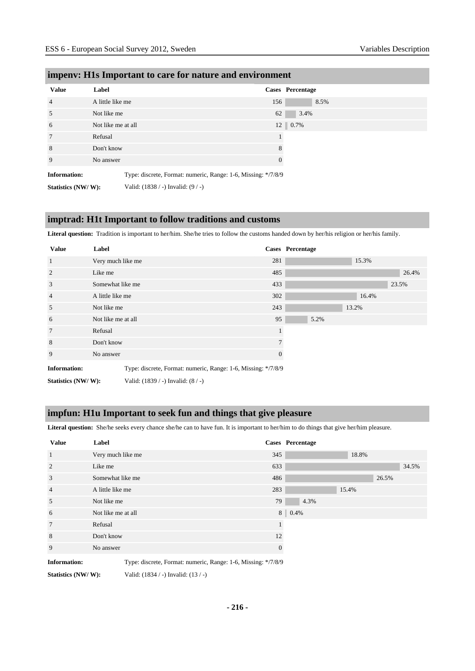| <b>Value</b>        | Label              |                                                               |          | Cases Percentage |
|---------------------|--------------------|---------------------------------------------------------------|----------|------------------|
| $\overline{4}$      | A little like me   |                                                               | 156      | 8.5%             |
| 5                   | Not like me        |                                                               | 62       | 3.4%             |
| 6                   | Not like me at all |                                                               |          | 12 0.7%          |
| 7                   | Refusal            |                                                               |          |                  |
| 8                   | Don't know         |                                                               | 8        |                  |
| 9                   | No answer          |                                                               | $\theta$ |                  |
| <b>Information:</b> |                    | Type: discrete, Format: numeric, Range: 1-6, Missing: */7/8/9 |          |                  |
| Statistics (NW/W):  |                    | Valid: (1838 / -) Invalid: (9 / -)                            |          |                  |

#### **impenv: H1s Important to care for nature and environment**

#### **imptrad: H1t Important to follow traditions and customs**

**Literal question:** Tradition is important to her/him. She/he tries to follow the customs handed down by her/his religion or her/his family.

| <b>Value</b>               | Label              |                                                               |     | <b>Cases</b> Percentage |      |       |       |
|----------------------------|--------------------|---------------------------------------------------------------|-----|-------------------------|------|-------|-------|
| $\mathbf{1}$               | Very much like me  |                                                               | 281 |                         |      | 15.3% |       |
| $\overline{2}$             | Like me            |                                                               | 485 |                         |      |       | 26.4% |
| 3                          | Somewhat like me   |                                                               | 433 |                         |      |       | 23.5% |
| $\overline{4}$             | A little like me   |                                                               | 302 |                         |      | 16.4% |       |
| 5                          | Not like me        |                                                               | 243 |                         |      | 13.2% |       |
| 6                          | Not like me at all |                                                               | 95  |                         | 5.2% |       |       |
| $7\phantom{.0}$            | Refusal            |                                                               |     |                         |      |       |       |
| 8                          | Don't know         |                                                               | 7   |                         |      |       |       |
| 9                          | No answer          |                                                               | 0   |                         |      |       |       |
| <b>Information:</b>        |                    | Type: discrete, Format: numeric, Range: 1-6, Missing: */7/8/9 |     |                         |      |       |       |
| __________________________ |                    |                                                               |     |                         |      |       |       |

**Statistics (NW/ W):** Valid: (1839 / -) Invalid: (8 / -)

#### **impfun: H1u Important to seek fun and things that give pleasure**

**Literal question:** She/he seeks every chance she/he can to have fun. It is important to her/him to do things that give her/him pleasure.

| <b>Value</b>        | Label              |                                                               |     | Cases Percentage |       |       |       |
|---------------------|--------------------|---------------------------------------------------------------|-----|------------------|-------|-------|-------|
| 1                   | Very much like me  |                                                               | 345 |                  | 18.8% |       |       |
| 2                   | Like me            |                                                               | 633 |                  |       |       | 34.5% |
| 3                   | Somewhat like me   |                                                               | 486 |                  |       | 26.5% |       |
| $\overline{4}$      | A little like me   |                                                               | 283 |                  | 15.4% |       |       |
| 5                   | Not like me        |                                                               | 79  | 4.3%             |       |       |       |
| 6                   | Not like me at all |                                                               | 8   | 0.4%             |       |       |       |
| $\overline{7}$      | Refusal            |                                                               |     |                  |       |       |       |
| 8                   | Don't know         |                                                               | 12  |                  |       |       |       |
| 9                   | No answer          |                                                               | 0   |                  |       |       |       |
| <b>Information:</b> |                    | Type: discrete, Format: numeric, Range: 1-6, Missing: */7/8/9 |     |                  |       |       |       |
| Statistics (NW/W):  |                    | Valid: $(1834 / -)$ Invalid: $(13 / -)$                       |     |                  |       |       |       |

**- 216 -**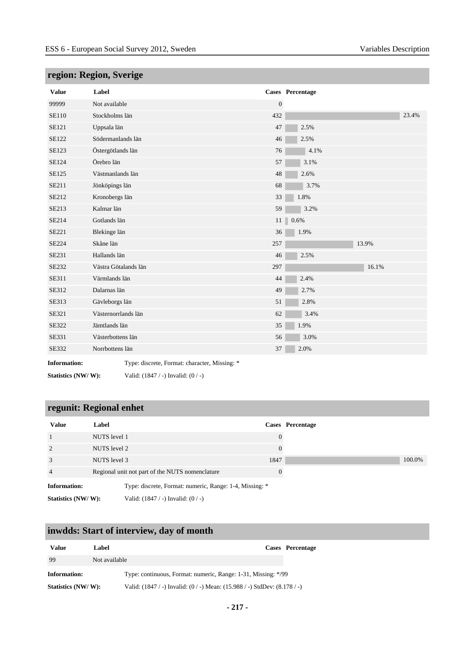| <b>Value</b>        | Label                                         |                  | Cases Percentage |
|---------------------|-----------------------------------------------|------------------|------------------|
| 99999               | Not available                                 | $\boldsymbol{0}$ |                  |
| <b>SE110</b>        | Stockholms län                                | 432              | 23.4%            |
| <b>SE121</b>        | Uppsala län                                   | 47               | 2.5%             |
| <b>SE122</b>        | Södermanlands län                             | 46               | 2.5%             |
| <b>SE123</b>        | Östergötlands län                             | 76               | 4.1%             |
| SE124               | Örebro län                                    | 57               | 3.1%             |
| SE125               | Västmanlands län                              | 48               | 2.6%             |
| SE211               | Jönköpings län                                | 68               | 3.7%             |
| SE212               | Kronobergs län                                | 33               | 1.8%             |
| SE213               | Kalmar län                                    | 59               | 3.2%             |
| SE214               | Gotlands län                                  | 11               | 0.6%             |
| SE221               | Blekinge län                                  | 36               | 1.9%             |
| <b>SE224</b>        | Skåne län                                     | 257              | 13.9%            |
| SE231               | Hallands län                                  | 46               | 2.5%             |
| SE232               | Västra Götalands län                          | 297              | 16.1%            |
| <b>SE311</b>        | Värmlands län                                 | 44               | 2.4%             |
| SE312               | Dalarnas län                                  | 49               | 2.7%             |
| SE313               | Gävleborgs län                                | 51               | 2.8%             |
| SE321               | Västernorrlands län                           | 62               | 3.4%             |
| SE322               | Jämtlands län                                 | 35               | 1.9%             |
| SE331               | Västerbottens län                             | 56               | 3.0%             |
| SE332               | Norrbottens län                               | 37               | 2.0%             |
| <b>Information:</b> | Type: discrete. Format: character. Missing: * |                  |                  |

## **region: Region, Sverige**

**Information:** Type: discrete, Format: character, Missing: \*

**Statistics (NW/ W):** Valid: (1847 / -) Invalid: (0 / -)

## **regunit: Regional enhet**

| <b>Value</b>        | Label                                                   |          | Cases Percentage |
|---------------------|---------------------------------------------------------|----------|------------------|
|                     | NUTS level 1                                            | $\Omega$ |                  |
| 2                   | NUTS level 2                                            | $\Omega$ |                  |
| 3                   | NUTS level 3                                            | 1847     |                  |
| $\overline{4}$      | Regional unit not part of the NUTS nomenclature         | $\Omega$ |                  |
| <b>Information:</b> | Type: discrete, Format: numeric, Range: 1-4, Missing: * |          |                  |
| Statistics (NW/W):  | Valid: $(1847 / -)$ Invalid: $(0 / -)$                  |          |                  |

## **inwdds: Start of interview, day of month**

| <b>Value</b>       | Label                                                                             | Cases Percentage |
|--------------------|-----------------------------------------------------------------------------------|------------------|
| -99                | Not available                                                                     |                  |
| Information:       | Type: continuous, Format: numeric, Range: 1-31, Missing: */99                     |                  |
| Statistics (NW/W): | Valid: $(1847 / -)$ Invalid: $(0 / -)$ Mean: $(15.988 / -)$ StdDev: $(8.178 / -)$ |                  |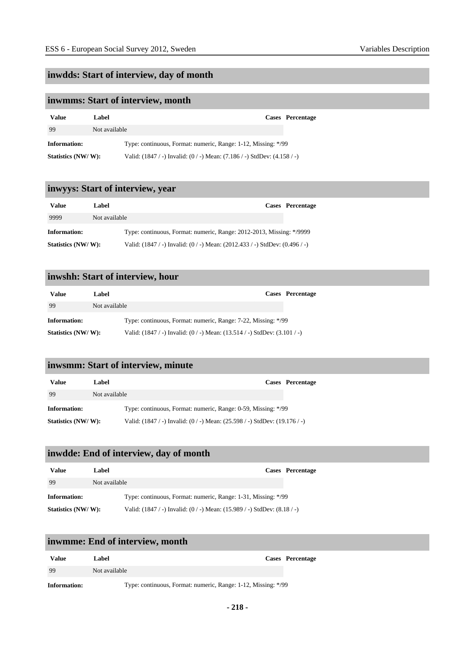## **inwdds: Start of interview, day of month**

## **inwmms: Start of interview, month**

| Value              | Label                                                                            | Cases Percentage |
|--------------------|----------------------------------------------------------------------------------|------------------|
| 99                 | Not available                                                                    |                  |
| Information:       | Type: continuous, Format: numeric, Range: 1-12, Missing: */99                    |                  |
| Statistics (NW/W): | Valid: $(1847 / -)$ Invalid: $(0 / -)$ Mean: $(7.186 / -)$ StdDev: $(4.158 / -)$ |                  |

## **inwyys: Start of interview, year**

| <b>Value</b>       | Label         |                                                                                     | Cases Percentage |
|--------------------|---------------|-------------------------------------------------------------------------------------|------------------|
| 9999               | Not available |                                                                                     |                  |
| Information:       |               | Type: continuous, Format: numeric, Range: 2012-2013, Missing: */9999                |                  |
| Statistics (NW/W): |               | Valid: $(1847 / -)$ Invalid: $(0 / -)$ Mean: $(2012.433 / -)$ StdDev: $(0.496 / -)$ |                  |

## **inwshh: Start of interview, hour**

| <b>Value</b>       | Label                                                                             | Cases Percentage |
|--------------------|-----------------------------------------------------------------------------------|------------------|
| 99                 | Not available                                                                     |                  |
| Information:       | Type: continuous, Format: numeric, Range: 7-22, Missing: */99                     |                  |
| Statistics (NW/W): | Valid: $(1847 / -)$ Invalid: $(0 / -)$ Mean: $(13.514 / -)$ StdDev: $(3.101 / -)$ |                  |

## **inwsmm: Start of interview, minute**

| Value              | Label         | Cases Percentage                                                                   |
|--------------------|---------------|------------------------------------------------------------------------------------|
| 99                 | Not available |                                                                                    |
| Information:       |               | Type: continuous, Format: numeric, Range: 0-59, Missing: */99                      |
| Statistics (NW/W): |               | Valid: $(1847 / -)$ Invalid: $(0 / -)$ Mean: $(25.598 / -)$ StdDev: $(19.176 / -)$ |

## **inwdde: End of interview, day of month**

| Value              | Label                                                                            | <b>Cases</b> Percentage |
|--------------------|----------------------------------------------------------------------------------|-------------------------|
| 99                 | Not available                                                                    |                         |
| Information:       | Type: continuous, Format: numeric, Range: 1-31, Missing: */99                    |                         |
| Statistics (NW/W): | Valid: $(1847 / -)$ Invalid: $(0 / -)$ Mean: $(15.989 / -)$ StdDev: $(8.18 / -)$ |                         |

#### **inwmme: End of interview, month**

| Value               | Cases Percentage<br>Label                                     |  |
|---------------------|---------------------------------------------------------------|--|
| -99                 | Not available                                                 |  |
| <b>Information:</b> | Type: continuous, Format: numeric, Range: 1-12, Missing: */99 |  |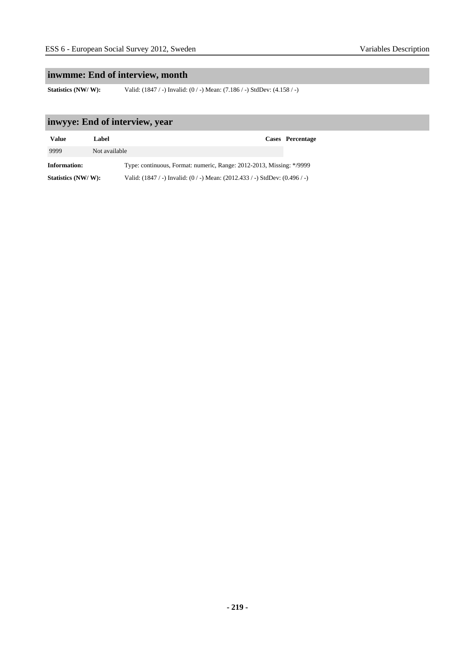## **inwmme: End of interview, month**

**Statistics (NW/ W):** Valid: (1847 / -) Invalid: (0 / -) Mean: (7.186 / -) StdDev: (4.158 / -)

## **inwyye: End of interview, year**

| Value              | Label         |                                                                                     | Cases Percentage |
|--------------------|---------------|-------------------------------------------------------------------------------------|------------------|
| 9999               | Not available |                                                                                     |                  |
| Information:       |               | Type: continuous, Format: numeric, Range: 2012-2013, Missing: */9999                |                  |
| Statistics (NW/W): |               | Valid: $(1847 / -)$ Invalid: $(0 / -)$ Mean: $(2012.433 / -)$ StdDev: $(0.496 / -)$ |                  |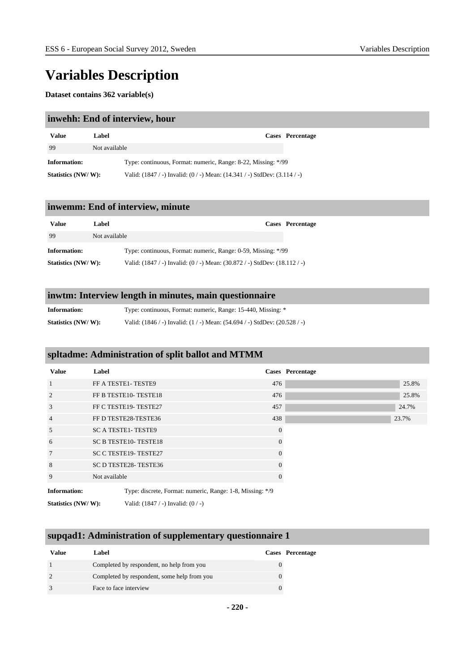# **Variables Description**

#### **Dataset contains 362 variable(s)**

#### **inwehh: End of interview, hour**

| Value               | Label                                                                             | Cases Percentage |
|---------------------|-----------------------------------------------------------------------------------|------------------|
| 99                  | Not available                                                                     |                  |
| <b>Information:</b> | Type: continuous, Format: numeric, Range: 8-22, Missing: */99                     |                  |
| Statistics (NW/W):  | Valid: $(1847 / -)$ Invalid: $(0 / -)$ Mean: $(14.341 / -)$ StdDev: $(3.114 / -)$ |                  |

#### **inwemm: End of interview, minute**

| Value              | Label                                                                              | <b>Cases</b> Percentage |
|--------------------|------------------------------------------------------------------------------------|-------------------------|
| -99                | Not available                                                                      |                         |
| Information:       | Type: continuous, Format: numeric, Range: 0-59, Missing: */99                      |                         |
| Statistics (NW/W): | Valid: $(1847 / -)$ Invalid: $(0 / -)$ Mean: $(30.872 / -)$ StdDev: $(18.112 / -)$ |                         |

## **inwtm: Interview length in minutes, main questionnaire**

| <b>Information:</b> | Type: continuous, Format: numeric, Range: 15-440, Missing: *                       |
|---------------------|------------------------------------------------------------------------------------|
| Statistics (NW/W):  | Valid: $(1846 / -)$ Invalid: $(1 / -)$ Mean: $(54.694 / -)$ StdDev: $(20.528 / -)$ |

## **spltadme: Administration of split ballot and MTMM**

| Value               | Label                                                     |          | Cases Percentage |
|---------------------|-----------------------------------------------------------|----------|------------------|
| 1                   | FF A TESTE1-TESTE9                                        | 476      | 25.8%            |
| $\mathfrak{D}$      | FF B TESTE10-TESTE18                                      | 476      | 25.8%            |
| 3                   | FF C TESTE19-TESTE27                                      | 457      | 24.7%            |
| $\overline{4}$      | FF D TESTE28-TESTE36                                      | 438      | 23.7%            |
| 5                   | <b>SC A TESTE1- TESTE9</b>                                | $\Omega$ |                  |
| 6                   | <b>SC B TESTE10- TESTE18</b>                              | $\Omega$ |                  |
| 7                   | <b>SC C TESTE19- TESTE27</b>                              |          |                  |
| 8                   | SC D TESTE28-TESTE36                                      | $\Omega$ |                  |
| 9                   | Not available                                             |          |                  |
| <b>Information:</b> | Type: discrete, Format: numeric, Range: 1-8, Missing: */9 |          |                  |

**Statistics (NW/ W):** Valid: (1847 / -) Invalid: (0 / -)

#### **supqad1: Administration of supplementary questionnaire 1**

| Value | Label                                       | <b>Cases</b> Percentage |
|-------|---------------------------------------------|-------------------------|
|       | Completed by respondent, no help from you   |                         |
|       | Completed by respondent, some help from you |                         |
|       | Face to face interview                      |                         |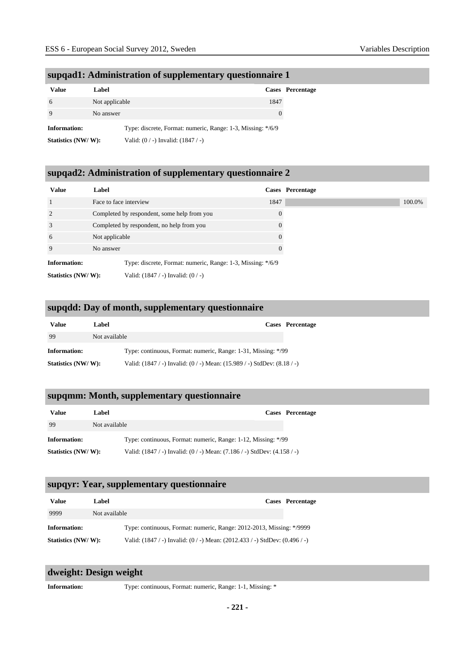| <b>Value</b>        | Label          |                                                             |          | Cases Percentage |
|---------------------|----------------|-------------------------------------------------------------|----------|------------------|
| 6                   | Not applicable |                                                             | 1847     |                  |
|                     | No answer      |                                                             | $\theta$ |                  |
| <b>Information:</b> |                | Type: discrete, Format: numeric, Range: 1-3, Missing: */6/9 |          |                  |
| Statistics (NW/W):  |                | Valid: $(0/-)$ Invalid: $(1847/-)$                          |          |                  |

## **supqad1: Administration of supplementary questionnaire 1**

## **supqad2: Administration of supplementary questionnaire 2**

| <b>Value</b>        | Label                  |                                                             | Cases Percentage |
|---------------------|------------------------|-------------------------------------------------------------|------------------|
|                     | Face to face interview |                                                             | 1847             |
| 2                   |                        | Completed by respondent, some help from you                 | $\Omega$         |
| 3                   |                        | Completed by respondent, no help from you                   | $\theta$         |
| 6                   | Not applicable         |                                                             | $\Omega$         |
| 9                   | No answer              |                                                             |                  |
| <b>Information:</b> |                        | Type: discrete, Format: numeric, Range: 1-3, Missing: */6/9 |                  |
| Statistics (NW/W):  |                        | Valid: $(1847 / -)$ Invalid: $(0 / -)$                      |                  |

## **supqdd: Day of month, supplementary questionnaire**

| Value               | '.abel        | Cases Percentage                                                                 |  |
|---------------------|---------------|----------------------------------------------------------------------------------|--|
| 99                  | Not available |                                                                                  |  |
| <b>Information:</b> |               | Type: continuous, Format: numeric, Range: 1-31, Missing: */99                    |  |
| Statistics (NW/W):  |               | Valid: $(1847 / -)$ Invalid: $(0 / -)$ Mean: $(15.989 / -)$ StdDev: $(8.18 / -)$ |  |

#### **supqmm: Month, supplementary questionnaire**

| <b>Value</b>       | Label         |                                                                                  | Cases Percentage |
|--------------------|---------------|----------------------------------------------------------------------------------|------------------|
| -99                | Not available |                                                                                  |                  |
| Information:       |               | Type: continuous, Format: numeric, Range: 1-12, Missing: */99                    |                  |
| Statistics (NW/W): |               | Valid: $(1847 / -)$ Invalid: $(0 / -)$ Mean: $(7.186 / -)$ StdDev: $(4.158 / -)$ |                  |

#### **supqyr: Year, supplementary questionnaire**

| Value              | Label         |                                                                                     | Cases Percentage |
|--------------------|---------------|-------------------------------------------------------------------------------------|------------------|
| 9999               | Not available |                                                                                     |                  |
| Information:       |               | Type: continuous, Format: numeric, Range: 2012-2013, Missing: */9999                |                  |
| Statistics (NW/W): |               | Valid: $(1847 / -)$ Invalid: $(0 / -)$ Mean: $(2012.433 / -)$ StdDev: $(0.496 / -)$ |                  |

#### **dweight: Design weight**

**Information:** Type: continuous, Format: numeric, Range: 1-1, Missing: \*